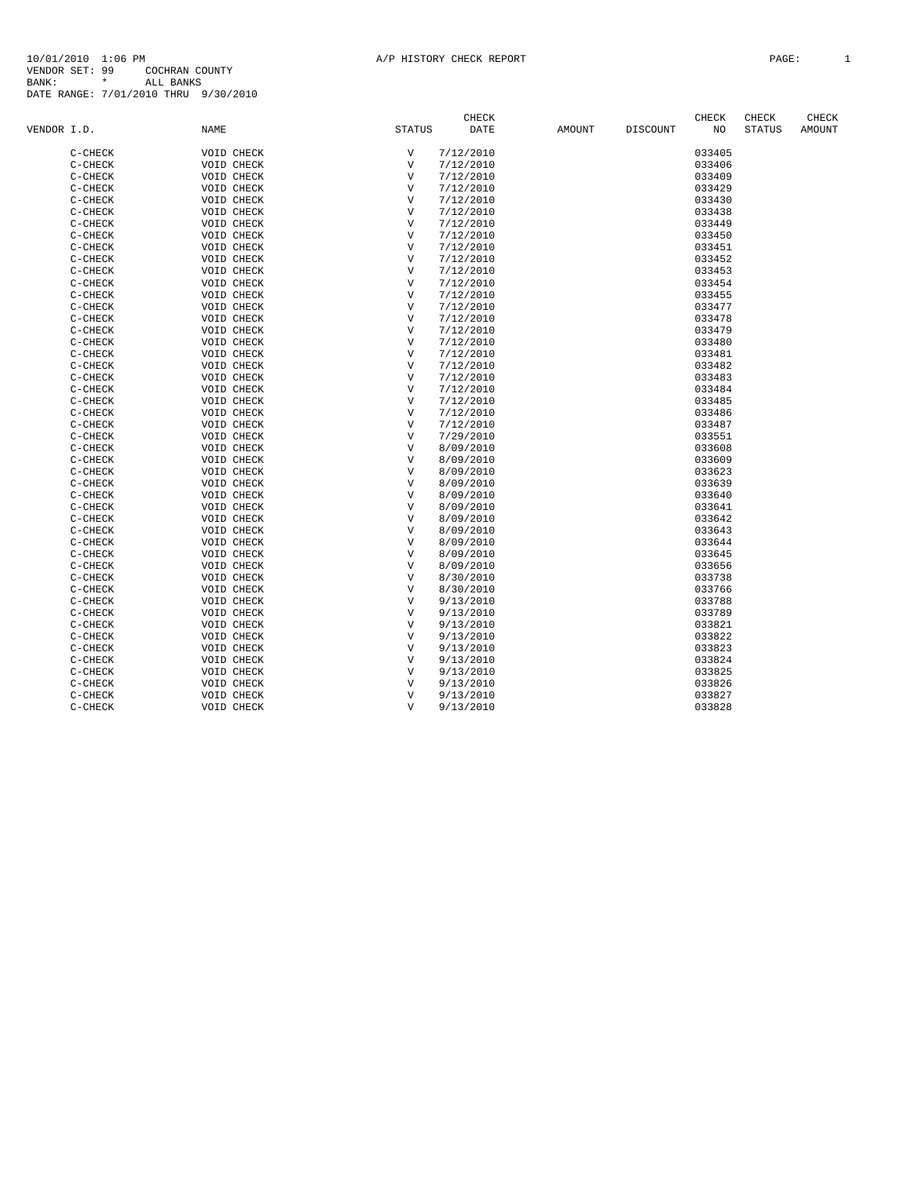|             |                        |                          |                           | <b>CHECK</b>           |        |                 | CHECK  | CHECK         | CHECK         |
|-------------|------------------------|--------------------------|---------------------------|------------------------|--------|-----------------|--------|---------------|---------------|
| VENDOR I.D. |                        | <b>NAME</b>              | <b>STATUS</b>             | DATE                   | AMOUNT | <b>DISCOUNT</b> | NO     | <b>STATUS</b> | <b>AMOUNT</b> |
|             | $C-CHECK$              | VOID CHECK               | $\boldsymbol{\mathrm{V}}$ | 7/12/2010              |        |                 | 033405 |               |               |
|             | $C-CHECK$              | VOID CHECK               | $\mathbf v$               | 7/12/2010              |        |                 | 033406 |               |               |
|             | $C-CHECK$              | VOID CHECK               | $\mathbf{V}$              | 7/12/2010              |        |                 | 033409 |               |               |
|             | $C-CHECK$              | VOID CHECK               | $\mathbf{V}$              | 7/12/2010              |        |                 | 033429 |               |               |
|             | $C-CHECK$              | VOID CHECK               | $\mathbf{V}$              | 7/12/2010              |        |                 | 033430 |               |               |
|             | $C-CHECK$              | VOID CHECK               | $\mathbf{V}$              | 7/12/2010              |        |                 | 033438 |               |               |
|             | C-CHECK                | VOID CHECK               | $\mathbf v$               | 7/12/2010              |        |                 | 033449 |               |               |
|             | $C-CHECK$              | VOID CHECK               | $\mathbf v$               | 7/12/2010              |        |                 | 033450 |               |               |
|             |                        |                          | $\mathbf v$               |                        |        |                 | 033451 |               |               |
|             | $C-CHECK$<br>$C-CHECK$ | VOID CHECK<br>VOID CHECK | $\mathbf{V}$              | 7/12/2010<br>7/12/2010 |        |                 | 033452 |               |               |
|             | $C-CHECK$              | VOID CHECK               | $\mathbf v$               | 7/12/2010              |        |                 | 033453 |               |               |
|             |                        |                          | $\mathbf{V}$              |                        |        |                 |        |               |               |
|             | $C-CHECK$              | VOID CHECK               |                           | 7/12/2010              |        |                 | 033454 |               |               |
|             | $C-CHECK$              | VOID CHECK               | $\mathbf{V}$              | 7/12/2010              |        |                 | 033455 |               |               |
|             | C-CHECK                | VOID CHECK               | $\mathbf{V}$              | 7/12/2010              |        |                 | 033477 |               |               |
|             | $C-CHECK$              | VOID CHECK               | $\mathbf{V}$              | 7/12/2010              |        |                 | 033478 |               |               |
|             | $C-CHECK$              | VOID CHECK               | $\mathbf{V}$              | 7/12/2010              |        |                 | 033479 |               |               |
|             | $C-CHECK$              | VOID CHECK               | $\overline{\mathbf{V}}$   | 7/12/2010              |        |                 | 033480 |               |               |
|             | C-CHECK                | VOID CHECK               | $\mathbf v$               | 7/12/2010              |        |                 | 033481 |               |               |
|             | $C-CHECK$              | VOID CHECK               | $\mathbf v$               | 7/12/2010              |        |                 | 033482 |               |               |
|             | $C-CHECK$              | VOID CHECK               | $\mathbf v$               | 7/12/2010              |        |                 | 033483 |               |               |
|             | $C-CHECK$              | VOID CHECK               | $\mathbf{V}$              | 7/12/2010              |        |                 | 033484 |               |               |
|             | $C-CHECK$              | VOID CHECK               | $\mathbf{V}$              | 7/12/2010              |        |                 | 033485 |               |               |
|             | $C-CHECK$              | VOID CHECK               | $\mathbf{V}$              | 7/12/2010              |        |                 | 033486 |               |               |
|             | $C-CHECK$              | VOID CHECK               | $\mathbf{V}$              | 7/12/2010              |        |                 | 033487 |               |               |
|             | C-CHECK                | VOID CHECK               | $\mathbf{V}$              | 7/29/2010              |        |                 | 033551 |               |               |
|             | $C-CHECK$              | VOID CHECK               | $\mathbf{V}$              | 8/09/2010              |        |                 | 033608 |               |               |
|             | $C-CHECK$              | VOID CHECK               | $\mathbf{V}$              | 8/09/2010              |        |                 | 033609 |               |               |
|             | $C-CHECK$              | VOID CHECK               | $\mathbf{V}$              | 8/09/2010              |        |                 | 033623 |               |               |
|             | $C-CHECK$              | VOID CHECK               | $\mathbf v$               | 8/09/2010              |        |                 | 033639 |               |               |
|             | $C-CHECK$              | VOID CHECK               | $\mathbf{V}$              | 8/09/2010              |        |                 | 033640 |               |               |
|             | $C-CHECK$              | VOID CHECK               | $\mathbf v$               | 8/09/2010              |        |                 | 033641 |               |               |
|             | $C-CHECK$              | VOID CHECK               | $\mathbf{V}$              | 8/09/2010              |        |                 | 033642 |               |               |
|             | C-CHECK                | VOID CHECK               | $\mathbf v$               | 8/09/2010              |        |                 | 033643 |               |               |
|             | $C-CHECK$              | VOID CHECK               | $\mathbf v$               | 8/09/2010              |        |                 | 033644 |               |               |
|             | $C-CHECK$              | VOID CHECK               | $\mathbf{V}$              | 8/09/2010              |        |                 | 033645 |               |               |
|             | $C-CHECK$              | VOID CHECK               | $\mathbf{V}$              | 8/09/2010              |        |                 | 033656 |               |               |
|             | $C-CHECK$              | VOID CHECK               | $\mathbf{V}$              | 8/30/2010              |        |                 | 033738 |               |               |
|             | $C-CHECK$              | VOID CHECK               | $\mathbf{V}$              | 8/30/2010              |        |                 | 033766 |               |               |
|             | $C-CHECK$              | VOID CHECK               | $\overline{V}$            | 9/13/2010              |        |                 | 033788 |               |               |
|             | $C-CHECK$              | VOID CHECK               | V                         | 9/13/2010              |        |                 | 033789 |               |               |
|             | $C-CHECK$              | VOID CHECK               | $\mathbf{V}$              | 9/13/2010              |        |                 | 033821 |               |               |
|             | $C-CHECK$              | VOID CHECK               | $\mathbf{V}$              | 9/13/2010              |        |                 | 033822 |               |               |
|             | C-CHECK                | VOID CHECK               | $\mathbf{V}$              | 9/13/2010              |        |                 | 033823 |               |               |
|             | $C-CHECK$              | VOID CHECK               | $\mathbf v$               | 9/13/2010              |        |                 | 033824 |               |               |
|             | $C-CHECK$              | VOID CHECK               | $\mathbf v$               | 9/13/2010              |        |                 | 033825 |               |               |
|             | C-CHECK                | VOID CHECK               | $\mathbf{V}$              | 9/13/2010              |        |                 | 033826 |               |               |
|             | C-CHECK                | VOID CHECK               | $\mathbf{V}$              | 9/13/2010              |        |                 | 033827 |               |               |
|             | C-CHECK                | VOID CHECK               | $\mathbf{V}$              | 9/13/2010              |        |                 | 033828 |               |               |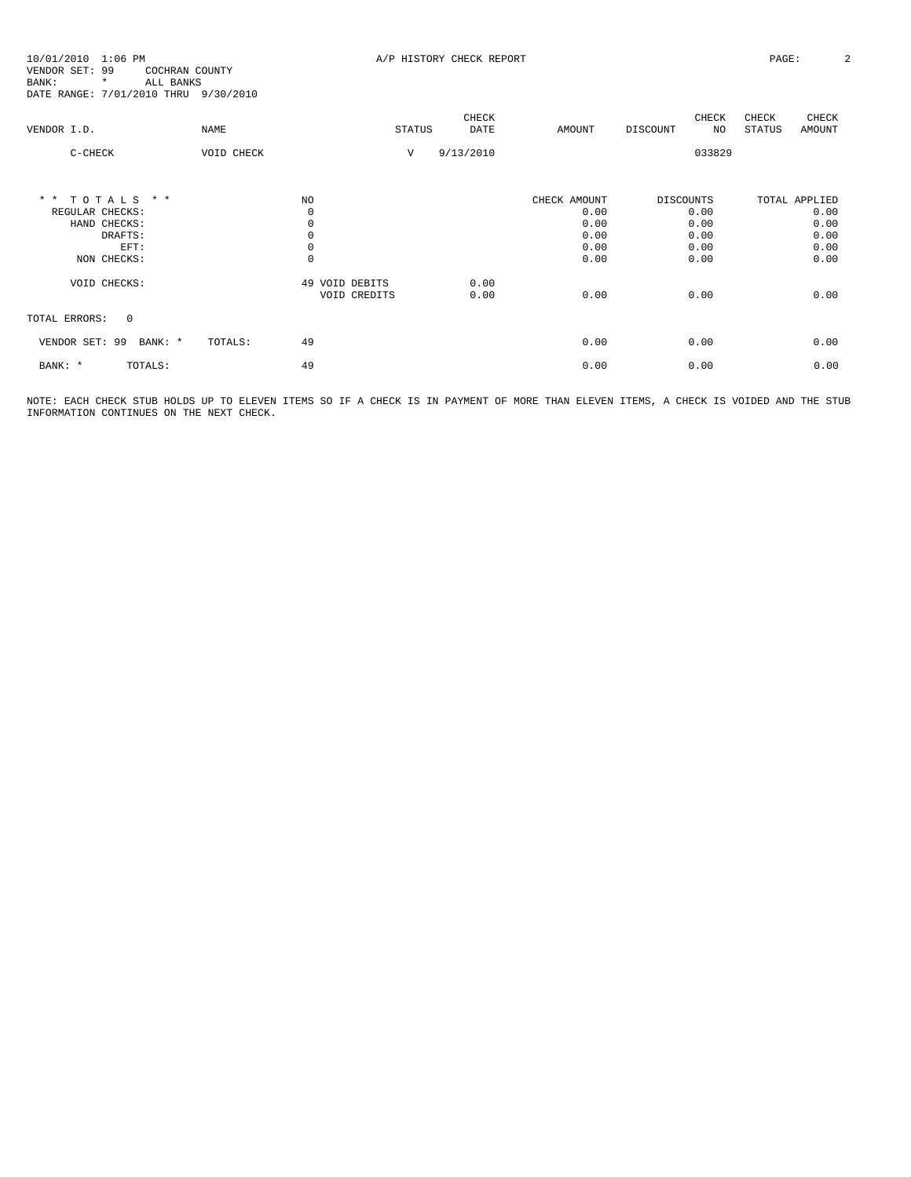10/01/2010 1:06 PM **A/P HISTORY CHECK REPORT PAGE:** 2 VENDOR SET: 99 COCHRAN COUNTY BANK: \* ALL BANKS DATE RANGE: 7/01/2010 THRU 9/30/2010

| VENDOR I.D.                          | NAME          |                                | <b>STATUS</b> | CHECK<br><b>DATE</b> | AMOUNT       | DISCOUNT         | CHECK<br>NO. | CHECK<br>STATUS | CHECK<br><b>AMOUNT</b> |
|--------------------------------------|---------------|--------------------------------|---------------|----------------------|--------------|------------------|--------------|-----------------|------------------------|
| $C-CHECK$                            | VOID CHECK    |                                | V             | 9/13/2010            |              |                  | 033829       |                 |                        |
| TOTALS<br>$\star$ $\star$<br>$*$ $*$ | NO.           |                                |               |                      | CHECK AMOUNT | <b>DISCOUNTS</b> |              |                 | TOTAL APPLIED          |
| REGULAR CHECKS:<br>HAND CHECKS:      |               | $\mathbf 0$<br>$\mathbb O$     |               |                      | 0.00<br>0.00 |                  | 0.00<br>0.00 |                 | 0.00<br>0.00           |
| DRAFTS:                              |               | $\mathbf 0$                    |               |                      | 0.00         |                  | 0.00         |                 | 0.00                   |
| EFT:                                 |               | $\mathbb O$                    |               |                      | 0.00         |                  | 0.00         |                 | 0.00                   |
| NON CHECKS:                          |               | $\mathbb O$                    |               |                      | 0.00         |                  | 0.00         |                 | 0.00                   |
| VOID CHECKS:                         |               | 49 VOID DEBITS<br>VOID CREDITS |               | 0.00<br>0.00         | 0.00         |                  | 0.00         |                 | 0.00                   |
| $\mathbf{0}$<br>TOTAL ERRORS:        |               |                                |               |                      |              |                  |              |                 |                        |
| 99<br>VENDOR SET:<br>BANK: *         | 49<br>TOTALS: |                                |               |                      | 0.00         |                  | 0.00         |                 | 0.00                   |
| BANK: *<br>TOTALS:                   | 49            |                                |               |                      | 0.00         |                  | 0.00         |                 | 0.00                   |

NOTE: EACH CHECK STUB HOLDS UP TO ELEVEN ITEMS SO IF A CHECK IS IN PAYMENT OF MORE THAN ELEVEN ITEMS, A CHECK IS VOIDED AND THE STUB INFORMATION CONTINUES ON THE NEXT CHECK.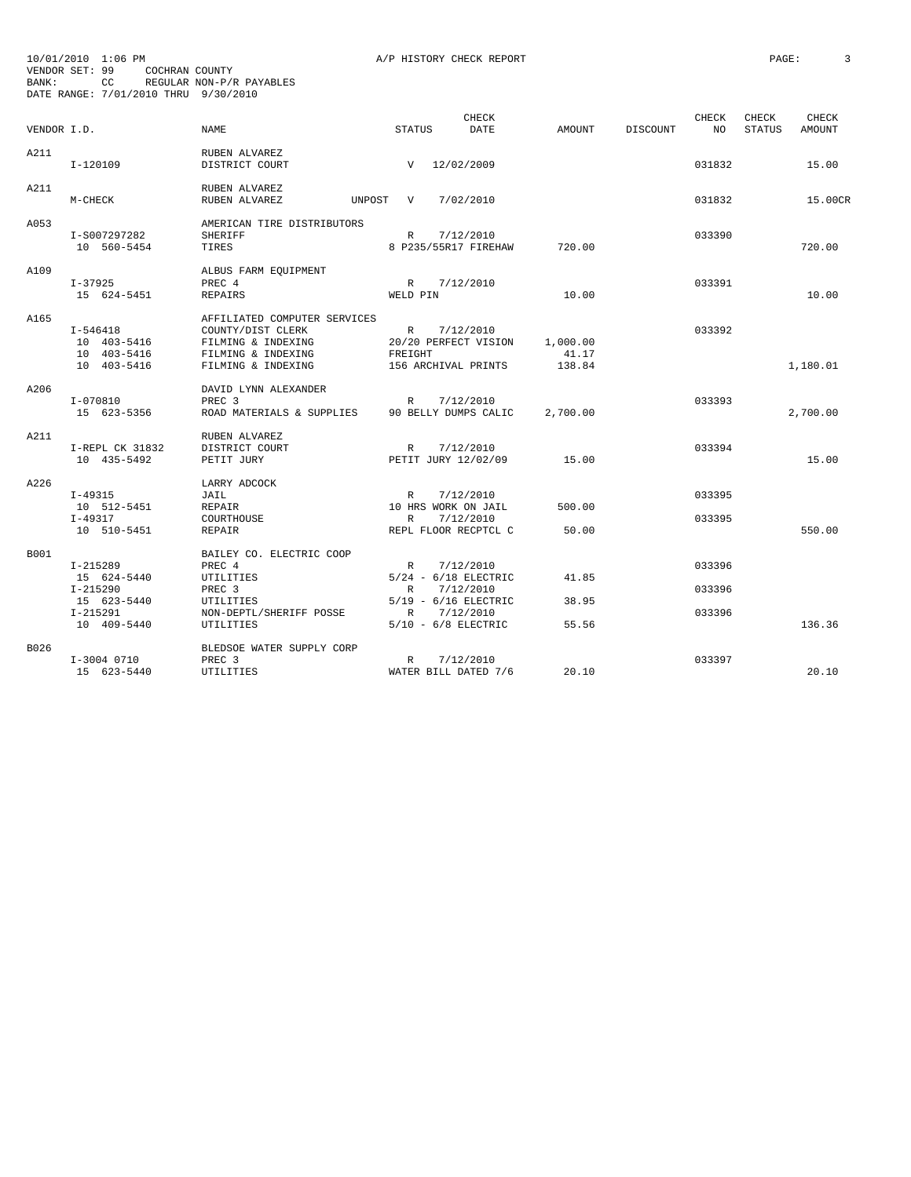| VENDOR I.D. |                                                        | <b>NAME</b>                                                                                                         | STATUS                                                                | <b>CHECK</b><br>DATE   | AMOUNT                      | DISCOUNT | CHECK<br>NO      | CHECK<br><b>STATUS</b> | <b>CHECK</b><br>AMOUNT |
|-------------|--------------------------------------------------------|---------------------------------------------------------------------------------------------------------------------|-----------------------------------------------------------------------|------------------------|-----------------------------|----------|------------------|------------------------|------------------------|
| A211        | $I-120109$                                             | RUBEN ALVAREZ<br>DISTRICT COURT                                                                                     | V 12/02/2009                                                          |                        |                             |          | 031832           |                        | 15.00                  |
| A211        | M-CHECK                                                | RUBEN ALVAREZ<br>RUBEN ALVAREZ<br>UNPOST                                                                            | V                                                                     | 7/02/2010              |                             |          | 031832           |                        | 15.00CR                |
| A053        | I-S007297282<br>10 560-5454                            | AMERICAN TIRE DISTRIBUTORS<br><b>SHERIFF</b><br>TIRES                                                               | R<br>8 P235/55R17 FIREHAW                                             | 7/12/2010              | 720.00                      |          | 033390           |                        | 720.00                 |
| A109        | $I - 37925$<br>15 624-5451                             | ALBUS FARM EQUIPMENT<br>PREC 4<br><b>REPAIRS</b>                                                                    | R 7/12/2010<br>WELD PIN                                               |                        | 10.00                       |          | 033391           |                        | 10.00                  |
| A165        | I-546418<br>10 403-5416<br>10 403-5416<br>10 403-5416  | AFFILIATED COMPUTER SERVICES<br>COUNTY/DIST CLERK<br>FILMING & INDEXING<br>FILMING & INDEXING<br>FILMING & INDEXING | R 7/12/2010<br>20/20 PERFECT VISION<br>FREIGHT<br>156 ARCHIVAL PRINTS |                        | 1,000.00<br>41.17<br>138.84 |          | 033392           |                        | 1,180.01               |
| A206        | I-070810<br>15 623-5356                                | DAVID LYNN ALEXANDER<br>PREC <sub>3</sub><br>ROAD MATERIALS & SUPPLIES                                              | R<br>90 BELLY DUMPS CALIC                                             | 7/12/2010              | 2,700.00                    |          | 033393           |                        | 2,700.00               |
| A211        | I-REPL CK 31832<br>10 435-5492                         | RUBEN ALVAREZ<br>DISTRICT COURT<br>PETIT JURY                                                                       | R<br>PETIT JURY 12/02/09                                              | 7/12/2010              | 15.00                       |          | 033394           |                        | 15.00                  |
| A226        | I-49315<br>10 512-5451<br>$I-49317$<br>10 510-5451     | LARRY ADCOCK<br>JAIL<br>REPAIR<br>COURTHOUSE<br>REPAIR                                                              | R<br>10 HRS WORK ON JAIL<br>$\mathbb{R}$<br>REPL FLOOR RECPTCL C      | 7/12/2010<br>7/12/2010 | 500.00<br>50.00             |          | 033395<br>033395 |                        | 550.00                 |
| B001        | $I-215289$<br>15 624-5440                              | BAILEY CO. ELECTRIC COOP<br>PREC 4<br>UTILITIES                                                                     | R<br>$5/24 - 6/18$ ELECTRIC                                           | 7/12/2010              | 41.85                       |          | 033396           |                        |                        |
|             | $I - 215290$<br>15 623-5440<br>I-215291<br>10 409-5440 | PREC <sub>3</sub><br>UTILITIES<br>NON-DEPTL/SHERIFF POSSE<br>UTILITIES                                              | R<br>$5/19$ - $6/16$ ELECTRIC<br>R<br>$5/10 - 6/8$ ELECTRIC           | 7/12/2010<br>7/12/2010 | 38.95<br>55.56              |          | 033396<br>033396 |                        | 136.36                 |
| B026        | I-3004 0710<br>15 623-5440                             | BLEDSOE WATER SUPPLY CORP<br>PREC <sub>3</sub><br>UTILITIES                                                         | R<br>WATER BILL DATED 7/6                                             | 7/12/2010              | 20.10                       |          | 033397           |                        | 20.10                  |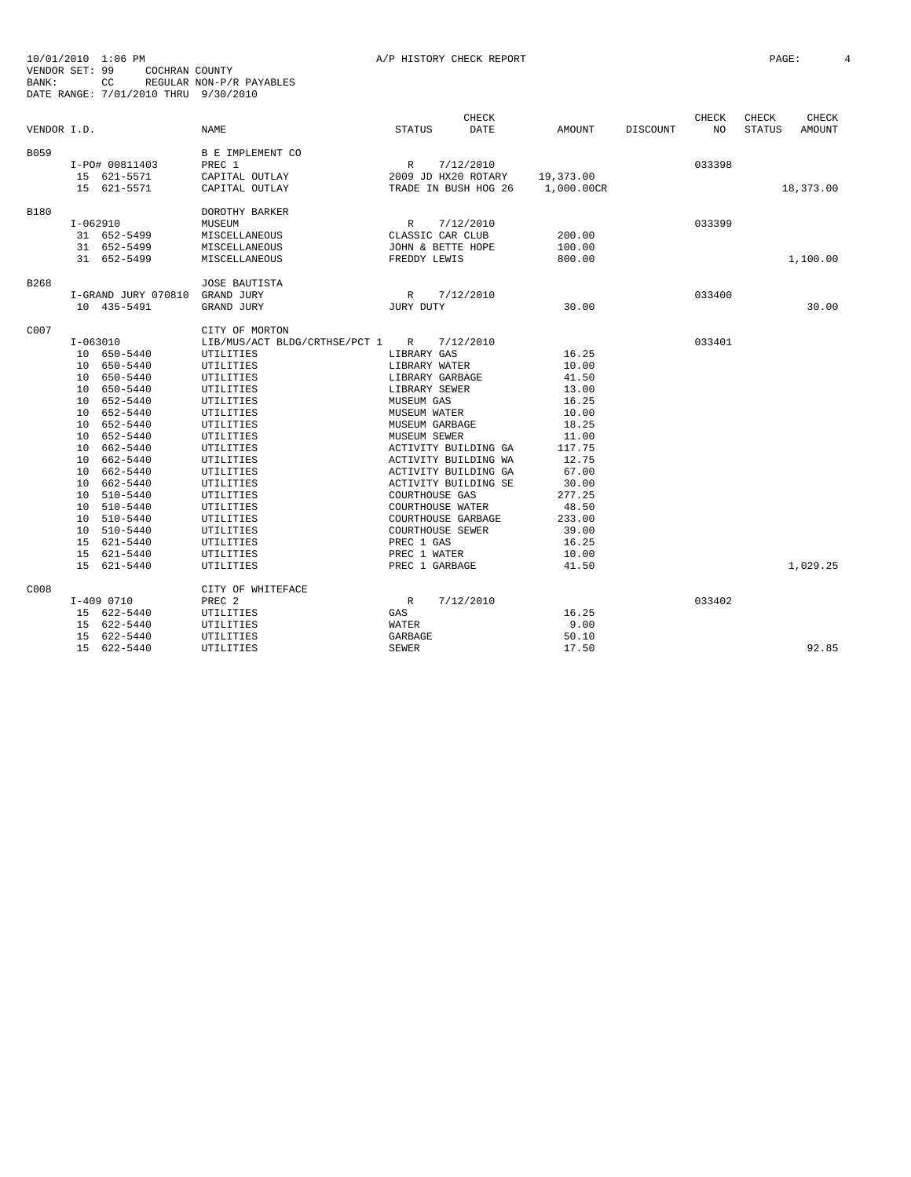|  | STORY CHECK REPORT |  |
|--|--------------------|--|
|  |                    |  |

| 10/01/2010  |                | 1:06 PM                              |                                 |                       | A/P HISTORY CHECK REPORT |                |          |        | PAGE:  |              |  |
|-------------|----------------|--------------------------------------|---------------------------------|-----------------------|--------------------------|----------------|----------|--------|--------|--------------|--|
|             | VENDOR SET: 99 | COCHRAN COUNTY                       |                                 |                       |                          |                |          |        |        |              |  |
| BANK:       |                | CC.                                  | REGULAR NON-P/R PAYABLES        |                       |                          |                |          |        |        |              |  |
|             |                | DATE RANGE: 7/01/2010 THRU 9/30/2010 |                                 |                       |                          |                |          |        |        |              |  |
|             |                |                                      |                                 |                       |                          |                |          |        |        |              |  |
|             |                |                                      |                                 |                       | CHECK                    |                |          | CHECK  | CHECK  | <b>CHECK</b> |  |
| VENDOR I.D. |                |                                      | <b>NAME</b>                     | STATUS                | DATE                     | AMOUNT         | DISCOUNT | NO.    | STATUS | AMOUNT       |  |
|             |                |                                      |                                 |                       |                          |                |          |        |        |              |  |
| B059        |                |                                      | B E IMPLEMENT CO                |                       |                          |                |          |        |        |              |  |
|             |                | I-PO# 00811403                       | PREC 1                          | R                     | 7/12/2010                |                |          | 033398 |        |              |  |
|             |                | 15 621-5571                          | CAPITAL OUTLAY                  |                       | 2009 JD HX20 ROTARY      | 19,373.00      |          |        |        |              |  |
|             |                | 15 621-5571                          | CAPITAL OUTLAY                  |                       | TRADE IN BUSH HOG 26     | 1,000.00CR     |          |        |        | 18,373.00    |  |
| <b>B180</b> |                |                                      |                                 |                       |                          |                |          |        |        |              |  |
|             |                |                                      | DOROTHY BARKER                  |                       |                          |                |          | 033399 |        |              |  |
|             | $I-062910$     |                                      | MUSEUM                          | $\mathbb{R}$          | 7/12/2010                |                |          |        |        |              |  |
|             |                | 31 652-5499                          | MISCELLANEOUS                   |                       | CLASSIC CAR CLUB         | 200.00         |          |        |        |              |  |
|             |                | 31 652-5499                          | MISCELLANEOUS                   |                       | JOHN & BETTE HOPE        | 100.00         |          |        |        |              |  |
|             |                | 31 652-5499                          | MISCELLANEOUS                   | FREDDY LEWIS          |                          | 800.00         |          |        |        | 1,100.00     |  |
| B268        |                |                                      | <b>JOSE BAUTISTA</b>            |                       |                          |                |          |        |        |              |  |
|             |                | I-GRAND JURY 070810                  | GRAND JURY                      |                       | 7/12/2010                |                |          | 033400 |        |              |  |
|             |                | 10 435-5491                          |                                 | R<br>JURY DUTY        |                          | 30.00          |          |        |        | 30.00        |  |
|             |                |                                      | GRAND JURY                      |                       |                          |                |          |        |        |              |  |
| C007        |                |                                      | CITY OF MORTON                  |                       |                          |                |          |        |        |              |  |
|             | $I-063010$     |                                      | LIB/MUS/ACT BLDG/CRTHSE/PCT 1 R |                       | 7/12/2010                |                |          | 033401 |        |              |  |
|             |                | 10 650-5440                          | UTILITIES                       | LIBRARY GAS           |                          | 16.25          |          |        |        |              |  |
|             |                | 10 650-5440                          | UTILITIES                       | LIBRARY WATER         |                          | 10.00          |          |        |        |              |  |
|             |                | 10 650-5440                          | UTILITIES                       |                       | LIBRARY GARBAGE          | 41.50          |          |        |        |              |  |
|             |                | 10 650-5440                          | UTILITIES                       | LIBRARY SEWER         |                          | 13.00          |          |        |        |              |  |
|             |                | 10 652-5440                          | UTILITIES                       | MUSEUM GAS            |                          | 16.25          |          |        |        |              |  |
|             |                | 10 652-5440                          | UTILITIES                       | MUSEUM WATER          |                          | 10.00          |          |        |        |              |  |
|             |                | 10 652-5440                          |                                 |                       |                          | 18.25          |          |        |        |              |  |
|             |                |                                      | UTILITIES                       | MUSEUM GARBAGE        |                          | 11.00          |          |        |        |              |  |
|             |                | 10 652-5440                          | UTILITIES                       | MUSEUM SEWER          |                          |                |          |        |        |              |  |
|             |                | 10 662-5440                          | UTILITIES                       |                       | ACTIVITY BUILDING GA     | 117.75         |          |        |        |              |  |
|             |                | 10 662-5440                          | UTILITIES                       |                       | ACTIVITY BUILDING WA     | 12.75          |          |        |        |              |  |
|             |                | 10 662-5440<br>10 662-5440           | UTILITIES                       |                       | ACTIVITY BUILDING GA     | 67.00<br>30.00 |          |        |        |              |  |
|             |                |                                      | UTILITIES                       |                       | ACTIVITY BUILDING SE     |                |          |        |        |              |  |
|             |                | 10 510-5440                          | UTILITIES                       | <b>COURTHOUSE GAS</b> |                          | 277.25         |          |        |        |              |  |
|             |                | 10 510-5440                          | UTILITIES                       |                       | COURTHOUSE WATER         | 48.50          |          |        |        |              |  |
|             |                | 10 510-5440                          | UTILITIES                       |                       | COURTHOUSE GARBAGE       | 233.00         |          |        |        |              |  |
|             |                | 10 510-5440                          | UTILITIES                       |                       | COURTHOUSE SEWER         | 39.00          |          |        |        |              |  |
|             |                | 15 621-5440                          | UTILITIES                       | PREC 1 GAS            |                          | 16.25          |          |        |        |              |  |
|             |                | 15 621-5440                          | UTILITIES                       | PREC 1 WATER          |                          | 10.00          |          |        |        |              |  |
|             |                | 15 621-5440                          | UTILITIES                       | PREC 1 GARBAGE        |                          | 41.50          |          |        |        | 1,029.25     |  |
|             |                |                                      |                                 |                       |                          |                |          |        |        |              |  |
| C008        |                |                                      | CITY OF WHITEFACE               |                       |                          |                |          |        |        |              |  |
|             | $I-409$ 0710   |                                      | PREC <sub>2</sub>               | $\mathbb{R}$          | 7/12/2010                |                |          | 033402 |        |              |  |
|             |                | 15 622-5440                          | UTILITIES                       | GAS                   |                          | 16.25          |          |        |        |              |  |
|             |                | 15 622-5440                          | UTILITIES                       | WATER                 |                          | 9.00           |          |        |        |              |  |
|             |                | 15 622-5440                          | UTILITIES                       | GARBAGE               |                          | 50.10          |          |        |        |              |  |
|             |                | 15 622-5440                          | UTILITIES                       | <b>SEWER</b>          |                          | 17.50          |          |        |        | 92.85        |  |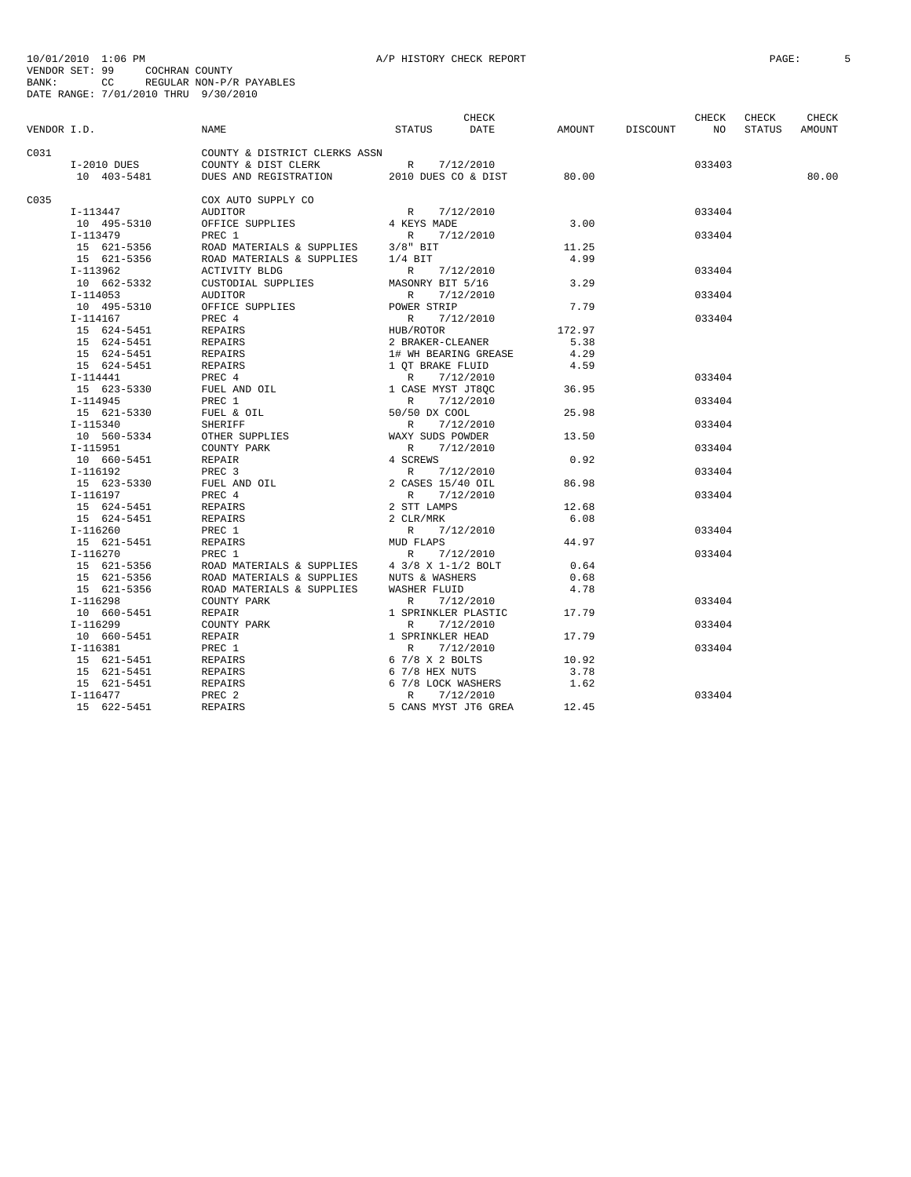|             |               |                                           |                                                                                    | CHECK                |        |          | CHECK<br>CHECK<br>CHECK |        |        |  |
|-------------|---------------|-------------------------------------------|------------------------------------------------------------------------------------|----------------------|--------|----------|-------------------------|--------|--------|--|
| VENDOR I.D. |               | NAME                                      | STATUS                                                                             | DATE                 | AMOUNT | DISCOUNT | NO                      | STATUS | AMOUNT |  |
| C031        |               | COUNTY & DISTRICT CLERKS ASSN             |                                                                                    |                      |        |          |                         |        |        |  |
|             | $I-2010$ DUES | COUNTY & DIST CLERK R 7/12/2010           |                                                                                    |                      |        |          | 033403                  |        |        |  |
|             | 10 403-5481   | DUES AND REGISTRATION 2010 DUES CO & DIST |                                                                                    |                      | 80.00  |          |                         |        | 80.00  |  |
| C.0.35      |               | COX AUTO SUPPLY CO                        |                                                                                    |                      |        |          |                         |        |        |  |
|             | I-113447      | <b>AUDITOR</b>                            | R                                                                                  | 7/12/2010            |        |          | 033404                  |        |        |  |
|             | 10 495-5310   | OFFICE SUPPLIES                           | 4 KEYS MADE                                                                        |                      | 3.00   |          |                         |        |        |  |
|             | I-113479      | PREC 1                                    | R                                                                                  | 7/12/2010            |        |          | 033404                  |        |        |  |
|             | 15 621-5356   | ROAD MATERIALS & SUPPLIES                 | $3/8"$ BIT                                                                         |                      | 11.25  |          |                         |        |        |  |
|             | 15 621-5356   | ROAD MATERIALS & SUPPLIES                 | $1/4$ BIT                                                                          |                      | 4.99   |          |                         |        |        |  |
|             | I-113962      | ACTIVITY BLDG                             | R                                                                                  | 7/12/2010            |        |          | 033404                  |        |        |  |
|             | 10 662-5332   | CUSTODIAL SUPPLIES                        | MASONRY BIT 5/16                                                                   |                      | 3.29   |          |                         |        |        |  |
|             | $I-114053$    | AUDITOR                                   | R                                                                                  | 7/12/2010            |        |          | 033404                  |        |        |  |
|             | 10 495-5310   | OFFICE SUPPLIES                           | POWER STRIP                                                                        |                      | 7.79   |          |                         |        |        |  |
|             | $I-114167$    | PREC 4                                    | R                                                                                  | 7/12/2010            |        |          | 033404                  |        |        |  |
|             | 15 624-5451   | REPAIRS                                   | HUB/ROTOR<br>2 BRAKER-CLEANER                                                      |                      | 172.97 |          |                         |        |        |  |
|             | 15 624-5451   | REPAIRS                                   |                                                                                    |                      | 5.38   |          |                         |        |        |  |
|             | 15 624-5451   | REPAIRS                                   | 1# WH BEARING GREASE                                                               |                      | 4.29   |          |                         |        |        |  |
|             | 15 624-5451   | REPAIRS                                   | 1 QT BRAKE FLUID                                                                   |                      | 4.59   |          |                         |        |        |  |
|             | I-114441      | PREC 4                                    | R                                                                                  | 7/12/2010            |        |          | 033404                  |        |        |  |
|             | 15 623-5330   | FUEL AND OIL                              | 1 CASE MYST JT8QC                                                                  |                      | 36.95  |          |                         |        |        |  |
|             | $I-114945$    | PREC 1                                    | $\mathbb{R}$                                                                       | 7/12/2010            |        |          | 033404                  |        |        |  |
|             | 15 621-5330   | FUEL & OIL                                | 50/50 DX COOL                                                                      |                      | 25.98  |          |                         |        |        |  |
|             | $I-115340$    | SHERIFF                                   | $\mathbb{R}$                                                                       | 7/12/2010            |        |          | 033404                  |        |        |  |
|             | 10 560-5334   | OTHER SUPPLIES                            | WAXY SUDS POWDER                                                                   |                      | 13.50  |          |                         |        |        |  |
|             | $I-115951$    | COUNTY PARK                               | R                                                                                  | 7/12/2010            |        |          | 033404                  |        |        |  |
|             | 10 660-5451   | REPAIR                                    | 4 SCREWS                                                                           |                      | 0.92   |          |                         |        |        |  |
|             | $I-116192$    | PREC 3                                    | $\begin{array}{cc}\n4 & \text{SCh} \\  & \text{R} \\  & 2 & \text{C}\n\end{array}$ | 7/12/2010            |        |          | 033404                  |        |        |  |
|             | 15 623-5330   | FUEL AND OIL                              | 2 CASES 15/40 OIL                                                                  |                      | 86.98  |          |                         |        |        |  |
|             | I-116197      | PREC 4                                    | R                                                                                  | 7/12/2010            |        |          | 033404                  |        |        |  |
|             | 15 624-5451   | REPAIRS                                   | 2 STT LAMPS                                                                        |                      | 12.68  |          |                         |        |        |  |
|             | 15 624-5451   | REPAIRS                                   | 2 CLR/MRK                                                                          |                      | 6.08   |          |                         |        |        |  |
|             | $I-116260$    | PREC 1                                    | $\mathbb{R}$                                                                       | 7/12/2010            |        |          | 033404                  |        |        |  |
|             | 15 621-5451   | REPAIRS                                   | MUD FLAPS                                                                          |                      | 44.97  |          |                         |        |        |  |
|             | $I-116270$    | PREC 1                                    | R                                                                                  | 7/12/2010            |        |          | 033404                  |        |        |  |
|             | 15 621-5356   | ROAD MATERIALS & SUPPLIES                 | 4 3/8 X 1-1/2 BOLT                                                                 |                      | 0.64   |          |                         |        |        |  |
|             | 15 621-5356   | ROAD MATERIALS & SUPPLIES                 | NUTS & WASHERS                                                                     |                      | 0.68   |          |                         |        |        |  |
|             | 15 621-5356   | ROAD MATERIALS & SUPPLIES                 | <b>WASHER FLUID</b>                                                                |                      | 4.78   |          |                         |        |        |  |
|             | I-116298      | COUNTY PARK                               | $\mathbb{R}$                                                                       | 7/12/2010            |        |          | 033404                  |        |        |  |
|             | 10 660-5451   | <b>REPAIR</b>                             | 1 SPRINKLER PLASTIC                                                                |                      | 17.79  |          |                         |        |        |  |
|             | $I-116299$    | COUNTY PARK                               | $\mathbb{R}$                                                                       | 7/12/2010            |        |          | 033404                  |        |        |  |
|             | 10 660-5451   | REPAIR                                    | 1 SPRINKLER HEAD                                                                   |                      | 17.79  |          |                         |        |        |  |
|             | $I-116381$    | PREC 1                                    | $\mathbb{R}$                                                                       | 7/12/2010            |        |          | 033404                  |        |        |  |
|             | 15 621-5451   | REPAIRS                                   | 6 7/8 X 2 BOLTS                                                                    |                      | 10.92  |          |                         |        |        |  |
|             | 15 621-5451   | REPAIRS                                   | 6 7/8 HEX NUTS                                                                     |                      | 3.78   |          |                         |        |        |  |
|             | 15 621-5451   | REPAIRS                                   | 6 7/8 LOCK WASHERS                                                                 |                      | 1.62   |          |                         |        |        |  |
|             | $I-116477$    | PREC <sub>2</sub>                         | $\mathbb{R}$                                                                       | 7/12/2010            |        |          | 033404                  |        |        |  |
|             | 15 622-5451   | REPAIRS                                   |                                                                                    | 5 CANS MYST JT6 GREA | 12.45  |          |                         |        |        |  |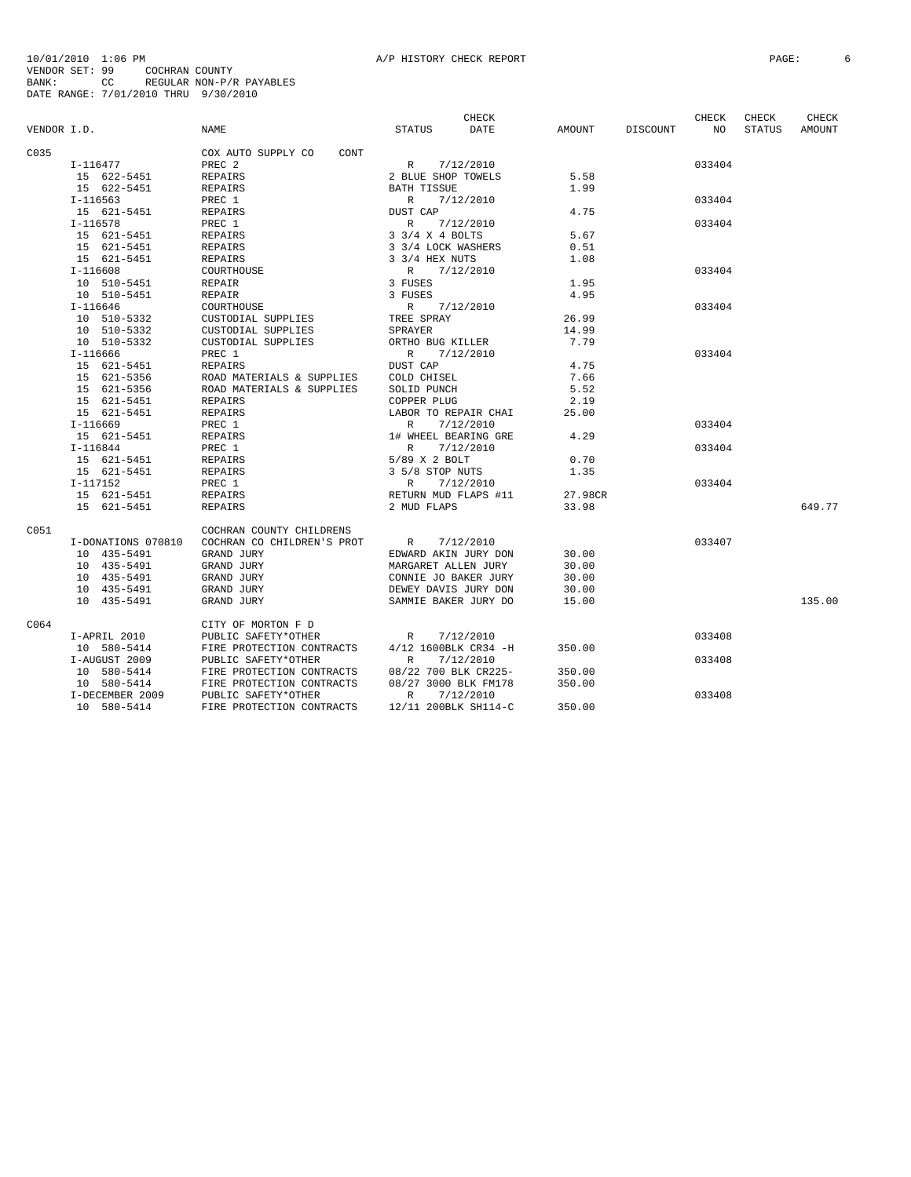|             |                    |                            | CHECK                        |               |          | CHECK  | CHECK         | CHECK  |
|-------------|--------------------|----------------------------|------------------------------|---------------|----------|--------|---------------|--------|
| VENDOR I.D. |                    | <b>NAME</b>                | <b>DATE</b><br><b>STATUS</b> | <b>AMOUNT</b> | DISCOUNT | NO     | <b>STATUS</b> | AMOUNT |
| C035        |                    | COX AUTO SUPPLY CO<br>CONT |                              |               |          |        |               |        |
|             | I-116477           | PREC <sub>2</sub>          | $\mathbb{R}$<br>7/12/2010    |               |          | 033404 |               |        |
|             | 15 622-5451        | <b>REPAIRS</b>             | 2 BLUE SHOP TOWELS           | 5.58          |          |        |               |        |
|             | 15 622-5451        | <b>REPAIRS</b>             | <b>BATH TISSUE</b>           | 1.99          |          |        |               |        |
|             | $I-116563$         | PREC 1                     | R<br>7/12/2010               |               |          | 033404 |               |        |
|             | 15 621-5451        | <b>REPAIRS</b>             | DUST CAP                     | 4.75          |          |        |               |        |
|             | $I-116578$         | PREC 1                     | $\mathbb{R}$<br>7/12/2010    |               |          | 033404 |               |        |
|             | 15 621-5451        | REPAIRS                    | 3 3/4 X 4 BOLTS              | 5.67          |          |        |               |        |
|             | 15 621-5451        | REPAIRS                    | 3 3/4 LOCK WASHERS           | 0.51          |          |        |               |        |
|             | 15 621-5451        | REPAIRS                    | 3 3/4 HEX NUTS               | 1.08          |          |        |               |        |
|             |                    |                            | R                            |               |          | 033404 |               |        |
|             | $I-116608$         | COURTHOUSE                 | 7/12/2010                    |               |          |        |               |        |
|             | 10 510-5451        | <b>REPAIR</b>              | 3 FUSES                      | 1.95          |          |        |               |        |
|             | 10 510-5451        | <b>REPAIR</b>              | 3 FUSES                      | 4.95          |          |        |               |        |
|             | $I-116646$         | COURTHOUSE                 | R 7/12/2010                  |               |          | 033404 |               |        |
|             | 10 510-5332        | CUSTODIAL SUPPLIES         | TREE SPRAY                   | 26.99         |          |        |               |        |
|             | 10 510-5332        | CUSTODIAL SUPPLIES         | SPRAYER                      | 14.99         |          |        |               |        |
|             | 10 510-5332        | CUSTODIAL SUPPLIES         | ORTHO BUG KILLER             | 7.79          |          |        |               |        |
|             | $I-116666$         | PREC 1                     | R<br>7/12/2010               |               |          | 033404 |               |        |
|             | 15 621-5451        | <b>REPAIRS</b>             | DUST CAP                     | 4.75          |          |        |               |        |
|             | 15 621-5356        | ROAD MATERIALS & SUPPLIES  | COLD CHISEL                  | 7.66          |          |        |               |        |
|             | 15 621-5356        | ROAD MATERIALS & SUPPLIES  | SOLID PUNCH                  | 5.52          |          |        |               |        |
|             | 15 621-5451        | <b>REPAIRS</b>             | COPPER PLUG                  | 2.19          |          |        |               |        |
|             | 15 621-5451        | REPAIRS                    | LABOR TO REPAIR CHAI         | 25.00         |          |        |               |        |
|             | $I-116669$         | PREC 1                     | $\mathbb{R}$<br>7/12/2010    |               |          | 033404 |               |        |
|             | 15 621-5451        | REPAIRS                    | 1# WHEEL BEARING GRE         | 4.29          |          |        |               |        |
|             | $I-116844$         | PREC 1                     | $\mathbb{R}$<br>7/12/2010    |               |          | 033404 |               |        |
|             | 15 621-5451        | REPAIRS                    | 5/89 X 2 BOLT                | 0.70          |          |        |               |        |
|             | 15 621-5451        | <b>REPAIRS</b>             | 3 5/8 STOP NUTS              | 1.35          |          |        |               |        |
|             | I-117152           | PREC 1                     | R<br>7/12/2010               |               |          | 033404 |               |        |
|             | 15 621-5451        | <b>REPAIRS</b>             | RETURN MUD FLAPS #11         | 27.98CR       |          |        |               |        |
|             | 15 621-5451        | <b>REPAIRS</b>             | 2 MUD FLAPS                  | 33.98         |          |        |               | 649.77 |
|             |                    |                            |                              |               |          |        |               |        |
| C051        |                    | COCHRAN COUNTY CHILDRENS   |                              |               |          |        |               |        |
|             | I-DONATIONS 070810 | COCHRAN CO CHILDREN'S PROT | 7/12/2010<br>$\mathbb R$     |               |          | 033407 |               |        |
|             | 10 435-5491        | GRAND JURY                 | EDWARD AKIN JURY DON         | 30.00         |          |        |               |        |
|             | 10 435-5491        | GRAND JURY                 | MARGARET ALLEN JURY          | 30.00         |          |        |               |        |
|             | 10 435-5491        | GRAND JURY                 | CONNIE JO BAKER JURY         | 30.00         |          |        |               |        |
|             | 10 435-5491        | GRAND JURY                 | DEWEY DAVIS JURY DON         | 30.00         |          |        |               |        |
|             | 10 435-5491        | GRAND JURY                 | SAMMIE BAKER JURY DO         | 15.00         |          |        |               | 135.00 |
| C064        |                    | CITY OF MORTON F D         |                              |               |          |        |               |        |
|             | I-APRIL 2010       | PUBLIC SAFETY*OTHER        | 7/12/2010<br>R               |               |          | 033408 |               |        |
|             | 10 580-5414        | FIRE PROTECTION CONTRACTS  | 4/12 1600BLK CR34 -H         | 350.00        |          |        |               |        |
|             | I-AUGUST 2009      | PUBLIC SAFETY*OTHER        | $\mathbb{R}$<br>7/12/2010    |               |          | 033408 |               |        |
|             | 10 580-5414        | FIRE PROTECTION CONTRACTS  | 08/22 700 BLK CR225-         | 350.00        |          |        |               |        |
|             | 10 580-5414        | FIRE PROTECTION CONTRACTS  | 08/27 3000 BLK FM178         | 350.00        |          |        |               |        |
|             | I-DECEMBER 2009    | PUBLIC SAFETY*OTHER        | $\mathbb R$<br>7/12/2010     |               |          | 033408 |               |        |
|             | 10 580-5414        | FIRE PROTECTION CONTRACTS  | 12/11 200BLK SH114-C         | 350.00        |          |        |               |        |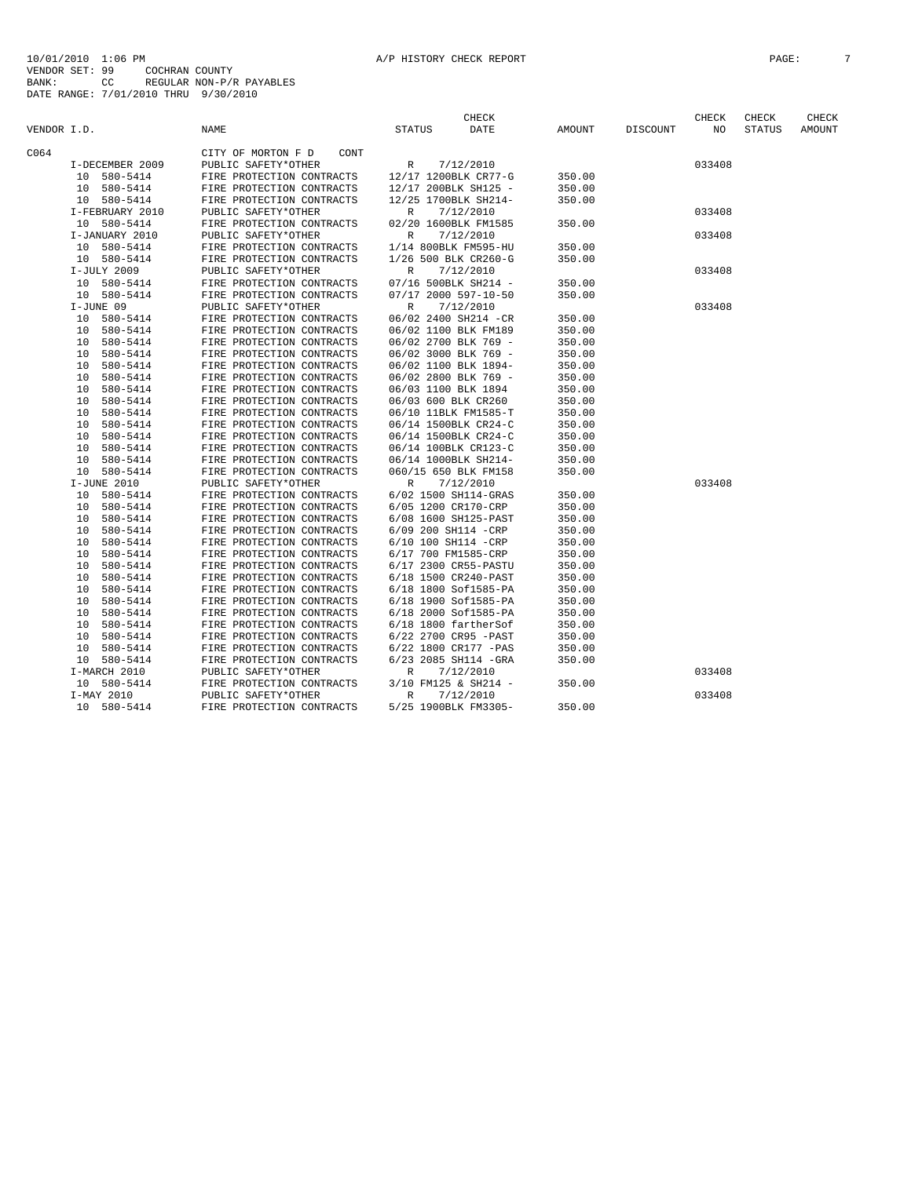|             |                            |                                                        | CHECK                                        |                  |          | CHECK  | CHECK         | CHECK  |
|-------------|----------------------------|--------------------------------------------------------|----------------------------------------------|------------------|----------|--------|---------------|--------|
| VENDOR I.D. |                            | NAME                                                   | <b>DATE</b><br><b>STATUS</b>                 | AMOUNT           | DISCOUNT | NO     | <b>STATUS</b> | AMOUNT |
| C064        |                            | CITY OF MORTON F D<br>CONT                             |                                              |                  |          |        |               |        |
|             | I-DECEMBER 2009            | PUBLIC SAFETY*OTHER                                    | 7/12/2010<br>R                               |                  |          | 033408 |               |        |
|             | 10 580-5414                | FIRE PROTECTION CONTRACTS                              | 12/17 1200BLK CR77-G                         | 350.00           |          |        |               |        |
|             | 10 580-5414                | FIRE PROTECTION CONTRACTS                              | 12/17 200BLK SH125 -                         | 350.00           |          |        |               |        |
|             | 10 580-5414                | FIRE PROTECTION CONTRACTS                              | 12/25 1700BLK SH214-                         | 350.00           |          |        |               |        |
|             | I-FEBRUARY 2010            | PUBLIC SAFETY*OTHER                                    | 7/12/2010<br>R                               |                  |          | 033408 |               |        |
|             | 10 580-5414                | FIRE PROTECTION CONTRACTS                              | 02/20 1600BLK FM1585                         | 350.00           |          |        |               |        |
|             | I-JANUARY 2010             | PUBLIC SAFETY*OTHER                                    | $\mathbb R$<br>7/12/2010                     |                  |          | 033408 |               |        |
|             | 10 580-5414                | FIRE PROTECTION CONTRACTS                              | 1/14 800BLK FM595-HU                         | 350.00           |          |        |               |        |
|             | 10 580-5414                | FIRE PROTECTION CONTRACTS                              | 1/26 500 BLK CR260-G                         | 350.00           |          |        |               |        |
|             | I-JULY 2009                | PUBLIC SAFETY*OTHER                                    | R<br>7/12/2010                               |                  |          | 033408 |               |        |
|             | 10 580-5414                | FIRE PROTECTION CONTRACTS                              | 07/16 500BLK SH214 -                         | 350.00           |          |        |               |        |
|             | 10 580-5414                | FIRE PROTECTION CONTRACTS                              | 07/17 2000 597-10-50                         | 350.00           |          |        |               |        |
|             | I-JUNE 09                  | PUBLIC SAFETY*OTHER                                    | 7/12/2010<br>$\mathbb{R}$                    |                  |          | 033408 |               |        |
|             | 10 580-5414                | FIRE PROTECTION CONTRACTS                              | 06/02 2400 SH214 -CR                         | 350.00           |          |        |               |        |
|             | 10 580-5414                | FIRE PROTECTION CONTRACTS                              | 06/02 1100 BLK FM189                         | 350.00           |          |        |               |        |
|             | 580-5414<br>10             | FIRE PROTECTION CONTRACTS                              | 06/02 2700 BLK 769 -                         | 350.00           |          |        |               |        |
|             | 10 580-5414                | FIRE PROTECTION CONTRACTS                              | 06/02 3000 BLK 769 -                         | 350.00           |          |        |               |        |
|             | 580-5414<br>10             | FIRE PROTECTION CONTRACTS                              | 06/02 1100 BLK 1894-                         | 350.00           |          |        |               |        |
|             | 10 580-5414                | FIRE PROTECTION CONTRACTS                              | 06/02 2800 BLK 769 -                         | 350.00           |          |        |               |        |
|             | 10 580-5414                | FIRE PROTECTION CONTRACTS                              | 06/03 1100 BLK 1894                          | 350.00           |          |        |               |        |
|             | 10 580-5414                | FIRE PROTECTION CONTRACTS                              | 06/03 600 BLK CR260                          | 350.00           |          |        |               |        |
|             | 10 580-5414                | FIRE PROTECTION CONTRACTS                              | 06/10 11BLK FM1585-T                         | 350.00           |          |        |               |        |
|             | 10 580-5414                | FIRE PROTECTION CONTRACTS                              | 06/14 1500BLK CR24-C                         | 350.00           |          |        |               |        |
|             | 10 580-5414                | FIRE PROTECTION CONTRACTS                              | 06/14 1500BLK CR24-C                         | 350.00           |          |        |               |        |
|             | 10 580-5414                | FIRE PROTECTION CONTRACTS                              | 06/14 100BLK CR123-C                         | 350.00           |          |        |               |        |
|             | 10 580-5414                | FIRE PROTECTION CONTRACTS                              | 06/14 1000BLK SH214-                         | 350.00           |          |        |               |        |
|             | 10 580-5414                | FIRE PROTECTION CONTRACTS                              | 060/15 650 BLK FM158                         | 350.00           |          |        |               |        |
|             | I-JUNE 2010                | PUBLIC SAFETY*OTHER                                    | 7/12/2010<br>R                               |                  |          | 033408 |               |        |
|             | 10 580-5414                | FIRE PROTECTION CONTRACTS                              | 6/02 1500 SH114-GRAS                         | 350.00           |          |        |               |        |
|             | 10 580-5414                | FIRE PROTECTION CONTRACTS                              | 6/05 1200 CR170-CRP                          | 350.00           |          |        |               |        |
|             | 10 580-5414                | FIRE PROTECTION CONTRACTS                              | 6/08 1600 SH125-PAST                         | 350.00           |          |        |               |        |
|             | 10 580-5414                | FIRE PROTECTION CONTRACTS                              | 6/09 200 SH114 -CRP                          | 350.00           |          |        |               |        |
|             | 10<br>580-5414             | FIRE PROTECTION CONTRACTS                              | 6/10 100 SH114 -CRP                          | 350.00           |          |        |               |        |
|             | 580-5414<br>10             | FIRE PROTECTION CONTRACTS                              | 6/17 700 FM1585-CRP                          | 350.00           |          |        |               |        |
|             | 10<br>580-5414             | FIRE PROTECTION CONTRACTS                              | 6/17 2300 CR55-PASTU                         | 350.00           |          |        |               |        |
|             | 580-5414<br>10             | FIRE PROTECTION CONTRACTS                              | 6/18 1500 CR240-PAST                         | 350.00           |          |        |               |        |
|             | 580-5414<br>10             | FIRE PROTECTION CONTRACTS                              | 6/18 1800 Sof1585-PA                         | 350.00           |          |        |               |        |
|             | 10<br>580-5414             | FIRE PROTECTION CONTRACTS                              | 6/18 1900 Sof1585-PA                         | 350.00           |          |        |               |        |
|             | 580-5414<br>10             | FIRE PROTECTION CONTRACTS                              | 6/18 2000 Sof1585-PA                         |                  |          |        |               |        |
|             | 10 580-5414                | FIRE PROTECTION CONTRACTS                              | $6/18$ 1800 fartherSof                       | 350.00<br>350.00 |          |        |               |        |
|             |                            |                                                        |                                              |                  |          |        |               |        |
|             | 10 580-5414<br>10 580-5414 | FIRE PROTECTION CONTRACTS<br>FIRE PROTECTION CONTRACTS | 6/22 2700 CR95 -PAST<br>6/22 1800 CR177 -PAS | 350.00<br>350.00 |          |        |               |        |
|             | 10 580-5414                | FIRE PROTECTION CONTRACTS                              | 6/23 2085 SH114 - GRA                        | 350.00           |          |        |               |        |
|             |                            |                                                        |                                              |                  |          | 033408 |               |        |
|             | I-MARCH 2010               | PUBLIC SAFETY*OTHER                                    | 7/12/2010<br>R                               |                  |          |        |               |        |
|             | 10 580-5414                | FIRE PROTECTION CONTRACTS                              | 3/10 FM125 & SH214 -                         | 350.00           |          |        |               |        |
|             | I-MAY 2010                 | PUBLIC SAFETY*OTHER                                    | $\mathbb R$<br>7/12/2010                     |                  |          | 033408 |               |        |
|             | 10 580-5414                | FIRE PROTECTION CONTRACTS                              | 5/25 1900BLK FM3305-                         | 350.00           |          |        |               |        |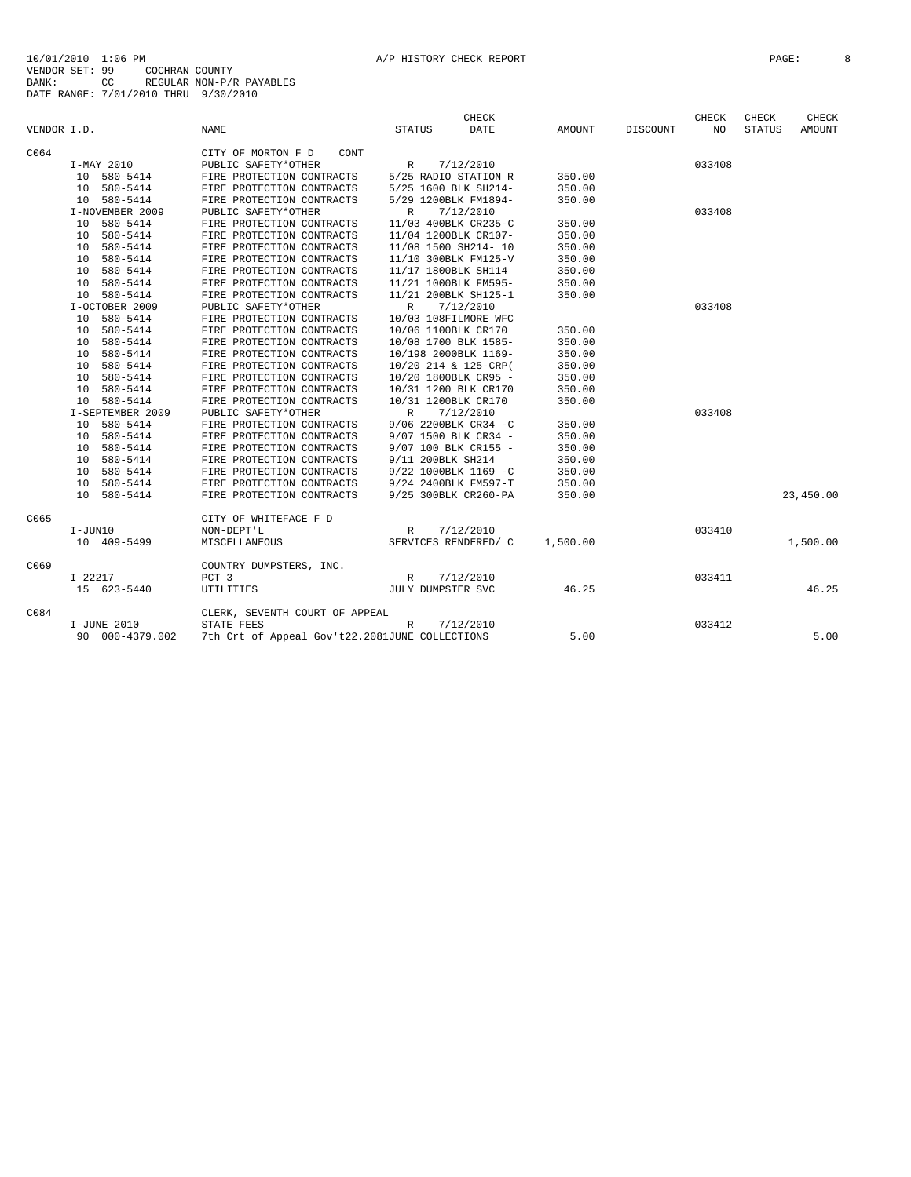|             |                  |                                                | <b>CHECK</b>              |          |          | CHECK  | CHECK         | <b>CHECK</b> |
|-------------|------------------|------------------------------------------------|---------------------------|----------|----------|--------|---------------|--------------|
| VENDOR I.D. |                  | NAME                                           | <b>STATUS</b><br>DATE     | AMOUNT   | DISCOUNT | NO.    | <b>STATUS</b> | AMOUNT       |
| C064        |                  | CITY OF MORTON F D<br>CONT                     |                           |          |          |        |               |              |
|             | I-MAY 2010       | PUBLIC SAFETY*OTHER                            | 7/12/2010<br>$\mathbb{R}$ |          |          | 033408 |               |              |
|             | 10 580-5414      | FIRE PROTECTION CONTRACTS                      | 5/25 RADIO STATION R      | 350.00   |          |        |               |              |
|             | 10 580-5414      | FIRE PROTECTION CONTRACTS                      | 5/25 1600 BLK SH214-      | 350.00   |          |        |               |              |
|             | 10 580-5414      | FIRE PROTECTION CONTRACTS                      | 5/29 1200BLK FM1894-      | 350.00   |          |        |               |              |
|             | I-NOVEMBER 2009  | PUBLIC SAFETY*OTHER                            | 7/12/2010<br>$\mathbb{R}$ |          |          | 033408 |               |              |
|             | 10 580-5414      | FIRE PROTECTION CONTRACTS                      | 11/03 400BLK CR235-C      | 350.00   |          |        |               |              |
|             | 10 580-5414      | FIRE PROTECTION CONTRACTS                      | 11/04 1200BLK CR107-      | 350.00   |          |        |               |              |
|             | 10 580-5414      | FIRE PROTECTION CONTRACTS                      | 11/08 1500 SH214- 10      | 350.00   |          |        |               |              |
|             | 10 580-5414      | FIRE PROTECTION CONTRACTS                      | 11/10 300BLK FM125-V      | 350.00   |          |        |               |              |
|             | 10 580-5414      | FIRE PROTECTION CONTRACTS                      | 11/17 1800BLK SH114       | 350.00   |          |        |               |              |
|             | 10 580-5414      | FIRE PROTECTION CONTRACTS                      | 11/21 1000BLK FM595-      | 350.00   |          |        |               |              |
|             | 10 580-5414      | FIRE PROTECTION CONTRACTS                      | 11/21 200BLK SH125-1      | 350.00   |          |        |               |              |
|             | I-OCTOBER 2009   | PUBLIC SAFETY*OTHER                            | R<br>7/12/2010            |          |          | 033408 |               |              |
|             | 580-5414<br>10   | FIRE PROTECTION CONTRACTS                      | 10/03 108FILMORE WFC      |          |          |        |               |              |
|             | 10 580-5414      | FIRE PROTECTION CONTRACTS                      | 10/06 1100BLK CR170       | 350.00   |          |        |               |              |
|             | 10 580-5414      | FIRE PROTECTION CONTRACTS                      | 10/08 1700 BLK 1585-      | 350.00   |          |        |               |              |
|             | 10 580-5414      | FIRE PROTECTION CONTRACTS                      | 10/198 2000BLK 1169-      | 350.00   |          |        |               |              |
|             | 10 580-5414      | FIRE PROTECTION CONTRACTS                      | 10/20 214 & 125-CRP(      | 350.00   |          |        |               |              |
|             | 10 580-5414      | FIRE PROTECTION CONTRACTS                      | 10/20 1800BLK CR95 -      | 350.00   |          |        |               |              |
|             | 10 580-5414      | FIRE PROTECTION CONTRACTS                      | 10/31 1200 BLK CR170      | 350.00   |          |        |               |              |
|             | 10 580-5414      | FIRE PROTECTION CONTRACTS                      | 10/31 1200BLK CR170       | 350.00   |          |        |               |              |
|             | I-SEPTEMBER 2009 | PUBLIC SAFETY*OTHER                            | 7/12/2010<br>$\mathbb{R}$ |          |          | 033408 |               |              |
|             | 10 580-5414      | FIRE PROTECTION CONTRACTS                      | 9/06 2200BLK CR34 -C      | 350.00   |          |        |               |              |
|             | 10 580-5414      | FIRE PROTECTION CONTRACTS                      | 9/07 1500 BLK CR34 -      | 350.00   |          |        |               |              |
|             | 10 580-5414      | FIRE PROTECTION CONTRACTS                      | 9/07 100 BLK CR155 -      | 350.00   |          |        |               |              |
|             | 10 580-5414      | FIRE PROTECTION CONTRACTS                      | 9/11 200BLK SH214         | 350.00   |          |        |               |              |
|             | 10 580-5414      | FIRE PROTECTION CONTRACTS                      | 9/22 1000BLK 1169 -C      | 350.00   |          |        |               |              |
|             | 10 580-5414      | FIRE PROTECTION CONTRACTS                      | 9/24 2400BLK FM597-T      | 350.00   |          |        |               |              |
|             | 10 580-5414      | FIRE PROTECTION CONTRACTS                      | 9/25 300BLK CR260-PA      | 350.00   |          |        |               | 23,450.00    |
| C065        |                  | CITY OF WHITEFACE F D                          |                           |          |          |        |               |              |
|             | $I-JUN10$        | NON-DEPT'L                                     | 7/12/2010<br>R            |          |          | 033410 |               |              |
|             | 10 409-5499      | MISCELLANEOUS                                  | SERVICES RENDERED/ C      | 1,500.00 |          |        |               | 1,500.00     |
| C069        |                  | COUNTRY DUMPSTERS, INC.                        |                           |          |          |        |               |              |
|             | $I - 22217$      | PCT 3                                          | 7/12/2010<br>$\mathbb{R}$ |          |          | 033411 |               |              |
|             | 15 623-5440      | UTILITIES                                      | JULY DUMPSTER SVC         | 46.25    |          |        |               | 46.25        |
| C084        |                  | CLERK, SEVENTH COURT OF APPEAL                 |                           |          |          |        |               |              |
|             | I-JUNE 2010      | STATE FEES                                     | R<br>7/12/2010            |          |          | 033412 |               |              |
|             | 90 000-4379.002  | 7th Crt of Appeal Gov't22.2081JUNE COLLECTIONS |                           | 5.00     |          |        |               | 5.00         |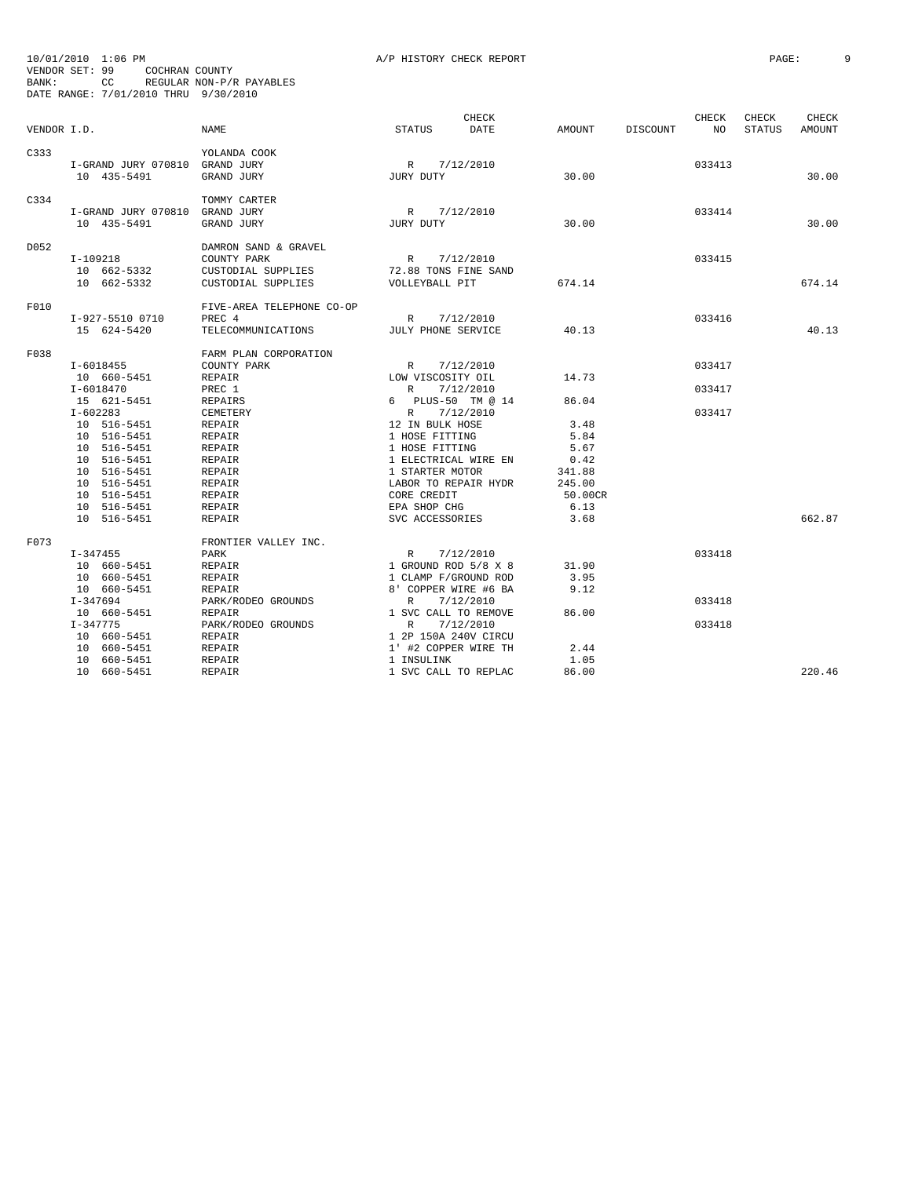| A/P HISTORY CHECK REPOR |  |  |  |  |  |
|-------------------------|--|--|--|--|--|
|-------------------------|--|--|--|--|--|

| BANK:       | 10/01/2010 1:06 PM<br>VENDOR SET: 99<br>COCHRAN COUNTY<br>CC<br>DATE RANGE: 7/01/2010 THRU 9/30/2010                                                               | REGULAR NON-P/R PAYABLES                                                                                                                    | A/P HISTORY CHECK REPORT                                                                                                                                                                                               |                                                                    |          |                            | PAGE:           |                 |  |
|-------------|--------------------------------------------------------------------------------------------------------------------------------------------------------------------|---------------------------------------------------------------------------------------------------------------------------------------------|------------------------------------------------------------------------------------------------------------------------------------------------------------------------------------------------------------------------|--------------------------------------------------------------------|----------|----------------------------|-----------------|-----------------|--|
| VENDOR I.D. |                                                                                                                                                                    | <b>NAME</b>                                                                                                                                 | <b>CHECK</b><br>STATUS<br>DATE                                                                                                                                                                                         | AMOUNT                                                             | DISCOUNT | CHECK<br>NO                | CHECK<br>STATUS | CHECK<br>AMOUNT |  |
| C333        | I-GRAND JURY 070810 GRAND JURY<br>10 435-5491                                                                                                                      | YOLANDA COOK<br>GRAND JURY                                                                                                                  | R 7/12/2010<br>JURY DUTY                                                                                                                                                                                               | 30.00                                                              |          | 033413                     |                 | 30.00           |  |
| C334        | I-GRAND JURY 070810<br>10 435-5491                                                                                                                                 | TOMMY CARTER<br>GRAND JURY<br>GRAND JURY                                                                                                    | R 7/12/2010<br>JURY DUTY                                                                                                                                                                                               | 30.00                                                              |          | 033414                     |                 | 30.00           |  |
| D052        | I-109218<br>10 662-5332<br>10 662-5332                                                                                                                             | DAMRON SAND & GRAVEL<br>COUNTY PARK<br>CUSTODIAL SUPPLIES<br>CUSTODIAL SUPPLIES                                                             | R<br>7/12/2010<br>72.88 TONS FINE SAND<br>VOLLEYBALL PIT                                                                                                                                                               | 674.14                                                             |          | 033415                     |                 | 674.14          |  |
| F010        | I-927-5510 0710<br>15 624-5420                                                                                                                                     | FIVE-AREA TELEPHONE CO-OP<br>PREC 4<br>TELECOMMUNICATIONS                                                                                   | 7/12/2010<br>R<br>JULY PHONE SERVICE                                                                                                                                                                                   | 40.13                                                              |          | 033416                     |                 | 40.13           |  |
| F038        | I-6018455<br>10 660-5451<br>$I - 6018470$<br>15 621-5451<br>$I - 602283$<br>10 516-5451<br>10 516-5451<br>10 516-5451<br>10 516-5451<br>10 516-5451<br>10 516-5451 | FARM PLAN CORPORATION<br>COUNTY PARK<br>REPAIR<br>PREC 1<br>REPAIRS<br>CEMETERY<br>REPAIR<br>REPAIR<br>REPAIR<br>REPAIR<br>REPAIR<br>REPAIR | R<br>7/12/2010<br>LOW VISCOSITY OIL<br>7/12/2010<br>R<br>6 PLUS-50 TM @ 14<br>7/12/2010<br>R<br>12 IN BULK HOSE<br>1 HOSE FITTING<br>1 HOSE FITTING<br>1 ELECTRICAL WIRE EN<br>1 STARTER MOTOR<br>LABOR TO REPAIR HYDR | 14.73<br>86.04<br>3.48<br>5.84<br>5.67<br>0.42<br>341.88<br>245.00 |          | 033417<br>033417<br>033417 |                 |                 |  |
|             | 10 516-5451<br>10 516-5451<br>10 516-5451                                                                                                                          | REPAIR<br>REPAIR<br>REPAIR                                                                                                                  | CORE CREDIT<br>EPA SHOP CHG<br>SVC ACCESSORIES                                                                                                                                                                         | 50.00CR<br>6.13<br>3.68                                            |          |                            |                 | 662.87          |  |
| F073        | $I - 347455$<br>10 660-5451<br>10 660-5451<br>10 660-5451<br>I-347694                                                                                              | FRONTIER VALLEY INC.<br>PARK<br>REPAIR<br>REPAIR<br>REPAIR                                                                                  | 7/12/2010<br>$\mathbb{R}$<br>1 GROUND ROD 5/8 X 8<br>1 CLAMP F/GROUND ROD<br>8' COPPER WIRE #6 BA<br>7/12/2010<br>R                                                                                                    | 31.90<br>3.95<br>9.12                                              |          | 033418<br>033418           |                 |                 |  |
|             | 10 660-5451<br>I-347775<br>10 660-5451<br>10 660-5451<br>10 660-5451                                                                                               | PARK/RODEO GROUNDS<br><b>REPAIR</b><br>PARK/RODEO GROUNDS<br>REPAIR<br>REPAIR<br>REPAIR                                                     | 1 SVC CALL TO REMOVE<br>7/12/2010<br>R<br>1 2P 150A 240V CIRCU<br>1' #2 COPPER WIRE TH<br>1 INSULINK                                                                                                                   | 86.00<br>2.44<br>1.05                                              |          | 033418                     |                 |                 |  |
|             | 10 660-5451                                                                                                                                                        | REPAIR                                                                                                                                      | 1 SVC CALL TO REPLAC                                                                                                                                                                                                   | 86.00                                                              |          |                            |                 | 220.46          |  |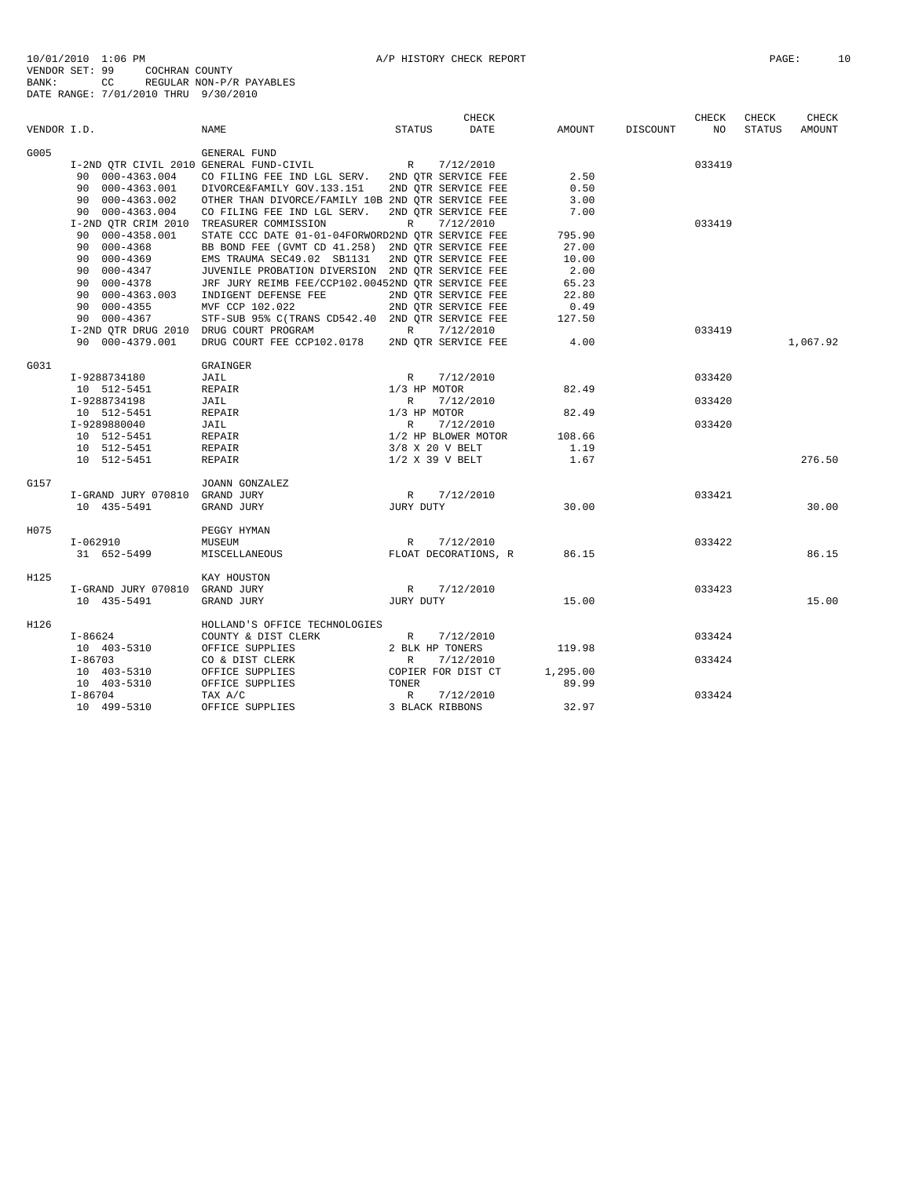|             |                                          |                                                                   |                       | CHECK                |          |          | CHECK  | CHECK  | CHECK    |
|-------------|------------------------------------------|-------------------------------------------------------------------|-----------------------|----------------------|----------|----------|--------|--------|----------|
| VENDOR I.D. |                                          | <b>NAME</b>                                                       | STATUS                | DATE                 | AMOUNT   | DISCOUNT | NO     | STATUS | AMOUNT   |
| G005        |                                          | GENERAL FUND                                                      |                       |                      |          |          |        |        |          |
|             |                                          | I-2ND QTR CIVIL 2010 GENERAL FUND-CIVIL $R = 7/12/2010$           |                       |                      |          |          | 033419 |        |          |
|             |                                          | 90 000-4363.004 CO FILING FEE IND LGL SERV. 2ND QTR SERVICE FEE   |                       |                      | 2.50     |          |        |        |          |
|             |                                          | 90 000-4363.001 DIVORCE&FAMILY GOV.133.151 2ND QTR SERVICE FEE    |                       |                      | 0.50     |          |        |        |          |
|             |                                          | 90 000-4363.002 OTHER THAN DIVORCE/FAMILY 10B 2ND QTR SERVICE FEE |                       |                      | 3.00     |          |        |        |          |
|             | 90 000-4363.004                          | CO FILING FEE IND LGL SERV.                                       | 2ND QTR SERVICE FEE   |                      | 7.00     |          |        |        |          |
|             | I-2ND OTR CRIM 2010 TREASURER COMMISSION |                                                                   | R                     | 7/12/2010            |          |          | 033419 |        |          |
|             | 90 000-4358.001                          | STATE CCC DATE 01-01-04FORWORD2ND QTR SERVICE FEE                 |                       |                      | 795.90   |          |        |        |          |
|             | 90 000-4368                              | BB BOND FEE (GVMT CD 41.258) 2ND OTR SERVICE FEE                  |                       |                      | 27.00    |          |        |        |          |
|             | $9000 - 4369$<br>90 000-4347             | EMS TRAUMA SEC49.02 SB1131                                        | 2ND QTR SERVICE FEE   |                      | 10.00    |          |        |        |          |
|             |                                          | JUVENILE PROBATION DIVERSION 2ND QTR SERVICE FEE                  |                       |                      | 2.00     |          |        |        |          |
|             | 90 000-4378                              | JRF JURY REIMB FEE/CCP102.00452ND OTR SERVICE FEE                 |                       |                      | 65.23    |          |        |        |          |
|             | 90 000-4363.003                          | INDIGENT DEFENSE FEE                                              | 2ND OTR SERVICE FEE   |                      | 22.80    |          |        |        |          |
|             | 90 000-4355                              | MVF CCP 102.022                                                   | 2ND QTR SERVICE FEE   |                      | 0.49     |          |        |        |          |
|             | 90 000-4367                              | STF-SUB 95% C(TRANS CD542.40 2ND OTR SERVICE FEE                  |                       |                      | 127.50   |          |        |        |          |
|             | I-2ND QTR DRUG 2010 DRUG COURT PROGRAM   |                                                                   | R 7/12/2010           |                      |          |          | 033419 |        |          |
|             | 90 000-4379.001                          | DRUG COURT FEE CCP102.0178                                        | 2ND OTR SERVICE FEE   |                      | 4.00     |          |        |        | 1,067.92 |
| G031        |                                          | GRAINGER                                                          |                       |                      |          |          |        |        |          |
|             | I-9288734180                             | JAIL                                                              | R                     | 7/12/2010            |          |          | 033420 |        |          |
|             | 10 512-5451                              | REPAIR                                                            | 1/3 HP MOTOR          |                      | 82.49    |          |        |        |          |
|             | I-9288734198                             | JAIL                                                              | R                     | 7/12/2010            |          |          | 033420 |        |          |
|             | 10 512-5451                              | REPAIR                                                            | 1/3 HP MOTOR          |                      | 82.49    |          |        |        |          |
|             | I-9289880040                             | JAIL                                                              | R                     | 7/12/2010            |          |          | 033420 |        |          |
|             | 10 512-5451                              | REPAIR                                                            | 1/2 HP BLOWER MOTOR   |                      | 108.66   |          |        |        |          |
|             | 10 512-5451                              | REPAIR                                                            | 3/8 X 20 V BELT       |                      | 1.19     |          |        |        |          |
|             | 10 512-5451                              | REPAIR                                                            | $1/2$ X 39 V BELT     |                      | 1.67     |          |        |        | 276.50   |
| G157        |                                          | JOANN GONZALEZ                                                    |                       |                      |          |          |        |        |          |
|             | I-GRAND JURY 070810 GRAND JURY           |                                                                   | R                     | 7/12/2010            |          |          | 033421 |        |          |
|             | 10 435-5491                              | GRAND JURY                                                        | JURY DUTY             |                      | 30.00    |          |        |        | 30.00    |
| H075        |                                          | PEGGY HYMAN                                                       |                       |                      |          |          |        |        |          |
|             | $I-062910$                               | MUSEUM                                                            | R                     | 7/12/2010            |          |          | 033422 |        |          |
|             | 31 652-5499                              | MISCELLANEOUS                                                     |                       | FLOAT DECORATIONS, R | 86.15    |          |        |        | 86.15    |
| H125        |                                          | KAY HOUSTON                                                       |                       |                      |          |          |        |        |          |
|             | I-GRAND JURY 070810 GRAND JURY           |                                                                   | R 7/12/2010           |                      |          |          | 033423 |        |          |
|             | 10 435-5491                              | GRAND JURY                                                        | JURY DUTY             |                      | 15.00    |          |        |        | 15.00    |
| H126        |                                          | HOLLAND'S OFFICE TECHNOLOGIES                                     |                       |                      |          |          |        |        |          |
|             | I-86624                                  | COUNTY & DIST CLERK                                               | $R_{\perp}$           | 7/12/2010            |          |          | 033424 |        |          |
|             | 10 403-5310                              | OFFICE SUPPLIES                                                   | 2 BLK HP TONERS       |                      | 119.98   |          |        |        |          |
|             | $I - 86703$                              | CO & DIST CLERK                                                   | R                     | 7/12/2010            |          |          | 033424 |        |          |
|             | 10 403-5310                              | OFFICE SUPPLIES                                                   | COPIER FOR DIST CT    |                      | 1,295.00 |          |        |        |          |
|             | 10 403-5310                              | OFFICE SUPPLIES                                                   |                       |                      | 89.99    |          |        |        |          |
|             | $I-86704$                                | TAX A/C                                                           | TONER<br>R<br>3 BLACK | 7/12/2010            |          |          | 033424 |        |          |
|             | 10 499-5310                              | OFFICE SUPPLIES                                                   | 3 BLACK RIBBONS       |                      | 32.97    |          |        |        |          |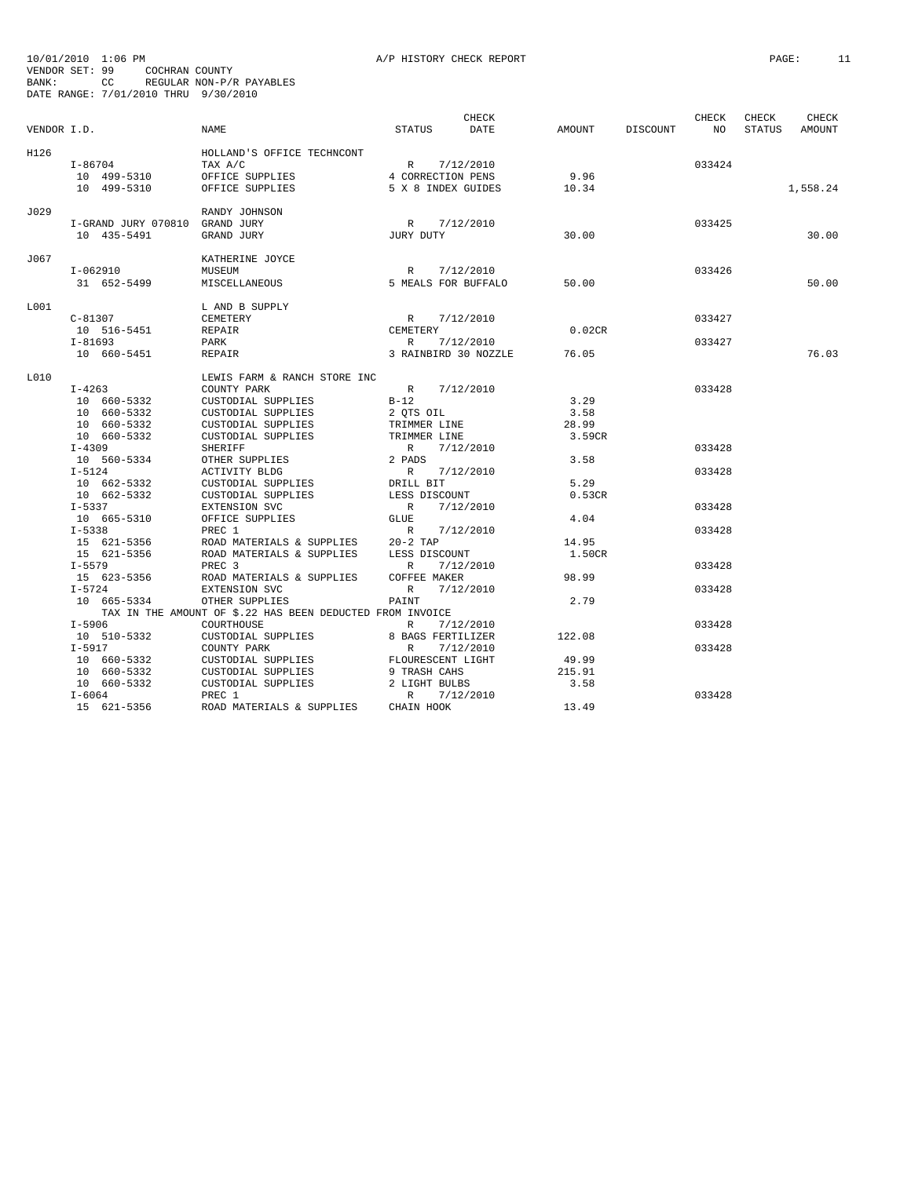| VENDOR I.D. |                                | NAME                                                      | <b>STATUS</b>                    | CHECK<br>DATE                     | AMOUNT | DISCOUNT | CHECK<br>NO <sub>1</sub> | CHECK<br>STATUS | CHECK<br>AMOUNT |
|-------------|--------------------------------|-----------------------------------------------------------|----------------------------------|-----------------------------------|--------|----------|--------------------------|-----------------|-----------------|
| H126        | $I - 86704$                    | HOLLAND'S OFFICE TECHNCONT<br>TAX A/C                     | R 7/12/2010<br>4 CORRECTION PENS |                                   | 9.96   |          | 033424                   |                 |                 |
|             | 10 499-5310<br>10 499-5310     | OFFICE SUPPLIES<br>OFFICE SUPPLIES                        | 5 X 8 INDEX GUIDES               |                                   | 10.34  |          |                          |                 | 1,558.24        |
| J029        | I-GRAND JURY 070810 GRAND JURY | RANDY JOHNSON                                             | R 7/12/2010                      |                                   |        |          | 033425                   |                 |                 |
|             | 10 435-5491                    | GRAND JURY                                                | JURY DUTY                        |                                   | 30.00  |          |                          |                 | 30.00           |
| J067        |                                | KATHERINE JOYCE                                           |                                  |                                   |        |          |                          |                 |                 |
|             | I-062910<br>31 652-5499        | MUSEUM<br>MISCELLANEOUS                                   | R<br>5 MEALS FOR BUFFALO         | 7/12/2010                         | 50.00  |          | 033426                   |                 | 50.00           |
| L001        |                                | L AND B SUPPLY                                            |                                  |                                   |        |          |                          |                 |                 |
|             | $C-81307$<br>10 516-5451       | CEMETERY<br>REPAIR                                        | R 7/12/2010<br>CEMETERY          |                                   | 0.02CR |          | 033427                   |                 |                 |
|             | $I - 81693$<br>10 660-5451     | PARK<br>REPAIR                                            | R                                | 7/12/2010<br>3 RAINBIRD 30 NOZZLE | 76.05  |          | 033427                   |                 | 76.03           |
| L010        |                                | LEWIS FARM & RANCH STORE INC                              |                                  |                                   |        |          |                          |                 |                 |
|             | $I - 4263$                     | COUNTY PARK                                               | R 7/12/2010                      |                                   |        |          | 033428                   |                 |                 |
|             | 10 660-5332                    | CUSTODIAL SUPPLIES                                        | $B-12$                           |                                   | 3.29   |          |                          |                 |                 |
|             | 10 660-5332                    | CUSTODIAL SUPPLIES                                        | 2 QTS OIL                        |                                   | 3.58   |          |                          |                 |                 |
|             | 10 660-5332                    | CUSTODIAL SUPPLIES                                        | TRIMMER LINE                     |                                   | 28.99  |          |                          |                 |                 |
|             | 10 660-5332                    | CUSTODIAL SUPPLIES                                        | TRIMMER LINE                     |                                   | 3.59CR |          |                          |                 |                 |
|             | $I-4309$                       | <b>SHERIFF</b>                                            | R 7/12/2010                      |                                   |        |          | 033428                   |                 |                 |
|             | 10 560-5334                    | OTHER SUPPLIES                                            | 2 PADS                           |                                   | 3.58   |          |                          |                 |                 |
|             | $I-5124$                       | ACTIVITY BLDG                                             | R                                | 7/12/2010                         |        |          | 033428                   |                 |                 |
|             | 10 662-5332                    | CUSTODIAL SUPPLIES                                        | DRILL BIT                        |                                   | 5.29   |          |                          |                 |                 |
|             | 10 662-5332                    | CUSTODIAL SUPPLIES                                        | LESS DISCOUNT                    |                                   | 0.53CR |          |                          |                 |                 |
|             | $I - 5337$                     | EXTENSION SVC                                             | R 7/12/2010                      |                                   |        |          | 033428                   |                 |                 |
|             | 10 665-5310                    | OFFICE SUPPLIES                                           | GLUE                             |                                   | 4.04   |          |                          |                 |                 |
|             | $I - 5338$                     | PREC 1                                                    | R 7/12/2010                      |                                   |        |          | 033428                   |                 |                 |
|             | 15 621-5356                    | ROAD MATERIALS & SUPPLIES                                 | $20-2$ TAP                       |                                   | 14.95  |          |                          |                 |                 |
|             | 15 621-5356                    | ROAD MATERIALS & SUPPLIES                                 | LESS DISCOUNT                    |                                   | 1.50CR |          |                          |                 |                 |
|             | $I - 5579$                     | PREC <sub>3</sub>                                         | R                                | 7/12/2010                         |        |          | 033428                   |                 |                 |
|             | 15 623-5356                    | ROAD MATERIALS & SUPPLIES                                 | <b>COFFEE MAKER</b>              |                                   | 98.99  |          |                          |                 |                 |
|             | $I - 5724$                     | EXTENSION SVC                                             | R                                | 7/12/2010                         |        |          | 033428                   |                 |                 |
|             | 10 665-5334                    | OTHER SUPPLIES                                            | PAINT                            |                                   | 2.79   |          |                          |                 |                 |
|             |                                | TAX IN THE AMOUNT OF \$.22 HAS BEEN DEDUCTED FROM INVOICE |                                  |                                   |        |          |                          |                 |                 |
|             | I-5906                         | COURTHOUSE                                                | R                                | 7/12/2010                         |        |          | 033428                   |                 |                 |
|             | 10 510-5332                    | CUSTODIAL SUPPLIES                                        | 8 BAGS FERTILIZER                |                                   | 122.08 |          |                          |                 |                 |
|             | $I-5917$                       | COUNTY PARK                                               | R                                | 7/12/2010                         |        |          | 033428                   |                 |                 |
|             | 10 660-5332                    | CUSTODIAL SUPPLIES                                        | FLOURESCENT LIGHT                |                                   | 49.99  |          |                          |                 |                 |
|             | 10 660-5332                    | CUSTODIAL SUPPLIES                                        | 9 TRASH CAHS                     |                                   | 215.91 |          |                          |                 |                 |
|             | 10 660-5332                    | CUSTODIAL SUPPLIES                                        | 2 LIGHT BULBS                    |                                   | 3.58   |          |                          |                 |                 |
|             | $I - 6064$                     | PREC 1                                                    | R                                | 7/12/2010                         |        |          | 033428                   |                 |                 |
|             | 15 621-5356                    | ROAD MATERIALS & SUPPLIES                                 | CHAIN HOOK                       |                                   | 13.49  |          |                          |                 |                 |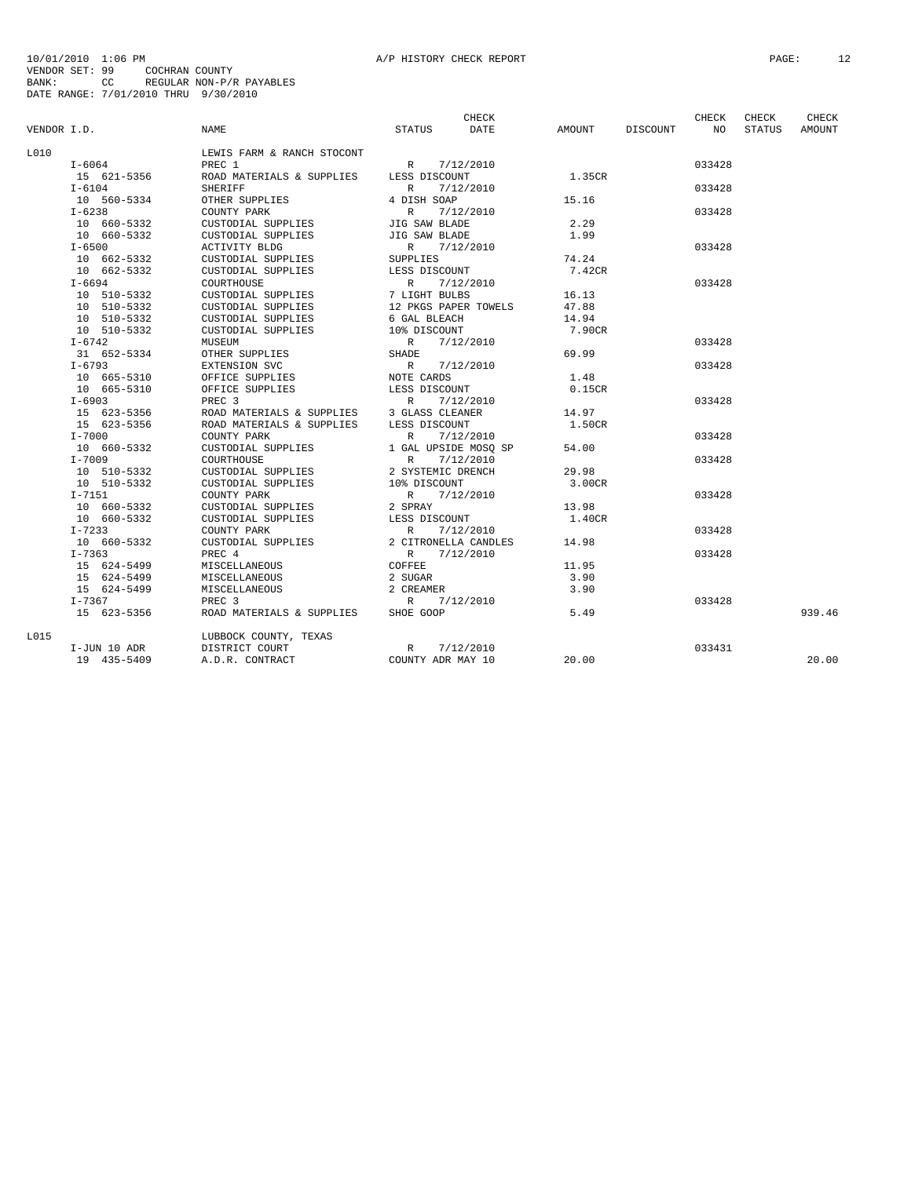| VENDOR I.D. |              | <b>NAME</b>                | STATUS            | CHECK<br>DATE        | AMOUNT | DISCOUNT | <b>CHECK</b><br>NO. | CHECK<br>STATUS | <b>CHECK</b><br><b>AMOUNT</b> |
|-------------|--------------|----------------------------|-------------------|----------------------|--------|----------|---------------------|-----------------|-------------------------------|
| T.O.1.O.    |              | LEWIS FARM & RANCH STOCONT |                   |                      |        |          |                     |                 |                               |
|             | $I-6064$     | PREC 1                     | R                 | 7/12/2010            |        |          | 033428              |                 |                               |
|             | 15 621-5356  | ROAD MATERIALS & SUPPLIES  | LESS DISCOUNT     |                      | 1.35CR |          |                     |                 |                               |
|             | $I-6104$     | <b>SHERIFF</b>             | $\mathbb{R}$      | 7/12/2010            |        |          | 033428              |                 |                               |
|             | 10 560-5334  | OTHER SUPPLIES             | 4 DISH SOAP       |                      | 15.16  |          |                     |                 |                               |
|             | $I - 6238$   | COUNTY PARK                | $\mathbb{R}$      | 7/12/2010            |        |          | 033428              |                 |                               |
|             | 10 660-5332  | CUSTODIAL SUPPLIES         | JIG SAW BLADE     |                      | 2.29   |          |                     |                 |                               |
|             | 10 660-5332  | CUSTODIAL SUPPLIES         | JIG SAW BLADE     |                      | 1.99   |          |                     |                 |                               |
|             | $I - 6500$   | ACTIVITY BLDG              |                   | R 7/12/2010          |        |          | 033428              |                 |                               |
|             | 10 662-5332  | CUSTODIAL SUPPLIES         | <b>SUPPLIES</b>   |                      | 74.24  |          |                     |                 |                               |
|             | 10 662-5332  | CUSTODIAL SUPPLIES         | LESS DISCOUNT     |                      | 7.42CR |          |                     |                 |                               |
|             | $I - 6694$   | COURTHOUSE                 | $\mathbb{R}$      | 7/12/2010            |        |          | 033428              |                 |                               |
|             | 10 510-5332  | CUSTODIAL SUPPLIES         | 7 LIGHT BULBS     |                      | 16.13  |          |                     |                 |                               |
|             | 10 510-5332  | CUSTODIAL SUPPLIES         |                   | 12 PKGS PAPER TOWELS | 47.88  |          |                     |                 |                               |
|             | 10 510-5332  | CUSTODIAL SUPPLIES         | 6 GAL BLEACH      |                      | 14.94  |          |                     |                 |                               |
|             | 10 510-5332  | CUSTODIAL SUPPLIES         | 10% DISCOUNT      |                      | 7.90CR |          |                     |                 |                               |
|             | $I - 6742$   | MUSEUM                     | $\mathbb{R}$      | 7/12/2010            |        |          | 033428              |                 |                               |
|             | 31 652-5334  | OTHER SUPPLIES             | SHADE             |                      | 69.99  |          |                     |                 |                               |
|             | $I - 6793$   | EXTENSION SVC              | R                 | 7/12/2010            |        |          | 033428              |                 |                               |
|             | 10 665-5310  | OFFICE SUPPLIES            | NOTE CARDS        |                      | 1.48   |          |                     |                 |                               |
|             | 10 665-5310  | OFFICE SUPPLIES            | LESS DISCOUNT     |                      | 0.15CR |          |                     |                 |                               |
|             | $I - 6903$   | PREC 3                     | $\mathbb R$       | 7/12/2010            |        |          | 033428              |                 |                               |
|             | 15 623-5356  | ROAD MATERIALS & SUPPLIES  | 3 GLASS CLEANER   |                      | 14.97  |          |                     |                 |                               |
|             | 15 623-5356  | ROAD MATERIALS & SUPPLIES  | LESS DISCOUNT     |                      | 1.50CR |          |                     |                 |                               |
|             | $I - 7000$   | COUNTY PARK                | $\mathbb{R}$      | 7/12/2010            |        |          | 033428              |                 |                               |
|             | 10 660-5332  | CUSTODIAL SUPPLIES         |                   | 1 GAL UPSIDE MOSO SP | 54.00  |          |                     |                 |                               |
|             | $I-7009$     | COURTHOUSE                 | $\mathbb{R}$      | 7/12/2010            |        |          | 033428              |                 |                               |
|             | 10 510-5332  | CUSTODIAL SUPPLIES         | 2 SYSTEMIC DRENCH |                      | 29.98  |          |                     |                 |                               |
|             | 10 510-5332  | CUSTODIAL SUPPLIES         | 10% DISCOUNT      |                      | 3.00CR |          |                     |                 |                               |
|             | $I-7151$     | COUNTY PARK                | $\mathbb{R}$      | 7/12/2010            |        |          | 033428              |                 |                               |
|             | 10 660-5332  | CUSTODIAL SUPPLIES         | 2 SPRAY           |                      | 13.98  |          |                     |                 |                               |
|             | 10 660-5332  | CUSTODIAL SUPPLIES         | LESS DISCOUNT     |                      | 1.40CR |          |                     |                 |                               |
|             | $I - 7233$   | COUNTY PARK                | R                 | 7/12/2010            |        |          | 033428              |                 |                               |
|             | 10 660-5332  | CUSTODIAL SUPPLIES         |                   | 2 CITRONELLA CANDLES | 14.98  |          |                     |                 |                               |
|             | $I - 7363$   | PREC 4                     |                   | R 7/12/2010          |        |          | 033428              |                 |                               |
|             | 15 624-5499  | MISCELLANEOUS              | COFFEE            |                      | 11.95  |          |                     |                 |                               |
|             | 15 624-5499  | MISCELLANEOUS              | 2 SUGAR           |                      | 3.90   |          |                     |                 |                               |
|             | 15 624-5499  | MISCELLANEOUS              | 2 CREAMER         |                      | 3.90   |          |                     |                 |                               |
|             | I-7367       | PREC <sub>3</sub>          | R                 | 7/12/2010            |        |          | 033428              |                 |                               |
|             | 15 623-5356  | ROAD MATERIALS & SUPPLIES  | SHOE GOOP         |                      | 5.49   |          |                     |                 | 939.46                        |
| L015        |              | LUBBOCK COUNTY, TEXAS      |                   |                      |        |          |                     |                 |                               |
|             | I-JUN 10 ADR | DISTRICT COURT             | R                 | 7/12/2010            |        |          | 033431              |                 |                               |
|             | 19 435-5409  | A.D.R. CONTRACT            | COUNTY ADR MAY 10 |                      | 20.00  |          |                     |                 | 20.00                         |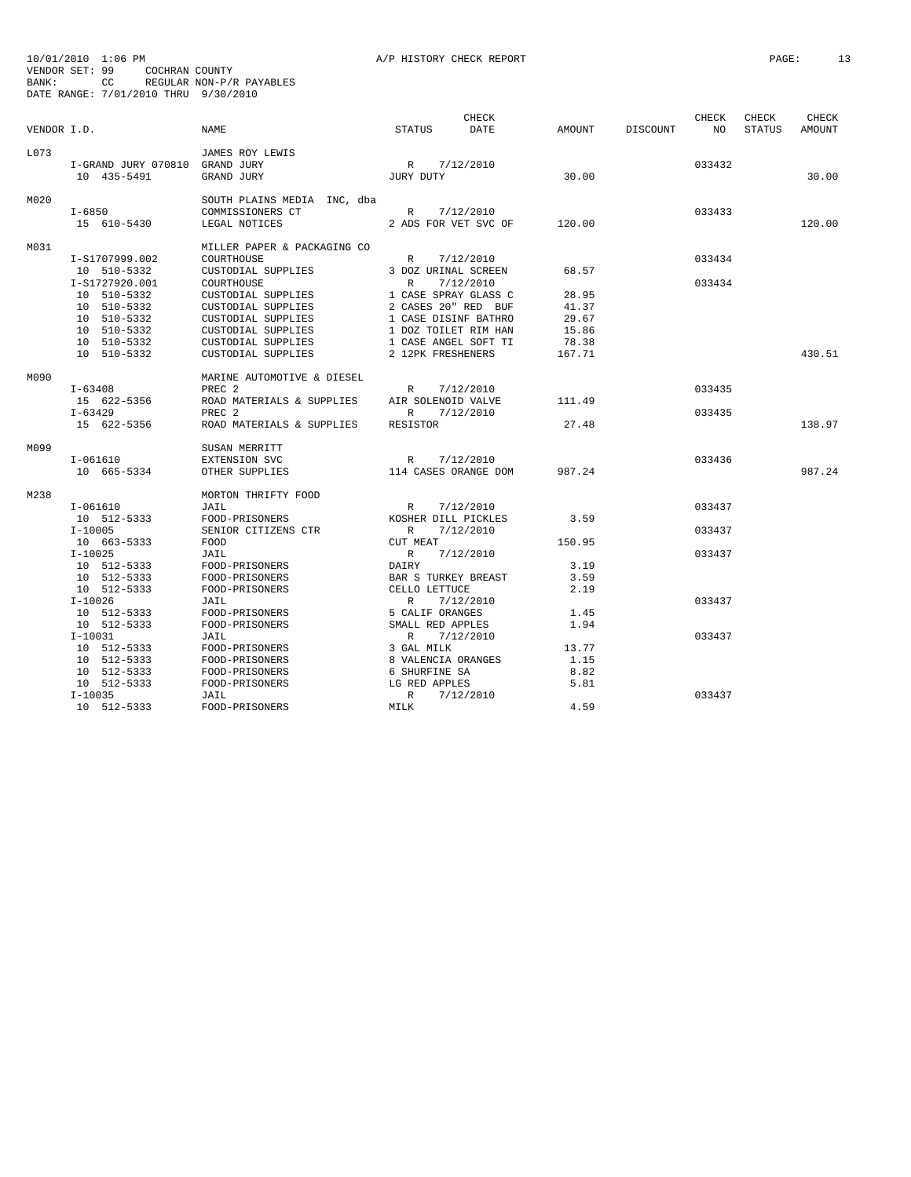|             |                                | <b>NAME</b>                 |                      | <b>CHECK</b><br>DATE | AMOUNT |          | CHECK<br>NO | CHECK  | CHECK  |
|-------------|--------------------------------|-----------------------------|----------------------|----------------------|--------|----------|-------------|--------|--------|
| VENDOR I.D. |                                |                             | STATUS               |                      |        | DISCOUNT |             | STATUS | AMOUNT |
| L073        |                                | JAMES ROY LEWIS             |                      |                      |        |          |             |        |        |
|             | I-GRAND JURY 070810 GRAND JURY |                             | R 7/12/2010          |                      |        |          | 033432      |        |        |
|             | 10 435-5491                    | GRAND JURY                  | JURY DUTY            |                      | 30.00  |          |             |        | 30.00  |
| M020        |                                | SOUTH PLAINS MEDIA INC, dba |                      |                      |        |          |             |        |        |
|             | $I - 6850$                     | COMMISSIONERS CT            | R 7/12/2010          |                      |        |          | 033433      |        |        |
|             | 15 610-5430                    | LEGAL NOTICES               | 2 ADS FOR VET SVC OF |                      | 120.00 |          |             |        | 120.00 |
| M031        |                                | MILLER PAPER & PACKAGING CO |                      |                      |        |          |             |        |        |
|             | I-S1707999.002                 | COURTHOUSE                  | R                    | 7/12/2010            |        |          | 033434      |        |        |
|             | 10 510-5332                    | CUSTODIAL SUPPLIES          | 3 DOZ URINAL SCREEN  |                      | 68.57  |          |             |        |        |
|             | I-S1727920.001                 | COURTHOUSE                  | $\mathbb{R}$         | 7/12/2010            |        |          | 033434      |        |        |
|             | 10 510-5332                    | CUSTODIAL SUPPLIES          | 1 CASE SPRAY GLASS C |                      | 28.95  |          |             |        |        |
|             | 10 510-5332                    | CUSTODIAL SUPPLIES          | 2 CASES 20" RED BUF  |                      | 41.37  |          |             |        |        |
|             | 10 510-5332                    | CUSTODIAL SUPPLIES          | 1 CASE DISINF BATHRO |                      | 29.67  |          |             |        |        |
|             | 10 510-5332                    | CUSTODIAL SUPPLIES          | 1 DOZ TOILET RIM HAN |                      | 15.86  |          |             |        |        |
|             | 10 510-5332                    | CUSTODIAL SUPPLIES          | 1 CASE ANGEL SOFT TI |                      | 78.38  |          |             |        |        |
|             | 10 510-5332                    | CUSTODIAL SUPPLIES          | 2 12PK FRESHENERS    |                      | 167.71 |          |             |        | 430.51 |
| M090        |                                | MARINE AUTOMOTIVE & DIESEL  |                      |                      |        |          |             |        |        |
|             | I-63408                        | PREC <sub>2</sub>           | R                    | 7/12/2010            |        |          | 033435      |        |        |
|             | 15 622-5356                    | ROAD MATERIALS & SUPPLIES   | AIR SOLENOID VALVE   |                      | 111.49 |          |             |        |        |
|             | I-63429                        | PREC <sub>2</sub>           | $\mathbb{R}$         | 7/12/2010            |        |          | 033435      |        |        |
|             | 15 622-5356                    | ROAD MATERIALS & SUPPLIES   | RESISTOR             |                      | 27.48  |          |             |        | 138.97 |
| M099        |                                | SUSAN MERRITT               |                      |                      |        |          |             |        |        |
|             | I-061610                       | EXTENSION SVC               | R                    | 7/12/2010            |        |          | 033436      |        |        |
|             | 10 665-5334                    | OTHER SUPPLIES              | 114 CASES ORANGE DOM |                      | 987.24 |          |             |        | 987.24 |
| M238        |                                | MORTON THRIFTY FOOD         |                      |                      |        |          |             |        |        |
|             | $I-061610$                     | JAIL                        | R                    | 7/12/2010            |        |          | 033437      |        |        |
|             | 10 512-5333                    | FOOD-PRISONERS              | KOSHER DILL PICKLES  |                      | 3.59   |          |             |        |        |
|             | $I-10005$                      | SENIOR CITIZENS CTR         | R                    | 7/12/2010            |        |          | 033437      |        |        |
|             | 10 663-5333                    | FOOD                        | CUT MEAT             |                      | 150.95 |          |             |        |        |
|             | $I - 10025$                    | JAIL                        | R                    | 7/12/2010            |        |          | 033437      |        |        |
|             | 10 512-5333                    | FOOD-PRISONERS              | DAIRY                |                      | 3.19   |          |             |        |        |
|             | 10 512-5333                    | FOOD-PRISONERS              | BAR S TURKEY BREAST  |                      | 3.59   |          |             |        |        |
|             | 10 512-5333                    | FOOD-PRISONERS              | CELLO LETTUCE        |                      | 2.19   |          |             |        |        |
|             | $I-10026$                      | JAIL                        | R                    | 7/12/2010            |        |          | 033437      |        |        |
|             | 10 512-5333                    | FOOD-PRISONERS              | 5 CALIF ORANGES      |                      | 1.45   |          |             |        |        |
|             | 10 512-5333                    | FOOD-PRISONERS              | SMALL RED APPLES     |                      | 1.94   |          |             |        |        |
|             | $I-10031$                      | JAIL                        | R                    | 7/12/2010            |        |          | 033437      |        |        |
|             | 10 512-5333                    | FOOD-PRISONERS              | 3 GAL MILK           |                      | 13.77  |          |             |        |        |
|             | 10 512-5333                    | FOOD-PRISONERS              | 8 VALENCIA ORANGES   |                      | 1.15   |          |             |        |        |
|             | 10 512-5333                    | FOOD-PRISONERS              | 6 SHURFINE SA        |                      | 8.82   |          |             |        |        |
|             | 10 512-5333                    | FOOD-PRISONERS              | LG RED APPLES        |                      | 5.81   |          |             |        |        |
|             | $I-10035$                      | JAIL                        | $\mathbb{R}$         | 7/12/2010            |        |          | 033437      |        |        |
|             | 10 512-5333                    | FOOD-PRISONERS              | MILK                 |                      | 4.59   |          |             |        |        |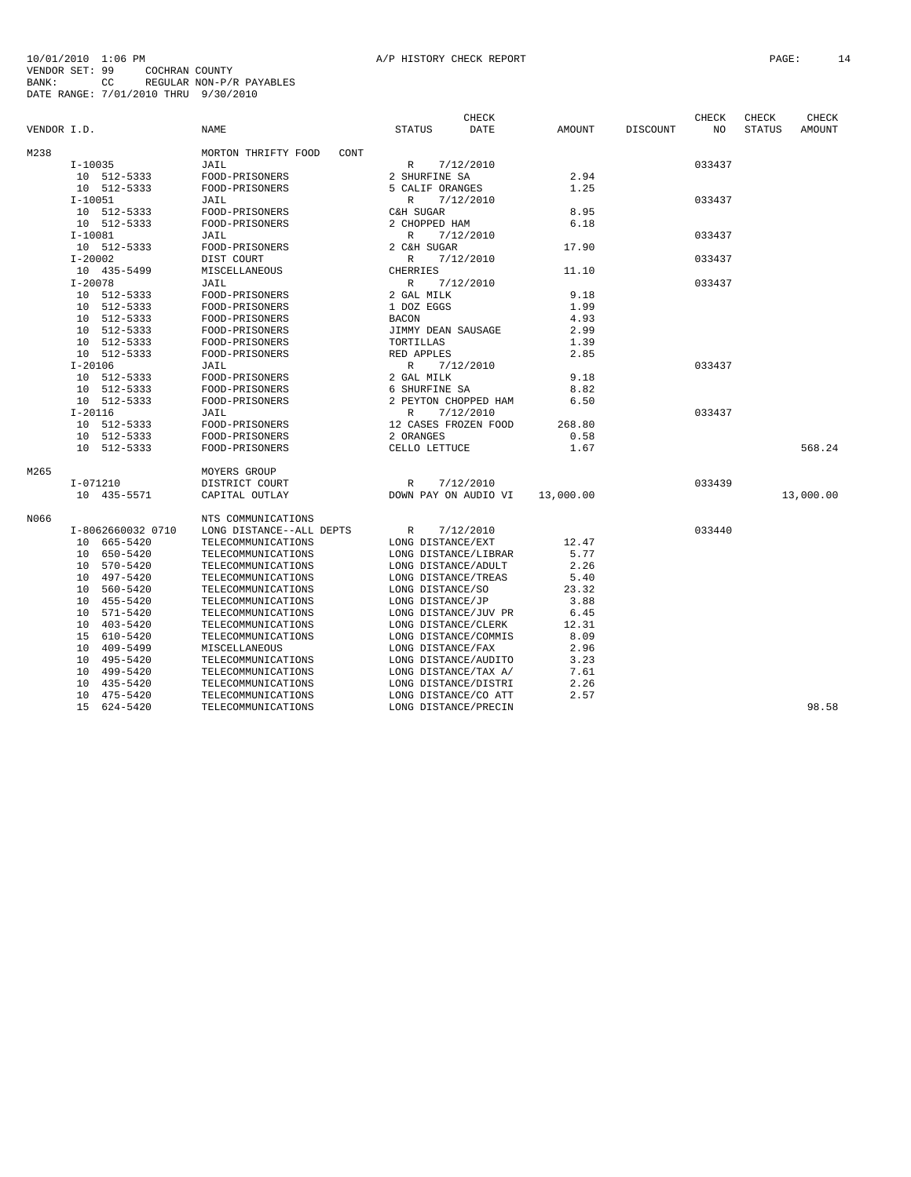| VENDOR I.D. |                   | <b>NAME</b>                 | <b>CHECK</b><br><b>STATUS</b><br>DATE | AMOUNT    | DISCOUNT | CHECK<br>NO | CHECK<br><b>STATUS</b> | CHECK<br><b>AMOUNT</b> |
|-------------|-------------------|-----------------------------|---------------------------------------|-----------|----------|-------------|------------------------|------------------------|
| M238        |                   | MORTON THRIFTY FOOD<br>CONT |                                       |           |          |             |                        |                        |
|             | $I-10035$         | JAIL                        | $\mathbb{R}$<br>7/12/2010             |           |          | 033437      |                        |                        |
|             | 10 512-5333       | FOOD-PRISONERS              | 2 SHURFINE SA                         | 2.94      |          |             |                        |                        |
|             | 10 512-5333       | FOOD-PRISONERS              | 5 CALIF ORANGES                       | 1.25      |          |             |                        |                        |
|             | $I-10051$         | JAIL                        | 7/12/2010<br>R                        |           |          | 033437      |                        |                        |
|             | 10 512-5333       | FOOD-PRISONERS              | C&H SUGAR                             | 8.95      |          |             |                        |                        |
|             | 10 512-5333       | FOOD-PRISONERS              | 2 CHOPPED HAM                         | 6.18      |          |             |                        |                        |
|             | $I-10081$         | JAIL                        | $\mathbb{R}$<br>7/12/2010             |           |          | 033437      |                        |                        |
|             | 10 512-5333       | FOOD-PRISONERS              | 2 C&H SUGAR                           | 17.90     |          |             |                        |                        |
|             | $I - 20002$       | DIST COURT                  | R<br>7/12/2010                        |           |          | 033437      |                        |                        |
|             | 10 435-5499       | MISCELLANEOUS               | CHERRIES                              | 11.10     |          |             |                        |                        |
|             | $I - 20078$       | JAIL                        | $\mathbb{R}$<br>7/12/2010             |           |          | 033437      |                        |                        |
|             | 10<br>512-5333    | FOOD-PRISONERS              | 2 GAL MILK                            | 9.18      |          |             |                        |                        |
|             | 512-5333<br>10    | FOOD-PRISONERS              | 1 DOZ EGGS                            | 1.99      |          |             |                        |                        |
|             | 512-5333<br>10    | FOOD-PRISONERS              | <b>BACON</b>                          | 4.93      |          |             |                        |                        |
|             | 10 512-5333       | FOOD-PRISONERS              | JIMMY DEAN SAUSAGE                    | 2.99      |          |             |                        |                        |
|             | 512-5333<br>1 O   | FOOD-PRISONERS              | TORTILLAS                             | 1.39      |          |             |                        |                        |
|             | 10 512-5333       | FOOD-PRISONERS              | RED APPLES                            | 2.85      |          |             |                        |                        |
|             | $I - 20106$       | JAIL                        | $\mathbb{R}$<br>7/12/2010             |           |          | 033437      |                        |                        |
|             | 512-5333<br>10    | FOOD-PRISONERS              | 2 GAL MILK                            | 9.18      |          |             |                        |                        |
|             | 10 512-5333       | FOOD-PRISONERS              | 6 SHURFINE SA                         | 8.82      |          |             |                        |                        |
|             | 10 512-5333       | FOOD-PRISONERS              | 2 PEYTON CHOPPED HAM                  | 6.50      |          |             |                        |                        |
|             | $I - 20116$       | JAIL                        | $\mathbb{R}$<br>7/12/2010             |           |          | 033437      |                        |                        |
|             | 512-5333<br>10    | FOOD-PRISONERS              | 12 CASES FROZEN FOOD                  | 268.80    |          |             |                        |                        |
|             | 512-5333<br>10    | FOOD-PRISONERS              | 2 ORANGES                             | 0.58      |          |             |                        |                        |
|             | 10 512-5333       | FOOD-PRISONERS              | CELLO LETTUCE                         | 1.67      |          |             |                        | 568.24                 |
| M265        |                   | MOYERS GROUP                |                                       |           |          |             |                        |                        |
|             | $I-071210$        | DISTRICT COURT              | 7/12/2010<br>R                        |           |          | 033439      |                        |                        |
|             | 10 435-5571       | CAPITAL OUTLAY              | DOWN PAY ON AUDIO VI                  | 13,000.00 |          |             |                        | 13,000.00              |
| N066        |                   | NTS COMMUNICATIONS          |                                       |           |          |             |                        |                        |
|             | I-8062660032 0710 | LONG DISTANCE--ALL DEPTS    | $\mathbb R$<br>7/12/2010              |           |          | 033440      |                        |                        |
|             | 665-5420<br>10    | TELECOMMUNICATIONS          | LONG DISTANCE/EXT                     | 12.47     |          |             |                        |                        |
|             | 650-5420<br>10    | TELECOMMUNICATIONS          | LONG DISTANCE/LIBRAR                  | 5.77      |          |             |                        |                        |
|             | 570-5420<br>10    | TELECOMMUNICATIONS          | LONG DISTANCE/ADULT                   | 2.26      |          |             |                        |                        |
|             | 497-5420<br>10    | TELECOMMUNICATIONS          | LONG DISTANCE/TREAS                   | 5.40      |          |             |                        |                        |
|             | 560-5420<br>10    | TELECOMMUNICATIONS          | LONG DISTANCE/SO                      | 23.32     |          |             |                        |                        |
|             | 455-5420<br>10    | TELECOMMUNICATIONS          | LONG DISTANCE/JP                      | 3.88      |          |             |                        |                        |
|             | 571-5420<br>10    | TELECOMMUNICATIONS          | LONG DISTANCE/JUV PR                  | 6.45      |          |             |                        |                        |
|             | 403-5420<br>10    | TELECOMMUNICATIONS          | LONG DISTANCE/CLERK                   | 12.31     |          |             |                        |                        |
|             | 610-5420<br>15    | TELECOMMUNICATIONS          | LONG DISTANCE/COMMIS                  | 8.09      |          |             |                        |                        |
|             | 10<br>409-5499    | MISCELLANEOUS               | LONG DISTANCE/FAX                     | 2.96      |          |             |                        |                        |
|             | 495-5420<br>10    | TELECOMMUNICATIONS          | LONG DISTANCE/AUDITO                  | 3.23      |          |             |                        |                        |
|             | 10<br>499-5420    | TELECOMMUNICATIONS          | LONG DISTANCE/TAX A/                  | 7.61      |          |             |                        |                        |
|             | 435-5420<br>10    | TELECOMMUNICATIONS          | LONG DISTANCE/DISTRI                  | 2.26      |          |             |                        |                        |
|             | 475-5420<br>10    | TELECOMMUNICATIONS          | LONG DISTANCE/CO ATT                  | 2.57      |          |             |                        |                        |
|             | 15<br>624-5420    | TELECOMMUNICATIONS          | LONG DISTANCE/PRECIN                  |           |          |             |                        | 98.58                  |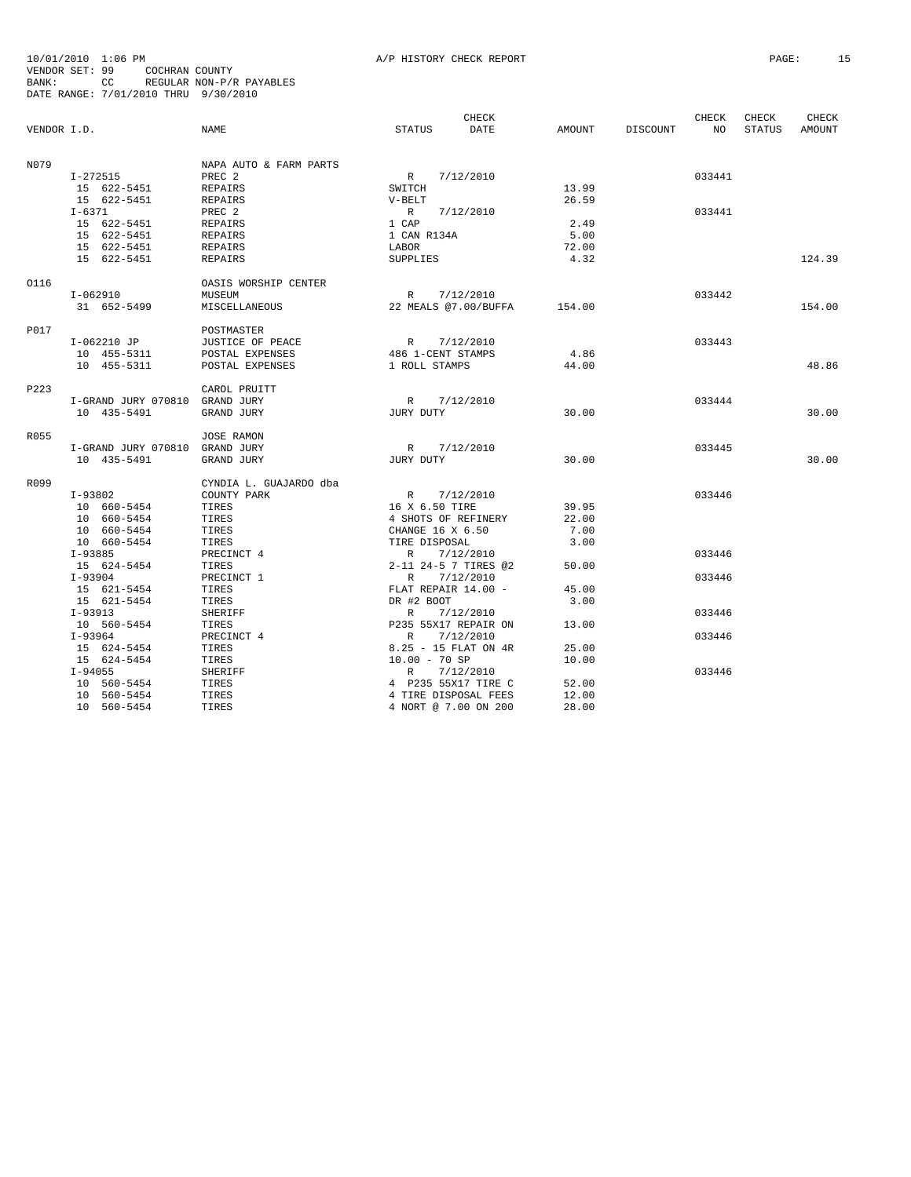|             |                                |                        |                      | CHECK                       |        |          | CHECK           | CHECK         | CHECK  |
|-------------|--------------------------------|------------------------|----------------------|-----------------------------|--------|----------|-----------------|---------------|--------|
| VENDOR I.D. |                                | NAME                   | STATUS               | DATE                        | AMOUNT | DISCOUNT | NO <sub>N</sub> | <b>STATUS</b> | AMOUNT |
| N079        |                                | NAPA AUTO & FARM PARTS |                      |                             |        |          |                 |               |        |
|             | $I-272515$                     | PREC <sub>2</sub>      | R                    | 7/12/2010                   |        |          | 033441          |               |        |
|             | 15 622-5451                    | REPAIRS                | SWITCH               |                             | 13.99  |          |                 |               |        |
|             | 15 622-5451                    | REPAIRS                | $V-BELT$             |                             | 26.59  |          |                 |               |        |
|             | $I - 6371$                     | PREC 2                 | R                    | 7/12/2010                   |        |          | 033441          |               |        |
|             | 15 622-5451                    | REPAIRS                | 1 CAP                |                             | 2.49   |          |                 |               |        |
|             | 15 622-5451                    | REPAIRS                | 1 CAN R134A          |                             | 5.00   |          |                 |               |        |
|             | 15 622-5451                    | REPAIRS                | LABOR                |                             | 72.00  |          |                 |               |        |
|             | 15 622-5451                    | REPAIRS                | SUPPLIES             |                             | 4.32   |          |                 |               | 124.39 |
| 0116        |                                | OASIS WORSHIP CENTER   |                      |                             |        |          |                 |               |        |
|             | I-062910                       | MUSEUM                 | R 7/12/2010          |                             |        |          | 033442          |               |        |
|             | 31 652-5499                    | MISCELLANEOUS          |                      | 22 MEALS @7.00/BUFFA 154.00 |        |          |                 |               | 154.00 |
| P017        |                                | POSTMASTER             |                      |                             |        |          |                 |               |        |
|             | I-062210 JP                    | JUSTICE OF PEACE       | R 7/12/2010          |                             |        |          | 033443          |               |        |
|             | 10 455-5311                    | POSTAL EXPENSES        | 486 1-CENT STAMPS    |                             | 4.86   |          |                 |               |        |
|             | 10 455-5311                    | POSTAL EXPENSES        | 1 ROLL STAMPS        |                             | 44.00  |          |                 |               | 48.86  |
| P223        |                                | CAROL PRUITT           |                      |                             |        |          |                 |               |        |
|             | I-GRAND JURY 070810 GRAND JURY |                        | R                    | 7/12/2010                   |        |          | 033444          |               |        |
|             | 10 435-5491                    | GRAND JURY             | JURY DUTY            |                             | 30.00  |          |                 |               | 30.00  |
| R055        |                                | <b>JOSE RAMON</b>      |                      |                             |        |          |                 |               |        |
|             | I-GRAND JURY 070810 GRAND JURY |                        | R                    | 7/12/2010                   |        |          | 033445          |               |        |
|             | 10 435-5491                    | GRAND JURY             | JURY DUTY            |                             | 30.00  |          |                 |               | 30.00  |
| R099        |                                | CYNDIA L. GUAJARDO dba |                      |                             |        |          |                 |               |        |
|             | I-93802                        | COUNTY PARK            | R                    | 7/12/2010                   |        |          | 033446          |               |        |
|             | 10 660-5454                    | TIRES                  | 16 X 6.50 TIRE       |                             | 39.95  |          |                 |               |        |
|             | 10 660-5454                    | TIRES                  | 4 SHOTS OF REFINERY  |                             | 22.00  |          |                 |               |        |
|             | 10 660-5454                    | TIRES                  | CHANGE 16 X 6.50     |                             | 7.00   |          |                 |               |        |
|             | 10 660-5454                    | TIRES                  | TIRE DISPOSAL        |                             | 3.00   |          |                 |               |        |
|             | I-93885                        | PRECINCT 4             | R                    | 7/12/2010                   |        |          | 033446          |               |        |
|             | 15 624-5454                    | TIRES                  | 2-11 24-5 7 TIRES @2 |                             | 50.00  |          |                 |               |        |
|             | $I-93904$                      | PRECINCT 1             | R                    | 7/12/2010                   |        |          | 033446          |               |        |
|             | 15 621-5454                    | TIRES                  | FLAT REPAIR 14.00 -  |                             | 45.00  |          |                 |               |        |
|             | 15 621-5454                    | TIRES                  | DR #2 BOOT           |                             | 3.00   |          |                 |               |        |
|             | $I-93913$                      | SHERIFF                | R                    | 7/12/2010                   |        |          | 033446          |               |        |
|             | 10 560-5454                    | TIRES                  | P235 55X17 REPAIR ON |                             | 13.00  |          |                 |               |        |
|             | $I-93964$                      | PRECINCT 4             | R                    | 7/12/2010                   |        |          | 033446          |               |        |
|             | 15 624-5454                    | TIRES                  | 8.25 - 15 FLAT ON 4R |                             | 25.00  |          |                 |               |        |
|             | 15 624-5454                    | TIRES                  | $10.00 - 70 SP$      |                             | 10.00  |          |                 |               |        |
|             | $I - 94055$                    | SHERIFF                | R                    | 7/12/2010                   |        |          | 033446          |               |        |
|             | 10 560-5454                    | TIRES                  | 4 P235 55X17 TIRE C  |                             | 52.00  |          |                 |               |        |
|             | 10 560-5454                    | TIRES                  | 4 TIRE DISPOSAL FEES |                             | 12.00  |          |                 |               |        |
|             | 10 560-5454                    | TIRES                  | 4 NORT @ 7.00 ON 200 |                             | 28.00  |          |                 |               |        |
|             |                                |                        |                      |                             |        |          |                 |               |        |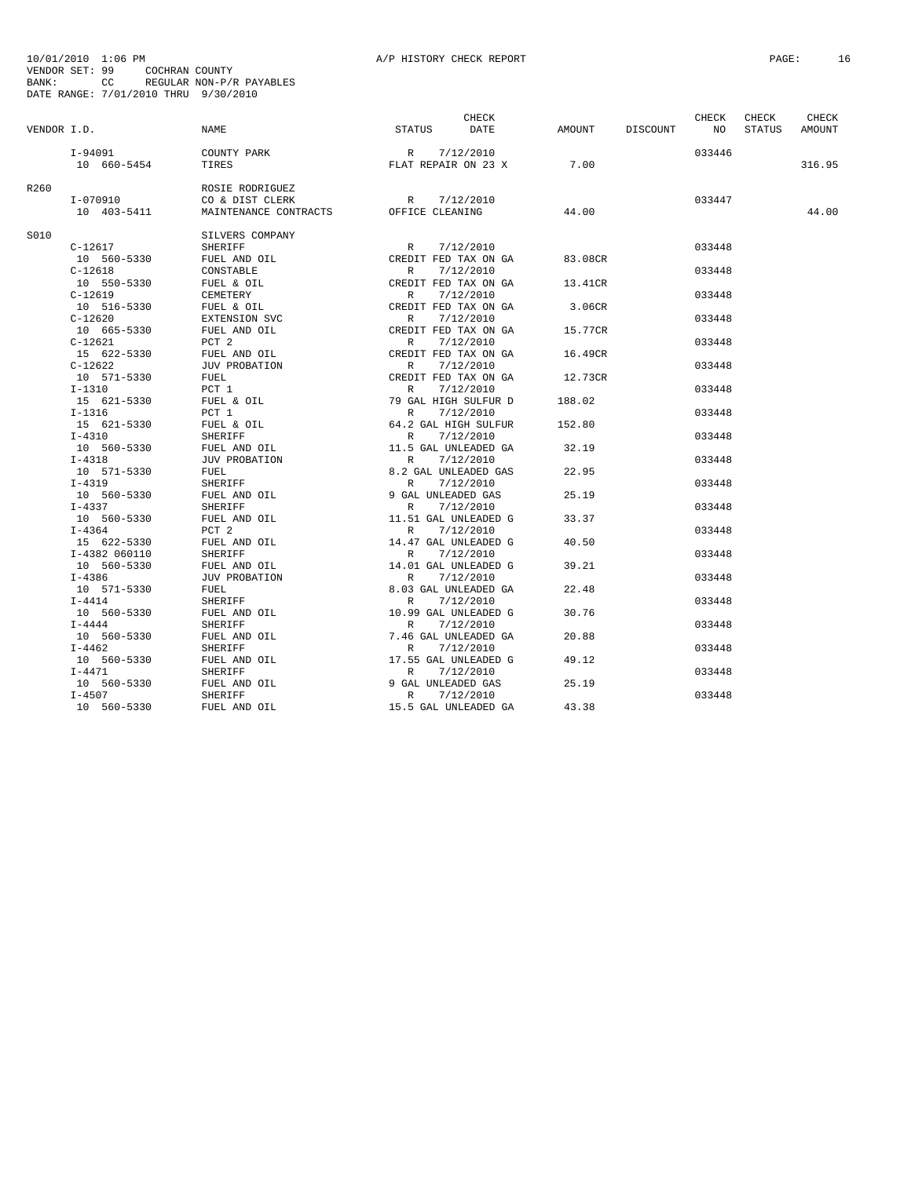|             |               |                       |                                                                                                                                                                                                                                                  | CHECK     |         |          | CHECK  | CHECK  | CHECK  |
|-------------|---------------|-----------------------|--------------------------------------------------------------------------------------------------------------------------------------------------------------------------------------------------------------------------------------------------|-----------|---------|----------|--------|--------|--------|
| VENDOR I.D. |               | NAME                  | STATUS                                                                                                                                                                                                                                           | DATE      | AMOUNT  | DISCOUNT | NO     | STATUS | AMOUNT |
|             | I-94091       | COUNTY PARK           |                                                                                                                                                                                                                                                  |           |         |          | 033446 |        |        |
|             | 10 660-5454   | TIRES                 | R 7/12/2010<br>FLAT REPAIR ON 23 X                                                                                                                                                                                                               |           | 7.00    |          |        |        | 316.95 |
| R260        |               | ROSIE RODRIGUEZ       |                                                                                                                                                                                                                                                  |           |         |          |        |        |        |
|             | I-070910      | CO & DIST CLERK       | R 7/12/2010                                                                                                                                                                                                                                      |           |         |          | 033447 |        |        |
|             | 10 403-5411   | MAINTENANCE CONTRACTS | OFFICE CLEANING                                                                                                                                                                                                                                  |           | 44.00   |          |        |        | 44.00  |
| S010        |               | SILVERS COMPANY       |                                                                                                                                                                                                                                                  |           |         |          |        |        |        |
|             | $C-12617$     | SHERIFF               | R                                                                                                                                                                                                                                                | 7/12/2010 |         |          | 033448 |        |        |
|             | 10 560-5330   | FUEL AND OIL          | CREDIT FED TAX ON GA                                                                                                                                                                                                                             |           | 83.08CR |          |        |        |        |
|             | $C-12618$     | CONSTABLE             | R                                                                                                                                                                                                                                                | 7/12/2010 |         |          | 033448 |        |        |
|             | 10 550-5330   | FUEL & OIL            | CREDIT FED TAX ON GA                                                                                                                                                                                                                             |           | 13.41CR |          |        |        |        |
|             | $C-12619$     | CEMETERY              | R                                                                                                                                                                                                                                                | 7/12/2010 |         |          | 033448 |        |        |
|             | 10 516-5330   | FUEL & OIL            | CREDIT FED TAX ON GA                                                                                                                                                                                                                             |           | 3.06CR  |          |        |        |        |
|             | $C-12620$     | EXTENSION SVC         |                                                                                                                                                                                                                                                  | 7/12/2010 |         |          | 033448 |        |        |
|             | 10 665-5330   | FUEL AND OIL          | $CRFn-$<br>CREDIT FED TAX ON GA                                                                                                                                                                                                                  |           | 15.77CR |          |        |        |        |
|             | $C-12621$     | PCT 2                 |                                                                                                                                                                                                                                                  | 7/12/2010 |         |          | 033448 |        |        |
|             | 15 622-5330   | FUEL AND OIL          | CREDIT FED TAX ON GA                                                                                                                                                                                                                             |           | 16.49CR |          |        |        |        |
|             | $C-12622$     | JUV PROBATION         | $\mathbb{R}$                                                                                                                                                                                                                                     | 7/12/2010 |         |          | 033448 |        |        |
|             | 10 571-5330   | FUEL                  | CR<br>CR<br>CR<br>CREDIT FED TAX ON GA                                                                                                                                                                                                           |           | 12.73CR |          |        |        |        |
|             | $I-1310$      | PCT 1                 | $\mathbb{R}$                                                                                                                                                                                                                                     | 7/12/2010 |         |          | 033448 |        |        |
|             | 15 621-5330   | FUEL & OIL            | 79 GAL HIGH SULFUR D                                                                                                                                                                                                                             |           | 188.02  |          |        |        |        |
|             | $I-1316$      | PCT 1                 |                                                                                                                                                                                                                                                  |           |         |          | 033448 |        |        |
|             | 15 621-5330   | FUEL & OIL            | $\begin{tabular}{ll} R & \mbox{\it $\prime$} + 24, 24, 34 \\ R & \mbox{\it $\phantom$7$} / 12 / \sqrt{2010} \\ R & \mbox{\it $\phantom$7$} / 12 / \sqrt{2010} \\ 11.5 \mbox{ GAL} & \mbox{\it $\phantom$7$} / 17 / \sqrt{2010} \\ \end{tabular}$ |           | 152.80  |          |        |        |        |
|             | $I - 4310$    | SHERIFF               |                                                                                                                                                                                                                                                  |           |         |          | 033448 |        |        |
|             | 10 560-5330   | FUEL AND OIL          |                                                                                                                                                                                                                                                  |           | 32.19   |          |        |        |        |
|             | $I - 4318$    | <b>JUV PROBATION</b>  |                                                                                                                                                                                                                                                  |           |         |          | 033448 |        |        |
|             | 10 571-5330   | FUEL                  | R 7/12/2010<br>8.2 GAL UNLEADED GAS                                                                                                                                                                                                              |           | 22.95   |          |        |        |        |
|             | $I-4319$      | SHERIFF               |                                                                                                                                                                                                                                                  | 7/12/2010 |         |          | 033448 |        |        |
|             | 10 560-5330   | FUEL AND OIL          | $\begin{array}{c} 2.2 \text{ C} \\ \text{R} \\ 9 \text{ GAP} \end{array}$<br>9 GAL UNLEADED GAS                                                                                                                                                  |           | 25.19   |          |        |        |        |
|             | $I - 4337$    | <b>SHERIFF</b>        |                                                                                                                                                                                                                                                  | 7/12/2010 |         |          | 033448 |        |        |
|             | 10 560-5330   | FUEL AND OIL          | 11.51 GAL UNLEADED G                                                                                                                                                                                                                             |           | 33.37   |          |        |        |        |
|             | $I-4364$      | PCT 2                 | R                                                                                                                                                                                                                                                | 7/12/2010 |         |          | 033448 |        |        |
|             | 15 622-5330   | FUEL AND OIL          | 14.47 GAL UNLEADED G                                                                                                                                                                                                                             |           | 40.50   |          |        |        |        |
|             | I-4382 060110 | <b>SHERIFF</b>        | $\mathbb{R}$                                                                                                                                                                                                                                     | 7/12/2010 |         |          | 033448 |        |        |
|             | 10 560-5330   | FUEL AND OIL          | 14.01 GAL UNLEADED G                                                                                                                                                                                                                             |           | 39.21   |          |        |        |        |
|             | $I-4386$      | <b>JUV PROBATION</b>  | R                                                                                                                                                                                                                                                | 7/12/2010 |         |          | 033448 |        |        |
|             | 10 571-5330   | FUEL                  | 8.03 GAL UNLEADED GA                                                                                                                                                                                                                             |           | 22.48   |          |        |        |        |
|             | $I-4414$      | SHERIFF               | $\mathbb{R}$                                                                                                                                                                                                                                     | 7/12/2010 |         |          | 033448 |        |        |
|             | 10 560-5330   | FUEL AND OIL          | 10.99 GAL UNLEADED G                                                                                                                                                                                                                             |           | 30.76   |          |        |        |        |
|             | $I-4444$      | SHERIFF               | R                                                                                                                                                                                                                                                | 7/12/2010 |         |          | 033448 |        |        |
|             | 10 560-5330   | FUEL AND OIL          | 7.46 GAL UNLEADED GA                                                                                                                                                                                                                             |           | 20.88   |          |        |        |        |
|             | $I - 4462$    | SHERIFF               | R                                                                                                                                                                                                                                                | 7/12/2010 |         |          | 033448 |        |        |
|             | 10 560-5330   | FUEL AND OIL          | 17.55 GAL UNLEADED G                                                                                                                                                                                                                             |           | 49.12   |          |        |        |        |
|             | $I - 4471$    | SHERIFF               | $\begin{array}{ccccc}\n & R & 7/12/2010 \\ \hline\n9 & GAL & UNLEADED & GAS\n\end{array}$                                                                                                                                                        |           |         |          | 033448 |        |        |
|             | 10 560-5330   | FUEL AND OIL          |                                                                                                                                                                                                                                                  |           | 25.19   |          |        |        |        |
|             | $I-4507$      | <b>SHERIFF</b>        | R                                                                                                                                                                                                                                                | 7/12/2010 |         |          | 033448 |        |        |
|             | 10 560-5330   | FUEL AND OIL          | 15.5 GAL UNLEADED GA                                                                                                                                                                                                                             |           | 43.38   |          |        |        |        |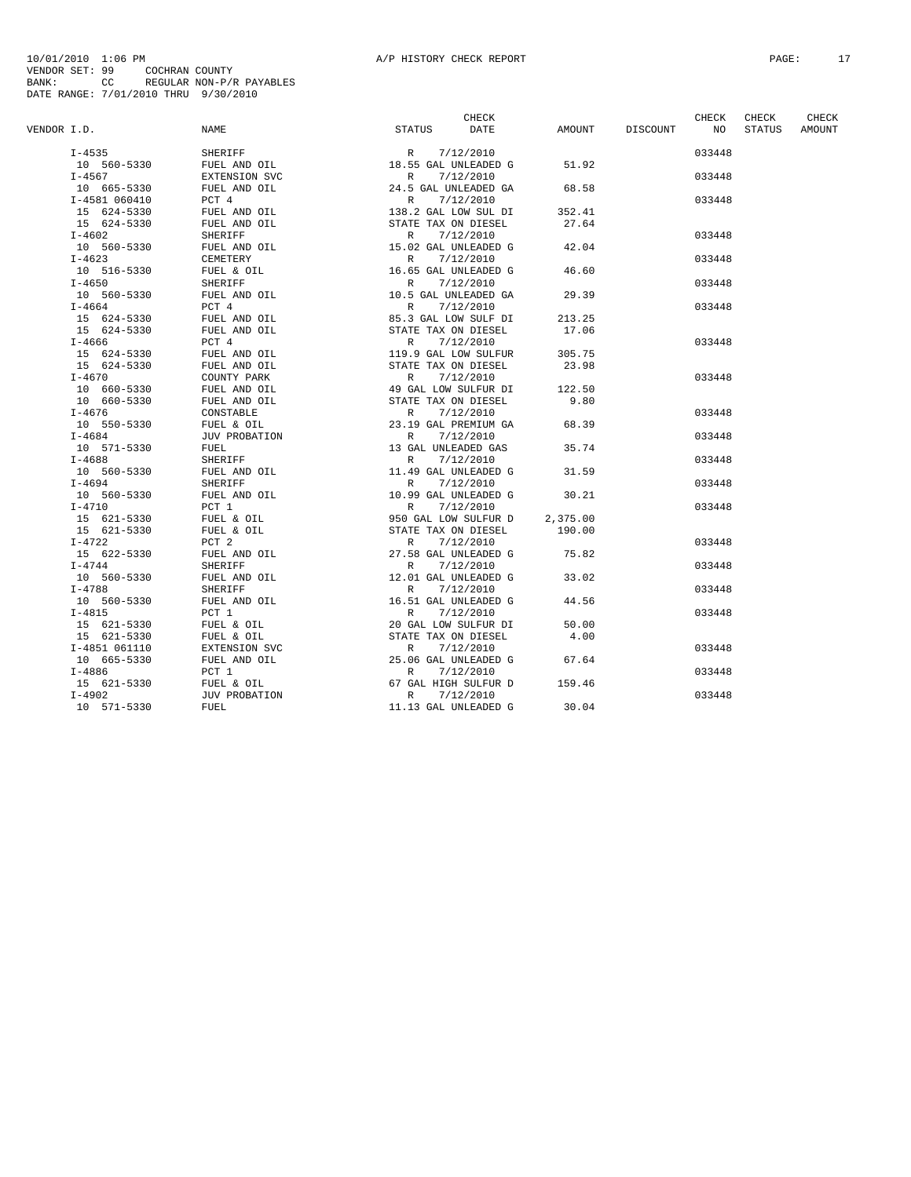|             |               |                         | CHECK                                                                                                 |                 | CHECK           | CHECK  | CHECK  |
|-------------|---------------|-------------------------|-------------------------------------------------------------------------------------------------------|-----------------|-----------------|--------|--------|
| VENDOR I.D. |               | NAME                    | <b>STATUS</b><br>DATE                                                                                 | AMOUNT DISCOUNT | NO <sub>N</sub> | STATUS | AMOUNT |
|             | $I - 4535$    | SHERIFF                 | R 7/12/2010<br>18.55 GAL UNLEADED G                                                                   |                 | 033448          |        |        |
|             | 10 560-5330   | FUEL AND OIL            |                                                                                                       | 51.92           |                 |        |        |
|             | $I - 4567$    | EXTENSION SVC           | R<br>7/12/2010                                                                                        |                 | 033448          |        |        |
|             | 10 665-5330   | FUEL AND OIL            | 24.5 GAL UNLEADED GA                                                                                  | 68.58           |                 |        |        |
|             | I-4581 060410 | PCT 4                   | R 7/12/2010                                                                                           |                 | 033448          |        |        |
|             | 15 624-5330   | FUEL AND OIL            |                                                                                                       | 352.41          |                 |        |        |
|             | 15 624-5330   | FUEL AND OIL<br>CHEDIER | 138.2 GAL LOW SUL DI<br>STATE TAX ON DIESEL                                                           | 27.64           |                 |        |        |
|             | $I-4602$      | SHERIFF                 |                                                                                                       |                 | 033448          |        |        |
|             | 10 560-5330   | FUEL AND OIL            | R 7/12/2010<br>15.02 GAL UNLEADED G                                                                   | 42.04           |                 |        |        |
|             | $I - 4623$    | CEMETERY                | R<br>7/12/2010                                                                                        |                 | 033448          |        |        |
|             | 10 516-5330   | FUEL & OIL              | 16.65 GAL UNLEADED G                                                                                  | 46.60           |                 |        |        |
|             | $I - 4650$    | SHERIFF                 | 7/12/2010<br>R                                                                                        |                 | 033448          |        |        |
|             | 10 560-5330   | FUEL AND OIL            | 10.5 GAL UNLEADED GA                                                                                  | 29.39           |                 |        |        |
|             | $I - 4664$    | PCT 4                   | R 7/12/2010                                                                                           |                 | 033448          |        |        |
|             | 15 624-5330   | FUEL AND OIL            | 85.3 GAL LOW SULF DI                                                                                  | 213.25          |                 |        |        |
|             | 15 624-5330   | FUEL AND OIL            | STATE TAX ON DIESEL                                                                                   | 17.06           |                 |        |        |
|             | $I - 4666$    | PCT 4                   |                                                                                                       |                 | 033448          |        |        |
|             | 15 624-5330   | FUEL AND OIL            | R 7/12/2010<br>119.9 GAL LOW SULFUR                                                                   | 305.75          |                 |        |        |
|             | 15 624-5330   | FUEL AND OIL            |                                                                                                       | 23.98           |                 |        |        |
|             | $I - 4670$    | COUNTY PARK             |                                                                                                       |                 | 033448          |        |        |
|             | 10 660-5330   | FUEL AND OIL            | 119.9 SAM DOLFUR<br>STATE TAX ON DIESEL<br>R 7/12/2010<br>49 GAL LOW SULFUR DI<br>STATE TAX ON DIESEL | 122.50          |                 |        |        |
|             | 10 660-5330   | FUEL AND OIL            |                                                                                                       | 9.80            |                 |        |        |
|             | I-4676        | CONSTABLE               | R<br>7/12/2010                                                                                        |                 | 033448          |        |        |
|             | 10 550-5330   | FUEL & OIL              | 23.19 GAL PREMIUM GA                                                                                  | 68.39           |                 |        |        |
|             | $I - 4684$    | JUV PROBATION           | 7/12/2010<br>R                                                                                        |                 | 033448          |        |        |
|             | 10 571-5330   | FUEL                    | 13 GAL UNLEADED GAS                                                                                   | 35.74           |                 |        |        |
|             | $I - 4688$    | SHERIFF                 | 7/12/2010<br>$\mathbb{R}$                                                                             |                 | 033448          |        |        |
|             | 10 560-5330   | FUEL AND OIL            | 11.49 GAL UNLEADED G                                                                                  | 31.59           |                 |        |        |
|             | $I - 4694$    | SHERIFF                 |                                                                                                       |                 | 033448          |        |        |
|             | 10 560-5330   | FUEL AND OIL            | R 7/12/2010<br>10.99 GAL UNLEADED G                                                                   | 30.21           |                 |        |        |
|             | $I-4710$      | PCT 1                   | 7/12/2010<br>R                                                                                        |                 | 033448          |        |        |
|             | 15 621-5330   | FUEL & OIL              |                                                                                                       | 2,375.00        |                 |        |        |
|             | 15 621-5330   | FUEL & OIL              |                                                                                                       | 190.00          |                 |        |        |
|             | I-4722        | PCT 2                   |                                                                                                       |                 | 033448          |        |        |
|             | 15 622-5330   | FUEL AND OIL            |                                                                                                       | 75.82           |                 |        |        |
|             | $I - 4744$    | SHERIFF                 | $R$ 7/12/2010<br>27.58 GAL UNLEADED G<br>$R$ 7/12/2010                                                |                 | 033448          |        |        |
|             | 10 560-5330   | FUEL AND OIL            | 12.01 GAL UNLEADED G                                                                                  | 33.02           |                 |        |        |
|             | $I - 4788$    | SHERIFF                 | 7/12/2010<br>R                                                                                        |                 | 033448          |        |        |
|             | 10 560-5330   | FUEL AND OIL            |                                                                                                       | 44.56           |                 |        |        |
|             | $I - 4815$    | PCT 1                   |                                                                                                       |                 | 033448          |        |        |
|             | 15 621-5330   | FUEL & OIL              |                                                                                                       | 50.00           |                 |        |        |
|             | 15 621-5330   | FUEL & OIL              |                                                                                                       | 4.00            |                 |        |        |
|             | I-4851 061110 | EXTENSION SVC           |                                                                                                       |                 | 033448          |        |        |
|             | 10 665-5330   | FUEL AND OIL            |                                                                                                       | 67.64           |                 |        |        |
|             | $I - 4886$    | PCT 1                   |                                                                                                       |                 | 033448          |        |        |
|             | 15 621-5330   | FUEL & OIL              |                                                                                                       | 159.46          |                 |        |        |
|             | $I-4902$      | JUV PROBATION           |                                                                                                       |                 | 033448          |        |        |
|             | 10 571-5330   | FUEL                    | 11.13 GAL UNLEADED G                                                                                  | 30.04           |                 |        |        |
|             |               |                         |                                                                                                       |                 |                 |        |        |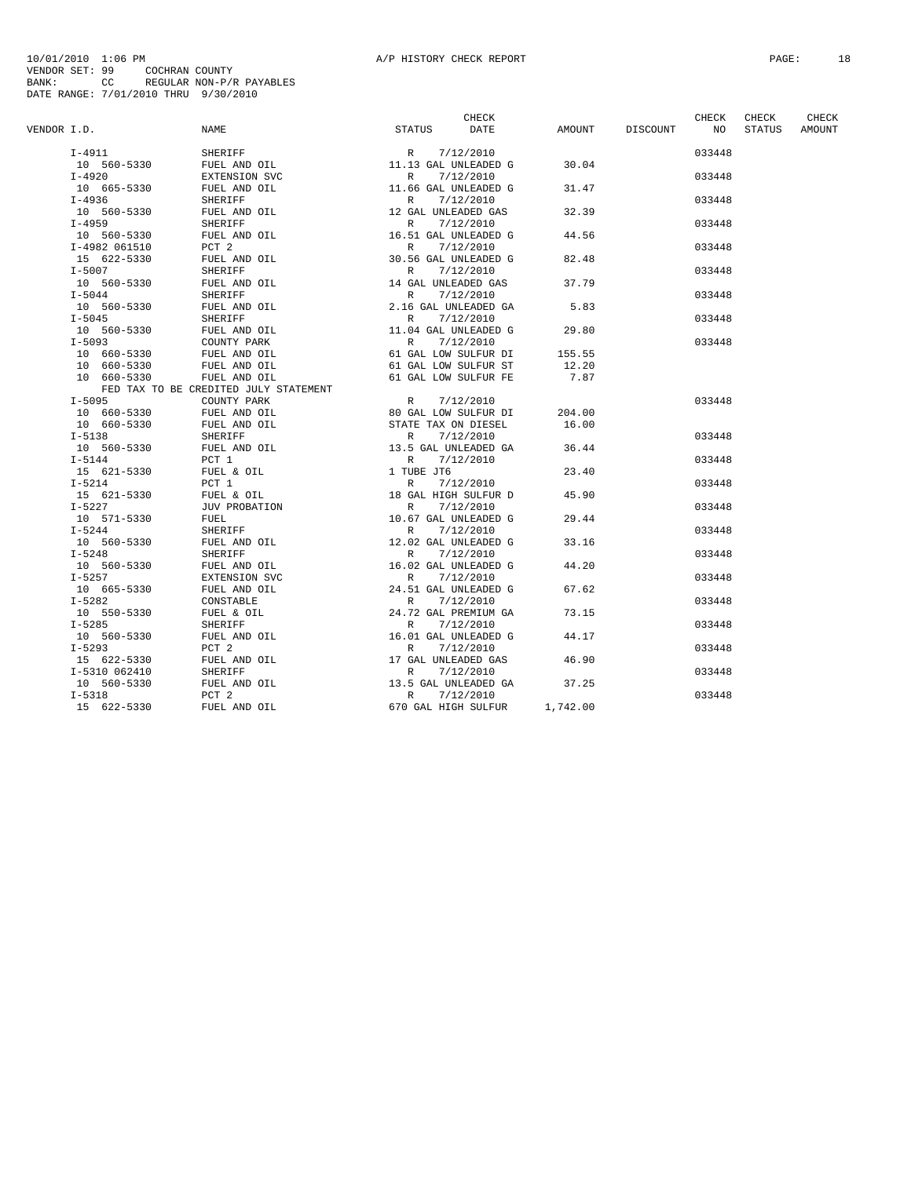|             |               |                                                                                               | CHECK                                                                      |          |                 | CHECK           | CHECK  | CHECK  |
|-------------|---------------|-----------------------------------------------------------------------------------------------|----------------------------------------------------------------------------|----------|-----------------|-----------------|--------|--------|
| VENDOR I.D. |               | <b>STATUS</b><br>NAME                                                                         | DATE                                                                       |          | AMOUNT DISCOUNT | NO <sub>1</sub> | STATUS | AMOUNT |
|             | $I-4911$      | SHERIFF                                                                                       | R 7/12/2010<br>11.13 GAL UNLEADED G<br>P 7/12/2010                         |          |                 | 033448          |        |        |
|             | 10 560-5330   | FUEL AND OIL                                                                                  |                                                                            | 30.04    |                 |                 |        |        |
|             | $I-4920$      | EXTENSION SVC                                                                                 | R 7/12/2010<br>11.6 GAL UNLEADED G                                         |          |                 | 033448          |        |        |
|             | 10 665-5330   | FUEL AND OIL                                                                                  |                                                                            | 31.47    |                 |                 |        |        |
|             | $I-4936$      | SHERIFF                                                                                       | R<br>7/12/2010                                                             |          |                 | 033448          |        |        |
|             | 10 560-5330   | FUEL AND OIL                                                                                  | 12 GAL UNLEADED GAS                                                        | 32.39    |                 |                 |        |        |
|             | $I-4959$      | SHERIFF                                                                                       |                                                                            |          |                 | 033448          |        |        |
|             | 10 560-5330   | FUEL AND OIL                                                                                  | R 7/12/2010<br>16.51 GAL UNLEADED G                                        | 44.56    |                 |                 |        |        |
|             | I-4982 061510 | PCT 2                                                                                         | 7/12/2010<br>R                                                             |          |                 | 033448          |        |        |
|             | 15 622-5330   | FUEL AND OIL                                                                                  | 30.56 GAL UNLEADED G                                                       | 82.48    |                 |                 |        |        |
|             | $I-5007$      | SHERIFF                                                                                       | R 7/12/2010                                                                |          |                 | 033448          |        |        |
|             | 10 560-5330   | FUEL AND OIL                                                                                  |                                                                            | 37.79    |                 |                 |        |        |
|             | $I-5044$      | SHERIFF                                                                                       | 7/12/2010<br>R                                                             |          |                 | 033448          |        |        |
|             | 10 560-5330   |                                                                                               | 2.16 GAL UNLEADED GA                                                       | 5.83     |                 |                 |        |        |
|             |               | FUEL AND OIL                                                                                  |                                                                            |          |                 |                 |        |        |
|             | $I-5045$      | SHERIFF                                                                                       | 7/12/2010<br>R<br>11.04 GAL UNLEADED G                                     |          |                 | 033448          |        |        |
|             | 10 560-5330   | FUEL AND OIL                                                                                  |                                                                            | 29.80    |                 |                 |        |        |
|             | $I - 5093$    | COUNTY PARK                                                                                   | R 7/12/2010<br>61 GAL LOW SULFUR DI                                        |          |                 | 033448          |        |        |
|             | 10 660-5330   | FUEL AND OIL<br>FUEL AND OIL                                                                  |                                                                            | 155.55   |                 |                 |        |        |
|             | 10 660-5330   |                                                                                               | 61 GAL LOW SULFUR ST                                                       | 12.20    |                 |                 |        |        |
|             | 10 660-5330   | FUEL AND OIL                                                                                  | 61 GAL LOW SULFUR FE                                                       | 7.87     |                 |                 |        |        |
|             |               | FED TAX TO BE CREDITED JULY STATEMENT                                                         |                                                                            |          |                 |                 |        |        |
|             | I-5095        | COUNTY PARK                                                                                   | R<br>7/12/2010                                                             |          |                 | 033448          |        |        |
|             | 10 660-5330   | FUEL AND OIL                                                                                  | 80 GAL LOW SULFUR DI<br>STATE TAX ON DIESEL                                | 204.00   |                 |                 |        |        |
|             | 10 660-5330   | FUEL AND OIL                                                                                  |                                                                            | 16.00    |                 |                 |        |        |
|             | I-5138        | SHERIFF                                                                                       | 7/12/2010<br>R                                                             |          |                 | 033448          |        |        |
|             | 10 560-5330   | FUEL AND OIL                                                                                  | 13.5 GAL UNLEADED GA                                                       | 36.44    |                 |                 |        |        |
|             | $I-5144$      | PCT 1                                                                                         | R 7/12/2010                                                                |          |                 | 033448          |        |        |
|             | 15 621-5330   | FUEL & OIL                                                                                    | 1 TUBE JT6                                                                 | 23.40    |                 |                 |        |        |
|             | $I-5214$      | PCT 1                                                                                         | 7/12/2010<br>R                                                             |          |                 | 033448          |        |        |
|             | 15 621-5330   | FUEL & OIL                                                                                    | 18 GAL HIGH SULFUR D                                                       | 45.90    |                 |                 |        |        |
|             | $I-5227$      | JUV PROBATION                                                                                 | 7/12/2010<br>R                                                             |          |                 | 033448          |        |        |
|             | 10 571-5330   | FUEL                                                                                          | 10.67 GAL UNLEADED G                                                       | 29.44    |                 |                 |        |        |
|             | $I - 5244$    | SHERIFF                                                                                       | R 7/12/2010                                                                |          |                 | 033448          |        |        |
|             | 10 560-5330   | FUEL AND OIL                                                                                  | 12.02 GAL UNLEADED G                                                       | 33.16    |                 |                 |        |        |
|             | $I - 5248$    | SHERIFF                                                                                       | R 7/12/2010                                                                |          |                 | 033448          |        |        |
|             | 10 560-5330   | FUEL AND OIL                                                                                  | 16.02 GAL UNLEADED G                                                       | 44.20    |                 |                 |        |        |
|             | $I-5257$      | EXTENSION SVC                                                                                 | R 7/12/2010                                                                |          |                 | 033448          |        |        |
|             | 10 665-5330   | FUEL AND OIL                                                                                  |                                                                            | 67.62    |                 |                 |        |        |
|             | $I - 5282$    | CONSTABLE                                                                                     | R 7/12/2010<br>24.51 GAL UNLEADED G<br>R 7/12/2010<br>24.72 GAL PREMIUM GA |          |                 | 033448          |        |        |
|             | 10 550-5330   | FUEL & OIL                                                                                    |                                                                            | 73.15    |                 |                 |        |        |
|             | $I - 5285$    | SHERIFF R 7/12/2010<br>FUEL AND OIL R 7/12/2010<br>PCT 2                                      |                                                                            |          |                 | 033448          |        |        |
|             | 10 560-5330   |                                                                                               |                                                                            | 44.17    |                 |                 |        |        |
|             | $I - 5293$    |                                                                                               | R<br>7/12/2010                                                             |          |                 | 033448          |        |        |
|             | 15 622-5330   | FUEL AND OIL                                                                                  | 17 GAL UNLEADED GAS                                                        | 46.90    |                 |                 |        |        |
|             | I-5310 062410 | SHERIFF PUEL AND OIL (Reverse 17/12/2010)<br>RUEL AND OIL (Reverse 13.5 GAL UNLEADED GA PCT 2 |                                                                            |          |                 | 033448          |        |        |
|             | 10 560-5330   |                                                                                               |                                                                            | 37.25    |                 |                 |        |        |
|             | $I - 5318$    |                                                                                               |                                                                            |          |                 | 033448          |        |        |
|             | 15 622-5330   | FUEL AND OIL                                                                                  | 670 GAL HIGH SULFUR                                                        | 1,742.00 |                 |                 |        |        |
|             |               |                                                                                               |                                                                            |          |                 |                 |        |        |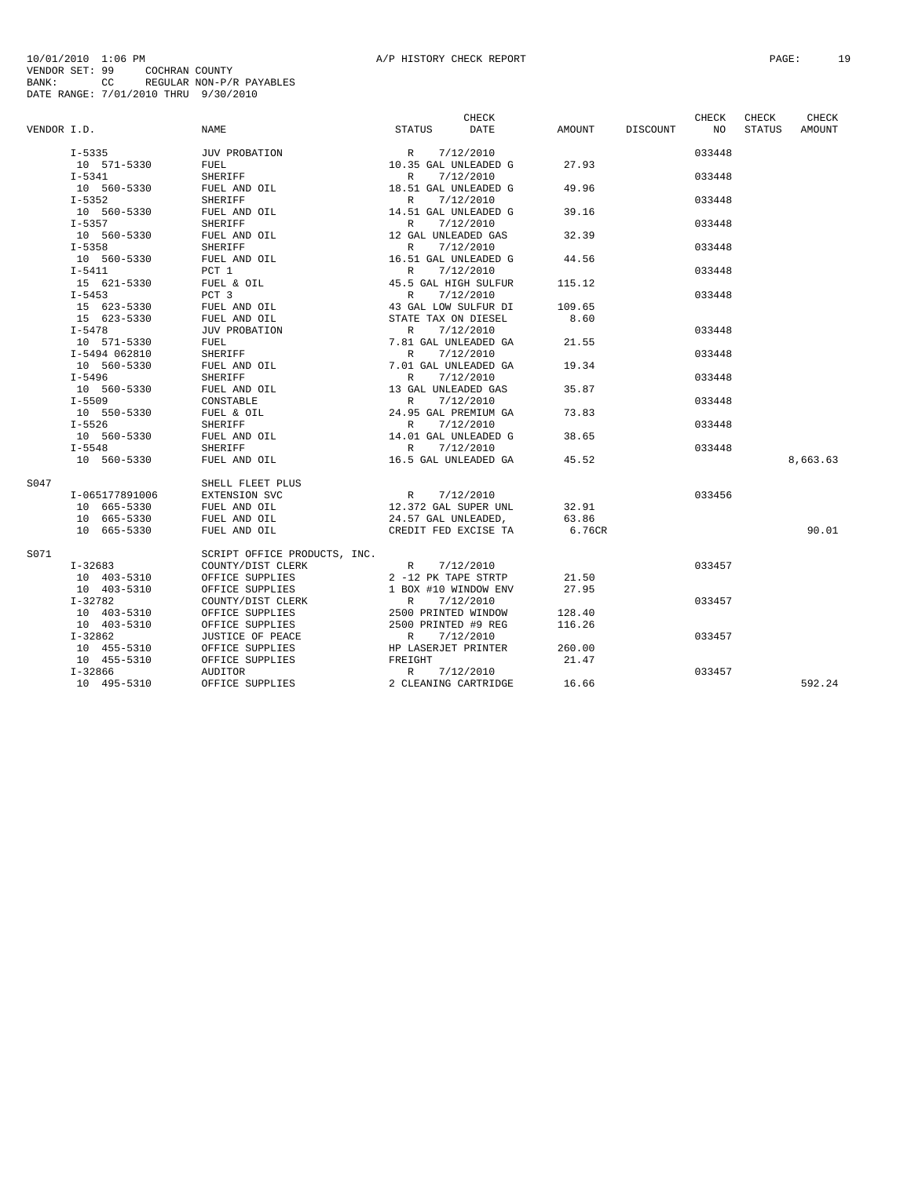|             |                |                               |                                                           | CHECK     |                    | CHECK  | CHECK         | CHECK    |
|-------------|----------------|-------------------------------|-----------------------------------------------------------|-----------|--------------------|--------|---------------|----------|
| VENDOR I.D. |                | NAME                          | STATUS                                                    | DATE      | AMOUNT DISCOUNT NO |        | <b>STATUS</b> | AMOUNT   |
|             | $I - 5335$     | JUV PROBATION                 | $R = 7/12/2010$<br>10.35 GAL UNLEADED G                   |           |                    | 033448 |               |          |
|             | 10 571-5330    | FUEL                          |                                                           |           | 27.93              |        |               |          |
|             | $I-5341$       | SHERIFF                       | R                                                         | 7/12/2010 |                    | 033448 |               |          |
|             | 10 560-5330    | FUEL AND OIL                  | 18.51 GAL UNLEADED G                                      |           | 49.96              |        |               |          |
|             | $I - 5352$     | SHERIFF                       | R                                                         | 7/12/2010 |                    | 033448 |               |          |
|             | 10 560-5330    | FUEL AND OIL                  | 14.51 GAL UNLEADED G                                      |           | 39.16              |        |               |          |
|             | $I - 5357$     | SHERIFF                       | R                                                         | 7/12/2010 |                    | 033448 |               |          |
|             | 10 560-5330    | FUEL AND OIL                  | 12 GAL UNLEADED GAS                                       |           | 32.39              |        |               |          |
|             | $I - 5358$     | SHERIFF                       | R                                                         | 7/12/2010 |                    | 033448 |               |          |
|             | 10 560-5330    | FUEL AND OIL                  | 16.51 GAL UNLEADED G                                      |           | 44.56              |        |               |          |
|             | $I-5411$       | PCT 1                         | R                                                         | 7/12/2010 |                    | 033448 |               |          |
|             | 15 621-5330    | FUEL & OIL                    | 45.5 GAL HIGH SULFUR                                      |           | 115.12             |        |               |          |
|             | $I - 5453$     | PCT 3                         | R                                                         | 7/12/2010 |                    | 033448 |               |          |
|             | 15 623-5330    | FUEL AND OIL                  | 43 GAL LOW SULFUR DI                                      |           | 109.65             |        |               |          |
|             | 15 623-5330    | FUEL AND OIL                  | STATE TAX ON DIESEL                                       |           | 8.60               |        |               |          |
|             | $I - 5478$     | JUV PROBATION                 | R 7/12/2010                                               |           |                    | 033448 |               |          |
|             | 10 571-5330    | FUEL                          | 7.81 GAL UNLEADED GA                                      |           | 21.55              |        |               |          |
|             | I-5494 062810  | SHERIFF                       | R                                                         | 7/12/2010 |                    | 033448 |               |          |
|             | 10 560-5330    | FUEL AND OIL                  | 7.01 GAL UNLEADED GA                                      |           | 19.34              |        |               |          |
|             | I-5496         | SHERIFF                       | $R_{\perp}$                                               | 7/12/2010 |                    | 033448 |               |          |
|             | 10 560-5330    | FUEL AND OIL                  | 13 GAL UNLEADED GAS                                       |           | 35.87              |        |               |          |
|             | $I - 5509$     | CONSTABLE                     |                                                           |           |                    | 033448 |               |          |
|             | 10 550-5330    | FUEL & OIL                    | R 7/12/2010<br>24.95 GAL PREMIUM GA                       |           | 73.83              |        |               |          |
|             | $I-5526$       | SHERIFF                       | R                                                         | 7/12/2010 |                    | 033448 |               |          |
|             | 10 560-5330    | FUEL AND OIL                  | 14.01 GAL UNLEADED G                                      |           | 38.65              |        |               |          |
|             | $I - 5548$     | <b>SHERIFF</b>                | R                                                         | 7/12/2010 |                    | 033448 |               |          |
|             | 10 560-5330    | FUEL AND OIL                  | 16.5 GAL UNLEADED GA                                      |           | 45.52              |        |               | 8,663.63 |
|             |                |                               |                                                           |           |                    |        |               |          |
| S047        |                | SHELL FLEET PLUS              |                                                           |           |                    |        |               |          |
|             | I-065177891006 | EXTENSION SVC                 | R                                                         | 7/12/2010 |                    | 033456 |               |          |
|             | 10 665-5330    | FUEL AND OIL                  | 12.372 GAL SUPER UNL                                      |           | 32.91              |        |               |          |
|             | 10 665-5330    | FUEL AND OIL                  | 24.57 GAL UNLEADED,                                       |           | 63.86              |        |               |          |
|             | 10 665-5330    | FUEL AND OIL                  | CREDIT FED EXCISE TA                                      |           | 6.76CR             |        |               | 90.01    |
| S071        |                | SCRIPT OFFICE PRODUCTS, INC.  |                                                           |           |                    |        |               |          |
|             | $I - 32683$    | COUNTY/DIST CLERK R 7/12/2010 |                                                           |           |                    | 033457 |               |          |
|             | 10 403-5310    | OFFICE SUPPLIES               | 2 -12 PK TAPE STRTP                                       |           | 21.50              |        |               |          |
|             | 10 403-5310    | OFFICE SUPPLIES               | 1 BOX #10 WINDOW ENV                                      |           | 27.95              |        |               |          |
|             | $I-32782$      | COUNTY/DIST CLERK             | R                                                         | 7/12/2010 |                    | 033457 |               |          |
|             | 10 403-5310    | OFFICE SUPPLIES               | 2500 PRINTED WINDOW                                       |           | 128.40             |        |               |          |
|             | 10 403-5310    | OFFICE SUPPLIES               |                                                           |           | 116.26             |        |               |          |
|             | $I-32862$      | JUSTICE OF PEACE              |                                                           |           |                    | 033457 |               |          |
|             | 10 455-5310    | OFFICE SUPPLIES               | 2500 PRINTED #9 REG<br>R 7/12/2010<br>HP LASERJET PRINTER |           | 260.00             |        |               |          |
|             | 10 455-5310    |                               |                                                           |           | 21.47              |        |               |          |
|             | I-32866        |                               |                                                           |           |                    | 033457 |               |          |
|             | 10 495-5310    |                               | 2 CLEANING CARTRIDGE                                      |           | 16.66              |        |               | 592.24   |
|             |                |                               |                                                           |           |                    |        |               |          |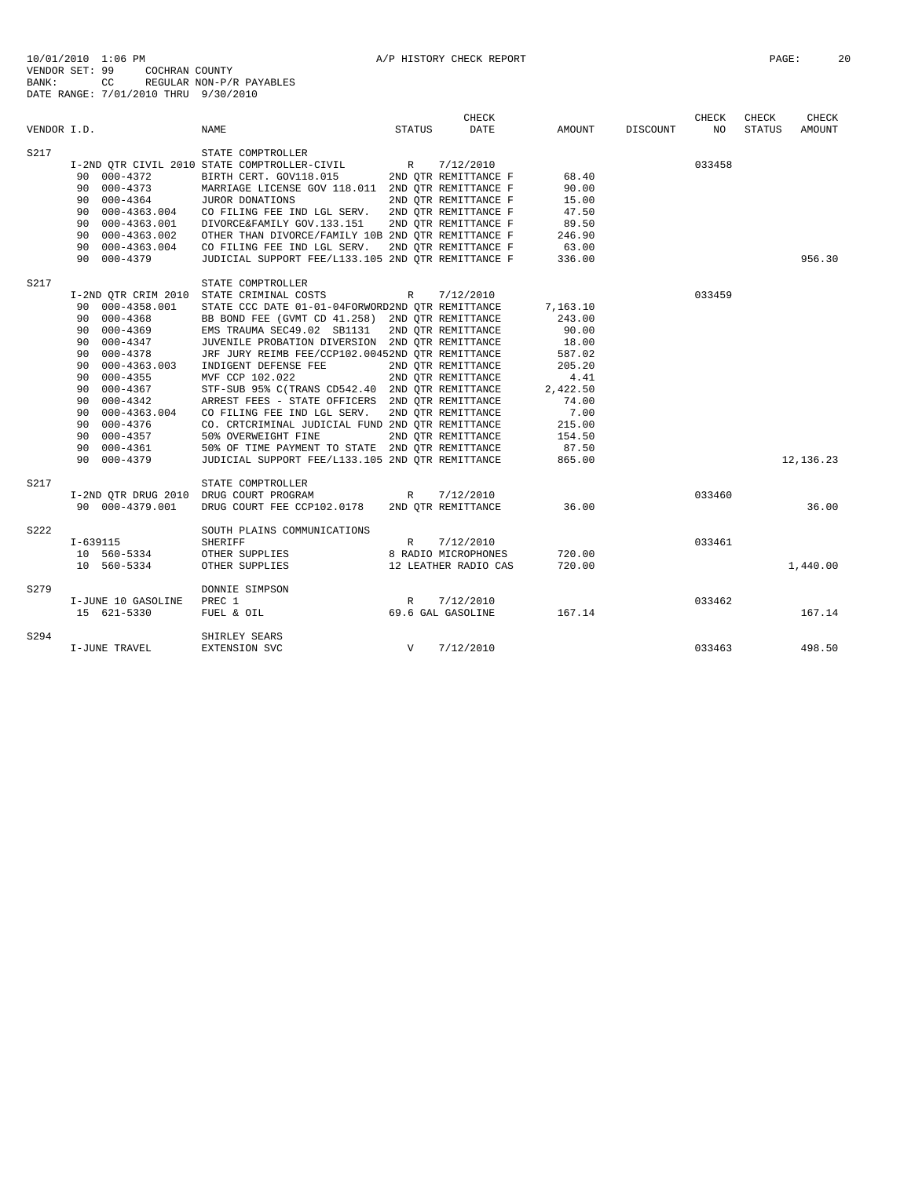| VENDOR I.D. |                                        | <b>NAME</b>                                        | <b>STATUS</b> | <b>CHECK</b><br>DATE | AMOUNT   | DISCOUNT | <b>CHECK</b><br>NO | CHECK<br>STATUS | CHECK<br>AMOUNT |
|-------------|----------------------------------------|----------------------------------------------------|---------------|----------------------|----------|----------|--------------------|-----------------|-----------------|
| S217        |                                        | STATE COMPTROLLER                                  |               |                      |          |          |                    |                 |                 |
|             |                                        | I-2ND OTR CIVIL 2010 STATE COMPTROLLER-CIVIL R     |               | 7/12/2010            |          |          | 033458             |                 |                 |
|             | 90 000-4372                            | BIRTH CERT. GOV118.015                             |               | 2ND OTR REMITTANCE F | 68.40    |          |                    |                 |                 |
|             | 90 000-4373                            | MARRIAGE LICENSE GOV 118.011 2ND QTR REMITTANCE F  |               |                      | 90.00    |          |                    |                 |                 |
|             | 90 000-4364                            | JUROR DONATIONS                                    |               | 2ND OTR REMITTANCE F | 15.00    |          |                    |                 |                 |
|             | 90 000-4363.004                        | CO FILING FEE IND LGL SERV.                        |               | 2ND OTR REMITTANCE F | 47.50    |          |                    |                 |                 |
|             | 90 000-4363.001                        | DIVORCE&FAMILY GOV.133.151                         |               | 2ND QTR REMITTANCE F | 89.50    |          |                    |                 |                 |
|             | 90 000-4363.002                        | OTHER THAN DIVORCE/FAMILY 10B 2ND OTR REMITTANCE F |               |                      | 246.90   |          |                    |                 |                 |
|             | 90 000-4363.004                        | CO FILING FEE IND LGL SERV.                        |               | 2ND OTR REMITTANCE F | 63.00    |          |                    |                 |                 |
|             | 90 000-4379                            | JUDICIAL SUPPORT FEE/L133.105 2ND QTR REMITTANCE F |               |                      | 336.00   |          |                    |                 | 956.30          |
| S217        |                                        | STATE COMPTROLLER                                  |               |                      |          |          |                    |                 |                 |
|             |                                        | I-2ND QTR CRIM 2010 STATE CRIMINAL COSTS           | R             | 7/12/2010            |          |          | 033459             |                 |                 |
|             | 90 000-4358.001                        | STATE CCC DATE 01-01-04FORWORD2ND QTR REMITTANCE   |               |                      | 7,163.10 |          |                    |                 |                 |
|             | 90 000-4368                            | BB BOND FEE (GVMT CD 41.258) 2ND QTR REMITTANCE    |               |                      | 243.00   |          |                    |                 |                 |
|             | 90 000-4369                            | EMS TRAUMA SEC49.02 SB1131                         |               | 2ND OTR REMITTANCE   | 90.00    |          |                    |                 |                 |
|             | 90 000-4347                            | JUVENILE PROBATION DIVERSION 2ND OTR REMITTANCE    |               |                      | 18.00    |          |                    |                 |                 |
|             | 90 000-4378                            | JRF JURY REIMB FEE/CCP102.00452ND OTR REMITTANCE   |               |                      | 587.02   |          |                    |                 |                 |
|             | 90 000-4363.003                        | INDIGENT DEFENSE FEE                               |               | 2ND OTR REMITTANCE   | 205.20   |          |                    |                 |                 |
|             | 90 000-4355                            | MVF CCP 102.022                                    |               | 2ND OTR REMITTANCE   | 4.41     |          |                    |                 |                 |
|             | 90 000-4367                            | STF-SUB 95% C(TRANS CD542.40 2ND QTR REMITTANCE    |               |                      | 2,422.50 |          |                    |                 |                 |
|             | 90 000-4342                            | ARREST FEES - STATE OFFICERS 2ND QTR REMITTANCE    |               |                      | 74.00    |          |                    |                 |                 |
|             | 90 000-4363.004                        | CO FILING FEE IND LGL SERV.                        |               | 2ND OTR REMITTANCE   | 7.00     |          |                    |                 |                 |
|             | 90 000-4376                            | CO. CRTCRIMINAL JUDICIAL FUND 2ND OTR REMITTANCE   |               |                      | 215.00   |          |                    |                 |                 |
|             | 90 000-4357                            | 50% OVERWEIGHT FINE                                |               | 2ND QTR REMITTANCE   | 154.50   |          |                    |                 |                 |
|             | 90 000-4361                            | 50% OF TIME PAYMENT TO STATE 2ND OTR REMITTANCE    |               |                      | 87.50    |          |                    |                 |                 |
|             | 90 000-4379                            | JUDICIAL SUPPORT FEE/L133.105 2ND OTR REMITTANCE   |               |                      | 865.00   |          |                    |                 | 12, 136.23      |
| S217        |                                        | STATE COMPTROLLER                                  |               |                      |          |          |                    |                 |                 |
|             | I-2ND OTR DRUG 2010 DRUG COURT PROGRAM |                                                    | R             | 7/12/2010            |          |          | 033460             |                 |                 |
|             | 90 000-4379.001                        | DRUG COURT FEE CCP102.0178                         |               | 2ND OTR REMITTANCE   | 36.00    |          |                    |                 | 36.00           |
| S222        |                                        | SOUTH PLAINS COMMUNICATIONS                        |               |                      |          |          |                    |                 |                 |
|             | $I - 639115$                           | <b>SHERIFF</b>                                     | $\mathbb{R}$  | 7/12/2010            |          |          | 033461             |                 |                 |
|             | 10 560-5334                            | OTHER SUPPLIES                                     |               | 8 RADIO MICROPHONES  | 720.00   |          |                    |                 |                 |
|             | 10 560-5334                            | OTHER SUPPLIES                                     |               | 12 LEATHER RADIO CAS | 720.00   |          |                    |                 | 1,440.00        |
| S279        |                                        | DONNIE SIMPSON                                     |               |                      |          |          |                    |                 |                 |
|             | I-JUNE 10 GASOLINE                     | PREC 1                                             | R             | 7/12/2010            |          |          | 033462             |                 |                 |
|             | 15 621-5330                            | FUEL & OIL                                         |               | 69.6 GAL GASOLINE    | 167.14   |          |                    |                 | 167.14          |
| S294        |                                        | SHIRLEY SEARS                                      |               |                      |          |          |                    |                 |                 |
|             | I-JUNE TRAVEL                          | EXTENSION SVC                                      | $\mathbf v$   | 7/12/2010            |          |          | 033463             |                 | 498.50          |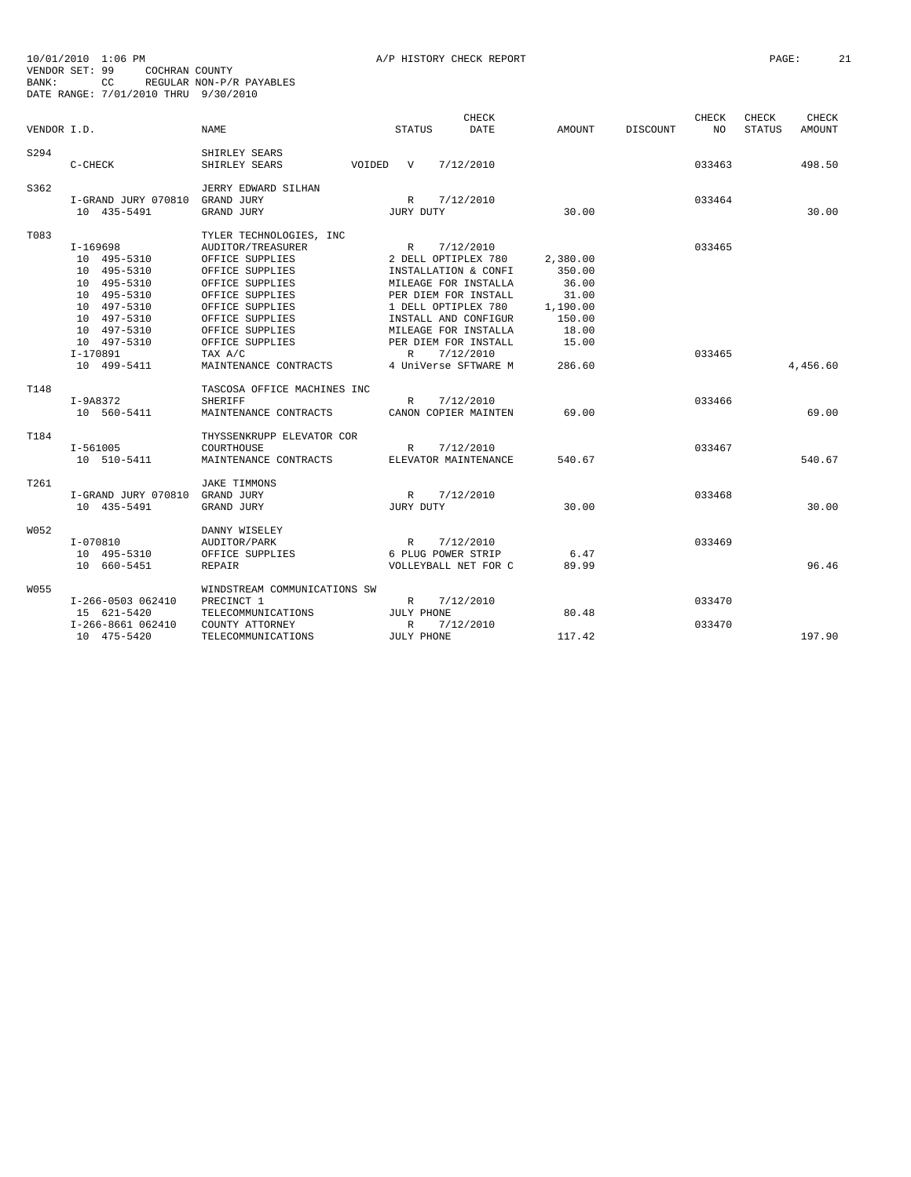| VENDOR I.D. |                     | <b>NAME</b>                  | <b>STATUS</b>       | <b>CHECK</b><br><b>DATE</b> | AMOUNT   | DISCOUNT | <b>CHECK</b><br>NO. | CHECK<br><b>STATUS</b> | CHECK<br><b>AMOUNT</b> |
|-------------|---------------------|------------------------------|---------------------|-----------------------------|----------|----------|---------------------|------------------------|------------------------|
|             |                     |                              |                     |                             |          |          |                     |                        |                        |
| S294        |                     | SHIRLEY SEARS                |                     |                             |          |          |                     |                        |                        |
|             | $C-CHECK$           | SHIRLEY SEARS<br>VOIDED      | $\mathbf v$         | 7/12/2010                   |          |          | 033463              |                        | 498.50                 |
| S362        |                     | JERRY EDWARD SILHAN          |                     |                             |          |          |                     |                        |                        |
|             | I-GRAND JURY 070810 | GRAND JURY                   | $\mathbb{R}$        | 7/12/2010                   |          |          | 033464              |                        |                        |
|             | 10 435-5491         | GRAND JURY                   | JURY DUTY           |                             | 30.00    |          |                     |                        | 30.00                  |
| T083        |                     | TYLER TECHNOLOGIES, INC      |                     |                             |          |          |                     |                        |                        |
|             | I-169698            | AUDITOR/TREASURER            | R                   | 7/12/2010                   |          |          | 033465              |                        |                        |
|             | 10 495-5310         | OFFICE SUPPLIES              | 2 DELL OPTIPLEX 780 |                             | 2,380.00 |          |                     |                        |                        |
|             | 10 495-5310         | OFFICE SUPPLIES              |                     | INSTALLATION & CONFI        | 350.00   |          |                     |                        |                        |
|             | 10 495-5310         | OFFICE SUPPLIES              |                     | MILEAGE FOR INSTALLA        | 36.00    |          |                     |                        |                        |
|             | 10 495-5310         | OFFICE SUPPLIES              |                     | PER DIEM FOR INSTALL        | 31.00    |          |                     |                        |                        |
|             | 10 497-5310         | OFFICE SUPPLIES              | 1 DELL OPTIPLEX 780 |                             | 1,190.00 |          |                     |                        |                        |
|             | 10 497-5310         | OFFICE SUPPLIES              |                     | INSTALL AND CONFIGUR        | 150.00   |          |                     |                        |                        |
|             | 10 497-5310         | OFFICE SUPPLIES              |                     | MILEAGE FOR INSTALLA        | 18.00    |          |                     |                        |                        |
|             | 10 497-5310         | OFFICE SUPPLIES              |                     | PER DIEM FOR INSTALL        | 15.00    |          |                     |                        |                        |
|             | I-170891            | TAX A/C                      | $\mathbb{R}$        | 7/12/2010                   |          |          | 033465              |                        |                        |
|             | 10 499-5411         | MAINTENANCE CONTRACTS        |                     | 4 UniVerse SFTWARE M        | 286.60   |          |                     |                        | 4,456.60               |
| T148        |                     | TASCOSA OFFICE MACHINES INC  |                     |                             |          |          |                     |                        |                        |
|             | $I-9A8372$          | <b>SHERIFF</b>               | $\mathbb{R}$        | 7/12/2010                   |          |          | 033466              |                        |                        |
|             | 10 560-5411         | MAINTENANCE CONTRACTS        |                     | CANON COPIER MAINTEN        | 69.00    |          |                     |                        | 69.00                  |
| T184        |                     | THYSSENKRUPP ELEVATOR COR    |                     |                             |          |          |                     |                        |                        |
|             | I-561005            | COURTHOUSE                   | $\mathbb{R}$        | 7/12/2010                   |          |          | 033467              |                        |                        |
|             | 10 510-5411         | MAINTENANCE CONTRACTS        |                     | ELEVATOR MAINTENANCE        | 540.67   |          |                     |                        | 540.67                 |
| T261        |                     | <b>JAKE TIMMONS</b>          |                     |                             |          |          |                     |                        |                        |
|             | I-GRAND JURY 070810 | GRAND JURY                   | R                   | 7/12/2010                   |          |          | 033468              |                        |                        |
|             | 10 435-5491         | GRAND JURY                   | JURY DUTY           |                             | 30.00    |          |                     |                        | 30.00                  |
| W052        |                     | DANNY WISELEY                |                     |                             |          |          |                     |                        |                        |
|             | $I-070810$          | AUDITOR/PARK                 | $\mathbb{R}$        | 7/12/2010                   |          |          | 033469              |                        |                        |
|             | 10 495-5310         | OFFICE SUPPLIES              | 6 PLUG POWER STRIP  |                             | 6.47     |          |                     |                        |                        |
|             | 10 660-5451         | <b>REPAIR</b>                |                     | VOLLEYBALL NET FOR C        | 89.99    |          |                     |                        | 96.46                  |
| W055        |                     | WINDSTREAM COMMUNICATIONS SW |                     |                             |          |          |                     |                        |                        |
|             | I-266-0503 062410   | PRECINCT 1                   | $\mathbb{R}$        | 7/12/2010                   |          |          | 033470              |                        |                        |
|             | 15 621-5420         | TELECOMMUNICATIONS           | JULY PHONE          |                             | 80.48    |          |                     |                        |                        |
|             | I-266-8661 062410   | COUNTY ATTORNEY              | R                   | 7/12/2010                   |          |          | 033470              |                        |                        |
|             | 10 475-5420         | TELECOMMUNICATIONS           | JULY PHONE          |                             | 117.42   |          |                     |                        | 197.90                 |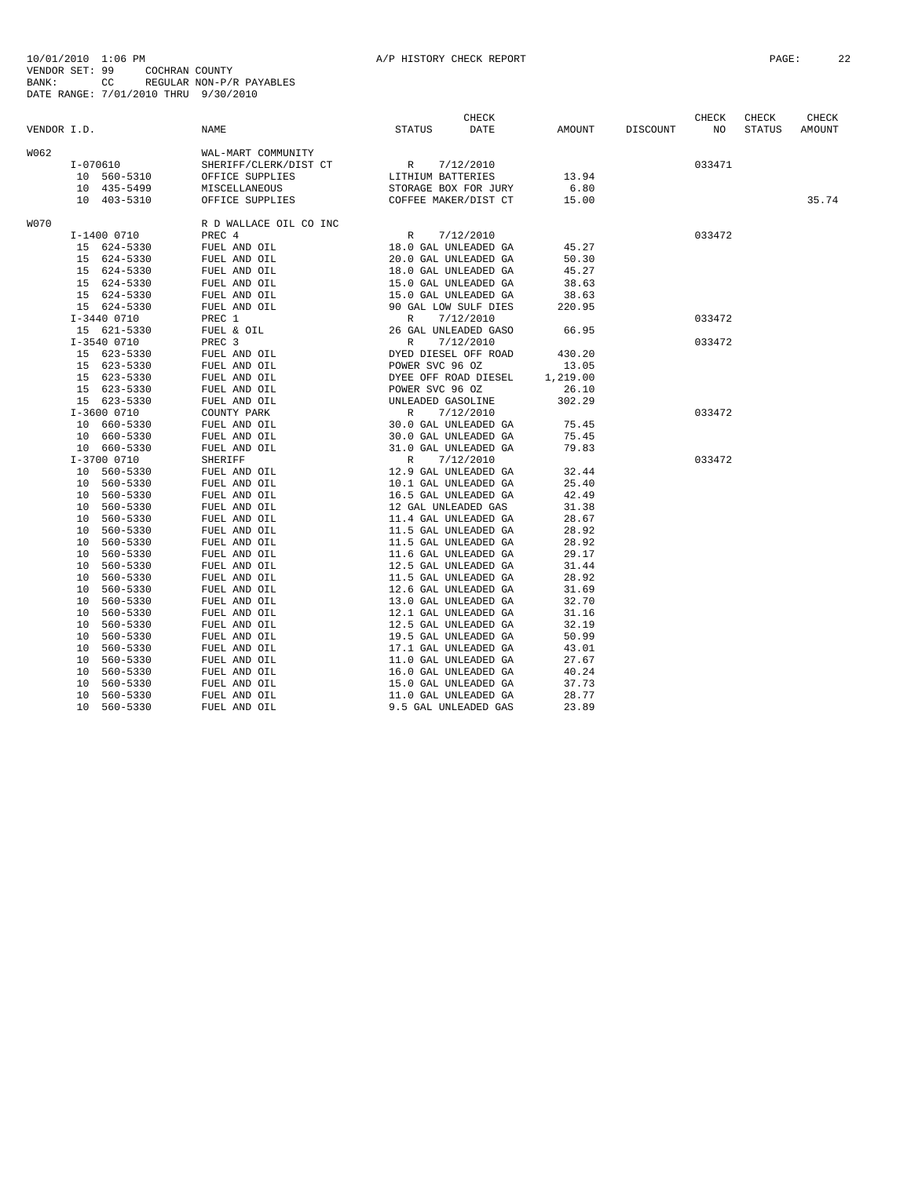|             |                |                                                                                                                                      |                                                                                                                                                    | CHECK |          |          | CHECK  | CHECK         | CHECK  |
|-------------|----------------|--------------------------------------------------------------------------------------------------------------------------------------|----------------------------------------------------------------------------------------------------------------------------------------------------|-------|----------|----------|--------|---------------|--------|
| VENDOR I.D. |                | NAME                                                                                                                                 | <b>STATUS</b>                                                                                                                                      | DATE  | AMOUNT   | DISCOUNT | NO     | <b>STATUS</b> | AMOUNT |
| W062        |                | WAL-MART COMMUNITY                                                                                                                   |                                                                                                                                                    |       |          |          |        |               |        |
|             | I-070610       | SHERIFF/CLERK/DIST CT<br>OFFICE SUPPLIES<br>MICCLES UNITY ACTES LITHIUM BATTERIES<br>MICCLE AND CONTROLLER CONTROLLER AND CONTROLLER |                                                                                                                                                    |       |          |          | 033471 |               |        |
|             | 10 560-5310    |                                                                                                                                      |                                                                                                                                                    |       | 13.94    |          |        |               |        |
|             | 10 435-5499    | MISCELLANEOUS                                                                                                                        |                                                                                                                                                    |       | 6.80     |          |        |               |        |
|             | 10 403-5310    | OFFICE SUPPLIES                                                                                                                      | STORAGE BOX FOR JURY<br>COFFEE MAKER/DIST CT                                                                                                       |       | 15.00    |          |        |               | 35.74  |
|             |                |                                                                                                                                      |                                                                                                                                                    |       |          |          |        |               |        |
| <b>W070</b> |                | R D WALLACE OIL CO INC                                                                                                               |                                                                                                                                                    |       |          |          |        |               |        |
|             | I-1400 0710    | PREC 4                                                                                                                               | R 7/12/2010                                                                                                                                        |       |          |          | 033472 |               |        |
|             | 15 624-5330    | FUEL AND OIL                                                                                                                         | 18.0 GAL UNLEADED GA                                                                                                                               |       | 45.27    |          |        |               |        |
|             | 15 624-5330    | FUEL AND OIL                                                                                                                         | 20.0 GAL UNLEADED GA                                                                                                                               |       | 50.30    |          |        |               |        |
|             | 15 624-5330    | FUEL AND OIL                                                                                                                         | 18.0 GAL UNLEADED GA                                                                                                                               |       | 45.27    |          |        |               |        |
|             | 15 624-5330    | FUEL AND OIL                                                                                                                         | 15.0 GAL UNLEADED GA                                                                                                                               |       | 38.63    |          |        |               |        |
|             | 15 624-5330    | FUEL AND OIL                                                                                                                         |                                                                                                                                                    |       | 38.63    |          |        |               |        |
|             | 15 624-5330    | FUEL AND OIL                                                                                                                         |                                                                                                                                                    |       | 220.95   |          |        |               |        |
|             | I-3440 0710    | PREC 1                                                                                                                               | 15.0 GAL UNLEADED GA<br>15.0 GAL UNLEADED GA<br>90 GAL LOW SULF DIES<br>R 7/12/2010<br>26 GAL UNLEADED GASO<br>R 7/12/2010<br>DYED DIESEL OFF ROAD |       |          |          | 033472 |               |        |
|             | 15 621-5330    | FUEL & OIL                                                                                                                           |                                                                                                                                                    |       | 66.95    |          |        |               |        |
|             | I-3540 0710    | PREC 3                                                                                                                               |                                                                                                                                                    |       |          |          | 033472 |               |        |
|             | 15 623-5330    | FUEL AND OIL                                                                                                                         |                                                                                                                                                    |       | 430.20   |          |        |               |        |
|             | 15 623-5330    | FUEL AND OIL                                                                                                                         |                                                                                                                                                    |       | 13.05    |          |        |               |        |
|             | 15 623-5330    | FUEL AND OIL                                                                                                                         |                                                                                                                                                    |       | 1,219.00 |          |        |               |        |
|             | 15 623-5330    | FUEL AND OIL                                                                                                                         |                                                                                                                                                    |       | 26.10    |          |        |               |        |
|             | 15 623-5330    | FUEL AND OIL                                                                                                                         |                                                                                                                                                    |       | 302.29   |          |        |               |        |
|             | I-3600 0710    | COUNTY PARK                                                                                                                          |                                                                                                                                                    |       |          |          | 033472 |               |        |
|             | 10 660-5330    | FUEL AND OIL                                                                                                                         | ALADED GAN MADED GAN THE POWER SVC 96 OZ<br>DYED DIESEL OFF ROAD<br>POWER SVC 96 OZ<br>DYEE OFF ROAD DIESEL<br>POWER SVC 96 OZ<br>UNLEADED GAS^T   |       | 75.45    |          |        |               |        |
|             | 10 660-5330    | FUEL AND OIL                                                                                                                         |                                                                                                                                                    |       | 75.45    |          |        |               |        |
|             | 10 660-5330    | FUEL AND OIL                                                                                                                         | 30.0 GAL UNLEADED GA<br>31.0 GAL UNLEADED GA<br>R 7/12/2010<br>12.9 GAL UNLEADED GA                                                                |       | 79.83    |          |        |               |        |
|             | I-3700 0710    | SHERIFF                                                                                                                              |                                                                                                                                                    |       |          |          | 033472 |               |        |
|             | 10 560-5330    | FUEL AND OIL                                                                                                                         |                                                                                                                                                    |       | 32.44    |          |        |               |        |
|             | 10 560-5330    | FUEL AND OIL                                                                                                                         | 10.1 GAL UNLEADED GA                                                                                                                               |       | 25.40    |          |        |               |        |
|             | 10 560-5330    | FUEL AND OIL                                                                                                                         | 16.5 GAL UNLEADED GA                                                                                                                               |       | 42.49    |          |        |               |        |
|             | 10 560-5330    | FUEL AND OIL                                                                                                                         | 12 GAL UNLEADED GAS                                                                                                                                |       | 31.38    |          |        |               |        |
|             | 10 560-5330    | FUEL AND OIL                                                                                                                         | 11.4 GAL UNLEADED GA                                                                                                                               |       | 28.67    |          |        |               |        |
|             | 10 560-5330    | FUEL AND OIL                                                                                                                         | 11.5 GAL UNLEADED GA                                                                                                                               |       | 28.92    |          |        |               |        |
|             | 10 560-5330    | FUEL AND OIL                                                                                                                         | 11.5 GAL UNLEADED GA                                                                                                                               |       | 28.92    |          |        |               |        |
|             | 10 560-5330    | FUEL AND OIL                                                                                                                         | 11.6 GAL UNLEADED GA                                                                                                                               |       | 29.17    |          |        |               |        |
|             | 10 560-5330    | FUEL AND OIL                                                                                                                         | 12.5 GAL UNLEADED GA                                                                                                                               |       | 31.44    |          |        |               |        |
|             | 10 560-5330    | FUEL AND OIL                                                                                                                         | 11.5 GAL UNLEADED GA                                                                                                                               |       | 28.92    |          |        |               |        |
|             | 560-5330<br>10 | FUEL AND OIL                                                                                                                         | 12.6 GAL UNLEADED GA                                                                                                                               |       | 31.69    |          |        |               |        |
|             | 10 560-5330    | FUEL AND OIL                                                                                                                         | 13.0 GAL UNLEADED GA                                                                                                                               |       | 32.70    |          |        |               |        |
|             | 560-5330<br>10 | FUEL AND OIL                                                                                                                         | 12.1 GAL UNLEADED GA                                                                                                                               |       | 31.16    |          |        |               |        |
|             | 10 560-5330    | FUEL AND OIL                                                                                                                         | 12.5 GAL UNLEADED GA                                                                                                                               |       | 32.19    |          |        |               |        |
|             | 10<br>560-5330 | FUEL AND OIL                                                                                                                         | 19.5 GAL UNLEADED GA                                                                                                                               |       | 50.99    |          |        |               |        |
|             | 560-5330<br>10 | FUEL AND OIL                                                                                                                         | 17.1 GAL UNLEADED GA                                                                                                                               |       | 43.01    |          |        |               |        |
|             | 560-5330<br>10 | FUEL AND OIL                                                                                                                         | 11.0 GAL UNLEADED GA                                                                                                                               |       | 27.67    |          |        |               |        |
|             | 560-5330<br>10 | FUEL AND OIL                                                                                                                         | 16.0 GAL UNLEADED GA                                                                                                                               |       | 40.24    |          |        |               |        |
|             | 560-5330<br>10 | FUEL AND OIL                                                                                                                         | 15.0 GAL UNLEADED GA                                                                                                                               |       | 37.73    |          |        |               |        |
|             | 10 560-5330    | FUEL AND OIL                                                                                                                         | 11.0 GAL UNLEADED GA                                                                                                                               |       | 28.77    |          |        |               |        |
|             | 10 560-5330    | FUEL AND OIL                                                                                                                         | 9.5 GAL UNLEADED GAS                                                                                                                               |       | 23.89    |          |        |               |        |
|             |                |                                                                                                                                      |                                                                                                                                                    |       |          |          |        |               |        |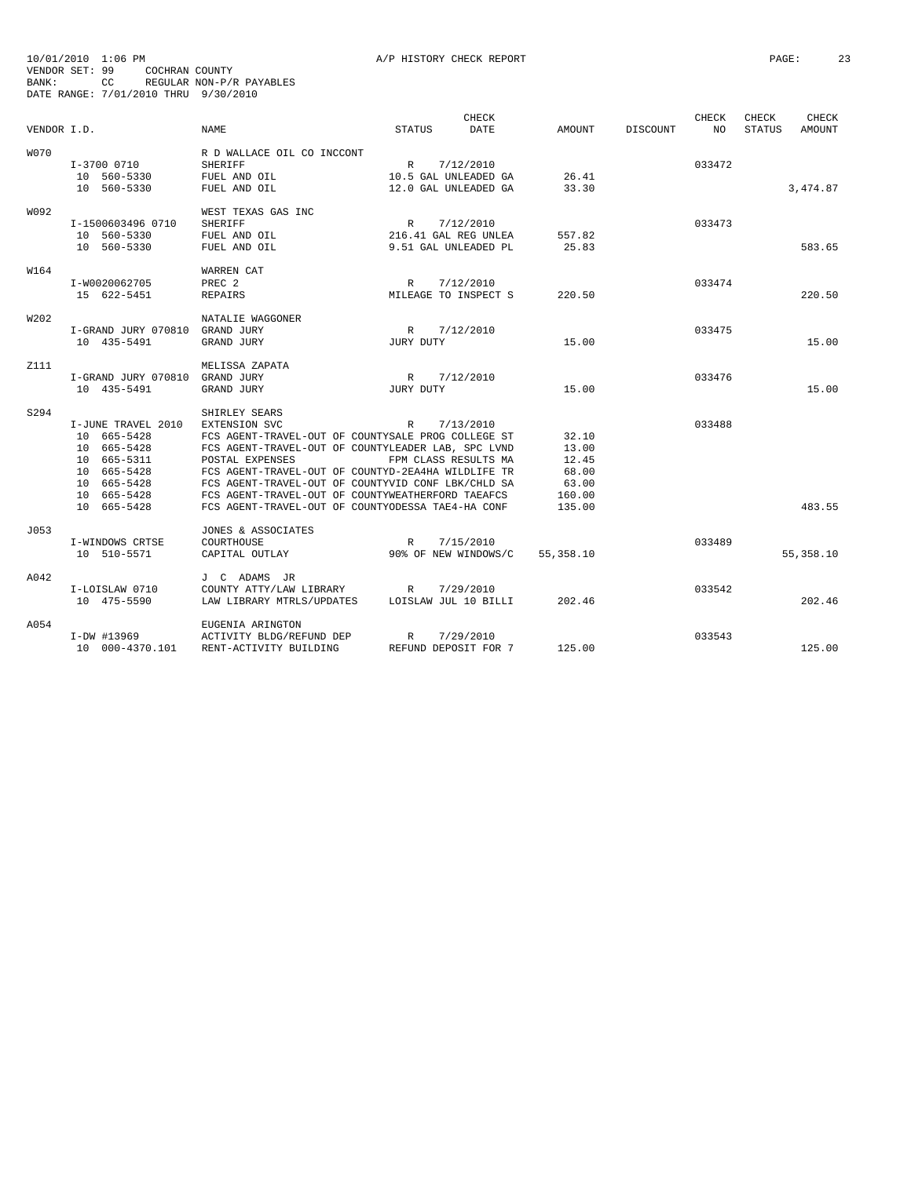|             |                                |                                                    |                      | CHECK     |             |          | <b>CHECK</b> | CHECK         | <b>CHECK</b> |
|-------------|--------------------------------|----------------------------------------------------|----------------------|-----------|-------------|----------|--------------|---------------|--------------|
| VENDOR I.D. |                                | <b>NAME</b>                                        | <b>STATUS</b>        | DATE      | AMOUNT      | DISCOUNT | NO.          | <b>STATUS</b> | AMOUNT       |
| <b>W070</b> |                                | R D WALLACE OIL CO INCCONT                         |                      |           |             |          |              |               |              |
|             | I-3700 0710                    | <b>SHERIFF</b>                                     | R 7/12/2010          |           |             |          | 033472       |               |              |
|             | 10 560-5330                    | FUEL AND OIL                                       | 10.5 GAL UNLEADED GA |           | 26.41       |          |              |               |              |
|             | 10 560-5330                    | FUEL AND OIL                                       | 12.0 GAL UNLEADED GA |           | 33.30       |          |              |               | 3,474.87     |
| W092        |                                | WEST TEXAS GAS INC                                 |                      |           |             |          |              |               |              |
|             | I-1500603496 0710              | <b>SHERIFF</b>                                     | R                    | 7/12/2010 |             |          | 033473       |               |              |
|             | 10 560-5330                    | FUEL AND OIL                                       | 216.41 GAL REG UNLEA |           | 557.82      |          |              |               |              |
|             | 10 560-5330                    | FUEL AND OIL                                       | 9.51 GAL UNLEADED PL |           | 25.83       |          |              |               | 583.65       |
|             |                                |                                                    |                      |           |             |          |              |               |              |
| W164        |                                | WARREN CAT                                         |                      |           |             |          |              |               |              |
|             | I-W0020062705                  | PREC <sub>2</sub>                                  | R                    | 7/12/2010 |             |          | 033474       |               |              |
|             | 15 622-5451                    | <b>REPAIRS</b>                                     | MILEAGE TO INSPECT S |           | 220.50      |          |              |               | 220.50       |
| W202        |                                | NATALIE WAGGONER                                   |                      |           |             |          |              |               |              |
|             | I-GRAND JURY 070810 GRAND JURY |                                                    | R                    | 7/12/2010 |             |          | 033475       |               |              |
|             | 10 435-5491                    | GRAND JURY                                         | JURY DUTY            |           | 15.00       |          |              |               | 15.00        |
|             |                                |                                                    |                      |           |             |          |              |               |              |
| Z111        |                                | MELISSA ZAPATA                                     |                      |           |             |          |              |               |              |
|             | I-GRAND JURY 070810 GRAND JURY |                                                    | R                    | 7/12/2010 |             |          | 033476       |               |              |
|             | 10 435-5491                    | GRAND JURY                                         | JURY DUTY            |           | 15.00       |          |              |               | 15.00        |
| S294        |                                | SHIRLEY SEARS                                      |                      |           |             |          |              |               |              |
|             | I-JUNE TRAVEL 2010             | EXTENSION SVC                                      | R                    | 7/13/2010 |             |          | 033488       |               |              |
|             | 10 665-5428                    | FCS AGENT-TRAVEL-OUT OF COUNTYSALE PROG COLLEGE ST |                      |           | 32.10       |          |              |               |              |
|             | 10 665-5428                    | FCS AGENT-TRAVEL-OUT OF COUNTYLEADER LAB, SPC LVND |                      |           | 13.00       |          |              |               |              |
|             | 10 665-5311                    | POSTAL EXPENSES                                    | FPM CLASS RESULTS MA |           | 12.45       |          |              |               |              |
|             | 10 665-5428                    | FCS AGENT-TRAVEL-OUT OF COUNTYD-2EA4HA WILDLIFE TR |                      |           | 68.00       |          |              |               |              |
|             | 10 665-5428                    | FCS AGENT-TRAVEL-OUT OF COUNTYVID CONF LBK/CHLD SA |                      |           | 63.00       |          |              |               |              |
|             | 10 665-5428                    | FCS AGENT-TRAVEL-OUT OF COUNTYWEATHERFORD TAEAFCS  |                      |           | 160.00      |          |              |               |              |
|             | 10 665-5428                    | FCS AGENT-TRAVEL-OUT OF COUNTYODESSA TAE4-HA CONF  |                      |           | 135.00      |          |              |               | 483.55       |
| J053        |                                | JONES & ASSOCIATES                                 |                      |           |             |          |              |               |              |
|             |                                | COURTHOUSE                                         | $\mathbb{R}$         | 7/15/2010 |             |          | 033489       |               |              |
|             | I-WINDOWS CRTSE<br>10 510-5571 | CAPITAL OUTLAY                                     | 90% OF NEW WINDOWS/C |           | 55, 358, 10 |          |              |               | 55, 358.10   |
|             |                                |                                                    |                      |           |             |          |              |               |              |
| A042        |                                | J C ADAMS JR                                       |                      |           |             |          |              |               |              |
|             | I-LOISLAW 0710                 | COUNTY ATTY/LAW LIBRARY                            | R                    | 7/29/2010 |             |          | 033542       |               |              |
|             | 10 475-5590                    | LAW LIBRARY MTRLS/UPDATES                          | LOISLAW JUL 10 BILLI |           | 202.46      |          |              |               | 202.46       |
| A054        |                                | EUGENIA ARINGTON                                   |                      |           |             |          |              |               |              |
|             | I-DW #13969                    | ACTIVITY BLDG/REFUND DEP                           | R                    | 7/29/2010 |             |          | 033543       |               |              |
|             | 10 000-4370.101                | RENT-ACTIVITY BUILDING                             | REFUND DEPOSIT FOR 7 |           | 125.00      |          |              |               | 125.00       |
|             |                                |                                                    |                      |           |             |          |              |               |              |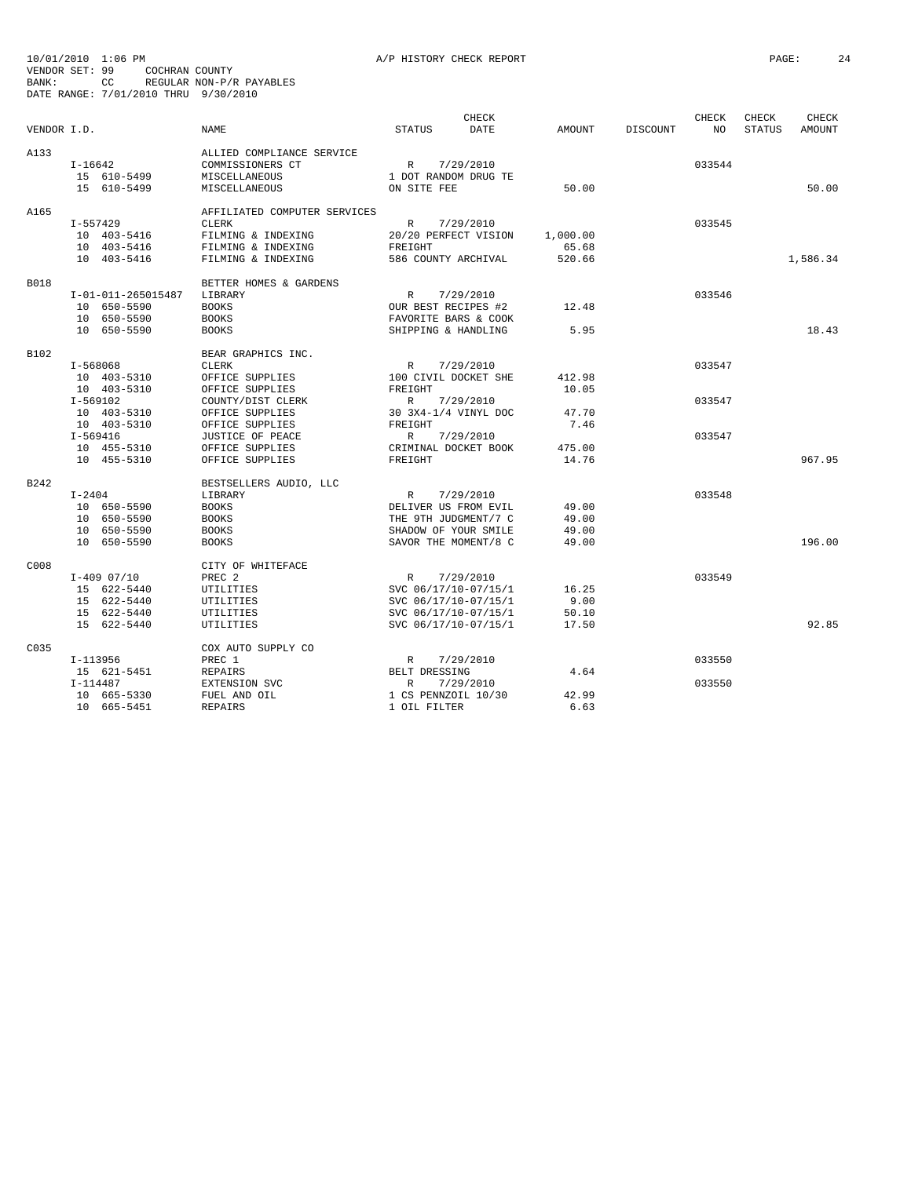|             |                    |                              |                      | <b>CHECK</b> |          |          | CHECK  | CHECK         | CHECK         |
|-------------|--------------------|------------------------------|----------------------|--------------|----------|----------|--------|---------------|---------------|
| VENDOR I.D. |                    | <b>NAME</b>                  | <b>STATUS</b>        | <b>DATE</b>  | AMOUNT   | DISCOUNT | NO.    | <b>STATUS</b> | <b>AMOUNT</b> |
| A133        |                    | ALLIED COMPLIANCE SERVICE    |                      |              |          |          |        |               |               |
|             | $I-16642$          | COMMISSIONERS CT             | R                    | 7/29/2010    |          |          | 033544 |               |               |
|             | 15 610-5499        | MISCELLANEOUS                | 1 DOT RANDOM DRUG TE |              |          |          |        |               |               |
|             | 15 610-5499        | MISCELLANEOUS                | ON SITE FEE          |              | 50.00    |          |        |               | 50.00         |
|             |                    |                              |                      |              |          |          |        |               |               |
| A165        |                    | AFFILIATED COMPUTER SERVICES |                      |              |          |          |        |               |               |
|             | I-557429           | <b>CLERK</b>                 | $\mathbb{R}$         | 7/29/2010    |          |          | 033545 |               |               |
|             | 10 403-5416        | FILMING & INDEXING           | 20/20 PERFECT VISION |              | 1,000.00 |          |        |               |               |
|             | 10 403-5416        | FILMING & INDEXING           | FREIGHT              |              | 65.68    |          |        |               |               |
|             | 10 403-5416        | FILMING & INDEXING           | 586 COUNTY ARCHIVAL  |              | 520.66   |          |        |               | 1,586.34      |
| <b>B018</b> |                    | BETTER HOMES & GARDENS       |                      |              |          |          |        |               |               |
|             | I-01-011-265015487 | LIBRARY                      | $\mathbb{R}$         | 7/29/2010    |          |          | 033546 |               |               |
|             | 10 650-5590        | <b>BOOKS</b>                 | OUR BEST RECIPES #2  |              | 12.48    |          |        |               |               |
|             | 10 650-5590        | <b>BOOKS</b>                 | FAVORITE BARS & COOK |              |          |          |        |               |               |
|             | 10 650-5590        | <b>BOOKS</b>                 | SHIPPING & HANDLING  |              | 5.95     |          |        |               | 18.43         |
| B102        |                    | BEAR GRAPHICS INC.           |                      |              |          |          |        |               |               |
|             | I-568068           | <b>CLERK</b>                 | $\mathbb{R}$         | 7/29/2010    |          |          | 033547 |               |               |
|             | 10 403-5310        | OFFICE SUPPLIES              | 100 CIVIL DOCKET SHE |              | 412.98   |          |        |               |               |
|             | 10 403-5310        | OFFICE SUPPLIES              | FREIGHT              |              | 10.05    |          |        |               |               |
|             | I-569102           | COUNTY/DIST CLERK            | R 7/29/2010          |              |          |          | 033547 |               |               |
|             | 10 403-5310        | OFFICE SUPPLIES              | 30 3X4-1/4 VINYL DOC |              | 47.70    |          |        |               |               |
|             | 10 403-5310        | OFFICE SUPPLIES              | FREIGHT              |              | 7.46     |          |        |               |               |
|             | I-569416           | JUSTICE OF PEACE             | $\mathbb{R}$         | 7/29/2010    |          |          | 033547 |               |               |
|             | 10 455-5310        | OFFICE SUPPLIES              | CRIMINAL DOCKET BOOK |              | 475.00   |          |        |               |               |
|             | 10 455-5310        | OFFICE SUPPLIES              | FREIGHT              |              | 14.76    |          |        |               | 967.95        |
| B242        |                    | BESTSELLERS AUDIO, LLC       |                      |              |          |          |        |               |               |
|             | $I - 2404$         | LIBRARY                      | $\mathbb{R}$         | 7/29/2010    |          |          | 033548 |               |               |
|             | 10 650-5590        | <b>BOOKS</b>                 | DELIVER US FROM EVIL |              | 49.00    |          |        |               |               |
|             | 10 650-5590        | <b>BOOKS</b>                 | THE 9TH JUDGMENT/7 C |              | 49.00    |          |        |               |               |
|             | 10 650-5590        | <b>BOOKS</b>                 | SHADOW OF YOUR SMILE |              | 49.00    |          |        |               |               |
|             | 10 650-5590        | <b>BOOKS</b>                 | SAVOR THE MOMENT/8 C |              | 49.00    |          |        |               | 196.00        |
| C008        |                    | CITY OF WHITEFACE            |                      |              |          |          |        |               |               |
|             | $I-409$ 07/10      | PREC <sub>2</sub>            | R                    | 7/29/2010    |          |          | 033549 |               |               |
|             | 15 622-5440        | UTILITIES                    | SVC 06/17/10-07/15/1 |              | 16.25    |          |        |               |               |
|             | 15 622-5440        | UTILITIES                    | SVC 06/17/10-07/15/1 |              | 9.00     |          |        |               |               |
|             | 15 622-5440        | UTILITIES                    | SVC 06/17/10-07/15/1 |              | 50.10    |          |        |               |               |
|             | 15 622-5440        | UTILITIES                    | SVC 06/17/10-07/15/1 |              | 17.50    |          |        |               | 92.85         |
| C035        |                    | COX AUTO SUPPLY CO           |                      |              |          |          |        |               |               |
|             | I-113956           | PREC 1                       | $\mathbb{R}$         | 7/29/2010    |          |          | 033550 |               |               |
|             | 15 621-5451        | <b>REPAIRS</b>               | BELT DRESSING        |              | 4.64     |          |        |               |               |
|             | $I-114487$         | EXTENSION SVC                | $\mathbb{R}$         | 7/29/2010    |          |          | 033550 |               |               |
|             | 10 665-5330        | FUEL AND OIL                 | 1 CS PENNZOIL 10/30  |              | 42.99    |          |        |               |               |
|             | 10 665-5451        | <b>REPAIRS</b>               | 1 OIL FILTER         |              | 6.63     |          |        |               |               |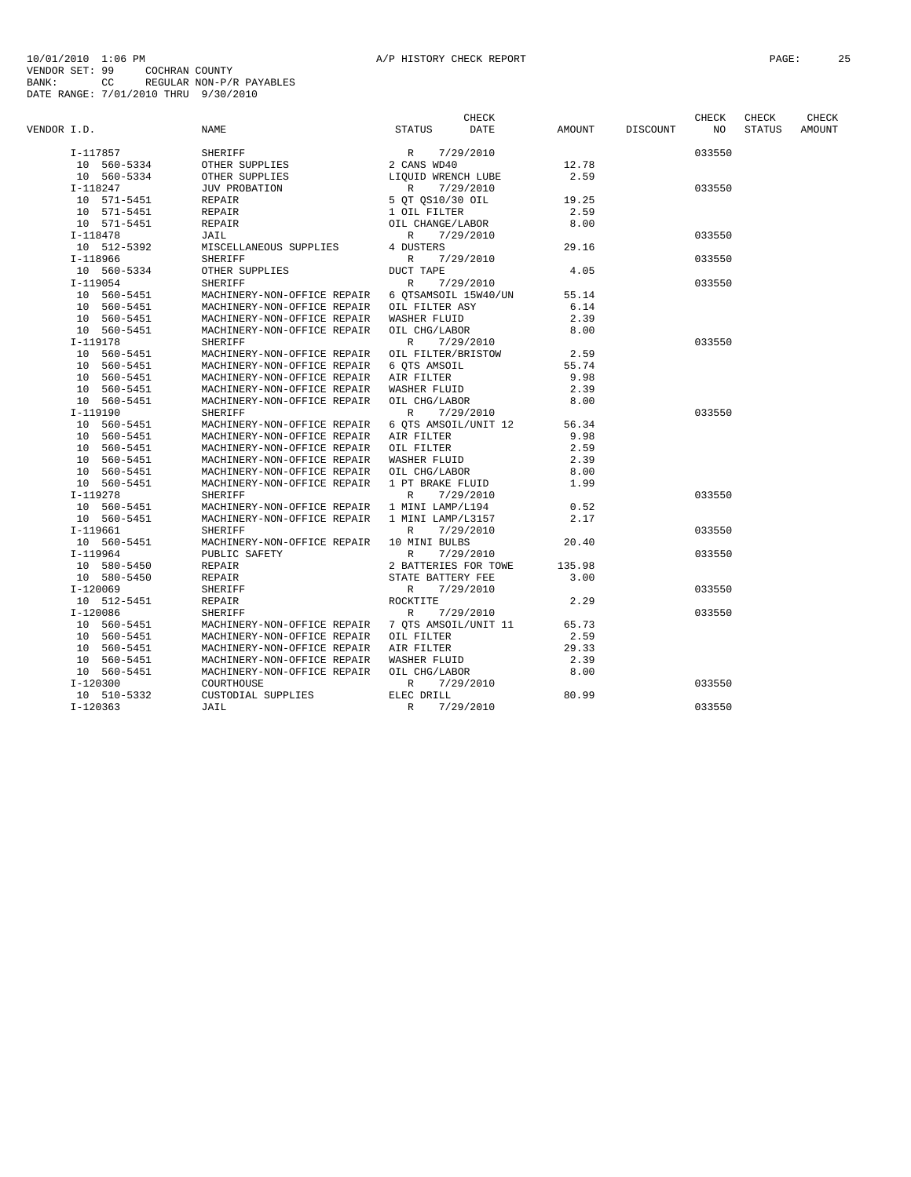|             |             |                                                  |                       | CHECK     |        |          | CHECK  | CHECK         | CHECK  |
|-------------|-------------|--------------------------------------------------|-----------------------|-----------|--------|----------|--------|---------------|--------|
| VENDOR I.D. |             | NAME                                             | <b>STATUS</b>         | DATE      | AMOUNT | DISCOUNT | NO     | <b>STATUS</b> | AMOUNT |
|             | I-117857    | SHERIFF                                          |                       | 7/29/2010 |        |          | 033550 |               |        |
|             | 10 560-5334 | OTHER SUPPLIES                                   | R 7/29<br>2 CANS WD40 |           | 12.78  |          |        |               |        |
|             | 10 560-5334 | OTHER SUPPLIES                                   | LIQUID WRENCH LUBE    |           | 2.59   |          |        |               |        |
|             | I-118247    | JUV PROBATION                                    | $\mathbb{R}$          | 7/29/2010 |        |          | 033550 |               |        |
|             | 10 571-5451 | REPAIR                                           | 5 OT 0S10/30 OIL      |           | 19.25  |          |        |               |        |
|             | 10 571-5451 | REPAIR                                           | 1 OIL FILTER          |           | 2.59   |          |        |               |        |
|             | 10 571-5451 | REPAIR                                           | OIL CHANGE/LABOR      |           | 8.00   |          |        |               |        |
|             | $I-118478$  | JAIL                                             | R                     | 7/29/2010 |        |          | 033550 |               |        |
|             | 10 512-5392 | MISCELLANEOUS SUPPLIES                           | 4 DUSTERS             |           | 29.16  |          |        |               |        |
|             | I-118966    | SHERIFF                                          | R                     | 7/29/2010 |        |          | 033550 |               |        |
|             | 10 560-5334 | OTHER SUPPLIES                                   | DUCT TAPE             |           | 4.05   |          |        |               |        |
|             | $I-119054$  | <b>SHERIFF</b>                                   | R 7/29/2010           |           |        |          | 033550 |               |        |
|             | 10 560-5451 | MACHINERY-NON-OFFICE REPAIR 6 OTSAMSOIL 15W40/UN |                       |           | 55.14  |          |        |               |        |
|             | 10 560-5451 | MACHINERY-NON-OFFICE REPAIR OIL FILTER ASY       |                       |           | 6.14   |          |        |               |        |
|             | 10 560-5451 | MACHINERY-NON-OFFICE REPAIR                      | WASHER FLUID          |           | 2.39   |          |        |               |        |
|             | 10 560-5451 | MACHINERY-NON-OFFICE REPAIR                      | OIL CHG/LABOR         |           | 8.00   |          |        |               |        |
|             |             |                                                  |                       |           |        |          |        |               |        |
|             | $I-119178$  | SHERIFF                                          | $\mathbb{R}$          | 7/29/2010 |        |          | 033550 |               |        |
|             | 10 560-5451 | MACHINERY-NON-OFFICE REPAIR                      | OIL FILTER/BRISTOW    |           | 2.59   |          |        |               |        |
|             | 10 560-5451 | MACHINERY-NON-OFFICE REPAIR                      | 6 OTS AMSOIL          |           | 55.74  |          |        |               |        |
|             | 10 560-5451 | MACHINERY-NON-OFFICE REPAIR                      | AIR FILTER            |           | 9.98   |          |        |               |        |
|             | 10 560-5451 | MACHINERY-NON-OFFICE REPAIR                      | WASHER FLUID          |           | 2.39   |          |        |               |        |
|             | 10 560-5451 | MACHINERY-NON-OFFICE REPAIR                      | OIL CHG/LABOR         |           | 8.00   |          |        |               |        |
|             | I-119190    | <b>SHERIFF</b>                                   | $\mathbb{R}$          | 7/29/2010 |        |          | 033550 |               |        |
|             | 10 560-5451 | MACHINERY-NON-OFFICE REPAIR 6 QTS AMSOIL/UNIT 12 |                       |           | 56.34  |          |        |               |        |
|             | 10 560-5451 | MACHINERY-NON-OFFICE REPAIR AIR FILTER           |                       |           | 9.98   |          |        |               |        |
|             | 10 560-5451 | MACHINERY-NON-OFFICE REPAIR OIL FILTER           |                       |           | 2.59   |          |        |               |        |
|             | 10 560-5451 | MACHINERY-NON-OFFICE REPAIR                      | WASHER FLUID          |           | 2.39   |          |        |               |        |
|             | 10 560-5451 | MACHINERY-NON-OFFICE REPAIR OIL CHG/LABOR        |                       |           | 8.00   |          |        |               |        |
|             | 10 560-5451 | MACHINERY-NON-OFFICE REPAIR                      | 1 PT BRAKE FLUID      |           | 1.99   |          |        |               |        |
|             | I-119278    | SHERIFF                                          | $\mathbb{R}$          | 7/29/2010 |        |          | 033550 |               |        |
|             | 10 560-5451 | MACHINERY-NON-OFFICE REPAIR 1 MINI LAMP/L194     |                       |           | 0.52   |          |        |               |        |
|             | 10 560-5451 | MACHINERY-NON-OFFICE REPAIR 1 MINI LAMP/L3157    |                       |           | 2.17   |          |        |               |        |
|             | I-119661    | SHERIFF                                          | R                     | 7/29/2010 |        |          | 033550 |               |        |
|             | 10 560-5451 | MACHINERY-NON-OFFICE REPAIR                      | 10 MINI BULBS         |           | 20.40  |          |        |               |        |
|             | $I-119964$  | PUBLIC SAFETY                                    | $\mathbb{R}$          | 7/29/2010 |        |          | 033550 |               |        |
|             | 10 580-5450 | REPAIR                                           | 2 BATTERIES FOR TOWE  |           | 135.98 |          |        |               |        |
|             | 10 580-5450 | REPAIR                                           | STATE BATTERY FEE     |           | 3.00   |          |        |               |        |
|             | $I-120069$  | SHERIFF                                          | R                     | 7/29/2010 |        |          | 033550 |               |        |
|             | 10 512-5451 | REPAIR                                           | ROCKTITE              |           | 2.29   |          |        |               |        |
|             | $I-120086$  | SHERIFF                                          | R                     | 7/29/2010 |        |          | 033550 |               |        |
|             | 10 560-5451 | MACHINERY-NON-OFFICE REPAIR 7 OTS AMSOIL/UNIT 11 |                       |           | 65.73  |          |        |               |        |
|             | 10 560-5451 | MACHINERY-NON-OFFICE REPAIR OIL FILTER           |                       |           | 2.59   |          |        |               |        |
|             | 10 560-5451 | MACHINERY-NON-OFFICE REPAIR AIR FILTER           |                       |           | 29.33  |          |        |               |        |
|             | 10 560-5451 | MACHINERY-NON-OFFICE REPAIR WASHER FLUID         |                       |           | 2.39   |          |        |               |        |
|             | 10 560-5451 | MACHINERY-NON-OFFICE REPAIR                      | OIL CHG/LABOR         |           | 8.00   |          |        |               |        |
|             | $I-120300$  | COURTHOUSE                                       | $\mathbb{R}$          | 7/29/2010 |        |          | 033550 |               |        |
|             | 10 510-5332 | CUSTODIAL SUPPLIES                               | ELEC DRILL            |           | 80.99  |          |        |               |        |
|             | $I-120363$  | JAIL                                             | $\mathbb{R}$          | 7/29/2010 |        |          | 033550 |               |        |
|             |             |                                                  |                       |           |        |          |        |               |        |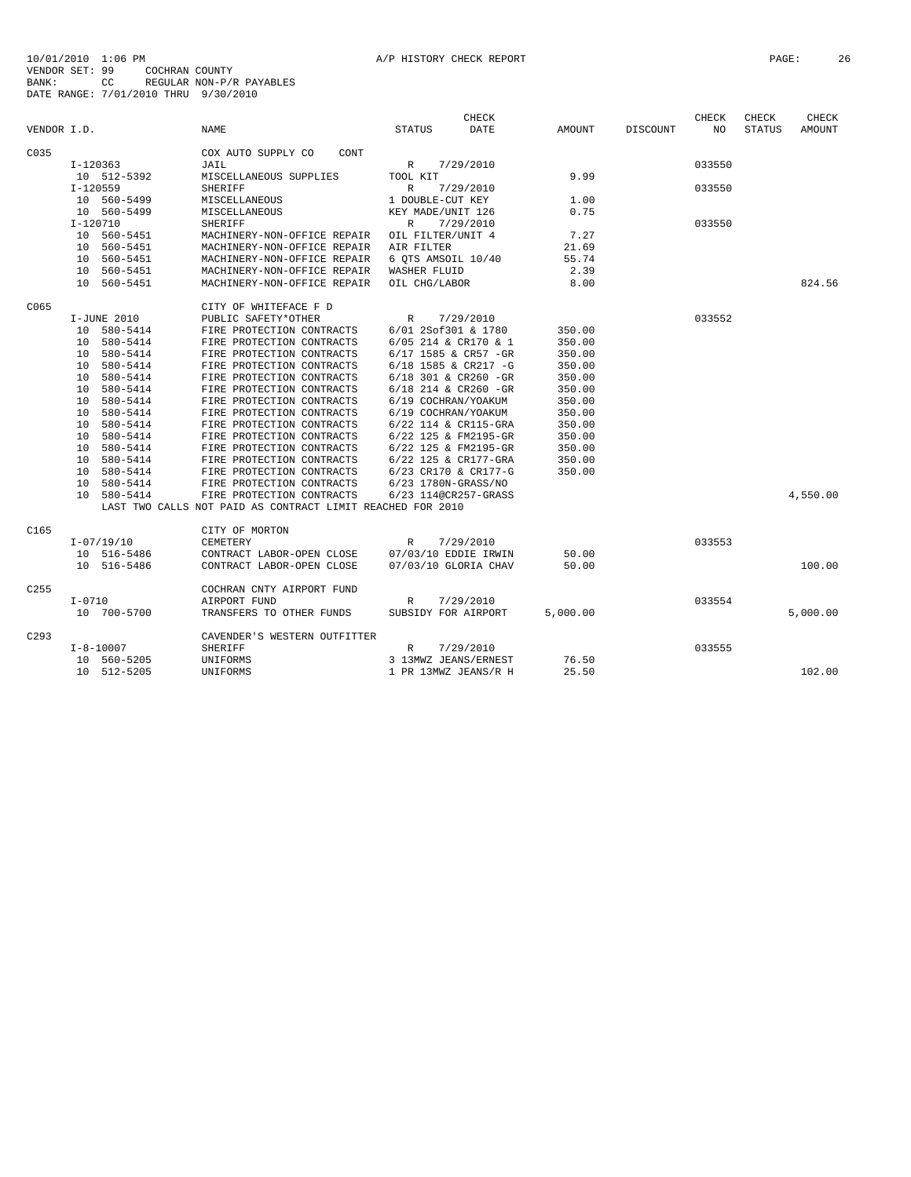|                  |                             |                                                            |                        | <b>CHECK</b> |          |                 | CHECK  | CHECK         | CHECK    |
|------------------|-----------------------------|------------------------------------------------------------|------------------------|--------------|----------|-----------------|--------|---------------|----------|
| VENDOR I.D.      |                             | <b>NAME</b>                                                | <b>STATUS</b>          | <b>DATE</b>  | AMOUNT   | <b>DISCOUNT</b> | NO.    | <b>STATUS</b> | AMOUNT   |
| C035             |                             | COX AUTO SUPPLY CO<br>CONT                                 |                        |              |          |                 |        |               |          |
|                  | I-120363                    | JAIL                                                       | $\mathbb{R}$           | 7/29/2010    |          |                 | 033550 |               |          |
|                  | 10 512-5392                 | MISCELLANEOUS SUPPLIES                                     | TOOL KIT               |              | 9.99     |                 |        |               |          |
|                  | $I-120559$                  | <b>SHERIFF</b>                                             | $\mathbb{R}$           | 7/29/2010    |          |                 | 033550 |               |          |
|                  | 10 560-5499                 | MISCELLANEOUS                                              | 1 DOUBLE-CUT KEY       |              | 1.00     |                 |        |               |          |
|                  | 10 560-5499                 | MISCELLANEOUS                                              | KEY MADE/UNIT 126      |              | 0.75     |                 |        |               |          |
|                  | $I-120710$                  | <b>SHERIFF</b>                                             | $\mathbb{R}$           | 7/29/2010    |          |                 | 033550 |               |          |
|                  | 10 560-5451                 | MACHINERY-NON-OFFICE REPAIR                                | OIL FILTER/UNIT 4      |              | 7.27     |                 |        |               |          |
|                  | 10 560-5451                 | MACHINERY-NON-OFFICE REPAIR                                | AIR FILTER             |              | 21.69    |                 |        |               |          |
|                  | 10 560-5451                 | MACHINERY-NON-OFFICE REPAIR                                | 6 OTS AMSOIL 10/40     |              | 55.74    |                 |        |               |          |
|                  | 10 560-5451                 | MACHINERY-NON-OFFICE REPAIR                                | WASHER FLUID           |              | 2.39     |                 |        |               |          |
|                  | 10 560-5451                 | MACHINERY-NON-OFFICE REPAIR                                | OIL CHG/LABOR          |              | 8.00     |                 |        |               | 824.56   |
| C065             |                             | CITY OF WHITEFACE F D                                      |                        |              |          |                 |        |               |          |
|                  | I-JUNE 2010                 | PUBLIC SAFETY*OTHER                                        | $\mathbb{R}$           | 7/29/2010    |          |                 | 033552 |               |          |
|                  | 10 580-5414                 | FIRE PROTECTION CONTRACTS                                  | 6/01 2Sof301 & 1780    |              | 350.00   |                 |        |               |          |
|                  | 10 580-5414                 | FIRE PROTECTION CONTRACTS                                  | 6/05 214 & CR170 & 1   |              | 350.00   |                 |        |               |          |
|                  | 10 580-5414                 | FIRE PROTECTION CONTRACTS                                  | 6/17 1585 & CR57 -GR   |              | 350.00   |                 |        |               |          |
|                  | 10 580-5414                 | FIRE PROTECTION CONTRACTS                                  | 6/18 1585 & CR217 -G   |              | 350.00   |                 |        |               |          |
|                  | 10 580-5414                 | FIRE PROTECTION CONTRACTS                                  | 6/18 301 & CR260 -GR   |              | 350.00   |                 |        |               |          |
|                  | 580-5414<br>10 <sup>1</sup> | FIRE PROTECTION CONTRACTS                                  | $6/18$ 214 & CR260 -GR |              | 350.00   |                 |        |               |          |
|                  | 10 580-5414                 | FIRE PROTECTION CONTRACTS                                  | 6/19 COCHRAN/YOAKUM    |              | 350.00   |                 |        |               |          |
|                  | 580-5414<br>10              | FIRE PROTECTION CONTRACTS                                  | 6/19 COCHRAN/YOAKUM    |              | 350.00   |                 |        |               |          |
|                  | 580-5414<br>10              | FIRE PROTECTION CONTRACTS                                  | 6/22 114 & CR115-GRA   |              | 350.00   |                 |        |               |          |
|                  | 580-5414<br>1 O             | FIRE PROTECTION CONTRACTS                                  | 6/22 125 & FM2195-GR   |              | 350.00   |                 |        |               |          |
|                  | 10 580-5414                 | FIRE PROTECTION CONTRACTS                                  | 6/22 125 & FM2195-GR   |              | 350.00   |                 |        |               |          |
|                  | 10 580-5414                 | FIRE PROTECTION CONTRACTS                                  | 6/22 125 & CR177-GRA   |              | 350.00   |                 |        |               |          |
|                  | 10 580-5414                 | FIRE PROTECTION CONTRACTS                                  | 6/23 CR170 & CR177-G   |              | 350.00   |                 |        |               |          |
|                  | 10 580-5414                 | FIRE PROTECTION CONTRACTS                                  | 6/23 1780N-GRASS/NO    |              |          |                 |        |               |          |
|                  | 10 580-5414                 | FIRE PROTECTION CONTRACTS                                  | 6/23 114@CR257-GRASS   |              |          |                 |        |               | 4,550.00 |
|                  |                             | LAST TWO CALLS NOT PAID AS CONTRACT LIMIT REACHED FOR 2010 |                        |              |          |                 |        |               |          |
| C165             |                             | CITY OF MORTON                                             |                        |              |          |                 |        |               |          |
|                  | $I - 07/19/10$              | CEMETERY                                                   | $\mathbb{R}$           | 7/29/2010    |          |                 | 033553 |               |          |
|                  | 10 516-5486                 | CONTRACT LABOR-OPEN CLOSE                                  | 07/03/10 EDDIE IRWIN   |              | 50.00    |                 |        |               |          |
|                  | 10 516-5486                 | CONTRACT LABOR-OPEN CLOSE                                  | 07/03/10 GLORIA CHAV   |              | 50.00    |                 |        |               | 100.00   |
| C <sub>255</sub> |                             | COCHRAN CNTY AIRPORT FUND                                  |                        |              |          |                 |        |               |          |
|                  | $I - 0710$                  | AIRPORT FUND                                               | $\mathbb{R}$           | 7/29/2010    |          |                 | 033554 |               |          |
|                  | 10 700-5700                 | TRANSFERS TO OTHER FUNDS                                   | SUBSIDY FOR AIRPORT    |              | 5,000.00 |                 |        |               | 5,000.00 |
| C293             |                             | CAVENDER'S WESTERN OUTFITTER                               |                        |              |          |                 |        |               |          |
|                  | $I - 8 - 10007$             | <b>SHERIFF</b>                                             | $\mathbb{R}$           | 7/29/2010    |          |                 | 033555 |               |          |
|                  | 10 560-5205                 | UNIFORMS                                                   | 3 13MWZ JEANS/ERNEST   |              | 76.50    |                 |        |               |          |
|                  | 10 512-5205                 | UNIFORMS                                                   | 1 PR 13MWZ JEANS/R H   |              | 25.50    |                 |        |               | 102.00   |
|                  |                             |                                                            |                        |              |          |                 |        |               |          |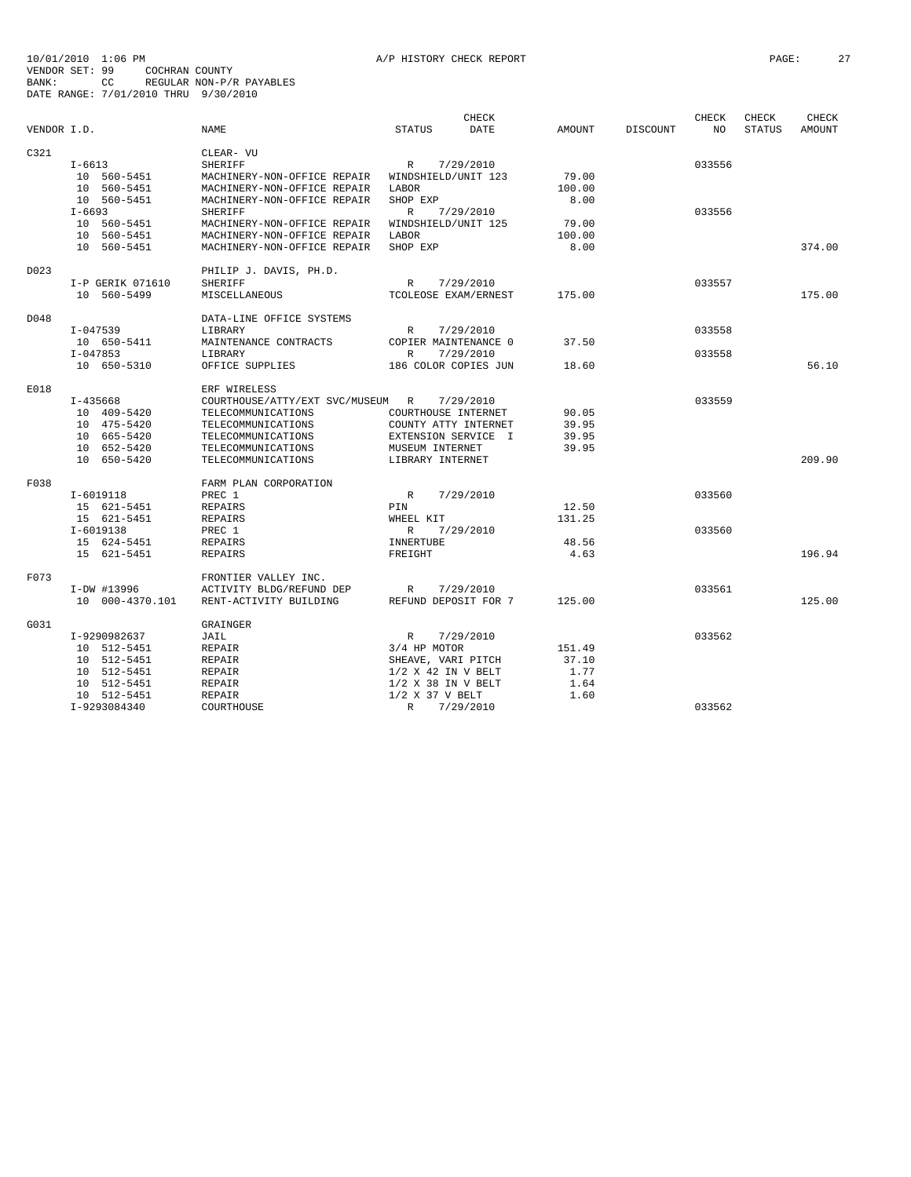|             |                  |                                  |                      | CHECK       |               |          | CHECK  | CHECK         | CHECK  |
|-------------|------------------|----------------------------------|----------------------|-------------|---------------|----------|--------|---------------|--------|
| VENDOR I.D. |                  | <b>NAME</b>                      | <b>STATUS</b>        | <b>DATE</b> | <b>AMOUNT</b> | DISCOUNT | NO.    | <b>STATUS</b> | AMOUNT |
| C321        |                  | CLEAR- VU                        |                      |             |               |          |        |               |        |
|             | $I - 6613$       | <b>SHERIFF</b>                   | $\mathbb{R}$         | 7/29/2010   |               |          | 033556 |               |        |
|             | 10 560-5451      | MACHINERY-NON-OFFICE REPAIR      | WINDSHIELD/UNIT 123  |             | 79.00         |          |        |               |        |
|             | 10 560-5451      |                                  | LABOR                |             |               |          |        |               |        |
|             |                  | MACHINERY-NON-OFFICE REPAIR      |                      |             | 100.00        |          |        |               |        |
|             | 10 560-5451      | MACHINERY-NON-OFFICE REPAIR      | SHOP EXP             |             | 8.00          |          |        |               |        |
|             | $I - 6693$       | <b>SHERIFF</b>                   | $\mathbb{R}$         | 7/29/2010   |               |          | 033556 |               |        |
|             | 10 560-5451      | MACHINERY-NON-OFFICE REPAIR      | WINDSHIELD/UNIT 125  |             | 79.00         |          |        |               |        |
|             | 10 560-5451      | MACHINERY-NON-OFFICE REPAIR      | LABOR                |             | 100.00        |          |        |               |        |
|             | 10 560-5451      | MACHINERY-NON-OFFICE REPAIR      | SHOP EXP             |             | 8.00          |          |        |               | 374.00 |
| D023        |                  | PHILIP J. DAVIS, PH.D.           |                      |             |               |          |        |               |        |
|             | I-P GERIK 071610 | <b>SHERIFF</b>                   | $\mathbb{R}$         | 7/29/2010   |               |          | 033557 |               |        |
|             | 10 560-5499      | MISCELLANEOUS                    | TCOLEOSE EXAM/ERNEST |             | 175.00        |          |        |               | 175.00 |
|             |                  |                                  |                      |             |               |          |        |               |        |
| D048        |                  | DATA-LINE OFFICE SYSTEMS         |                      |             |               |          |        |               |        |
|             | $I - 047539$     | LIBRARY                          | R                    | 7/29/2010   |               |          | 033558 |               |        |
|             | 10 650-5411      | MAINTENANCE CONTRACTS            | COPIER MAINTENANCE 0 |             | 37.50         |          |        |               |        |
|             | $I-047853$       | LIBRARY                          | R                    | 7/29/2010   |               |          | 033558 |               |        |
|             | 10 650-5310      | OFFICE SUPPLIES                  | 186 COLOR COPIES JUN |             | 18.60         |          |        |               | 56.10  |
| E018        |                  | ERF WIRELESS                     |                      |             |               |          |        |               |        |
|             | $I-435668$       | COURTHOUSE/ATTY/EXT SVC/MUSEUM R |                      | 7/29/2010   |               |          | 033559 |               |        |
|             | 10 409-5420      | TELECOMMUNICATIONS               | COURTHOUSE INTERNET  |             | 90.05         |          |        |               |        |
|             | 10 475-5420      | TELECOMMUNICATIONS               | COUNTY ATTY INTERNET |             | 39.95         |          |        |               |        |
|             | 10 665-5420      | TELECOMMUNICATIONS               | EXTENSION SERVICE I  |             | 39.95         |          |        |               |        |
|             | 10 652-5420      | TELECOMMUNICATIONS               | MUSEUM INTERNET      |             | 39.95         |          |        |               |        |
|             | 10 650-5420      | TELECOMMUNICATIONS               | LIBRARY INTERNET     |             |               |          |        |               | 209.90 |
|             |                  |                                  |                      |             |               |          |        |               |        |
| F038        |                  | FARM PLAN CORPORATION            |                      |             |               |          |        |               |        |
|             | $I-6019118$      | PREC 1                           | $\mathbb{R}$         | 7/29/2010   |               |          | 033560 |               |        |
|             | 15 621-5451      | <b>REPAIRS</b>                   | PIN                  |             | 12.50         |          |        |               |        |
|             | 15 621-5451      | REPAIRS                          | WHEEL KIT            |             | 131.25        |          |        |               |        |
|             | I-6019138        | PREC 1                           | R                    | 7/29/2010   |               |          | 033560 |               |        |
|             | 15 624-5451      | <b>REPAIRS</b>                   | INNERTUBE            |             | 48.56         |          |        |               |        |
|             | 15 621-5451      | REPAIRS                          | FREIGHT              |             | 4.63          |          |        |               | 196.94 |
| F073        |                  | FRONTIER VALLEY INC.             |                      |             |               |          |        |               |        |
|             | I-DW #13996      | ACTIVITY BLDG/REFUND DEP         | $\mathbb{R}$         | 7/29/2010   |               |          | 033561 |               |        |
|             | 10 000-4370.101  | RENT-ACTIVITY BUILDING           | REFUND DEPOSIT FOR 7 |             | 125.00        |          |        |               | 125.00 |
|             |                  |                                  |                      |             |               |          |        |               |        |
| G031        |                  | GRAINGER                         |                      |             |               |          |        |               |        |
|             | I-9290982637     | JAIL                             | $\mathbb{R}$         | 7/29/2010   |               |          | 033562 |               |        |
|             | 10 512-5451      | REPAIR                           | 3/4 HP MOTOR         |             | 151.49        |          |        |               |        |
|             | 10 512-5451      | REPAIR                           | SHEAVE, VARI PITCH   |             | 37.10         |          |        |               |        |
|             | 10 512-5451      | REPAIR                           | $1/2$ X 42 IN V BELT |             | 1.77          |          |        |               |        |
|             | 10 512-5451      | REPAIR                           | $1/2$ X 38 IN V BELT |             | 1.64          |          |        |               |        |
|             | 10 512-5451      | REPAIR                           | $1/2$ X 37 V BELT    |             | 1.60          |          |        |               |        |
|             | I-9293084340     | COURTHOUSE                       | $\mathbb{R}$         | 7/29/2010   |               |          | 033562 |               |        |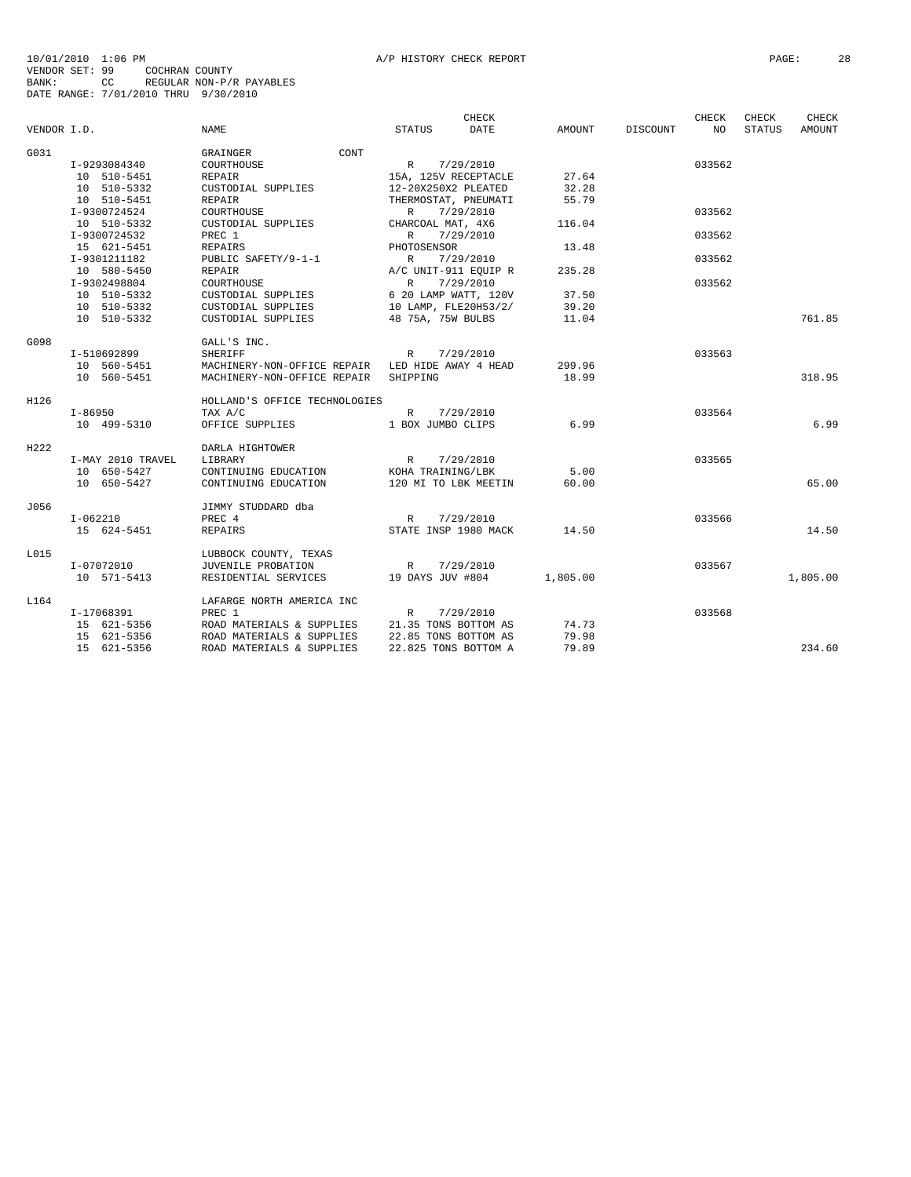| NAME<br><b>DATE</b><br>AMOUNT<br>DISCOUNT<br>NO<br><b>STATUS</b><br><b>AMOUNT</b><br>VENDOR I.D.<br><b>STATUS</b><br>G031<br>CONT<br>GRAINGER<br>R 7/29/2010<br>033562<br>I-9293084340<br>COURTHOUSE<br>10 510-5451<br>27.64<br><b>REPAIR</b><br>15A, 125V RECEPTACLE<br>10 510-5332<br>CUSTODIAL SUPPLIES<br>12-20X250X2 PLEATED<br>32.28<br>10 510-5451<br><b>REPAIR</b><br>THERMOSTAT, PNEUMATI<br>55.79<br>I-9300724524<br>COURTHOUSE<br>7/29/2010<br>033562<br>$\mathbb{R}$<br>10 510-5332<br>CUSTODIAL SUPPLIES<br>CHARCOAL MAT, 4X6<br>116.04<br>I-9300724532<br>PREC 1<br>R<br>7/29/2010<br>033562<br>15 621-5451<br>PHOTOSENSOR<br>13.48<br><b>REPAIRS</b><br>I-9301211182<br>PUBLIC SAFETY/9-1-1<br>7/29/2010<br>033562<br>R<br>235.28<br>10 580-5450<br><b>REPAIR</b><br>A/C UNIT-911 EQUIP R<br>I-9302498804<br>COURTHOUSE<br>R<br>7/29/2010<br>033562<br>10 510-5332<br>6 20 LAMP WATT, 120V<br>37.50<br>CUSTODIAL SUPPLIES<br>10 510-5332<br>10 LAMP, FLE20H53/2/<br>39.20<br>CUSTODIAL SUPPLIES<br>761.85<br>10 510-5332<br>48 75A, 75W BULBS<br>CUSTODIAL SUPPLIES<br>11.04<br>G098<br>GALL'S INC.<br>7/29/2010<br>033563<br>I-510692899<br><b>SHERIFF</b><br>R<br>299.96<br>10 560-5451<br>MACHINERY-NON-OFFICE REPAIR LED HIDE AWAY 4 HEAD<br>10 560-5451<br>18.99<br>318.95<br>MACHINERY-NON-OFFICE REPAIR<br>SHIPPING<br>H126<br>HOLLAND'S OFFICE TECHNOLOGIES<br>7/29/2010<br>033564<br>I-86950<br>TAX A/C<br>$\mathbb{R}$<br>6.99<br>6.99<br>10 499-5310<br>OFFICE SUPPLIES<br>1 BOX JUMBO CLIPS<br>H222<br>DARLA HIGHTOWER<br>033565<br>I-MAY 2010 TRAVEL<br>LIBRARY<br>R<br>7/29/2010<br>10 650-5427<br>5.00<br>CONTINUING EDUCATION<br>KOHA TRAINING/LBK<br>10 650-5427<br>60.00<br>65.00<br>CONTINUING EDUCATION<br>120 MI TO LBK MEETIN<br>J056<br>JIMMY STUDDARD dba<br>$I-062210$<br>PREC 4<br>033566<br>R<br>7/29/2010<br>15 624-5451<br>STATE INSP 1980 MACK<br>14.50<br>14.50<br><b>REPAIRS</b><br>L015<br>LUBBOCK COUNTY, TEXAS<br>7/29/2010<br>033567<br>I-07072010<br>JUVENILE PROBATION<br>R<br>10 571-5413<br>RESIDENTIAL SERVICES<br>19 DAYS JUV #804<br>1,805.00<br>1,805.00<br>L164<br>LAFARGE NORTH AMERICA INC<br>PREC 1<br>7/29/2010<br>033568<br>I-17068391<br>$\mathbb{R}$<br>15 621-5356<br>ROAD MATERIALS & SUPPLIES<br>21.35 TONS BOTTOM AS<br>74.73<br>22.85 TONS BOTTOM AS<br>79.98<br>15 621-5356<br>ROAD MATERIALS & SUPPLIES<br>15 621-5356<br>ROAD MATERIALS & SUPPLIES<br>22.825 TONS BOTTOM A<br>79.89<br>234.60 |  | CHECK |  | CHECK | CHECK | CHECK |
|--------------------------------------------------------------------------------------------------------------------------------------------------------------------------------------------------------------------------------------------------------------------------------------------------------------------------------------------------------------------------------------------------------------------------------------------------------------------------------------------------------------------------------------------------------------------------------------------------------------------------------------------------------------------------------------------------------------------------------------------------------------------------------------------------------------------------------------------------------------------------------------------------------------------------------------------------------------------------------------------------------------------------------------------------------------------------------------------------------------------------------------------------------------------------------------------------------------------------------------------------------------------------------------------------------------------------------------------------------------------------------------------------------------------------------------------------------------------------------------------------------------------------------------------------------------------------------------------------------------------------------------------------------------------------------------------------------------------------------------------------------------------------------------------------------------------------------------------------------------------------------------------------------------------------------------------------------------------------------------------------------------------------------------------------------------------------------------------------------------------------------------------------------------------------------------------------------------------------------------------------------------------------------------------------------------------------------------------------------------------------------------------------------------------------------------------------------------------------|--|-------|--|-------|-------|-------|
|                                                                                                                                                                                                                                                                                                                                                                                                                                                                                                                                                                                                                                                                                                                                                                                                                                                                                                                                                                                                                                                                                                                                                                                                                                                                                                                                                                                                                                                                                                                                                                                                                                                                                                                                                                                                                                                                                                                                                                                                                                                                                                                                                                                                                                                                                                                                                                                                                                                                          |  |       |  |       |       |       |
|                                                                                                                                                                                                                                                                                                                                                                                                                                                                                                                                                                                                                                                                                                                                                                                                                                                                                                                                                                                                                                                                                                                                                                                                                                                                                                                                                                                                                                                                                                                                                                                                                                                                                                                                                                                                                                                                                                                                                                                                                                                                                                                                                                                                                                                                                                                                                                                                                                                                          |  |       |  |       |       |       |
|                                                                                                                                                                                                                                                                                                                                                                                                                                                                                                                                                                                                                                                                                                                                                                                                                                                                                                                                                                                                                                                                                                                                                                                                                                                                                                                                                                                                                                                                                                                                                                                                                                                                                                                                                                                                                                                                                                                                                                                                                                                                                                                                                                                                                                                                                                                                                                                                                                                                          |  |       |  |       |       |       |
|                                                                                                                                                                                                                                                                                                                                                                                                                                                                                                                                                                                                                                                                                                                                                                                                                                                                                                                                                                                                                                                                                                                                                                                                                                                                                                                                                                                                                                                                                                                                                                                                                                                                                                                                                                                                                                                                                                                                                                                                                                                                                                                                                                                                                                                                                                                                                                                                                                                                          |  |       |  |       |       |       |
|                                                                                                                                                                                                                                                                                                                                                                                                                                                                                                                                                                                                                                                                                                                                                                                                                                                                                                                                                                                                                                                                                                                                                                                                                                                                                                                                                                                                                                                                                                                                                                                                                                                                                                                                                                                                                                                                                                                                                                                                                                                                                                                                                                                                                                                                                                                                                                                                                                                                          |  |       |  |       |       |       |
|                                                                                                                                                                                                                                                                                                                                                                                                                                                                                                                                                                                                                                                                                                                                                                                                                                                                                                                                                                                                                                                                                                                                                                                                                                                                                                                                                                                                                                                                                                                                                                                                                                                                                                                                                                                                                                                                                                                                                                                                                                                                                                                                                                                                                                                                                                                                                                                                                                                                          |  |       |  |       |       |       |
|                                                                                                                                                                                                                                                                                                                                                                                                                                                                                                                                                                                                                                                                                                                                                                                                                                                                                                                                                                                                                                                                                                                                                                                                                                                                                                                                                                                                                                                                                                                                                                                                                                                                                                                                                                                                                                                                                                                                                                                                                                                                                                                                                                                                                                                                                                                                                                                                                                                                          |  |       |  |       |       |       |
|                                                                                                                                                                                                                                                                                                                                                                                                                                                                                                                                                                                                                                                                                                                                                                                                                                                                                                                                                                                                                                                                                                                                                                                                                                                                                                                                                                                                                                                                                                                                                                                                                                                                                                                                                                                                                                                                                                                                                                                                                                                                                                                                                                                                                                                                                                                                                                                                                                                                          |  |       |  |       |       |       |
|                                                                                                                                                                                                                                                                                                                                                                                                                                                                                                                                                                                                                                                                                                                                                                                                                                                                                                                                                                                                                                                                                                                                                                                                                                                                                                                                                                                                                                                                                                                                                                                                                                                                                                                                                                                                                                                                                                                                                                                                                                                                                                                                                                                                                                                                                                                                                                                                                                                                          |  |       |  |       |       |       |
|                                                                                                                                                                                                                                                                                                                                                                                                                                                                                                                                                                                                                                                                                                                                                                                                                                                                                                                                                                                                                                                                                                                                                                                                                                                                                                                                                                                                                                                                                                                                                                                                                                                                                                                                                                                                                                                                                                                                                                                                                                                                                                                                                                                                                                                                                                                                                                                                                                                                          |  |       |  |       |       |       |
|                                                                                                                                                                                                                                                                                                                                                                                                                                                                                                                                                                                                                                                                                                                                                                                                                                                                                                                                                                                                                                                                                                                                                                                                                                                                                                                                                                                                                                                                                                                                                                                                                                                                                                                                                                                                                                                                                                                                                                                                                                                                                                                                                                                                                                                                                                                                                                                                                                                                          |  |       |  |       |       |       |
|                                                                                                                                                                                                                                                                                                                                                                                                                                                                                                                                                                                                                                                                                                                                                                                                                                                                                                                                                                                                                                                                                                                                                                                                                                                                                                                                                                                                                                                                                                                                                                                                                                                                                                                                                                                                                                                                                                                                                                                                                                                                                                                                                                                                                                                                                                                                                                                                                                                                          |  |       |  |       |       |       |
|                                                                                                                                                                                                                                                                                                                                                                                                                                                                                                                                                                                                                                                                                                                                                                                                                                                                                                                                                                                                                                                                                                                                                                                                                                                                                                                                                                                                                                                                                                                                                                                                                                                                                                                                                                                                                                                                                                                                                                                                                                                                                                                                                                                                                                                                                                                                                                                                                                                                          |  |       |  |       |       |       |
|                                                                                                                                                                                                                                                                                                                                                                                                                                                                                                                                                                                                                                                                                                                                                                                                                                                                                                                                                                                                                                                                                                                                                                                                                                                                                                                                                                                                                                                                                                                                                                                                                                                                                                                                                                                                                                                                                                                                                                                                                                                                                                                                                                                                                                                                                                                                                                                                                                                                          |  |       |  |       |       |       |
|                                                                                                                                                                                                                                                                                                                                                                                                                                                                                                                                                                                                                                                                                                                                                                                                                                                                                                                                                                                                                                                                                                                                                                                                                                                                                                                                                                                                                                                                                                                                                                                                                                                                                                                                                                                                                                                                                                                                                                                                                                                                                                                                                                                                                                                                                                                                                                                                                                                                          |  |       |  |       |       |       |
|                                                                                                                                                                                                                                                                                                                                                                                                                                                                                                                                                                                                                                                                                                                                                                                                                                                                                                                                                                                                                                                                                                                                                                                                                                                                                                                                                                                                                                                                                                                                                                                                                                                                                                                                                                                                                                                                                                                                                                                                                                                                                                                                                                                                                                                                                                                                                                                                                                                                          |  |       |  |       |       |       |
|                                                                                                                                                                                                                                                                                                                                                                                                                                                                                                                                                                                                                                                                                                                                                                                                                                                                                                                                                                                                                                                                                                                                                                                                                                                                                                                                                                                                                                                                                                                                                                                                                                                                                                                                                                                                                                                                                                                                                                                                                                                                                                                                                                                                                                                                                                                                                                                                                                                                          |  |       |  |       |       |       |
|                                                                                                                                                                                                                                                                                                                                                                                                                                                                                                                                                                                                                                                                                                                                                                                                                                                                                                                                                                                                                                                                                                                                                                                                                                                                                                                                                                                                                                                                                                                                                                                                                                                                                                                                                                                                                                                                                                                                                                                                                                                                                                                                                                                                                                                                                                                                                                                                                                                                          |  |       |  |       |       |       |
|                                                                                                                                                                                                                                                                                                                                                                                                                                                                                                                                                                                                                                                                                                                                                                                                                                                                                                                                                                                                                                                                                                                                                                                                                                                                                                                                                                                                                                                                                                                                                                                                                                                                                                                                                                                                                                                                                                                                                                                                                                                                                                                                                                                                                                                                                                                                                                                                                                                                          |  |       |  |       |       |       |
|                                                                                                                                                                                                                                                                                                                                                                                                                                                                                                                                                                                                                                                                                                                                                                                                                                                                                                                                                                                                                                                                                                                                                                                                                                                                                                                                                                                                                                                                                                                                                                                                                                                                                                                                                                                                                                                                                                                                                                                                                                                                                                                                                                                                                                                                                                                                                                                                                                                                          |  |       |  |       |       |       |
|                                                                                                                                                                                                                                                                                                                                                                                                                                                                                                                                                                                                                                                                                                                                                                                                                                                                                                                                                                                                                                                                                                                                                                                                                                                                                                                                                                                                                                                                                                                                                                                                                                                                                                                                                                                                                                                                                                                                                                                                                                                                                                                                                                                                                                                                                                                                                                                                                                                                          |  |       |  |       |       |       |
|                                                                                                                                                                                                                                                                                                                                                                                                                                                                                                                                                                                                                                                                                                                                                                                                                                                                                                                                                                                                                                                                                                                                                                                                                                                                                                                                                                                                                                                                                                                                                                                                                                                                                                                                                                                                                                                                                                                                                                                                                                                                                                                                                                                                                                                                                                                                                                                                                                                                          |  |       |  |       |       |       |
|                                                                                                                                                                                                                                                                                                                                                                                                                                                                                                                                                                                                                                                                                                                                                                                                                                                                                                                                                                                                                                                                                                                                                                                                                                                                                                                                                                                                                                                                                                                                                                                                                                                                                                                                                                                                                                                                                                                                                                                                                                                                                                                                                                                                                                                                                                                                                                                                                                                                          |  |       |  |       |       |       |
|                                                                                                                                                                                                                                                                                                                                                                                                                                                                                                                                                                                                                                                                                                                                                                                                                                                                                                                                                                                                                                                                                                                                                                                                                                                                                                                                                                                                                                                                                                                                                                                                                                                                                                                                                                                                                                                                                                                                                                                                                                                                                                                                                                                                                                                                                                                                                                                                                                                                          |  |       |  |       |       |       |
|                                                                                                                                                                                                                                                                                                                                                                                                                                                                                                                                                                                                                                                                                                                                                                                                                                                                                                                                                                                                                                                                                                                                                                                                                                                                                                                                                                                                                                                                                                                                                                                                                                                                                                                                                                                                                                                                                                                                                                                                                                                                                                                                                                                                                                                                                                                                                                                                                                                                          |  |       |  |       |       |       |
|                                                                                                                                                                                                                                                                                                                                                                                                                                                                                                                                                                                                                                                                                                                                                                                                                                                                                                                                                                                                                                                                                                                                                                                                                                                                                                                                                                                                                                                                                                                                                                                                                                                                                                                                                                                                                                                                                                                                                                                                                                                                                                                                                                                                                                                                                                                                                                                                                                                                          |  |       |  |       |       |       |
|                                                                                                                                                                                                                                                                                                                                                                                                                                                                                                                                                                                                                                                                                                                                                                                                                                                                                                                                                                                                                                                                                                                                                                                                                                                                                                                                                                                                                                                                                                                                                                                                                                                                                                                                                                                                                                                                                                                                                                                                                                                                                                                                                                                                                                                                                                                                                                                                                                                                          |  |       |  |       |       |       |
|                                                                                                                                                                                                                                                                                                                                                                                                                                                                                                                                                                                                                                                                                                                                                                                                                                                                                                                                                                                                                                                                                                                                                                                                                                                                                                                                                                                                                                                                                                                                                                                                                                                                                                                                                                                                                                                                                                                                                                                                                                                                                                                                                                                                                                                                                                                                                                                                                                                                          |  |       |  |       |       |       |
|                                                                                                                                                                                                                                                                                                                                                                                                                                                                                                                                                                                                                                                                                                                                                                                                                                                                                                                                                                                                                                                                                                                                                                                                                                                                                                                                                                                                                                                                                                                                                                                                                                                                                                                                                                                                                                                                                                                                                                                                                                                                                                                                                                                                                                                                                                                                                                                                                                                                          |  |       |  |       |       |       |
|                                                                                                                                                                                                                                                                                                                                                                                                                                                                                                                                                                                                                                                                                                                                                                                                                                                                                                                                                                                                                                                                                                                                                                                                                                                                                                                                                                                                                                                                                                                                                                                                                                                                                                                                                                                                                                                                                                                                                                                                                                                                                                                                                                                                                                                                                                                                                                                                                                                                          |  |       |  |       |       |       |
|                                                                                                                                                                                                                                                                                                                                                                                                                                                                                                                                                                                                                                                                                                                                                                                                                                                                                                                                                                                                                                                                                                                                                                                                                                                                                                                                                                                                                                                                                                                                                                                                                                                                                                                                                                                                                                                                                                                                                                                                                                                                                                                                                                                                                                                                                                                                                                                                                                                                          |  |       |  |       |       |       |
|                                                                                                                                                                                                                                                                                                                                                                                                                                                                                                                                                                                                                                                                                                                                                                                                                                                                                                                                                                                                                                                                                                                                                                                                                                                                                                                                                                                                                                                                                                                                                                                                                                                                                                                                                                                                                                                                                                                                                                                                                                                                                                                                                                                                                                                                                                                                                                                                                                                                          |  |       |  |       |       |       |
|                                                                                                                                                                                                                                                                                                                                                                                                                                                                                                                                                                                                                                                                                                                                                                                                                                                                                                                                                                                                                                                                                                                                                                                                                                                                                                                                                                                                                                                                                                                                                                                                                                                                                                                                                                                                                                                                                                                                                                                                                                                                                                                                                                                                                                                                                                                                                                                                                                                                          |  |       |  |       |       |       |
|                                                                                                                                                                                                                                                                                                                                                                                                                                                                                                                                                                                                                                                                                                                                                                                                                                                                                                                                                                                                                                                                                                                                                                                                                                                                                                                                                                                                                                                                                                                                                                                                                                                                                                                                                                                                                                                                                                                                                                                                                                                                                                                                                                                                                                                                                                                                                                                                                                                                          |  |       |  |       |       |       |
|                                                                                                                                                                                                                                                                                                                                                                                                                                                                                                                                                                                                                                                                                                                                                                                                                                                                                                                                                                                                                                                                                                                                                                                                                                                                                                                                                                                                                                                                                                                                                                                                                                                                                                                                                                                                                                                                                                                                                                                                                                                                                                                                                                                                                                                                                                                                                                                                                                                                          |  |       |  |       |       |       |
|                                                                                                                                                                                                                                                                                                                                                                                                                                                                                                                                                                                                                                                                                                                                                                                                                                                                                                                                                                                                                                                                                                                                                                                                                                                                                                                                                                                                                                                                                                                                                                                                                                                                                                                                                                                                                                                                                                                                                                                                                                                                                                                                                                                                                                                                                                                                                                                                                                                                          |  |       |  |       |       |       |
|                                                                                                                                                                                                                                                                                                                                                                                                                                                                                                                                                                                                                                                                                                                                                                                                                                                                                                                                                                                                                                                                                                                                                                                                                                                                                                                                                                                                                                                                                                                                                                                                                                                                                                                                                                                                                                                                                                                                                                                                                                                                                                                                                                                                                                                                                                                                                                                                                                                                          |  |       |  |       |       |       |
|                                                                                                                                                                                                                                                                                                                                                                                                                                                                                                                                                                                                                                                                                                                                                                                                                                                                                                                                                                                                                                                                                                                                                                                                                                                                                                                                                                                                                                                                                                                                                                                                                                                                                                                                                                                                                                                                                                                                                                                                                                                                                                                                                                                                                                                                                                                                                                                                                                                                          |  |       |  |       |       |       |
|                                                                                                                                                                                                                                                                                                                                                                                                                                                                                                                                                                                                                                                                                                                                                                                                                                                                                                                                                                                                                                                                                                                                                                                                                                                                                                                                                                                                                                                                                                                                                                                                                                                                                                                                                                                                                                                                                                                                                                                                                                                                                                                                                                                                                                                                                                                                                                                                                                                                          |  |       |  |       |       |       |
|                                                                                                                                                                                                                                                                                                                                                                                                                                                                                                                                                                                                                                                                                                                                                                                                                                                                                                                                                                                                                                                                                                                                                                                                                                                                                                                                                                                                                                                                                                                                                                                                                                                                                                                                                                                                                                                                                                                                                                                                                                                                                                                                                                                                                                                                                                                                                                                                                                                                          |  |       |  |       |       |       |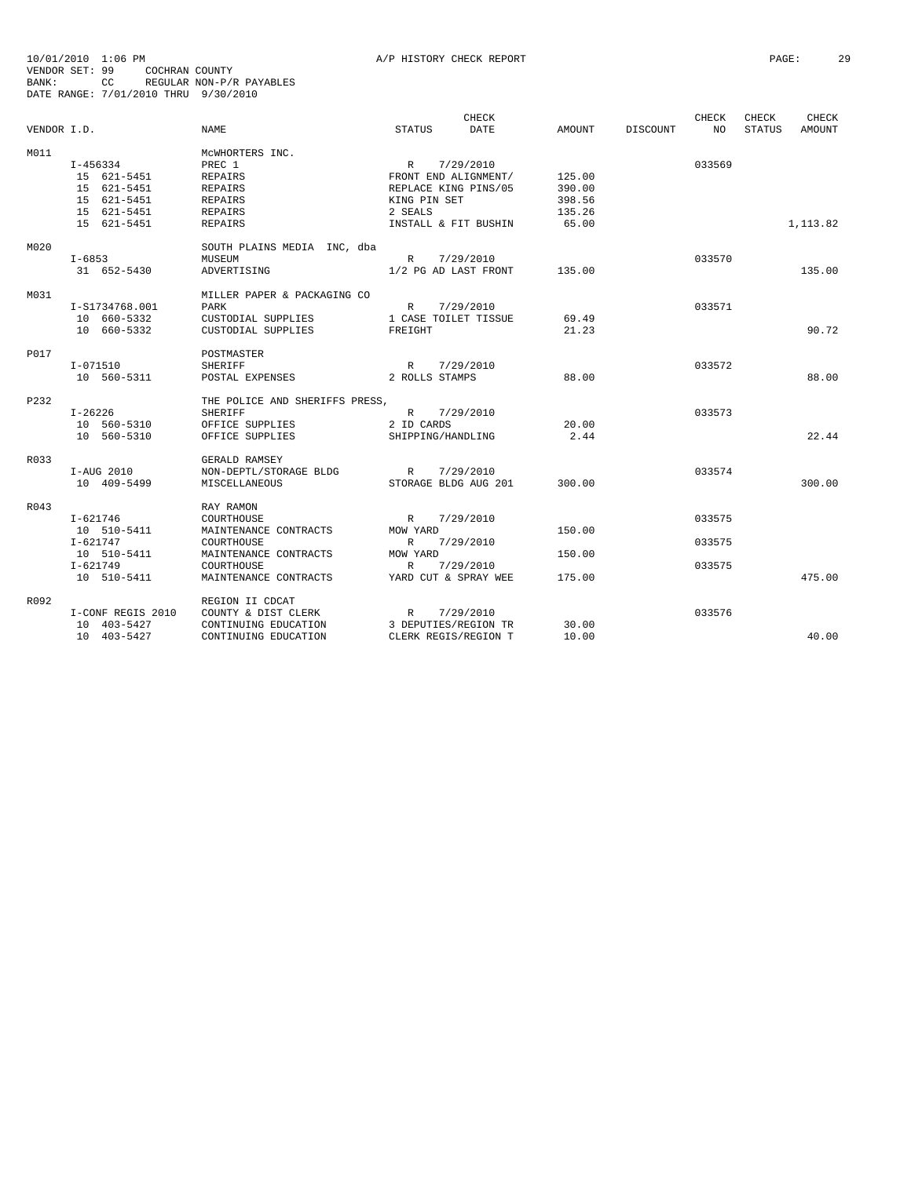|             |                   |                                |                      | <b>CHECK</b> |        |          | <b>CHECK</b> | CHECK         | CHECK         |
|-------------|-------------------|--------------------------------|----------------------|--------------|--------|----------|--------------|---------------|---------------|
| VENDOR I.D. |                   | <b>NAME</b>                    | <b>STATUS</b>        | <b>DATE</b>  | AMOUNT | DISCOUNT | NO.          | <b>STATUS</b> | <b>AMOUNT</b> |
| M011        |                   | MCWHORTERS INC.                |                      |              |        |          |              |               |               |
|             | I-456334          | PREC 1                         | $\mathbb{R}$         | 7/29/2010    |        |          | 033569       |               |               |
|             | 15 621-5451       | <b>REPAIRS</b>                 | FRONT END ALIGNMENT/ |              | 125.00 |          |              |               |               |
|             | 15 621-5451       | <b>REPAIRS</b>                 | REPLACE KING PINS/05 |              | 390.00 |          |              |               |               |
|             | 15 621-5451       | REPAIRS                        | KING PIN SET         |              | 398.56 |          |              |               |               |
|             | 15 621-5451       | <b>REPAIRS</b>                 | 2 SEALS              |              | 135.26 |          |              |               |               |
|             | 15 621-5451       | <b>REPAIRS</b>                 | INSTALL & FIT BUSHIN |              | 65.00  |          |              |               | 1,113.82      |
| M020        |                   | SOUTH PLAINS MEDIA INC, dba    |                      |              |        |          |              |               |               |
|             | $I - 6853$        | MUSEUM                         | R 7/29/2010          |              |        |          | 033570       |               |               |
|             | 31 652-5430       | ADVERTISING                    | 1/2 PG AD LAST FRONT |              | 135.00 |          |              |               | 135.00        |
| M031        |                   | MILLER PAPER & PACKAGING CO    |                      |              |        |          |              |               |               |
|             | I-S1734768.001    | PARK                           | $\mathbb{R}$         | 7/29/2010    |        |          | 033571       |               |               |
|             | 10 660-5332       | CUSTODIAL SUPPLIES             | 1 CASE TOILET TISSUE |              | 69.49  |          |              |               |               |
|             | 10 660-5332       | CUSTODIAL SUPPLIES             | FREIGHT              |              | 21.23  |          |              |               | 90.72         |
|             |                   |                                |                      |              |        |          |              |               |               |
| P017        |                   | POSTMASTER                     |                      |              |        |          |              |               |               |
|             | $I - 071510$      | <b>SHERIFF</b>                 | R                    | 7/29/2010    |        |          | 033572       |               |               |
|             | 10 560-5311       | POSTAL EXPENSES                | 2 ROLLS STAMPS       |              | 88.00  |          |              |               | 88.00         |
| P232        |                   | THE POLICE AND SHERIFFS PRESS, |                      |              |        |          |              |               |               |
|             | $I - 26226$       | <b>SHERIFF</b>                 | R 7/29/2010          |              |        |          | 033573       |               |               |
|             | 10 560-5310       | OFFICE SUPPLIES                | 2 ID CARDS           |              | 20.00  |          |              |               |               |
|             | 10 560-5310       | OFFICE SUPPLIES                | SHIPPING/HANDLING    |              | 2.44   |          |              |               | 22.44         |
| R033        |                   | GERALD RAMSEY                  |                      |              |        |          |              |               |               |
|             | I-AUG 2010        | NON-DEPTL/STORAGE BLDG         | R                    | 7/29/2010    |        |          | 033574       |               |               |
|             | 10 409-5499       | MISCELLANEOUS                  | STORAGE BLDG AUG 201 |              | 300.00 |          |              |               | 300.00        |
| R043        |                   | RAY RAMON                      |                      |              |        |          |              |               |               |
|             | I-621746          | COURTHOUSE                     | $\mathbb{R}$         | 7/29/2010    |        |          | 033575       |               |               |
|             | 10 510-5411       | MAINTENANCE CONTRACTS          | MOW YARD             |              | 150.00 |          |              |               |               |
|             | $I - 621747$      | COURTHOUSE                     | $\mathbb{R}$         | 7/29/2010    |        |          | 033575       |               |               |
|             | 10 510-5411       | MAINTENANCE CONTRACTS          | MOW YARD             |              | 150.00 |          |              |               |               |
|             | $I - 621749$      | COURTHOUSE                     | R                    | 7/29/2010    |        |          | 033575       |               |               |
|             | 10 510-5411       | MAINTENANCE CONTRACTS          | YARD CUT & SPRAY WEE |              | 175.00 |          |              |               | 475.00        |
| R092        |                   | REGION II CDCAT                |                      |              |        |          |              |               |               |
|             | I-CONF REGIS 2010 | COUNTY & DIST CLERK            | $\mathbb{R}$         | 7/29/2010    |        |          | 033576       |               |               |
|             | 10 403-5427       | CONTINUING EDUCATION           | 3 DEPUTIES/REGION TR |              | 30.00  |          |              |               |               |
|             | 10 403-5427       | CONTINUING EDUCATION           | CLERK REGIS/REGION T |              | 10.00  |          |              |               | 40.00         |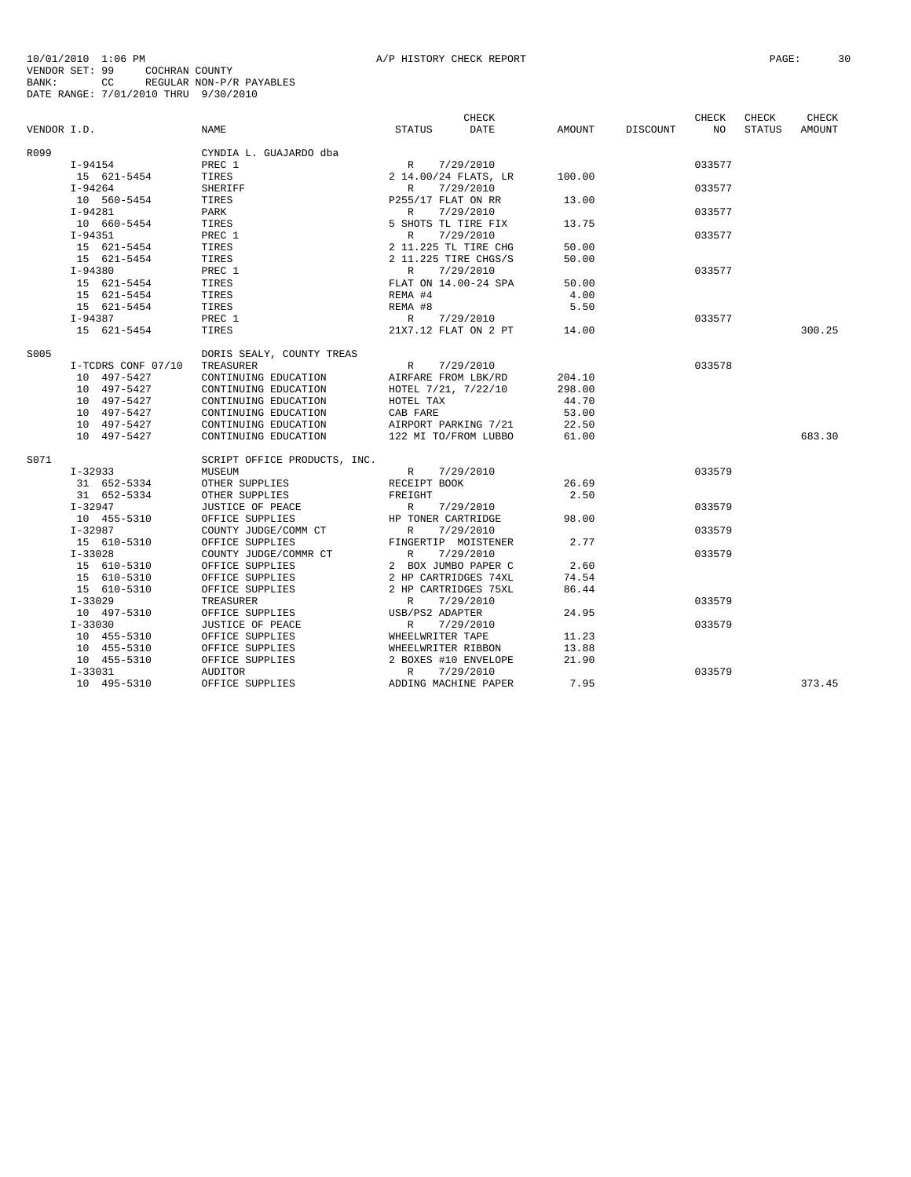| VENDOR I.D. |                    | <b>NAME</b>                  | STATUS                                                                                                                  | CHECK<br><b>DATE</b> | AMOUNT | DISCOUNT | <b>CHECK</b><br>NO. | <b>CHECK</b><br><b>STATUS</b> | CHECK<br><b>AMOUNT</b> |
|-------------|--------------------|------------------------------|-------------------------------------------------------------------------------------------------------------------------|----------------------|--------|----------|---------------------|-------------------------------|------------------------|
| R099        |                    | CYNDIA L. GUAJARDO dba       |                                                                                                                         |                      |        |          |                     |                               |                        |
|             | $I-94154$          | PREC 1                       | R                                                                                                                       | 7/29/2010            |        |          | 033577              |                               |                        |
|             | 15 621-5454        | TIRES                        |                                                                                                                         | 2 14.00/24 FLATS, LR | 100.00 |          |                     |                               |                        |
|             | $I-94264$          | <b>SHERIFF</b>               | ATS,<br>7/29/2010<br>P255/17 ELAT ON RR<br>R 7/29/2010<br>5 SHOTS TL TIRE FIX<br>R 7/29/2010<br>2 11.225 TL 7<br>2 11 ^ |                      |        |          | 033577              |                               |                        |
|             | 10 560-5454        | TIRES                        |                                                                                                                         |                      | 13.00  |          |                     |                               |                        |
|             | $I-94281$          | PARK                         |                                                                                                                         |                      |        |          | 033577              |                               |                        |
|             | 10 660-5454        | TIRES                        |                                                                                                                         |                      | 13.75  |          |                     |                               |                        |
|             | $I-94351$          | PREC 1                       |                                                                                                                         |                      |        |          | 033577              |                               |                        |
|             | 15 621-5454        | TIRES                        |                                                                                                                         |                      | 50.00  |          |                     |                               |                        |
|             | 15 621-5454        | TIRES                        |                                                                                                                         |                      | 50.00  |          |                     |                               |                        |
|             | $I-94380$          | PREC 1                       | $\mathbb{R}$                                                                                                            | 7/29/2010            |        |          | 033577              |                               |                        |
|             | 15 621-5454        | TIRES                        | FLAT ON 14.00-24 SPA                                                                                                    |                      | 50.00  |          |                     |                               |                        |
|             | 15 621-5454        | TIRES                        | REMA #4                                                                                                                 |                      | 4.00   |          |                     |                               |                        |
|             | 15 621-5454        | TIRES                        | REMA #8                                                                                                                 |                      | 5.50   |          |                     |                               |                        |
|             | $I-94387$          | PREC 1                       | R                                                                                                                       | 7/29/2010            |        |          | 033577              |                               |                        |
|             | 15 621-5454        | TIRES                        |                                                                                                                         | 21X7.12 FLAT ON 2 PT | 14.00  |          |                     |                               | 300.25                 |
| S005        |                    | DORIS SEALY, COUNTY TREAS    |                                                                                                                         |                      |        |          |                     |                               |                        |
|             | I-TCDRS CONF 07/10 | TREASURER                    | R                                                                                                                       | 7/29/2010            |        |          | 033578              |                               |                        |
|             | 10 497-5427        | CONTINUING EDUCATION         | AIRFARE FROM LBK/RD                                                                                                     |                      | 204.10 |          |                     |                               |                        |
|             | 10 497-5427        | CONTINUING EDUCATION         | HOTEL 7/21, 7/22/10                                                                                                     |                      | 298.00 |          |                     |                               |                        |
|             | 10 497-5427        | CONTINUING EDUCATION         | HOTEL TAX                                                                                                               |                      | 44.70  |          |                     |                               |                        |
|             | 10 497-5427        | CONTINUING EDUCATION         | CAB FARE                                                                                                                |                      | 53.00  |          |                     |                               |                        |
|             | 10 497-5427        | CONTINUING EDUCATION         | AIRPORT PARKING 7/21                                                                                                    |                      | 22.50  |          |                     |                               |                        |
|             | 10 497-5427        | CONTINUING EDUCATION         | 122 MI TO/FROM LUBBO                                                                                                    |                      | 61.00  |          |                     |                               | 683.30                 |
| S071        |                    | SCRIPT OFFICE PRODUCTS, INC. |                                                                                                                         |                      |        |          |                     |                               |                        |
|             | I-32933            | MUSEUM                       | R 7/29/2010                                                                                                             |                      |        |          | 033579              |                               |                        |
|             | 31 652-5334        | OTHER SUPPLIES               | RECEIPT BOOK                                                                                                            |                      | 26.69  |          |                     |                               |                        |
|             | 31 652-5334        | OTHER SUPPLIES               | FREIGHT                                                                                                                 |                      | 2.50   |          |                     |                               |                        |
|             |                    |                              | R                                                                                                                       |                      |        |          | 033579              |                               |                        |
|             | I-32947            | JUSTICE OF PEACE             | HP TONER CARTRIDGE                                                                                                      | 7/29/2010            | 98.00  |          |                     |                               |                        |
|             | 10 455-5310        | OFFICE SUPPLIES              | R                                                                                                                       |                      |        |          |                     |                               |                        |
|             | $I-32987$          | COUNTY JUDGE/COMM CT         |                                                                                                                         | 7/29/2010            | 2.77   |          | 033579              |                               |                        |
|             | 15 610-5310        | OFFICE SUPPLIES              | FINGERTIP MOISTENER<br>$\begin{array}{c}\n\text{-} \text{LNG.} \\ \text{R} \\ \text{O}\n\end{array}$                    |                      |        |          |                     |                               |                        |
|             | $I-33028$          | COUNTY JUDGE/COMMR CT        |                                                                                                                         | 7/29/2010            |        |          | 033579              |                               |                        |
|             | 15 610-5310        | OFFICE SUPPLIES              | 2 BOX JUMBO PAPER C                                                                                                     |                      | 2.60   |          |                     |                               |                        |
|             | 15 610-5310        | OFFICE SUPPLIES              | 2 HP CARTRIDGES 74XL                                                                                                    |                      | 74.54  |          |                     |                               |                        |
|             | 15 610-5310        | OFFICE SUPPLIES              | 2 HP CARTRIDGES 75XL                                                                                                    |                      | 86.44  |          |                     |                               |                        |
|             | $I - 33029$        | TREASURER                    | $\mathbb{R}$                                                                                                            | 7/29/2010            |        |          | 033579              |                               |                        |
|             | 10 497-5310        | OFFICE SUPPLIES              | USB/PS2 ADAPTER                                                                                                         |                      | 24.95  |          |                     |                               |                        |
|             | $I - 33030$        | JUSTICE OF PEACE             | $\mathbb{R}$                                                                                                            | 7/29/2010            |        |          | 033579              |                               |                        |
|             | 10 455-5310        | OFFICE SUPPLIES              | WHEELWRITER TAPE                                                                                                        |                      | 11.23  |          |                     |                               |                        |
|             | 10 455-5310        | OFFICE SUPPLIES              | WHEELWRITER RIBBON                                                                                                      |                      | 13.88  |          |                     |                               |                        |
|             | 10 455-5310        | OFFICE SUPPLIES              | 2 BOXES #10 ENVELOPE                                                                                                    |                      | 21.90  |          |                     |                               |                        |
|             | $I - 33031$        | <b>AUDITOR</b>               | $\mathbb{R}$                                                                                                            | 7/29/2010            |        |          | 033579              |                               |                        |
|             | 10 495-5310        | OFFICE SUPPLIES              | ADDING MACHINE PAPER                                                                                                    |                      | 7.95   |          |                     |                               | 373.45                 |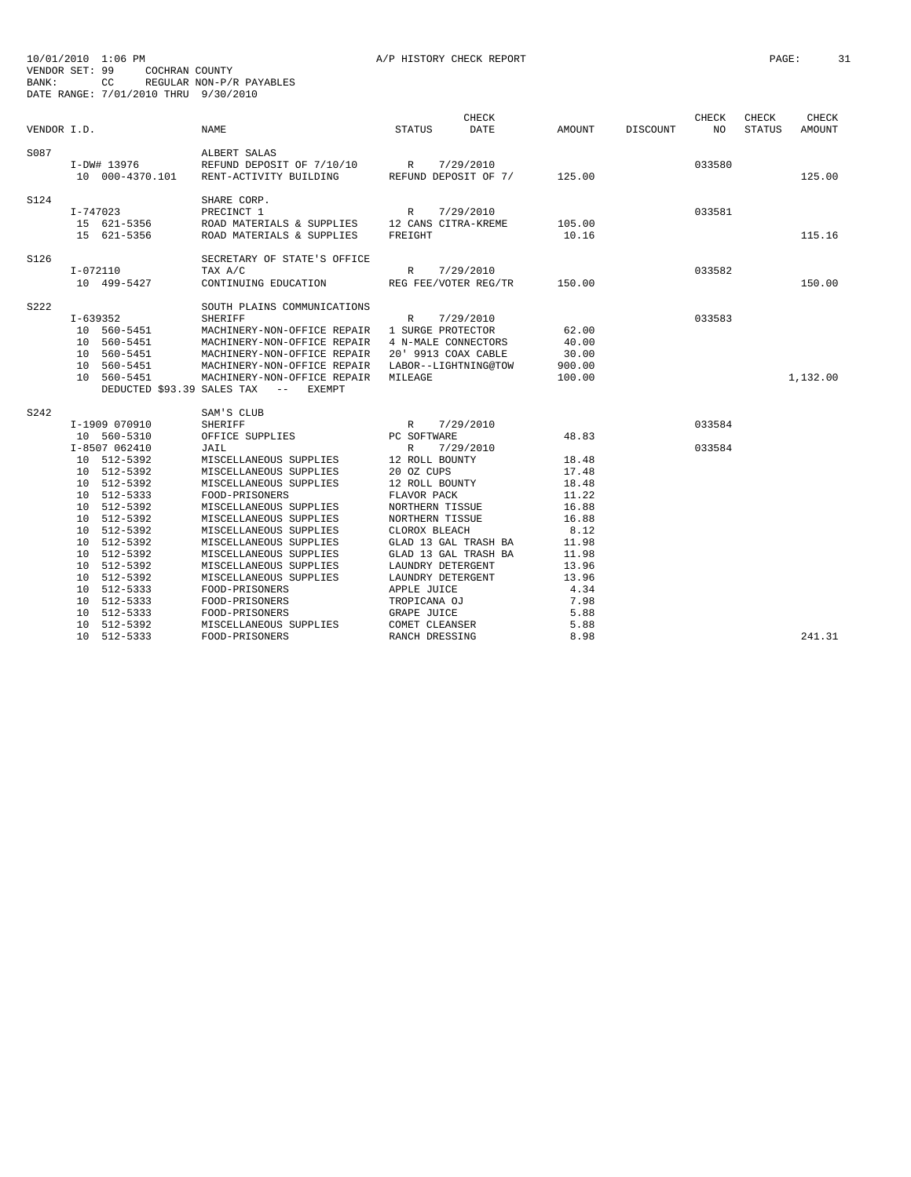| VENDOR I.D. |                                                                                                                                                                                                                                                                                                  | <b>NAME</b>                                                                                                                                                                                                                                                                                                                                                                                                                              | <b>STATUS</b>                                                                                                                                                                                                                                                                                                                                                   | CHECK<br>DATE | AMOUNT                                                                                                                                          | DISCOUNT | CHECK<br>NO.     | CHECK<br><b>STATUS</b> | <b>CHECK</b><br><b>AMOUNT</b> |
|-------------|--------------------------------------------------------------------------------------------------------------------------------------------------------------------------------------------------------------------------------------------------------------------------------------------------|------------------------------------------------------------------------------------------------------------------------------------------------------------------------------------------------------------------------------------------------------------------------------------------------------------------------------------------------------------------------------------------------------------------------------------------|-----------------------------------------------------------------------------------------------------------------------------------------------------------------------------------------------------------------------------------------------------------------------------------------------------------------------------------------------------------------|---------------|-------------------------------------------------------------------------------------------------------------------------------------------------|----------|------------------|------------------------|-------------------------------|
| S087        | I-DW# 13976<br>10 000-4370.101                                                                                                                                                                                                                                                                   | ALBERT SALAS<br>REFUND DEPOSIT OF $7/10/10$<br>RENT-ACTIVITY BUILDING<br>REFUND DEPOSIT OF 7/                                                                                                                                                                                                                                                                                                                                            |                                                                                                                                                                                                                                                                                                                                                                 |               | 125.00                                                                                                                                          |          | 033580           |                        | 125.00                        |
| S124        | I-747023<br>15 621-5356<br>15 621-5356                                                                                                                                                                                                                                                           | SHARE CORP.<br>PRECINCT 1<br>ROAD MATERIALS & SUPPLIES 12 CANS CITRA-KREME<br>ROAD MATERIALS & SUPPLIES                                                                                                                                                                                                                                                                                                                                  | R<br>7/29/2010<br>FREIGHT                                                                                                                                                                                                                                                                                                                                       |               | 105.00<br>10.16                                                                                                                                 |          | 033581           |                        | 115.16                        |
| S126        | $I-072110$<br>10 499-5427                                                                                                                                                                                                                                                                        | SECRETARY OF STATE'S OFFICE<br>TAX A/C<br>CONTINUING EDUCATION REG FEE/VOTER REG/TR                                                                                                                                                                                                                                                                                                                                                      | R 7/29/2010                                                                                                                                                                                                                                                                                                                                                     |               | 150.00                                                                                                                                          |          | 033582           |                        | 150.00                        |
| S222        | $I-639352$<br>10 560-5451<br>10 560-5451<br>10 560-5451<br>10 560-5451<br>10 560-5451<br>DEDUCTED \$93.39 SALES TAX                                                                                                                                                                              | SOUTH PLAINS COMMUNICATIONS<br><b>SHERIFF</b><br>MACHINERY-NON-OFFICE REPAIR 1 SURGE PROTECTOR<br>MACHINERY-NON-OFFICE REPAIR 4 N-MALE CONNECTORS<br>MACHINERY-NON-OFFICE REPAIR<br>MACHINERY-NON-OFFICE REPAIR<br>MACHINERY-NON-OFFICE REPAIR<br><b>EXEMPT</b><br>$--$                                                                                                                                                                  | $\mathbb R$<br>7/29/2010<br>20' 9913 COAX CABLE<br>LABOR--LIGHTNING@TOW<br>MILEAGE                                                                                                                                                                                                                                                                              |               | 62.00<br>40.00<br>30.00<br>900.00<br>100.00                                                                                                     |          | 033583           |                        | 1,132.00                      |
| S242        | I-1909 070910<br>10 560-5310<br>I-8507 062410<br>10 512-5392<br>10 512-5392<br>10 512-5392<br>10 512-5333<br>10 512-5392<br>10 512-5392<br>10 512-5392<br>10 512-5392<br>10 512-5392<br>10 512-5392<br>10 512-5392<br>512-5333<br>10<br>10 512-5333<br>10 512-5333<br>10 512-5392<br>10 512-5333 | SAM'S CLUB<br>SHERIFF<br>OFFICE SUPPLIES<br>JAIL<br>MISCELLANEOUS SUPPLIES<br>MISCELLANEOUS SUPPLIES<br>MISCELLANEOUS SUPPLIES<br>FOOD-PRISONERS<br>MISCELLANEOUS SUPPLIES<br>MISCELLANEOUS SUPPLIES<br>MISCELLANEOUS SUPPLIES<br>MISCELLANEOUS SUPPLIES<br>MISCELLANEOUS SUPPLIES<br>MISCELLANEOUS SUPPLIES<br>MISCELLANEOUS SUPPLIES<br>FOOD-PRISONERS<br>FOOD-PRISONERS<br>FOOD-PRISONERS<br>MISCELLANEOUS SUPPLIES<br>FOOD-PRISONERS | R 7/29<br>PC SOFTWARE<br>7/29/2010<br>R<br>7/29/2010<br>12 ROLL BOUNTY<br>20 OZ CUPS<br>12 ROLL BOUNTY<br>FLAVOR PACK<br>NORTHERN TISSUE<br>NORTHERN TISSUE<br>CLOROX BLEACH<br>GLAD 13 GAL TRASH BA<br>GLAD 13 GAL TRASH BA<br>LAUNDRY DETERGENT<br>LAUNDRY DETERGENT<br>APPLE JUICE<br>TROPICANA OJ<br><b>GRAPE JUICE</b><br>COMET CLEANSER<br>RANCH DRESSING |               | 48.83<br>18.48<br>17.48<br>18.48<br>11.22<br>16.88<br>16.88<br>8.12<br>11.98<br>11.98<br>13.96<br>13.96<br>4.34<br>7.98<br>5.88<br>5.88<br>8.98 |          | 033584<br>033584 |                        | 241.31                        |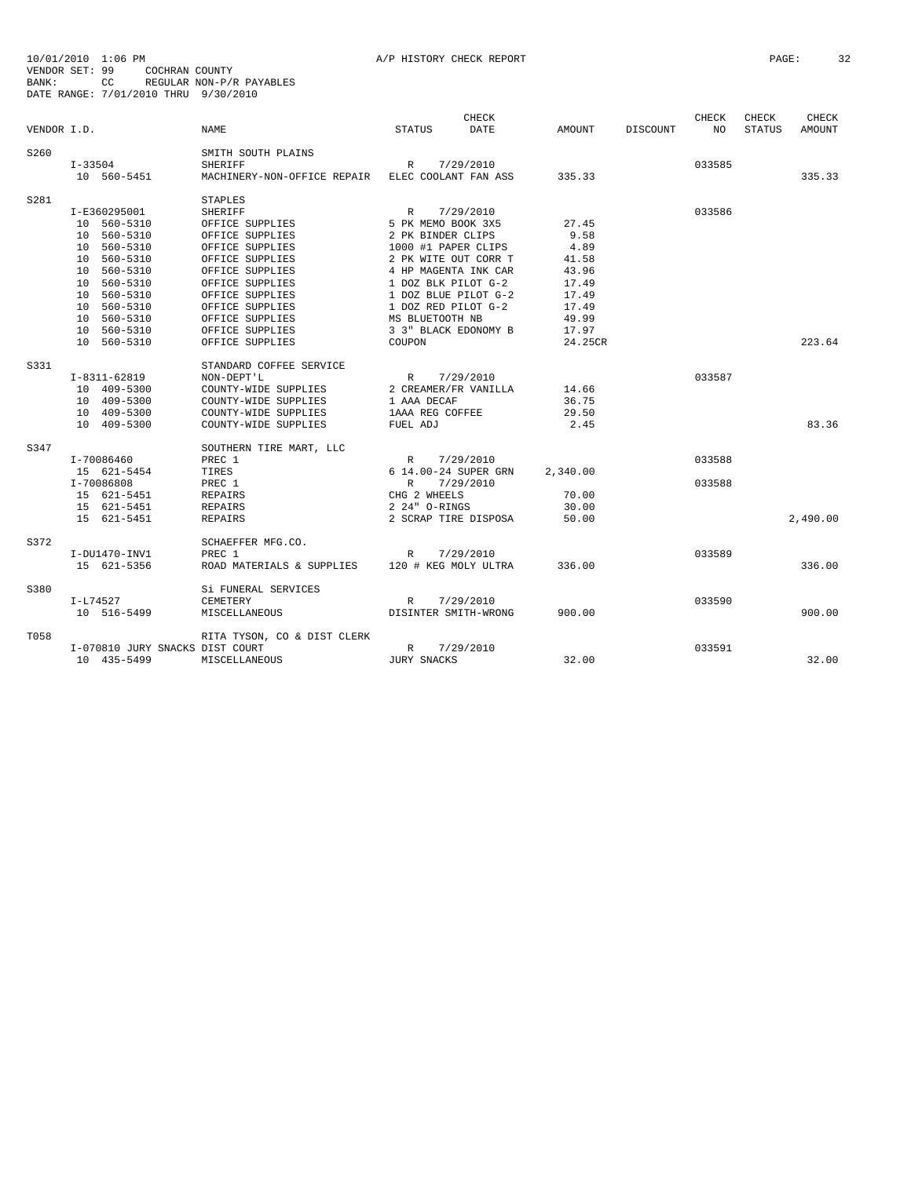|             |                                 |                             |                      | CHECK     |          |          | CHECK  | CHECK         | CHECK         |
|-------------|---------------------------------|-----------------------------|----------------------|-----------|----------|----------|--------|---------------|---------------|
| VENDOR I.D. |                                 | <b>NAME</b>                 | <b>STATUS</b>        | DATE      | AMOUNT   | DISCOUNT | NO.    | <b>STATUS</b> | <b>AMOUNT</b> |
| S260        |                                 | SMITH SOUTH PLAINS          |                      |           |          |          |        |               |               |
|             | I-33504                         | SHERIFF                     | R                    | 7/29/2010 |          |          | 033585 |               |               |
|             | 10 560-5451                     | MACHINERY-NON-OFFICE REPAIR | ELEC COOLANT FAN ASS |           | 335.33   |          |        |               | 335.33        |
| S281        |                                 | <b>STAPLES</b>              |                      |           |          |          |        |               |               |
|             | I-E360295001                    | <b>SHERIFF</b>              | $\mathbb{R}$         | 7/29/2010 |          |          | 033586 |               |               |
|             | 10 560-5310                     | OFFICE SUPPLIES             | 5 PK MEMO BOOK 3X5   |           | 27.45    |          |        |               |               |
|             | 10 560-5310                     | OFFICE SUPPLIES             | 2 PK BINDER CLIPS    |           | 9.58     |          |        |               |               |
|             | 10 560-5310                     | OFFICE SUPPLIES             | 1000 #1 PAPER CLIPS  |           | 4.89     |          |        |               |               |
|             | 10 560-5310                     | OFFICE SUPPLIES             | 2 PK WITE OUT CORR T |           | 41.58    |          |        |               |               |
|             | 10 560-5310                     | OFFICE SUPPLIES             | 4 HP MAGENTA INK CAR |           | 43.96    |          |        |               |               |
|             | 10 560-5310                     | OFFICE SUPPLIES             | 1 DOZ BLK PILOT G-2  |           | 17.49    |          |        |               |               |
|             | 10 560-5310                     | OFFICE SUPPLIES             | 1 DOZ BLUE PILOT G-2 |           | 17.49    |          |        |               |               |
|             | 10 560-5310                     | OFFICE SUPPLIES             | 1 DOZ RED PILOT G-2  |           | 17.49    |          |        |               |               |
|             | 10 560-5310                     | OFFICE SUPPLIES             | MS BLUETOOTH NB      |           | 49.99    |          |        |               |               |
|             | 10 560-5310                     | OFFICE SUPPLIES             | 3 3" BLACK EDONOMY B |           | 17.97    |          |        |               |               |
|             | 10 560-5310                     | OFFICE SUPPLIES             | COUPON               |           | 24.25CR  |          |        |               | 223.64        |
| S331        |                                 | STANDARD COFFEE SERVICE     |                      |           |          |          |        |               |               |
|             | $I-8311-62819$                  | NON-DEPT'L                  | R                    | 7/29/2010 |          |          | 033587 |               |               |
|             | 10 409-5300                     | COUNTY-WIDE SUPPLIES        | 2 CREAMER/FR VANILLA |           | 14.66    |          |        |               |               |
|             | 10 409-5300                     | COUNTY-WIDE SUPPLIES        | 1 AAA DECAF          |           | 36.75    |          |        |               |               |
|             | 10 409-5300                     | COUNTY-WIDE SUPPLIES        | 1AAA REG COFFEE      |           | 29.50    |          |        |               |               |
|             | 10 409-5300                     | COUNTY-WIDE SUPPLIES        | FUEL ADJ             |           | 2.45     |          |        |               | 83.36         |
| S347        |                                 | SOUTHERN TIRE MART, LLC     |                      |           |          |          |        |               |               |
|             | I-70086460                      | PREC 1                      | R                    | 7/29/2010 |          |          | 033588 |               |               |
|             | 15 621-5454                     | TIRES                       | 6 14.00-24 SUPER GRN |           | 2,340.00 |          |        |               |               |
|             | I-70086808                      | PREC 1                      | R                    | 7/29/2010 |          |          | 033588 |               |               |
|             | 15 621-5451                     | <b>REPAIRS</b>              | CHG 2 WHEELS         |           | 70.00    |          |        |               |               |
|             | 15 621-5451                     | <b>REPAIRS</b>              | 2 24" O-RINGS        |           | 30.00    |          |        |               |               |
|             | 15 621-5451                     | <b>REPAIRS</b>              | 2 SCRAP TIRE DISPOSA |           | 50.00    |          |        |               | 2,490.00      |
| S372        |                                 | SCHAEFFER MFG.CO.           |                      |           |          |          |        |               |               |
|             | I-DU1470-INV1                   | PREC 1                      | $\mathbb{R}$         | 7/29/2010 |          |          | 033589 |               |               |
|             | 15 621-5356                     | ROAD MATERIALS & SUPPLIES   | 120 # KEG MOLY ULTRA |           | 336.00   |          |        |               | 336.00        |
| S380        |                                 | Si FUNERAL SERVICES         |                      |           |          |          |        |               |               |
|             | I-L74527                        | CEMETERY                    | R                    | 7/29/2010 |          |          | 033590 |               |               |
|             | 10 516-5499                     | MISCELLANEOUS               | DISINTER SMITH-WRONG |           | 900.00   |          |        |               | 900.00        |
| T058        |                                 | RITA TYSON, CO & DIST CLERK |                      |           |          |          |        |               |               |
|             | I-070810 JURY SNACKS DIST COURT |                             | $\mathbb{R}$         | 7/29/2010 |          |          | 033591 |               |               |
|             | 10 435-5499                     | MISCELLANEOUS               | JURY SNACKS          |           | 32.00    |          |        |               | 32.00         |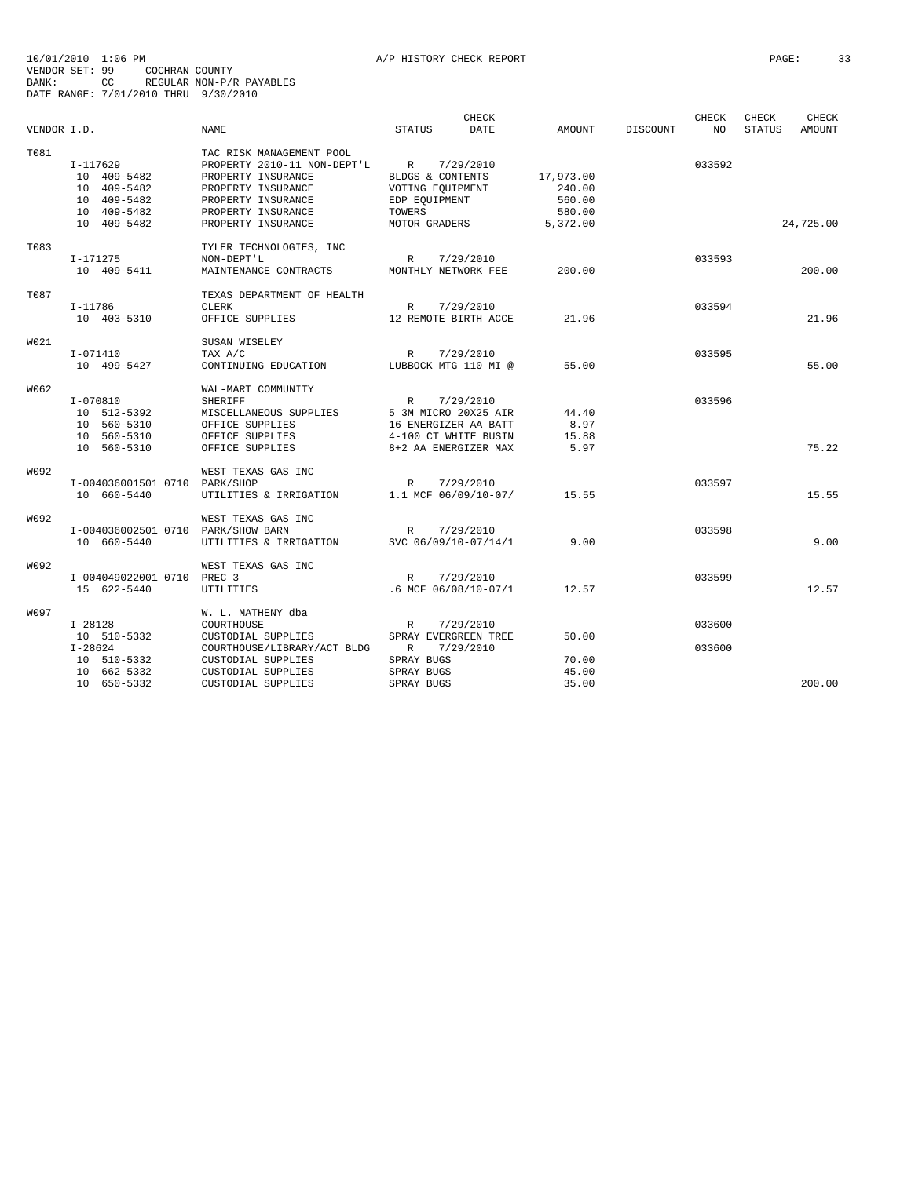|             |                                    |                             | CHECK                        |               |          | CHECK  | CHECK         | CHECK         |
|-------------|------------------------------------|-----------------------------|------------------------------|---------------|----------|--------|---------------|---------------|
| VENDOR I.D. |                                    | NAME.                       | <b>STATUS</b><br><b>DATE</b> | <b>AMOUNT</b> | DISCOUNT | NO     | <b>STATUS</b> | <b>AMOUNT</b> |
| T081        |                                    | TAC RISK MANAGEMENT POOL    |                              |               |          |        |               |               |
|             | I-117629                           | PROPERTY 2010-11 NON-DEPT'L | R<br>7/29/2010               |               |          | 033592 |               |               |
|             | 10 409-5482                        | PROPERTY INSURANCE          | BLDGS & CONTENTS             | 17,973.00     |          |        |               |               |
|             | 10 409-5482                        | PROPERTY INSURANCE          | VOTING EQUIPMENT             | 240.00        |          |        |               |               |
|             | 10 409-5482                        | PROPERTY INSURANCE          | EDP EOUIPMENT                | 560.00        |          |        |               |               |
|             | 10 409-5482                        | PROPERTY INSURANCE          | TOWERS                       | 580.00        |          |        |               |               |
|             | 10 409-5482                        | PROPERTY INSURANCE          | MOTOR GRADERS                | 5,372.00      |          |        |               | 24,725.00     |
| T083        |                                    | TYLER TECHNOLOGIES, INC     |                              |               |          |        |               |               |
|             | I-171275                           | NON-DEPT'L                  | 7/29/2010<br>R               |               |          | 033593 |               |               |
|             | 10 409-5411                        | MAINTENANCE CONTRACTS       | MONTHLY NETWORK FEE          | 200.00        |          |        |               | 200.00        |
| T087        |                                    | TEXAS DEPARTMENT OF HEALTH  |                              |               |          |        |               |               |
|             | $I-11786$                          | <b>CLERK</b>                | R<br>7/29/2010               |               |          | 033594 |               |               |
|             | 10 403-5310                        | OFFICE SUPPLIES             | 12 REMOTE BIRTH ACCE         | 21.96         |          |        |               | 21.96         |
| W021        |                                    | SUSAN WISELEY               |                              |               |          |        |               |               |
|             | I-071410                           | TAX A/C                     | $\mathbb{R}$<br>7/29/2010    |               |          | 033595 |               |               |
|             | 10 499-5427                        | CONTINUING EDUCATION        | LUBBOCK MTG 110 MI @         | 55.00         |          |        |               | 55.00         |
| W062        |                                    | WAL-MART COMMUNITY          |                              |               |          |        |               |               |
|             | $I - 070810$                       | <b>SHERIFF</b>              | $\mathbb{R}$<br>7/29/2010    |               |          | 033596 |               |               |
|             | 10 512-5392                        | MISCELLANEOUS SUPPLIES      | 5 3M MICRO 20X25 AIR         | 44.40         |          |        |               |               |
|             | 10 560-5310                        | OFFICE SUPPLIES             | 16 ENERGIZER AA BATT         | 8.97          |          |        |               |               |
|             | 10 560-5310                        | OFFICE SUPPLIES             | 4-100 CT WHITE BUSIN         | 15.88         |          |        |               |               |
|             | 10 560-5310                        | OFFICE SUPPLIES             | 8+2 AA ENERGIZER MAX         | 5.97          |          |        |               | 75.22         |
| W092        |                                    | WEST TEXAS GAS INC          |                              |               |          |        |               |               |
|             | I-004036001501 0710 PARK/SHOP      |                             | R<br>7/29/2010               |               |          | 033597 |               |               |
|             | 10 660-5440                        | UTILITIES & IRRIGATION      | 1.1 MCF 06/09/10-07/         | 15.55         |          |        |               | 15.55         |
| W092        |                                    | WEST TEXAS GAS INC          |                              |               |          |        |               |               |
|             | I-004036002501 0710 PARK/SHOW BARN |                             | R<br>7/29/2010               |               |          | 033598 |               |               |
|             | 10 660-5440                        | UTILITIES & IRRIGATION      | SVC 06/09/10-07/14/1         | 9.00          |          |        |               | 9.00          |
| W092        |                                    | WEST TEXAS GAS INC          |                              |               |          |        |               |               |
|             | I-004049022001 0710 PREC 3         |                             | 7/29/2010<br>$\mathbb{R}$    |               |          | 033599 |               |               |
|             | 15 622-5440                        | UTILITIES                   | .6 MCF 06/08/10-07/1         | 12.57         |          |        |               | 12.57         |
| W097        |                                    | W. L. MATHENY dba           |                              |               |          |        |               |               |
|             | $I-28128$                          | COURTHOUSE                  | $\mathbb{R}$<br>7/29/2010    |               |          | 033600 |               |               |
|             | 10 510-5332                        | CUSTODIAL SUPPLIES          | SPRAY EVERGREEN TREE         | 50.00         |          |        |               |               |
|             | $I - 28624$                        | COURTHOUSE/LIBRARY/ACT BLDG | $\mathbb{R}$<br>7/29/2010    |               |          | 033600 |               |               |
|             | 10 510-5332                        | CUSTODIAL SUPPLIES          | SPRAY BUGS                   | 70.00         |          |        |               |               |
|             | 10 662-5332                        | CUSTODIAL SUPPLIES          | SPRAY BUGS                   | 45.00         |          |        |               |               |
|             | 10 650-5332                        | CUSTODIAL SUPPLIES          | SPRAY BUGS                   | 35.00         |          |        |               | 200.00        |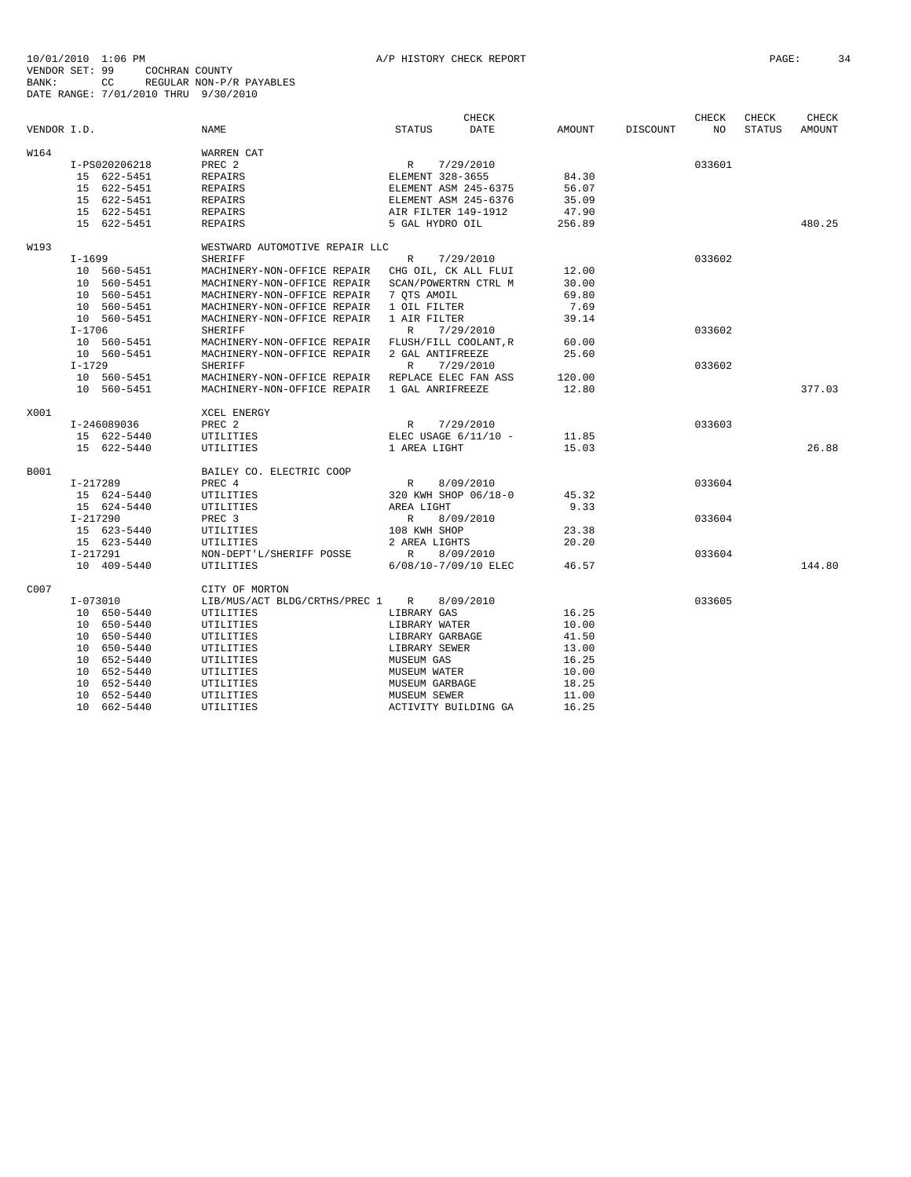|             |               |                                 |                        | <b>CHECK</b> |               |                 | CHECK  | CHECK         | <b>CHECK</b>  |
|-------------|---------------|---------------------------------|------------------------|--------------|---------------|-----------------|--------|---------------|---------------|
| VENDOR I.D. |               | <b>NAME</b>                     | <b>STATUS</b>          | DATE         | <b>AMOUNT</b> | <b>DISCOUNT</b> | NO.    | <b>STATUS</b> | <b>AMOUNT</b> |
| W164        |               | WARREN CAT                      |                        |              |               |                 |        |               |               |
|             | I-PS020206218 | PREC <sub>2</sub>               | R                      | 7/29/2010    |               |                 | 033601 |               |               |
|             | 15 622-5451   | <b>REPAIRS</b>                  | ELEMENT 328-3655       |              | 84.30         |                 |        |               |               |
|             | 15 622-5451   | <b>REPAIRS</b>                  | ELEMENT ASM 245-6375   |              | 56.07         |                 |        |               |               |
|             | 15 622-5451   | <b>REPAIRS</b>                  | ELEMENT ASM 245-6376   |              | 35.09         |                 |        |               |               |
|             | 15 622-5451   | <b>REPAIRS</b>                  | AIR FILTER 149-1912    |              | 47.90         |                 |        |               |               |
|             | 15 622-5451   | <b>REPAIRS</b>                  | 5 GAL HYDRO OIL        |              | 256.89        |                 |        |               | 480.25        |
| W193        |               | WESTWARD AUTOMOTIVE REPAIR LLC  |                        |              |               |                 |        |               |               |
|             | $I-1699$      | <b>SHERIFF</b>                  | $\mathbb{R}$           | 7/29/2010    |               |                 | 033602 |               |               |
|             | 10 560-5451   | MACHINERY-NON-OFFICE REPAIR     | CHG OIL, CK ALL FLUI   |              | 12.00         |                 |        |               |               |
|             | 10 560-5451   | MACHINERY-NON-OFFICE REPAIR     | SCAN/POWERTRN CTRL M   |              | 30.00         |                 |        |               |               |
|             | 10 560-5451   | MACHINERY-NON-OFFICE REPAIR     | 7 OTS AMOIL            |              | 69.80         |                 |        |               |               |
|             | 10 560-5451   | MACHINERY-NON-OFFICE REPAIR     | 1 OIL FILTER           |              | 7.69          |                 |        |               |               |
|             | 10 560-5451   | MACHINERY-NON-OFFICE REPAIR     | 1 AIR FILTER           |              | 39.14         |                 |        |               |               |
|             | $I - 1706$    | SHERIFF                         | R                      | 7/29/2010    |               |                 | 033602 |               |               |
|             | 10 560-5451   | MACHINERY-NON-OFFICE REPAIR     | FLUSH/FILL COOLANT, R  |              | 60.00         |                 |        |               |               |
|             | 10 560-5451   | MACHINERY-NON-OFFICE REPAIR     | 2 GAL ANTIFREEZE       |              | 25.60         |                 |        |               |               |
|             | $I - 1729$    | <b>SHERIFF</b>                  | R                      | 7/29/2010    |               |                 | 033602 |               |               |
|             | 10 560-5451   | MACHINERY-NON-OFFICE REPAIR     | REPLACE ELEC FAN ASS   |              | 120.00        |                 |        |               |               |
|             | 10 560-5451   | MACHINERY-NON-OFFICE REPAIR     | 1 GAL ANRIFREEZE       |              | 12.80         |                 |        |               | 377.03        |
| X001        |               | <b>XCEL ENERGY</b>              |                        |              |               |                 |        |               |               |
|             | I-246089036   | PREC <sub>2</sub>               | $\mathbb{R}$           | 7/29/2010    |               |                 | 033603 |               |               |
|             | 15 622-5440   | UTILITIES                       | ELEC USAGE $6/11/10$ - |              | 11.85         |                 |        |               |               |
|             | 15 622-5440   | UTILITIES                       | 1 AREA LIGHT           |              | 15.03         |                 |        |               | 26.88         |
| B001        |               | BAILEY CO. ELECTRIC COOP        |                        |              |               |                 |        |               |               |
|             | I-217289      | PREC 4                          | R                      | 8/09/2010    |               |                 | 033604 |               |               |
|             | 15 624-5440   | UTILITIES                       | 320 KWH SHOP 06/18-0   |              | 45.32         |                 |        |               |               |
|             | 15 624-5440   | UTILITIES                       | AREA LIGHT             |              | 9.33          |                 |        |               |               |
|             | $I - 217290$  | PREC <sub>3</sub>               | $\mathbb{R}$           | 8/09/2010    |               |                 | 033604 |               |               |
|             | 15 623-5440   | UTILITIES                       | 108 KWH SHOP           |              | 23.38         |                 |        |               |               |
|             | 15 623-5440   | UTILITIES                       | 2 AREA LIGHTS          |              | 20.20         |                 |        |               |               |
|             | I-217291      | NON-DEPT'L/SHERIFF POSSE        | $\mathbb{R}$           | 8/09/2010    |               |                 | 033604 |               |               |
|             | 10 409-5440   | UTILITIES                       | 6/08/10-7/09/10 ELEC   |              | 46.57         |                 |        |               | 144.80        |
| C007        |               | CITY OF MORTON                  |                        |              |               |                 |        |               |               |
|             | $I-073010$    | LIB/MUS/ACT BLDG/CRTHS/PREC 1 R |                        | 8/09/2010    |               |                 | 033605 |               |               |
|             | 10 650-5440   | UTILITIES                       | LIBRARY GAS            |              | 16.25         |                 |        |               |               |
|             | 10 650-5440   | UTILITIES                       | LIBRARY WATER          |              | 10.00         |                 |        |               |               |
|             | 10 650-5440   | UTILITIES                       | LIBRARY GARBAGE        |              | 41.50         |                 |        |               |               |
|             | 10 650-5440   | UTILITIES                       | LIBRARY SEWER          |              | 13.00         |                 |        |               |               |
|             | 10 652-5440   | UTILITIES                       | MUSEUM GAS             |              | 16.25         |                 |        |               |               |
|             | 10 652-5440   | UTILITIES                       | MUSEUM WATER           |              | 10.00         |                 |        |               |               |
|             | 10 652-5440   | UTILITIES                       | MUSEUM GARBAGE         |              | 18.25         |                 |        |               |               |
|             | 10 652-5440   | UTILITIES                       | MUSEUM SEWER           |              | 11.00         |                 |        |               |               |
|             | 10 662-5440   | UTILITIES                       | ACTIVITY BUILDING GA   |              | 16.25         |                 |        |               |               |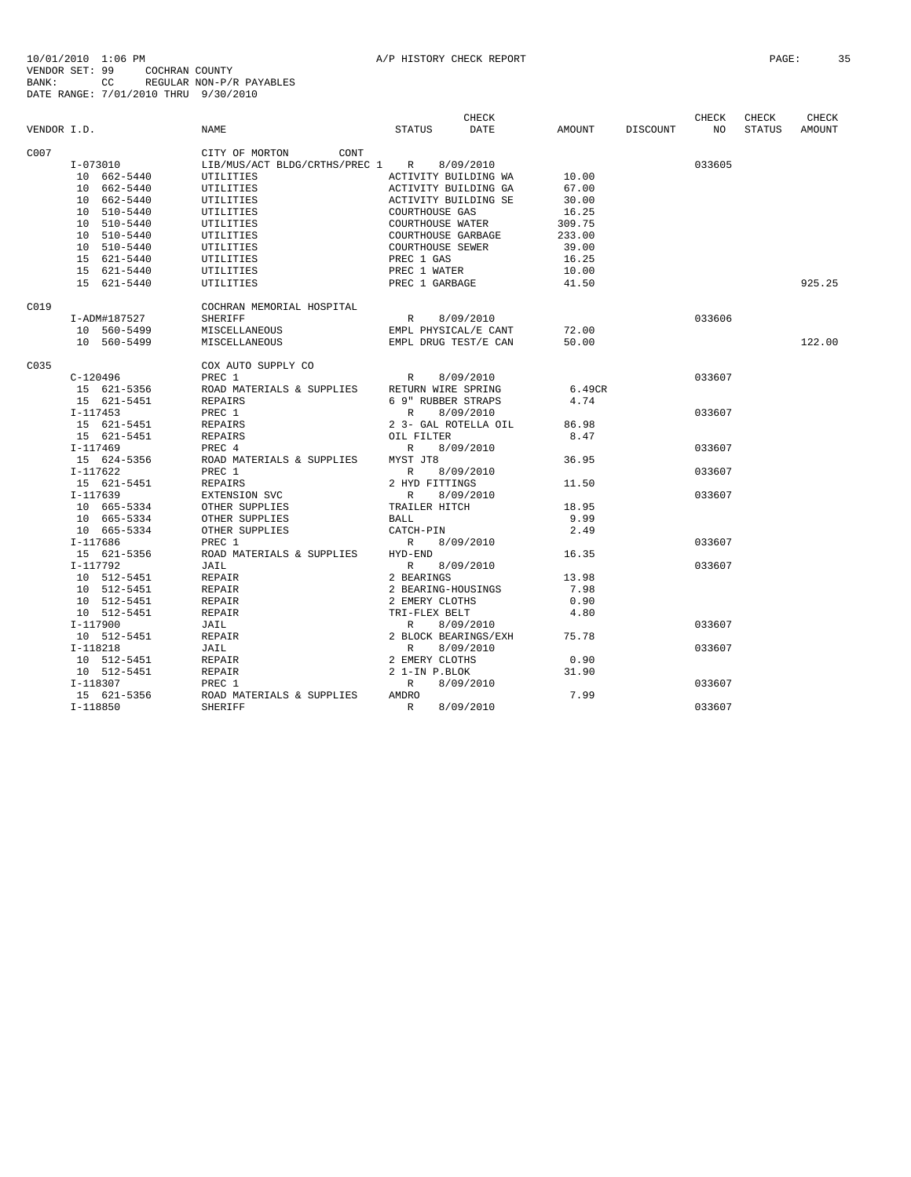|             |              |                                              | CHECK                               |        |          | CHECK           | CHECK         | CHECK  |
|-------------|--------------|----------------------------------------------|-------------------------------------|--------|----------|-----------------|---------------|--------|
| VENDOR I.D. |              | <b>NAME</b>                                  | <b>STATUS</b><br>DATE               | AMOUNT | DISCOUNT | NO <sub>1</sub> | <b>STATUS</b> | AMOUNT |
| C007        |              | CITY OF MORTON CONT                          |                                     |        |          |                 |               |        |
|             | I-073010     | LIB/MUS/ACT BLDG/CRTHS/PREC 1 R 8/09/2010    |                                     |        |          | 033605          |               |        |
|             | 10 662-5440  | UTILITIES                                    | ACTIVITY BUILDING WA                | 10.00  |          |                 |               |        |
|             | 10 662-5440  | UTILITIES                                    | ACTIVITY BUILDING GA                | 67.00  |          |                 |               |        |
|             | 10 662-5440  | UTILITIES                                    | ACTIVITY BUILDING SE                | 30.00  |          |                 |               |        |
|             | 10 510-5440  | UTILITIES                                    | COURTHOUSE GAS                      | 16.25  |          |                 |               |        |
|             | 10 510-5440  | UTILITIES                                    | COURTHOUSE WATER                    | 309.75 |          |                 |               |        |
|             | 10 510-5440  | UTILITIES                                    | COURTHOUSE GARBAGE                  | 233.00 |          |                 |               |        |
|             | 10 510-5440  | UTILITIES                                    | COURTHOUSE SEWER                    | 39.00  |          |                 |               |        |
|             | 15 621-5440  | UTILITIES                                    | PREC 1 GAS                          | 16.25  |          |                 |               |        |
|             | 15 621-5440  | UTILITIES                                    | PREC 1 WATER                        | 10.00  |          |                 |               |        |
|             | 15 621-5440  | UTILITIES                                    | PREC 1 GARBAGE                      | 41.50  |          |                 |               | 925.25 |
| C019        |              | COCHRAN MEMORIAL HOSPITAL                    |                                     |        |          |                 |               |        |
|             | I-ADM#187527 | <b>SHERIFF</b>                               | R<br>8/09/2010                      |        |          | 033606          |               |        |
|             | 10 560-5499  | MISCELLANEOUS                                | EMPL PHYSICAL/E CANT                | 72.00  |          |                 |               |        |
|             | 10 560-5499  | MISCELLANEOUS                                | EMPL DRUG TEST/E CAN                | 50.00  |          |                 |               | 122.00 |
| C035        |              | COX AUTO SUPPLY CO                           |                                     |        |          |                 |               |        |
|             | $C-120496$   | PREC 1                                       | R<br>8/09/2010                      |        |          | 033607          |               |        |
|             | 15 621-5356  | ROAD MATERIALS & SUPPLIES RETURN WIRE SPRING |                                     | 6.49CR |          |                 |               |        |
|             | 15 621-5451  | REPAIRS                                      | 6 9" RUBBER STRAPS                  | 4.74   |          |                 |               |        |
|             | $I-117453$   | PREC 1                                       | 8/09/2010<br>R                      |        |          | 033607          |               |        |
|             | 15 621-5451  | REPAIRS                                      | 2 3- GAL ROTELLA OIL                | 86.98  |          |                 |               |        |
|             | 15 621-5451  | REPAIRS                                      | OIL FILTER                          | 8.47   |          |                 |               |        |
|             | I-117469     | PREC 4                                       | R<br>8/09/2010                      |        |          | 033607          |               |        |
|             | 15 624-5356  | ROAD MATERIALS & SUPPLIES MYST JT8           |                                     | 36.95  |          |                 |               |        |
|             | $I-117622$   | PREC 1                                       | R<br>8/09/2010                      |        |          | 033607          |               |        |
|             | 15 621-5451  | REPAIRS                                      | 2 HYD FITTINGS                      | 11.50  |          |                 |               |        |
|             | $I-117639$   | EXTENSION SVC                                | R<br>8/09/2010                      |        |          | 033607          |               |        |
|             | 10 665-5334  | OTHER SUPPLIES                               | TRAILER HITCH                       | 18.95  |          |                 |               |        |
|             | 10 665-5334  | OTHER SUPPLIES                               | BALL                                | 9.99   |          |                 |               |        |
|             | 10 665-5334  | OTHER SUPPLIES                               | CATCH-PIN                           | 2.49   |          |                 |               |        |
|             | I-117686     | PREC 1                                       | R 8/09/2010                         |        |          | 033607          |               |        |
|             | 15 621-5356  | ROAD MATERIALS & SUPPLIES HYD-END            |                                     | 16.35  |          |                 |               |        |
|             | I-117792     | JAIL                                         | R 8/09/2010                         |        |          | 033607          |               |        |
|             | 10 512-5451  | REPAIR                                       | 2 BEARINGS                          | 13.98  |          |                 |               |        |
|             | 10 512-5451  | REPAIR                                       | 2 BEARING-HOUSINGS                  | 7.98   |          |                 |               |        |
|             | 10 512-5451  | REPAIR                                       | 2 EMERY CLOTHS                      | 0.90   |          |                 |               |        |
|             | 10 512-5451  | REPAIR                                       | TRI-FLEX BELT                       | 4.80   |          |                 |               |        |
|             | I-117900     | JAIL                                         |                                     |        |          | 033607          |               |        |
|             | 10 512-5451  | REPAIR                                       | R 8/09/2010<br>2 BLOCK BEARINGS/EXH | 75.78  |          |                 |               |        |
|             | $I-118218$   | JAIL                                         | R<br>8/09/2010                      |        |          | 033607          |               |        |
|             | 10 512-5451  | REPAIR                                       | 2 EMERY CLOTHS                      | 0.90   |          |                 |               |        |
|             | 10 512-5451  | REPAIR                                       | 2 1-IN P.BLOK                       | 31.90  |          |                 |               |        |
|             | $I-118307$   | PREC 1                                       | R<br>8/09/2010                      |        |          | 033607          |               |        |
|             | 15 621-5356  | ROAD MATERIALS & SUPPLIES                    | AMDRO                               | 7.99   |          |                 |               |        |
|             | $I-118850$   | SHERIFF                                      | R<br>8/09/2010                      |        |          | 033607          |               |        |
|             |              |                                              |                                     |        |          |                 |               |        |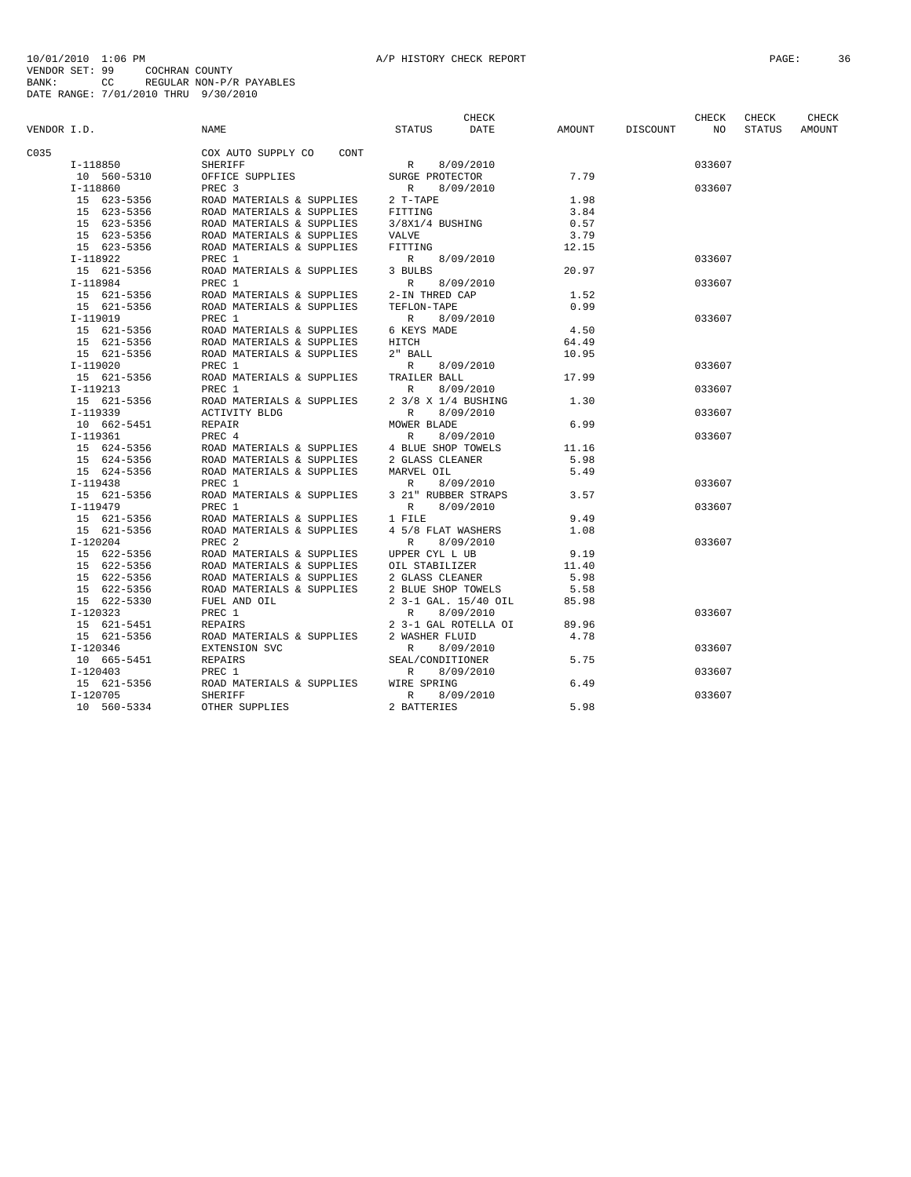|             |             |                                                                                  | CHECK                     |       |                 | CHECK           | CHECK         | CHECK  |
|-------------|-------------|----------------------------------------------------------------------------------|---------------------------|-------|-----------------|-----------------|---------------|--------|
| VENDOR I.D. |             | NAME                                                                             | DATE<br>STATUS            |       | AMOUNT DISCOUNT | NO <sub>1</sub> | <b>STATUS</b> | AMOUNT |
| C035        |             | COX AUTO SUPPLY CO CONT                                                          |                           |       |                 |                 |               |        |
|             | I-118850    | SHERIFF                                                                          | R 8/09/2010               |       |                 | 033607          |               |        |
|             | 10 560-5310 | OFFICE SUPPLIES                                                                  | SURGE PROTECTOR           | 7.79  |                 |                 |               |        |
|             | I-118860    | PREC <sub>3</sub>                                                                | R 8/09/2010               |       |                 | 033607          |               |        |
|             | 15 623-5356 | ROAD MATERIALS & SUPPLIES                                                        | 2 T-TAPE                  | 1.98  |                 |                 |               |        |
|             | 15 623-5356 |                                                                                  |                           | 3.84  |                 |                 |               |        |
|             | 15 623-5356 | ROAD MATERIALS & SUPPLIES FITTING<br>ROAD MATERIALS & SUPPLIES $3/8X1/4$ BUSHING |                           | 0.57  |                 |                 |               |        |
|             | 15 623-5356 | ROAD MATERIALS & SUPPLIES                                                        | VALVE                     | 3.79  |                 |                 |               |        |
|             | 15 623-5356 | ROAD MATERIALS & SUPPLIES                                                        | FITTING                   | 12.15 |                 |                 |               |        |
|             |             |                                                                                  |                           |       |                 | 033607          |               |        |
|             | I-118922    | PREC 1<br>ROAD MATERIALS & SUPPLIES 3 BULBS                                      | R 8/09/2010               |       |                 |                 |               |        |
|             | 15 621-5356 |                                                                                  |                           | 20.97 |                 |                 |               |        |
|             | I-118984    | PREC 1                                                                           | R 8/09/2010               |       |                 | 033607          |               |        |
|             |             | 15 621-5356 ROAD MATERIALS & SUPPLIES 2-IN THRED CAP                             |                           | 1.52  |                 |                 |               |        |
|             | 15 621-5356 | ROAD MATERIALS & SUPPLIES                                                        | TEFLON-TAPE               | 0.99  |                 |                 |               |        |
|             | $I-119019$  | PREC 1                                                                           | R 8/09/2010               |       |                 | 033607          |               |        |
|             | 15 621-5356 | ROAD MATERIALS & SUPPLIES 6 KEYS MADE                                            |                           | 4.50  |                 |                 |               |        |
|             | 15 621-5356 | ROAD MATERIALS & SUPPLIES HITCH                                                  |                           | 64.49 |                 |                 |               |        |
|             | 15 621-5356 | ROAD MATERIALS & SUPPLIES                                                        | 2" BALL                   | 10.95 |                 |                 |               |        |
|             | I-119020    | PREC 1                                                                           | R 8/09/2010               |       |                 | 033607          |               |        |
|             | 15 621-5356 | ROAD MATERIALS & SUPPLIES TRAILER BALL                                           |                           | 17.99 |                 |                 |               |        |
|             | $I-119213$  | PREC 1                                                                           | 8/09/2010<br>R            |       |                 | 033607          |               |        |
|             | 15 621-5356 | ROAD MATERIALS & SUPPLIES                                                        | 2 3/8 X 1/4 BUSHING       | 1.30  |                 |                 |               |        |
|             | I-119339    | ACTIVITY BLDG                                                                    | R<br>8/09/2010            |       |                 | 033607          |               |        |
|             | 10 662-5451 | REPAIR                                                                           | MOWER BLADE               | 6.99  |                 |                 |               |        |
|             | I-119361    | PREC 4                                                                           | R<br>8/09/2010            |       |                 | 033607          |               |        |
|             | 15 624-5356 | ROAD MATERIALS & SUPPLIES 4 BLUE SHOP TOWELS                                     |                           | 11.16 |                 |                 |               |        |
|             | 15 624-5356 | ROAD MATERIALS & SUPPLIES 2 GLASS CLEANER                                        |                           | 5.98  |                 |                 |               |        |
|             | 15 624-5356 | ROAD MATERIALS & SUPPLIES                                                        | MARVEL OIL                | 5.49  |                 |                 |               |        |
|             | I-119438    | PREC 1                                                                           | R 8/09/2010               |       |                 | 033607          |               |        |
|             | 15 621-5356 | ROAD MATERIALS & SUPPLIES 3 21" RUBBER STRAPS                                    |                           | 3.57  |                 |                 |               |        |
|             | $I-119479$  | PREC 1                                                                           | 8/09/2010<br>R            |       |                 | 033607          |               |        |
|             |             | 15 621-5356 ROAD MATERIALS & SUPPLIES 1 FILE                                     |                           | 9.49  |                 |                 |               |        |
|             | 15 621-5356 | ROAD MATERIALS & SUPPLIES                                                        | 4 5/8 FLAT WASHERS        | 1.08  |                 |                 |               |        |
|             | $I-120204$  | PREC <sub>2</sub>                                                                | $\mathbb{R}$<br>8/09/2010 |       |                 | 033607          |               |        |
|             | 15 622-5356 | ROAD MATERIALS & SUPPLIES UPPER CYL L UB                                         |                           | 9.19  |                 |                 |               |        |
|             | 15 622-5356 | ROAD MATERIALS & SUPPLIES OIL STABILIZER                                         |                           | 11.40 |                 |                 |               |        |
|             | 15 622-5356 |                                                                                  | 2 GLASS CLEANER           | 5.98  |                 |                 |               |        |
|             | 15 622-5356 | ROAD MATERIALS & SUPPLIES<br>ROAD MATERIALS & SUPPLIES 2 BLUE SHOP TOWELS        |                           | 5.58  |                 |                 |               |        |
|             |             |                                                                                  |                           |       |                 |                 |               |        |
|             | 15 622-5330 | FUEL AND OIL                                                                     | 2 3-1 GAL. 15/40 OIL      | 85.98 |                 |                 |               |        |
|             | $I-120323$  | PREC 1                                                                           | 8/09/2010<br>R            |       |                 | 033607          |               |        |
|             | 15 621-5451 | REPAIRS                                                                          | 2 3-1 GAL ROTELLA OI      | 89.96 |                 |                 |               |        |
|             | 15 621-5356 | ROAD MATERIALS & SUPPLIES                                                        | 2 WASHER FLUID            | 4.78  |                 |                 |               |        |
|             | $I-120346$  | EXTENSION SVC                                                                    | R<br>8/09/2010            |       |                 | 033607          |               |        |
|             | 10 665-5451 | REPAIRS                                                                          | SEAL/CONDITIONER          | 5.75  |                 |                 |               |        |
|             | $I-120403$  | PREC 1                                                                           | R<br>8/09/2010            |       |                 | 033607          |               |        |
|             | 15 621-5356 | ROAD MATERIALS & SUPPLIES WIRE SPRING                                            |                           | 6.49  |                 |                 |               |        |
|             | $I-120705$  | SHERIFF                                                                          | R<br>8/09/2010            |       |                 | 033607          |               |        |
|             | 10 560-5334 | OTHER SUPPLIES                                                                   | 2 BATTERIES               | 5.98  |                 |                 |               |        |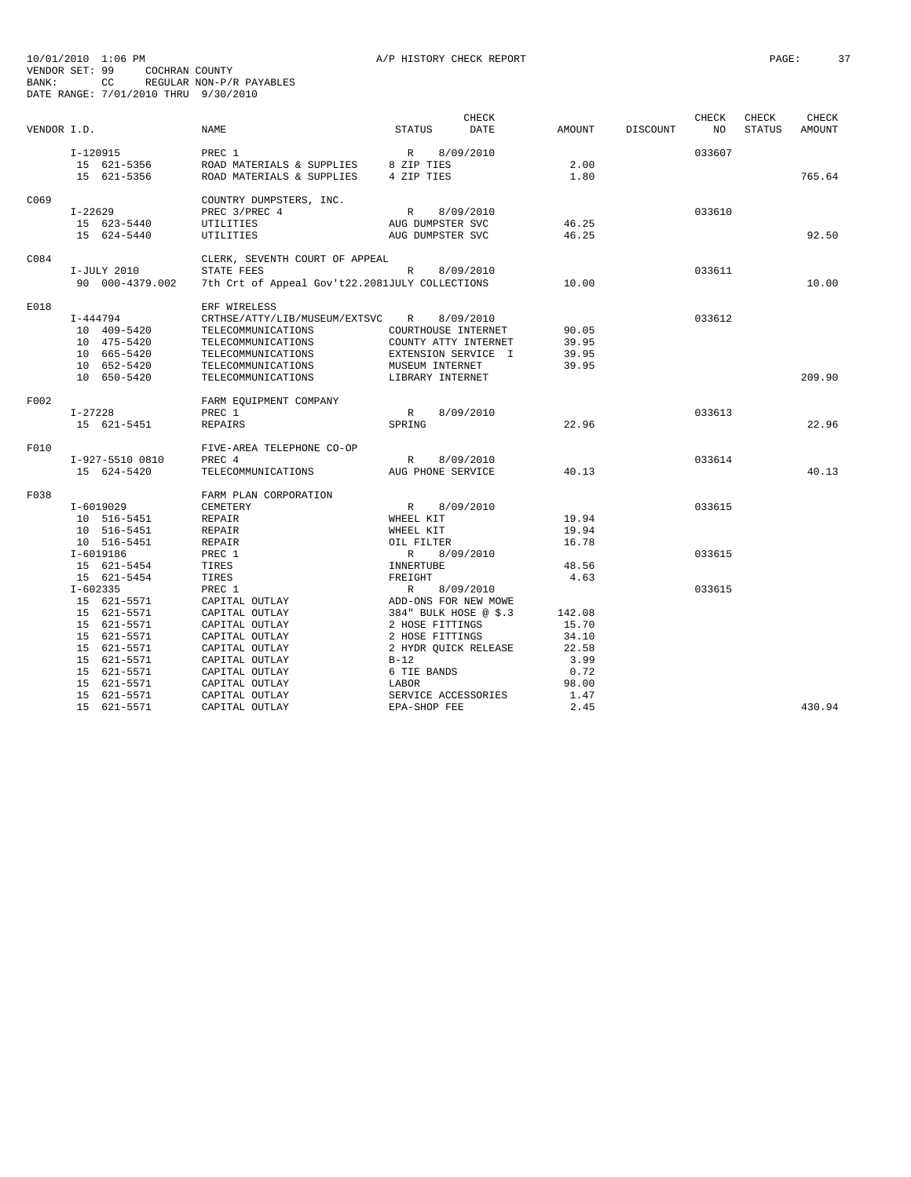| VENDOR I.D. |                 | <b>NAME</b>                                    | <b>STATUS</b>         | CHECK<br>DATE | AMOUNT | DISCOUNT | CHECK<br>NO | CHECK<br><b>STATUS</b> | CHECK<br>AMOUNT |
|-------------|-----------------|------------------------------------------------|-----------------------|---------------|--------|----------|-------------|------------------------|-----------------|
|             |                 |                                                |                       |               |        |          |             |                        |                 |
|             | I-120915        | PREC 1                                         | R                     | 8/09/2010     |        |          | 033607      |                        |                 |
|             | 15 621-5356     | ROAD MATERIALS & SUPPLIES 8 ZIP TIES           |                       |               | 2.00   |          |             |                        |                 |
|             | 15 621-5356     | ROAD MATERIALS & SUPPLIES                      | 4 ZIP TIES            |               | 1.80   |          |             |                        | 765.64          |
| C069        |                 | COUNTRY DUMPSTERS, INC.                        |                       |               |        |          |             |                        |                 |
|             | I-22629         | PREC 3/PREC 4                                  | R                     | 8/09/2010     |        |          | 033610      |                        |                 |
|             | 15 623-5440     | UTILITIES                                      | AUG DUMPSTER SVC      |               | 46.25  |          |             |                        |                 |
|             | 15 624-5440     | UTILITIES                                      | AUG DUMPSTER SVC      |               | 46.25  |          |             |                        | 92.50           |
| C084        |                 | CLERK, SEVENTH COURT OF APPEAL                 |                       |               |        |          |             |                        |                 |
|             | I-JULY 2010     | STATE FEES                                     | R                     | 8/09/2010     |        |          | 033611      |                        |                 |
|             | 90 000-4379.002 | 7th Crt of Appeal Gov't22.2081JULY COLLECTIONS |                       |               | 10.00  |          |             |                        | 10.00           |
| E018        |                 | ERF WIRELESS                                   |                       |               |        |          |             |                        |                 |
|             | $I - 444794$    | CRTHSE/ATTY/LIB/MUSEUM/EXTSVC                  | $\mathbb{R}$          | 8/09/2010     |        |          | 033612      |                        |                 |
|             | 10 409-5420     | TELECOMMUNICATIONS                             | COURTHOUSE INTERNET   |               | 90.05  |          |             |                        |                 |
|             | 10 475-5420     | TELECOMMUNICATIONS                             | COUNTY ATTY INTERNET  |               | 39.95  |          |             |                        |                 |
|             | 10 665-5420     | TELECOMMUNICATIONS                             | EXTENSION SERVICE I   |               | 39.95  |          |             |                        |                 |
|             | 10 652-5420     | TELECOMMUNICATIONS                             | MUSEUM INTERNET       |               | 39.95  |          |             |                        |                 |
|             | 10 650-5420     | TELECOMMUNICATIONS                             | LIBRARY INTERNET      |               |        |          |             |                        | 209.90          |
| F002        |                 | FARM EQUIPMENT COMPANY                         |                       |               |        |          |             |                        |                 |
|             | I-27228         | PREC 1                                         | R                     | 8/09/2010     |        |          | 033613      |                        |                 |
|             | 15 621-5451     | REPAIRS                                        | SPRING                |               | 22.96  |          |             |                        | 22.96           |
| F010        |                 | FIVE-AREA TELEPHONE CO-OP                      |                       |               |        |          |             |                        |                 |
|             | I-927-5510 0810 | PREC 4                                         | R                     | 8/09/2010     |        |          | 033614      |                        |                 |
|             | 15 624-5420     | TELECOMMUNICATIONS                             | AUG PHONE SERVICE     |               | 40.13  |          |             |                        | 40.13           |
| F038        |                 | FARM PLAN CORPORATION                          |                       |               |        |          |             |                        |                 |
|             | $I-6019029$     | CEMETERY                                       | R                     | 8/09/2010     |        |          | 033615      |                        |                 |
|             | 10 516-5451     | REPAIR                                         | WHEEL KIT             |               | 19.94  |          |             |                        |                 |
|             | 10 516-5451     | REPAIR                                         | WHEEL KIT             |               | 19.94  |          |             |                        |                 |
|             | 10 516-5451     | REPAIR                                         | OIL FILTER            |               | 16.78  |          |             |                        |                 |
|             | $I - 6019186$   | PREC 1                                         | $R_{\rm c}$           | 8/09/2010     |        |          | 033615      |                        |                 |
|             | 15 621-5454     | TIRES                                          | INNERTUBE             |               | 48.56  |          |             |                        |                 |
|             | 15 621-5454     | TIRES                                          | FREIGHT               |               | 4.63   |          |             |                        |                 |
|             | $I-602335$      | PREC 1                                         | $\mathbb{R}$          | 8/09/2010     |        |          | 033615      |                        |                 |
|             | 15 621-5571     | CAPITAL OUTLAY                                 | ADD-ONS FOR NEW MOWE  |               |        |          |             |                        |                 |
|             | 15 621-5571     | CAPITAL OUTLAY                                 | 384" BULK HOSE @ \$.3 |               | 142.08 |          |             |                        |                 |
|             | 15 621-5571     | CAPITAL OUTLAY                                 | 2 HOSE FITTINGS       |               | 15.70  |          |             |                        |                 |
|             | 15 621-5571     | CAPITAL OUTLAY                                 | 2 HOSE FITTINGS       |               | 34.10  |          |             |                        |                 |
|             | 15 621-5571     | CAPITAL OUTLAY                                 | 2 HYDR QUICK RELEASE  |               | 22.58  |          |             |                        |                 |
|             | 15 621-5571     | CAPITAL OUTLAY                                 | $B-12$                |               | 3.99   |          |             |                        |                 |
|             | 15 621-5571     | CAPITAL OUTLAY                                 | 6 TIE BANDS           |               | 0.72   |          |             |                        |                 |
|             | 15 621-5571     | CAPITAL OUTLAY                                 | LABOR                 |               | 98.00  |          |             |                        |                 |
|             | 15 621-5571     | CAPITAL OUTLAY                                 | SERVICE ACCESSORIES   |               | 1.47   |          |             |                        |                 |
|             | 15 621-5571     | CAPITAL OUTLAY                                 | EPA-SHOP FEE          |               | 2.45   |          |             |                        | 430.94          |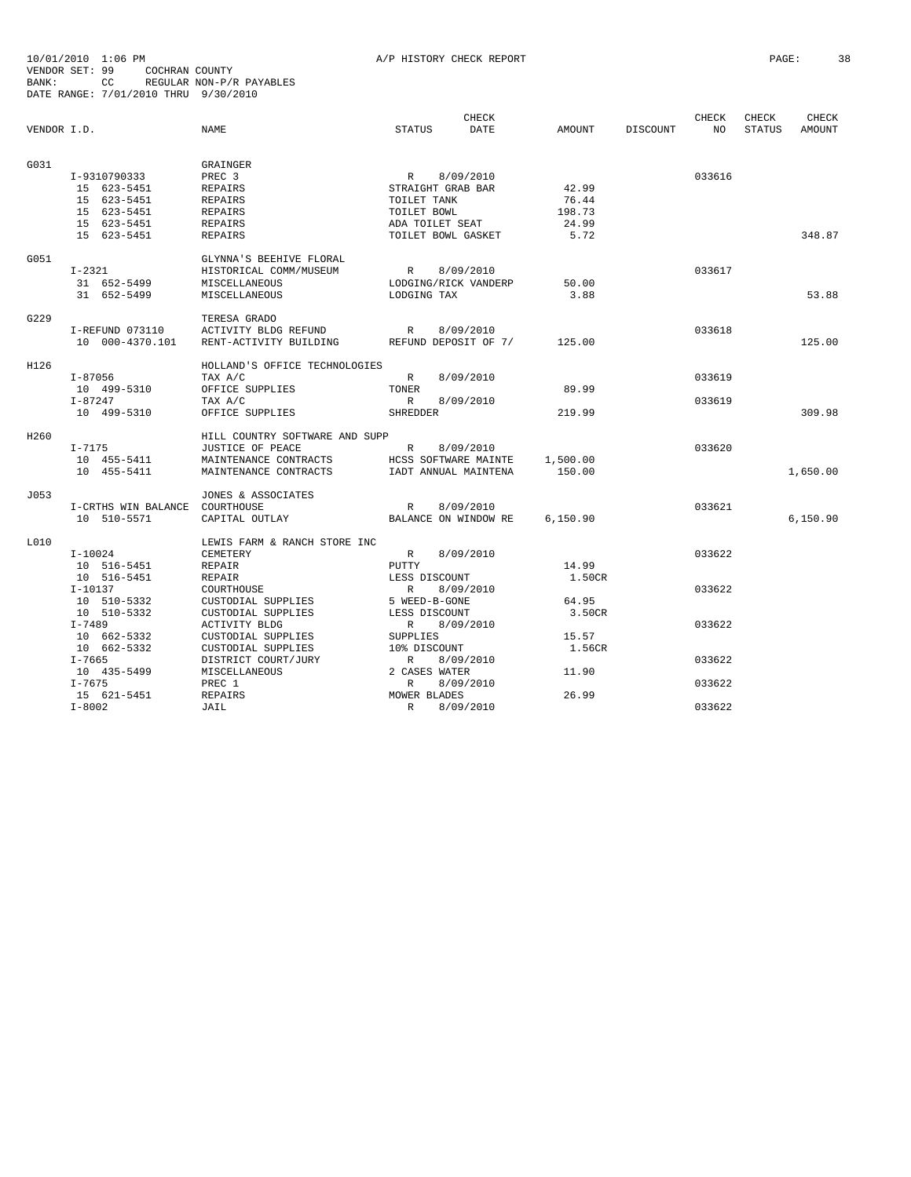|             |                                |                                |                      | <b>CHECK</b> |          |          | CHECK  | CHECK  | <b>CHECK</b> |
|-------------|--------------------------------|--------------------------------|----------------------|--------------|----------|----------|--------|--------|--------------|
| VENDOR I.D. |                                | NAME                           | STATUS               | <b>DATE</b>  | AMOUNT   | DISCOUNT | NO.    | STATUS | AMOUNT       |
|             |                                |                                |                      |              |          |          |        |        |              |
| G031        |                                | GRAINGER                       |                      |              |          |          |        |        |              |
|             | I-9310790333                   | PREC <sub>3</sub>              | R                    | 8/09/2010    |          |          | 033616 |        |              |
|             | 15 623-5451                    | <b>REPAIRS</b>                 | STRAIGHT GRAB BAR    |              | 42.99    |          |        |        |              |
|             | 15 623-5451                    | REPAIRS                        | TOILET TANK          |              | 76.44    |          |        |        |              |
|             | 15 623-5451                    | REPAIRS                        | TOILET BOWL          |              | 198.73   |          |        |        |              |
|             | 15 623-5451                    | REPAIRS                        | ADA TOILET SEAT      |              | 24.99    |          |        |        |              |
|             | 15 623-5451                    | <b>REPAIRS</b>                 | TOILET BOWL GASKET   |              | 5.72     |          |        |        | 348.87       |
| G051        |                                | GLYNNA'S BEEHIVE FLORAL        |                      |              |          |          |        |        |              |
|             | $I-2321$                       | HISTORICAL COMM/MUSEUM         | R                    | 8/09/2010    |          |          | 033617 |        |              |
|             | 31 652-5499                    | MISCELLANEOUS                  | LODGING/RICK VANDERP |              | 50.00    |          |        |        |              |
|             | 31 652-5499                    | MISCELLANEOUS                  | LODGING TAX          |              | 3.88     |          |        |        | 53.88        |
| G229        |                                | TERESA GRADO                   |                      |              |          |          |        |        |              |
|             | I-REFUND 073110                | ACTIVITY BLDG REFUND           | $R_{\odot}$          | 8/09/2010    |          |          | 033618 |        |              |
|             | 10 000-4370.101                | RENT-ACTIVITY BUILDING         | REFUND DEPOSIT OF 7/ |              | 125.00   |          |        |        | 125.00       |
| H126        |                                | HOLLAND'S OFFICE TECHNOLOGIES  |                      |              |          |          |        |        |              |
|             | $I - 87056$                    | TAX A/C                        | $\mathbb{R}$         | 8/09/2010    |          |          | 033619 |        |              |
|             | 10 499-5310                    | OFFICE SUPPLIES                | TONER                |              | 89.99    |          |        |        |              |
|             | $I - 87247$                    | TAX A/C                        | R                    | 8/09/2010    |          |          | 033619 |        |              |
|             | 10 499-5310                    | OFFICE SUPPLIES                | <b>SHREDDER</b>      |              | 219.99   |          |        |        | 309.98       |
| H260        |                                | HILL COUNTRY SOFTWARE AND SUPP |                      |              |          |          |        |        |              |
|             | $I-7175$                       | JUSTICE OF PEACE               | R                    | 8/09/2010    |          |          | 033620 |        |              |
|             | 10 455-5411                    | MAINTENANCE CONTRACTS          | HCSS SOFTWARE MAINTE |              | 1,500.00 |          |        |        |              |
|             | 10 455-5411                    | MAINTENANCE CONTRACTS          | IADT ANNUAL MAINTENA |              | 150.00   |          |        |        | 1,650.00     |
| J053        |                                | JONES & ASSOCIATES             |                      |              |          |          |        |        |              |
|             | I-CRTHS WIN BALANCE COURTHOUSE |                                | $\mathbb{R}$         | 8/09/2010    |          |          | 033621 |        |              |
|             | 10 510-5571                    | CAPITAL OUTLAY                 | BALANCE ON WINDOW RE |              | 6,150.90 |          |        |        | 6,150.90     |
| L010        |                                | LEWIS FARM & RANCH STORE INC   |                      |              |          |          |        |        |              |
|             | I-10024                        | CEMETERY                       | R                    | 8/09/2010    |          |          | 033622 |        |              |
|             | 10 516-5451                    | REPAIR                         | PUTTY                |              | 14.99    |          |        |        |              |
|             | 10 516-5451                    | REPAIR                         | LESS DISCOUNT        |              | 1.50CR   |          |        |        |              |
|             | $I-10137$                      | COURTHOUSE                     | R                    | 8/09/2010    |          |          | 033622 |        |              |
|             | 10 510-5332                    | CUSTODIAL SUPPLIES             | 5 WEED-B-GONE        |              | 64.95    |          |        |        |              |
|             | 10 510-5332                    | CUSTODIAL SUPPLIES             | LESS DISCOUNT        |              | 3.50CR   |          |        |        |              |
|             | I-7489                         | ACTIVITY BLDG                  | R 8/09/2010          |              |          |          | 033622 |        |              |
|             | 10 662-5332                    | CUSTODIAL SUPPLIES             | SUPPLIES             |              | 15.57    |          |        |        |              |
|             | 10 662-5332                    | CUSTODIAL SUPPLIES             | 10% DISCOUNT         |              | 1.56CR   |          |        |        |              |
|             | I-7665                         | DISTRICT COURT/JURY            | R                    | 8/09/2010    |          |          | 033622 |        |              |
|             | 10 435-5499                    | MISCELLANEOUS                  | 2 CASES WATER        |              | 11.90    |          |        |        |              |
|             | $I - 7675$                     | PREC 1                         | R                    | 8/09/2010    |          |          | 033622 |        |              |
|             | 15 621-5451                    | REPAIRS                        | MOWER BLADES         |              | 26.99    |          |        |        |              |
|             | $I - 8002$                     | JAIL                           | $\mathbb{R}$         | 8/09/2010    |          |          | 033622 |        |              |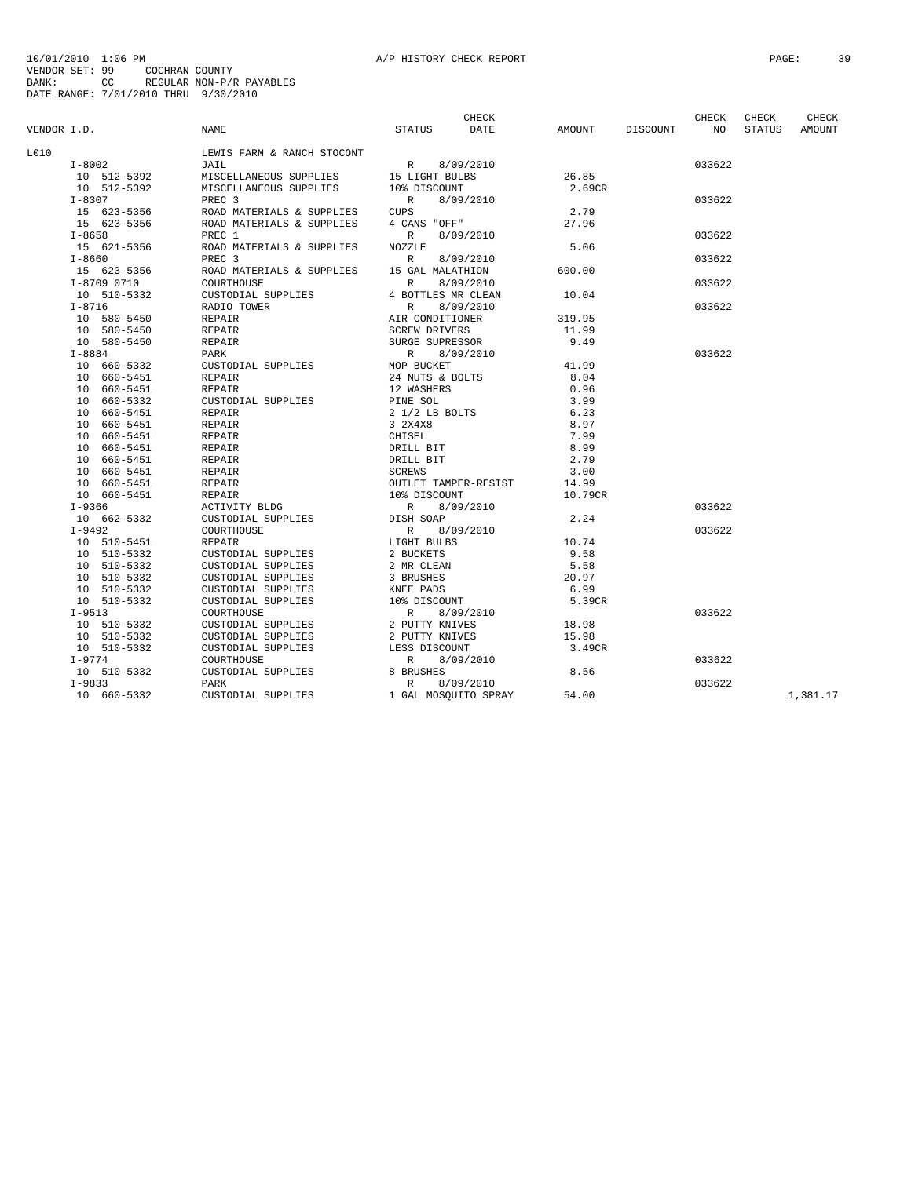| VENDOR I.D. |                | <b>NAME</b>                | <b>STATUS</b>        | <b>CHECK</b><br>DATE | AMOUNT  | DISCOUNT | <b>CHECK</b><br>NO | CHECK<br><b>STATUS</b> | <b>CHECK</b><br>AMOUNT |
|-------------|----------------|----------------------------|----------------------|----------------------|---------|----------|--------------------|------------------------|------------------------|
| L010        |                | LEWIS FARM & RANCH STOCONT |                      |                      |         |          |                    |                        |                        |
|             | $I - 8002$     | JAIL                       | R                    | 8/09/2010            |         |          | 033622             |                        |                        |
|             | 10 512-5392    | MISCELLANEOUS SUPPLIES     | 15 LIGHT BULBS       |                      | 26.85   |          |                    |                        |                        |
|             | 10 512-5392    | MISCELLANEOUS SUPPLIES     | 10% DISCOUNT         |                      | 2.69CR  |          |                    |                        |                        |
|             | $I - 8307$     | PREC <sub>3</sub>          | R                    | 8/09/2010            |         |          | 033622             |                        |                        |
|             | 15 623-5356    | ROAD MATERIALS & SUPPLIES  | <b>CUPS</b>          |                      | 2.79    |          |                    |                        |                        |
|             | 15 623-5356    | ROAD MATERIALS & SUPPLIES  | 4 CANS "OFF"         |                      | 27.96   |          |                    |                        |                        |
|             | $I - 8658$     | PREC 1                     | $\mathbb{R}$         | 8/09/2010            |         |          | 033622             |                        |                        |
|             | 15 621-5356    | ROAD MATERIALS & SUPPLIES  | NOZZLE               |                      | 5.06    |          |                    |                        |                        |
|             | $I - 8660$     | PREC <sub>3</sub>          | $\mathbb{R}$         | 8/09/2010            |         |          | 033622             |                        |                        |
|             | 15 623-5356    | ROAD MATERIALS & SUPPLIES  | 15 GAL MALATHION     |                      | 600.00  |          |                    |                        |                        |
|             | I-8709 0710    | COURTHOUSE                 | $\mathbb{R}$         | 8/09/2010            |         |          | 033622             |                        |                        |
|             | 10 510-5332    | CUSTODIAL SUPPLIES         | 4 BOTTLES MR CLEAN   |                      | 10.04   |          |                    |                        |                        |
|             | $I - 8716$     | RADIO TOWER                | $\mathbb{R}$         | 8/09/2010            |         |          | 033622             |                        |                        |
|             | 10 580-5450    | REPAIR                     | AIR CONDITIONER      |                      | 319.95  |          |                    |                        |                        |
|             | 10 580-5450    | REPAIR                     | <b>SCREW DRIVERS</b> |                      | 11.99   |          |                    |                        |                        |
|             | 10 580-5450    | REPAIR                     | SURGE SUPRESSOR      |                      | 9.49    |          |                    |                        |                        |
|             | $I - 8884$     | PARK                       | $\mathbb{R}$         | 8/09/2010            |         |          | 033622             |                        |                        |
|             | 10 660-5332    | CUSTODIAL SUPPLIES         | MOP BUCKET           |                      | 41.99   |          |                    |                        |                        |
|             | 10 660-5451    | REPAIR                     | 24 NUTS & BOLTS      |                      | 8.04    |          |                    |                        |                        |
|             | 10 660-5451    | REPAIR                     | 12 WASHERS           |                      | 0.96    |          |                    |                        |                        |
|             | 10 660-5332    | CUSTODIAL SUPPLIES         | PINE SOL             |                      | 3.99    |          |                    |                        |                        |
|             | 10<br>660-5451 | REPAIR                     | 2 1/2 LB BOLTS       |                      | 6.23    |          |                    |                        |                        |
|             | 660-5451<br>10 | REPAIR                     | 3 2X4X8              |                      | 8.97    |          |                    |                        |                        |
|             | 10 660-5451    | REPAIR                     | CHISEL               |                      | 7.99    |          |                    |                        |                        |
|             | 10 660-5451    | REPAIR                     | DRILL BIT            |                      | 8.99    |          |                    |                        |                        |
|             | 10 660-5451    | REPAIR                     | DRILL BIT            |                      | 2.79    |          |                    |                        |                        |
|             | 10 660-5451    | REPAIR                     | <b>SCREWS</b>        |                      | 3.00    |          |                    |                        |                        |
|             | 10 660-5451    | REPAIR                     |                      | OUTLET TAMPER-RESIST | 14.99   |          |                    |                        |                        |
|             | 10 660-5451    | REPAIR                     | 10% DISCOUNT         |                      | 10.79CR |          |                    |                        |                        |
|             | $I-9366$       | ACTIVITY BLDG              | R                    | 8/09/2010            |         |          | 033622             |                        |                        |
|             | 10 662-5332    | CUSTODIAL SUPPLIES         | DISH SOAP            |                      | 2.24    |          |                    |                        |                        |
|             | $I-9492$       | COURTHOUSE                 | $\mathbb R$          | 8/09/2010            |         |          | 033622             |                        |                        |
|             | 10 510-5451    | REPAIR                     | LIGHT BULBS          |                      | 10.74   |          |                    |                        |                        |
|             | 10 510-5332    | CUSTODIAL SUPPLIES         | 2 BUCKETS            |                      | 9.58    |          |                    |                        |                        |
|             | 10 510-5332    | CUSTODIAL SUPPLIES         | 2 MR CLEAN           |                      | 5.58    |          |                    |                        |                        |
|             | 510-5332<br>10 | CUSTODIAL SUPPLIES         | 3 BRUSHES            |                      | 20.97   |          |                    |                        |                        |
|             | 10 510-5332    | CUSTODIAL SUPPLIES         | KNEE PADS            |                      | 6.99    |          |                    |                        |                        |
|             | 10 510-5332    | CUSTODIAL SUPPLIES         | 10% DISCOUNT         |                      | 5.39CR  |          |                    |                        |                        |
|             | $I-9513$       | COURTHOUSE                 | $\mathbb{R}$         | 8/09/2010            |         |          | 033622             |                        |                        |
|             | 10 510-5332    | CUSTODIAL SUPPLIES         | 2 PUTTY KNIVES       |                      | 18.98   |          |                    |                        |                        |
|             | 10 510-5332    | CUSTODIAL SUPPLIES         | 2 PUTTY KNIVES       |                      | 15.98   |          |                    |                        |                        |
|             | 10 510-5332    | CUSTODIAL SUPPLIES         | LESS DISCOUNT        |                      | 3.49CR  |          |                    |                        |                        |
|             | I-9774         | COURTHOUSE                 | $\mathbb{R}$         | 8/09/2010            |         |          | 033622             |                        |                        |
|             | 10 510-5332    | CUSTODIAL SUPPLIES         | 8 BRUSHES            |                      | 8.56    |          |                    |                        |                        |
|             | $I-9833$       | <b>PARK</b>                | $\mathbb{R}$         | 8/09/2010            |         |          | 033622             |                        |                        |
|             | 10 660-5332    | CUSTODIAL SUPPLIES         |                      | 1 GAL MOSOUITO SPRAY | 54.00   |          |                    |                        | 1,381.17               |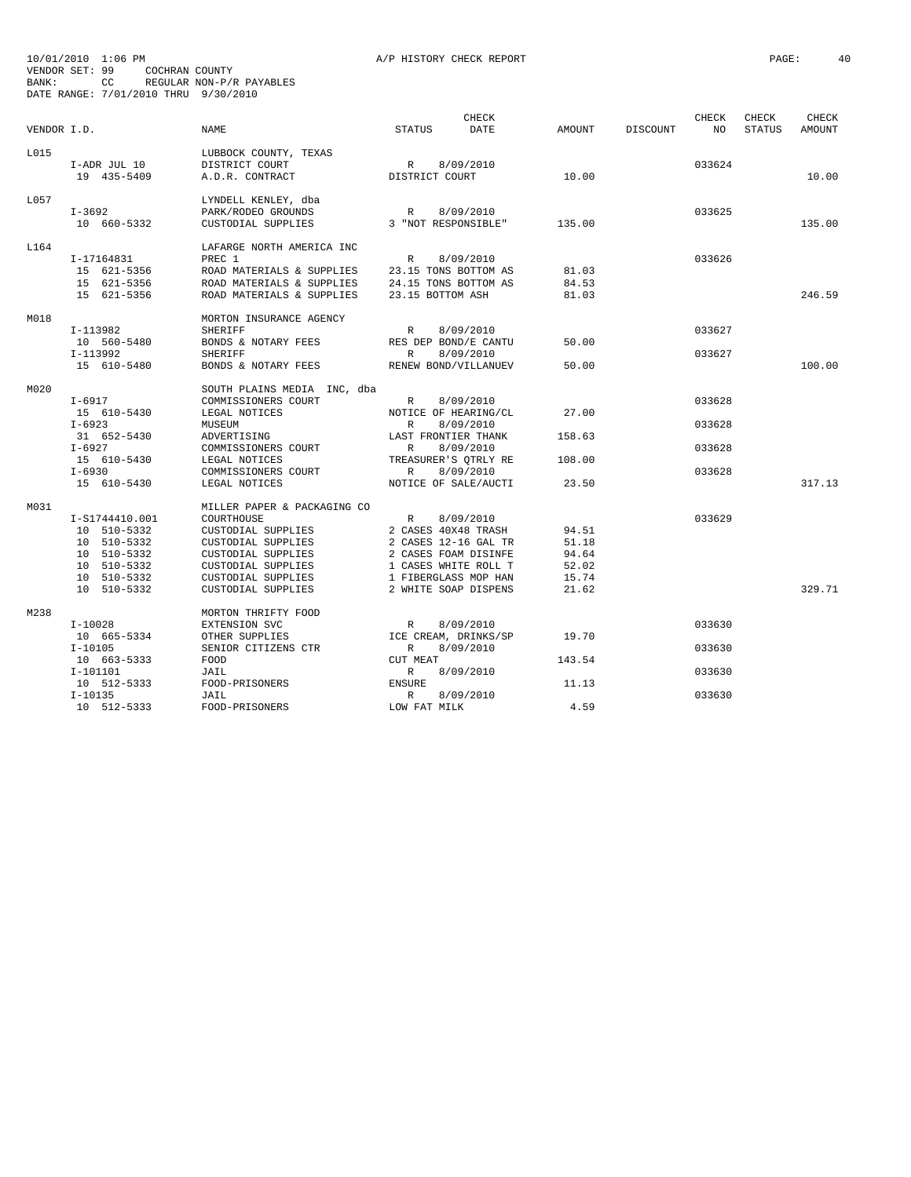| VENDOR I.D. |                             | <b>NAME</b>                                                | <b>STATUS</b>       | CHECK<br>DATE        | <b>AMOUNT</b> | DISCOUNT | CHECK<br>NO | CHECK<br><b>STATUS</b> | <b>CHECK</b><br>AMOUNT |
|-------------|-----------------------------|------------------------------------------------------------|---------------------|----------------------|---------------|----------|-------------|------------------------|------------------------|
| L015        | I-ADR JUL 10<br>19 435-5409 | LUBBOCK COUNTY, TEXAS<br>DISTRICT COURT<br>A.D.R. CONTRACT | R<br>DISTRICT COURT | 8/09/2010            | 10.00         |          | 033624      |                        | 10.00                  |
|             |                             |                                                            |                     |                      |               |          |             |                        |                        |
| T.057       | $I - 3692$                  | LYNDELL KENLEY, dba<br>PARK/RODEO GROUNDS                  | $\mathbb{R}$        | 8/09/2010            |               |          | 033625      |                        |                        |
|             | 10 660-5332                 | CUSTODIAL SUPPLIES                                         | 3 "NOT RESPONSIBLE" |                      | 135.00        |          |             |                        | 135.00                 |
|             |                             |                                                            |                     |                      |               |          |             |                        |                        |
| L164        | I-17164831                  | LAFARGE NORTH AMERICA INC<br>PREC 1                        | $\mathbb{R}$        | 8/09/2010            |               |          | 033626      |                        |                        |
|             | 15 621-5356                 | ROAD MATERIALS & SUPPLIES                                  |                     | 23.15 TONS BOTTOM AS | 81.03         |          |             |                        |                        |
|             | 15 621-5356                 | ROAD MATERIALS & SUPPLIES                                  |                     | 24.15 TONS BOTTOM AS | 84.53         |          |             |                        |                        |
|             | 15 621-5356                 | ROAD MATERIALS & SUPPLIES                                  | 23.15 BOTTOM ASH    |                      | 81.03         |          |             |                        | 246.59                 |
| M018        |                             | MORTON INSURANCE AGENCY                                    |                     |                      |               |          |             |                        |                        |
|             | I-113982                    | SHERIFF                                                    | $\mathbb{R}$        | 8/09/2010            |               |          | 033627      |                        |                        |
|             | 10 560-5480                 | BONDS & NOTARY FEES                                        |                     | RES DEP BOND/E CANTU | 50.00         |          |             |                        |                        |
|             | I-113992                    | SHERIFF                                                    | R                   | 8/09/2010            |               |          | 033627      |                        |                        |
|             | 15 610-5480                 | BONDS & NOTARY FEES                                        |                     | RENEW BOND/VILLANUEV | 50.00         |          |             |                        | 100.00                 |
|             |                             |                                                            |                     |                      |               |          |             |                        |                        |
| M020        |                             | SOUTH PLAINS MEDIA INC, dba                                |                     |                      |               |          |             |                        |                        |
|             | $I-6917$                    | COMMISSIONERS COURT                                        | $\mathbb{R}$        | 8/09/2010            |               |          | 033628      |                        |                        |
|             | 15 610-5430                 | LEGAL NOTICES                                              |                     | NOTICE OF HEARING/CL | 27.00         |          |             |                        |                        |
|             | $I - 6923$                  | MUSEUM                                                     | $\mathbb{R}$        | 8/09/2010            |               |          | 033628      |                        |                        |
|             | 31 652-5430                 | ADVERTISING                                                | LAST FRONTIER THANK |                      | 158.63        |          |             |                        |                        |
|             | $I-6927$                    | COMMISSIONERS COURT                                        | $\mathbb{R}$        | 8/09/2010            |               |          | 033628      |                        |                        |
|             | 15 610-5430                 | LEGAL NOTICES                                              |                     | TREASURER'S QTRLY RE | 108.00        |          |             |                        |                        |
|             | $I - 6930$                  | COMMISSIONERS COURT                                        | $\mathbb{R}$        | 8/09/2010            |               |          | 033628      |                        |                        |
|             | 15 610-5430                 | LEGAL NOTICES                                              |                     | NOTICE OF SALE/AUCTI | 23.50         |          |             |                        | 317.13                 |
| M031        |                             | MILLER PAPER & PACKAGING CO                                |                     |                      |               |          |             |                        |                        |
|             | I-S1744410.001              | COURTHOUSE                                                 | $\mathbb{R}$        | 8/09/2010            |               |          | 033629      |                        |                        |
|             | 10 510-5332                 | CUSTODIAL SUPPLIES                                         | 2 CASES 40X48 TRASH |                      | 94.51         |          |             |                        |                        |
|             | 10 510-5332                 | CUSTODIAL SUPPLIES                                         |                     | 2 CASES 12-16 GAL TR | 51.18         |          |             |                        |                        |
|             | 10 510-5332                 | CUSTODIAL SUPPLIES                                         |                     | 2 CASES FOAM DISINFE | 94.64         |          |             |                        |                        |
|             | 10 510-5332                 | CUSTODIAL SUPPLIES                                         |                     | 1 CASES WHITE ROLL T | 52.02         |          |             |                        |                        |
|             | 10 510-5332                 | CUSTODIAL SUPPLIES                                         |                     | 1 FIBERGLASS MOP HAN | 15.74         |          |             |                        |                        |
|             | 10 510-5332                 | CUSTODIAL SUPPLIES                                         |                     | 2 WHITE SOAP DISPENS | 21.62         |          |             |                        | 329.71                 |
| M238        |                             | MORTON THRIFTY FOOD                                        |                     |                      |               |          |             |                        |                        |
|             | $I-10028$                   | EXTENSION SVC                                              | $\mathbb{R}$        | 8/09/2010            |               |          | 033630      |                        |                        |
|             | 10 665-5334                 | OTHER SUPPLIES                                             |                     | ICE CREAM, DRINKS/SP | 19.70         |          |             |                        |                        |
|             | $I - 10105$                 | SENIOR CITIZENS CTR                                        | $\mathbb{R}$        | 8/09/2010            |               |          | 033630      |                        |                        |
|             | 10 663-5333                 | FOOD                                                       | CUT MEAT            |                      | 143.54        |          |             |                        |                        |
|             | $I-101101$                  | JAIL                                                       | $\mathbb{R}$        | 8/09/2010            |               |          | 033630      |                        |                        |
|             | 10 512-5333                 | FOOD-PRISONERS                                             | ENSURE              |                      | 11.13         |          |             |                        |                        |
|             | $I - 10135$                 | JAIL                                                       | $\mathbb R$         | 8/09/2010            |               |          | 033630      |                        |                        |
|             | 10 512-5333                 | FOOD-PRISONERS                                             | LOW FAT MILK        |                      | 4.59          |          |             |                        |                        |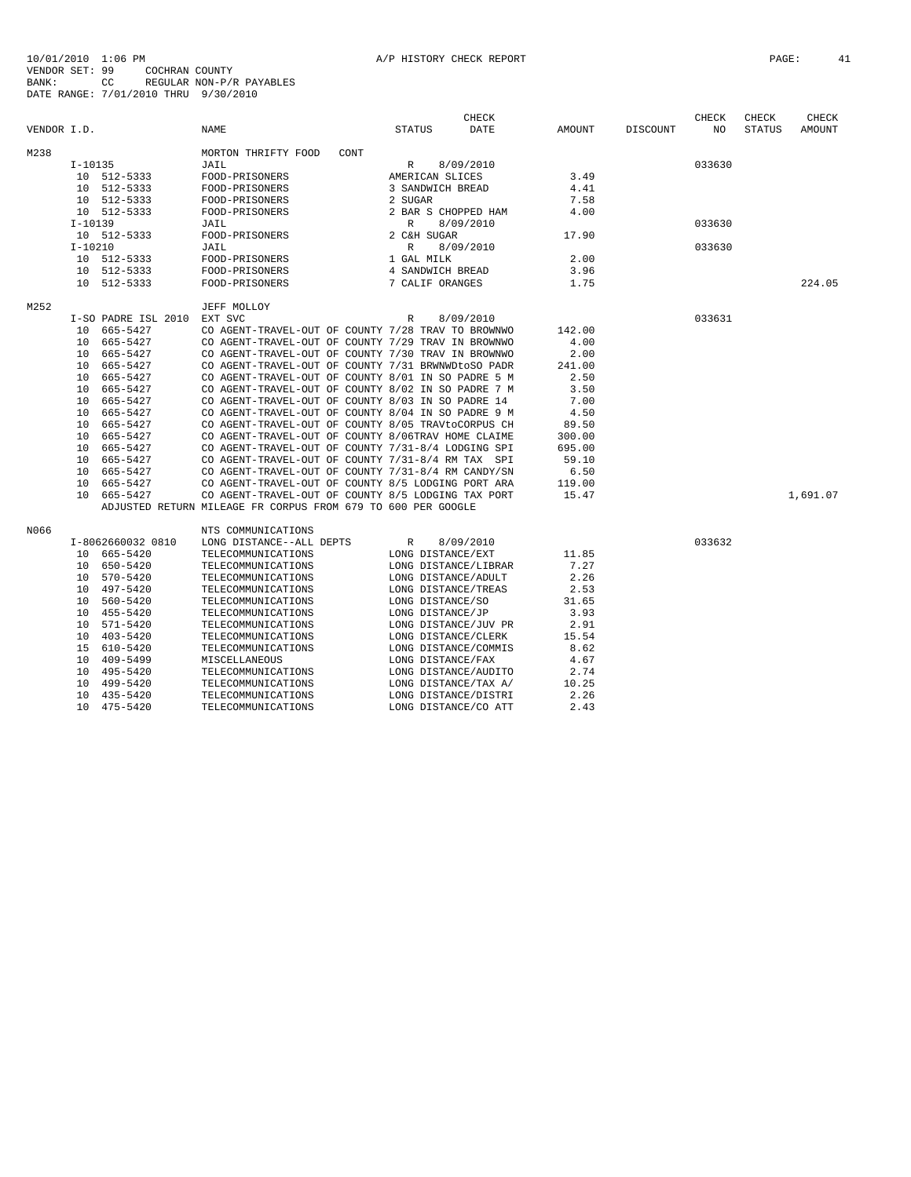|             |           |                     |                                                              |               |                   | CHECK                |        |          | CHECK  | CHECK         | CHECK    |
|-------------|-----------|---------------------|--------------------------------------------------------------|---------------|-------------------|----------------------|--------|----------|--------|---------------|----------|
| VENDOR I.D. |           |                     | NAME                                                         | <b>STATUS</b> |                   | DATE                 | AMOUNT | DISCOUNT | NO     | <b>STATUS</b> | AMOUNT   |
| M238        |           |                     | MORTON THRIFTY FOOD<br>CONT                                  |               |                   |                      |        |          |        |               |          |
|             | $I-10135$ |                     | JAIL                                                         | R             |                   | 8/09/2010            |        |          | 033630 |               |          |
|             |           | 10 512-5333         | FOOD-PRISONERS                                               |               | AMERICAN SLICES   |                      | 3.49   |          |        |               |          |
|             |           | 10 512-5333         | FOOD-PRISONERS                                               |               | 3 SANDWICH BREAD  |                      | 4.41   |          |        |               |          |
|             |           | 10 512-5333         | FOOD-PRISONERS                                               | 2 SUGAR       |                   |                      | 7.58   |          |        |               |          |
|             |           | 10 512-5333         | FOOD-PRISONERS                                               |               |                   | 2 BAR S CHOPPED HAM  | 4.00   |          |        |               |          |
|             | $I-10139$ |                     | JAIL                                                         | $\mathbb{R}$  |                   | 8/09/2010            |        |          | 033630 |               |          |
|             |           | 10 512-5333         | FOOD-PRISONERS                                               |               | 2 C&H SUGAR       |                      | 17.90  |          |        |               |          |
|             | $I-10210$ |                     | JAIL                                                         | $\mathbb{R}$  |                   | 8/09/2010            |        |          | 033630 |               |          |
|             |           | 10 512-5333         | FOOD-PRISONERS                                               |               | 1 GAL MILK        |                      | 2.00   |          |        |               |          |
|             |           | 10 512-5333         | FOOD-PRISONERS                                               |               | 4 SANDWICH BREAD  |                      | 3.96   |          |        |               |          |
|             |           | 10 512-5333         | FOOD-PRISONERS                                               |               | 7 CALIF ORANGES   |                      | 1.75   |          |        |               | 224.05   |
| M252        |           |                     | JEFF MOLLOY                                                  |               |                   |                      |        |          |        |               |          |
|             |           | I-SO PADRE ISL 2010 | EXT SVC                                                      | R             |                   | 8/09/2010            |        |          | 033631 |               |          |
|             |           | 10 665-5427         | CO AGENT-TRAVEL-OUT OF COUNTY 7/28 TRAV TO BROWNWO           |               |                   |                      | 142.00 |          |        |               |          |
|             |           | 10 665-5427         | CO AGENT-TRAVEL-OUT OF COUNTY 7/29 TRAV IN BROWNWO           |               |                   |                      | 4.00   |          |        |               |          |
|             |           | 10 665-5427         | CO AGENT-TRAVEL-OUT OF COUNTY 7/30 TRAV IN BROWNWO           |               |                   |                      | 2.00   |          |        |               |          |
|             |           | 10 665-5427         | CO AGENT-TRAVEL-OUT OF COUNTY 7/31 BRWNWDtoSO PADR           |               |                   |                      | 241.00 |          |        |               |          |
|             |           | 10 665-5427         | CO AGENT-TRAVEL-OUT OF COUNTY 8/01 IN SO PADRE 5 M           |               |                   |                      | 2.50   |          |        |               |          |
|             | 10        | 665-5427            | CO AGENT-TRAVEL-OUT OF COUNTY 8/02 IN SO PADRE 7 M           |               |                   |                      | 3.50   |          |        |               |          |
|             |           | 10 665-5427         | CO AGENT-TRAVEL-OUT OF COUNTY 8/03 IN SO PADRE 14            |               |                   |                      | 7.00   |          |        |               |          |
|             | 10        | 665-5427            | CO AGENT-TRAVEL-OUT OF COUNTY 8/04 IN SO PADRE 9 M           |               |                   |                      | 4.50   |          |        |               |          |
|             | 10        | 665-5427            | CO AGENT-TRAVEL-OUT OF COUNTY 8/05 TRAVtoCORPUS CH           |               |                   |                      | 89.50  |          |        |               |          |
|             | 10        | 665-5427            | CO AGENT-TRAVEL-OUT OF COUNTY 8/06TRAV HOME CLAIME           |               |                   |                      | 300.00 |          |        |               |          |
|             | 10        | 665-5427            | CO AGENT-TRAVEL-OUT OF COUNTY 7/31-8/4 LODGING SPI           |               |                   |                      | 695.00 |          |        |               |          |
|             | 10        | 665-5427            | CO AGENT-TRAVEL-OUT OF COUNTY 7/31-8/4 RM TAX SPI            |               |                   |                      | 59.10  |          |        |               |          |
|             |           | 10 665-5427         | CO AGENT-TRAVEL-OUT OF COUNTY 7/31-8/4 RM CANDY/SN           |               |                   |                      | 6.50   |          |        |               |          |
|             | 10        | 665-5427            | CO AGENT-TRAVEL-OUT OF COUNTY 8/5 LODGING PORT ARA           |               |                   |                      | 119.00 |          |        |               |          |
|             |           | 10 665-5427         | CO AGENT-TRAVEL-OUT OF COUNTY 8/5 LODGING TAX PORT           |               |                   |                      | 15.47  |          |        |               | 1,691.07 |
|             |           |                     | ADJUSTED RETURN MILEAGE FR CORPUS FROM 679 TO 600 PER GOOGLE |               |                   |                      |        |          |        |               |          |
|             |           |                     |                                                              |               |                   |                      |        |          |        |               |          |
| N066        |           |                     | NTS COMMUNICATIONS                                           |               |                   |                      |        |          |        |               |          |
|             |           | I-8062660032 0810   | LONG DISTANCE--ALL DEPTS                                     | R             |                   | 8/09/2010            |        |          | 033632 |               |          |
|             |           | 10 665-5420         | TELECOMMUNICATIONS                                           |               | LONG DISTANCE/EXT |                      | 11.85  |          |        |               |          |
|             |           | 10 650-5420         | TELECOMMUNICATIONS                                           |               |                   | LONG DISTANCE/LIBRAR | 7.27   |          |        |               |          |
|             | 10        | 570-5420            | TELECOMMUNICATIONS                                           |               |                   | LONG DISTANCE/ADULT  | 2.26   |          |        |               |          |
|             | 10        | 497-5420            | TELECOMMUNICATIONS                                           |               |                   | LONG DISTANCE/TREAS  | 2.53   |          |        |               |          |
|             | 10        | 560-5420            | TELECOMMUNICATIONS                                           |               | LONG DISTANCE/SO  |                      | 31.65  |          |        |               |          |
|             | 10        | 455-5420            | TELECOMMUNICATIONS                                           |               | LONG DISTANCE/JP  |                      | 3.93   |          |        |               |          |
|             |           | 10 571-5420         | TELECOMMUNICATIONS                                           |               |                   | LONG DISTANCE/JUV PR | 2.91   |          |        |               |          |
|             | 10        | 403-5420            | TELECOMMUNICATIONS                                           |               |                   | LONG DISTANCE/CLERK  | 15.54  |          |        |               |          |
|             |           | 15 610-5420         | TELECOMMUNICATIONS                                           |               |                   | LONG DISTANCE/COMMIS | 8.62   |          |        |               |          |
|             | 10        | 409-5499            | MISCELLANEOUS                                                |               | LONG DISTANCE/FAX |                      | 4.67   |          |        |               |          |
|             | 10        | 495-5420            | TELECOMMUNICATIONS                                           |               |                   | LONG DISTANCE/AUDITO | 2.74   |          |        |               |          |
|             | 10        | 499-5420            | TELECOMMUNICATIONS                                           |               |                   | LONG DISTANCE/TAX A/ | 10.25  |          |        |               |          |
|             |           | 10 435-5420         | TELECOMMUNICATIONS                                           |               |                   | LONG DISTANCE/DISTRI | 2.26   |          |        |               |          |
|             |           | 10 475-5420         | TELECOMMUNICATIONS                                           |               |                   | LONG DISTANCE/CO ATT | 2.43   |          |        |               |          |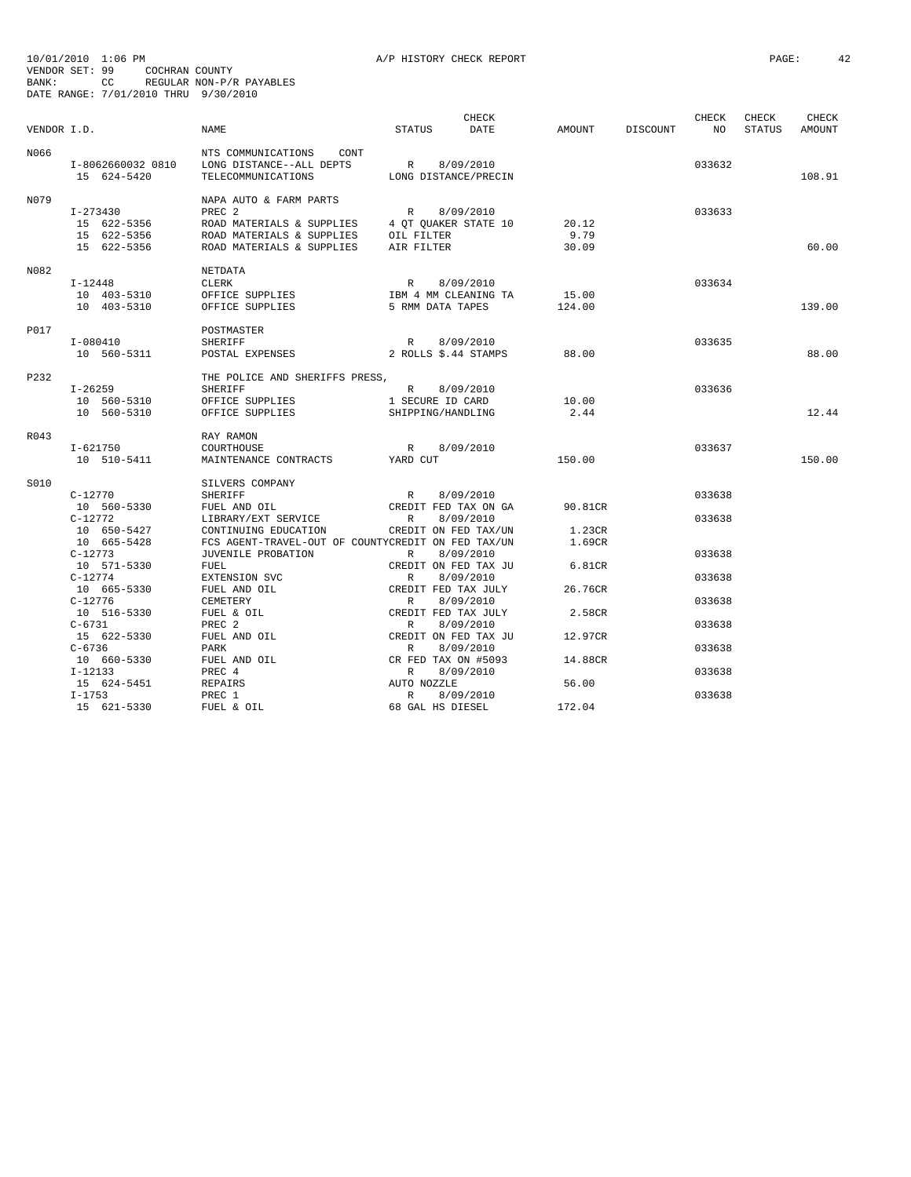| VENDOR I.D. |                                                        | NAME                                                                                                                    | <b>STATUS</b>                                                   | CHECK<br>DATE                                             | AMOUNT                      | DISCOUNT | CHECK<br>NO <sub>1</sub> | CHECK<br>STATUS | CHECK<br>AMOUNT |
|-------------|--------------------------------------------------------|-------------------------------------------------------------------------------------------------------------------------|-----------------------------------------------------------------|-----------------------------------------------------------|-----------------------------|----------|--------------------------|-----------------|-----------------|
| N066        | I-8062660032 0810<br>15 624-5420                       | NTS COMMUNICATIONS<br>CONT<br>LONG DISTANCE--ALL DEPTS<br>TELECOMMUNICATIONS                                            | R 8/09/2010<br>LONG DISTANCE/PRECIN                             |                                                           |                             |          | 033632                   |                 | 108.91          |
| N079        | I-273430<br>15 622-5356<br>15 622-5356<br>15 622-5356  | NAPA AUTO & FARM PARTS<br>PREC 2<br>ROAD MATERIALS & SUPPLIES<br>ROAD MATERIALS & SUPPLIES<br>ROAD MATERIALS & SUPPLIES | R 8/09/2010<br>4 QT QUAKER STATE 10<br>OIL FILTER<br>AIR FILTER |                                                           | 20.12<br>9.79<br>30.09      |          | 033633                   |                 | 60.00           |
| N082        | I-12448<br>10 403-5310<br>10 403-5310                  | NETDATA<br>CLERK<br>OFFICE SUPPLIES<br>OFFICE SUPPLIES                                                                  | R 8/09/2010<br>IBM 4 MM CLEANING TA<br>5 RMM DATA TAPES         |                                                           | 15.00<br>124.00             |          | 033634                   |                 | 139.00          |
| P017        | $I - 080410$<br>10 560-5311                            | POSTMASTER<br>SHERIFF<br>POSTAL EXPENSES                                                                                | R                                                               | 8/09/2010<br>R 8/09/2010<br>2 ROLLS \$.44 STAMPS 88.00    |                             |          | 033635                   |                 | 88.00           |
| P232        | $I - 26259$<br>10 560-5310<br>10 560-5310              | THE POLICE AND SHERIFFS PRESS,<br><b>SHERIFF</b><br>OFFICE SUPPLIES<br>OFFICE SUPPLIES                                  | R 8/09/2010<br>1 SECURE ID CARD<br>SHIPPING/HANDLING            |                                                           | 10.00<br>2.44               |          | 033636                   |                 | 12.44           |
| R043        | I-621750<br>10 510-5411                                | RAY RAMON<br>COURTHOUSE<br>MAINTENANCE CONTRACTS YARD CUT                                                               | R                                                               | 8/09/2010                                                 | 150.00                      |          | 033637                   |                 | 150.00          |
| S010        | C-12770                                                | SILVERS COMPANY<br>SHERIFF                                                                                              | R                                                               | 8/09/2010                                                 |                             |          | 033638                   |                 |                 |
|             | 10 560-5330<br>$C-12772$<br>10 650-5427<br>10 665-5428 | FUEL AND OIL<br>LIBRARY/EXT SERVICE<br>CONTINUING EDUCATION<br>FCS AGENT-TRAVEL-OUT OF COUNTYCREDIT ON FED TAX/UN       | R                                                               | CREDIT FED TAX ON GA<br>8/09/2010<br>CREDIT ON FED TAX/UN | 90.81CR<br>1.23CR<br>1.69CR |          | 033638                   |                 |                 |
|             | $C-12773$<br>10 571-5330<br>$C-12774$                  | JUVENILE PROBATION<br>FUEL<br>EXTENSION SVC                                                                             | R<br>R                                                          | 8/09/2010<br>CREDIT ON FED TAX JU<br>8/09/2010            | 6.81CR                      |          | 033638<br>033638         |                 |                 |
|             | 10 665-5330<br>$C-12776$<br>10 516-5330                | FUEL AND OIL<br>CEMETERY<br>FUEL & OIL                                                                                  | CREDIT FED TAX JULY<br>R<br>CREDIT FED TAX JULY                 | 8/09/2010                                                 | 26.76CR<br>2.58CR           |          | 033638                   |                 |                 |
|             | $C - 6731$<br>15 622-5330<br>$C - 6736$                | PREC 2<br>FUEL AND OIL<br>PARK                                                                                          | R<br>CREDIT ON FED TAX JU<br>R                                  | 8/09/2010<br>8/09/2010                                    | 12.97CR                     |          | 033638<br>033638         |                 |                 |
|             | 10 660-5330<br>$I-12133$<br>15 624-5451                | FUEL AND OIL<br>PREC 4                                                                                                  | CR FED TAX ON #5093<br>$R_{\rm c}$<br>AUTO NOZZLE               | 8/09/2010                                                 | 14.88CR<br>56.00            |          | 033638                   |                 |                 |
|             | $I-1753$<br>15 621-5330                                | REPAIRS<br>PREC 1<br>FUEL & OIL                                                                                         | R<br>68 GAL HS DIESEL                                           | 8/09/2010                                                 | 172.04                      |          | 033638                   |                 |                 |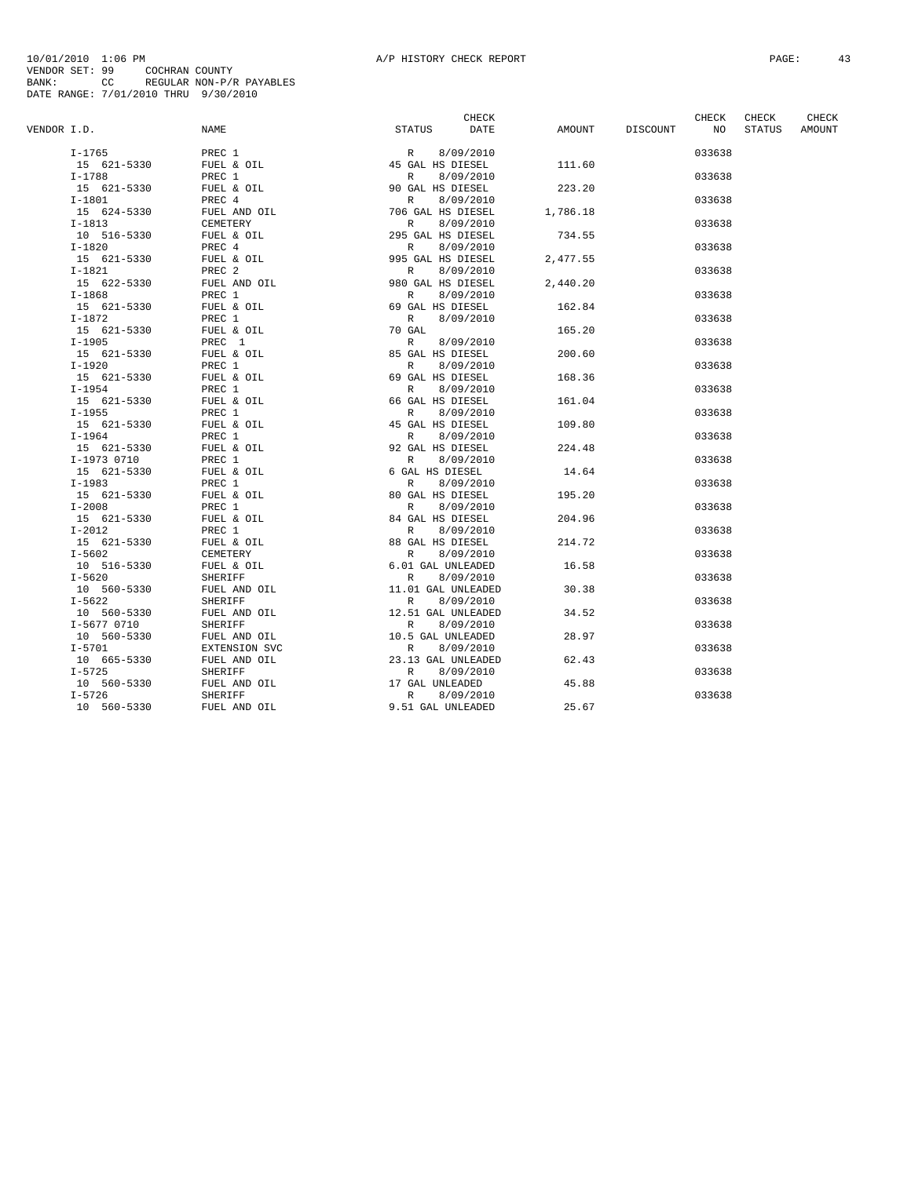|             |             |                   | CHECK                     |          |          | CHECK  | CHECK  | CHECK  |
|-------------|-------------|-------------------|---------------------------|----------|----------|--------|--------|--------|
| VENDOR I.D. |             | NAME              | DATE<br>STATUS            | AMOUNT   | DISCOUNT | NO     | STATUS | AMOUNT |
|             | $I-1765$    |                   | 8/09/2010                 |          |          | 033638 |        |        |
|             | 15 621-5330 |                   |                           | 111.60   |          |        |        |        |
|             | $I-1788$    | PREC 1            | 8/09/2010<br>$\mathbb{R}$ |          |          | 033638 |        |        |
|             | 15 621-5330 | FUEL & OIL        | 90 GAL HS DIESEL          | 223.20   |          |        |        |        |
|             | $I-1801$    | PREC 4            | R<br>8/09/2010            |          |          | 033638 |        |        |
|             | 15 624-5330 | FUEL AND OIL      | 706 GAL HS DIESEL         | 1,786.18 |          |        |        |        |
|             | $I-1813$    | CEMETERY          | $\mathbb{R}$<br>8/09/2010 |          |          | 033638 |        |        |
|             | 10 516-5330 | FUEL & OIL        | 295 GAL HS DIESEL         | 734.55   |          |        |        |        |
|             | $I-1820$    | PREC 4            | $\mathbb{R}$<br>8/09/2010 |          |          | 033638 |        |        |
|             | 15 621-5330 | FUEL & OIL        | 995 GAL HS DIESEL         | 2,477.55 |          |        |        |        |
|             | $I-1821$    | PREC <sub>2</sub> | $\mathbb{R}$<br>8/09/2010 |          |          | 033638 |        |        |
|             | 15 622-5330 | FUEL AND OIL      | 980 GAL HS DIESEL         | 2,440.20 |          |        |        |        |
|             | $I-1868$    | PREC 1            | 8/09/2010<br>R            |          |          | 033638 |        |        |
|             |             | FUEL & OIL        |                           |          |          |        |        |        |
|             | 15 621-5330 |                   | 69 GAL HS DIESEL          | 162.84   |          |        |        |        |
|             | $I-1872$    | PREC 1            | 8/09/2010<br>$\mathbb{R}$ |          |          | 033638 |        |        |
|             | 15 621-5330 | FUEL & OIL        | 70 GAL                    | 165.20   |          |        |        |        |
|             | $I-1905$    | PREC 1            | 8/09/2010<br>$\mathbb{R}$ |          |          | 033638 |        |        |
|             | 15 621-5330 | FUEL & OIL        | 85 GAL HS DIESEL          | 200.60   |          |        |        |        |
|             | $I-1920$    | PREC 1            | 8/09/2010<br>R            |          |          | 033638 |        |        |
|             | 15 621-5330 | FUEL & OIL        | 69 GAL HS DIESEL          | 168.36   |          |        |        |        |
|             | $I-1954$    | PREC 1            | 8/09/2010<br>R            |          |          | 033638 |        |        |
|             | 15 621-5330 | FUEL & OIL        | 66 GAL HS DIESEL          | 161.04   |          |        |        |        |
|             | $I-1955$    | PREC 1            | R<br>8/09/2010            |          |          | 033638 |        |        |
|             | 15 621-5330 | FUEL & OIL        | 45 GAL HS DIESEL          | 109.80   |          |        |        |        |
|             | $I-1964$    | PREC 1            | 8/09/2010<br>$\mathbb{R}$ |          |          | 033638 |        |        |
|             | 15 621-5330 | FUEL & OIL        | 92 GAL HS DIESEL          | 224.48   |          |        |        |        |
|             | I-1973 0710 | PREC 1            | 8/09/2010<br>$\mathbb{R}$ |          |          | 033638 |        |        |
|             | 15 621-5330 | FUEL & OIL        | 6 GAL HS DIESEL           | 14.64    |          |        |        |        |
|             | $I-1983$    | PREC 1            | 8/09/2010<br>R            |          |          | 033638 |        |        |
|             | 15 621-5330 | FUEL & OIL        | 80 GAL HS DIESEL          | 195.20   |          |        |        |        |
|             | $I - 2008$  | PREC 1            | 8/09/2010<br>R            |          |          | 033638 |        |        |
|             | 15 621-5330 | FUEL & OIL        | 84 GAL HS DIESEL          | 204.96   |          |        |        |        |
|             | $I - 2012$  | PREC 1            | $\mathbb{R}$<br>8/09/2010 |          |          | 033638 |        |        |
|             | 15 621-5330 | FUEL & OIL        | 88 GAL HS DIESEL          | 214.72   |          |        |        |        |
|             | $I - 5602$  | CEMETERY          | 8/09/2010<br>$\mathbb{R}$ |          |          | 033638 |        |        |
|             | 10 516-5330 | FUEL & OIL        | 6.01 GAL UNLEADED         | 16.58    |          |        |        |        |
|             | $I - 5620$  | SHERIFF           | $\mathbb{R}$<br>8/09/2010 |          |          | 033638 |        |        |
|             | 10 560-5330 | FUEL AND OIL      | 11.01 GAL UNLEADED        | 30.38    |          |        |        |        |
|             | $I - 5622$  | SHERIFF           | R<br>8/09/2010            |          |          | 033638 |        |        |
|             | 10 560-5330 | FUEL AND OIL      | 12.51 GAL UNLEADED        | 34.52    |          |        |        |        |
|             | I-5677 0710 | SHERIFF           | $\mathbb{R}$<br>8/09/2010 |          |          | 033638 |        |        |
|             | 10 560-5330 | FUEL AND OIL      | 10.5 GAL UNLEADED         | 28.97    |          |        |        |        |
|             | $I - 5701$  | EXTENSION SVC     | R<br>8/09/2010            |          |          | 033638 |        |        |
|             | 10 665-5330 | FUEL AND OIL      | 23.13 GAL UNLEADED        | 62.43    |          |        |        |        |
|             | $I - 5725$  | SHERIFF           | R<br>8/09/2010            |          |          | 033638 |        |        |
|             | 10 560-5330 | FUEL AND OIL      | 17 GAL UNLEADED           | 45.88    |          |        |        |        |
|             | $I - 5726$  | SHERIFF           | $\mathbb{R}$<br>8/09/2010 |          |          | 033638 |        |        |
|             | 10 560-5330 | FUEL AND OIL      | 9.51 GAL UNLEADED         | 25.67    |          |        |        |        |
|             |             |                   |                           |          |          |        |        |        |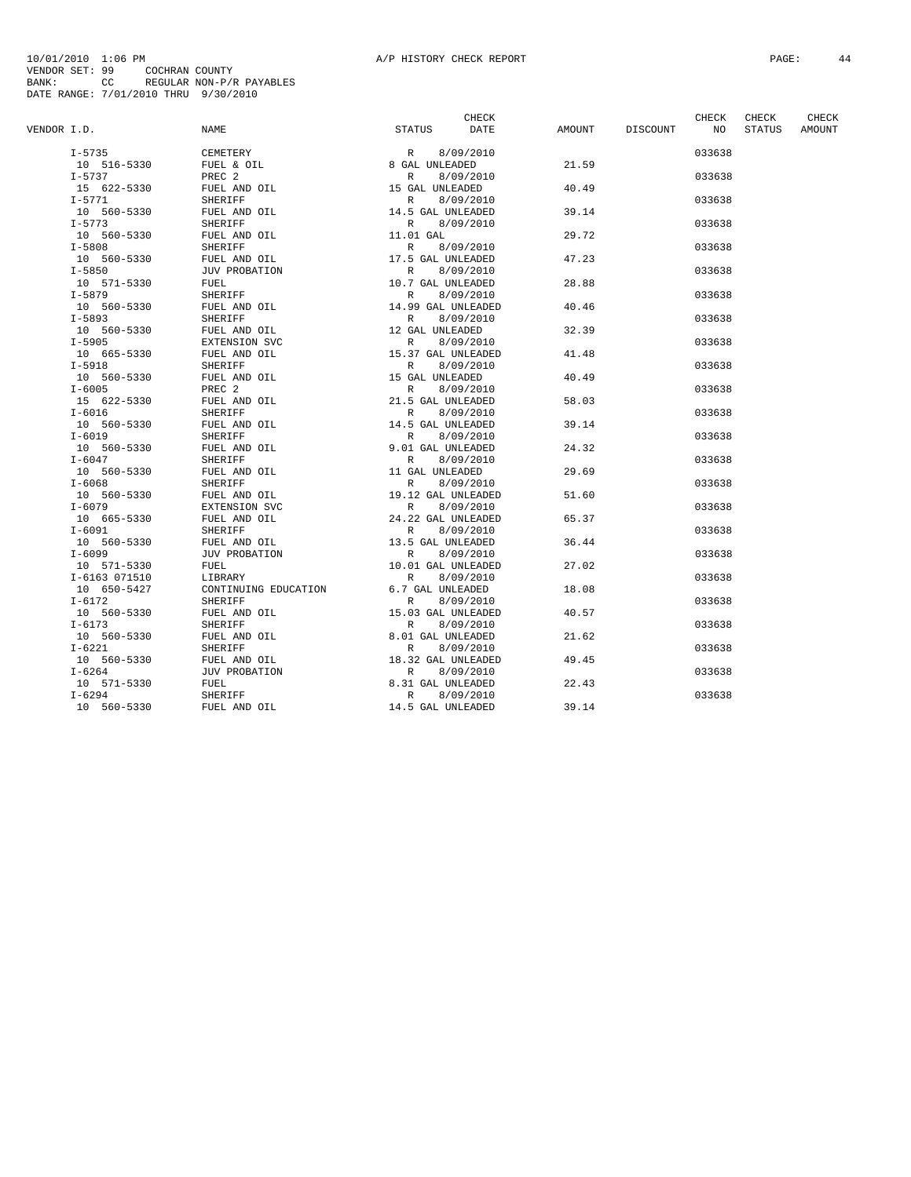|             |                           |                              |                                                | CHECK |        |          | CHECK  | CHECK         | CHECK  |
|-------------|---------------------------|------------------------------|------------------------------------------------|-------|--------|----------|--------|---------------|--------|
| VENDOR I.D. |                           | NAME                         | <b>STATUS</b>                                  | DATE  | AMOUNT | DISCOUNT | NO     | <b>STATUS</b> | AMOUNT |
|             | $I - 5735$                | CEMETERY                     | 8/09/2010<br>R                                 |       |        |          | 033638 |               |        |
|             | 10 516-5330               | FUEL & OIL                   | 8 GAL UNLEADED                                 |       | 21.59  |          |        |               |        |
|             | $I - 5737$                | PREC <sub>2</sub>            | 8/09/2010<br>R                                 |       |        |          | 033638 |               |        |
|             | 15 622-5330               | FUEL AND OIL                 | 15 GAL UNLEADED                                |       | 40.49  |          |        |               |        |
|             | $I - 5771$                | SHERIFF                      | 8/09/2010<br>R                                 |       |        |          | 033638 |               |        |
|             | 10 560-5330               | FUEL AND OIL                 | 14.5 GAL UNLEADED                              |       | 39.14  |          |        |               |        |
|             | $I - 5773$                | SHERIFF                      | $\mathbb{R}$<br>8/09/2010                      |       |        |          | 033638 |               |        |
|             | 10 560-5330               | FUEL AND OIL                 | 11.01 GAL                                      |       | 29.72  |          |        |               |        |
|             | $I - 5808$                | SHERIFF                      | 8/09/2010<br>R                                 |       |        |          | 033638 |               |        |
|             | 10 560-5330               | FUEL AND OIL                 | 17.5 GAL UNLEADED                              |       | 47.23  |          |        |               |        |
|             | $I - 5850$                | <b>JUV PROBATION</b>         | $\mathbb{R}$<br>8/09/2010                      |       |        |          | 033638 |               |        |
|             | 10 571-5330               | FUEL                         | 10.7 GAL UNLEADED                              |       | 28.88  |          |        |               |        |
|             | $I - 5879$                | SHERIFF                      | $\mathbb{R}$<br>8/09/2010                      |       |        |          | 033638 |               |        |
|             | 10 560-5330               | FUEL AND OIL                 | 14.99 GAL UNLEADED                             |       | 40.46  |          |        |               |        |
|             | $I - 5893$                | SHERIFF                      | $\mathbb R$<br>8/09/2010                       |       |        |          | 033638 |               |        |
|             | 10 560-5330               | FUEL AND OIL                 | 12 GAL UNLEADED                                |       | 32.39  |          |        |               |        |
|             | $I - 5905$                | EXTENSION SVC                | 8/09/2010<br>$\mathbb{R}$                      |       |        |          | 033638 |               |        |
|             | 10 665-5330               | FUEL AND OIL                 | 15.37 GAL UNLEADED                             |       | 41.48  |          |        |               |        |
|             | $I - 5918$                | SHERIFF                      | 8/09/2010<br>$\mathbb{R}$                      |       |        |          | 033638 |               |        |
|             | 10 560-5330               | FUEL AND OIL                 | 15 GAL UNLEADED                                |       | 40.49  |          |        |               |        |
|             | $I - 6005$                | PREC <sub>2</sub>            | 8/09/2010<br>$\mathbb{R}$                      |       |        |          | 033638 |               |        |
|             | 15 622-5330               | FUEL AND OIL                 | 21.5 GAL UNLEADED                              |       | 58.03  |          |        |               |        |
|             | $I-6016$                  | SHERIFF                      | 8/09/2010<br>R                                 |       |        |          | 033638 |               |        |
|             | 10 560-5330               |                              |                                                |       | 39.14  |          |        |               |        |
|             | $I - 6019$                | FUEL AND OIL                 | 14.5 GAL UNLEADED                              |       |        |          | 033638 |               |        |
|             | 10 560-5330               | SHERIFF<br>FUEL AND OIL      | 8/09/2010<br>$\mathbb{R}$<br>9.01 GAL UNLEADED |       | 24.32  |          |        |               |        |
|             | $I - 6047$                | <b>SHERIFF</b>               | 8/09/2010<br>$\mathbb{R}$                      |       |        |          | 033638 |               |        |
|             | 10 560-5330               | FUEL AND OIL                 | 11 GAL UNLEADED                                |       | 29.69  |          |        |               |        |
|             | $I - 6068$                |                              |                                                |       |        |          | 033638 |               |        |
|             |                           | SHERIFF                      | 8/09/2010<br>R                                 |       |        |          |        |               |        |
|             | 10 560-5330               | FUEL AND OIL                 | 19.12 GAL UNLEADED                             |       | 51.60  |          |        |               |        |
|             | $I - 6079$                | EXTENSION SVC                | 8/09/2010<br>$\mathbb{R}$                      |       |        |          | 033638 |               |        |
|             | 10 665-5330               | FUEL AND OIL                 | 24.22 GAL UNLEADED                             |       | 65.37  |          |        |               |        |
|             | $I - 6091$                | SHERIFF                      | 8/09/2010<br>$\mathbb{R}$                      |       | 36.44  |          | 033638 |               |        |
|             | 10 560-5330<br>$I - 6099$ | FUEL AND OIL                 | 13.5 GAL UNLEADED                              |       |        |          | 033638 |               |        |
|             |                           | <b>JUV PROBATION</b><br>FUEL | 8/09/2010<br>$\mathbb{R}$                      |       | 27.02  |          |        |               |        |
|             | 10 571-5330               |                              | 10.01 GAL UNLEADED                             |       |        |          |        |               |        |
|             | I-6163 071510             | LIBRARY                      | $\mathbb{R}$<br>8/09/2010                      |       |        |          | 033638 |               |        |
|             | 10 650-5427               | CONTINUING EDUCATION         | 6.7 GAL UNLEADED                               |       | 18.08  |          |        |               |        |
|             | $I - 6172$                | SHERIFF                      | R<br>8/09/2010                                 |       |        |          | 033638 |               |        |
|             | 10 560-5330               | FUEL AND OIL                 | 15.03 GAL UNLEADED                             |       | 40.57  |          |        |               |        |
|             | $I - 6173$                | SHERIFF                      | R<br>8/09/2010                                 |       |        |          | 033638 |               |        |
|             | 10 560-5330               | FUEL AND OIL                 | 8.01 GAL UNLEADED                              |       | 21.62  |          |        |               |        |
|             | $I - 6221$                | SHERIFF                      | R<br>8/09/2010                                 |       |        |          | 033638 |               |        |
|             | 10 560-5330               | FUEL AND OIL                 | 18.32 GAL UNLEADED                             |       | 49.45  |          |        |               |        |
|             | $I - 6264$                | <b>JUV PROBATION</b>         | $\mathbb{R}$<br>8/09/2010                      |       |        |          | 033638 |               |        |
|             | 10 571-5330               | FUEL                         | 8.31 GAL UNLEADED                              |       | 22.43  |          |        |               |        |
|             | $I - 6294$                | SHERIFF                      | 8/09/2010<br>$\mathbb{R}$                      |       |        |          | 033638 |               |        |
|             | 10 560-5330               | FUEL AND OIL                 | 14.5 GAL UNLEADED                              |       | 39.14  |          |        |               |        |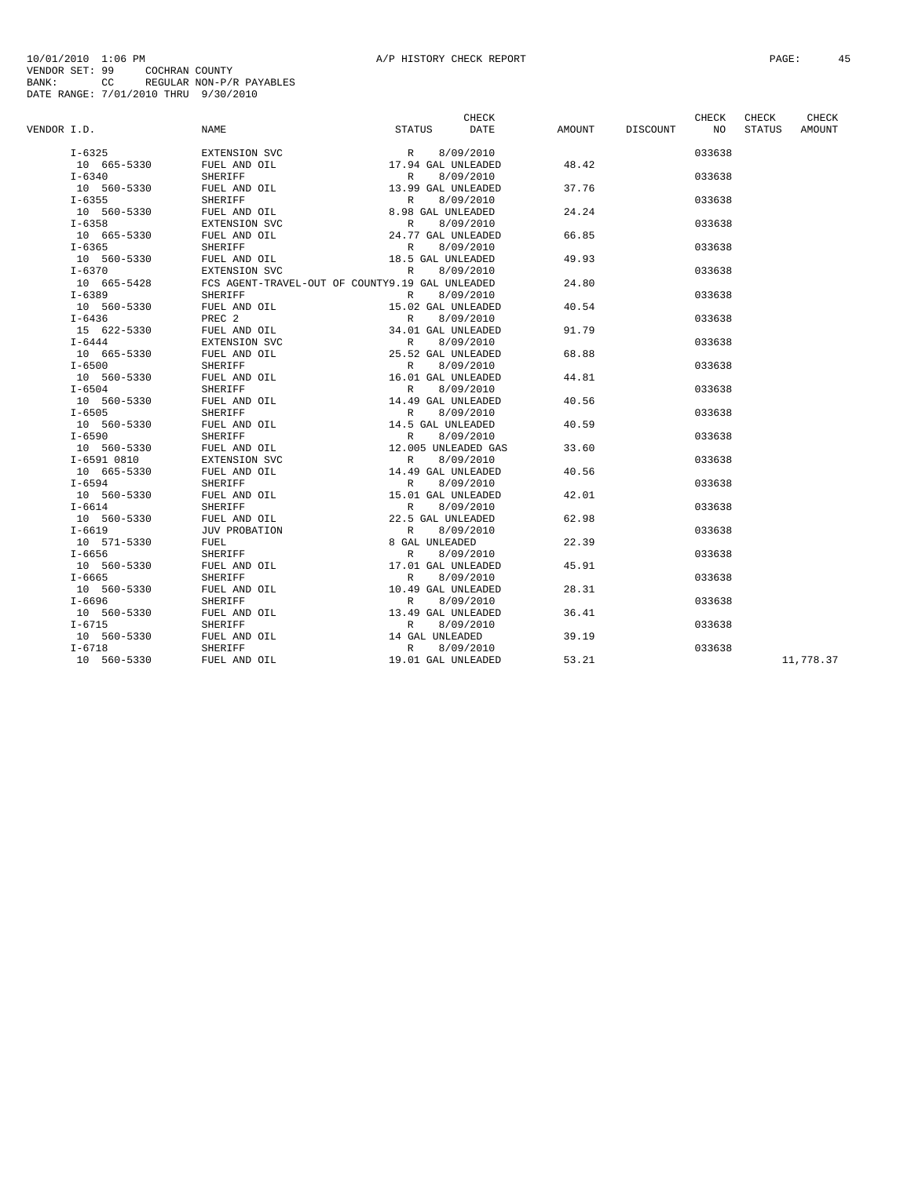|             |             |                      | CHECK                                           |       |                 | CHECK  | CHECK  | CHECK     |
|-------------|-------------|----------------------|-------------------------------------------------|-------|-----------------|--------|--------|-----------|
| VENDOR I.D. |             | NAME                 | STATUS<br>DATE                                  |       | AMOUNT DISCOUNT | NO     | STATUS | AMOUNT    |
|             | $I - 6325$  | EXTENSION SVC        | $R = 0, 0.1$<br>17.94 GAL UNLEADED              |       |                 | 033638 |        |           |
|             | 10 665-5330 | FUEL AND OIL         |                                                 | 48.42 |                 |        |        |           |
|             | $I - 6340$  | SHERIFF              | 8/09/2010<br>R                                  |       |                 | 033638 |        |           |
|             | 10 560-5330 | FUEL AND OIL         | 13.99 GAL UNLEADED                              | 37.76 |                 |        |        |           |
|             | $I - 6355$  | SHERIFF              | R<br>8/09/2010                                  |       |                 | 033638 |        |           |
|             | 10 560-5330 | FUEL AND OIL         | 8.98 GAL UNLEADED                               | 24.24 |                 |        |        |           |
|             | $I - 6358$  | EXTENSION SVC        | R<br>8/09/2010                                  |       |                 | 033638 |        |           |
|             | 10 665-5330 | FUEL AND OIL         | 24.77 GAL UNLEADED                              | 66.85 |                 |        |        |           |
|             | $I - 6365$  | SHERIFF              | R<br>8/09/2010                                  |       |                 | 033638 |        |           |
|             | 10 560-5330 | FUEL AND OIL         | 18.5 GAL UNLEADED                               | 49.93 |                 |        |        |           |
|             | $I - 6370$  | EXTENSION SVC        | R<br>8/09/2010                                  |       |                 | 033638 |        |           |
|             | 10 665-5428 |                      | FCS AGENT-TRAVEL-OUT OF COUNTY9.19 GAL UNLEADED | 24.80 |                 |        |        |           |
|             | $I - 6389$  | <b>SHERIFF</b>       | 8/09/2010<br>R                                  |       |                 | 033638 |        |           |
|             | 10 560-5330 | FUEL AND OIL         | 15.02 GAL UNLEADED                              | 40.54 |                 |        |        |           |
|             | $I - 6436$  | PREC <sub>2</sub>    | 8/09/2010<br>R                                  |       |                 | 033638 |        |           |
|             | 15 622-5330 | FUEL AND OIL         | 34.01 GAL UNLEADED                              | 91.79 |                 |        |        |           |
|             | $I - 6444$  | EXTENSION SVC        | R<br>8/09/2010                                  |       |                 | 033638 |        |           |
|             | 10 665-5330 | FUEL AND OIL         | 25.52 GAL UNLEADED                              | 68.88 |                 |        |        |           |
|             | $I - 6500$  | SHERIFF              | 8/09/2010<br>R                                  |       |                 | 033638 |        |           |
|             | 10 560-5330 | FUEL AND OIL         | 16.01 GAL UNLEADED                              | 44.81 |                 |        |        |           |
|             | $I - 6504$  | <b>SHERIFF</b>       | 8/09/2010<br>$\mathbb{R}$                       |       |                 | 033638 |        |           |
|             | 10 560-5330 | FUEL AND OIL         | 14.49 GAL UNLEADED                              | 40.56 |                 |        |        |           |
|             | $I - 6505$  | SHERIFF              | 8/09/2010<br>R                                  |       |                 | 033638 |        |           |
|             | 10 560-5330 | FUEL AND OIL         | 14.5 GAL UNLEADED                               | 40.59 |                 |        |        |           |
|             | $I - 6590$  | SHERIFF              | 8/09/2010<br>R                                  |       |                 | 033638 |        |           |
|             | 10 560-5330 | FUEL AND OIL         | 12.005 UNLEADED GAS                             | 33.60 |                 |        |        |           |
|             | I-6591 0810 | EXTENSION SVC        | R<br>8/09/2010                                  |       |                 | 033638 |        |           |
|             | 10 665-5330 | FUEL AND OIL         | 14.49 GAL UNLEADED                              | 40.56 |                 |        |        |           |
|             | $I - 6594$  | SHERIFF              | 8/09/2010<br>R                                  |       |                 | 033638 |        |           |
|             | 10 560-5330 | FUEL AND OIL         | 15.01 GAL UNLEADED                              | 42.01 |                 |        |        |           |
|             | $I-6614$    | <b>SHERIFF</b>       | 8/09/2010<br>$\mathbb{R}$                       |       |                 | 033638 |        |           |
|             | 10 560-5330 | FUEL AND OIL         | 22.5 GAL UNLEADED                               | 62.98 |                 |        |        |           |
|             | $I - 6619$  | <b>JUV PROBATION</b> | 8/09/2010<br>R                                  |       |                 | 033638 |        |           |
|             | 10 571-5330 | FUEL                 | 8 GAL UNLEADED                                  | 22.39 |                 |        |        |           |
|             | $I - 6656$  | SHERIFF              | 8/09/2010<br>$\mathbb{R}$                       |       |                 | 033638 |        |           |
|             | 10 560-5330 | FUEL AND OIL         | 17.01 GAL UNLEADED                              | 45.91 |                 |        |        |           |
|             | $I - 6665$  | SHERIFF              | 8/09/2010<br>R                                  |       |                 | 033638 |        |           |
|             | 10 560-5330 | FUEL AND OIL         | 10.49 GAL UNLEADED                              | 28.31 |                 |        |        |           |
|             | $I-6696$    | SHERIFF              | 8/09/2010<br>R                                  |       |                 | 033638 |        |           |
|             | 10 560-5330 | FUEL AND OIL         | 13.49 GAL UNLEADED                              | 36.41 |                 |        |        |           |
|             | $I - 6715$  | <b>SHERIFF</b>       | 8/09/2010<br>$\mathbb{R}$                       |       |                 | 033638 |        |           |
|             | 10 560-5330 | FUEL AND OIL         | 14 GAL UNLEADED                                 | 39.19 |                 |        |        |           |
|             | $I - 6718$  | <b>SHERIFF</b>       | R<br>8/09/2010                                  |       |                 | 033638 |        |           |
|             | 10 560-5330 | FUEL AND OIL         | 19.01 GAL UNLEADED                              | 53.21 |                 |        |        | 11,778.37 |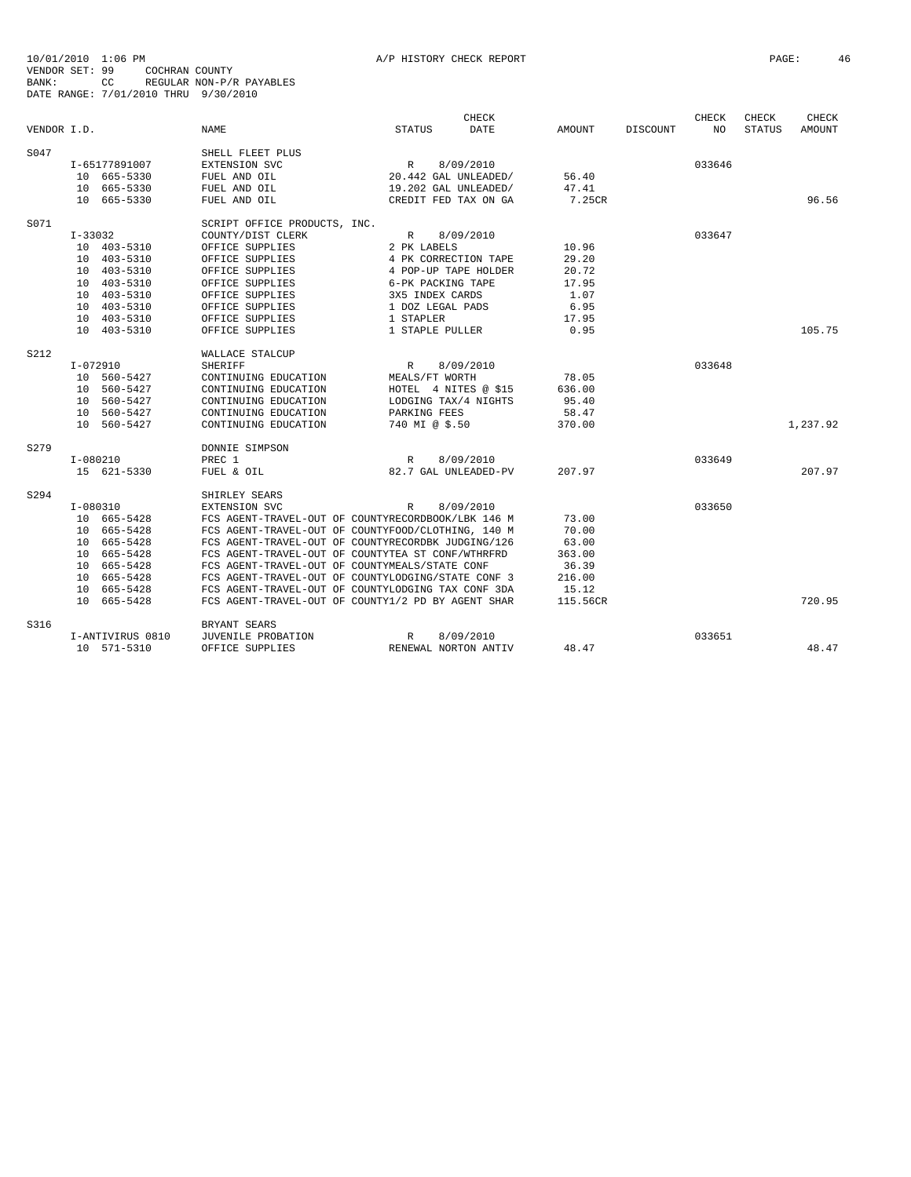|             |              |                  |                                                    |                      | CHECK       |          |          | CHECK  | CHECK         | CHECK         |
|-------------|--------------|------------------|----------------------------------------------------|----------------------|-------------|----------|----------|--------|---------------|---------------|
| VENDOR I.D. |              |                  | <b>NAME</b>                                        | <b>STATUS</b>        | <b>DATE</b> | AMOUNT   | DISCOUNT | NO.    | <b>STATUS</b> | <b>AMOUNT</b> |
| S047        |              |                  | SHELL FLEET PLUS                                   |                      |             |          |          |        |               |               |
|             |              | I-65177891007    | EXTENSION SVC                                      | R                    | 8/09/2010   |          |          | 033646 |               |               |
|             |              | 10 665-5330      | FUEL AND OIL                                       | 20.442 GAL UNLEADED/ |             | 56.40    |          |        |               |               |
|             |              | 10 665-5330      | FUEL AND OIL                                       | 19.202 GAL UNLEADED/ |             | 47.41    |          |        |               |               |
|             |              | 10 665-5330      | FUEL AND OIL                                       | CREDIT FED TAX ON GA |             | 7.25CR   |          |        |               | 96.56         |
| S071        |              |                  | SCRIPT OFFICE PRODUCTS, INC.                       |                      |             |          |          |        |               |               |
|             | $I - 33032$  |                  | COUNTY/DIST CLERK                                  | $\mathbb{R}$         | 8/09/2010   |          |          | 033647 |               |               |
|             |              | 10 403-5310      | OFFICE SUPPLIES                                    | 2 PK LABELS          |             | 10.96    |          |        |               |               |
|             |              | 10 403-5310      | OFFICE SUPPLIES                                    | 4 PK CORRECTION TAPE |             | 29.20    |          |        |               |               |
|             |              | 10 403-5310      | OFFICE SUPPLIES                                    | 4 POP-UP TAPE HOLDER |             | 20.72    |          |        |               |               |
|             |              | 10 403-5310      | OFFICE SUPPLIES                                    | 6-PK PACKING TAPE    |             | 17.95    |          |        |               |               |
|             |              | 10 403-5310      | OFFICE SUPPLIES                                    | 3X5 INDEX CARDS      |             | 1.07     |          |        |               |               |
|             |              | 10 403-5310      | OFFICE SUPPLIES                                    | 1 DOZ LEGAL PADS     |             | 6.95     |          |        |               |               |
|             |              | 10 403-5310      | OFFICE SUPPLIES                                    | 1 STAPLER            |             | 17.95    |          |        |               |               |
|             |              | 10 403-5310      | OFFICE SUPPLIES                                    | 1 STAPLE PULLER      |             | 0.95     |          |        |               | 105.75        |
| S212        |              |                  | WALLACE STALCUP                                    |                      |             |          |          |        |               |               |
|             | I-072910     |                  | <b>SHERIFF</b>                                     | $\mathbb R$          | 8/09/2010   |          |          | 033648 |               |               |
|             |              | 10 560-5427      | CONTINUING EDUCATION                               | MEALS/FT WORTH       |             | 78.05    |          |        |               |               |
|             |              | 10 560-5427      | CONTINUING EDUCATION                               | HOTEL 4 NITES @ \$15 |             | 636.00   |          |        |               |               |
|             |              | 10 560-5427      | CONTINUING EDUCATION                               | LODGING TAX/4 NIGHTS |             | 95.40    |          |        |               |               |
|             |              | 10 560-5427      | CONTINUING EDUCATION                               | PARKING FEES         |             | 58.47    |          |        |               |               |
|             |              | 10 560-5427      | CONTINUING EDUCATION                               | 740 MI @ \$.50       |             | 370.00   |          |        |               | 1,237.92      |
| S279        |              |                  | DONNIE SIMPSON                                     |                      |             |          |          |        |               |               |
|             | $I-080210$   |                  | PREC 1                                             | $\mathbb{R}$         | 8/09/2010   |          |          | 033649 |               |               |
|             |              | 15 621-5330      | FUEL & OIL                                         | 82.7 GAL UNLEADED-PV |             | 207.97   |          |        |               | 207.97        |
| S294        |              |                  | SHIRLEY SEARS                                      |                      |             |          |          |        |               |               |
|             | $I - 080310$ |                  | EXTENSION SVC                                      | $\mathbb{R}$         | 8/09/2010   |          |          | 033650 |               |               |
|             |              | 10 665-5428      | FCS AGENT-TRAVEL-OUT OF COUNTYRECORDBOOK/LBK 146 M |                      |             | 73.00    |          |        |               |               |
|             |              | 10 665-5428      | FCS AGENT-TRAVEL-OUT OF COUNTYFOOD/CLOTHING, 140 M |                      |             | 70.00    |          |        |               |               |
|             |              | 10 665-5428      | FCS AGENT-TRAVEL-OUT OF COUNTYRECORDBK JUDGING/126 |                      |             | 63.00    |          |        |               |               |
|             |              | 10 665-5428      | FCS AGENT-TRAVEL-OUT OF COUNTYTEA ST CONF/WTHRFRD  |                      |             | 363.00   |          |        |               |               |
|             |              | 10 665-5428      | FCS AGENT-TRAVEL-OUT OF COUNTYMEALS/STATE CONF     |                      |             | 36.39    |          |        |               |               |
|             |              | 10 665-5428      | FCS AGENT-TRAVEL-OUT OF COUNTYLODGING/STATE CONF 3 |                      |             | 216.00   |          |        |               |               |
|             |              | 10 665-5428      | FCS AGENT-TRAVEL-OUT OF COUNTYLODGING TAX CONF 3DA |                      |             | 15.12    |          |        |               |               |
|             |              | 10 665-5428      | FCS AGENT-TRAVEL-OUT OF COUNTY1/2 PD BY AGENT SHAR |                      |             | 115.56CR |          |        |               | 720.95        |
| S316        |              |                  | BRYANT SEARS                                       |                      |             |          |          |        |               |               |
|             |              | I-ANTIVIRUS 0810 | JUVENILE PROBATION                                 | R                    | 8/09/2010   |          |          | 033651 |               |               |
|             |              | 10 571-5310      | OFFICE SUPPLIES                                    | RENEWAL NORTON ANTIV |             | 48.47    |          |        |               | 48.47         |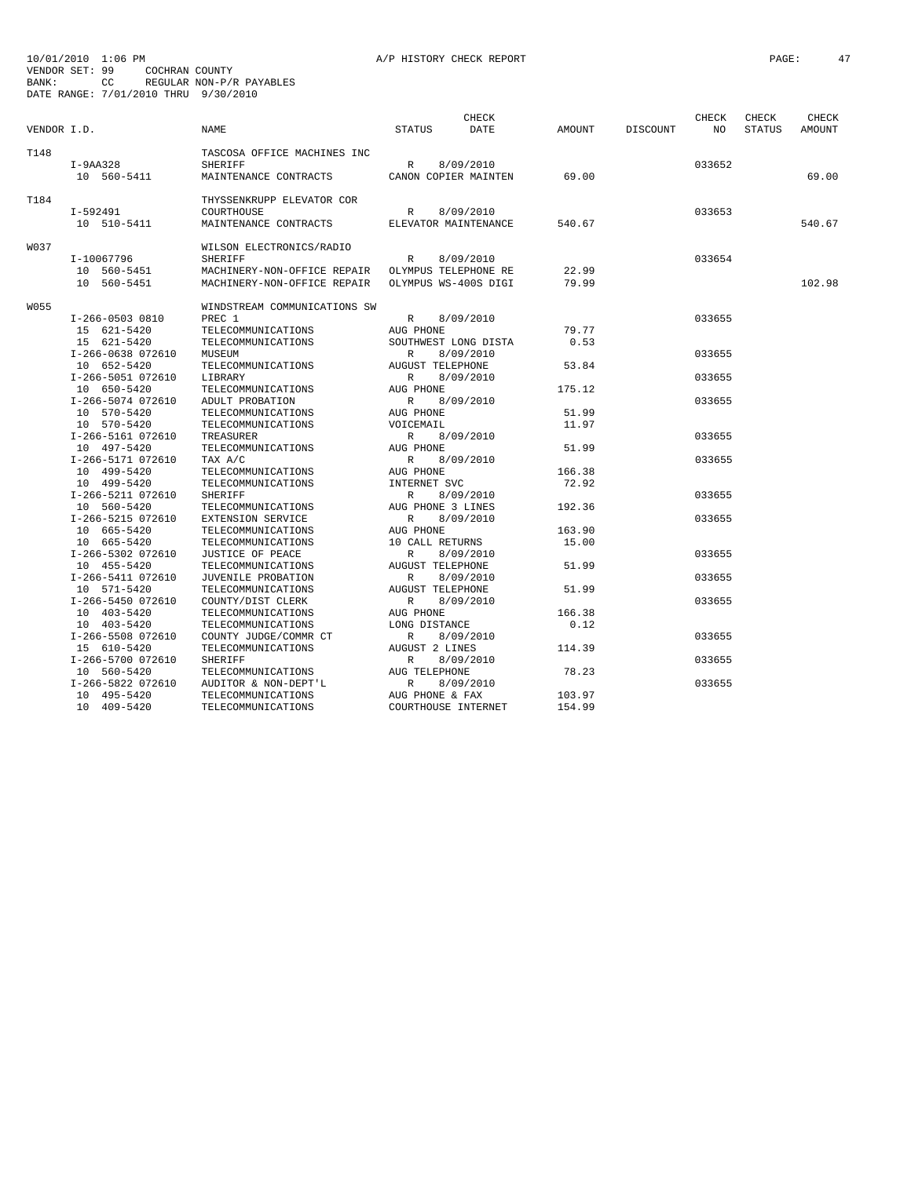| VENDOR I.D. |                   | <b>NAME</b>                  | <b>STATUS</b>           | CHECK<br>DATE        | AMOUNT | <b>DISCOUNT</b> | CHECK<br>NO | CHECK<br><b>STATUS</b> | CHECK<br>AMOUNT |
|-------------|-------------------|------------------------------|-------------------------|----------------------|--------|-----------------|-------------|------------------------|-----------------|
| T148        |                   | TASCOSA OFFICE MACHINES INC  |                         |                      |        |                 |             |                        |                 |
|             | $I-9AA328$        | <b>SHERIFF</b>               | R                       | 8/09/2010            |        |                 | 033652      |                        |                 |
|             | 10 560-5411       | MAINTENANCE CONTRACTS        |                         | CANON COPIER MAINTEN | 69.00  |                 |             |                        | 69.00           |
| T184        |                   | THYSSENKRUPP ELEVATOR COR    |                         |                      |        |                 |             |                        |                 |
|             | I-592491          | COURTHOUSE                   | R                       | 8/09/2010            |        |                 | 033653      |                        |                 |
|             | 10 510-5411       | MAINTENANCE CONTRACTS        |                         | ELEVATOR MAINTENANCE | 540.67 |                 |             |                        | 540.67          |
| W037        |                   | WILSON ELECTRONICS/RADIO     |                         |                      |        |                 |             |                        |                 |
|             | I-10067796        | <b>SHERIFF</b>               | $\mathbb{R}$            | 8/09/2010            |        |                 | 033654      |                        |                 |
|             | 10 560-5451       | MACHINERY-NON-OFFICE REPAIR  |                         | OLYMPUS TELEPHONE RE | 22.99  |                 |             |                        |                 |
|             | 10 560-5451       | MACHINERY-NON-OFFICE REPAIR  |                         | OLYMPUS WS-400S DIGI | 79.99  |                 |             |                        | 102.98          |
| W055        |                   | WINDSTREAM COMMUNICATIONS SW |                         |                      |        |                 |             |                        |                 |
|             | I-266-0503 0810   | PREC 1                       | R                       | 8/09/2010            |        |                 | 033655      |                        |                 |
|             | 15 621-5420       | TELECOMMUNICATIONS           | AUG PHONE               |                      | 79.77  |                 |             |                        |                 |
|             | 15 621-5420       | TELECOMMUNICATIONS           |                         | SOUTHWEST LONG DISTA | 0.53   |                 |             |                        |                 |
|             | I-266-0638 072610 | MUSEUM                       | $\mathbb{R}$            | 8/09/2010            |        |                 | 033655      |                        |                 |
|             | 10 652-5420       | TELECOMMUNICATIONS           | <b>AUGUST TELEPHONE</b> |                      | 53.84  |                 |             |                        |                 |
|             | I-266-5051 072610 | LIBRARY                      | R                       | 8/09/2010            |        |                 | 033655      |                        |                 |
|             | 10 650-5420       | TELECOMMUNICATIONS           | AUG PHONE               |                      | 175.12 |                 |             |                        |                 |
|             | I-266-5074 072610 | ADULT PROBATION              | R                       | 8/09/2010            |        |                 | 033655      |                        |                 |
|             | 10 570-5420       | TELECOMMUNICATIONS           | AUG PHONE               |                      | 51.99  |                 |             |                        |                 |
|             | 10 570-5420       | TELECOMMUNICATIONS           | VOICEMAIL               |                      | 11.97  |                 |             |                        |                 |
|             | I-266-5161 072610 | TREASURER                    | R                       | 8/09/2010            |        |                 | 033655      |                        |                 |
|             | 10 497-5420       | TELECOMMUNICATIONS           | AUG PHONE               |                      | 51.99  |                 |             |                        |                 |
|             | I-266-5171 072610 | TAX A/C                      | R                       | 8/09/2010            |        |                 | 033655      |                        |                 |
|             | 10 499-5420       | TELECOMMUNICATIONS           | AUG PHONE               |                      | 166.38 |                 |             |                        |                 |
|             | 10 499-5420       | TELECOMMUNICATIONS           | INTERNET SVC            |                      | 72.92  |                 |             |                        |                 |
|             | I-266-5211 072610 | <b>SHERIFF</b>               | R                       | 8/09/2010            |        |                 | 033655      |                        |                 |
|             | 10 560-5420       | TELECOMMUNICATIONS           | AUG PHONE 3 LINES       |                      | 192.36 |                 |             |                        |                 |
|             | I-266-5215 072610 | EXTENSION SERVICE            | R                       | 8/09/2010            |        |                 | 033655      |                        |                 |
|             | 10 665-5420       | TELECOMMUNICATIONS           | AUG PHONE               |                      | 163.90 |                 |             |                        |                 |
|             | 10 665-5420       | TELECOMMUNICATIONS           | 10 CALL RETURNS         |                      | 15.00  |                 |             |                        |                 |
|             | I-266-5302 072610 | JUSTICE OF PEACE             | $\mathbb{R}$            | 8/09/2010            |        |                 | 033655      |                        |                 |
|             | 10 455-5420       | TELECOMMUNICATIONS           | <b>AUGUST TELEPHONE</b> |                      | 51.99  |                 |             |                        |                 |
|             | I-266-5411 072610 | JUVENILE PROBATION           | $\mathbb{R}$            | 8/09/2010            |        |                 | 033655      |                        |                 |
|             | 10 571-5420       | TELECOMMUNICATIONS           | <b>AUGUST TELEPHONE</b> |                      | 51.99  |                 |             |                        |                 |
|             | I-266-5450 072610 | COUNTY/DIST CLERK            | $\mathbb{R}$            | 8/09/2010            |        |                 | 033655      |                        |                 |
|             | 10 403-5420       | TELECOMMUNICATIONS           | AUG PHONE               |                      | 166.38 |                 |             |                        |                 |
|             | 10 403-5420       | TELECOMMUNICATIONS           | LONG DISTANCE           |                      | 0.12   |                 |             |                        |                 |
|             | I-266-5508 072610 | COUNTY JUDGE/COMMR CT        | R                       | 8/09/2010            |        |                 | 033655      |                        |                 |
|             | 15 610-5420       | TELECOMMUNICATIONS           | <b>AUGUST 2 LINES</b>   |                      | 114.39 |                 |             |                        |                 |
|             | I-266-5700 072610 | <b>SHERIFF</b>               | R                       | 8/09/2010            |        |                 | 033655      |                        |                 |
|             | 10 560-5420       | TELECOMMUNICATIONS           | AUG TELEPHONE           |                      | 78.23  |                 |             |                        |                 |
|             | I-266-5822 072610 | AUDITOR & NON-DEPT'L         | R                       | 8/09/2010            |        |                 | 033655      |                        |                 |
|             | 10 495-5420       | TELECOMMUNICATIONS           | AUG PHONE & FAX         |                      | 103.97 |                 |             |                        |                 |
|             | 10 409-5420       | TELECOMMUNICATIONS           | COURTHOUSE INTERNET     |                      | 154.99 |                 |             |                        |                 |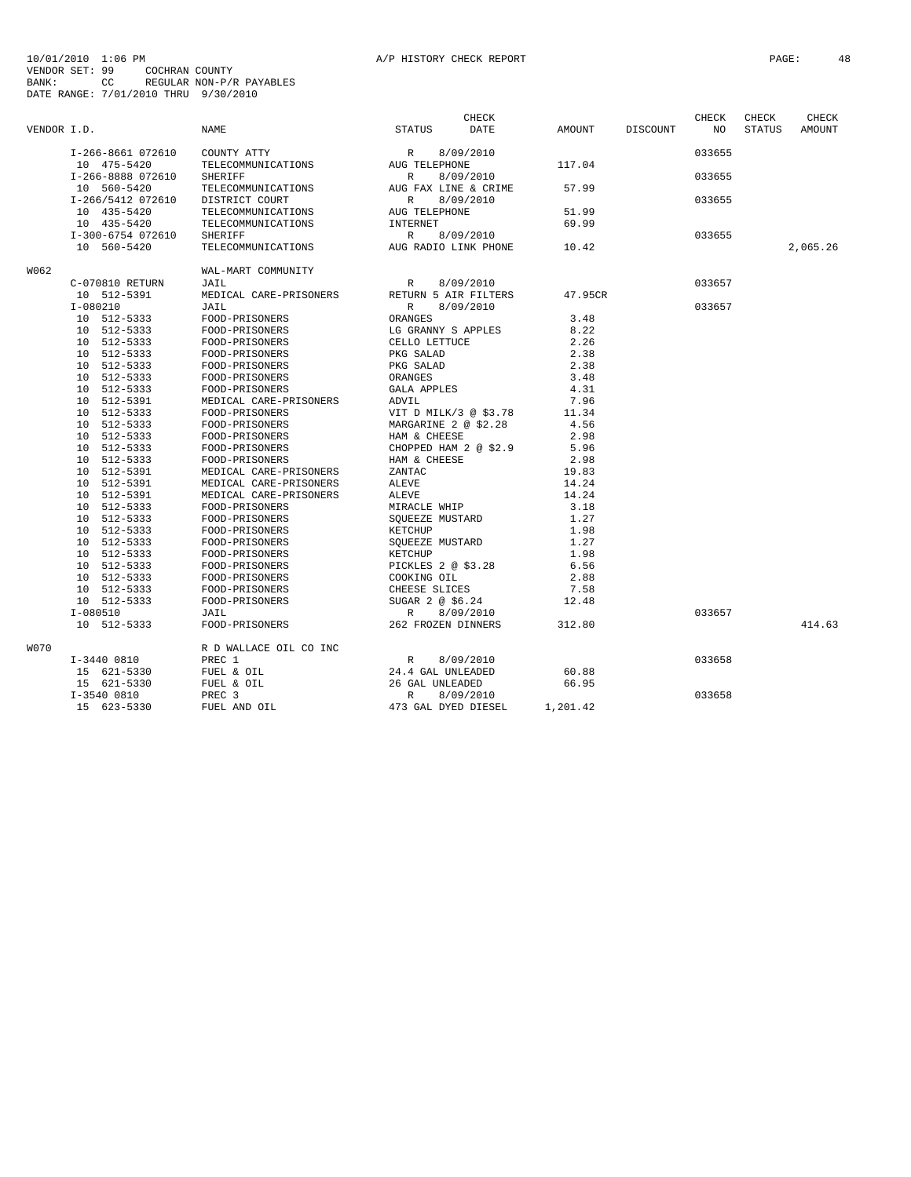|             |                   |                        |                           | CHECK     |          |          | CHECK  | CHECK         | CHECK         |
|-------------|-------------------|------------------------|---------------------------|-----------|----------|----------|--------|---------------|---------------|
| VENDOR I.D. |                   | NAME                   | <b>STATUS</b>             | DATE      | AMOUNT   | DISCOUNT | NO.    | <b>STATUS</b> | <b>AMOUNT</b> |
|             | I-266-8661 072610 | COUNTY ATTY            | 8/09/2010<br>R            |           |          |          | 033655 |               |               |
|             | 10 475-5420       | TELECOMMUNICATIONS     | AUG TELEPHONE             |           | 117.04   |          |        |               |               |
|             | I-266-8888 072610 | <b>SHERIFF</b>         | $\mathbb{R}$<br>8/09/2010 |           |          |          | 033655 |               |               |
|             | 10 560-5420       | TELECOMMUNICATIONS     | AUG FAX LINE & CRIME      |           | 57.99    |          |        |               |               |
|             | I-266/5412 072610 | DISTRICT COURT         | R<br>8/09/2010            |           |          |          | 033655 |               |               |
|             | 10 435-5420       | TELECOMMUNICATIONS     | AUG TELEPHONE             |           | 51.99    |          |        |               |               |
|             | 10 435-5420       | TELECOMMUNICATIONS     | INTERNET                  |           | 69.99    |          |        |               |               |
|             | I-300-6754 072610 | <b>SHERIFF</b>         | $\mathbb{R}$<br>8/09/2010 |           |          |          | 033655 |               |               |
|             | 10 560-5420       | TELECOMMUNICATIONS     | AUG RADIO LINK PHONE      |           | 10.42    |          |        |               | 2,065.26      |
| W062        |                   | WAL-MART COMMUNITY     |                           |           |          |          |        |               |               |
|             | C-070810 RETURN   | JAIL                   | R                         | 8/09/2010 |          |          | 033657 |               |               |
|             | 10 512-5391       | MEDICAL CARE-PRISONERS | RETURN 5 AIR FILTERS      |           | 47.95CR  |          |        |               |               |
|             | $I-080210$        | JAIL                   | $\mathbb{R}$<br>8/09/2010 |           |          |          | 033657 |               |               |
|             | 10 512-5333       | FOOD-PRISONERS         | ORANGES                   |           | 3.48     |          |        |               |               |
|             | 10 512-5333       | FOOD-PRISONERS         | LG GRANNY S APPLES        |           | 8.22     |          |        |               |               |
|             | 10 512-5333       | FOOD-PRISONERS         | CELLO LETTUCE             |           | 2.26     |          |        |               |               |
|             | 10 512-5333       | FOOD-PRISONERS         | PKG SALAD                 |           | 2.38     |          |        |               |               |
|             |                   |                        |                           |           |          |          |        |               |               |
|             | 10 512-5333       | FOOD-PRISONERS         | PKG SALAD                 |           | 2.38     |          |        |               |               |
|             | 10 512-5333       | FOOD-PRISONERS         | ORANGES                   |           | 3.48     |          |        |               |               |
|             | 10 512-5333       | FOOD-PRISONERS         | <b>GALA APPLES</b>        |           | 4.31     |          |        |               |               |
|             | 10 512-5391       | MEDICAL CARE-PRISONERS | ADVIL                     |           | 7.96     |          |        |               |               |
|             | 10 512-5333       | FOOD-PRISONERS         | VIT D MILK/3 @ \$3.78     |           | 11.34    |          |        |               |               |
|             | 10 512-5333       | FOOD-PRISONERS         | MARGARINE 2 @ \$2.28      |           | 4.56     |          |        |               |               |
|             | 10 512-5333       | FOOD-PRISONERS         | HAM & CHEESE              |           | 2.98     |          |        |               |               |
|             | 10 512-5333       | FOOD-PRISONERS         | CHOPPED HAM 2 @ \$2.9     |           | 5.96     |          |        |               |               |
|             | 10 512-5333       | FOOD-PRISONERS         | HAM & CHEESE              |           | 2.98     |          |        |               |               |
|             | 10 512-5391       | MEDICAL CARE-PRISONERS | ZANTAC                    |           | 19.83    |          |        |               |               |
|             | 10 512-5391       | MEDICAL CARE-PRISONERS | ALEVE                     |           | 14.24    |          |        |               |               |
|             | 10 512-5391       | MEDICAL CARE-PRISONERS | ALEVE                     |           | 14.24    |          |        |               |               |
|             | 10 512-5333       | FOOD-PRISONERS         | MIRACLE WHIP              |           | 3.18     |          |        |               |               |
|             | 10 512-5333       | FOOD-PRISONERS         | SQUEEZE MUSTARD           |           | 1.27     |          |        |               |               |
|             | 10 512-5333       | FOOD-PRISONERS         | <b>KETCHUP</b>            |           | 1.98     |          |        |               |               |
|             | 10 512-5333       | FOOD-PRISONERS         | SOUEEZE MUSTARD           |           | 1.27     |          |        |               |               |
|             | 10 512-5333       | FOOD-PRISONERS         | KETCHUP                   |           | 1.98     |          |        |               |               |
|             | 10 512-5333       | FOOD-PRISONERS         | PICKLES 2 @ \$3.28        |           | 6.56     |          |        |               |               |
|             | 10 512-5333       | FOOD-PRISONERS         | COOKING OIL               |           | 2.88     |          |        |               |               |
|             | 10 512-5333       | FOOD-PRISONERS         | CHEESE SLICES             |           | 7.58     |          |        |               |               |
|             | 10 512-5333       | FOOD-PRISONERS         | SUGAR 2 @ \$6.24          |           | 12.48    |          |        |               |               |
|             | $I-080510$        | JAIL                   | $\mathbb{R}$<br>8/09/2010 |           |          |          | 033657 |               |               |
|             | 10 512-5333       | FOOD-PRISONERS         | 262 FROZEN DINNERS        |           | 312.80   |          |        |               | 414.63        |
| W070        |                   | R D WALLACE OIL CO INC |                           |           |          |          |        |               |               |
|             | $I-3440$ 0810     | PREC 1                 | $\mathbb{R}$              | 8/09/2010 |          |          | 033658 |               |               |
|             | 15 621-5330       | FUEL & OIL             | 24.4 GAL UNLEADED         |           | 60.88    |          |        |               |               |
|             | 15 621-5330       | FUEL & OIL             | 26 GAL UNLEADED           |           | 66.95    |          |        |               |               |
|             | I-3540 0810       | PREC 3                 | R                         | 8/09/2010 |          |          | 033658 |               |               |
|             | 15 623-5330       | FUEL AND OIL           | 473 GAL DYED DIESEL       |           | 1,201.42 |          |        |               |               |
|             |                   |                        |                           |           |          |          |        |               |               |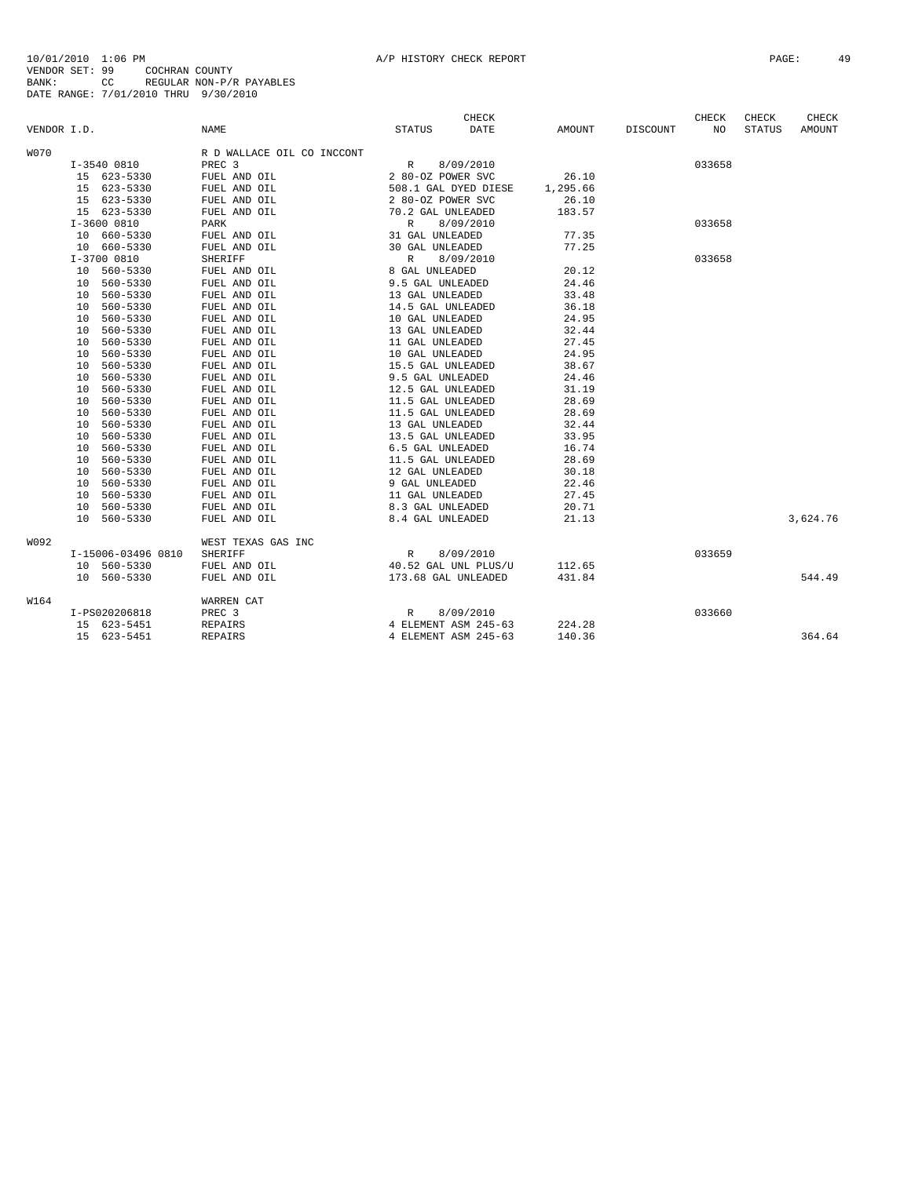|             |    |                    |                            |                      | CHECK     |          |          | CHECK  | CHECK         | CHECK         |
|-------------|----|--------------------|----------------------------|----------------------|-----------|----------|----------|--------|---------------|---------------|
| VENDOR I.D. |    |                    | NAME                       | <b>STATUS</b>        | DATE      | AMOUNT   | DISCOUNT | NO.    | <b>STATUS</b> | <b>AMOUNT</b> |
| <b>W070</b> |    |                    | R D WALLACE OIL CO INCCONT |                      |           |          |          |        |               |               |
|             |    | I-3540 0810        | PREC <sub>3</sub>          | R                    | 8/09/2010 |          |          | 033658 |               |               |
|             |    | 15 623-5330        | FUEL AND OIL               | 2 80-OZ POWER SVC    |           | 26.10    |          |        |               |               |
|             |    | 15 623-5330        | FUEL AND OIL               | 508.1 GAL DYED DIESE |           | 1,295.66 |          |        |               |               |
|             |    | 15 623-5330        | FUEL AND OIL               | 2 80-0Z POWER SVC    |           | 26.10    |          |        |               |               |
|             |    | 15 623-5330        | FUEL AND OIL               | 70.2 GAL UNLEADED    |           | 183.57   |          |        |               |               |
|             |    | $I-360000810$      | <b>PARK</b>                | $\mathbb{R}$         | 8/09/2010 |          |          | 033658 |               |               |
|             |    | 10 660-5330        | FUEL AND OIL               | 31 GAL UNLEADED      |           | 77.35    |          |        |               |               |
|             |    | 10 660-5330        | FUEL AND OIL               | 30 GAL UNLEADED      |           | 77.25    |          |        |               |               |
|             |    | $I-3700$ 0810      | <b>SHERIFF</b>             | $\mathbb{R}$         | 8/09/2010 |          |          | 033658 |               |               |
|             |    | 10 560-5330        | FUEL AND OIL               | 8 GAL UNLEADED       |           | 20.12    |          |        |               |               |
|             | 10 | 560-5330           | FUEL AND OIL               | 9.5 GAL UNLEADED     |           | 24.46    |          |        |               |               |
|             | 10 | 560-5330           | FUEL AND OIL               | 13 GAL UNLEADED      |           | 33.48    |          |        |               |               |
|             | 10 | 560-5330           | FUEL AND OIL               | 14.5 GAL UNLEADED    |           | 36.18    |          |        |               |               |
|             | 10 | 560-5330           | FUEL AND OIL               | 10 GAL UNLEADED      |           | 24.95    |          |        |               |               |
|             | 10 | 560-5330           | FUEL AND OIL               | 13 GAL UNLEADED      |           | 32.44    |          |        |               |               |
|             | 10 | 560-5330           | FUEL AND OIL               | 11 GAL UNLEADED      |           | 27.45    |          |        |               |               |
|             | 10 | 560-5330           | FUEL AND OIL               | 10 GAL UNLEADED      |           | 24.95    |          |        |               |               |
|             | 10 | 560-5330           | FUEL AND OIL               | 15.5 GAL UNLEADED    |           | 38.67    |          |        |               |               |
|             | 10 | 560-5330           | FUEL AND OIL               | 9.5 GAL UNLEADED     |           | 24.46    |          |        |               |               |
|             | 10 | 560-5330           | FUEL AND OIL               | 12.5 GAL UNLEADED    |           | 31.19    |          |        |               |               |
|             | 10 | 560-5330           | FUEL AND OIL               | 11.5 GAL UNLEADED    |           | 28.69    |          |        |               |               |
|             | 10 | 560-5330           | FUEL AND OIL               | 11.5 GAL UNLEADED    |           | 28.69    |          |        |               |               |
|             | 10 | 560-5330           | FUEL AND OIL               | 13 GAL UNLEADED      |           | 32.44    |          |        |               |               |
|             | 10 | 560-5330           | FUEL AND OIL               | 13.5 GAL UNLEADED    |           | 33.95    |          |        |               |               |
|             | 10 | 560-5330           | FUEL AND OIL               | 6.5 GAL UNLEADED     |           | 16.74    |          |        |               |               |
|             | 10 | 560-5330           | FUEL AND OIL               | 11.5 GAL UNLEADED    |           | 28.69    |          |        |               |               |
|             | 10 | 560-5330           | FUEL AND OIL               | 12 GAL UNLEADED      |           | 30.18    |          |        |               |               |
|             | 10 | 560-5330           | FUEL AND OIL               | 9 GAL UNLEADED       |           | 22.46    |          |        |               |               |
|             | 10 | 560-5330           | FUEL AND OIL               | 11 GAL UNLEADED      |           | 27.45    |          |        |               |               |
|             | 10 | 560-5330           | FUEL AND OIL               | 8.3 GAL UNLEADED     |           | 20.71    |          |        |               |               |
|             |    | 10 560-5330        | FUEL AND OIL               | 8.4 GAL UNLEADED     |           | 21.13    |          |        |               | 3,624.76      |
| W092        |    |                    | WEST TEXAS GAS INC         |                      |           |          |          |        |               |               |
|             |    | I-15006-03496 0810 | <b>SHERIFF</b>             | R                    | 8/09/2010 |          |          | 033659 |               |               |
|             |    | 10 560-5330        | FUEL AND OIL               | 40.52 GAL UNL PLUS/U |           | 112.65   |          |        |               |               |
|             |    | 10 560-5330        | FUEL AND OIL               | 173.68 GAL UNLEADED  |           | 431.84   |          |        |               | 544.49        |
| W164        |    |                    | WARREN CAT                 |                      |           |          |          |        |               |               |
|             |    | I-PS020206818      | PREC 3                     | $\mathbb{R}$         | 8/09/2010 |          |          | 033660 |               |               |
|             |    | 15 623-5451        | REPAIRS                    | 4 ELEMENT ASM 245-63 |           | 224.28   |          |        |               |               |
|             |    | 15 623-5451        | <b>REPAIRS</b>             | 4 ELEMENT ASM 245-63 |           | 140.36   |          |        |               | 364.64        |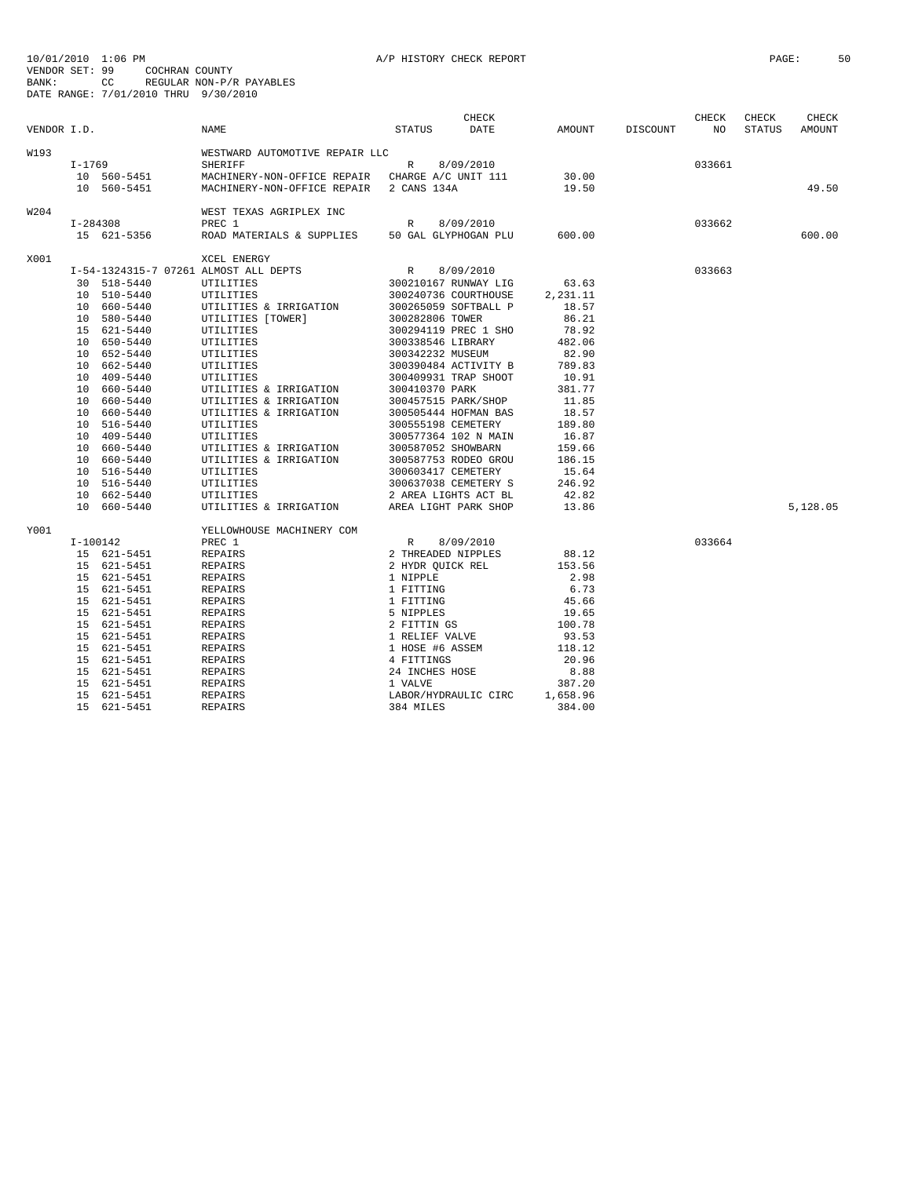| VENDOR I.D. |          |             | NAME                                             | <b>STATUS</b>                                                                                        | CHECK<br>DATE        | AMOUNT   | DISCOUNT | CHECK<br>NO | CHECK<br><b>STATUS</b> | CHECK<br>AMOUNT |
|-------------|----------|-------------|--------------------------------------------------|------------------------------------------------------------------------------------------------------|----------------------|----------|----------|-------------|------------------------|-----------------|
|             |          |             |                                                  |                                                                                                      |                      |          |          |             |                        |                 |
| W193        | I-1769   |             | WESTWARD AUTOMOTIVE REPAIR LLC<br><b>SHERIFF</b> | R                                                                                                    | 8/09/2010            |          |          | 033661      |                        |                 |
|             |          | 10 560-5451 | MACHINERY-NON-OFFICE REPAIR CHARGE A/C UNIT 111  |                                                                                                      |                      | 30.00    |          |             |                        |                 |
|             |          | 10 560-5451 | MACHINERY-NON-OFFICE REPAIR 2 CANS 134A          |                                                                                                      |                      | 19.50    |          |             |                        | 49.50           |
|             |          |             |                                                  |                                                                                                      |                      |          |          |             |                        |                 |
| W204        |          |             | WEST TEXAS AGRIPLEX INC                          |                                                                                                      |                      |          |          |             |                        |                 |
|             | I-284308 |             | PREC 1                                           | $\mathbb{R}$                                                                                         | 8/09/2010            |          |          | 033662      |                        |                 |
|             |          | 15 621-5356 | ROAD MATERIALS & SUPPLIES 50 GAL GLYPHOGAN PLU   |                                                                                                      |                      | 600.00   |          |             |                        | 600.00          |
| X001        |          |             | XCEL ENERGY                                      |                                                                                                      |                      |          |          |             |                        |                 |
|             |          |             | I-54-1324315-7 07261 ALMOST ALL DEPTS            | $\mathbb{R}$                                                                                         | 8/09/2010            |          |          | 033663      |                        |                 |
|             |          | 30 518-5440 | UTILITIES                                        |                                                                                                      | 300210167 RUNWAY LIG | 63.63    |          |             |                        |                 |
|             |          | 10 510-5440 | UTILITIES                                        |                                                                                                      | 300240736 COURTHOUSE | 2,231.11 |          |             |                        |                 |
|             |          | 10 660-5440 | UTILITIES & IRRIGATION                           |                                                                                                      | 300265059 SOFTBALL P | 18.57    |          |             |                        |                 |
|             |          | 10 580-5440 | UTILITIES [TOWER]                                | 300282806 TOWER                                                                                      |                      | 86.21    |          |             |                        |                 |
|             |          | 15 621-5440 | UTILITIES                                        |                                                                                                      | 300294119 PREC 1 SHO | 78.92    |          |             |                        |                 |
|             |          | 10 650-5440 | <b>UTILITIES</b>                                 | 300338546 LIBRARY                                                                                    |                      | 482.06   |          |             |                        |                 |
|             |          | 10 652-5440 | UTILITIES                                        | 300342232 MUSEUM                                                                                     |                      | 82.90    |          |             |                        |                 |
|             |          | 10 662-5440 | UTILITIES                                        |                                                                                                      | 300390484 ACTIVITY B | 789.83   |          |             |                        |                 |
|             |          | 10 409-5440 | UTILITIES                                        |                                                                                                      | 300409931 TRAP SHOOT | 10.91    |          |             |                        |                 |
|             |          | 10 660-5440 | UTILITIES & IRRIGATION                           | 300410370 PARK                                                                                       |                      | 381.77   |          |             |                        |                 |
|             |          | 10 660-5440 | UTILITIES & IRRIGATION                           |                                                                                                      | 300457515 PARK/SHOP  | 11.85    |          |             |                        |                 |
|             |          | 10 660-5440 | UTILITIES & IRRIGATION                           |                                                                                                      | 300505444 HOFMAN BAS | 18.57    |          |             |                        |                 |
|             |          | 10 516-5440 | UTILITIES                                        | 300555198 CEMETERY                                                                                   |                      | 189.80   |          |             |                        |                 |
|             |          | 10 409-5440 | UTILITIES                                        |                                                                                                      | 300577364 102 N MAIN | 16.87    |          |             |                        |                 |
|             |          | 10 660-5440 | UTILITIES & IRRIGATION                           | 300587052 SHOWBARN                                                                                   |                      | 159.66   |          |             |                        |                 |
|             |          | 10 660-5440 | UTILITIES & IRRIGATION                           |                                                                                                      | 300587753 RODEO GROU | 186.15   |          |             |                        |                 |
|             |          | 10 516-5440 | UTILITIES                                        |                                                                                                      | 300603417 CEMETERY   | 15.64    |          |             |                        |                 |
|             |          | 10 516-5440 | UTILITIES                                        |                                                                                                      | 300637038 CEMETERY S | 246.92   |          |             |                        |                 |
|             |          | 10 662-5440 | UTILITIES                                        |                                                                                                      | 2 AREA LIGHTS ACT BL | 42.82    |          |             |                        |                 |
|             |          | 10 660-5440 | UTILITIES & IRRIGATION                           |                                                                                                      | AREA LIGHT PARK SHOP | 13.86    |          |             |                        | 5,128.05        |
| Y001        |          |             | YELLOWHOUSE MACHINERY COM                        |                                                                                                      |                      |          |          |             |                        |                 |
|             | I-100142 |             | PREC 1                                           | R                                                                                                    | 8/09/2010            |          |          | 033664      |                        |                 |
|             |          | 15 621-5451 | <b>REPAIRS</b>                                   | 2 THREADED NIPPLES                                                                                   |                      | 88.12    |          |             |                        |                 |
|             |          | 15 621-5451 | REPAIRS                                          | 2 HYDR OUICK REL                                                                                     |                      | 153.56   |          |             |                        |                 |
|             |          | 15 621-5451 | <b>REPAIRS</b>                                   | 1 NIPPLE                                                                                             |                      | 2.98     |          |             |                        |                 |
|             |          | 15 621-5451 | REPAIRS                                          | 1 FITTING                                                                                            |                      | 6.73     |          |             |                        |                 |
|             |          | 15 621-5451 | REPAIRS                                          |                                                                                                      |                      | 45.66    |          |             |                        |                 |
|             |          | 15 621-5451 | REPAIRS                                          |                                                                                                      |                      | 19.65    |          |             |                        |                 |
|             |          | 15 621-5451 | REPAIRS                                          |                                                                                                      |                      | 100.78   |          |             |                        |                 |
|             |          | 15 621-5451 | REPAIRS                                          | 1 FITTING<br>1 FITTING<br>5 NIPPLES<br>2 FITTIN GS<br>1 RELIEF VALVE<br>1 HOSE #6 ASSEM<br>4 FITTING |                      | 93.53    |          |             |                        |                 |
|             |          | 15 621-5451 | REPAIRS                                          |                                                                                                      |                      | 118.12   |          |             |                        |                 |
|             |          | 15 621-5451 | REPAIRS                                          | 4 FITTINGS                                                                                           |                      | 20.96    |          |             |                        |                 |
|             |          | 15 621-5451 | REPAIRS                                          | 24 INCHES HOSE                                                                                       |                      | 8.88     |          |             |                        |                 |
|             |          | 15 621-5451 | <b>REPAIRS</b>                                   | 1 VALVE                                                                                              |                      | 387.20   |          |             |                        |                 |
|             |          | 15 621-5451 | <b>REPAIRS</b>                                   |                                                                                                      | LABOR/HYDRAULIC CIRC | 1,658.96 |          |             |                        |                 |
|             |          | 15 621-5451 | <b>REPAIRS</b>                                   | 384 MILES                                                                                            |                      | 384.00   |          |             |                        |                 |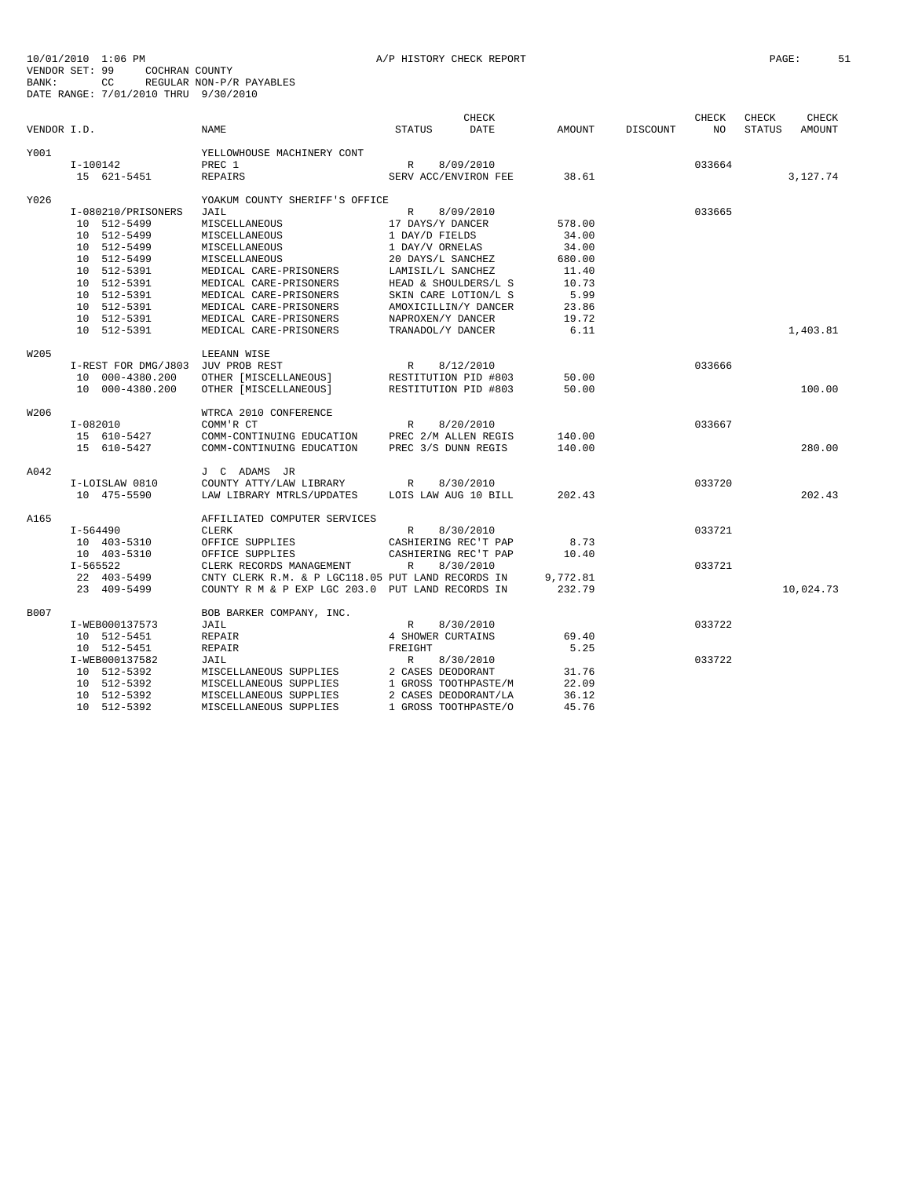|             |                                   |                                                   |                      | <b>CHECK</b> |          |          | CHECK  | CHECK         | CHECK     |
|-------------|-----------------------------------|---------------------------------------------------|----------------------|--------------|----------|----------|--------|---------------|-----------|
| VENDOR I.D. |                                   | <b>NAME</b>                                       | <b>STATUS</b>        | <b>DATE</b>  | AMOUNT   | DISCOUNT | NO     | <b>STATUS</b> | AMOUNT    |
| Y001        |                                   | YELLOWHOUSE MACHINERY CONT                        |                      |              |          |          |        |               |           |
|             | I-100142                          | PREC 1                                            | $\mathbb{R}$         | 8/09/2010    |          |          | 033664 |               |           |
|             | 15 621-5451                       | <b>REPAIRS</b>                                    | SERV ACC/ENVIRON FEE |              | 38.61    |          |        |               | 3,127.74  |
|             |                                   |                                                   |                      |              |          |          |        |               |           |
| Y026        |                                   | YOAKUM COUNTY SHERIFF'S OFFICE                    |                      |              |          |          |        |               |           |
|             | I-080210/PRISONERS                | JAIL                                              | R                    | 8/09/2010    |          |          | 033665 |               |           |
|             | 10 512-5499                       | MISCELLANEOUS                                     | 17 DAYS/Y DANCER     |              | 578.00   |          |        |               |           |
|             | 10 512-5499                       | MISCELLANEOUS                                     | 1 DAY/D FIELDS       |              | 34.00    |          |        |               |           |
|             | 10 512-5499                       | MISCELLANEOUS                                     | 1 DAY/V ORNELAS      |              | 34.00    |          |        |               |           |
|             | 10 512-5499                       | MISCELLANEOUS                                     | 20 DAYS/L SANCHEZ    |              | 680.00   |          |        |               |           |
|             | 10 512-5391                       | MEDICAL CARE-PRISONERS                            | LAMISIL/L SANCHEZ    |              | 11.40    |          |        |               |           |
|             | 10 512-5391                       | MEDICAL CARE-PRISONERS                            | HEAD & SHOULDERS/L S |              | 10.73    |          |        |               |           |
|             | 10 512-5391                       | MEDICAL CARE-PRISONERS                            | SKIN CARE LOTION/L S |              | 5.99     |          |        |               |           |
|             | 10 512-5391                       | MEDICAL CARE-PRISONERS                            | AMOXICILLIN/Y DANCER |              | 23.86    |          |        |               |           |
|             | 10 512-5391                       | MEDICAL CARE-PRISONERS                            | NAPROXEN/Y DANCER    |              | 19.72    |          |        |               |           |
|             | 10 512-5391                       | MEDICAL CARE-PRISONERS                            | TRANADOL/Y DANCER    |              | 6.11     |          |        |               | 1,403.81  |
| W205        |                                   | LEEANN WISE                                       |                      |              |          |          |        |               |           |
|             | I-REST FOR DMG/J803 JUV PROB REST |                                                   | R                    | 8/12/2010    |          |          | 033666 |               |           |
|             | 10 000-4380.200                   | OTHER [MISCELLANEOUS]                             | RESTITUTION PID #803 |              | 50.00    |          |        |               |           |
|             | 10 000-4380.200                   | OTHER [MISCELLANEOUS]                             | RESTITUTION PID #803 |              | 50.00    |          |        |               | 100.00    |
|             |                                   |                                                   |                      |              |          |          |        |               |           |
| W206        |                                   | WTRCA 2010 CONFERENCE                             |                      |              |          |          |        |               |           |
|             | I-082010                          | COMM'R CT                                         | $R_{\perp}$          | 8/20/2010    |          |          | 033667 |               |           |
|             | 15 610-5427                       | COMM-CONTINUING EDUCATION                         | PREC 2/M ALLEN REGIS |              | 140.00   |          |        |               |           |
|             | 15 610-5427                       | COMM-CONTINUING EDUCATION                         | PREC 3/S DUNN REGIS  |              | 140.00   |          |        |               | 280.00    |
| A042        |                                   | J C ADAMS JR                                      |                      |              |          |          |        |               |           |
|             | I-LOISLAW 0810                    | COUNTY ATTY/LAW LIBRARY                           | R                    | 8/30/2010    |          |          | 033720 |               |           |
|             | 10 475-5590                       | LAW LIBRARY MTRLS/UPDATES                         | LOIS LAW AUG 10 BILL |              | 202.43   |          |        |               | 202.43    |
|             |                                   |                                                   |                      |              |          |          |        |               |           |
| A165        |                                   | AFFILIATED COMPUTER SERVICES                      |                      |              |          |          |        |               |           |
|             | I-564490                          | CLERK                                             | R                    | 8/30/2010    |          |          | 033721 |               |           |
|             | 10 403-5310                       | OFFICE SUPPLIES                                   | CASHIERING REC'T PAP |              | 8.73     |          |        |               |           |
|             | 10 403-5310                       | OFFICE SUPPLIES                                   | CASHIERING REC'T PAP |              | 10.40    |          |        |               |           |
|             | I-565522                          | CLERK RECORDS MANAGEMENT                          | $\mathbb{R}$         | 8/30/2010    |          |          | 033721 |               |           |
|             | 22 403-5499                       | CNTY CLERK R.M. & P LGC118.05 PUT LAND RECORDS IN |                      |              | 9,772.81 |          |        |               |           |
|             | 23 409-5499                       | COUNTY R M & P EXP LGC 203.0 PUT LAND RECORDS IN  |                      |              | 232.79   |          |        |               | 10,024.73 |
| B007        |                                   | BOB BARKER COMPANY, INC.                          |                      |              |          |          |        |               |           |
|             | I-WEB000137573                    | JAIL                                              | R                    | 8/30/2010    |          |          | 033722 |               |           |
|             | 10 512-5451                       | REPAIR                                            | 4 SHOWER CURTAINS    |              | 69.40    |          |        |               |           |
|             | 10 512-5451                       | <b>REPAIR</b>                                     | FREIGHT              |              | 5.25     |          |        |               |           |
|             | I-WEB000137582                    | JAIL                                              | $\mathbb{R}$         | 8/30/2010    |          |          | 033722 |               |           |
|             | 10 512-5392                       | MISCELLANEOUS SUPPLIES                            | 2 CASES DEODORANT    |              | 31.76    |          |        |               |           |
|             | 10 512-5392                       | MISCELLANEOUS SUPPLIES                            | 1 GROSS TOOTHPASTE/M |              | 22.09    |          |        |               |           |
|             | 10 512-5392                       | MISCELLANEOUS SUPPLIES                            | 2 CASES DEODORANT/LA |              | 36.12    |          |        |               |           |
|             | 10 512-5392                       | MISCELLANEOUS SUPPLIES                            | 1 GROSS TOOTHPASTE/O |              | 45.76    |          |        |               |           |
|             |                                   |                                                   |                      |              |          |          |        |               |           |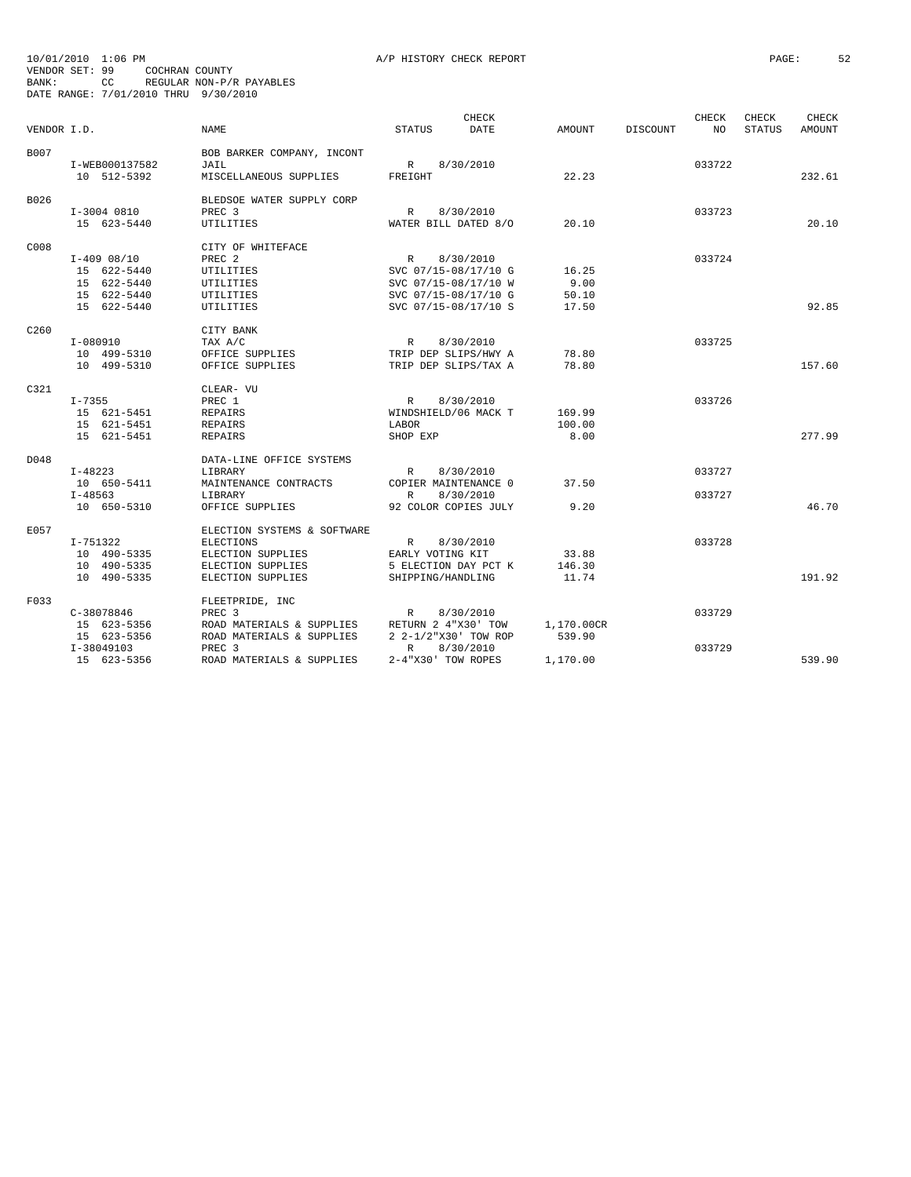|                  |                |                             | <b>CHECK</b>         |                      |               |                 | CHECK  | CHECK         | CHECK         |
|------------------|----------------|-----------------------------|----------------------|----------------------|---------------|-----------------|--------|---------------|---------------|
| VENDOR I.D.      |                | <b>NAME</b>                 | <b>STATUS</b>        | <b>DATE</b>          | <b>AMOUNT</b> | <b>DISCOUNT</b> | NO.    | <b>STATUS</b> | <b>AMOUNT</b> |
| B007             |                | BOB BARKER COMPANY, INCONT  |                      |                      |               |                 |        |               |               |
|                  | I-WEB000137582 | JAIL                        | $\mathbb{R}$         | 8/30/2010            |               |                 | 033722 |               |               |
|                  | 10 512-5392    | MISCELLANEOUS SUPPLIES      | FREIGHT              |                      | 22.23         |                 |        |               | 232.61        |
|                  |                |                             |                      |                      |               |                 |        |               |               |
| B026             |                | BLEDSOE WATER SUPPLY CORP   |                      |                      |               |                 |        |               |               |
|                  | I-3004 0810    | PREC <sub>3</sub>           | $\mathbb{R}$         | 8/30/2010            |               |                 | 033723 |               |               |
|                  | 15 623-5440    | <b>UTILITIES</b>            |                      | WATER BILL DATED 8/0 | 20.10         |                 |        |               | 20.10         |
| C008             |                | CITY OF WHITEFACE           |                      |                      |               |                 |        |               |               |
|                  | $I-409$ 08/10  | PREC <sub>2</sub>           | $\mathbb{R}$         | 8/30/2010            |               |                 | 033724 |               |               |
|                  | 15 622-5440    | UTILITIES                   | SVC 07/15-08/17/10 G |                      | 16.25         |                 |        |               |               |
|                  | 15 622-5440    | UTILITIES                   | SVC 07/15-08/17/10 W |                      | 9.00          |                 |        |               |               |
|                  | 15 622-5440    | UTILITIES                   | SVC 07/15-08/17/10 G |                      | 50.10         |                 |        |               |               |
|                  | 15 622-5440    | UTILITIES                   | SVC 07/15-08/17/10 S |                      | 17.50         |                 |        |               | 92.85         |
| C <sub>260</sub> |                | CITY BANK                   |                      |                      |               |                 |        |               |               |
|                  | I-080910       | TAX A/C                     | R                    | 8/30/2010            |               |                 | 033725 |               |               |
|                  | 10 499-5310    | OFFICE SUPPLIES             |                      | TRIP DEP SLIPS/HWY A | 78.80         |                 |        |               |               |
|                  | 10 499-5310    | OFFICE SUPPLIES             |                      | TRIP DEP SLIPS/TAX A | 78.80         |                 |        |               | 157.60        |
| C321             |                | CLEAR- VU                   |                      |                      |               |                 |        |               |               |
|                  | $I - 7355$     | PREC 1                      | $\mathbb{R}$         | 8/30/2010            |               |                 | 033726 |               |               |
|                  | 15 621-5451    | <b>REPAIRS</b>              | WINDSHIELD/06 MACK T |                      | 169.99        |                 |        |               |               |
|                  | 15 621-5451    | <b>REPAIRS</b>              | LABOR                |                      | 100.00        |                 |        |               |               |
|                  | 15 621-5451    | <b>REPAIRS</b>              | SHOP EXP             |                      | 8.00          |                 |        |               | 277.99        |
|                  |                |                             |                      |                      |               |                 |        |               |               |
| D048             |                | DATA-LINE OFFICE SYSTEMS    |                      |                      |               |                 |        |               |               |
|                  | $I-48223$      | LIBRARY                     | $\mathbb{R}$         | 8/30/2010            |               |                 | 033727 |               |               |
|                  | 10 650-5411    | MAINTENANCE CONTRACTS       | COPIER MAINTENANCE 0 |                      | 37.50         |                 |        |               |               |
|                  | $I - 48563$    | LIBRARY                     | $\mathbb{R}$         | 8/30/2010            |               |                 | 033727 |               |               |
|                  | 10 650-5310    | OFFICE SUPPLIES             |                      | 92 COLOR COPIES JULY | 9.20          |                 |        |               | 46.70         |
| E057             |                | ELECTION SYSTEMS & SOFTWARE |                      |                      |               |                 |        |               |               |
|                  | I-751322       | <b>ELECTIONS</b>            | $\mathbb{R}$         | 8/30/2010            |               |                 | 033728 |               |               |
|                  | 10 490-5335    | ELECTION SUPPLIES           | EARLY VOTING KIT     |                      | 33.88         |                 |        |               |               |
|                  | 10 490-5335    | ELECTION SUPPLIES           |                      | 5 ELECTION DAY PCT K | 146.30        |                 |        |               |               |
|                  | 10 490-5335    | ELECTION SUPPLIES           | SHIPPING/HANDLING    |                      | 11.74         |                 |        |               | 191.92        |
| F033             |                | FLEETPRIDE, INC             |                      |                      |               |                 |        |               |               |
|                  | $C-38078846$   | PREC <sub>3</sub>           | $\mathbb{R}$         | 8/30/2010            |               |                 | 033729 |               |               |
|                  | 15 623-5356    | ROAD MATERIALS & SUPPLIES   | RETURN 2 4"X30' TOW  |                      | 1,170.00CR    |                 |        |               |               |
|                  | 15 623-5356    | ROAD MATERIALS & SUPPLIES   |                      | 2 2-1/2"X30' TOW ROP | 539.90        |                 |        |               |               |
|                  | I-38049103     | PREC <sub>3</sub>           | R                    | 8/30/2010            |               |                 | 033729 |               |               |
|                  | 15 623-5356    | ROAD MATERIALS & SUPPLIES   | 2-4"X30' TOW ROPES   |                      | 1,170.00      |                 |        |               | 539.90        |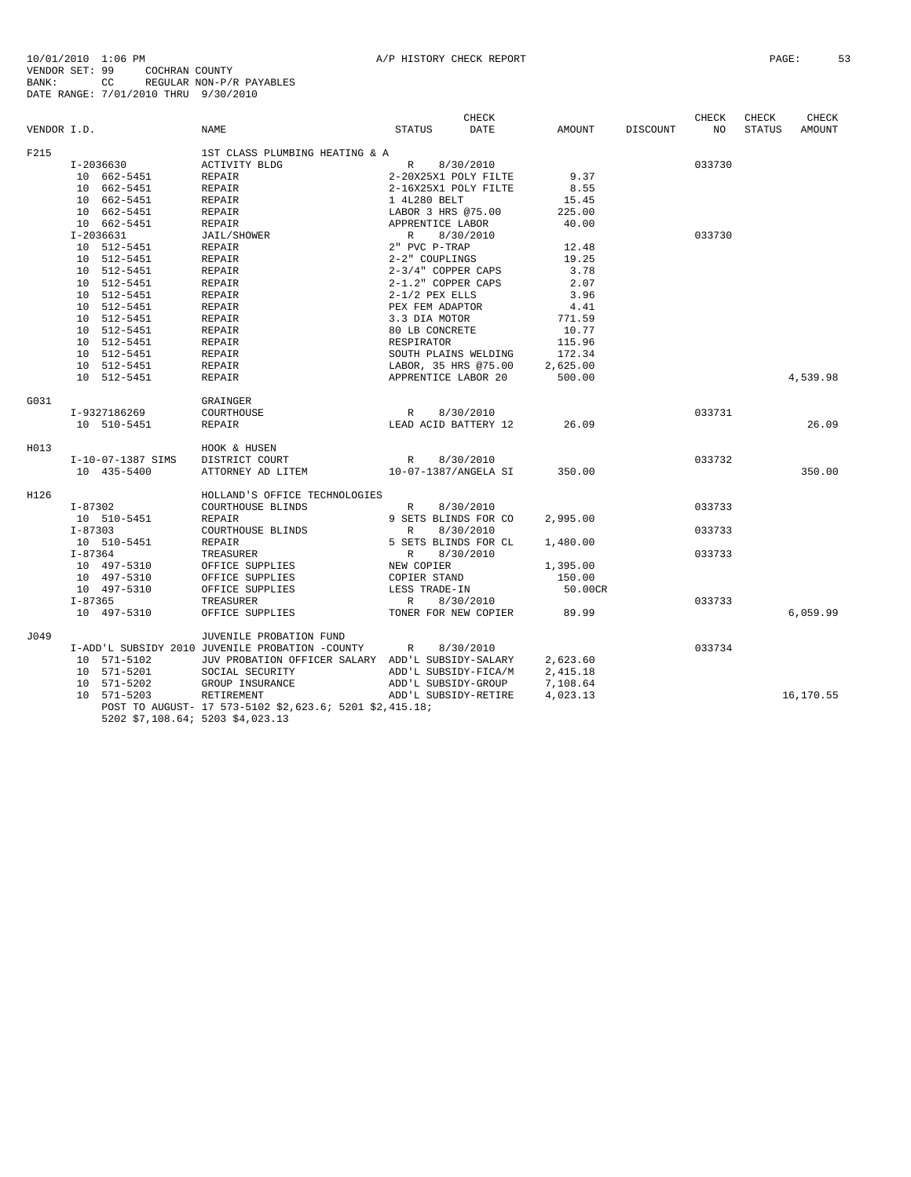10/01/2010 1:06 PM<br>VENDOR SET: 99 COCHRAN COUNTY<br>BANK: 99 COCHRAN COUNTY<br>BATE RANGE: 7/01/2010 THRU 9/30/2010 CHECK CHECK CHECK CHECK VENDOR I.D. NAME STATUS DATE AMOUNT DISCOUNT NO STATUS AMOUNT F215 1ST CLASS PLUMBING HEATING & A

| F215 |                                | 1ST CLASS PLUMBING HEATING & A                          |                                            |          |        |           |
|------|--------------------------------|---------------------------------------------------------|--------------------------------------------|----------|--------|-----------|
|      | I-2036630                      | ACTIVITY BLDG                                           | R 8/30/2010                                |          | 033730 |           |
|      | 10 662-5451                    | REPAIR                                                  | $2-20X25X1$ POLY FILTE 9.37                |          |        |           |
|      | 10 662-5451                    | REPAIR                                                  | 2-16X25X1 POLY FILTE                       | 8.55     |        |           |
|      | 10 662-5451                    | REPAIR                                                  | 1 4L280 BELT                               | 15.45    |        |           |
|      | 10 662-5451                    | REPAIR                                                  | LABOR 3 HRS @75.00                         | 225.00   |        |           |
|      | 10 662-5451                    | REPAIR                                                  | APPRENTICE LABOR                           | 40.00    |        |           |
|      | $I - 2036631$                  | JAIL/SHOWER                                             | $R$ $8/30/2$<br>2" PVC P-TRAP<br>8/30/2010 |          | 033730 |           |
|      | 10 512-5451                    | REPAIR                                                  |                                            | 12.48    |        |           |
|      | 10 512-5451                    | REPAIR                                                  | 2-2" COUPLINGS                             | 19.25    |        |           |
|      | 10 512-5451                    | REPAIR                                                  | 2-3/4" COPPER CAPS                         | 3.78     |        |           |
|      | 10 512-5451                    | REPAIR                                                  | 2-1.2" COPPER CAPS                         | 2.07     |        |           |
|      | 10 512-5451                    | REPAIR                                                  | $2-1/2$ PEX ELLS                           | 3.96     |        |           |
|      | 10 512-5451                    | REPAIR                                                  | PEX FEM ADAPTOR                            | 4.41     |        |           |
|      | 10 512-5451                    | REPAIR                                                  | 3.3 DIA MOTOR                              | 771.59   |        |           |
|      | 10 512-5451                    | REPAIR                                                  | 80 LB CONCRETE                             | 10.77    |        |           |
|      | 10 512-5451                    | REPAIR                                                  | RESPIRATOR                                 | 115.96   |        |           |
|      | 10 512-5451                    | REPAIR                                                  | SOUTH PLAINS WELDING                       | 172.34   |        |           |
|      | 10 512-5451                    | REPAIR                                                  | LABOR, 35 HRS @75.00                       | 2,625.00 |        |           |
|      | 10 512-5451                    | REPAIR                                                  | APPRENTICE LABOR 20                        | 500.00   |        | 4,539.98  |
|      |                                |                                                         |                                            |          |        |           |
| G031 |                                | GRAINGER                                                |                                            |          |        |           |
|      | I-9327186269                   | COURTHOUSE                                              | R 8/30/2010                                |          | 033731 |           |
|      | 10 510-5451                    | REPAIR                                                  | LEAD ACID BATTERY 12                       | 26.09    |        | 26.09     |
|      |                                |                                                         |                                            |          |        |           |
| H013 |                                | HOOK & HUSEN                                            |                                            |          |        |           |
|      | I-10-07-1387 SIMS              | DISTRICT COURT                                          | R 8/30/2010                                |          | 033732 |           |
|      | 10 435-5400                    | ATTORNEY AD LITEM                                       | 10-07-1387/ANGELA SI                       | 350.00   |        | 350.00    |
|      |                                |                                                         |                                            |          |        |           |
| H126 |                                | HOLLAND'S OFFICE TECHNOLOGIES                           |                                            |          |        |           |
|      | $I - 87302$                    | COURTHOUSE BLINDS                                       | R<br>8/30/2010                             |          | 033733 |           |
|      | 10 510-5451                    | REPAIR                                                  | 9 SETS BLINDS FOR CO                       | 2,995.00 |        |           |
|      | $I - 87303$                    | COURTHOUSE BLINDS                                       | 8/30/2010<br>R                             |          | 033733 |           |
|      | 10 510-5451                    | REPAIR                                                  | 5 SETS BLINDS FOR CL                       | 1,480.00 |        |           |
|      | $I - 87364$                    | TREASURER                                               | R<br>8/30/2010                             |          | 033733 |           |
|      | $10$ 497-5310<br>$10$ 497-5310 | OFFICE SUPPLIES                                         | NEW COPIER                                 | 1,395.00 |        |           |
|      | 10 497-5310                    | OFFICE SUPPLIES                                         | COPIER STAND                               | 150.00   |        |           |
|      | 10 497-5310                    | OFFICE SUPPLIES                                         | LESS TRADE-IN                              | 50.00CR  |        |           |
|      | $I - 87365$                    | TREASURER                                               | R<br>8/30/2010                             |          | 033733 |           |
|      | 10 497-5310                    | OFFICE SUPPLIES                                         | TONER FOR NEW COPIER                       | 89.99    |        | 6,059.99  |
|      |                                |                                                         |                                            |          |        |           |
| J049 |                                | JUVENILE PROBATION FUND                                 |                                            |          |        |           |
|      |                                | I-ADD'L SUBSIDY 2010 JUVENILE PROBATION -COUNTY         | 8/30/2010<br>R                             |          | 033734 |           |
|      | 10 571-5102                    | JUV PROBATION OFFICER SALARY ADD'L SUBSIDY-SALARY       |                                            | 2,623.60 |        |           |
|      | 10 571-5201                    | SOCIAL SECURITY                                         | ADD'L SUBSIDY-FICA/M                       | 2,415.18 |        |           |
|      | 10 571-5202                    | GROUP INSURANCE                                         | ADD'L SUBSIDY-GROUP                        | 7,108.64 |        |           |
|      | 10 571-5203                    | RETIREMENT                                              | ADD'L SUBSIDY-RETIRE                       | 4,023.13 |        | 16,170.55 |
|      |                                | POST TO AUGUST- 17 573-5102 \$2,623.6; 5201 \$2,415.18; |                                            |          |        |           |
|      |                                | 5202 \$7,108.64; 5203 \$4,023.13                        |                                            |          |        |           |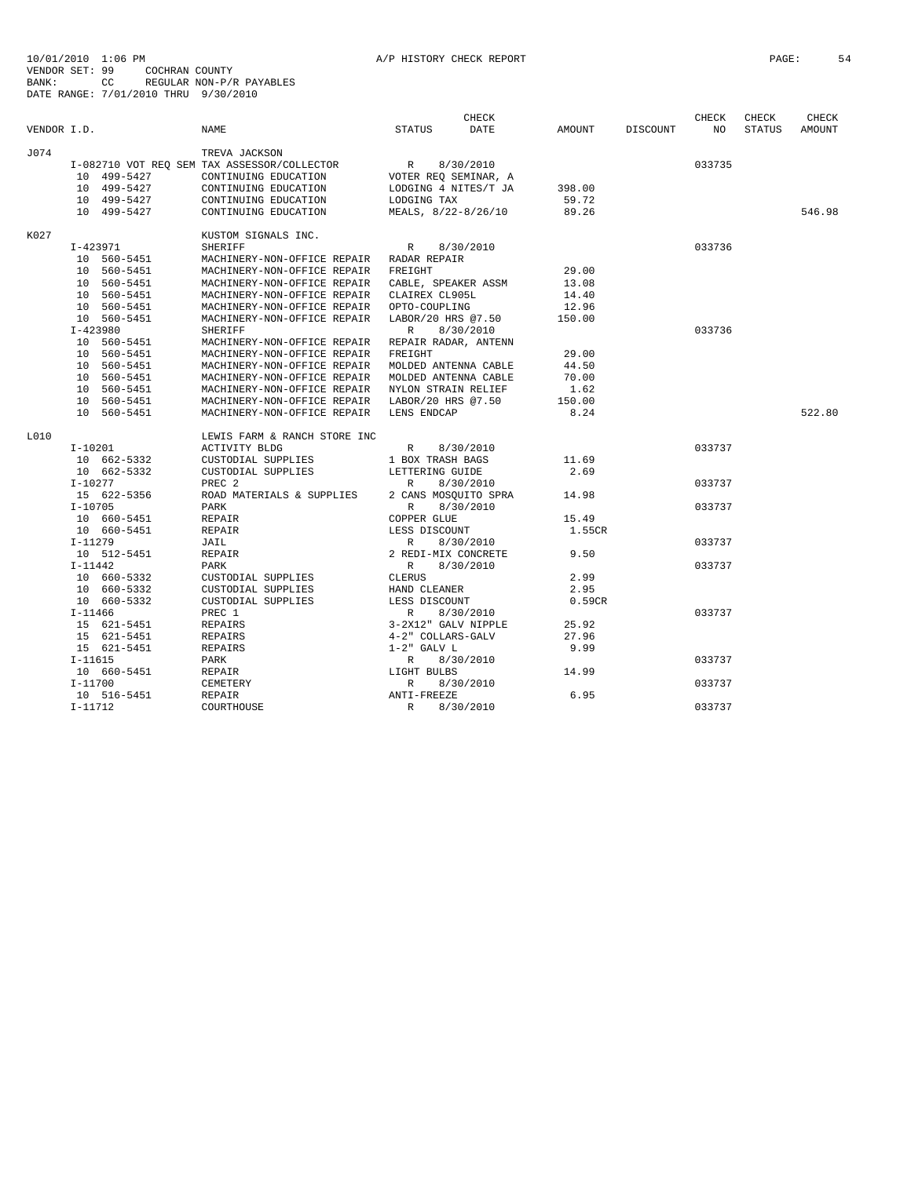| VENDOR I.D. |                                                                                                                                                                                                              | NAME                                                                                                                                                                                                                                                                                                                                                                                                                                                                                                                                           | <b>STATUS</b>                                                                                                            | <b>CHECK</b><br>DATE   | AMOUNT                                                                                  | DISCOUNT | <b>CHECK</b><br>NO | CHECK<br>STATUS | CHECK<br>AMOUNT |
|-------------|--------------------------------------------------------------------------------------------------------------------------------------------------------------------------------------------------------------|------------------------------------------------------------------------------------------------------------------------------------------------------------------------------------------------------------------------------------------------------------------------------------------------------------------------------------------------------------------------------------------------------------------------------------------------------------------------------------------------------------------------------------------------|--------------------------------------------------------------------------------------------------------------------------|------------------------|-----------------------------------------------------------------------------------------|----------|--------------------|-----------------|-----------------|
| J074        | 10 499-5427<br>10 499-5427<br>10 499-5427<br>10 499-5427                                                                                                                                                     | TREVA JACKSON<br>I-082710 VOT REO SEM TAX ASSESSOR/COLLECTOR<br>CONTINUING EDUCATION<br>CONTINUING EDUCATION<br>CONTINUING EDUCATION<br>CONTINUING EDUCATION                                                                                                                                                                                                                                                                                                                                                                                   | R<br>VOTER REQ SEMINAR, A<br>LODGING 4 NITES/T JA<br>LODGING TAX<br>MEALS, 8/22-8/26/10                                  | 8/30/2010              | 398.00<br>59.72<br>89.26                                                                |          | 033735             |                 | 546.98          |
| K027        |                                                                                                                                                                                                              | KUSTOM SIGNALS INC.                                                                                                                                                                                                                                                                                                                                                                                                                                                                                                                            |                                                                                                                          |                        |                                                                                         |          |                    |                 |                 |
|             | $I-423971$<br>10 560-5451<br>10 560-5451<br>10 560-5451<br>10 560-5451<br>10 560-5451<br>10 560-5451<br>$I-423980$<br>10 560-5451<br>10 560-5451<br>10 560-5451<br>10 560-5451<br>10 560-5451<br>10 560-5451 | <b>SHERIFF</b><br>MACHINERY-NON-OFFICE REPAIR RADAR REPAIR<br>MACHINERY-NON-OFFICE REPAIR<br>MACHINERY-NON-OFFICE REPAIR CABLE, SPEAKER ASSM<br>MACHINERY-NON-OFFICE REPAIR CLAIREX CL905L<br>MACHINERY-NON-OFFICE REPAIR OPTO-COUPLING<br>MACHINERY-NON-OFFICE REPAIR<br><b>SHERIFF</b><br>MACHINERY-NON-OFFICE REPAIR REPAIR RADAR, ANTENN<br>MACHINERY-NON-OFFICE REPAIR<br>MACHINERY-NON-OFFICE REPAIR<br>MACHINERY-NON-OFFICE REPAIR<br>MACHINERY-NON-OFFICE REPAIR NYLON STRAIN RELIEF<br>MACHINERY-NON-OFFICE REPAIR LABOR/20 HRS @7.50 | $\mathbb{R}$<br>FREIGHT<br>LABOR/20 HRS @7.50<br>$\mathbb{R}$<br>FREIGHT<br>MOLDED ANTENNA CABLE<br>MOLDED ANTENNA CABLE | 8/30/2010<br>8/30/2010 | 29.00<br>13.08<br>14.40<br>12.96<br>150.00<br>29.00<br>44.50<br>70.00<br>1.62<br>150.00 |          | 033736<br>033736   |                 |                 |
|             | 10 560-5451                                                                                                                                                                                                  | MACHINERY-NON-OFFICE REPAIR                                                                                                                                                                                                                                                                                                                                                                                                                                                                                                                    | LENS ENDCAP                                                                                                              |                        | 8.24                                                                                    |          |                    |                 | 522.80          |
| L010        | $I-10201$<br>10 662-5332<br>10 662-5332                                                                                                                                                                      | LEWIS FARM & RANCH STORE INC<br>ACTIVITY BLDG<br>CUSTODIAL SUPPLIES<br>CUSTODIAL SUPPLIES                                                                                                                                                                                                                                                                                                                                                                                                                                                      | R<br>1 BOX TRASH BAGS<br>LETTERING GUIDE                                                                                 | 8/30/2010              | 11.69<br>2.69                                                                           |          | 033737             |                 |                 |
|             | $I-10277$<br>15 622-5356                                                                                                                                                                                     | PREC <sub>2</sub><br>ROAD MATERIALS & SUPPLIES                                                                                                                                                                                                                                                                                                                                                                                                                                                                                                 | R<br>2 CANS MOSQUITO SPRA                                                                                                | 8/30/2010              | 14.98                                                                                   |          | 033737             |                 |                 |
|             | $I - 10705$<br>10 660-5451<br>10 660-5451                                                                                                                                                                    | PARK<br>REPAIR<br>REPAIR                                                                                                                                                                                                                                                                                                                                                                                                                                                                                                                       | $\mathbb{R}$<br>COPPER GLUE<br>LESS DISCOUNT                                                                             | 8/30/2010              | 15.49<br>1.55CR                                                                         |          | 033737             |                 |                 |
|             | $I-11279$<br>10 512-5451                                                                                                                                                                                     | JAIL<br>REPAIR                                                                                                                                                                                                                                                                                                                                                                                                                                                                                                                                 | R<br>2 REDI-MIX CONCRETE                                                                                                 | 8/30/2010              | 9.50                                                                                    |          | 033737             |                 |                 |
|             | $I-11442$<br>10 660-5332<br>10 660-5332<br>10 660-5332                                                                                                                                                       | PARK<br>CUSTODIAL SUPPLIES<br>CUSTODIAL SUPPLIES<br>CUSTODIAL SUPPLIES                                                                                                                                                                                                                                                                                                                                                                                                                                                                         | R<br><b>CLERUS</b><br>HAND CLEANER<br>LESS DISCOUNT                                                                      | 8/30/2010              | 2.99<br>2.95<br>0.59CR                                                                  |          | 033737             |                 |                 |
|             | $I - 11466$<br>15 621-5451<br>15 621-5451<br>15 621-5451                                                                                                                                                     | PREC 1<br><b>REPAIRS</b><br>REPAIRS<br>REPAIRS                                                                                                                                                                                                                                                                                                                                                                                                                                                                                                 | R<br>3-2X12" GALV NIPPLE<br>4-2" COLLARS-GALV<br>$1-2$ " GALV L                                                          | 8/30/2010              | 25.92<br>27.96<br>9.99                                                                  |          | 033737             |                 |                 |
|             | $I-11615$                                                                                                                                                                                                    | PARK                                                                                                                                                                                                                                                                                                                                                                                                                                                                                                                                           | R                                                                                                                        | 8/30/2010              |                                                                                         |          | 033737             |                 |                 |
|             | 10 660-5451<br>I-11700<br>10 516-5451                                                                                                                                                                        | REPAIR<br>CEMETERY<br><b>REPAIR</b>                                                                                                                                                                                                                                                                                                                                                                                                                                                                                                            | LIGHT BULBS<br>R<br>ANTI-FREEZE                                                                                          | 8/30/2010              | 14.99<br>6.95                                                                           |          | 033737             |                 |                 |
|             | $I-11712$                                                                                                                                                                                                    | COURTHOUSE                                                                                                                                                                                                                                                                                                                                                                                                                                                                                                                                     | $\mathbb{R}$                                                                                                             | 8/30/2010              |                                                                                         |          | 033737             |                 |                 |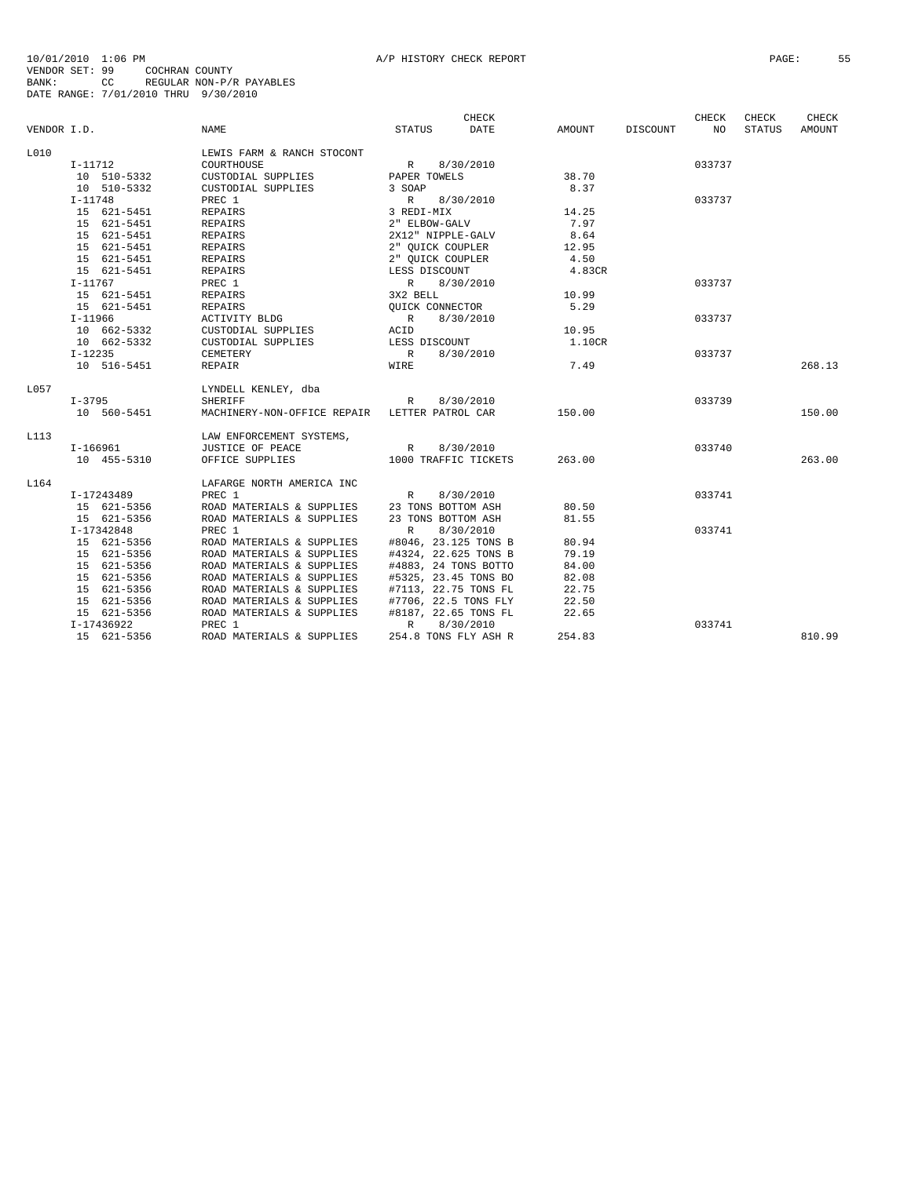|             |             |                                               |                    | CHECK                |        |          | CHECK  | CHECK         | CHECK  |
|-------------|-------------|-----------------------------------------------|--------------------|----------------------|--------|----------|--------|---------------|--------|
| VENDOR I.D. |             | NAME                                          | STATUS             | DATE                 | AMOUNT | DISCOUNT | NO.    | <b>STATUS</b> | AMOUNT |
| L010        |             | LEWIS FARM & RANCH STOCONT                    |                    |                      |        |          |        |               |        |
|             | $I-11712$   | COURTHOUSE                                    | R                  | 8/30/2010            |        |          | 033737 |               |        |
|             | 10 510-5332 | CUSTODIAL SUPPLIES                            | PAPER TOWELS       |                      | 38.70  |          |        |               |        |
|             | 10 510-5332 | CUSTODIAL SUPPLIES                            | 3 SOAP             |                      | 8.37   |          |        |               |        |
|             | $I-11748$   | PREC 1                                        | R                  | 8/30/2010            |        |          | 033737 |               |        |
|             | 15 621-5451 | REPAIRS                                       | 3 REDI-MIX         |                      | 14.25  |          |        |               |        |
|             | 15 621-5451 | REPAIRS                                       | 2" ELBOW-GALV      |                      | 7.97   |          |        |               |        |
|             | 15 621-5451 | REPAIRS                                       | 2X12" NIPPLE-GALV  |                      | 8.64   |          |        |               |        |
|             | 15 621-5451 | REPAIRS                                       | 2" OUICK COUPLER   |                      | 12.95  |          |        |               |        |
|             | 15 621-5451 | REPAIRS                                       | 2" OUICK COUPLER   |                      | 4.50   |          |        |               |        |
|             | 15 621-5451 | REPAIRS                                       | LESS DISCOUNT      |                      | 4.83CR |          |        |               |        |
|             | I-11767     | PREC 1                                        | R                  | 8/30/2010            |        |          | 033737 |               |        |
|             | 15 621-5451 | REPAIRS                                       | 3X2 BELL           |                      | 10.99  |          |        |               |        |
|             | 15 621-5451 | <b>REPAIRS</b>                                | OUICK CONNECTOR    |                      | 5.29   |          |        |               |        |
|             | $I-11966$   | ACTIVITY BLDG                                 | R                  | 8/30/2010            |        |          | 033737 |               |        |
|             | 10 662-5332 | CUSTODIAL SUPPLIES                            | ACID               |                      | 10.95  |          |        |               |        |
|             | 10 662-5332 | CUSTODIAL SUPPLIES                            | LESS DISCOUNT      |                      | 1.10CR |          |        |               |        |
|             | $I-12235$   | CEMETERY                                      | R                  | 8/30/2010            |        |          | 033737 |               |        |
|             | 10 516-5451 | REPAIR                                        | WIRE               |                      | 7.49   |          |        |               | 268.13 |
| L057        |             | LYNDELL KENLEY, dba                           |                    |                      |        |          |        |               |        |
|             | I-3795      | <b>SHERIFF</b>                                | R                  | 8/30/2010            |        |          | 033739 |               |        |
|             | 10 560-5451 | MACHINERY-NON-OFFICE REPAIR LETTER PATROL CAR |                    |                      | 150.00 |          |        |               | 150.00 |
| L113        |             | LAW ENFORCEMENT SYSTEMS,                      |                    |                      |        |          |        |               |        |
|             | I-166961    | JUSTICE OF PEACE                              | R                  | 8/30/2010            |        |          | 033740 |               |        |
|             | 10 455-5310 | OFFICE SUPPLIES                               |                    | 1000 TRAFFIC TICKETS | 263.00 |          |        |               | 263.00 |
| L164        |             | LAFARGE NORTH AMERICA INC                     |                    |                      |        |          |        |               |        |
|             | I-17243489  | PREC 1                                        | R                  | 8/30/2010            |        |          | 033741 |               |        |
|             | 15 621-5356 | ROAD MATERIALS & SUPPLIES                     | 23 TONS BOTTOM ASH |                      | 80.50  |          |        |               |        |
|             | 15 621-5356 | ROAD MATERIALS & SUPPLIES                     | 23 TONS BOTTOM ASH |                      | 81.55  |          |        |               |        |
|             | I-17342848  | PREC 1                                        | R                  | 8/30/2010            |        |          | 033741 |               |        |
|             | 15 621-5356 | ROAD MATERIALS & SUPPLIES                     |                    | #8046, 23.125 TONS B | 80.94  |          |        |               |        |
|             | 15 621-5356 | ROAD MATERIALS & SUPPLIES                     |                    | #4324, 22.625 TONS B | 79.19  |          |        |               |        |
|             | 15 621-5356 | ROAD MATERIALS & SUPPLIES                     |                    | #4883, 24 TONS BOTTO | 84.00  |          |        |               |        |
|             | 15 621-5356 | ROAD MATERIALS & SUPPLIES                     |                    | #5325, 23.45 TONS BO | 82.08  |          |        |               |        |
|             | 15 621-5356 | ROAD MATERIALS & SUPPLIES                     |                    | #7113, 22.75 TONS FL | 22.75  |          |        |               |        |
|             | 15 621-5356 | ROAD MATERIALS & SUPPLIES                     |                    | #7706, 22.5 TONS FLY | 22.50  |          |        |               |        |
|             | 15 621-5356 | ROAD MATERIALS & SUPPLIES                     |                    | #8187, 22.65 TONS FL | 22.65  |          |        |               |        |
|             | I-17436922  | PREC 1                                        | R                  | 8/30/2010            |        |          | 033741 |               |        |
|             | 15 621-5356 | ROAD MATERIALS & SUPPLIES                     |                    | 254.8 TONS FLY ASH R | 254.83 |          |        |               | 810.99 |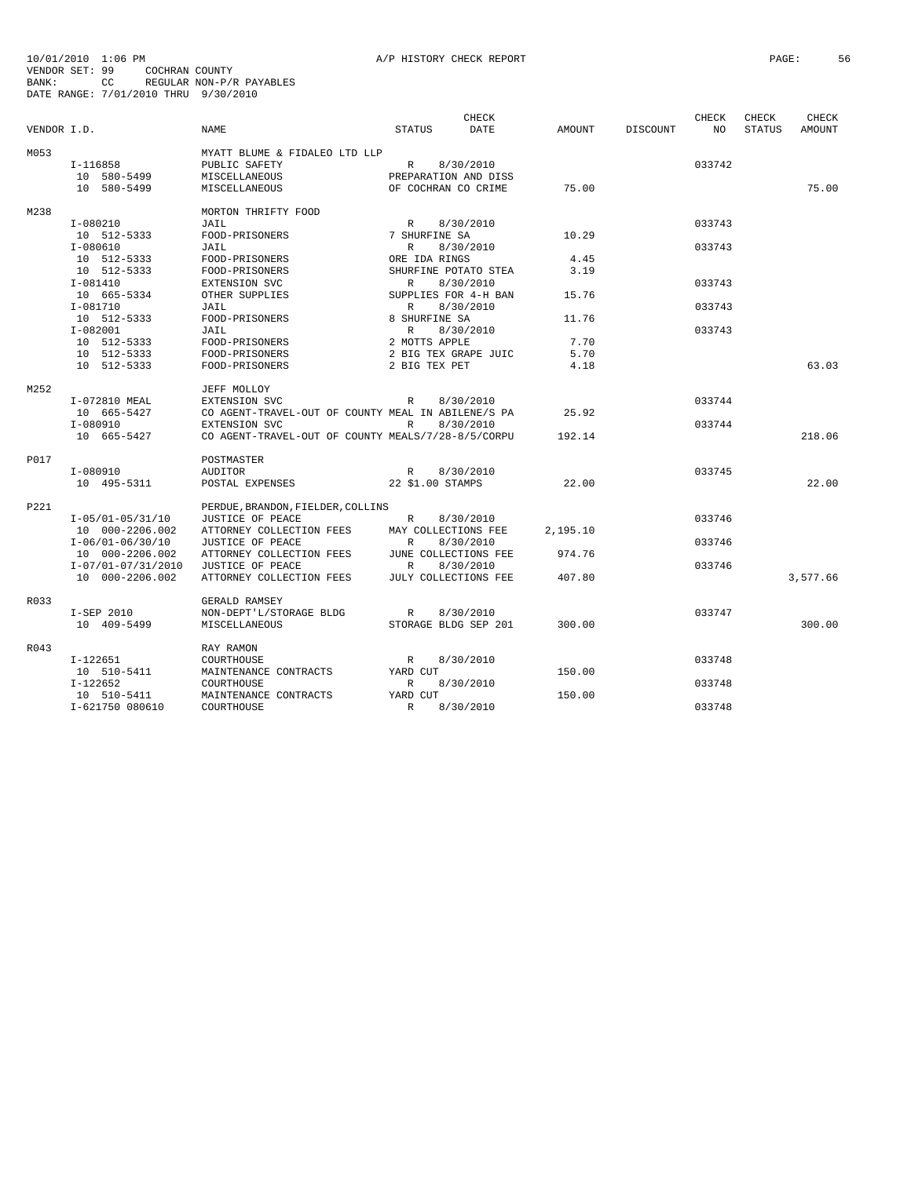|             |                    |                                                    |                      | <b>CHECK</b>         |               |                 | CHECK  | CHECK         | <b>CHECK</b> |
|-------------|--------------------|----------------------------------------------------|----------------------|----------------------|---------------|-----------------|--------|---------------|--------------|
| VENDOR I.D. |                    | <b>NAME</b>                                        | <b>STATUS</b>        | <b>DATE</b>          | <b>AMOUNT</b> | <b>DISCOUNT</b> | NO.    | <b>STATUS</b> | AMOUNT       |
| M053        |                    | MYATT BLUME & FIDALEO LTD LLP                      |                      |                      |               |                 |        |               |              |
|             | I-116858           | PUBLIC SAFETY                                      | R                    | 8/30/2010            |               |                 | 033742 |               |              |
|             | 10 580-5499        | MISCELLANEOUS                                      | PREPARATION AND DISS |                      |               |                 |        |               |              |
|             | 10 580-5499        | MISCELLANEOUS                                      | OF COCHRAN CO CRIME  |                      | 75.00         |                 |        |               | 75.00        |
| M238        |                    | MORTON THRIFTY FOOD                                |                      |                      |               |                 |        |               |              |
|             | $I-080210$         | JAIL                                               | $\mathbb{R}$         | 8/30/2010            |               |                 | 033743 |               |              |
|             | 10 512-5333        | FOOD-PRISONERS                                     | 7 SHURFINE SA        |                      | 10.29         |                 |        |               |              |
|             | $I-080610$         | JAIL                                               | $\mathbb{R}$         | 8/30/2010            |               |                 | 033743 |               |              |
|             | 10 512-5333        | FOOD-PRISONERS                                     | ORE IDA RINGS        |                      | 4.45          |                 |        |               |              |
|             | 10 512-5333        | FOOD-PRISONERS                                     |                      | SHURFINE POTATO STEA | 3.19          |                 |        |               |              |
|             | $I-081410$         | EXTENSION SVC                                      | $\mathbb{R}$         | 8/30/2010            |               |                 | 033743 |               |              |
|             | 10 665-5334        | OTHER SUPPLIES                                     |                      | SUPPLIES FOR 4-H BAN | 15.76         |                 |        |               |              |
|             | I-081710           | JAIL                                               | R                    | 8/30/2010            |               |                 | 033743 |               |              |
|             | 10 512-5333        | FOOD-PRISONERS                                     | 8 SHURFINE SA        |                      | 11.76         |                 |        |               |              |
|             | $I-082001$         | JAIL                                               | $\mathbb{R}$         | 8/30/2010            |               |                 | 033743 |               |              |
|             | 10 512-5333        | FOOD-PRISONERS                                     | 2 MOTTS APPLE        |                      | 7.70          |                 |        |               |              |
|             |                    |                                                    |                      |                      |               |                 |        |               |              |
|             | 10 512-5333        | FOOD-PRISONERS<br>FOOD-PRISONERS                   |                      | 2 BIG TEX GRAPE JUIC | 5.70<br>4.18  |                 |        |               | 63.03        |
|             | 10 512-5333        |                                                    | 2 BIG TEX PET        |                      |               |                 |        |               |              |
| M252        |                    | JEFF MOLLOY                                        |                      |                      |               |                 |        |               |              |
|             | I-072810 MEAL      | EXTENSION SVC                                      | R                    | 8/30/2010            |               |                 | 033744 |               |              |
|             | 10 665-5427        | CO AGENT-TRAVEL-OUT OF COUNTY MEAL IN ABILENE/S PA |                      |                      | 25.92         |                 |        |               |              |
|             | I-080910           | <b>EXTENSION SVC</b>                               | R                    | 8/30/2010            |               |                 | 033744 |               |              |
|             | 10 665-5427        | CO AGENT-TRAVEL-OUT OF COUNTY MEALS/7/28-8/5/CORPU |                      |                      | 192.14        |                 |        |               | 218.06       |
| P017        |                    | POSTMASTER                                         |                      |                      |               |                 |        |               |              |
|             | $I-080910$         | <b>AUDITOR</b>                                     | $\mathbb{R}$         | 8/30/2010            |               |                 | 033745 |               |              |
|             | 10 495-5311        | POSTAL EXPENSES                                    | 22 \$1.00 STAMPS     |                      | 22.00         |                 |        |               | 22.00        |
|             |                    |                                                    |                      |                      |               |                 |        |               |              |
| P221        |                    | PERDUE, BRANDON, FIELDER, COLLINS                  |                      |                      |               |                 |        |               |              |
|             | $I-05/01-05/31/10$ | JUSTICE OF PEACE                                   | R                    | 8/30/2010            |               |                 | 033746 |               |              |
|             | 10 000-2206.002    | ATTORNEY COLLECTION FEES                           | MAY COLLECTIONS FEE  |                      | 2,195.10      |                 |        |               |              |
|             | $I-06/01-06/30/10$ | JUSTICE OF PEACE                                   | R                    | 8/30/2010            |               |                 | 033746 |               |              |
|             | 10 000-2206.002    | ATTORNEY COLLECTION FEES                           | JUNE COLLECTIONS FEE |                      | 974.76        |                 |        |               |              |
|             | I-07/01-07/31/2010 | JUSTICE OF PEACE                                   | R                    | 8/30/2010            |               |                 | 033746 |               |              |
|             | 10 000-2206.002    | ATTORNEY COLLECTION FEES                           | JULY COLLECTIONS FEE |                      | 407.80        |                 |        |               | 3,577.66     |
| R033        |                    | GERALD RAMSEY                                      |                      |                      |               |                 |        |               |              |
|             | I-SEP 2010         | NON-DEPT'L/STORAGE BLDG                            | $\mathbb{R}$         | 8/30/2010            |               |                 | 033747 |               |              |
|             | 10 409-5499        | MISCELLANEOUS                                      | STORAGE BLDG SEP 201 |                      | 300.00        |                 |        |               | 300.00       |
|             |                    |                                                    |                      |                      |               |                 |        |               |              |
| R043        |                    | RAY RAMON                                          |                      |                      |               |                 |        |               |              |
|             | I-122651           | COURTHOUSE                                         | $\mathbb R$          | 8/30/2010            |               |                 | 033748 |               |              |
|             | 10 510-5411        | MAINTENANCE CONTRACTS                              | YARD CUT             |                      | 150.00        |                 |        |               |              |
|             | $I-122652$         | COURTHOUSE                                         | $\mathbb R$          | 8/30/2010            |               |                 | 033748 |               |              |
|             | 10 510-5411        | MAINTENANCE CONTRACTS                              | YARD CUT             |                      | 150.00        |                 |        |               |              |
|             | I-621750 080610    | COURTHOUSE                                         | $\mathbb{R}$         | 8/30/2010            |               |                 | 033748 |               |              |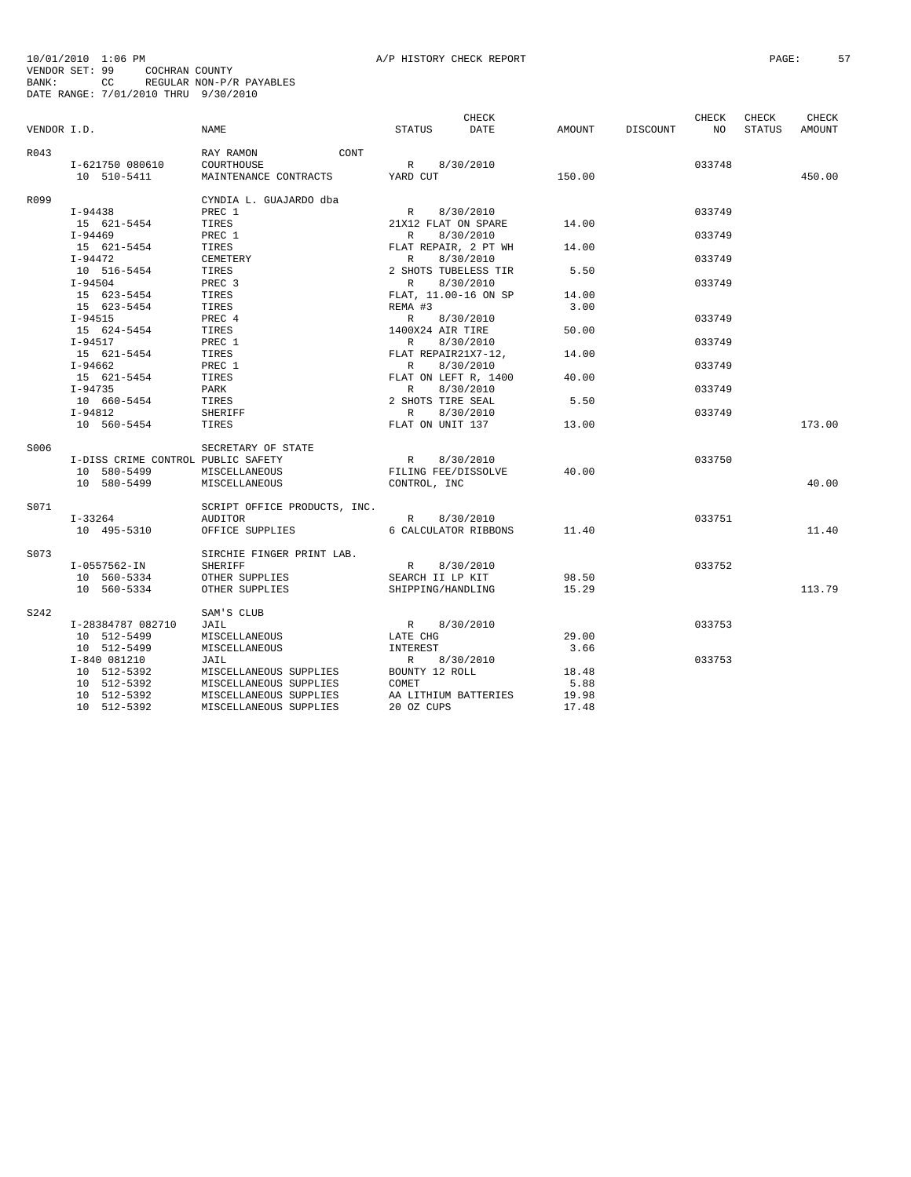10/01/2010 1:06 PM<br>VENDOR SET: 99 COCHRAN COUNTY<br>BANK: 99 COCHRAN COUNTY<br>BATE RANGE: 7/01/2010 THRU 9/30/2010<br>DATE RANGE: 7/01/2010 THRU 9/30/2010

|             |                                    |                                |                      | <b>CHECK</b> |        |          | CHECK           | CHECK  | <b>CHECK</b> |
|-------------|------------------------------------|--------------------------------|----------------------|--------------|--------|----------|-----------------|--------|--------------|
| VENDOR I.D. |                                    | NAME                           | STATUS               | DATE         | AMOUNT | DISCOUNT | NO <sub>N</sub> | STATUS | AMOUNT       |
| R043        |                                    | RAY RAMON<br>CONT              |                      |              |        |          |                 |        |              |
|             | I-621750 080610                    | COURTHOUSE                     | R 8/30/2010          |              |        |          | 033748          |        |              |
|             | 10 510-5411                        | MAINTENANCE CONTRACTS YARD CUT |                      |              | 150.00 |          |                 |        | 450.00       |
| R099        |                                    | CYNDIA L. GUAJARDO dba         |                      |              |        |          |                 |        |              |
|             | I-94438                            | PREC 1                         | R                    | 8/30/2010    |        |          | 033749          |        |              |
|             | 15 621-5454                        | TIRES                          | 21X12 FLAT ON SPARE  |              | 14.00  |          |                 |        |              |
|             | I-94469                            | PREC 1                         | R                    | 8/30/2010    |        |          | 033749          |        |              |
|             | 15 621-5454                        | TIRES                          | FLAT REPAIR, 2 PT WH |              | 14.00  |          |                 |        |              |
|             | $I-94472$                          | CEMETERY                       | R                    | 8/30/2010    |        |          | 033749          |        |              |
|             | 10 516-5454                        | TIRES                          | 2 SHOTS TUBELESS TIR |              | 5.50   |          |                 |        |              |
|             | $I - 94504$                        | PREC <sub>3</sub>              | R                    | 8/30/2010    |        |          | 033749          |        |              |
|             | 15 623-5454                        | TIRES                          | FLAT, 11.00-16 ON SP |              | 14.00  |          |                 |        |              |
|             | 15 623-5454                        | TIRES                          | REMA #3              |              | 3.00   |          |                 |        |              |
|             | I-94515                            | PREC 4                         | R                    | 8/30/2010    |        |          | 033749          |        |              |
|             | 15 624-5454                        | TIRES                          | 1400X24 AIR TIRE     |              | 50.00  |          |                 |        |              |
|             | I-94517                            | PREC 1                         | R                    | 8/30/2010    |        |          | 033749          |        |              |
|             | 15 621-5454                        | TIRES                          | FLAT REPAIR21X7-12,  |              | 14.00  |          |                 |        |              |
|             | $I-94662$                          | PREC 1                         | R                    | 8/30/2010    |        |          | 033749          |        |              |
|             | 15 621-5454                        | TIRES                          | FLAT ON LEFT R, 1400 |              | 40.00  |          |                 |        |              |
|             | $I-94735$                          | PARK                           | R.                   | 8/30/2010    |        |          | 033749          |        |              |
|             | 10 660-5454                        | TIRES                          | 2 SHOTS TIRE SEAL    |              | 5.50   |          |                 |        |              |
|             | I-94812                            | SHERIFF                        | R                    | 8/30/2010    |        |          | 033749          |        |              |
|             | 10 560-5454                        | TIRES                          | FLAT ON UNIT 137     |              | 13.00  |          |                 |        | 173.00       |
| S006        |                                    | SECRETARY OF STATE             |                      |              |        |          |                 |        |              |
|             | I-DISS CRIME CONTROL PUBLIC SAFETY |                                | R                    | 8/30/2010    |        |          | 033750          |        |              |
|             | 10 580-5499                        | MISCELLANEOUS                  | FILING FEE/DISSOLVE  |              | 40.00  |          |                 |        |              |
|             | 10 580-5499                        | MISCELLANEOUS                  | CONTROL, INC         |              |        |          |                 |        | 40.00        |
| S071        |                                    | SCRIPT OFFICE PRODUCTS, INC.   |                      |              |        |          |                 |        |              |
|             | $I - 33264$                        | AUDITOR                        | R 8/30/2010          |              |        |          | 033751          |        |              |
|             | 10 495-5310                        | OFFICE SUPPLIES                | 6 CALCULATOR RIBBONS |              | 11.40  |          |                 |        | 11.40        |
| S073        |                                    | SIRCHIE FINGER PRINT LAB.      |                      |              |        |          |                 |        |              |
|             | I-0557562-IN                       | SHERIFF                        | R                    | 8/30/2010    |        |          | 033752          |        |              |
|             | 10 560-5334                        | OTHER SUPPLIES                 | SEARCH II LP KIT     |              | 98.50  |          |                 |        |              |
|             | 10 560-5334                        | OTHER SUPPLIES                 | SHIPPING/HANDLING    |              | 15.29  |          |                 |        | 113.79       |
| S242        |                                    | SAM'S CLUB                     |                      |              |        |          |                 |        |              |
|             | I-28384787 082710                  | JAIL                           | R 8/30/2010          |              |        |          | 033753          |        |              |
|             | 10 512-5499                        | MISCELLANEOUS                  | LATE CHG             |              | 29.00  |          |                 |        |              |
|             | 10 512-5499                        | MISCELLANEOUS                  | INTEREST             |              | 3.66   |          |                 |        |              |
|             | I-840 081210                       | JAIL                           | R 8/30/2010          |              |        |          | 033753          |        |              |
|             | 10 512-5392                        | MISCELLANEOUS SUPPLIES         | BOUNTY 12 ROLL       |              | 18.48  |          |                 |        |              |
|             | 10 512-5392                        | MISCELLANEOUS SUPPLIES         | COMET                |              | 5.88   |          |                 |        |              |
|             | 10 512-5392                        | MISCELLANEOUS SUPPLIES         | AA LITHIUM BATTERIES |              | 19.98  |          |                 |        |              |
|             | 10 512-5392                        | MISCELLANEOUS SUPPLIES         | 20 OZ CUPS           |              | 17.48  |          |                 |        |              |
|             |                                    |                                |                      |              |        |          |                 |        |              |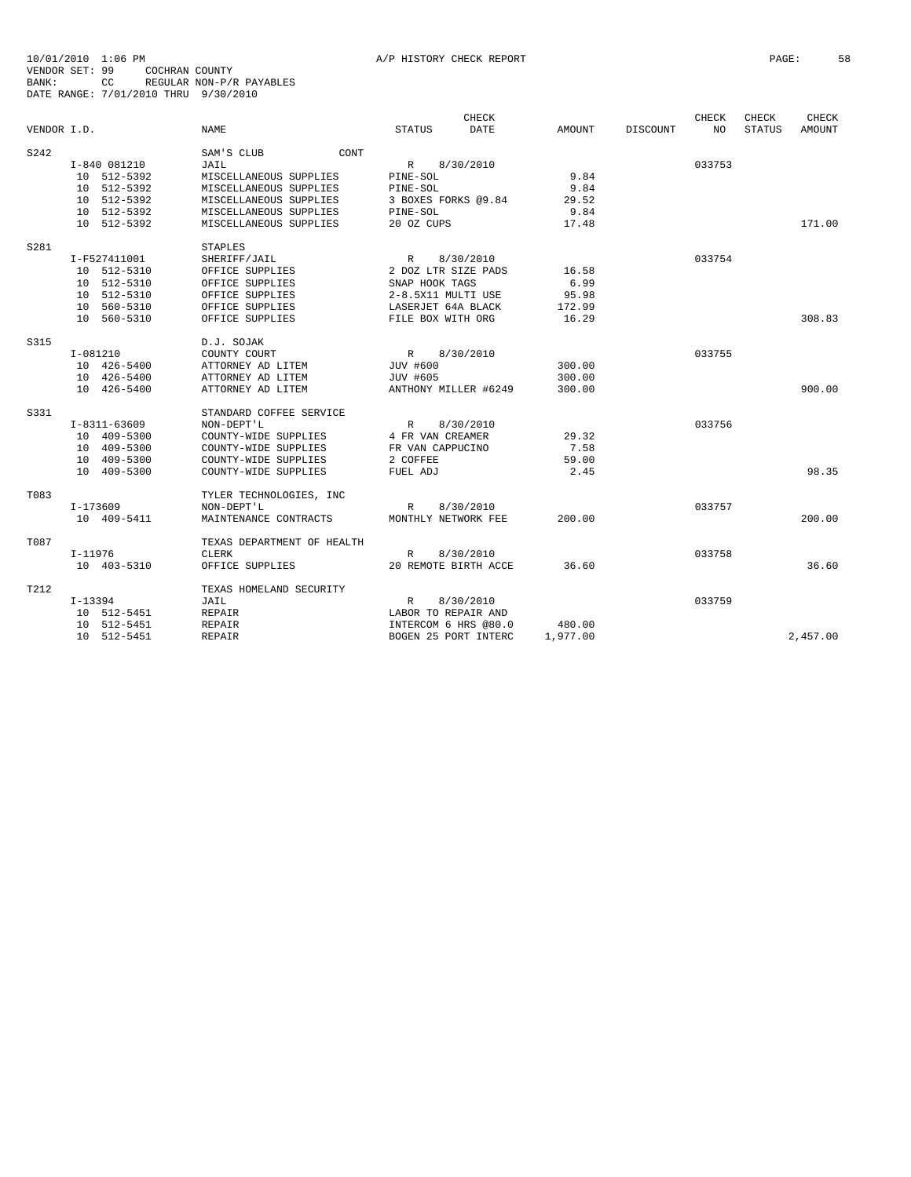|             |                |                            | CHECK                        |               |          | CHECK  | CHECK         | CHECK         |
|-------------|----------------|----------------------------|------------------------------|---------------|----------|--------|---------------|---------------|
| VENDOR I.D. |                | NAME                       | <b>DATE</b><br><b>STATUS</b> | <b>AMOUNT</b> | DISCOUNT | NO     | <b>STATUS</b> | <b>AMOUNT</b> |
| S242        |                | SAM'S CLUB<br>CONT         |                              |               |          |        |               |               |
|             | I-840 081210   | JAIL                       | 8/30/2010<br>R               |               |          | 033753 |               |               |
|             | 10 512-5392    | MISCELLANEOUS SUPPLIES     | PINE-SOL                     | 9.84          |          |        |               |               |
|             | 10 512-5392    | MISCELLANEOUS SUPPLIES     | PINE-SOL                     | 9.84          |          |        |               |               |
|             | 10 512-5392    | MISCELLANEOUS SUPPLIES     | 3 BOXES FORKS @9.84          | 29.52         |          |        |               |               |
|             | 10 512-5392    | MISCELLANEOUS SUPPLIES     | PINE-SOL                     | 9.84          |          |        |               |               |
|             | 10 512-5392    | MISCELLANEOUS SUPPLIES     | 20 OZ CUPS                   | 17.48         |          |        |               | 171.00        |
| S281        |                | <b>STAPLES</b>             |                              |               |          |        |               |               |
|             | I-F527411001   | SHERIFF/JAIL               | R<br>8/30/2010               |               |          | 033754 |               |               |
|             | 10 512-5310    | OFFICE SUPPLIES            | 2 DOZ LTR SIZE PADS          | 16.58         |          |        |               |               |
|             | 10 512-5310    | OFFICE SUPPLIES            | SNAP HOOK TAGS               | 6.99          |          |        |               |               |
|             | 10 512-5310    | OFFICE SUPPLIES            | 2-8.5X11 MULTI USE           | 95.98         |          |        |               |               |
|             | 10 560-5310    | OFFICE SUPPLIES            | LASERJET 64A BLACK           | 172.99        |          |        |               |               |
|             | 10 560-5310    | OFFICE SUPPLIES            | FILE BOX WITH ORG            | 16.29         |          |        |               | 308.83        |
| S315        |                | D.J. SOJAK                 |                              |               |          |        |               |               |
|             | $I-081210$     | COUNTY COURT               | R<br>8/30/2010               |               |          | 033755 |               |               |
|             | 10 426-5400    | ATTORNEY AD LITEM          | JUV #600                     | 300.00        |          |        |               |               |
|             | 10 426-5400    | ATTORNEY AD LITEM          | JUV #605                     | 300.00        |          |        |               |               |
|             | 10 426-5400    | ATTORNEY AD LITEM          | ANTHONY MILLER #6249         | 300.00        |          |        |               | 900.00        |
| S331        |                | STANDARD COFFEE SERVICE    |                              |               |          |        |               |               |
|             | $I-8311-63609$ | NON-DEPT'L                 | 8/30/2010<br>R               |               |          | 033756 |               |               |
|             | 10 409-5300    | COUNTY-WIDE SUPPLIES       | 4 FR VAN CREAMER             | 29.32         |          |        |               |               |
|             | 10 409-5300    | COUNTY-WIDE SUPPLIES       | FR VAN CAPPUCINO             | 7.58          |          |        |               |               |
|             | 10 409-5300    | COUNTY-WIDE SUPPLIES       | 2 COFFEE                     | 59.00         |          |        |               |               |
|             | 10 409-5300    | COUNTY-WIDE SUPPLIES       | FUEL ADJ                     | 2.45          |          |        |               | 98.35         |
| T083        |                | TYLER TECHNOLOGIES, INC    |                              |               |          |        |               |               |
|             | I-173609       | NON-DEPT'L                 | $\mathbb{R}$<br>8/30/2010    |               |          | 033757 |               |               |
|             | 10 409-5411    | MAINTENANCE CONTRACTS      | MONTHLY NETWORK FEE          | 200.00        |          |        |               | 200.00        |
| T087        |                | TEXAS DEPARTMENT OF HEALTH |                              |               |          |        |               |               |
|             | $I-11976$      | <b>CLERK</b>               | 8/30/2010<br>R               |               |          | 033758 |               | 36.60         |
|             | 10 403-5310    | OFFICE SUPPLIES            | 20 REMOTE BIRTH ACCE         | 36.60         |          |        |               |               |
| T212        |                | TEXAS HOMELAND SECURITY    |                              |               |          |        |               |               |
|             | $I-13394$      | JAIL                       | $\mathbb{R}$<br>8/30/2010    |               |          | 033759 |               |               |
|             | 10 512-5451    | <b>REPAIR</b>              | LABOR TO REPAIR AND          |               |          |        |               |               |
|             | 10 512-5451    | <b>REPAIR</b>              | INTERCOM 6 HRS @80.0         | 480.00        |          |        |               |               |
|             | 10 512-5451    | <b>REPAIR</b>              | BOGEN 25 PORT INTERC         | 1,977.00      |          |        |               | 2,457.00      |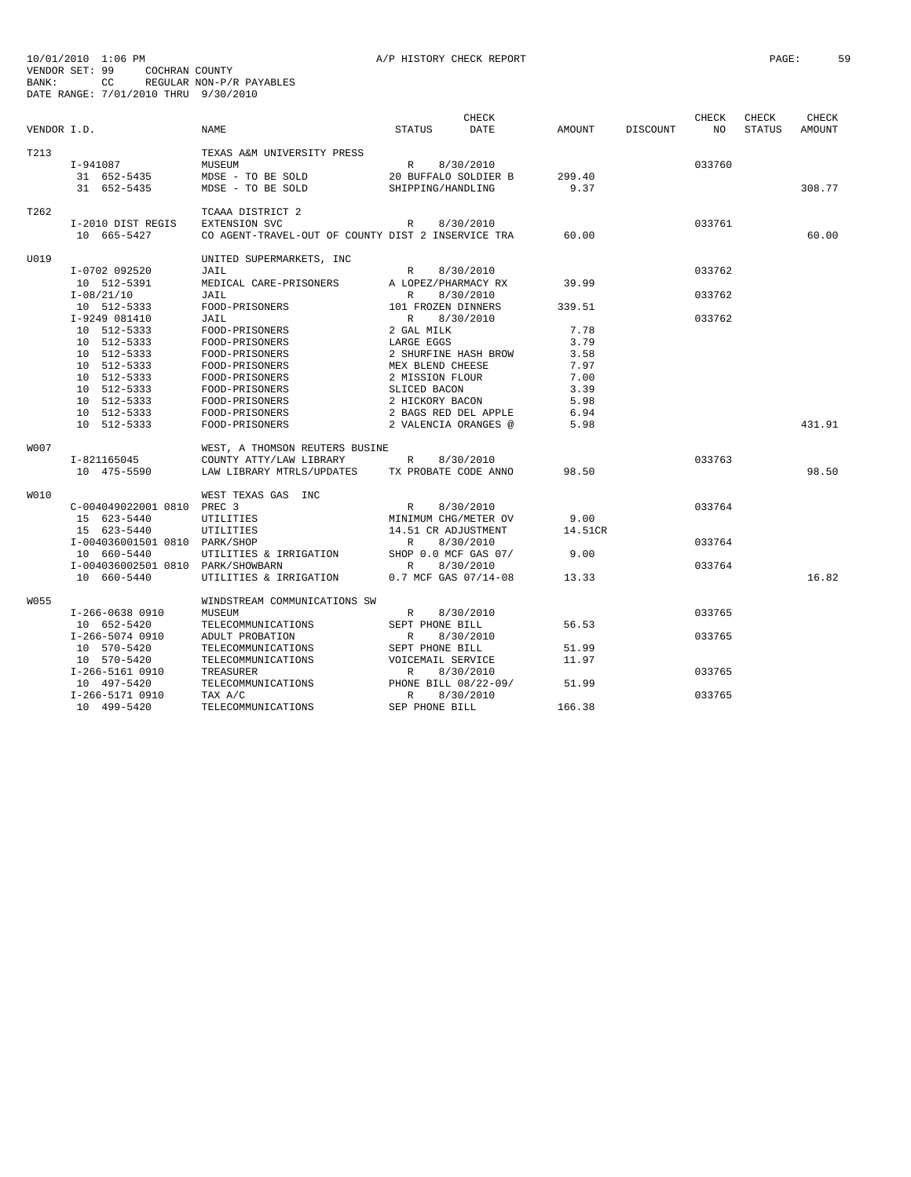| VENDOR I.D. |                               | <b>NAME</b>                                        | <b>STATUS</b>        | CHECK<br>DATE        | <b>AMOUNT</b> | DISCOUNT | CHECK<br>NO | CHECK<br><b>STATUS</b> | CHECK<br><b>AMOUNT</b> |
|-------------|-------------------------------|----------------------------------------------------|----------------------|----------------------|---------------|----------|-------------|------------------------|------------------------|
| T213        |                               | TEXAS A&M UNIVERSITY PRESS                         |                      |                      |               |          |             |                        |                        |
|             | I-941087                      | MUSEUM                                             | R                    | 8/30/2010            |               |          | 033760      |                        |                        |
|             | 31 652-5435                   | MDSE - TO BE SOLD                                  |                      | 20 BUFFALO SOLDIER B | 299.40        |          |             |                        |                        |
|             | 31 652-5435                   | MDSE - TO BE SOLD                                  | SHIPPING/HANDLING    |                      | 9.37          |          |             |                        | 308.77                 |
|             |                               |                                                    |                      |                      |               |          |             |                        |                        |
| T262        |                               | TCAAA DISTRICT 2                                   |                      |                      |               |          |             |                        |                        |
|             | I-2010 DIST REGIS             | <b>EXTENSION SVC</b>                               | $\mathbb{R}$         | 8/30/2010            |               |          | 033761      |                        |                        |
|             | 10 665-5427                   | CO AGENT-TRAVEL-OUT OF COUNTY DIST 2 INSERVICE TRA |                      |                      | 60.00         |          |             |                        | 60.00                  |
| U019        |                               | UNITED SUPERMARKETS, INC                           |                      |                      |               |          |             |                        |                        |
|             | I-0702 092520                 | JAIL                                               | R                    | 8/30/2010            |               |          | 033762      |                        |                        |
|             | 10 512-5391                   | MEDICAL CARE-PRISONERS                             | A LOPEZ/PHARMACY RX  |                      | 39.99         |          |             |                        |                        |
|             | $I-08/21/10$                  | JAIL                                               | R                    | 8/30/2010            |               |          | 033762      |                        |                        |
|             | 10 512-5333                   | FOOD-PRISONERS                                     | 101 FROZEN DINNERS   |                      | 339.51        |          |             |                        |                        |
|             | I-9249 081410                 | JAIL                                               | $\mathbb{R}$         | 8/30/2010            |               |          | 033762      |                        |                        |
|             | 10 512-5333                   | FOOD-PRISONERS                                     | 2 GAL MILK           |                      | 7.78          |          |             |                        |                        |
|             | 10 512-5333                   | FOOD-PRISONERS                                     | LARGE EGGS           |                      | 3.79          |          |             |                        |                        |
|             | 10 512-5333                   | FOOD-PRISONERS                                     | 2 SHURFINE HASH BROW |                      | 3.58          |          |             |                        |                        |
|             | 10 512-5333                   | FOOD-PRISONERS                                     | MEX BLEND CHEESE     |                      | 7.97          |          |             |                        |                        |
|             | 10 512-5333                   | FOOD-PRISONERS                                     | 2 MISSION FLOUR      |                      | 7.00          |          |             |                        |                        |
|             | 10 512-5333                   | FOOD-PRISONERS                                     | SLICED BACON         |                      | 3.39          |          |             |                        |                        |
|             | 10 512-5333                   | FOOD-PRISONERS                                     | 2 HICKORY BACON      |                      | 5.98          |          |             |                        |                        |
|             | 10 512-5333                   | FOOD-PRISONERS                                     | 2 BAGS RED DEL APPLE |                      | 6.94          |          |             |                        |                        |
|             | 10 512-5333                   | FOOD-PRISONERS                                     | 2 VALENCIA ORANGES @ |                      | 5.98          |          |             |                        | 431.91                 |
| <b>W007</b> |                               | WEST, A THOMSON REUTERS BUSINE                     |                      |                      |               |          |             |                        |                        |
|             | I-821165045                   | COUNTY ATTY/LAW LIBRARY                            | $\mathbb{R}$         | 8/30/2010            |               |          | 033763      |                        |                        |
|             | 10 475-5590                   | LAW LIBRARY MTRLS/UPDATES                          | TX PROBATE CODE ANNO |                      | 98.50         |          |             |                        | 98.50                  |
| W010        |                               | WEST TEXAS GAS INC                                 |                      |                      |               |          |             |                        |                        |
|             | C-004049022001 0810           | PREC 3                                             | $\mathbb{R}$         | 8/30/2010            |               |          | 033764      |                        |                        |
|             | 15 623-5440                   | UTILITIES                                          | MINIMUM CHG/METER OV |                      | 9.00          |          |             |                        |                        |
|             | 15 623-5440                   | UTILITIES                                          | 14.51 CR ADJUSTMENT  |                      | 14.51CR       |          |             |                        |                        |
|             | I-004036001501 0810 PARK/SHOP |                                                    | R                    | 8/30/2010            |               |          | 033764      |                        |                        |
|             | 10 660-5440                   | UTILITIES & IRRIGATION                             | SHOP 0.0 MCF GAS 07/ |                      | 9.00          |          |             |                        |                        |
|             | I-004036002501 0810           | PARK/SHOWBARN                                      | $\mathbb{R}$         | 8/30/2010            |               |          | 033764      |                        |                        |
|             | 10 660-5440                   | UTILITIES & IRRIGATION                             |                      | 0.7 MCF GAS 07/14-08 | 13.33         |          |             |                        | 16.82                  |
| W055        |                               | WINDSTREAM COMMUNICATIONS SW                       |                      |                      |               |          |             |                        |                        |
|             | I-266-0638 0910               | MUSEUM                                             | R                    | 8/30/2010            |               |          | 033765      |                        |                        |
|             | 10 652-5420                   | TELECOMMUNICATIONS                                 | SEPT PHONE BILL      |                      | 56.53         |          |             |                        |                        |
|             | I-266-5074 0910               | ADULT PROBATION                                    | $\mathbb{R}$         | 8/30/2010            |               |          | 033765      |                        |                        |
|             | 10 570-5420                   | TELECOMMUNICATIONS                                 | SEPT PHONE BILL      |                      | 51.99         |          |             |                        |                        |
|             | 10 570-5420                   | TELECOMMUNICATIONS                                 | VOICEMAIL SERVICE    |                      | 11.97         |          |             |                        |                        |
|             | I-266-5161 0910               | TREASURER                                          | $\mathbb{R}$         | 8/30/2010            |               |          | 033765      |                        |                        |
|             | 10 497-5420                   | TELECOMMUNICATIONS                                 | PHONE BILL 08/22-09/ |                      | 51.99         |          |             |                        |                        |
|             | I-266-5171 0910               | TAX A/C                                            | $\mathbb{R}$         | 8/30/2010            |               |          | 033765      |                        |                        |
|             | 10 499-5420                   | TELECOMMUNICATIONS                                 | SEP PHONE BILL       |                      | 166.38        |          |             |                        |                        |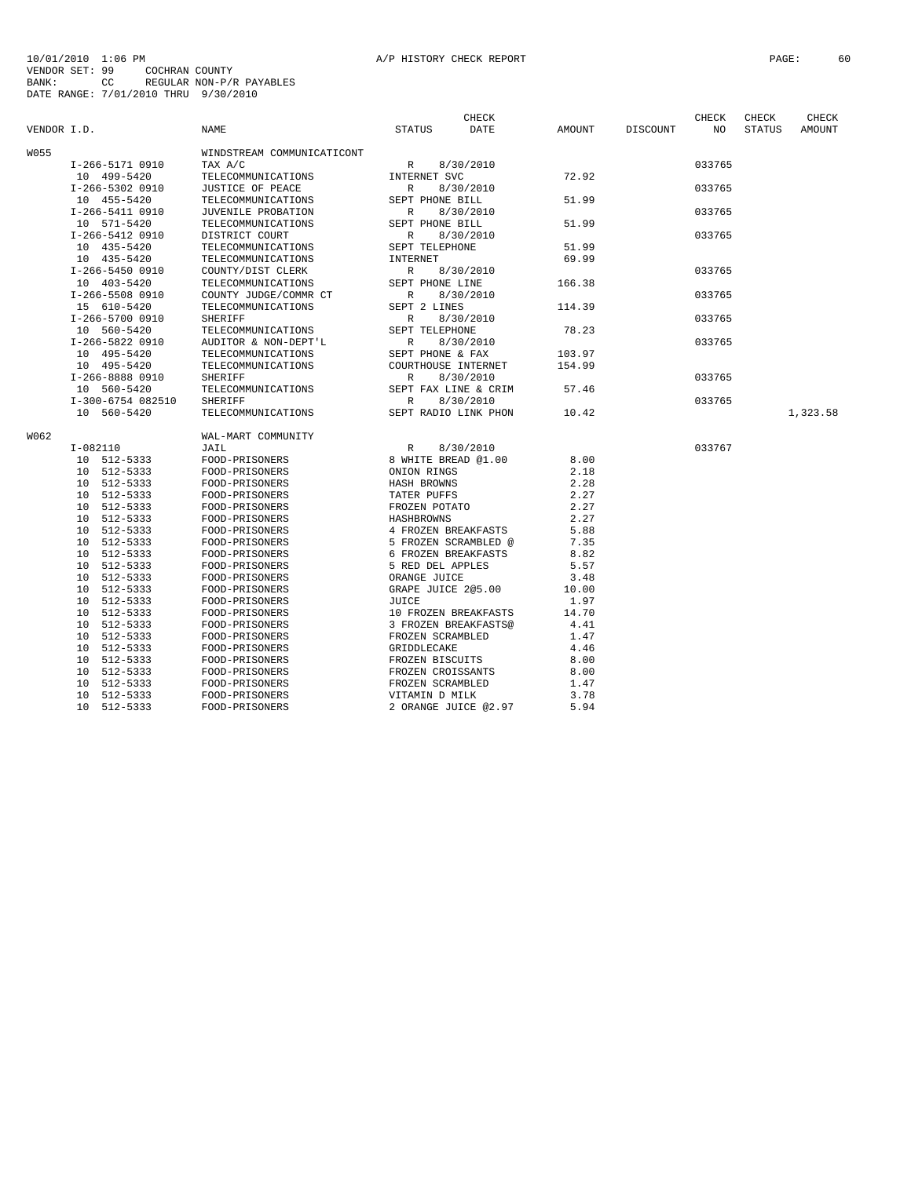|             |                            |                                  |                                             | CHECK                |              |          | CHECK  | CHECK         | CHECK    |
|-------------|----------------------------|----------------------------------|---------------------------------------------|----------------------|--------------|----------|--------|---------------|----------|
| VENDOR I.D. |                            | NAME                             | STATUS                                      | DATE                 | AMOUNT       | DISCOUNT | NO     | <b>STATUS</b> | AMOUNT   |
| W055        |                            | WINDSTREAM COMMUNICATICONT       |                                             |                      |              |          |        |               |          |
|             | I-266-5171 0910            | TAX A/C                          | R                                           | 8/30/2010            |              |          | 033765 |               |          |
|             | 10 499-5420                | TELECOMMUNICATIONS               | INTERNET SVC                                |                      | 72.92        |          |        |               |          |
|             | I-266-5302 0910            | JUSTICE OF PEACE                 | $\mathbb{R}$                                | 8/30/2010            |              |          | 033765 |               |          |
|             | 10 455-5420                | TELECOMMUNICATIONS               | SEPT PHONE BILL                             |                      | 51.99        |          |        |               |          |
|             | I-266-5411 0910            | JUVENILE PROBATION               | R                                           | 8/30/2010            |              |          | 033765 |               |          |
|             | 10 571-5420                | TELECOMMUNICATIONS               | SEPT PHONE BILL                             |                      | 51.99        |          |        |               |          |
|             | I-266-5412 0910            | DISTRICT COURT                   | $\mathbb{R}$                                | 8/30/2010            |              |          | 033765 |               |          |
|             | 10 435-5420                | TELECOMMUNICATIONS               | SEPT TELEPHONE                              |                      | 51.99        |          |        |               |          |
|             | 10 435-5420                | TELECOMMUNICATIONS               | INTERNET                                    |                      | 69.99        |          |        |               |          |
|             | I-266-5450 0910            | COUNTY/DIST CLERK                | $\mathbb{R}$                                | 8/30/2010            |              |          | 033765 |               |          |
|             | 10 403-5420                | TELECOMMUNICATIONS               | SEPT PHONE LINE                             |                      | 166.38       |          |        |               |          |
|             | I-266-5508 0910            | COUNTY JUDGE/COMMR CT            | R                                           | 8/30/2010            |              |          | 033765 |               |          |
|             | 15 610-5420                | TELECOMMUNICATIONS               | SEPT 2 LINES                                |                      | 114.39       |          |        |               |          |
|             | I-266-5700 0910            | SHERIFF                          | R                                           | 8/30/2010            |              |          | 033765 |               |          |
|             | 10 560-5420                | TELECOMMUNICATIONS               | SEPT TELEPHONE                              |                      | 78.23        |          |        |               |          |
|             | I-266-5822 0910            | AUDITOR & NON-DEPT'L             | R                                           | 8/30/2010            |              |          | 033765 |               |          |
|             | 10 495-5420                | TELECOMMUNICATIONS               | SEPT PHONE & FAX                            |                      | 103.97       |          |        |               |          |
|             | 10 495-5420                | TELECOMMUNICATIONS               | COURTHOUSE INTERNET                         |                      | 154.99       |          |        |               |          |
|             | I-266-8888 0910            | SHERIFF                          | R                                           | 8/30/2010            |              |          | 033765 |               |          |
|             | 10 560-5420                | TELECOMMUNICATIONS               | SEPT FAX LINE & CRIM                        |                      | 57.46        |          |        |               |          |
|             | I-300-6754 082510          | SHERIFF                          | $\mathbb{R}$                                | 8/30/2010            |              |          | 033765 |               |          |
|             | 10 560-5420                | TELECOMMUNICATIONS               | SEPT RADIO LINK PHON                        |                      | 10.42        |          |        |               | 1,323.58 |
| W062.       |                            | WAL-MART COMMUNITY               |                                             |                      |              |          |        |               |          |
|             | $I-082110$                 | JAIL                             | $\mathbb R$                                 | 8/30/2010            |              |          | 033767 |               |          |
|             | 10 512-5333                | FOOD-PRISONERS                   | 8 WHITE BREAD @1.00                         |                      | 8.00         |          |        |               |          |
|             | 10 512-5333                | FOOD-PRISONERS                   | ONION RINGS                                 |                      | 2.18         |          |        |               |          |
|             | 10 512-5333                | FOOD-PRISONERS                   | HASH BROWNS                                 |                      | 2.28         |          |        |               |          |
|             | 10 512-5333                | FOOD-PRISONERS                   | TATER PUFFS                                 |                      | 2.27         |          |        |               |          |
|             |                            |                                  |                                             |                      |              |          |        |               |          |
|             | 10 512-5333<br>10 512-5333 | FOOD-PRISONERS                   | FROZEN POTATO                               |                      | 2.27<br>2.27 |          |        |               |          |
|             |                            | FOOD-PRISONERS                   | HASHBROWNS                                  |                      | 5.88         |          |        |               |          |
|             | 10 512-5333                | FOOD-PRISONERS                   | 4 FROZEN BREAKFASTS<br>5 FROZEN SCRAMBLED @ |                      | 7.35         |          |        |               |          |
|             | 10 512-5333<br>10 512-5333 | FOOD-PRISONERS<br>FOOD-PRISONERS | 6 FROZEN BREAKFASTS                         |                      | 8.82         |          |        |               |          |
|             | 10 512-5333                | FOOD-PRISONERS                   | 5 RED DEL APPLES                            |                      | 5.57         |          |        |               |          |
|             | 10 512-5333                | FOOD-PRISONERS                   | ORANGE JUICE                                |                      | 3.48         |          |        |               |          |
|             |                            |                                  |                                             |                      |              |          |        |               |          |
|             | 10 512-5333                | FOOD-PRISONERS                   | GRAPE JUICE 2@5.00                          |                      | 10.00        |          |        |               |          |
|             | 10 512-5333                | FOOD-PRISONERS                   | JUICE                                       |                      | 1.97         |          |        |               |          |
|             | 10 512-5333                | FOOD-PRISONERS                   | 10 FROZEN BREAKFASTS                        |                      | 14.70        |          |        |               |          |
|             | 10 512-5333                | FOOD-PRISONERS                   | 3 FROZEN BREAKFASTS@                        |                      | 4.41         |          |        |               |          |
|             | 10 512-5333                | FOOD-PRISONERS                   | FROZEN SCRAMBLED                            |                      | 1.47         |          |        |               |          |
|             | 10 512-5333                | FOOD-PRISONERS                   | GRIDDLECAKE                                 |                      | 4.46         |          |        |               |          |
|             | 10 512-5333                | FOOD-PRISONERS                   | FROZEN BISCUITS                             |                      | 8.00         |          |        |               |          |
|             | 10 512-5333                | FOOD-PRISONERS                   | FROZEN CROISSANTS                           |                      | 8.00         |          |        |               |          |
|             | 10 512-5333                | FOOD-PRISONERS                   | FROZEN SCRAMBLED                            |                      | 1.47         |          |        |               |          |
|             | 10 512-5333                | FOOD-PRISONERS                   | VITAMIN D MILK                              |                      | 3.78         |          |        |               |          |
|             | 10 512-5333                | FOOD-PRISONERS                   |                                             | 2 ORANGE JUICE @2.97 | 5.94         |          |        |               |          |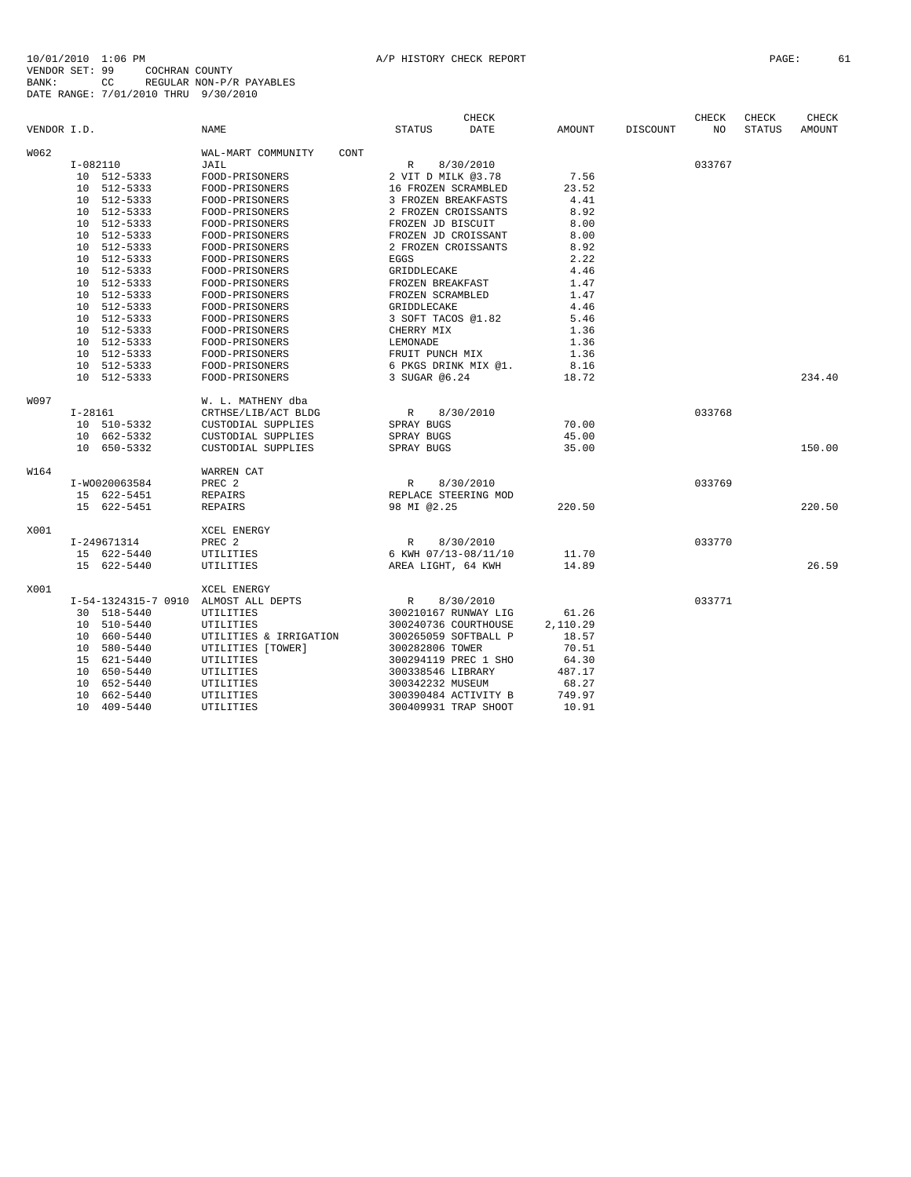|             |               |                     |                        |      |                      | CHECK       |          |          | CHECK  | CHECK         | CHECK  |
|-------------|---------------|---------------------|------------------------|------|----------------------|-------------|----------|----------|--------|---------------|--------|
| VENDOR I.D. |               |                     | <b>NAME</b>            |      | <b>STATUS</b>        | <b>DATE</b> | AMOUNT   | DISCOUNT | NO     | <b>STATUS</b> | AMOUNT |
| W062        |               |                     | WAL-MART COMMUNITY     | CONT |                      |             |          |          |        |               |        |
|             | $I-082110$    |                     | JAIL                   |      | R                    | 8/30/2010   |          |          | 033767 |               |        |
|             | 10 512-5333   |                     | FOOD-PRISONERS         |      | 2 VIT D MILK @3.78   |             | 7.56     |          |        |               |        |
|             | 10            | 512-5333            | FOOD-PRISONERS         |      | 16 FROZEN SCRAMBLED  |             | 23.52    |          |        |               |        |
|             | 10 512-5333   |                     | FOOD-PRISONERS         |      | 3 FROZEN BREAKFASTS  |             | 4.41     |          |        |               |        |
|             | 10 512-5333   |                     | FOOD-PRISONERS         |      | 2 FROZEN CROISSANTS  |             | 8.92     |          |        |               |        |
|             | 10 512-5333   |                     | FOOD-PRISONERS         |      | FROZEN JD BISCUIT    |             | 8.00     |          |        |               |        |
|             | 10 512-5333   |                     | FOOD-PRISONERS         |      | FROZEN JD CROISSANT  |             | 8.00     |          |        |               |        |
|             | 10 512-5333   |                     | FOOD-PRISONERS         |      | 2 FROZEN CROISSANTS  |             | 8.92     |          |        |               |        |
|             | 10 512-5333   |                     | FOOD-PRISONERS         |      | EGGS                 |             | 2.22     |          |        |               |        |
|             | 10 512-5333   |                     | FOOD-PRISONERS         |      | GRIDDLECAKE          |             | 4.46     |          |        |               |        |
|             | 10            | 512-5333            | FOOD-PRISONERS         |      | FROZEN BREAKFAST     |             | 1.47     |          |        |               |        |
|             | 10 512-5333   |                     | FOOD-PRISONERS         |      | FROZEN SCRAMBLED     |             | 1.47     |          |        |               |        |
|             | 10 512-5333   |                     | FOOD-PRISONERS         |      | GRIDDLECAKE          |             | 4.46     |          |        |               |        |
|             | 10 512-5333   |                     | FOOD-PRISONERS         |      | 3 SOFT TACOS @1.82   |             | 5.46     |          |        |               |        |
|             | 10 512-5333   |                     | FOOD-PRISONERS         |      | CHERRY MIX           |             | 1.36     |          |        |               |        |
|             | 10 512-5333   |                     | FOOD-PRISONERS         |      | LEMONADE             |             | 1.36     |          |        |               |        |
|             | 10            | 512-5333            | FOOD-PRISONERS         |      | FRUIT PUNCH MIX      |             | 1.36     |          |        |               |        |
|             | 10            | 512-5333            | FOOD-PRISONERS         |      | 6 PKGS DRINK MIX @1. |             | 8.16     |          |        |               |        |
|             | 10 512-5333   |                     | FOOD-PRISONERS         |      | 3 SUGAR @6.24        |             | 18.72    |          |        |               | 234.40 |
| W097        |               |                     | W. L. MATHENY dba      |      |                      |             |          |          |        |               |        |
|             | $I-28161$     |                     | CRTHSE/LIB/ACT BLDG    |      | $\mathbb{R}$         | 8/30/2010   |          |          | 033768 |               |        |
|             | 10 510-5332   |                     | CUSTODIAL SUPPLIES     |      | SPRAY BUGS           |             | 70.00    |          |        |               |        |
|             | 10 662-5332   |                     | CUSTODIAL SUPPLIES     |      | SPRAY BUGS           |             | 45.00    |          |        |               |        |
|             | 10 650-5332   |                     | CUSTODIAL SUPPLIES     |      | SPRAY BUGS           |             | 35.00    |          |        |               | 150.00 |
| W164        |               |                     | <b>WARREN CAT</b>      |      |                      |             |          |          |        |               |        |
|             | I-W0020063584 |                     | PREC <sub>2</sub>      |      | $\mathbb{R}$         | 8/30/2010   |          |          | 033769 |               |        |
|             | 15 622-5451   |                     | REPAIRS                |      | REPLACE STEERING MOD |             |          |          |        |               |        |
|             | 15 622-5451   |                     | <b>REPAIRS</b>         |      | 98 MI @2.25          |             | 220.50   |          |        |               | 220.50 |
| X001        |               |                     | XCEL ENERGY            |      |                      |             |          |          |        |               |        |
|             | I-249671314   |                     | PREC <sub>2</sub>      |      | $\mathbb{R}$         | 8/30/2010   |          |          | 033770 |               |        |
|             | 15 622-5440   |                     | UTILITIES              |      | 6 KWH 07/13-08/11/10 |             | 11.70    |          |        |               |        |
|             | 15 622-5440   |                     | UTILITIES              |      | AREA LIGHT, 64 KWH   |             | 14.89    |          |        |               | 26.59  |
| X001        |               |                     | XCEL ENERGY            |      |                      |             |          |          |        |               |        |
|             |               | I-54-1324315-7 0910 | ALMOST ALL DEPTS       |      | $\mathbb{R}$         | 8/30/2010   |          |          | 033771 |               |        |
|             | 30 518-5440   |                     | UTILITIES              |      | 300210167 RUNWAY LIG |             | 61.26    |          |        |               |        |
|             | 10 510-5440   |                     | UTILITIES              |      | 300240736 COURTHOUSE |             | 2,110.29 |          |        |               |        |
|             | 10 660-5440   |                     | UTILITIES & IRRIGATION |      | 300265059 SOFTBALL P |             | 18.57    |          |        |               |        |
|             | 10 580-5440   |                     | UTILITIES [TOWER]      |      | 300282806 TOWER      |             | 70.51    |          |        |               |        |
|             | 15 621-5440   |                     | UTILITIES              |      | 300294119 PREC 1 SHO |             | 64.30    |          |        |               |        |
|             | 10 650-5440   |                     | UTILITIES              |      | 300338546 LIBRARY    |             | 487.17   |          |        |               |        |
|             | 10            | 652-5440            | UTILITIES              |      | 300342232 MUSEUM     |             | 68.27    |          |        |               |        |
|             | 10 662-5440   |                     | UTILITIES              |      | 300390484 ACTIVITY B |             | 749.97   |          |        |               |        |
|             | 10 409-5440   |                     | UTILITIES              |      | 300409931 TRAP SHOOT |             | 10.91    |          |        |               |        |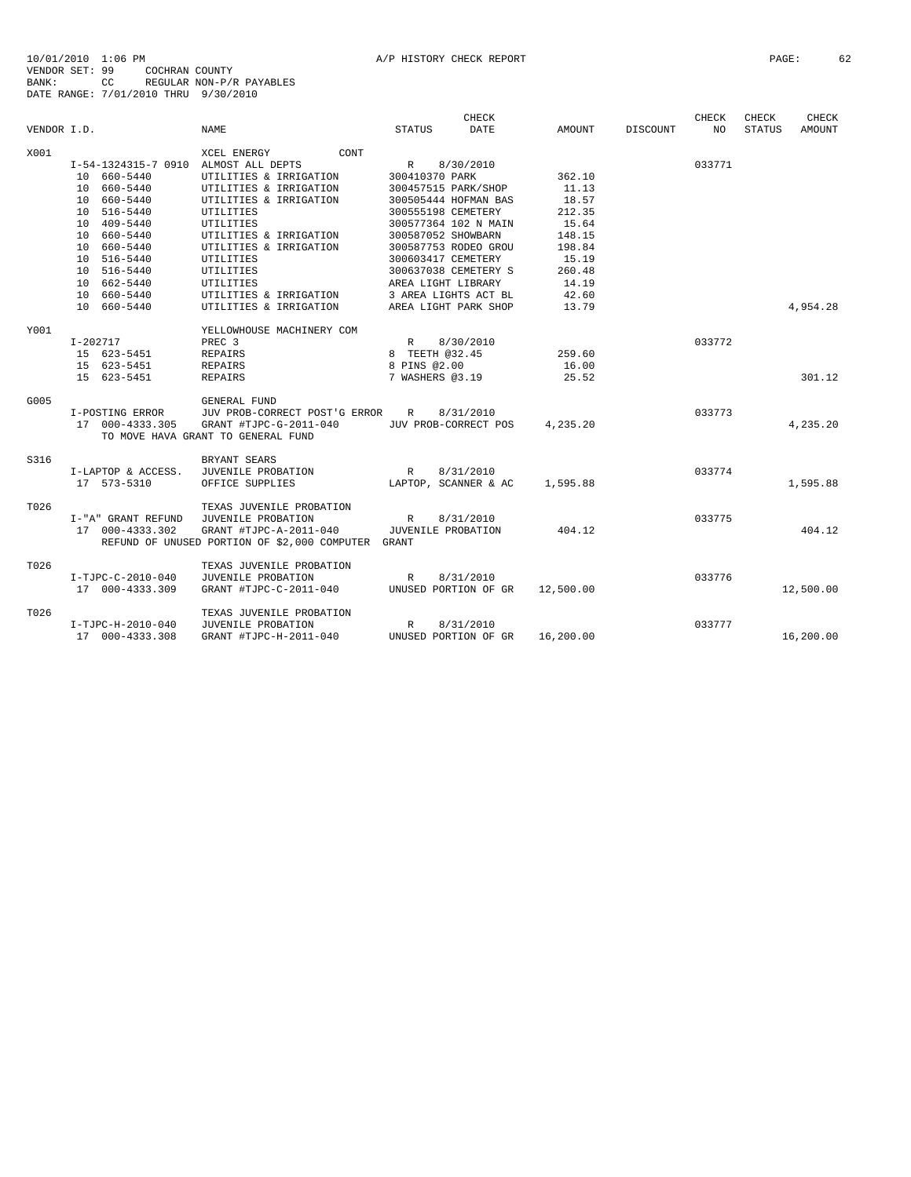|             |                                      |                                                    |                    | <b>CHECK</b>         |           |                 | CHECK  | <b>CHECK</b>  | CHECK     |
|-------------|--------------------------------------|----------------------------------------------------|--------------------|----------------------|-----------|-----------------|--------|---------------|-----------|
| VENDOR I.D. |                                      | <b>NAME</b>                                        | <b>STATUS</b>      | DATE                 | AMOUNT    | <b>DISCOUNT</b> | NO.    | <b>STATUS</b> | AMOUNT    |
| X001        |                                      | CONT<br>XCEL ENERGY                                |                    |                      |           |                 |        |               |           |
|             | I-54-1324315-7 0910 ALMOST ALL DEPTS |                                                    | $\mathbb{R}$       | 8/30/2010            |           |                 | 033771 |               |           |
|             | 10 660-5440                          | UTILITIES & IRRIGATION                             | 300410370 PARK     |                      | 362.10    |                 |        |               |           |
|             | 10 660-5440                          | UTILITIES & IRRIGATION                             |                    | 300457515 PARK/SHOP  | 11.13     |                 |        |               |           |
|             | 10 660-5440                          | UTILITIES & IRRIGATION                             |                    | 300505444 HOFMAN BAS | 18.57     |                 |        |               |           |
|             | 10 516-5440                          | UTILITIES                                          | 300555198 CEMETERY |                      | 212.35    |                 |        |               |           |
|             | 10 409-5440                          | UTILITIES                                          |                    | 300577364 102 N MAIN | 15.64     |                 |        |               |           |
|             | 10 660-5440                          | UTILITIES & IRRIGATION                             | 300587052 SHOWBARN |                      | 148.15    |                 |        |               |           |
|             | 10 660-5440                          | UTILITIES & IRRIGATION                             |                    | 300587753 RODEO GROU | 198.84    |                 |        |               |           |
|             | 10 516-5440                          | UTILITIES                                          | 300603417 CEMETERY |                      | 15.19     |                 |        |               |           |
|             | 10 516-5440                          | UTILITIES                                          |                    | 300637038 CEMETERY S | 260.48    |                 |        |               |           |
|             | 10 662-5440                          | UTILITIES                                          | AREA LIGHT LIBRARY |                      | 14.19     |                 |        |               |           |
|             | 10 660-5440                          | UTILITIES & IRRIGATION                             |                    | 3 AREA LIGHTS ACT BL | 42.60     |                 |        |               |           |
|             | 10 660-5440                          | UTILITIES & IRRIGATION                             |                    | AREA LIGHT PARK SHOP | 13.79     |                 |        |               | 4,954.28  |
| Y001        |                                      | YELLOWHOUSE MACHINERY COM                          |                    |                      |           |                 |        |               |           |
|             | $I - 202717$                         | PREC <sub>3</sub>                                  | R                  | 8/30/2010            |           |                 | 033772 |               |           |
|             | 15 623-5451                          | REPAIRS                                            | 8 TEETH @32.45     |                      | 259.60    |                 |        |               |           |
|             | 15 623-5451                          | REPAIRS                                            | 8 PINS @2.00       |                      | 16.00     |                 |        |               |           |
|             | 15 623-5451                          | <b>REPAIRS</b>                                     | 7 WASHERS @3.19    |                      | 25.52     |                 |        |               | 301.12    |
| G005        |                                      | GENERAL FUND                                       |                    |                      |           |                 |        |               |           |
|             | I-POSTING ERROR                      | JUV PROB-CORRECT POST'G ERROR R                    |                    | 8/31/2010            |           |                 | 033773 |               |           |
|             | 17 000-4333.305                      | GRANT #TJPC-G-2011-040                             |                    | JUV PROB-CORRECT POS | 4,235.20  |                 |        |               | 4,235.20  |
|             |                                      | TO MOVE HAVA GRANT TO GENERAL FUND                 |                    |                      |           |                 |        |               |           |
|             |                                      |                                                    |                    |                      |           |                 |        |               |           |
| S316        |                                      | BRYANT SEARS                                       |                    |                      |           |                 |        |               |           |
|             | I-LAPTOP & ACCESS.                   | JUVENILE PROBATION                                 | R                  | 8/31/2010            |           |                 | 033774 |               |           |
|             | 17 573-5310                          | OFFICE SUPPLIES                                    |                    | LAPTOP, SCANNER & AC | 1,595.88  |                 |        |               | 1,595.88  |
| T026        |                                      | TEXAS JUVENILE PROBATION                           |                    |                      |           |                 |        |               |           |
|             | I-"A" GRANT REFUND                   | JUVENILE PROBATION                                 | R                  | 8/31/2010            |           |                 | 033775 |               |           |
|             | 17 000-4333.302                      | GRANT #TJPC-A-2011-040                             | JUVENILE PROBATION |                      | 404.12    |                 |        |               | 404.12    |
|             |                                      | REFUND OF UNUSED PORTION OF \$2,000 COMPUTER GRANT |                    |                      |           |                 |        |               |           |
| T026        |                                      | TEXAS JUVENILE PROBATION                           |                    |                      |           |                 |        |               |           |
|             | I-TJPC-C-2010-040                    | JUVENILE PROBATION                                 | R                  | 8/31/2010            |           |                 | 033776 |               |           |
|             | 17 000-4333.309                      | GRANT #TJPC-C-2011-040                             |                    | UNUSED PORTION OF GR | 12,500.00 |                 |        |               | 12,500.00 |
|             |                                      |                                                    |                    |                      |           |                 |        |               |           |
| T026        |                                      | TEXAS JUVENILE PROBATION                           |                    |                      |           |                 |        |               |           |
|             | I-TJPC-H-2010-040                    | JUVENILE PROBATION                                 | R                  | 8/31/2010            |           |                 | 033777 |               |           |
|             | 17 000-4333.308                      | GRANT #TJPC-H-2011-040                             |                    | UNUSED PORTION OF GR | 16,200.00 |                 |        |               | 16,200.00 |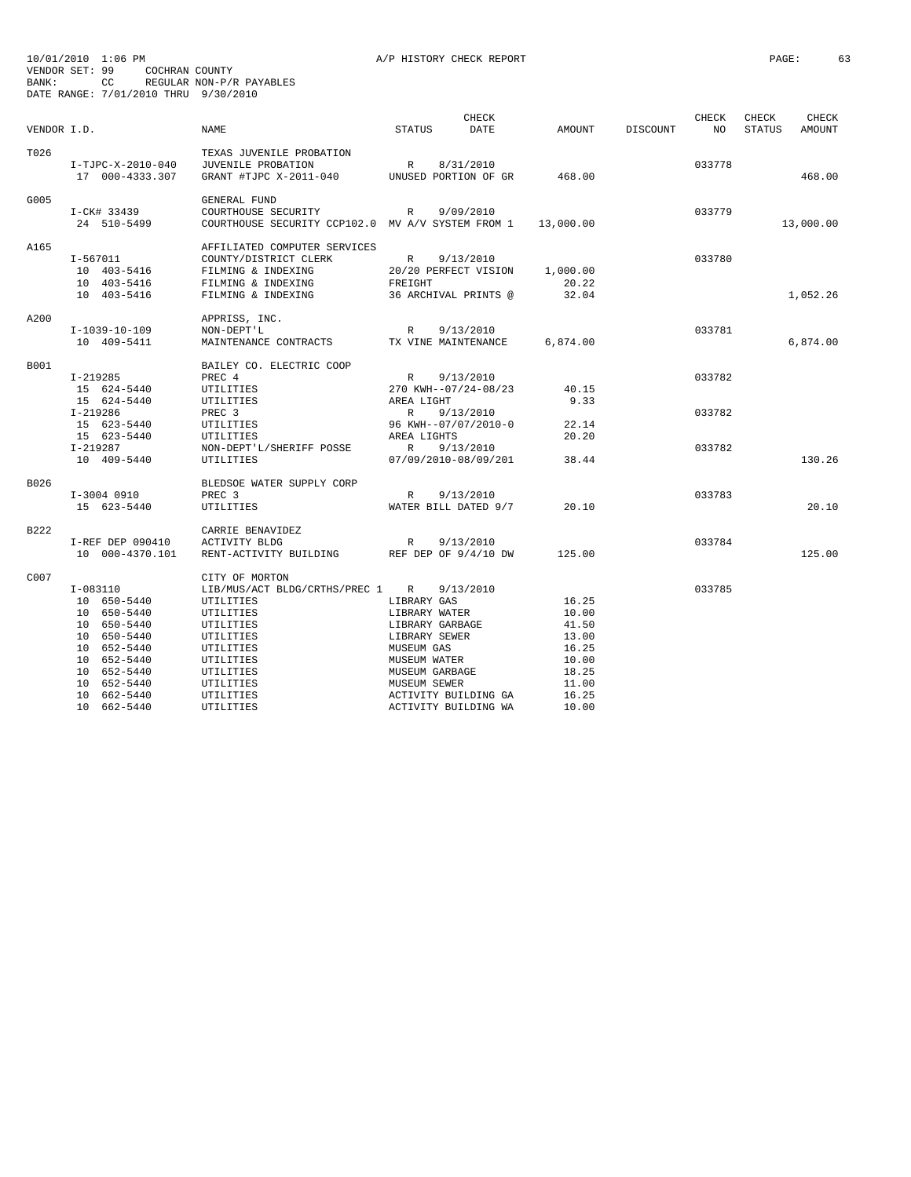| VENDOR I.D. |                   | <b>NAME</b>                                       | <b>STATUS</b>   | CHECK<br><b>DATE</b> | AMOUNT    | DISCOUNT | CHECK<br>NO | CHECK<br><b>STATUS</b> | CHECK<br>AMOUNT |
|-------------|-------------------|---------------------------------------------------|-----------------|----------------------|-----------|----------|-------------|------------------------|-----------------|
|             |                   |                                                   |                 |                      |           |          |             |                        |                 |
| T026        |                   | TEXAS JUVENILE PROBATION                          |                 |                      |           |          |             |                        |                 |
|             | I-TJPC-X-2010-040 | JUVENILE PROBATION                                | $\mathbb R$     | 8/31/2010            |           |          | 033778      |                        |                 |
|             | 17 000-4333.307   | GRANT #TJPC X-2011-040                            |                 | UNUSED PORTION OF GR | 468.00    |          |             |                        | 468.00          |
| G005        |                   | GENERAL FUND                                      |                 |                      |           |          |             |                        |                 |
|             | I-CK# 33439       | COURTHOUSE SECURITY                               | R               | 9/09/2010            |           |          | 033779      |                        |                 |
|             | 24 510-5499       | COURTHOUSE SECURITY CCP102.0 MV A/V SYSTEM FROM 1 |                 |                      | 13,000.00 |          |             |                        | 13,000.00       |
| A165        |                   | AFFILIATED COMPUTER SERVICES                      |                 |                      |           |          |             |                        |                 |
|             | $I - 567011$      | COUNTY/DISTRICT CLERK                             | $\mathbb{R}$    | 9/13/2010            |           |          | 033780      |                        |                 |
|             | 10 403-5416       | FILMING & INDEXING                                |                 | 20/20 PERFECT VISION | 1,000.00  |          |             |                        |                 |
|             | 10 403-5416       | FILMING & INDEXING                                | FREIGHT         |                      | 20.22     |          |             |                        |                 |
|             | 10 403-5416       | FILMING & INDEXING                                |                 | 36 ARCHIVAL PRINTS @ | 32.04     |          |             |                        | 1,052.26        |
| A200        |                   |                                                   |                 |                      |           |          |             |                        |                 |
|             | I-1039-10-109     | APPRISS, INC.<br>NON-DEPT'L                       | R               | 9/13/2010            |           |          | 033781      |                        |                 |
|             |                   |                                                   |                 |                      |           |          |             |                        |                 |
|             | 10 409-5411       | MAINTENANCE CONTRACTS                             |                 | TX VINE MAINTENANCE  | 6,874.00  |          |             |                        | 6,874.00        |
| B001        |                   | BAILEY CO. ELECTRIC COOP                          |                 |                      |           |          |             |                        |                 |
|             | $I-219285$        | PREC 4                                            | R               | 9/13/2010            |           |          | 033782      |                        |                 |
|             | 15 624-5440       | UTILITIES                                         |                 | 270 KWH--07/24-08/23 | 40.15     |          |             |                        |                 |
|             | 15 624-5440       | UTILITIES                                         | AREA LIGHT      |                      | 9.33      |          |             |                        |                 |
|             | I-219286          | PREC <sub>3</sub>                                 | R               | 9/13/2010            |           |          | 033782      |                        |                 |
|             | 15 623-5440       | UTILITIES                                         |                 | 96 KWH--07/07/2010-0 | 22.14     |          |             |                        |                 |
|             | 15 623-5440       | UTILITIES                                         | AREA LIGHTS     |                      | 20.20     |          |             |                        |                 |
|             | $I-219287$        | NON-DEPT'L/SHERIFF POSSE                          | $\mathbb{R}$    | 9/13/2010            |           |          | 033782      |                        |                 |
|             | 10 409-5440       | UTILITIES                                         |                 | 07/09/2010-08/09/201 | 38.44     |          |             |                        | 130.26          |
| B026        |                   | BLEDSOE WATER SUPPLY CORP                         |                 |                      |           |          |             |                        |                 |
|             | I-3004 0910       | PREC <sub>3</sub>                                 | $\mathbb{R}$    | 9/13/2010            |           |          | 033783      |                        |                 |
|             | 15 623-5440       | UTILITIES                                         |                 | WATER BILL DATED 9/7 | 20.10     |          |             |                        | 20.10           |
| B222        |                   | CARRIE BENAVIDEZ                                  |                 |                      |           |          |             |                        |                 |
|             | I-REF DEP 090410  | ACTIVITY BLDG                                     | $\mathbb{R}$    | 9/13/2010            |           |          | 033784      |                        |                 |
|             | 10 000-4370.101   | RENT-ACTIVITY BUILDING                            |                 | REF DEP OF 9/4/10 DW | 125.00    |          |             |                        | 125.00          |
| C007        |                   | CITY OF MORTON                                    |                 |                      |           |          |             |                        |                 |
|             | $I-083110$        | LIB/MUS/ACT BLDG/CRTHS/PREC 1                     | $\mathbb{R}$    | 9/13/2010            |           |          | 033785      |                        |                 |
|             | 10 650-5440       | UTILITIES                                         | LIBRARY GAS     |                      | 16.25     |          |             |                        |                 |
|             | 10 650-5440       | UTILITIES                                         | LIBRARY WATER   |                      | 10.00     |          |             |                        |                 |
|             | 10 650-5440       | UTILITIES                                         | LIBRARY GARBAGE |                      | 41.50     |          |             |                        |                 |
|             | 10 650-5440       | UTILITIES                                         | LIBRARY SEWER   |                      | 13.00     |          |             |                        |                 |
|             | 10 652-5440       | UTILITIES                                         | MUSEUM GAS      |                      | 16.25     |          |             |                        |                 |
|             | 10 652-5440       | UTILITIES                                         | MUSEUM WATER    |                      | 10.00     |          |             |                        |                 |
|             | 10 652-5440       | UTILITIES                                         | MUSEUM GARBAGE  |                      | 18.25     |          |             |                        |                 |
|             | 10 652-5440       | UTILITIES                                         | MUSEUM SEWER    |                      | 11.00     |          |             |                        |                 |
|             | 10 662-5440       | UTILITIES                                         |                 | ACTIVITY BUILDING GA | 16.25     |          |             |                        |                 |
|             | 10 662-5440       | UTILITIES                                         |                 | ACTIVITY BUILDING WA | 10.00     |          |             |                        |                 |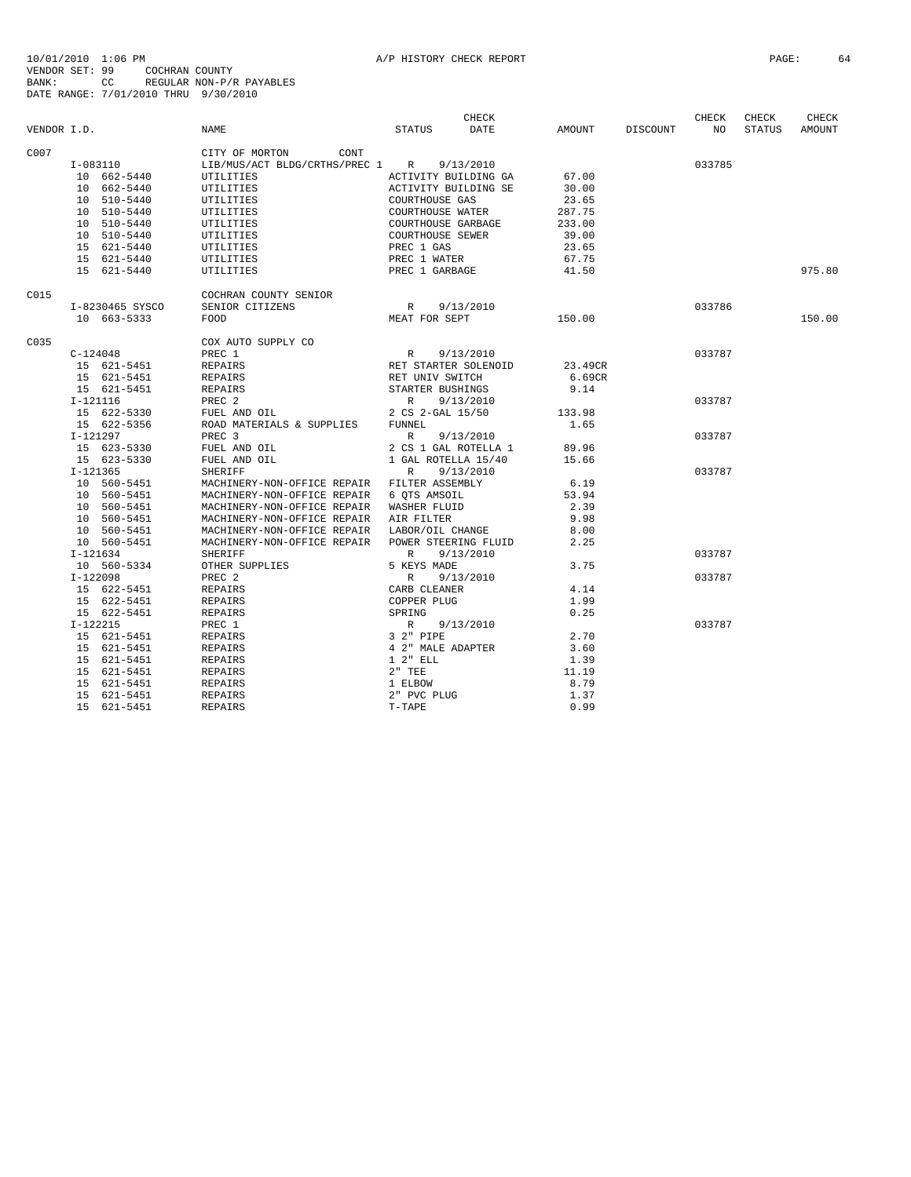|             |            |                                |                                                                                  |                                                         | CHECK                |                    | CHECK  | CHECK  | CHECK  |
|-------------|------------|--------------------------------|----------------------------------------------------------------------------------|---------------------------------------------------------|----------------------|--------------------|--------|--------|--------|
| VENDOR I.D. |            |                                | NAME                                                                             | STATUS                                                  | <b>DATE</b>          | AMOUNT DISCOUNT NO |        | STATUS | AMOUNT |
| C007        |            |                                | CITY OF MORTON CONT                                                              |                                                         |                      |                    |        |        |        |
|             |            | $I-083110$                     | LIB/MUS/ACT BLDG/CRTHS/PREC 1 R 9/13/2010                                        |                                                         |                      |                    | 033785 |        |        |
|             |            | 10 662-5440                    | UTILITIES                                                                        | ACTIVITY BUILDING GA                                    |                      | 67.00              |        |        |        |
|             |            | 10 662-5440                    | UTILITIES                                                                        | ACTIVITY BUILDING SE                                    |                      | 30.00              |        |        |        |
|             |            | 10 510-5440                    | UTILITIES                                                                        | COURTHOUSE GAS                                          |                      | 23.65              |        |        |        |
|             |            | 10 510-5440                    | UTILITIES                                                                        | COURTHOUSE WATER                                        |                      | 287.75             |        |        |        |
|             |            | 10 510-5440                    | UTILITIES                                                                        | COURTHOUSE GARBAGE                                      |                      | 233.00             |        |        |        |
|             |            | 10 510-5440                    | UTILITIES                                                                        |                                                         |                      | 39.00              |        |        |        |
|             |            | 15 621-5440                    | UTILITIES                                                                        | COURTHOUSE SEWER<br>PREC 1 GAS                          |                      | 23.65              |        |        |        |
|             |            | 15 621-5440                    | UTILITIES                                                                        | PREC 1 WATER                                            |                      | 67.75              |        |        |        |
|             |            | 15 621-5440                    | UTILITIES                                                                        | PREC 1 GARBAGE                                          |                      | 41.50              |        |        | 975.80 |
| C015        |            |                                | COCHRAN COUNTY SENIOR                                                            |                                                         |                      |                    |        |        |        |
|             |            | I-8230465 SYSCO                | SENIOR CITIZENS                                                                  | R 9/13/2010                                             |                      |                    | 033786 |        |        |
|             |            | 10 663-5333                    | FOOD                                                                             | MEAT FOR SEPT                                           |                      | 150.00             |        |        | 150.00 |
| C035        |            |                                | COX AUTO SUPPLY CO                                                               |                                                         |                      |                    |        |        |        |
|             |            | $C-124048$                     | PREC 1                                                                           | R 9/13/2010                                             |                      |                    | 033787 |        |        |
|             |            | 15 621-5451                    | REPAIRS                                                                          |                                                         | RET STARTER SOLENOID | 23.49CR            |        |        |        |
|             |            | 15 621-5451                    | REPAIRS                                                                          | RET UNIV SWITCH                                         |                      | 6.69CR             |        |        |        |
|             |            | 15 621-5451                    | REPAIRS                                                                          | STARTER BUSHINGS                                        |                      | 9.14               |        |        |        |
|             |            | I-121116                       | PREC 2<br>FUEL AND OIL 2 CS 2-GAL 15/50<br>ROAD MATERIALS & SUPPLIES FUNNEL 1.65 |                                                         |                      |                    | 033787 |        |        |
|             |            | $15$ 622-5330<br>$15$ 622-5330 |                                                                                  |                                                         |                      |                    |        |        |        |
|             |            | 15 622-5356                    |                                                                                  |                                                         |                      |                    |        |        |        |
|             |            | I-121297                       | PREC 3                                                                           |                                                         | R 9/13/2010          |                    | 033787 |        |        |
|             |            | 15 623-5330                    | FUEL AND OIL                                                                     |                                                         | 2 CS 1 GAL ROTELLA 1 | 89.96              |        |        |        |
|             |            | 15 623-5330                    | FUEL AND OIL                                                                     | 1 GAL ROTELLA 15/40                                     |                      | 15.66              |        |        |        |
|             | $I-121365$ |                                | SHERIFF                                                                          | R 9/13/2010                                             |                      |                    | 033787 |        |        |
|             |            |                                | MACHINERY-NON-OFFICE REPAIR FILTER ASSEMBLY                                      |                                                         |                      | 6.19               |        |        |        |
|             |            | $10$ 560-5451<br>10 560-5451   | MACHINERY-NON-OFFICE REPAIR 6 QTS AMSOIL                                         |                                                         |                      | 53.94              |        |        |        |
|             |            | 10 560-5451                    | MACHINERY-NON-OFFICE REPAIR WASHER FLUID                                         |                                                         |                      | 2.39               |        |        |        |
|             |            | 10 560-5451                    | MACHINERY-NON-OFFICE REPAIR AIR FILTER                                           |                                                         |                      | 9.98               |        |        |        |
|             |            | 10 560-5451                    | MACHINERY-NON-OFFICE REPAIR LABOR/OIL CHANGE                                     |                                                         |                      | 8.00               |        |        |        |
|             |            | 10 560-5451                    | MACHINERY-NON-OFFICE REPAIR POWER STEERING FLUID                                 |                                                         |                      | 2.25               |        |        |        |
|             |            | $I-121634$                     | SHERIFF                                                                          | R 9/13/2010                                             |                      |                    | 033787 |        |        |
|             |            | 10 560-5334                    | OTHER SUPPLIES                                                                   | 5 KEYS MADE                                             |                      | 3.75               |        |        |        |
|             |            | $I-122098$                     | PREC 2                                                                           | R 9/13/2010                                             |                      |                    | 033787 |        |        |
|             |            | 15 622-5451                    | REPAIRS                                                                          | CARB CLEANER                                            |                      | 4.14               |        |        |        |
|             |            | 15 622-5451                    | REPAIRS                                                                          | COPPER PLUG                                             |                      | 1.99               |        |        |        |
|             |            | 15 622-5451                    | REPAIRS                                                                          | SPRING<br>R 9/13/2010<br>3 2" PIPE<br>4 2" MALE ADAPTER |                      | 0.25               |        |        |        |
|             |            | $I-122215$                     | PREC 1                                                                           |                                                         |                      |                    | 033787 |        |        |
|             |            | 15 621-5451                    | REPAIRS                                                                          |                                                         |                      | 2.70               |        |        |        |
|             |            | 15 621-5451                    | REPAIRS                                                                          |                                                         |                      | 3.60               |        |        |        |
|             |            | 15 621-5451                    | REPAIRS                                                                          | $1\ 2$ " $\mathop{\hbox{\rm ELL}}$                      |                      | 1.39               |        |        |        |
|             |            | 15 621-5451                    | REPAIRS                                                                          | $2"$ TEE                                                |                      | 11.19              |        |        |        |
|             |            | 15 621-5451                    | REPAIRS                                                                          |                                                         |                      | 8.79               |        |        |        |
|             |            | 15 621-5451                    | REPAIRS                                                                          | 1 ELBOW<br>2" PVC PLUG                                  |                      | 1.37               |        |        |        |
|             |            | 15 621-5451                    | REPAIRS                                                                          | $T-TABLE$                                               |                      | 0.99               |        |        |        |
|             |            |                                |                                                                                  |                                                         |                      |                    |        |        |        |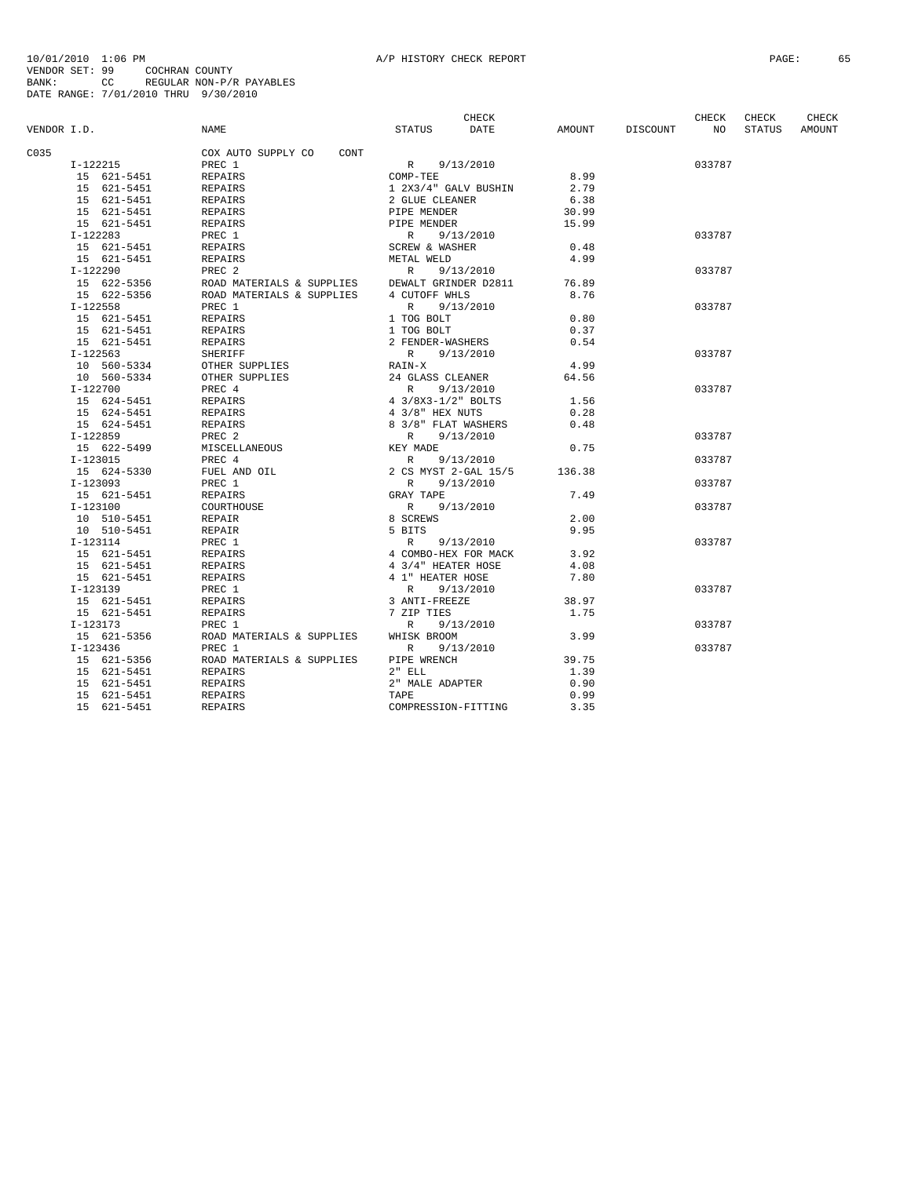|             |                            |                            | CHECK                        |        |          | CHECK  | CHECK         | CHECK  |
|-------------|----------------------------|----------------------------|------------------------------|--------|----------|--------|---------------|--------|
| VENDOR I.D. |                            | NAME                       | <b>DATE</b><br><b>STATUS</b> | AMOUNT | DISCOUNT | NO.    | <b>STATUS</b> | AMOUNT |
| C035        |                            | COX AUTO SUPPLY CO<br>CONT |                              |        |          |        |               |        |
|             | I-122215                   | PREC 1                     | 9/13/2010<br>R               |        |          | 033787 |               |        |
|             | 15 621-5451                | REPAIRS                    | COMP-TEE                     | 8.99   |          |        |               |        |
|             | 15 621-5451                | REPAIRS                    | 1 2X3/4" GALV BUSHIN         | 2.79   |          |        |               |        |
|             | 15 621-5451                | REPAIRS                    | 2 GLUE CLEANER               | 6.38   |          |        |               |        |
|             | 15 621-5451                | <b>REPAIRS</b>             | PIPE MENDER                  | 30.99  |          |        |               |        |
|             | 15 621-5451                | REPAIRS                    | PIPE MENDER                  | 15.99  |          |        |               |        |
|             | $I-122283$                 | PREC 1                     | R 9/13/2010                  |        |          | 033787 |               |        |
|             | 15 621-5451                | REPAIRS                    | SCREW & WASHER               | 0.48   |          |        |               |        |
|             | 15 621-5451                | <b>REPAIRS</b>             | METAL WELD                   | 4.99   |          |        |               |        |
|             | I-122290                   | PREC <sub>2</sub>          | $\mathbb{R}$<br>9/13/2010    |        |          | 033787 |               |        |
|             | 15 622-5356                | ROAD MATERIALS & SUPPLIES  | DEWALT GRINDER D2811         | 76.89  |          |        |               |        |
|             | 15 622-5356                | ROAD MATERIALS & SUPPLIES  | 4 CUTOFF WHLS                | 8.76   |          |        |               |        |
|             | $I-122558$                 | PREC 1                     | $\mathbb{R}$<br>9/13/2010    |        |          | 033787 |               |        |
|             | 15 621-5451                | REPAIRS                    | 1 TOG BOLT                   | 0.80   |          |        |               |        |
|             | 15 621-5451                | REPAIRS                    | 1 TOG BOLT                   | 0.37   |          |        |               |        |
|             | 15 621-5451                |                            | 2 FENDER-WASHERS             | 0.54   |          |        |               |        |
|             | $I-122563$                 | REPAIRS<br>SHERIFF         | 9/13/2010<br>R               |        |          | 033787 |               |        |
|             |                            |                            |                              | 4.99   |          |        |               |        |
|             | 10 560-5334<br>10 560-5334 | OTHER SUPPLIES             | RAIN-X<br>24 GLASS CLEANER   | 64.56  |          |        |               |        |
|             |                            | OTHER SUPPLIES             | $\mathbb{R}$                 |        |          | 033787 |               |        |
|             | $I-122700$                 | PREC 4                     | 9/13/2010                    |        |          |        |               |        |
|             | 15 624-5451                | REPAIRS                    | 4 3/8X3-1/2" BOLTS           | 1.56   |          |        |               |        |
|             | 15 624-5451                | REPAIRS                    | 4 3/8" HEX NUTS              | 0.28   |          |        |               |        |
|             | 15 624-5451                | REPAIRS                    | 8 3/8" FLAT WASHERS          | 0.48   |          |        |               |        |
|             | $I-122859$                 | PREC <sub>2</sub>          | 9/13/2010<br>R               |        |          | 033787 |               |        |
|             | 15 622-5499                | MISCELLANEOUS              | KEY MADE                     | 0.75   |          |        |               |        |
|             | $I - 123015$               | PREC 4                     | 9/13/2010<br>R               |        |          | 033787 |               |        |
|             | 15 624-5330                | FUEL AND OIL               | 2 CS MYST 2-GAL 15/5         | 136.38 |          |        |               |        |
|             | $I-123093$                 | PREC 1                     | 9/13/2010<br>R               |        |          | 033787 |               |        |
|             | 15 621-5451                | REPAIRS                    | GRAY TAPE                    | 7.49   |          |        |               |        |
|             | $I - 123100$               | COURTHOUSE                 | 9/13/2010<br>R               |        |          | 033787 |               |        |
|             | 10 510-5451                | REPAIR                     | 8 SCREWS                     | 2.00   |          |        |               |        |
|             | 10 510-5451                | REPAIR                     | 5 BITS                       | 9.95   |          |        |               |        |
|             | $I-123114$                 | PREC 1                     | 9/13/2010<br>$\mathbb{R}$    |        |          | 033787 |               |        |
|             | 15 621-5451                | REPAIRS                    | 4 COMBO-HEX FOR MACK         | 3.92   |          |        |               |        |
|             | 15 621-5451                | REPAIRS                    | 4 3/4" HEATER HOSE           | 4.08   |          |        |               |        |
|             | 15 621-5451                | REPAIRS                    | 4 1" HEATER HOSE             | 7.80   |          |        |               |        |
|             | $I-123139$                 | PREC 1                     | 9/13/2010<br>R               |        |          | 033787 |               |        |
|             | 15 621-5451                | REPAIRS                    | 3 ANTI-FREEZE                | 38.97  |          |        |               |        |
|             | 15 621-5451                | <b>REPAIRS</b>             | 7 ZIP TIES                   | 1.75   |          |        |               |        |
|             | $I-123173$                 | PREC 1                     | 9/13/2010<br>R               |        |          | 033787 |               |        |
|             | 15 621-5356                | ROAD MATERIALS & SUPPLIES  | WHISK BROOM                  | 3.99   |          |        |               |        |
|             | I-123436                   | PREC 1                     | $\mathbb{R}$<br>9/13/2010    |        |          | 033787 |               |        |
|             | 15 621-5356                | ROAD MATERIALS & SUPPLIES  | PIPE WRENCH                  | 39.75  |          |        |               |        |
|             | 15 621-5451                | REPAIRS                    | $2"$ ELL                     | 1.39   |          |        |               |        |
|             | 15 621-5451                | <b>REPAIRS</b>             | 2" MALE ADAPTER              | 0.90   |          |        |               |        |
|             | 15 621-5451                | REPAIRS                    | TAPE                         | 0.99   |          |        |               |        |
|             | 15 621-5451                | <b>REPAIRS</b>             | COMPRESSION-FITTING          | 3.35   |          |        |               |        |
|             |                            |                            |                              |        |          |        |               |        |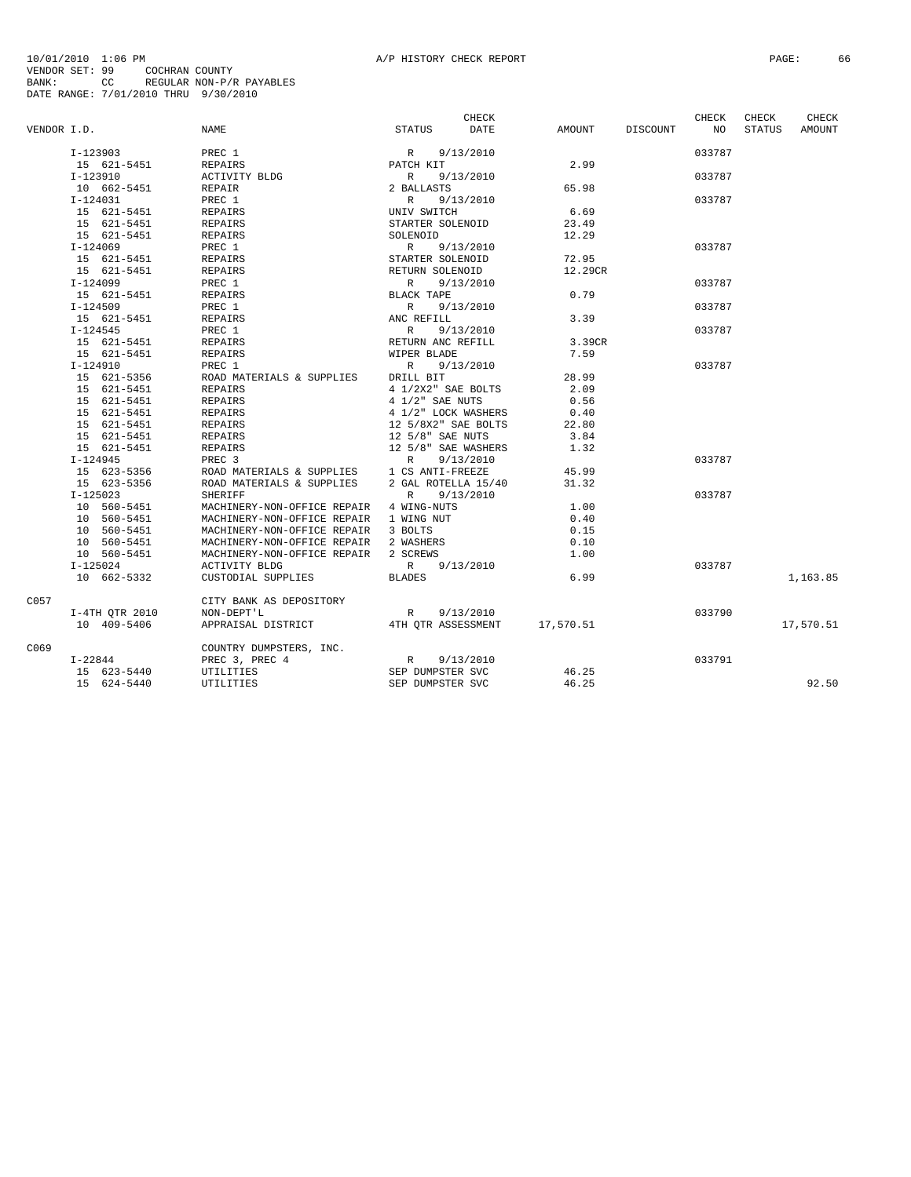|             |                |                                                 | CHECK                        |         |                 | CHECK           | CHECK         | CHECK     |
|-------------|----------------|-------------------------------------------------|------------------------------|---------|-----------------|-----------------|---------------|-----------|
| VENDOR I.D. |                | <b>NAME</b>                                     | <b>STATUS</b><br><b>DATE</b> |         | AMOUNT DISCOUNT | NO <sub>1</sub> | <b>STATUS</b> | AMOUNT    |
|             | I-123903       | PREC 1                                          | $R = 9/13/2010$<br>PATCH KIT |         |                 | 033787          |               |           |
|             | 15 621-5451    | REPAIRS                                         |                              | 2.99    |                 |                 |               |           |
|             | I-123910       | ACTIVITY BLDG                                   | 9/13/2010<br>R               |         |                 | 033787          |               |           |
|             | 10 662-5451    | REPAIR                                          | 2 BALLASTS                   | 65.98   |                 |                 |               |           |
|             | $I-124031$     | PREC 1                                          | 9/13/2010<br>R               |         |                 | 033787          |               |           |
|             | 15 621-5451    | REPAIRS                                         | UNIV SWITCH                  | 6.69    |                 |                 |               |           |
|             | 15 621-5451    | REPAIRS                                         | STARTER SOLENOID             | 23.49   |                 |                 |               |           |
|             | 15 621-5451    | REPAIRS                                         | SOLENOID                     | 12.29   |                 |                 |               |           |
|             | $I-124069$     | PREC 1                                          | R 9/13/2010                  |         |                 | 033787          |               |           |
|             | 15 621-5451    | REPAIRS                                         | STARTER SOLENOID             | 72.95   |                 |                 |               |           |
|             | 15 621-5451    | REPAIRS                                         | RETURN SOLENOID              | 12.29CR |                 |                 |               |           |
|             | I-124099       | PREC 1                                          | R<br>9/13/2010               |         |                 | 033787          |               |           |
|             | 15 621-5451    | REPAIRS                                         | BLACK TAPE                   | 0.79    |                 |                 |               |           |
|             | $I - 124509$   | PREC 1                                          | R<br>9/13/2010               |         |                 | 033787          |               |           |
|             | 15 621-5451    | REPAIRS                                         | ANC REFILL                   | 3.39    |                 |                 |               |           |
|             | $I - 124545$   | PREC 1                                          | R 9/13/2010                  |         |                 | 033787          |               |           |
|             | 15 621-5451    | REPAIRS                                         | RETURN ANC REFILL            | 3.39CR  |                 |                 |               |           |
|             | 15 621-5451    | REPAIRS                                         | WIPER BLADE                  | 7.59    |                 |                 |               |           |
|             | $I-124910$     | PREC 1                                          | R 9/13/2010                  |         |                 | 033787          |               |           |
|             | 15 621-5356    | ROAD MATERIALS & SUPPLIES DRILL BIT             |                              | 28.99   |                 |                 |               |           |
|             | 15 621-5451    | REPAIRS                                         | 4 1/2X2" SAE BOLTS           | 2.09    |                 |                 |               |           |
|             | 15 621-5451    | REPAIRS                                         | 4 1/2" SAE NUTS              | 0.56    |                 |                 |               |           |
|             | 15 621-5451    | REPAIRS                                         | 4 1/2" LOCK WASHERS          | 0.40    |                 |                 |               |           |
|             | 15 621-5451    | REPAIRS                                         | 12 5/8X2" SAE BOLTS          | 22.80   |                 |                 |               |           |
|             | 15 621-5451    | REPAIRS                                         | 12 5/8" SAE NUTS             | 3.84    |                 |                 |               |           |
|             | 15 621-5451    | REPAIRS                                         | 12 5/8" SAE WASHERS          | 1.32    |                 |                 |               |           |
|             | $I - 124945$   | PREC <sub>3</sub>                               | R<br>9/13/2010               |         |                 | 033787          |               |           |
|             | 15 623-5356    |                                                 |                              | 45.99   |                 |                 |               |           |
|             | 15 623-5356    |                                                 |                              | 31.32   |                 |                 |               |           |
|             | $I-125023$     | <b>SHERIFF</b>                                  | 9/13/2010<br>$\mathbb{R}$    |         |                 | 033787          |               |           |
|             | 10 560-5451    | MACHINERY-NON-OFFICE REPAIR 4 WING-NUTS         |                              | 1.00    |                 |                 |               |           |
|             | 10 560-5451    | MACHINERY-NON-OFFICE REPAIR 1 WING NUT          |                              | 0.40    |                 |                 |               |           |
|             | 10 560-5451    | MACHINERY-NON-OFFICE REPAIR 3 BOLTS             |                              | 0.15    |                 |                 |               |           |
|             | 10 560-5451    | MACHINERY-NON-OFFICE REPAIR 2 WASHERS           |                              | 0.10    |                 |                 |               |           |
|             | 10 560-5451    | MACHINERY-NON-OFFICE REPAIR 2 SCREWS            |                              | 1.00    |                 |                 |               |           |
|             | $I-125024$     | ACTIVITY BLDG                                   | R 9/13/2010                  |         |                 | 033787          |               |           |
|             | 10 662-5332    | CUSTODIAL SUPPLIES                              | <b>BLADES</b>                | 6.99    |                 |                 |               | 1,163.85  |
| C057        |                | CITY BANK AS DEPOSITORY                         |                              |         |                 |                 |               |           |
|             | I-4TH QTR 2010 | NON-DEPT'L                                      | R<br>9/13/2010               |         |                 | 033790          |               |           |
|             | 10 409-5406    | APPRAISAL DISTRICT 4TH OTR ASSESSMENT 17,570.51 |                              |         |                 |                 |               | 17,570.51 |
| C069        |                | COUNTRY DUMPSTERS, INC.                         |                              |         |                 |                 |               |           |
|             | I-22844        | PREC 3, PREC 4                                  | R<br>9/13/2010               |         |                 | 033791          |               |           |
|             | 15 623-5440    | UTILITIES                                       | SEP DUMPSTER SVC             | 46.25   |                 |                 |               |           |
|             | 15 624-5440    | UTILITIES                                       | SEP DUMPSTER SVC             | 46.25   |                 |                 |               | 92.50     |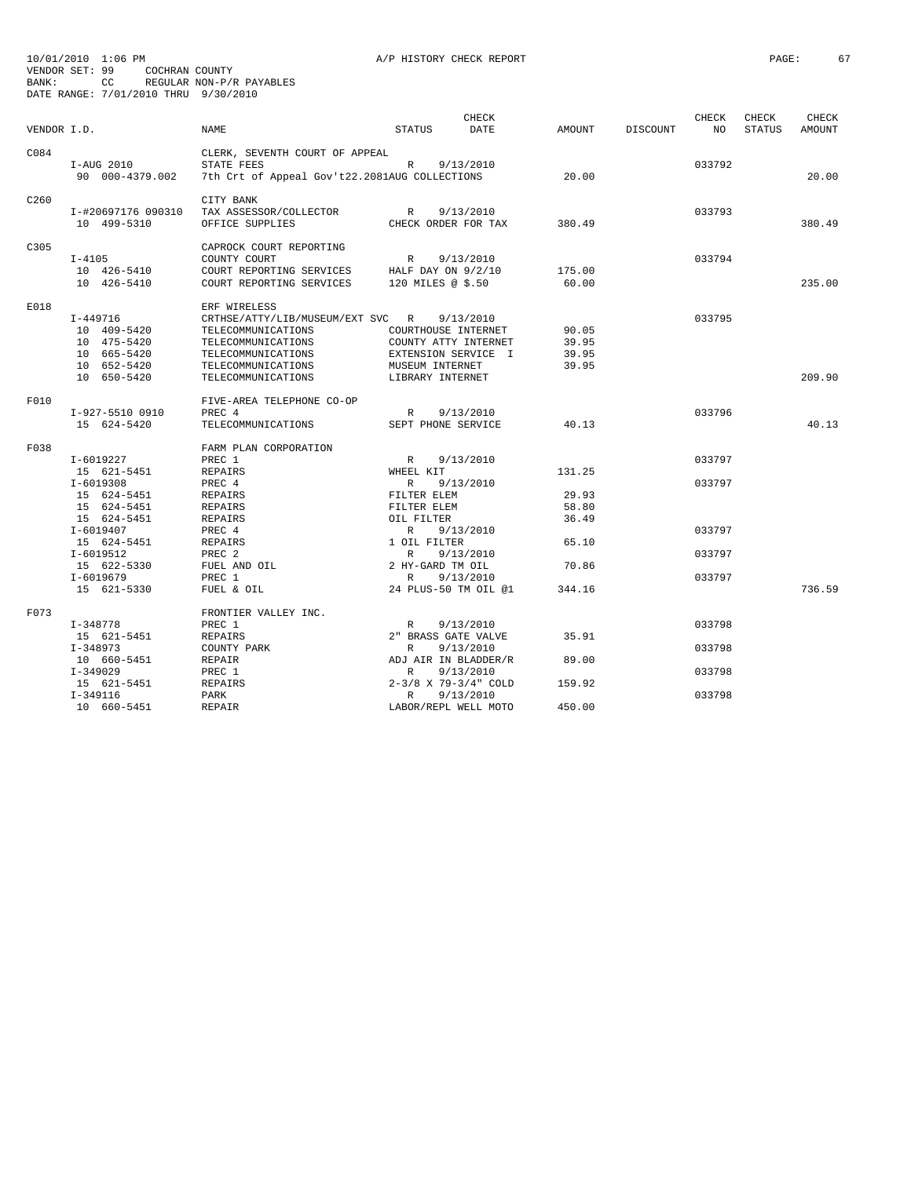| VENDOR I.D.      |                                   | NAME                                                   | <b>STATUS</b>            | <b>CHECK</b><br><b>DATE</b> | <b>AMOUNT</b> | <b>DISCOUNT</b> | <b>CHECK</b><br>NO. | CHECK<br><b>STATUS</b> | CHECK<br><b>AMOUNT</b> |
|------------------|-----------------------------------|--------------------------------------------------------|--------------------------|-----------------------------|---------------|-----------------|---------------------|------------------------|------------------------|
| C084             | I-AUG 2010                        | CLERK, SEVENTH COURT OF APPEAL<br>STATE FEES           | R                        | 9/13/2010                   |               |                 | 033792              |                        |                        |
|                  | 90 000-4379.002                   | 7th Crt of Appeal Gov't22.2081AUG COLLECTIONS          |                          |                             | 20.00         |                 |                     |                        | 20.00                  |
| C <sub>260</sub> | I-#20697176 090310<br>10 499-5310 | CITY BANK<br>TAX ASSESSOR/COLLECTOR<br>OFFICE SUPPLIES | R<br>CHECK ORDER FOR TAX | 9/13/2010                   | 380.49        |                 | 033793              |                        | 380.49                 |
| C305             |                                   | CAPROCK COURT REPORTING                                |                          |                             |               |                 |                     |                        |                        |
|                  | $I - 4105$                        | COUNTY COURT                                           | $\mathbb R$              | 9/13/2010                   |               |                 | 033794              |                        |                        |
|                  | 10 426-5410                       | COURT REPORTING SERVICES                               | HALF DAY ON $9/2/10$     |                             | 175.00        |                 |                     |                        |                        |
|                  | 10 426-5410                       | COURT REPORTING SERVICES                               | 120 MILES @ \$.50        |                             | 60.00         |                 |                     |                        | 235.00                 |
| E018             |                                   | ERF WIRELESS                                           |                          |                             |               |                 |                     |                        |                        |
|                  | $I-449716$                        | CRTHSE/ATTY/LIB/MUSEUM/EXT SVC R                       |                          | 9/13/2010                   |               |                 | 033795              |                        |                        |
|                  | 10 409-5420                       | TELECOMMUNICATIONS                                     | COURTHOUSE INTERNET      |                             | 90.05         |                 |                     |                        |                        |
|                  | 10 475-5420                       | TELECOMMUNICATIONS                                     | COUNTY ATTY INTERNET     |                             | 39.95         |                 |                     |                        |                        |
|                  | 10 665-5420                       | TELECOMMUNICATIONS                                     | EXTENSION SERVICE I      |                             | 39.95         |                 |                     |                        |                        |
|                  | 10 652-5420                       | TELECOMMUNICATIONS                                     | MUSEUM INTERNET          |                             | 39.95         |                 |                     |                        |                        |
|                  | 10 650-5420                       | TELECOMMUNICATIONS                                     | LIBRARY INTERNET         |                             |               |                 |                     |                        | 209.90                 |
| F010             |                                   | FIVE-AREA TELEPHONE CO-OP                              |                          |                             |               |                 |                     |                        |                        |
|                  | I-927-5510 0910                   | PREC 4                                                 | R                        | 9/13/2010                   |               |                 | 033796              |                        |                        |
|                  | 15 624-5420                       | TELECOMMUNICATIONS                                     | SEPT PHONE SERVICE       |                             | 40.13         |                 |                     |                        | 40.13                  |
| F038             |                                   | FARM PLAN CORPORATION                                  |                          |                             |               |                 |                     |                        |                        |
|                  | I-6019227                         | PREC 1                                                 | $\mathbb{R}$             | 9/13/2010                   |               |                 | 033797              |                        |                        |
|                  | 15 621-5451                       | REPAIRS                                                | WHEEL KIT                |                             | 131.25        |                 |                     |                        |                        |
|                  | $I-6019308$                       | PREC 4                                                 | $\mathbb{R}$             | 9/13/2010                   |               |                 | 033797              |                        |                        |
|                  | 15 624-5451                       | <b>REPAIRS</b>                                         | FILTER ELEM              |                             | 29.93         |                 |                     |                        |                        |
|                  | 15 624-5451                       | <b>REPAIRS</b>                                         | FILTER ELEM              |                             | 58.80         |                 |                     |                        |                        |
|                  | 15 624-5451                       | REPAIRS                                                | OIL FILTER               |                             | 36.49         |                 |                     |                        |                        |
|                  | I-6019407                         | PREC 4                                                 | $\mathbb{R}$             | 9/13/2010                   |               |                 | 033797              |                        |                        |
|                  | 15 624-5451                       | REPAIRS                                                | 1 OIL FILTER             |                             | 65.10         |                 |                     |                        |                        |
|                  | $I-6019512$                       | PREC <sub>2</sub>                                      | $\mathbb{R}$             | 9/13/2010                   |               |                 | 033797              |                        |                        |
|                  | 15 622-5330                       | FUEL AND OIL                                           | 2 HY-GARD TM OIL         |                             | 70.86         |                 |                     |                        |                        |
|                  | $I - 6019679$                     | PREC 1                                                 | $\mathbb{R}$             | 9/13/2010                   |               |                 | 033797              |                        |                        |
|                  | 15 621-5330                       | FUEL & OIL                                             | 24 PLUS-50 TM OIL @1     |                             | 344.16        |                 |                     |                        | 736.59                 |
| F073             |                                   | FRONTIER VALLEY INC.                                   |                          |                             |               |                 |                     |                        |                        |
|                  | $I-348778$                        | PREC 1                                                 | R                        | 9/13/2010                   |               |                 | 033798              |                        |                        |
|                  | 15 621-5451                       | <b>REPAIRS</b>                                         | 2" BRASS GATE VALVE      |                             | 35.91         |                 |                     |                        |                        |
|                  | $I-348973$                        | COUNTY PARK                                            | $\mathbb{R}$             | 9/13/2010                   |               |                 | 033798              |                        |                        |
|                  | 10 660-5451                       | REPAIR                                                 | ADJ AIR IN BLADDER/R     |                             | 89.00         |                 |                     |                        |                        |
|                  | $I - 349029$                      | PREC 1                                                 | $\mathbb{R}$             | 9/13/2010                   |               |                 | 033798              |                        |                        |
|                  | 15 621-5451                       | REPAIRS                                                | 2-3/8 X 79-3/4" COLD     |                             | 159.92        |                 |                     |                        |                        |
|                  | $I-349116$                        | <b>PARK</b>                                            | $\mathbb{R}$             | 9/13/2010                   |               |                 | 033798              |                        |                        |
|                  | 10 660-5451                       | REPAIR                                                 | LABOR/REPL WELL MOTO     |                             | 450.00        |                 |                     |                        |                        |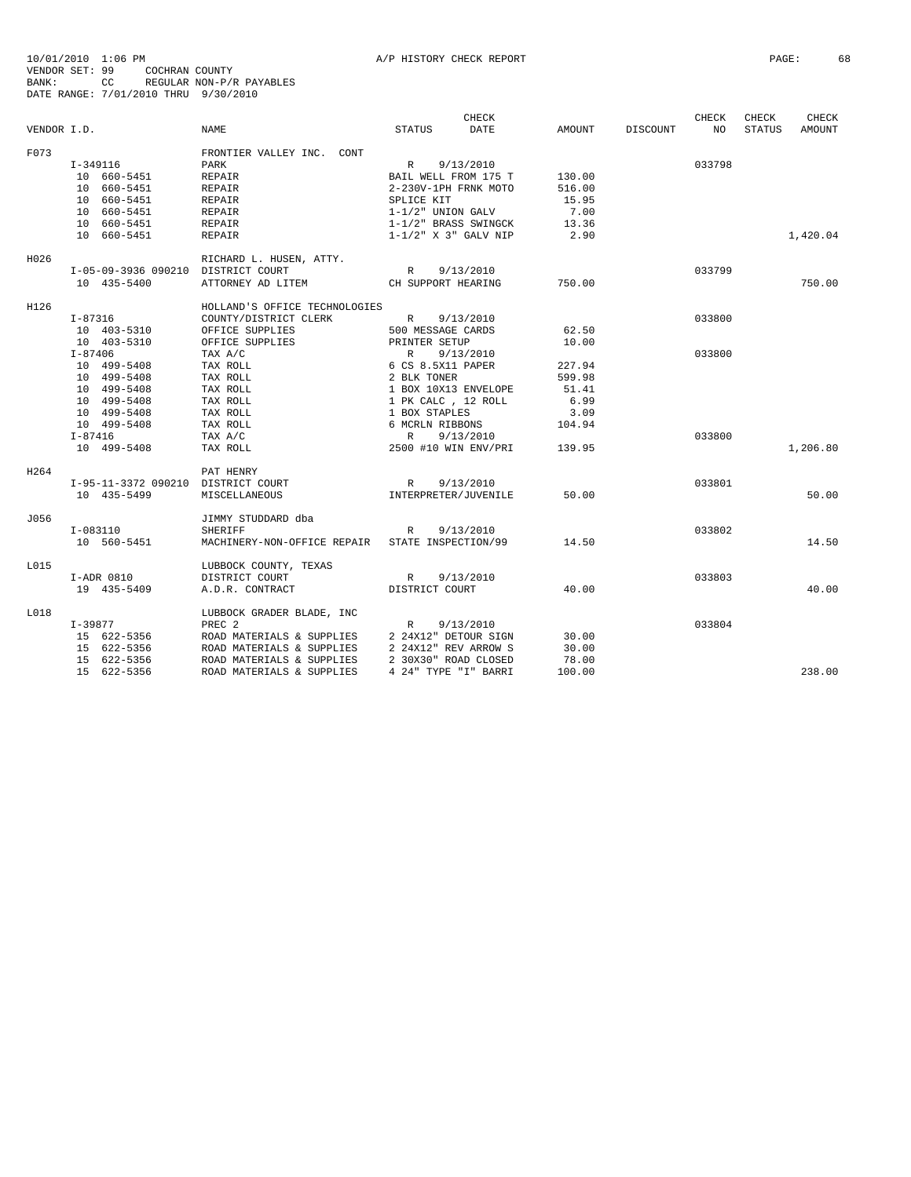| VENDOR I.D. |                                                   | <b>NAME</b>                                    | CHECK<br>STATUS<br>DATE                | AMOUNT | DISCOUNT | CHECK<br>NO | CHECK<br><b>STATUS</b> | CHECK<br>AMOUNT |
|-------------|---------------------------------------------------|------------------------------------------------|----------------------------------------|--------|----------|-------------|------------------------|-----------------|
| F073        |                                                   | FRONTIER VALLEY INC. CONT                      |                                        |        |          |             |                        |                 |
|             | I-349116                                          | PARK                                           | 9/13/2010<br>R                         |        |          | 033798      |                        |                 |
|             | 10 660-5451                                       | REPAIR                                         | BAIL WELL FROM 175 T                   | 130.00 |          |             |                        |                 |
|             | 10 660-5451                                       | REPAIR                                         | 2-230V-1PH FRNK MOTO                   | 516.00 |          |             |                        |                 |
|             | 10 660-5451                                       | REPAIR                                         | SPLICE KIT                             | 15.95  |          |             |                        |                 |
|             | 10 660-5451                                       | REPAIR                                         | $1 - 1/2"$ UNION GALV                  | 7.00   |          |             |                        |                 |
|             | 10 660-5451                                       | REPAIR                                         | 1-1/2" BRASS SWINGCK                   | 13.36  |          |             |                        |                 |
|             | 10 660-5451                                       | REPAIR                                         | $1-1/2$ " X 3" GALV NIP                | 2.90   |          |             |                        | 1,420.04        |
| H026        |                                                   | RICHARD L. HUSEN, ATTY.                        |                                        |        |          |             |                        |                 |
|             | I-05-09-3936 090210 DISTRICT COURT                |                                                | 9/13/2010<br>R                         |        |          | 033799      |                        |                 |
|             | 10 435-5400                                       | ATTORNEY AD LITEM                              | CH SUPPORT HEARING                     | 750.00 |          |             |                        | 750.00          |
| H126        |                                                   | HOLLAND'S OFFICE TECHNOLOGIES                  |                                        |        |          |             |                        |                 |
|             | I-87316                                           | COUNTY/DISTRICT CLERK                          | R 9/13/2010                            |        |          | 033800      |                        |                 |
|             | 10 403-5310                                       | OFFICE SUPPLIES                                | 500 MESSAGE CARDS                      | 62.50  |          |             |                        |                 |
|             | 10 403-5310                                       | OFFICE SUPPLIES                                | PRINTER SETUP                          | 10.00  |          |             |                        |                 |
|             | $I - 87406$                                       | TAX A/C                                        | R<br>9/13/2010                         |        |          | 033800      |                        |                 |
|             | 10 499-5408                                       | TAX ROLL                                       | 6 CS 8.5X11 PAPER                      | 227.94 |          |             |                        |                 |
|             | 10 499-5408                                       | TAX ROLL                                       | 2 BLK TONER                            | 599.98 |          |             |                        |                 |
|             | 10 499-5408                                       | TAX ROLL                                       | 1 BOX 10X13 ENVELOPE                   | 51.41  |          |             |                        |                 |
|             | 10 499-5408                                       | TAX ROLL                                       | 1 PK CALC , 12 ROLL                    | 6.99   |          |             |                        |                 |
|             | 10 499-5408                                       | TAX ROLL                                       | 1 BOX STAPLES                          | 3.09   |          |             |                        |                 |
|             | 10 499-5408                                       | TAX ROLL                                       | 6 MCRLN RIBBONS                        | 104.94 |          |             |                        |                 |
|             | $I-87416$                                         | TAX A/C                                        | R<br>9/13/2010                         |        |          | 033800      |                        |                 |
|             | 10 499-5408                                       | TAX ROLL                                       | 2500 #10 WIN ENV/PRI                   | 139.95 |          |             |                        | 1,206.80        |
| H264        |                                                   | PAT HENRY                                      |                                        |        |          | 033801      |                        |                 |
|             | I-95-11-3372 090210 DISTRICT COURT<br>10 435-5499 | MISCELLANEOUS                                  | R<br>9/13/2010<br>INTERPRETER/JUVENILE | 50.00  |          |             |                        | 50.00           |
|             |                                                   |                                                |                                        |        |          |             |                        |                 |
| J056        | I-083110                                          | JIMMY STUDDARD dba<br><b>SHERIFF</b>           | 9/13/2010<br>R                         |        |          | 033802      |                        |                 |
|             | 10 560-5451                                       | MACHINERY-NON-OFFICE REPAIR                    | STATE INSPECTION/99                    | 14.50  |          |             |                        | 14.50           |
|             |                                                   |                                                |                                        |        |          |             |                        |                 |
| L015        |                                                   | LUBBOCK COUNTY, TEXAS                          |                                        |        |          |             |                        |                 |
|             | I-ADR 0810<br>19 435-5409                         | DISTRICT COURT                                 | R<br>9/13/2010<br>DISTRICT COURT       | 40.00  |          | 033803      |                        | 40.00           |
|             |                                                   | A.D.R. CONTRACT                                |                                        |        |          |             |                        |                 |
| L018        |                                                   | LUBBOCK GRADER BLADE, INC                      |                                        |        |          | 033804      |                        |                 |
|             | $I-39877$<br>15 622-5356                          | PREC <sub>2</sub><br>ROAD MATERIALS & SUPPLIES | 9/13/2010<br>R<br>2 24X12" DETOUR SIGN | 30.00  |          |             |                        |                 |
|             | 15 622-5356                                       | ROAD MATERIALS & SUPPLIES                      | 2 24X12" REV ARROW S                   | 30.00  |          |             |                        |                 |
|             | 15 622-5356                                       | ROAD MATERIALS & SUPPLIES                      | 2 30X30" ROAD CLOSED                   | 78.00  |          |             |                        |                 |
|             | 15 622-5356                                       | ROAD MATERIALS & SUPPLIES                      | 4 24" TYPE "I" BARRI                   | 100.00 |          |             |                        | 238.00          |
|             |                                                   |                                                |                                        |        |          |             |                        |                 |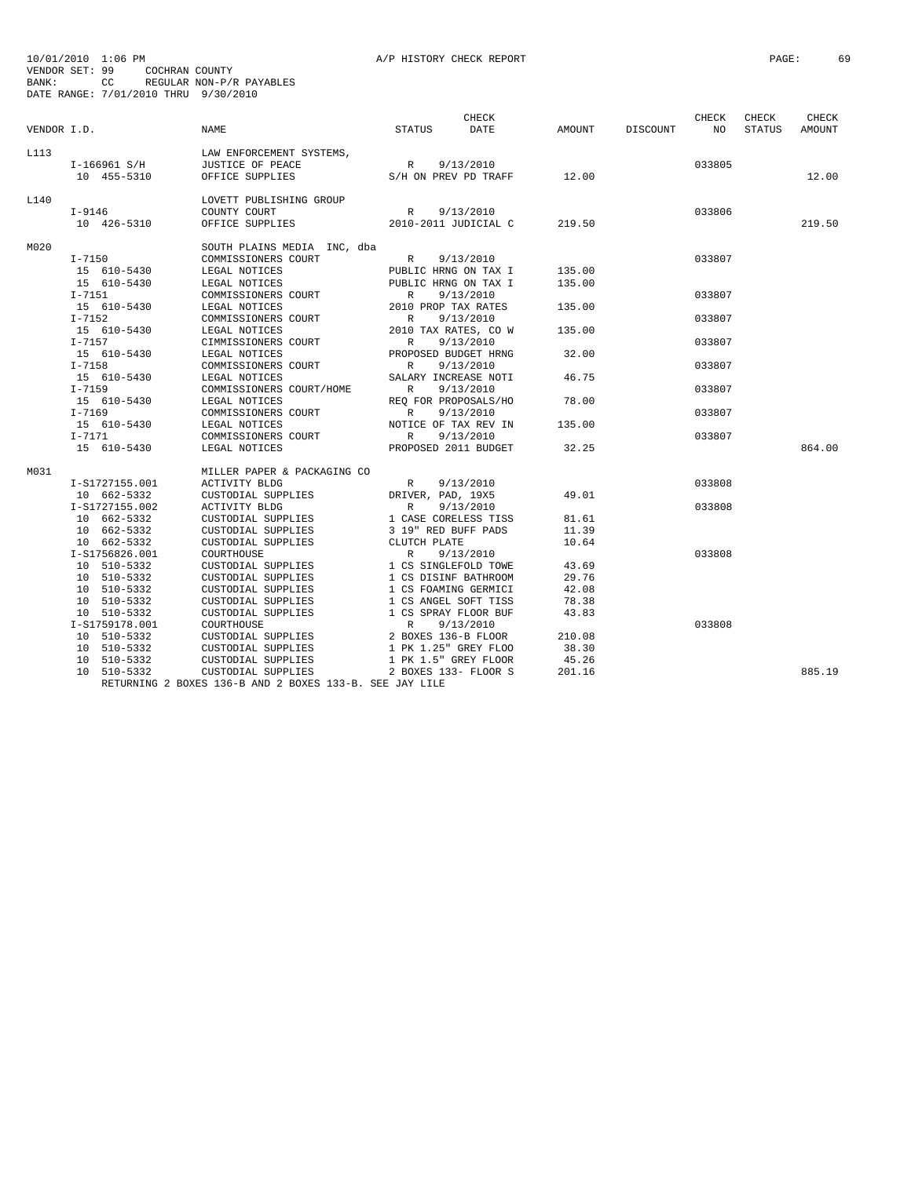| VENDOR I.D. |                | NAME                                                    | STATUS                                       | CHECK<br>DATE                  | AMOUNT | DISCOUNT NO | CHECK  | CHECK<br>STATUS | CHECK<br>AMOUNT |
|-------------|----------------|---------------------------------------------------------|----------------------------------------------|--------------------------------|--------|-------------|--------|-----------------|-----------------|
| L113        |                | LAW ENFORCEMENT SYSTEMS,                                |                                              |                                |        |             |        |                 |                 |
|             | I-166961 S/H   | JUSTICE OF PEACE                                        | R 9/13/2010                                  |                                |        |             | 033805 |                 |                 |
|             | 10 455-5310    | OFFICE SUPPLIES                                         |                                              | $S/H$ ON PREV PD TRAFF $12.00$ |        |             |        |                 | 12.00           |
| L140        |                | LOVETT PUBLISHING GROUP                                 |                                              |                                |        |             |        |                 |                 |
|             | $I - 9146$     | COUNTY COURT                                            |                                              | R 9/13/2010                    |        |             | 033806 |                 |                 |
|             | 10 426-5310    | OFFICE SUPPLIES                                         |                                              | 2010-2011 JUDICIAL C 219.50    |        |             |        |                 | 219.50          |
| MO 20       |                | SOUTH PLAINS MEDIA INC, dba                             |                                              |                                |        |             |        |                 |                 |
|             | $I - 7150$     | COMMISSIONERS COURT                                     | R 9/13/2010                                  |                                |        |             | 033807 |                 |                 |
|             | 15 610-5430    | LEGAL NOTICES                                           | PUBLIC HRNG ON TAX I                         |                                | 135.00 |             |        |                 |                 |
|             | 15 610-5430    | LEGAL NOTICES                                           |                                              | PUBLIC HRNG ON TAX I           | 135.00 |             |        |                 |                 |
|             | $I-7151$       | COMMISSIONERS COURT                                     | R                                            | 9/13/2010                      |        |             | 033807 |                 |                 |
|             | 15 610-5430    | LEGAL NOTICES                                           | 2010 PROP TAX RATES                          |                                | 135.00 |             |        |                 |                 |
|             | $I - 7152$     | COMMISSIONERS COURT                                     | R                                            | 9/13/2010                      |        |             | 033807 |                 |                 |
|             | 15 610-5430    | LEGAL NOTICES                                           |                                              | 2010 TAX RATES, CO W           | 135.00 |             |        |                 |                 |
|             | $I - 7157$     | CIMMISSIONERS COURT                                     | R                                            | 9/13/2010                      |        |             | 033807 |                 |                 |
|             | 15 610-5430    | LEGAL NOTICES                                           |                                              | PROPOSED BUDGET HRNG           | 32.00  |             |        |                 |                 |
|             | $I - 7158$     | COMMISSIONERS COURT                                     | R                                            | 9/13/2010                      |        |             | 033807 |                 |                 |
|             | 15 610-5430    | LEGAL NOTICES                                           |                                              | SALARY INCREASE NOTI           | 46.75  |             |        |                 |                 |
|             | $I - 7159$     | COMMISSIONERS COURT/HOME                                | R                                            | 9/13/2010                      |        |             | 033807 |                 |                 |
|             | 15 610-5430    | LEGAL NOTICES                                           |                                              | REO FOR PROPOSALS/HO           | 78.00  |             |        |                 |                 |
|             | $I - 7169$     | COMMISSIONERS COURT                                     | R                                            | 9/13/2010                      |        |             | 033807 |                 |                 |
|             | 15 610-5430    | LEGAL NOTICES                                           |                                              | NOTICE OF TAX REV IN           | 135.00 |             |        |                 |                 |
|             | $I-7171$       | COMMISSIONERS COURT                                     | R                                            | 9/13/2010                      |        |             | 033807 |                 |                 |
|             | 15 610-5430    | LEGAL NOTICES                                           |                                              | PROPOSED 2011 BUDGET           | 32.25  |             |        |                 | 864.00          |
| MO31        |                | MILLER PAPER & PACKAGING CO                             |                                              |                                |        |             |        |                 |                 |
|             | I-S1727155.001 | ACTIVITY BLDG                                           | R                                            | 9/13/2010                      |        |             | 033808 |                 |                 |
|             | 10 662-5332    | CUSTODIAL SUPPLIES                                      | DRIVER, PAD, 19X5                            |                                | 49.01  |             |        |                 |                 |
|             | I-S1727155.002 | ACTIVITY BLDG                                           | R                                            | 9/13/2010                      |        |             | 033808 |                 |                 |
|             | 10 662-5332    | CUSTODIAL SUPPLIES                                      | 1 CASE CORELESS TISS                         |                                | 81.61  |             |        |                 |                 |
|             | 10 662-5332    | CUSTODIAL SUPPLIES<br>CUSTODIAL SUPPLIES                | 3 19" RED BUFF PADS<br>CLUTCH PLATE          |                                | 11.39  |             |        |                 |                 |
|             | 10 662-5332    |                                                         |                                              |                                | 10.64  |             |        |                 |                 |
|             | I-S1756826.001 | COURTHOUSE                                              | R                                            | 9/13/2010                      |        |             | 033808 |                 |                 |
|             | 10 510-5332    | CUSTODIAL SUPPLIES                                      | 1 CS SINGLEFOLD TOWE                         |                                | 43.69  |             |        |                 |                 |
|             | 10 510-5332    | CUSTODIAL SUPPLIES                                      | 1 CS DISINF BATHROOM<br>1 CS FOAMING GERMICI |                                | 29.76  |             |        |                 |                 |
|             | 10 510-5332    | CUSTODIAL SUPPLIES                                      |                                              |                                | 42.08  |             |        |                 |                 |
|             | 10 510-5332    | CUSTODIAL SUPPLIES                                      | 1 CS ANGEL SOFT TISS                         |                                | 78.38  |             |        |                 |                 |
|             | 10 510-5332    | CUSTODIAL SUPPLIES                                      | 1 CS SPRAY FLOOR BUF                         |                                | 43.83  |             |        |                 |                 |
|             | I-S1759178.001 | COURTHOUSE                                              | $R$<br>2 BOX                                 | 9/13/2010                      |        |             | 033808 |                 |                 |
|             | 10 510-5332    | CUSTODIAL SUPPLIES                                      |                                              | 2 BOXES 136-B FLOOR            | 210.08 |             |        |                 |                 |
|             | 10 510-5332    | CUSTODIAL SUPPLIES                                      |                                              | 1 PK 1.25" GREY FLOO           | 38.30  |             |        |                 |                 |
|             | 10 510-5332    | CUSTODIAL SUPPLIES                                      |                                              | 1 PK 1.5" GREY FLOOR           | 45.26  |             |        |                 |                 |
|             | 10 510-5332    | CUSTODIAL SUPPLIES                                      |                                              | 2 BOXES 133- FLOOR S           | 201.16 |             |        |                 | 885.19          |
|             |                | RETURNING 2 BOXES 136-B AND 2 BOXES 133-B. SEE JAY LILE |                                              |                                |        |             |        |                 |                 |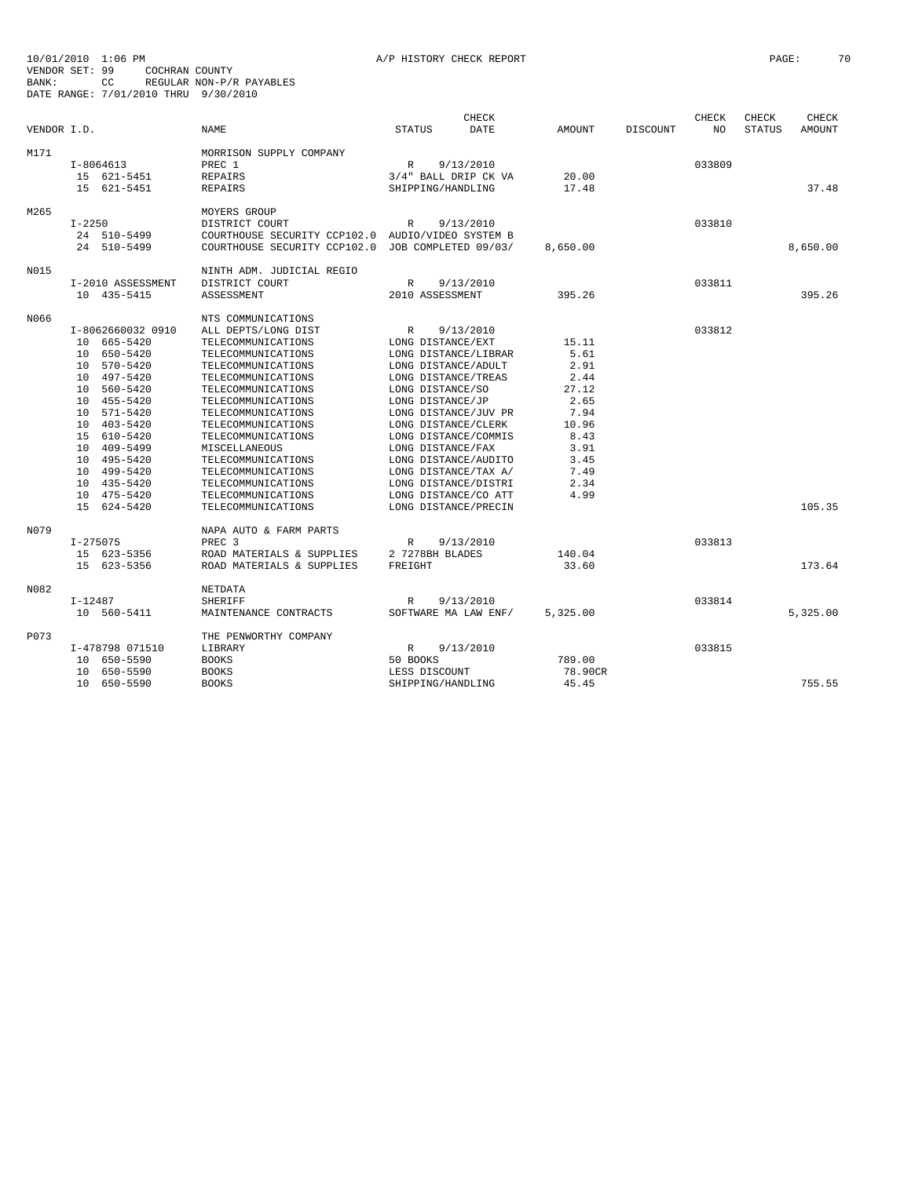|             |                            |                                                        |                            | CHECK       |                 |                 | CHECK  | CHECK         | CHECK         |
|-------------|----------------------------|--------------------------------------------------------|----------------------------|-------------|-----------------|-----------------|--------|---------------|---------------|
| VENDOR I.D. |                            | <b>NAME</b>                                            | <b>STATUS</b>              | <b>DATE</b> | AMOUNT          | <b>DISCOUNT</b> | NO.    | <b>STATUS</b> | <b>AMOUNT</b> |
| M171        |                            | MORRISON SUPPLY COMPANY                                |                            |             |                 |                 |        |               |               |
|             | $I-8064613$                | PREC 1                                                 | R                          | 9/13/2010   |                 |                 | 033809 |               |               |
|             | 15 621-5451                | <b>REPAIRS</b>                                         | 3/4" BALL DRIP CK VA       |             | 20.00           |                 |        |               |               |
|             | 15 621-5451                | <b>REPAIRS</b>                                         | SHIPPING/HANDLING          |             | 17.48           |                 |        |               | 37.48         |
|             |                            |                                                        |                            |             |                 |                 |        |               |               |
| M265        |                            | MOYERS GROUP                                           |                            |             |                 |                 |        |               |               |
|             | $I - 2250$                 | DISTRICT COURT                                         | $\mathbb{R}$               | 9/13/2010   |                 |                 | 033810 |               |               |
|             | 24 510-5499                | COURTHOUSE SECURITY CCP102.0 AUDIO/VIDEO SYSTEM B      |                            |             |                 |                 |        |               |               |
|             | 24 510-5499                | COURTHOUSE SECURITY CCP102.0 JOB COMPLETED 09/03/      |                            |             | 8,650.00        |                 |        |               | 8,650.00      |
| N015        |                            | NINTH ADM. JUDICIAL REGIO                              |                            |             |                 |                 |        |               |               |
|             | I-2010 ASSESSMENT          | DISTRICT COURT                                         | $\mathbb{R}$               | 9/13/2010   |                 |                 | 033811 |               |               |
|             | 10 435-5415                | ASSESSMENT                                             | 2010 ASSESSMENT            |             | 395.26          |                 |        |               | 395.26        |
|             |                            |                                                        |                            |             |                 |                 |        |               |               |
| N066        |                            | NTS COMMUNICATIONS                                     |                            |             |                 |                 |        |               |               |
|             | I-8062660032 0910          | ALL DEPTS/LONG DIST                                    | R                          | 9/13/2010   |                 |                 | 033812 |               |               |
|             | 10 665-5420                | TELECOMMUNICATIONS                                     | LONG DISTANCE/EXT          |             | 15.11           |                 |        |               |               |
|             | 10 650-5420                | TELECOMMUNICATIONS                                     | LONG DISTANCE/LIBRAR       |             | 5.61            |                 |        |               |               |
|             | 10 570-5420                | TELECOMMUNICATIONS                                     | LONG DISTANCE/ADULT        |             | 2.91            |                 |        |               |               |
|             | 10 497-5420                | TELECOMMUNICATIONS                                     | LONG DISTANCE/TREAS        |             | 2.44            |                 |        |               |               |
|             | 10 560-5420                | TELECOMMUNICATIONS                                     | LONG DISTANCE/SO           |             | 27.12           |                 |        |               |               |
|             | 10 455-5420                | TELECOMMUNICATIONS                                     | LONG DISTANCE/JP           |             | 2.65            |                 |        |               |               |
|             | 10 571-5420                | TELECOMMUNICATIONS                                     | LONG DISTANCE/JUV PR       |             | 7.94            |                 |        |               |               |
|             | 10 403-5420                | TELECOMMUNICATIONS                                     | LONG DISTANCE/CLERK        |             | 10.96           |                 |        |               |               |
|             | 15 610-5420                | TELECOMMUNICATIONS                                     | LONG DISTANCE/COMMIS       |             | 8.43            |                 |        |               |               |
|             | 10 409-5499                | MISCELLANEOUS                                          | LONG DISTANCE/FAX          |             | 3.91            |                 |        |               |               |
|             | 10 495-5420                | TELECOMMUNICATIONS                                     | LONG DISTANCE/AUDITO       |             | 3.45            |                 |        |               |               |
|             | 10 499-5420                | TELECOMMUNICATIONS                                     | LONG DISTANCE/TAX A/       |             | 7.49            |                 |        |               |               |
|             | 10 435-5420                | TELECOMMUNICATIONS                                     | LONG DISTANCE/DISTRI       |             | 2.34            |                 |        |               |               |
|             | 10 475-5420                | TELECOMMUNICATIONS                                     | LONG DISTANCE/CO ATT       |             | 4.99            |                 |        |               |               |
|             | 15 624-5420                | TELECOMMUNICATIONS                                     | LONG DISTANCE/PRECIN       |             |                 |                 |        |               | 105.35        |
| N079        |                            |                                                        |                            |             |                 |                 |        |               |               |
|             |                            | NAPA AUTO & FARM PARTS<br>PREC <sub>3</sub>            |                            |             |                 |                 | 033813 |               |               |
|             | $I - 275075$               |                                                        | $\mathbb{R}$               | 9/13/2010   |                 |                 |        |               |               |
|             | 15 623-5356<br>15 623-5356 | ROAD MATERIALS & SUPPLIES<br>ROAD MATERIALS & SUPPLIES | 2 7278BH BLADES<br>FREIGHT |             | 140.04<br>33.60 |                 |        |               | 173.64        |
|             |                            |                                                        |                            |             |                 |                 |        |               |               |
| N082        |                            | NETDATA                                                |                            |             |                 |                 |        |               |               |
|             | $I-12487$                  | <b>SHERIFF</b>                                         | R                          | 9/13/2010   |                 |                 | 033814 |               |               |
|             | 10 560-5411                | MAINTENANCE CONTRACTS                                  | SOFTWARE MA LAW ENF/       |             | 5,325.00        |                 |        |               | 5,325.00      |
| P073        |                            | THE PENWORTHY COMPANY                                  |                            |             |                 |                 |        |               |               |
|             | I-478798 071510            | LIBRARY                                                | $\mathbb{R}$               | 9/13/2010   |                 |                 | 033815 |               |               |
|             | 10 650-5590                | <b>BOOKS</b>                                           | 50 BOOKS                   |             | 789.00          |                 |        |               |               |
|             | 10 650-5590                | <b>BOOKS</b>                                           | LESS DISCOUNT              |             | 78.90CR         |                 |        |               |               |
|             | 10 650-5590                | <b>BOOKS</b>                                           | SHIPPING/HANDLING          |             | 45.45           |                 |        |               | 755.55        |
|             |                            |                                                        |                            |             |                 |                 |        |               |               |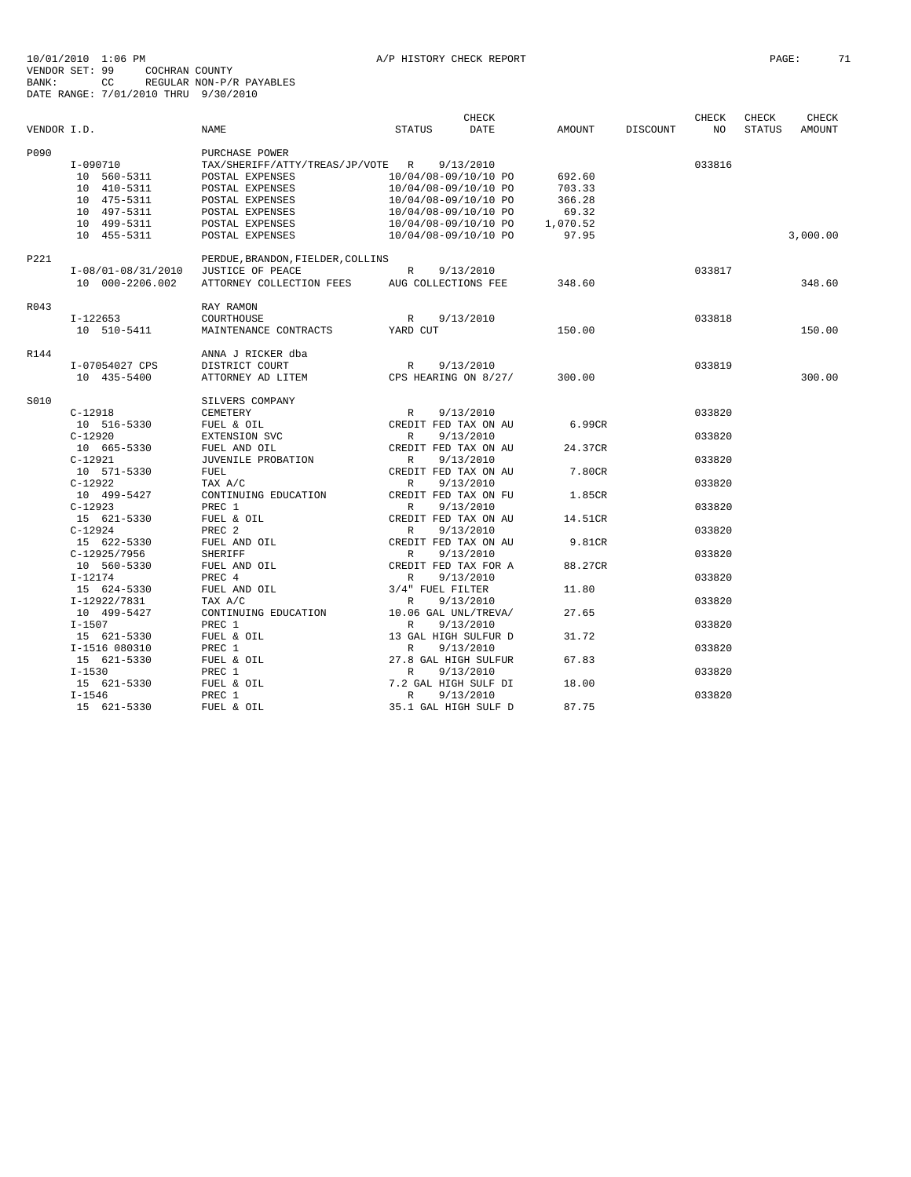|             |                    |                                   |                      | CHECK     |          |          | CHECK  | CHECK         | CHECK    |
|-------------|--------------------|-----------------------------------|----------------------|-----------|----------|----------|--------|---------------|----------|
| VENDOR I.D. |                    | NAME                              | <b>STATUS</b>        | DATE      | AMOUNT   | DISCOUNT | NO     | <b>STATUS</b> | AMOUNT   |
| P090        |                    | PURCHASE POWER                    |                      |           |          |          |        |               |          |
|             | I-090710           | TAX/SHERIFF/ATTY/TREAS/JP/VOTE R  |                      | 9/13/2010 |          |          | 033816 |               |          |
|             | 10 560-5311        | POSTAL EXPENSES                   | 10/04/08-09/10/10 PO |           | 692.60   |          |        |               |          |
|             | 10 410-5311        | POSTAL EXPENSES                   | 10/04/08-09/10/10 PO |           | 703.33   |          |        |               |          |
|             | 10 475-5311        | POSTAL EXPENSES                   | 10/04/08-09/10/10 PO |           | 366.28   |          |        |               |          |
|             | 10 497-5311        | POSTAL EXPENSES                   | 10/04/08-09/10/10 PO |           | 69.32    |          |        |               |          |
|             | 10 499-5311        | POSTAL EXPENSES                   | 10/04/08-09/10/10 PO |           | 1,070.52 |          |        |               |          |
|             | 10 455-5311        | POSTAL EXPENSES                   | 10/04/08-09/10/10 PO |           | 97.95    |          |        |               | 3,000.00 |
| P221        |                    | PERDUE, BRANDON, FIELDER, COLLINS |                      |           |          |          |        |               |          |
|             | I-08/01-08/31/2010 | JUSTICE OF PEACE                  | $\mathbb{R}$         | 9/13/2010 |          |          | 033817 |               |          |
|             | 10 000-2206.002    | ATTORNEY COLLECTION FEES          | AUG COLLECTIONS FEE  |           | 348.60   |          |        |               | 348.60   |
| R043        |                    | RAY RAMON                         |                      |           |          |          |        |               |          |
|             | I-122653           | COURTHOUSE                        | R                    | 9/13/2010 |          |          | 033818 |               |          |
|             | 10 510-5411        | MAINTENANCE CONTRACTS             | YARD CUT             |           | 150.00   |          |        |               | 150.00   |
| R144        |                    | ANNA J RICKER dba                 |                      |           |          |          |        |               |          |
|             | I-07054027 CPS     | DISTRICT COURT                    | R                    | 9/13/2010 |          |          | 033819 |               |          |
|             | 10 435-5400        | ATTORNEY AD LITEM                 | CPS HEARING ON 8/27/ |           | 300.00   |          |        |               | 300.00   |
|             |                    |                                   |                      |           |          |          |        |               |          |
| S010        |                    | SILVERS COMPANY                   |                      |           |          |          |        |               |          |
|             | $C-12918$          | CEMETERY                          | R                    | 9/13/2010 |          |          | 033820 |               |          |
|             | 10 516-5330        | FUEL & OIL                        | CREDIT FED TAX ON AU |           | 6.99CR   |          |        |               |          |
|             | $C-12920$          | EXTENSION SVC                     | $\mathbb{R}$         | 9/13/2010 |          |          | 033820 |               |          |
|             | 10 665-5330        | FUEL AND OIL                      | CREDIT FED TAX ON AU |           | 24.37CR  |          |        |               |          |
|             | $C-12921$          | JUVENILE PROBATION                | R                    | 9/13/2010 |          |          | 033820 |               |          |
|             | 10 571-5330        | FUEL                              | CREDIT FED TAX ON AU |           | 7.80CR   |          |        |               |          |
|             | $C-12922$          | TAX A/C                           | R                    | 9/13/2010 |          |          | 033820 |               |          |
|             | 10 499-5427        | CONTINUING EDUCATION              | CREDIT FED TAX ON FU |           | 1.85CR   |          |        |               |          |
|             | $C-12923$          | PREC 1                            | R                    | 9/13/2010 |          |          | 033820 |               |          |
|             | 15 621-5330        | FUEL & OIL                        | CREDIT FED TAX ON AU |           | 14.51CR  |          |        |               |          |
|             | $C-12924$          | PREC <sub>2</sub>                 | R                    | 9/13/2010 |          |          | 033820 |               |          |
|             | 15 622-5330        | FUEL AND OIL                      | CREDIT FED TAX ON AU |           | 9.81CR   |          |        |               |          |
|             | C-12925/7956       | SHERIFF                           | $\mathbb{R}$         | 9/13/2010 |          |          | 033820 |               |          |
|             | 10 560-5330        | FUEL AND OIL                      | CREDIT FED TAX FOR A |           | 88.27CR  |          |        |               |          |
|             | $I-12174$          | PREC 4                            | R                    | 9/13/2010 |          |          | 033820 |               |          |
|             | 15 624-5330        | FUEL AND OIL                      | 3/4" FUEL FILTER     |           | 11.80    |          |        |               |          |
|             | I-12922/7831       | TAX A/C                           | $\mathbb{R}$         | 9/13/2010 |          |          | 033820 |               |          |
|             | 10 499-5427        | CONTINUING EDUCATION              | 10.06 GAL UNL/TREVA/ |           | 27.65    |          |        |               |          |
|             | $I-1507$           | PREC 1                            | $\mathbb{R}$         | 9/13/2010 |          |          | 033820 |               |          |
|             | 15 621-5330        | FUEL & OIL                        | 13 GAL HIGH SULFUR D |           | 31.72    |          |        |               |          |
|             |                    |                                   |                      |           |          |          | 033820 |               |          |
|             | I-1516 080310      | PREC 1                            | R                    | 9/13/2010 | 67.83    |          |        |               |          |
|             | 15 621-5330        | FUEL & OIL                        | 27.8 GAL HIGH SULFUR |           |          |          |        |               |          |
|             | $I - 1530$         | PREC 1                            | R                    | 9/13/2010 |          |          | 033820 |               |          |
|             | 15 621-5330        | FUEL & OIL                        | 7.2 GAL HIGH SULF DI |           | 18.00    |          |        |               |          |
|             | $I - 1546$         | PREC 1                            | $\mathbb{R}$         | 9/13/2010 |          |          | 033820 |               |          |
|             | 15 621-5330        | FUEL & OIL                        | 35.1 GAL HIGH SULF D |           | 87.75    |          |        |               |          |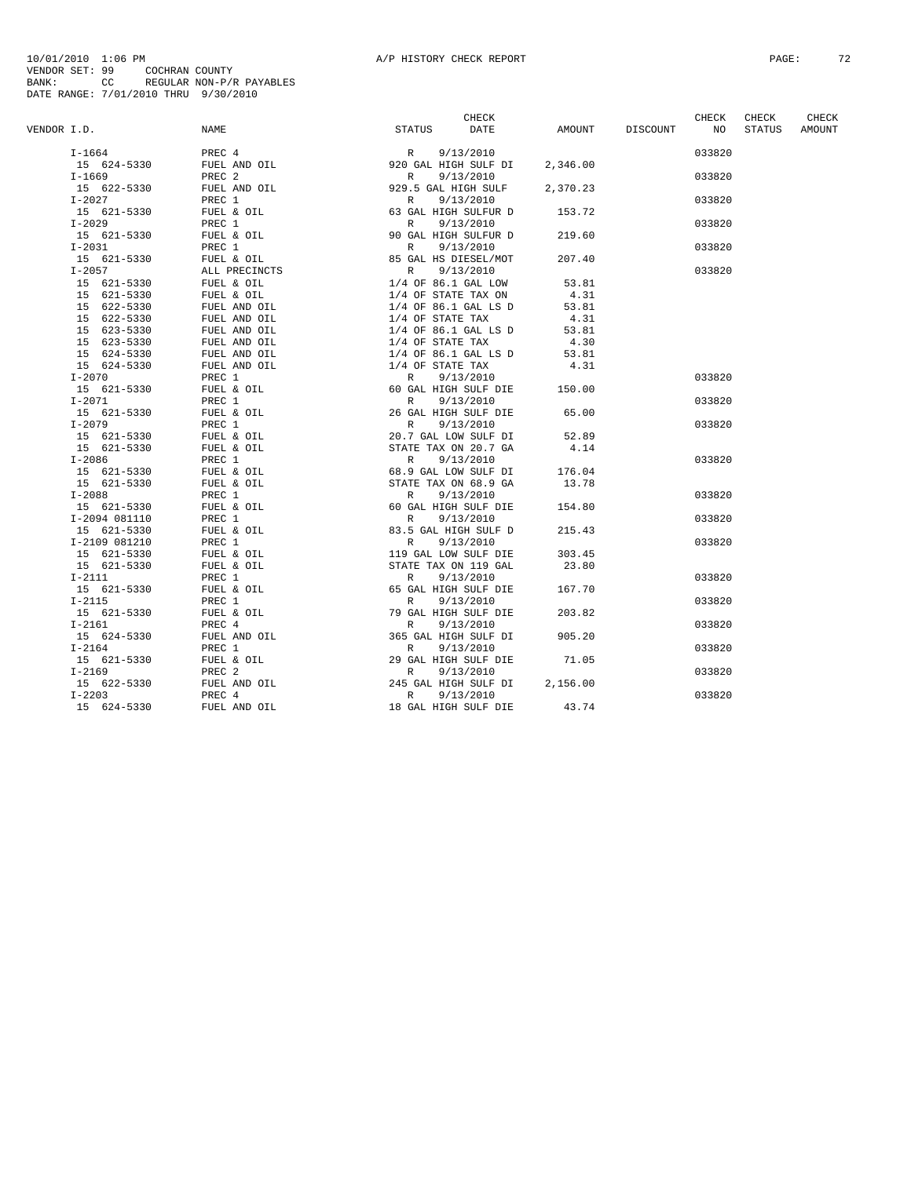|             |  |                                                                                                                                                                                                                                                                                                                                                                                                                                           |                 | CHECK           | CHECK  | CHECK  |
|-------------|--|-------------------------------------------------------------------------------------------------------------------------------------------------------------------------------------------------------------------------------------------------------------------------------------------------------------------------------------------------------------------------------------------------------------------------------------------|-----------------|-----------------|--------|--------|
| VENDOR I.D. |  |                                                                                                                                                                                                                                                                                                                                                                                                                                           | AMOUNT DISCOUNT | NO <sub>1</sub> | STATUS | AMOUNT |
|             |  | $\begin{tabular}{l c c c c} \hline .1.D. & \multicolumn{4}{c}{\textbf{NAME}} & \multicolumn{4}{c}{\textbf{CHECK}} \\ \hline 1-1664 & \multicolumn{4}{c}{\textbf{PREC 4}} & \multicolumn{4}{c}{\textbf{R}} & \multicolumn{4}{c}{\textbf{S}^T \textbf{R}^T \textbf{US}} & \multicolumn{4}{c}{\textbf{D} \textbf{A}^T \textbf{E}} & \multicolumn{4}{c}{\textbf{AMD}\textbf{O}\textbf{I}} \\ \hline 1-1669 & \multicolumn{4}{c}{\textbf{PREC$ |                 | 033820          |        |        |
|             |  |                                                                                                                                                                                                                                                                                                                                                                                                                                           |                 |                 |        |        |
|             |  |                                                                                                                                                                                                                                                                                                                                                                                                                                           |                 | 033820          |        |        |
|             |  |                                                                                                                                                                                                                                                                                                                                                                                                                                           |                 |                 |        |        |
|             |  |                                                                                                                                                                                                                                                                                                                                                                                                                                           |                 | 033820          |        |        |
|             |  |                                                                                                                                                                                                                                                                                                                                                                                                                                           |                 |                 |        |        |
|             |  |                                                                                                                                                                                                                                                                                                                                                                                                                                           |                 | 033820          |        |        |
|             |  |                                                                                                                                                                                                                                                                                                                                                                                                                                           |                 |                 |        |        |
|             |  |                                                                                                                                                                                                                                                                                                                                                                                                                                           |                 | 033820          |        |        |
|             |  |                                                                                                                                                                                                                                                                                                                                                                                                                                           |                 |                 |        |        |
|             |  |                                                                                                                                                                                                                                                                                                                                                                                                                                           |                 | 033820          |        |        |
|             |  |                                                                                                                                                                                                                                                                                                                                                                                                                                           |                 |                 |        |        |
|             |  |                                                                                                                                                                                                                                                                                                                                                                                                                                           |                 |                 |        |        |
|             |  |                                                                                                                                                                                                                                                                                                                                                                                                                                           |                 |                 |        |        |
|             |  |                                                                                                                                                                                                                                                                                                                                                                                                                                           |                 |                 |        |        |
|             |  |                                                                                                                                                                                                                                                                                                                                                                                                                                           |                 |                 |        |        |
|             |  |                                                                                                                                                                                                                                                                                                                                                                                                                                           |                 |                 |        |        |
|             |  |                                                                                                                                                                                                                                                                                                                                                                                                                                           |                 |                 |        |        |
|             |  |                                                                                                                                                                                                                                                                                                                                                                                                                                           |                 |                 |        |        |
|             |  |                                                                                                                                                                                                                                                                                                                                                                                                                                           |                 | 033820          |        |        |
|             |  |                                                                                                                                                                                                                                                                                                                                                                                                                                           |                 |                 |        |        |
|             |  |                                                                                                                                                                                                                                                                                                                                                                                                                                           |                 | 033820          |        |        |
|             |  |                                                                                                                                                                                                                                                                                                                                                                                                                                           |                 |                 |        |        |
|             |  |                                                                                                                                                                                                                                                                                                                                                                                                                                           |                 | 033820          |        |        |
|             |  |                                                                                                                                                                                                                                                                                                                                                                                                                                           |                 |                 |        |        |
|             |  |                                                                                                                                                                                                                                                                                                                                                                                                                                           |                 |                 |        |        |
|             |  |                                                                                                                                                                                                                                                                                                                                                                                                                                           |                 | 033820          |        |        |
|             |  |                                                                                                                                                                                                                                                                                                                                                                                                                                           |                 |                 |        |        |
|             |  |                                                                                                                                                                                                                                                                                                                                                                                                                                           |                 |                 |        |        |
|             |  |                                                                                                                                                                                                                                                                                                                                                                                                                                           |                 | 033820          |        |        |
|             |  |                                                                                                                                                                                                                                                                                                                                                                                                                                           |                 |                 |        |        |
|             |  |                                                                                                                                                                                                                                                                                                                                                                                                                                           |                 | 033820          |        |        |
|             |  |                                                                                                                                                                                                                                                                                                                                                                                                                                           |                 |                 |        |        |
|             |  |                                                                                                                                                                                                                                                                                                                                                                                                                                           |                 | 033820          |        |        |
|             |  |                                                                                                                                                                                                                                                                                                                                                                                                                                           |                 |                 |        |        |
|             |  |                                                                                                                                                                                                                                                                                                                                                                                                                                           |                 |                 |        |        |
|             |  |                                                                                                                                                                                                                                                                                                                                                                                                                                           |                 | 033820          |        |        |
|             |  |                                                                                                                                                                                                                                                                                                                                                                                                                                           |                 |                 |        |        |
|             |  |                                                                                                                                                                                                                                                                                                                                                                                                                                           |                 | 033820          |        |        |
|             |  |                                                                                                                                                                                                                                                                                                                                                                                                                                           |                 |                 |        |        |
|             |  |                                                                                                                                                                                                                                                                                                                                                                                                                                           |                 | 033820          |        |        |
|             |  |                                                                                                                                                                                                                                                                                                                                                                                                                                           |                 |                 |        |        |
|             |  |                                                                                                                                                                                                                                                                                                                                                                                                                                           |                 | 033820          |        |        |
|             |  |                                                                                                                                                                                                                                                                                                                                                                                                                                           |                 |                 |        |        |
|             |  |                                                                                                                                                                                                                                                                                                                                                                                                                                           |                 | 033820          |        |        |
|             |  |                                                                                                                                                                                                                                                                                                                                                                                                                                           |                 |                 |        |        |
|             |  |                                                                                                                                                                                                                                                                                                                                                                                                                                           |                 | 033820          |        |        |
|             |  |                                                                                                                                                                                                                                                                                                                                                                                                                                           |                 |                 |        |        |
|             |  |                                                                                                                                                                                                                                                                                                                                                                                                                                           |                 |                 |        |        |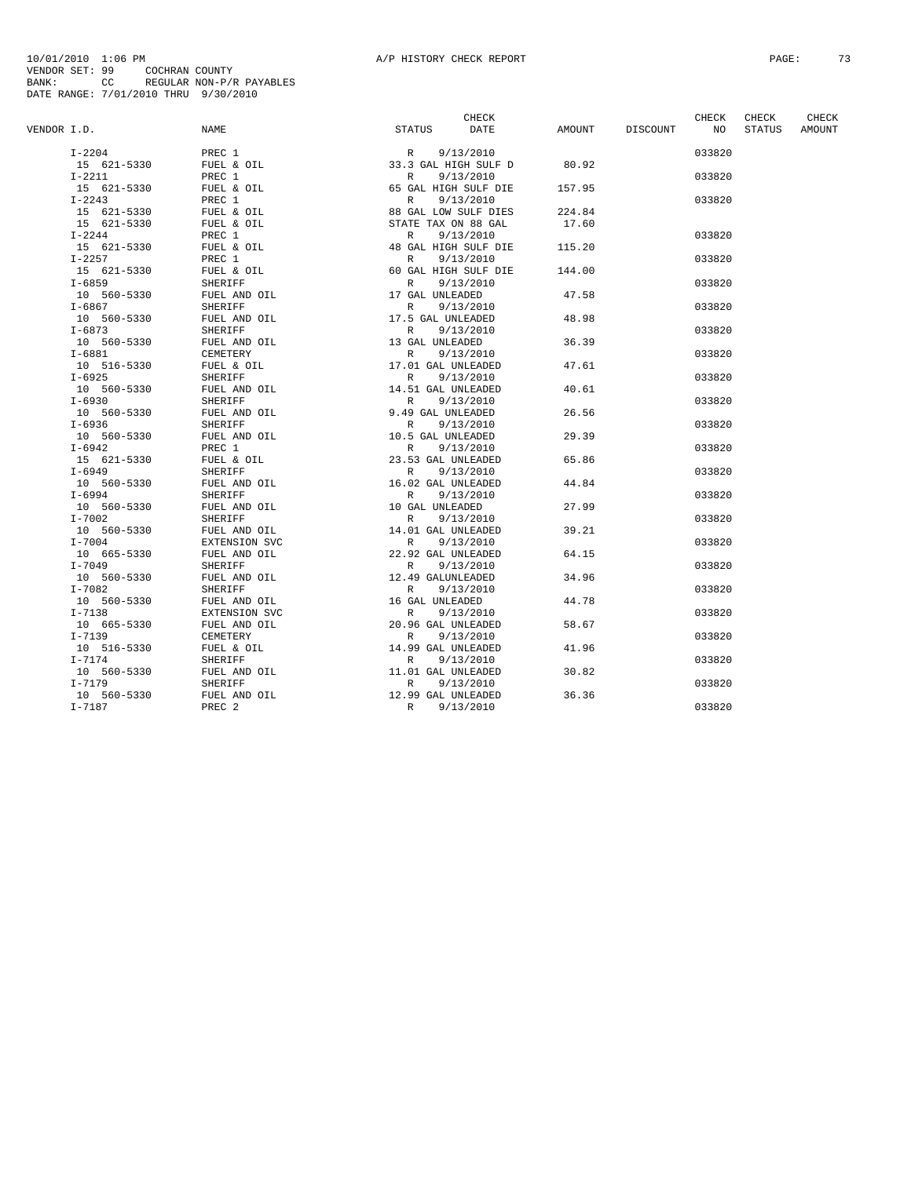|             |             |                   | CHECK                     |      |        |          | CHECK  | <b>CHECK</b>  |               |
|-------------|-------------|-------------------|---------------------------|------|--------|----------|--------|---------------|---------------|
| VENDOR I.D. |             | NAME              | STATUS                    | DATE | AMOUNT | DISCOUNT | NO.    | <b>STATUS</b> | <b>AMOUNT</b> |
|             | $I-2204$    | PREC 1            | 9/13/2010<br>R            |      |        |          | 033820 |               |               |
|             | 15 621-5330 | FUEL & OIL        | 33.3 GAL HIGH SULF D      |      | 80.92  |          |        |               |               |
|             | $I-2211$    | PREC 1            | 9/13/2010<br>R            |      |        |          | 033820 |               |               |
|             | 15 621-5330 | FUEL & OIL        | 65 GAL HIGH SULF DIE      |      | 157.95 |          |        |               |               |
|             | $I - 2243$  | PREC 1            | 9/13/2010<br>$\mathbb{R}$ |      |        |          | 033820 |               |               |
|             | 15 621-5330 | FUEL & OIL        | 88 GAL LOW SULF DIES      |      | 224.84 |          |        |               |               |
|             | 15 621-5330 | FUEL & OIL        | STATE TAX ON 88 GAL       |      | 17.60  |          |        |               |               |
|             | $I - 2244$  | PREC 1            | 9/13/2010<br>R            |      |        |          | 033820 |               |               |
|             | 15 621-5330 | FUEL & OIL        | 48 GAL HIGH SULF DIE      |      | 115.20 |          |        |               |               |
|             | $I - 2257$  | PREC 1            | 9/13/2010<br>R            |      |        |          | 033820 |               |               |
|             | 15 621-5330 | FUEL & OIL        | 60 GAL HIGH SULF DIE      |      | 144.00 |          |        |               |               |
|             | $I - 6859$  | <b>SHERIFF</b>    | R<br>9/13/2010            |      |        |          | 033820 |               |               |
|             | 10 560-5330 | FUEL AND OIL      | 17 GAL UNLEADED           |      | 47.58  |          |        |               |               |
|             | $I - 6867$  | <b>SHERIFF</b>    | $\mathbb{R}$<br>9/13/2010 |      |        |          | 033820 |               |               |
|             | 10 560-5330 | FUEL AND OIL      | 17.5 GAL UNLEADED         |      | 48.98  |          |        |               |               |
|             | $I - 6873$  | SHERIFF           | 9/13/2010<br>R            |      |        |          | 033820 |               |               |
|             | 10 560-5330 | FUEL AND OIL      | 13 GAL UNLEADED           |      | 36.39  |          |        |               |               |
|             | $I - 6881$  | CEMETERY          | 9/13/2010<br>$\mathbb{R}$ |      |        |          | 033820 |               |               |
|             | 10 516-5330 | FUEL & OIL        | 17.01 GAL UNLEADED        |      | 47.61  |          |        |               |               |
|             | $I - 6925$  | <b>SHERIFF</b>    | 9/13/2010<br>R            |      |        |          | 033820 |               |               |
|             | 10 560-5330 | FUEL AND OIL      | 14.51 GAL UNLEADED        |      | 40.61  |          |        |               |               |
|             | $I - 6930$  | <b>SHERIFF</b>    | R<br>9/13/2010            |      |        |          | 033820 |               |               |
|             | 10 560-5330 | FUEL AND OIL      | 9.49 GAL UNLEADED         |      | 26.56  |          |        |               |               |
|             | $I - 6936$  | SHERIFF           | 9/13/2010<br>$\mathbb{R}$ |      |        |          | 033820 |               |               |
|             | 10 560-5330 | FUEL AND OIL      | 10.5 GAL UNLEADED         |      | 29.39  |          |        |               |               |
|             | $I - 6942$  | PREC 1            | R<br>9/13/2010            |      |        |          | 033820 |               |               |
|             | 15 621-5330 | FUEL & OIL        | 23.53 GAL UNLEADED        |      | 65.86  |          |        |               |               |
|             | $I - 6949$  | <b>SHERIFF</b>    | 9/13/2010<br>R            |      |        |          | 033820 |               |               |
|             | 10 560-5330 | FUEL AND OIL      | 16.02 GAL UNLEADED        |      | 44.84  |          |        |               |               |
|             | $I - 6994$  | SHERIFF           | $\mathbb{R}$<br>9/13/2010 |      |        |          | 033820 |               |               |
|             | 10 560-5330 | FUEL AND OIL      | 10 GAL UNLEADED           |      | 27.99  |          |        |               |               |
|             | $I - 7002$  | SHERIFF           | 9/13/2010<br>R            |      |        |          | 033820 |               |               |
|             | 10 560-5330 | FUEL AND OIL      | 14.01 GAL UNLEADED        |      | 39.21  |          |        |               |               |
|             | $I - 7004$  | EXTENSION SVC     | 9/13/2010<br>$\mathbb{R}$ |      |        |          | 033820 |               |               |
|             | 10 665-5330 | FUEL AND OIL      | 22.92 GAL UNLEADED        |      | 64.15  |          |        |               |               |
|             | $I - 7049$  | <b>SHERIFF</b>    | R<br>9/13/2010            |      |        |          | 033820 |               |               |
|             | 10 560-5330 | FUEL AND OIL      | 12.49 GALUNLEADED         |      | 34.96  |          |        |               |               |
|             | $I - 7082$  | <b>SHERIFF</b>    | 9/13/2010<br>$\mathbb{R}$ |      |        |          | 033820 |               |               |
|             | 10 560-5330 | FUEL AND OIL      | 16 GAL UNLEADED           |      | 44.78  |          |        |               |               |
|             | $I - 7138$  | EXTENSION SVC     | 9/13/2010<br>R            |      |        |          | 033820 |               |               |
|             | 10 665-5330 | FUEL AND OIL      | 20.96 GAL UNLEADED        |      | 58.67  |          |        |               |               |
|             | $I - 7139$  | <b>CEMETERY</b>   | 9/13/2010<br>R            |      |        |          | 033820 |               |               |
|             | 10 516-5330 | FUEL & OIL        | 14.99 GAL UNLEADED        |      | 41.96  |          |        |               |               |
|             | $I-7174$    | SHERIFF           | 9/13/2010<br>R            |      |        |          | 033820 |               |               |
|             | 10 560-5330 | FUEL AND OIL      | 11.01 GAL UNLEADED        |      | 30.82  |          |        |               |               |
|             | $I - 7179$  | <b>SHERIFF</b>    | 9/13/2010<br>$\mathbb{R}$ |      |        |          | 033820 |               |               |
|             | 10 560-5330 | FUEL AND OIL      | 12.99 GAL UNLEADED        |      | 36.36  |          |        |               |               |
|             | $I - 7187$  | PREC <sub>2</sub> | R<br>9/13/2010            |      |        |          | 033820 |               |               |
|             |             |                   |                           |      |        |          |        |               |               |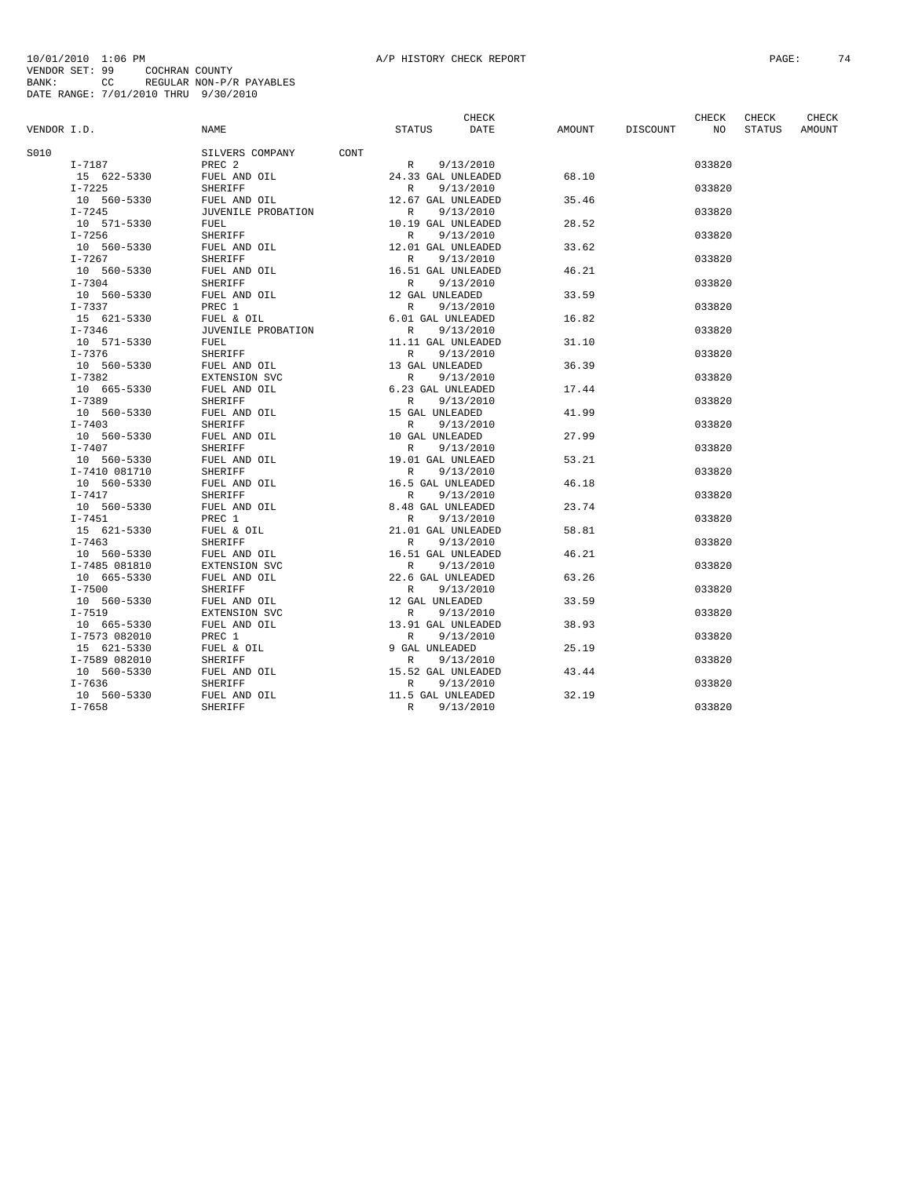|             |               |                    |                                    | CHECK       |        |          | CHECK  | CHECK         | CHECK  |
|-------------|---------------|--------------------|------------------------------------|-------------|--------|----------|--------|---------------|--------|
| VENDOR I.D. |               | <b>NAME</b>        | <b>STATUS</b>                      | <b>DATE</b> | AMOUNT | DISCOUNT | NO     | <b>STATUS</b> | AMOUNT |
| S010        |               | SILVERS COMPANY    | CONT                               |             |        |          |        |               |        |
|             | I-7187        | PREC <sub>2</sub>  | R                                  | 9/13/2010   |        |          | 033820 |               |        |
|             | 15 622-5330   | FUEL AND OIL       | 24.33 GAL UNLEADED                 |             | 68.10  |          |        |               |        |
|             | $I - 7225$    | <b>SHERIFF</b>     | R                                  | 9/13/2010   |        |          | 033820 |               |        |
|             | 10 560-5330   | FUEL AND OIL       | 12.67 GAL UNLEADED                 |             | 35.46  |          |        |               |        |
|             | $I-7245$      | JUVENILE PROBATION | $\mathbb{R}$                       | 9/13/2010   |        |          | 033820 |               |        |
|             | 10 571-5330   | FUEL               | 10.19 GAL UNLEADED                 |             | 28.52  |          |        |               |        |
|             | $I-7256$      | <b>SHERIFF</b>     | $\mathbb{R}$                       | 9/13/2010   |        |          | 033820 |               |        |
|             | 10 560-5330   | FUEL AND OIL       | 12.01 GAL UNLEADED                 |             | 33.62  |          |        |               |        |
|             | $I-7267$      | SHERIFF            | $\mathbb{R}$                       | 9/13/2010   |        |          | 033820 |               |        |
|             | 10 560-5330   | FUEL AND OIL       | 16.51 GAL UNLEADED                 |             | 46.21  |          |        |               |        |
|             | $I - 7304$    | <b>SHERIFF</b>     | R                                  | 9/13/2010   |        |          | 033820 |               |        |
|             | 10 560-5330   | FUEL AND OIL       | 12 GAL UNLEADED                    |             | 33.59  |          |        |               |        |
|             | $I - 7337$    | PREC 1             | R                                  | 9/13/2010   |        |          | 033820 |               |        |
|             | 15 621-5330   | FUEL & OIL         | 6.01 GAL UNLEADED                  |             | 16.82  |          |        |               |        |
|             | $I - 7346$    | JUVENILE PROBATION | R                                  | 9/13/2010   |        |          | 033820 |               |        |
|             | 10 571-5330   | FUEL               |                                    |             | 31.10  |          |        |               |        |
|             | $I - 7376$    | <b>SHERIFF</b>     | 11.11 GAL UNLEADED<br>$\mathbb{R}$ |             |        |          | 033820 |               |        |
|             |               |                    |                                    | 9/13/2010   |        |          |        |               |        |
|             | 10 560-5330   | FUEL AND OIL       | 13 GAL UNLEADED                    |             | 36.39  |          |        |               |        |
|             | $I - 7382$    | EXTENSION SVC      | R                                  | 9/13/2010   |        |          | 033820 |               |        |
|             | 10 665-5330   | FUEL AND OIL       | 6.23 GAL UNLEADED                  |             | 17.44  |          |        |               |        |
|             | $I - 7389$    | <b>SHERIFF</b>     | $\mathbb{R}$                       | 9/13/2010   |        |          | 033820 |               |        |
|             | 10 560-5330   | FUEL AND OIL       | 15 GAL UNLEADED                    |             | 41.99  |          |        |               |        |
|             | $I - 7403$    | <b>SHERIFF</b>     | R                                  | 9/13/2010   |        |          | 033820 |               |        |
|             | 10 560-5330   | FUEL AND OIL       | 10 GAL UNLEADED                    |             | 27.99  |          |        |               |        |
|             | I-7407        | <b>SHERIFF</b>     | $\mathbb{R}$                       | 9/13/2010   |        |          | 033820 |               |        |
|             | 10 560-5330   | FUEL AND OIL       | 19.01 GAL UNLEAED                  |             | 53.21  |          |        |               |        |
|             | I-7410 081710 | <b>SHERIFF</b>     | R                                  | 9/13/2010   |        |          | 033820 |               |        |
|             | 10 560-5330   | FUEL AND OIL       | 16.5 GAL UNLEADED                  |             | 46.18  |          |        |               |        |
|             | I-7417        | <b>SHERIFF</b>     | R                                  | 9/13/2010   |        |          | 033820 |               |        |
|             | 10 560-5330   | FUEL AND OIL       | 8.48 GAL UNLEADED                  |             | 23.74  |          |        |               |        |
|             | $I-7451$      | PREC 1             | R                                  | 9/13/2010   |        |          | 033820 |               |        |
|             | 15 621-5330   | FUEL & OIL         | 21.01 GAL UNLEADED                 |             | 58.81  |          |        |               |        |
|             | $I - 7463$    | <b>SHERIFF</b>     | R                                  | 9/13/2010   |        |          | 033820 |               |        |
|             | 10 560-5330   | FUEL AND OIL       | 16.51 GAL UNLEADED                 |             | 46.21  |          |        |               |        |
|             | I-7485 081810 | EXTENSION SVC      | R                                  | 9/13/2010   |        |          | 033820 |               |        |
|             | 10 665-5330   | FUEL AND OIL       | 22.6 GAL UNLEADED                  |             | 63.26  |          |        |               |        |
|             | $I - 7500$    | SHERIFF            | R                                  | 9/13/2010   |        |          | 033820 |               |        |
|             | 10 560-5330   | FUEL AND OIL       | 12 GAL UNLEADED                    |             | 33.59  |          |        |               |        |
|             | $I - 7519$    | EXTENSION SVC      | $\mathbb{R}$                       | 9/13/2010   |        |          | 033820 |               |        |
|             | 10 665-5330   | FUEL AND OIL       | 13.91 GAL UNLEADED                 |             | 38.93  |          |        |               |        |
|             | I-7573 082010 | PREC 1             | $\mathbb{R}$                       | 9/13/2010   |        |          | 033820 |               |        |
|             | 15 621-5330   | FUEL & OIL         | 9 GAL UNLEADED                     |             | 25.19  |          |        |               |        |
|             | I-7589 082010 | SHERIFF            | R                                  | 9/13/2010   |        |          | 033820 |               |        |
|             | 10 560-5330   | FUEL AND OIL       | 15.52 GAL UNLEADED                 |             | 43.44  |          |        |               |        |
|             | $I - 7636$    | SHERIFF            | $\mathbb{R}$                       | 9/13/2010   |        |          | 033820 |               |        |
|             | 10 560-5330   | FUEL AND OIL       | 11.5 GAL UNLEADED                  |             | 32.19  |          |        |               |        |
|             | $I - 7658$    | SHERIFF            | $\mathbb R$                        | 9/13/2010   |        |          | 033820 |               |        |
|             |               |                    |                                    |             |        |          |        |               |        |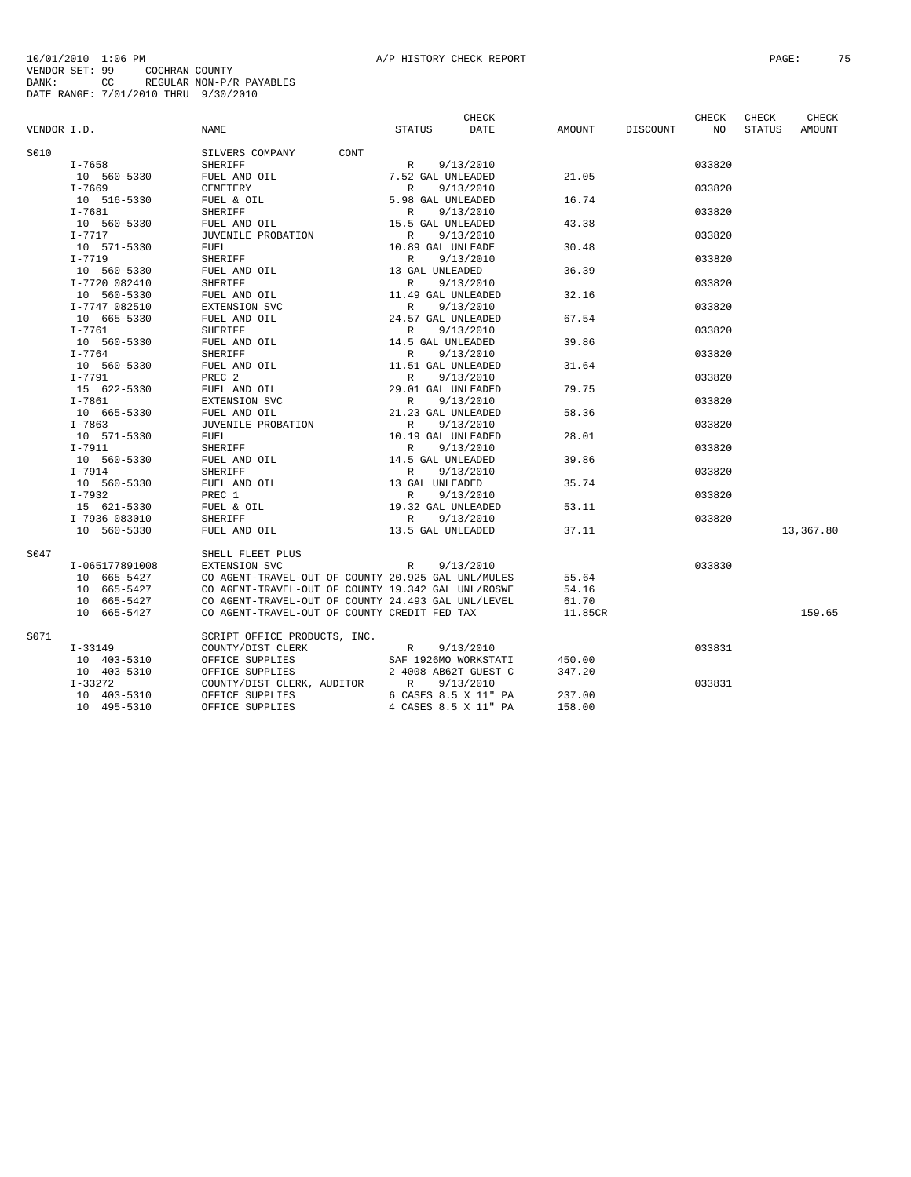## 10/01/2010 1:06 PM<br>VENDOR SET: 99 COCHRAN COUNTY<br>BANK: 99 COCHRAN COUNTY<br>BATE RANGE: 7/01/2010 THRU 9/30/2010<br>DATE RANGE: 7/01/2010 THRU 9/30/2010

|             |                |                                                    |                      | CHECK                |         |          | CHECK  | CHECK  | CHECK     |
|-------------|----------------|----------------------------------------------------|----------------------|----------------------|---------|----------|--------|--------|-----------|
| VENDOR I.D. |                | <b>NAME</b>                                        | <b>STATUS</b>        | DATE                 | AMOUNT  | DISCOUNT | NO     | STATUS | AMOUNT    |
| S010        |                | SILVERS COMPANY<br>CONT                            |                      |                      |         |          |        |        |           |
|             | I-7658         | SHERIFF                                            | R                    | 9/13/2010            |         |          | 033820 |        |           |
|             | 10 560-5330    | FUEL AND OIL                                       | 7.52 GAL UNLEADED    |                      | 21.05   |          |        |        |           |
|             | $I - 7669$     | CEMETERY                                           | $\mathbb{R}$         | 9/13/2010            |         |          | 033820 |        |           |
|             | 10 516-5330    | FUEL & OIL                                         | 5.98 GAL UNLEADED    |                      | 16.74   |          |        |        |           |
|             | $I - 7681$     | <b>SHERIFF</b>                                     | R                    | 9/13/2010            |         |          | 033820 |        |           |
|             | 10 560-5330    | FUEL AND OIL                                       | 15.5 GAL UNLEADED    |                      | 43.38   |          |        |        |           |
|             | $I-7717$       | JUVENILE PROBATION                                 | R                    | 9/13/2010            |         |          | 033820 |        |           |
|             | 10 571-5330    | FUEL                                               | 10.89 GAL UNLEADE    |                      | 30.48   |          |        |        |           |
|             | $I-7719$       | SHERIFF                                            | $\mathbb{R}$         | 9/13/2010            |         |          | 033820 |        |           |
|             | 10 560-5330    | FUEL AND OIL                                       | 13 GAL UNLEADED      |                      | 36.39   |          |        |        |           |
|             | I-7720 082410  | <b>SHERIFF</b>                                     | $\mathbb{R}$         | 9/13/2010            |         |          | 033820 |        |           |
|             | 10 560-5330    |                                                    | 11.49 GAL UNLEADED   |                      | 32.16   |          |        |        |           |
|             |                | FUEL AND OIL                                       | R                    |                      |         |          | 033820 |        |           |
|             | I-7747 082510  | EXTENSION SVC                                      |                      | 9/13/2010            | 67.54   |          |        |        |           |
|             | 10 665-5330    | FUEL AND OIL                                       | 24.57 GAL UNLEADED   |                      |         |          |        |        |           |
|             | $I - 7761$     | <b>SHERIFF</b>                                     | R                    | 9/13/2010            |         |          | 033820 |        |           |
|             | 10 560-5330    | FUEL AND OIL                                       | 14.5 GAL UNLEADED    |                      | 39.86   |          |        |        |           |
|             | $I - 7764$     | <b>SHERIFF</b>                                     | R                    | 9/13/2010            |         |          | 033820 |        |           |
|             | 10 560-5330    | FUEL AND OIL                                       | 11.51 GAL UNLEADED   |                      | 31.64   |          |        |        |           |
|             | $I-7791$       | PREC <sub>2</sub>                                  | R                    | 9/13/2010            |         |          | 033820 |        |           |
|             | 15 622-5330    | FUEL AND OIL                                       | 29.01 GAL UNLEADED   |                      | 79.75   |          |        |        |           |
|             | $I - 7861$     | EXTENSION SVC                                      | R                    | 9/13/2010            |         |          | 033820 |        |           |
|             | 10 665-5330    | FUEL AND OIL                                       | 21.23 GAL UNLEADED   |                      | 58.36   |          |        |        |           |
|             | $I - 7863$     | JUVENILE PROBATION                                 | R                    | 9/13/2010            |         |          | 033820 |        |           |
|             | 10 571-5330    | FUEL                                               | 10.19 GAL UNLEADED   |                      | 28.01   |          |        |        |           |
|             | $I-7911$       | SHERIFF                                            | $\mathbb{R}$         | 9/13/2010            |         |          | 033820 |        |           |
|             | 10 560-5330    | FUEL AND OIL                                       | 14.5 GAL UNLEADED    |                      | 39.86   |          |        |        |           |
|             | $I-7914$       | <b>SHERIFF</b>                                     | $\mathbb{R}$         | 9/13/2010            |         |          | 033820 |        |           |
|             | 10 560-5330    | FUEL AND OIL                                       | 13 GAL UNLEADED      |                      | 35.74   |          |        |        |           |
|             | I-7932         | PREC 1                                             | R                    | 9/13/2010            |         |          | 033820 |        |           |
|             | 15 621-5330    | FUEL & OIL                                         | 19.32 GAL UNLEADED   |                      | 53.11   |          |        |        |           |
|             | I-7936 083010  | SHERIFF                                            | R                    | 9/13/2010            |         |          | 033820 |        |           |
|             | 10 560-5330    | FUEL AND OIL                                       | 13.5 GAL UNLEADED    |                      | 37.11   |          |        |        | 13,367.80 |
| S047        |                | SHELL FLEET PLUS                                   |                      |                      |         |          |        |        |           |
|             | I-065177891008 | EXTENSION SVC                                      | R                    | 9/13/2010            |         |          | 033830 |        |           |
|             | 10 665-5427    | CO AGENT-TRAVEL-OUT OF COUNTY 20.925 GAL UNL/MULES |                      |                      | 55.64   |          |        |        |           |
|             | 10 665-5427    | CO AGENT-TRAVEL-OUT OF COUNTY 19.342 GAL UNL/ROSWE |                      |                      | 54.16   |          |        |        |           |
|             | 10 665-5427    | CO AGENT-TRAVEL-OUT OF COUNTY 24.493 GAL UNL/LEVEL |                      |                      | 61.70   |          |        |        |           |
|             | 10 665-5427    | CO AGENT-TRAVEL-OUT OF COUNTY CREDIT FED TAX       |                      |                      | 11.85CR |          |        |        | 159.65    |
| S071        |                | SCRIPT OFFICE PRODUCTS, INC.                       |                      |                      |         |          |        |        |           |
|             | I-33149        | COUNTY/DIST CLERK                                  | R                    | 9/13/2010            |         |          | 033831 |        |           |
|             | 10 403-5310    | OFFICE SUPPLIES                                    |                      | SAF 1926MO WORKSTATI | 450.00  |          |        |        |           |
|             | 10 403-5310    | OFFICE SUPPLIES                                    | 2 4008-AB62T GUEST C |                      | 347.20  |          |        |        |           |
|             | $I-33272$      | COUNTY/DIST CLERK, AUDITOR                         | R                    | 9/13/2010            |         |          | 033831 |        |           |
|             | 10 403-5310    | OFFICE SUPPLIES                                    |                      | 6 CASES 8.5 X 11" PA | 237.00  |          |        |        |           |
|             | 10 495-5310    | OFFICE SUPPLIES                                    |                      | 4 CASES 8.5 X 11" PA | 158.00  |          |        |        |           |
|             |                |                                                    |                      |                      |         |          |        |        |           |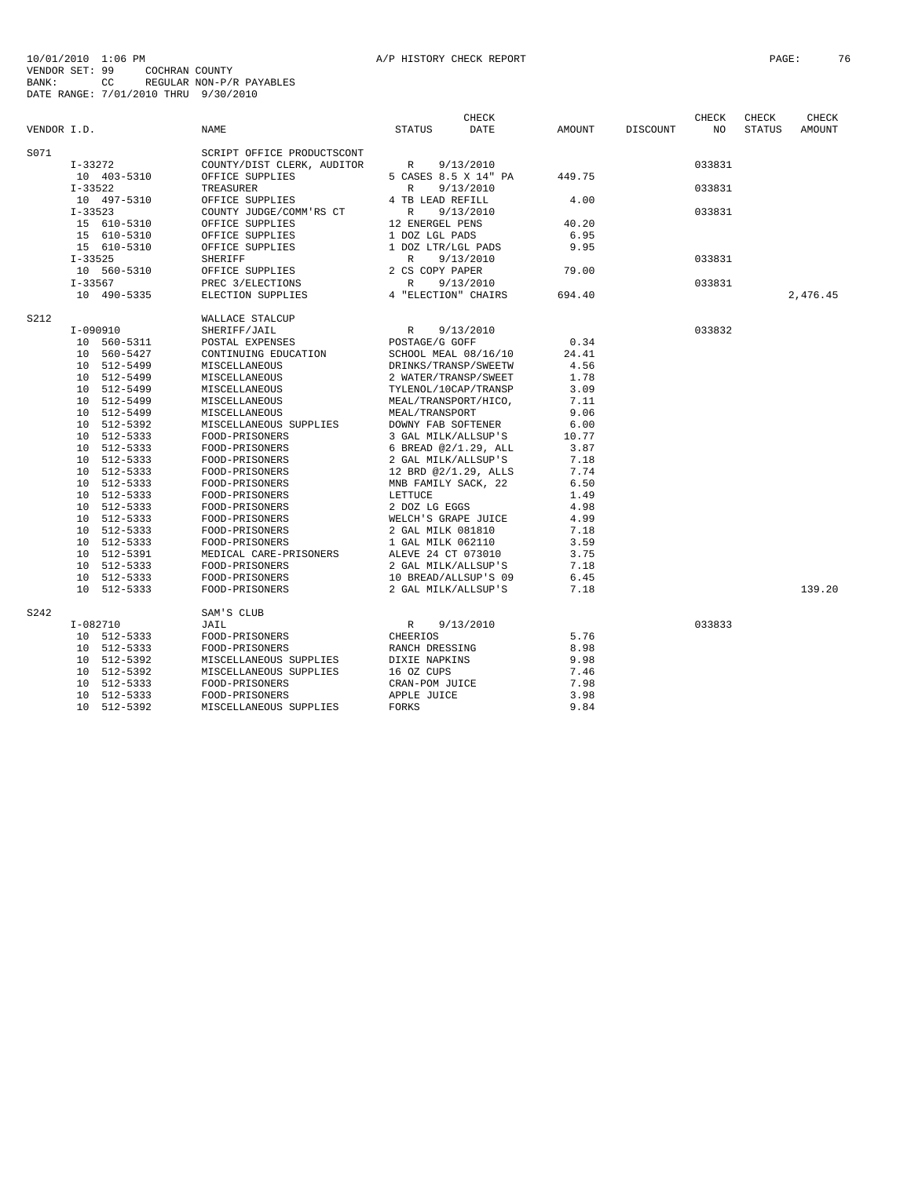| VENDOR I.D. |                            | <b>NAME</b>                                              | <b>STATUS</b>                               | <b>CHECK</b><br><b>DATE</b> | AMOUNT        | DISCOUNT | <b>CHECK</b><br>NO | CHECK<br><b>STATUS</b> | CHECK<br>AMOUNT |
|-------------|----------------------------|----------------------------------------------------------|---------------------------------------------|-----------------------------|---------------|----------|--------------------|------------------------|-----------------|
| S071        | $I-33272$                  | SCRIPT OFFICE PRODUCTSCONT<br>COUNTY/DIST CLERK, AUDITOR | R                                           | 9/13/2010                   |               |          | 033831             |                        |                 |
|             | 10 403-5310                | OFFICE SUPPLIES                                          | 5 CASES 8.5 X 14" PA                        |                             | 449.75        |          |                    |                        |                 |
|             | $I - 33522$<br>10 497-5310 | TREASURER<br>OFFICE SUPPLIES                             | $\mathbb{R}$<br>4 TB LEAD REFILL            | 9/13/2010                   | 4.00          |          | 033831             |                        |                 |
|             | $I - 33523$                | COUNTY JUDGE/COMM'RS CT                                  | $\mathbb{R}$                                | 9/13/2010                   |               |          | 033831             |                        |                 |
|             | 15 610-5310                | OFFICE SUPPLIES                                          | 12 ENERGEL PENS                             |                             | 40.20         |          |                    |                        |                 |
|             | 15 610-5310                | OFFICE SUPPLIES                                          | 1 DOZ LGL PADS                              |                             | 6.95          |          |                    |                        |                 |
|             | 15 610-5310                | OFFICE SUPPLIES                                          | 1 DOZ LTR/LGL PADS                          |                             | 9.95          |          |                    |                        |                 |
|             | $I - 33525$                | <b>SHERIFF</b>                                           | $\mathbb{R}$                                | 9/13/2010                   |               |          | 033831             |                        |                 |
|             | 10 560-5310                | OFFICE SUPPLIES                                          | 2 CS COPY PAPER<br>$\mathbb{R}$             |                             | 79.00         |          |                    |                        |                 |
|             | $I - 33567$<br>10 490-5335 | PREC 3/ELECTIONS<br>ELECTION SUPPLIES                    | 4 "ELECTION" CHAIRS                         | 9/13/2010                   | 694.40        |          | 033831             |                        | 2.476.45        |
|             |                            |                                                          |                                             |                             |               |          |                    |                        |                 |
| S212        |                            | WALLACE STALCUP                                          |                                             |                             |               |          |                    |                        |                 |
|             | I-090910                   | SHERIFF/JAIL                                             | $\mathbb{R}$                                | 9/13/2010                   |               |          | 033832             |                        |                 |
|             | 10 560-5311                | POSTAL EXPENSES                                          | POSTAGE/G GOFF                              |                             | 0.34          |          |                    |                        |                 |
|             | 10 560-5427                | CONTINUING EDUCATION                                     | SCHOOL MEAL 08/16/10                        |                             | 24.41         |          |                    |                        |                 |
|             | 10 512-5499                | MISCELLANEOUS                                            | DRINKS/TRANSP/SWEETW                        |                             | 4.56          |          |                    |                        |                 |
|             | 10 512-5499                | MISCELLANEOUS                                            | 2 WATER/TRANSP/SWEET                        |                             | 1.78          |          |                    |                        |                 |
|             | 10 512-5499                | MISCELLANEOUS                                            | TYLENOL/10CAP/TRANSP                        |                             | 3.09          |          |                    |                        |                 |
|             | 10 512-5499                | MISCELLANEOUS                                            | MEAL/TRANSPORT/HICO,                        |                             | 7.11          |          |                    |                        |                 |
|             | 10 512-5499                | MISCELLANEOUS                                            | MEAL/TRANSPORT                              |                             | 9.06          |          |                    |                        |                 |
|             | 10 512-5392                | MISCELLANEOUS SUPPLIES                                   | DOWNY FAB SOFTENER                          |                             | 6.00          |          |                    |                        |                 |
|             | 10 512-5333<br>10 512-5333 | FOOD-PRISONERS<br>FOOD-PRISONERS                         | 3 GAL MILK/ALLSUP'S                         |                             | 10.77<br>3.87 |          |                    |                        |                 |
|             | 10 512-5333                | FOOD-PRISONERS                                           | 6 BREAD @2/1.29, ALL<br>2 GAL MILK/ALLSUP'S |                             | 7.18          |          |                    |                        |                 |
|             | 10 512-5333                | FOOD-PRISONERS                                           | 12 BRD @2/1.29, ALLS                        |                             | 7.74          |          |                    |                        |                 |
|             | 10 512-5333                | FOOD-PRISONERS                                           | MNB FAMILY SACK, 22                         |                             | 6.50          |          |                    |                        |                 |
|             | 10 512-5333                | FOOD-PRISONERS                                           | LETTUCE                                     |                             | 1.49          |          |                    |                        |                 |
|             | 512-5333<br>10             | FOOD-PRISONERS                                           | 2 DOZ LG EGGS                               |                             | 4.98          |          |                    |                        |                 |
|             | 10 512-5333                | FOOD-PRISONERS                                           | WELCH'S GRAPE JUICE                         |                             | 4.99          |          |                    |                        |                 |
|             | 10 512-5333                | FOOD-PRISONERS                                           | 2 GAL MILK 081810                           |                             | 7.18          |          |                    |                        |                 |
|             | 10 512-5333                | FOOD-PRISONERS                                           | 1 GAL MILK 062110                           |                             | 3.59          |          |                    |                        |                 |
|             | 10 512-5391                | MEDICAL CARE-PRISONERS                                   | ALEVE 24 CT 073010                          |                             | 3.75          |          |                    |                        |                 |
|             | 10 512-5333                | FOOD-PRISONERS                                           | 2 GAL MILK/ALLSUP'S                         |                             | 7.18          |          |                    |                        |                 |
|             | 10 512-5333                | FOOD-PRISONERS                                           | 10 BREAD/ALLSUP'S 09                        |                             | 6.45          |          |                    |                        |                 |
|             | 10<br>512-5333             | FOOD-PRISONERS                                           | 2 GAL MILK/ALLSUP'S                         |                             | 7.18          |          |                    |                        | 139.20          |
| S242        |                            | SAM'S CLUB                                               |                                             |                             |               |          |                    |                        |                 |
|             | $I-082710$                 | JAIL                                                     | R                                           | 9/13/2010                   |               |          | 033833             |                        |                 |
|             | 10 512-5333                | FOOD-PRISONERS                                           | CHEERIOS                                    |                             | 5.76          |          |                    |                        |                 |
|             | 10 512-5333                | FOOD-PRISONERS                                           | RANCH DRESSING                              |                             | 8.98          |          |                    |                        |                 |
|             | 10 512-5392                | MISCELLANEOUS SUPPLIES                                   | DIXIE NAPKINS                               |                             | 9.98          |          |                    |                        |                 |
|             | 10 512-5392                | MISCELLANEOUS SUPPLIES                                   | 16 OZ CUPS                                  |                             | 7.46          |          |                    |                        |                 |
|             | 10 512-5333                | FOOD-PRISONERS                                           | CRAN-POM JUICE                              |                             | 7.98          |          |                    |                        |                 |
|             | 512-5333<br>10             | FOOD-PRISONERS                                           | APPLE JUICE                                 |                             | 3.98          |          |                    |                        |                 |
|             | 10 512-5392                | MISCELLANEOUS SUPPLIES                                   | <b>FORKS</b>                                |                             | 9.84          |          |                    |                        |                 |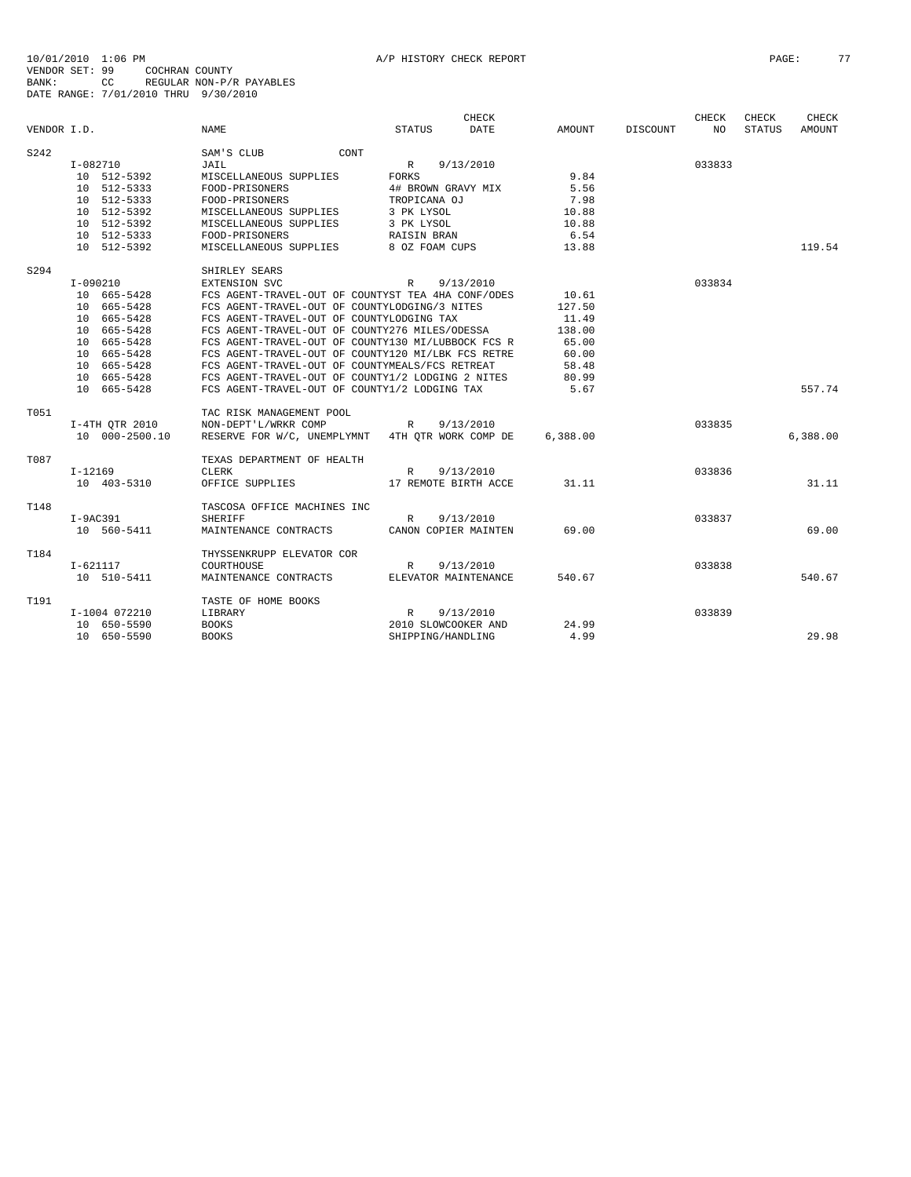|             |                |                                                    |                                                   | CHECK       |               |                 | CHECK  | CHECK         | CHECK         |
|-------------|----------------|----------------------------------------------------|---------------------------------------------------|-------------|---------------|-----------------|--------|---------------|---------------|
| VENDOR I.D. |                | <b>NAME</b>                                        | <b>STATUS</b>                                     | <b>DATE</b> | <b>AMOUNT</b> | <b>DISCOUNT</b> | NO.    | <b>STATUS</b> | <b>AMOUNT</b> |
| S242        |                | CONT<br>SAM'S CLUB                                 |                                                   |             |               |                 |        |               |               |
|             | I-082710       | JAIL                                               | 9/13/2010<br>R                                    |             |               |                 | 033833 |               |               |
|             | 10 512-5392    | MISCELLANEOUS SUPPLIES                             | <b>FORKS</b>                                      |             | 9.84          |                 |        |               |               |
|             | 10 512-5333    | FOOD-PRISONERS                                     | 4# BROWN GRAVY MIX                                |             | 5.56          |                 |        |               |               |
|             | 10 512-5333    | FOOD-PRISONERS                                     | TROPICANA OJ                                      |             | 7.98          |                 |        |               |               |
|             | 10 512-5392    | MISCELLANEOUS SUPPLIES                             | 3 PK LYSOL                                        |             | 10.88         |                 |        |               |               |
|             | 10 512-5392    | MISCELLANEOUS SUPPLIES                             | 3 PK LYSOL                                        |             | 10.88         |                 |        |               |               |
|             | 10 512-5333    | FOOD-PRISONERS                                     | RAISIN BRAN                                       |             | 6.54          |                 |        |               |               |
|             | 10 512-5392    | MISCELLANEOUS SUPPLIES                             | 8 OZ FOAM CUPS                                    |             | 13.88         |                 |        |               | 119.54        |
| S294        |                | SHIRLEY SEARS                                      |                                                   |             |               |                 |        |               |               |
|             | $I-090210$     | EXTENSION SVC                                      | 9/13/2010<br>$\mathbb{R}$                         |             |               |                 | 033834 |               |               |
|             | 10 665-5428    | FCS AGENT-TRAVEL-OUT OF COUNTYST TEA 4HA CONF/ODES |                                                   |             | 10.61         |                 |        |               |               |
|             | 10 665-5428    | FCS AGENT-TRAVEL-OUT OF COUNTYLODGING/3 NITES      |                                                   |             | 127.50        |                 |        |               |               |
|             | 10 665-5428    | FCS AGENT-TRAVEL-OUT OF COUNTYLODGING TAX          |                                                   |             | 11.49         |                 |        |               |               |
|             | 10 665-5428    | FCS AGENT-TRAVEL-OUT OF COUNTY276 MILES/ODESSA     |                                                   |             | 138.00        |                 |        |               |               |
|             | 10 665-5428    | FCS AGENT-TRAVEL-OUT OF COUNTY130 MI/LUBBOCK FCS R |                                                   |             | 65.00         |                 |        |               |               |
|             | 10 665-5428    | FCS AGENT-TRAVEL-OUT OF COUNTY120 MI/LBK FCS RETRE |                                                   |             | 60.00         |                 |        |               |               |
|             | 10 665-5428    | FCS AGENT-TRAVEL-OUT OF COUNTYMEALS/FCS RETREAT    |                                                   |             | 58.48         |                 |        |               |               |
|             | 10 665-5428    |                                                    | FCS AGENT-TRAVEL-OUT OF COUNTY1/2 LODGING 2 NITES |             |               |                 |        |               |               |
| 10 665-5428 |                | FCS AGENT-TRAVEL-OUT OF COUNTY1/2 LODGING TAX      |                                                   |             | 5.67          |                 |        |               | 557.74        |
| T051        |                | TAC RISK MANAGEMENT POOL                           |                                                   |             |               |                 |        |               |               |
|             | I-4TH QTR 2010 | NON-DEPT'L/WRKR COMP                               | 9/13/2010<br>R                                    |             |               |                 | 033835 |               |               |
|             | 10 000-2500.10 | RESERVE FOR W/C, UNEMPLYMNT 4TH OTR WORK COMP DE   |                                                   |             | 6.388.00      |                 |        |               | 6,388.00      |
| T087        |                | TEXAS DEPARTMENT OF HEALTH                         |                                                   |             |               |                 |        |               |               |
|             | $I-12169$      | <b>CLERK</b>                                       | 9/13/2010<br>$\mathbb{R}$                         |             |               |                 | 033836 |               |               |
|             | 10 403-5310    | OFFICE SUPPLIES                                    | 17 REMOTE BIRTH ACCE                              |             | 31.11         |                 |        |               | 31.11         |
| T148        |                | TASCOSA OFFICE MACHINES INC                        |                                                   |             |               |                 |        |               |               |
|             | I-9AC391       | <b>SHERIFF</b>                                     | 9/13/2010<br>$\mathbb{R}$                         |             |               |                 | 033837 |               |               |
|             | 10 560-5411    | MAINTENANCE CONTRACTS                              | CANON COPIER MAINTEN                              |             | 69.00         |                 |        |               | 69.00         |
| T184        |                | THYSSENKRUPP ELEVATOR COR                          |                                                   |             |               |                 |        |               |               |
|             | I-621117       | COURTHOUSE                                         | 9/13/2010<br>R                                    |             |               |                 | 033838 |               |               |
|             | 10 510-5411    | MAINTENANCE CONTRACTS                              | ELEVATOR MAINTENANCE                              |             | 540.67        |                 |        |               | 540.67        |
| T191        |                | TASTE OF HOME BOOKS                                |                                                   |             |               |                 |        |               |               |
|             | I-1004 072210  | LIBRARY                                            | R<br>9/13/2010                                    |             |               |                 | 033839 |               |               |
|             | 10 650-5590    | <b>BOOKS</b><br><b>BOOKS</b>                       | 2010 SLOWCOOKER AND                               |             | 24.99<br>4.99 |                 |        |               | 29.98         |
|             | 10 650-5590    |                                                    | SHIPPING/HANDLING                                 |             |               |                 |        |               |               |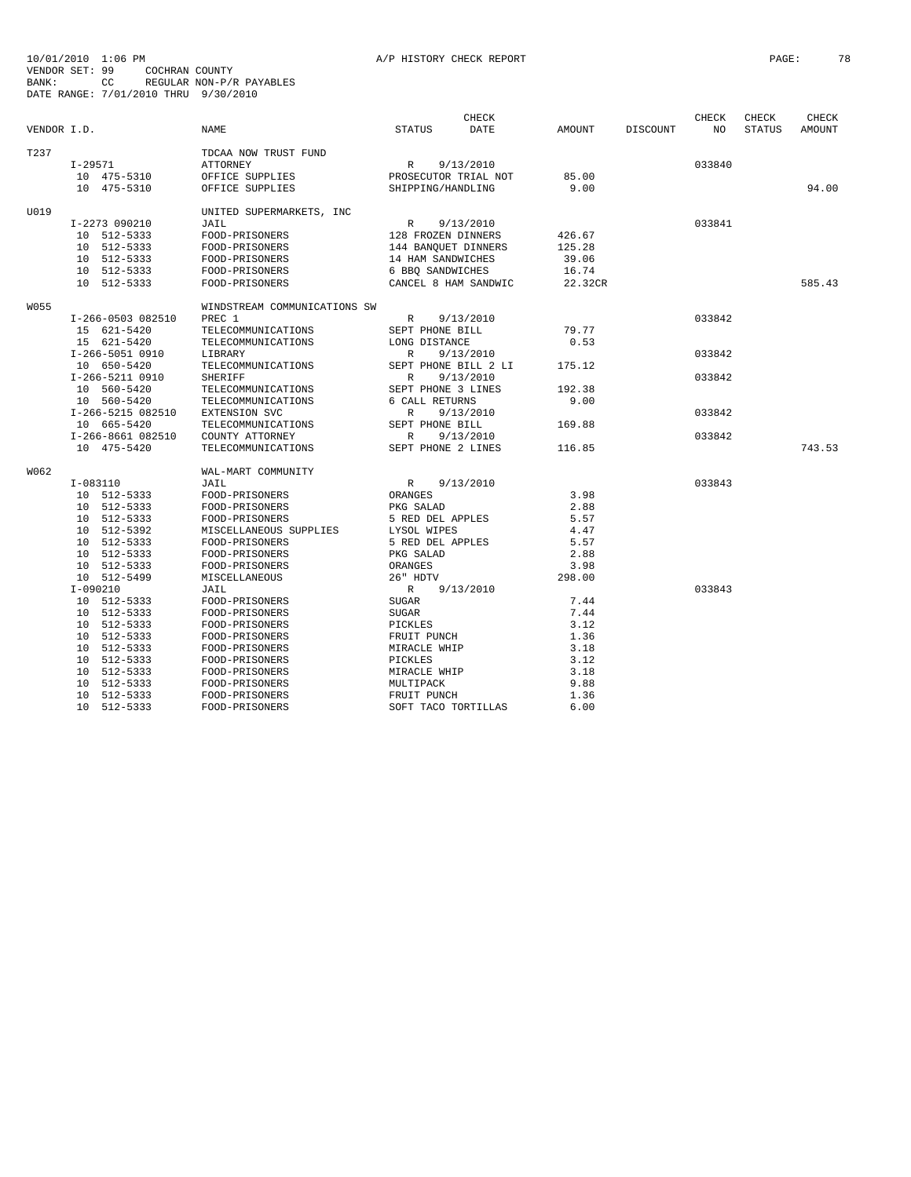|             |                   |                              |                      | CHECK                |         |                 | CHECK  | CHECK         | CHECK  |
|-------------|-------------------|------------------------------|----------------------|----------------------|---------|-----------------|--------|---------------|--------|
| VENDOR I.D. |                   | NAME                         | <b>STATUS</b>        | DATE                 | AMOUNT  | <b>DISCOUNT</b> | NO     | <b>STATUS</b> | AMOUNT |
| T237        |                   | TDCAA NOW TRUST FUND         |                      |                      |         |                 |        |               |        |
|             | $I-29571$         | <b>ATTORNEY</b>              | R                    | 9/13/2010            |         |                 | 033840 |               |        |
|             | 10 475-5310       | OFFICE SUPPLIES              | PROSECUTOR TRIAL NOT |                      | 85.00   |                 |        |               |        |
|             | 10 475-5310       | OFFICE SUPPLIES              | SHIPPING/HANDLING    |                      | 9.00    |                 |        |               | 94.00  |
|             |                   |                              |                      |                      |         |                 |        |               |        |
| U019        |                   | UNITED SUPERMARKETS, INC     |                      |                      |         |                 |        |               |        |
|             | I-2273 090210     | JAIL                         | $\mathbb{R}$         | 9/13/2010            |         |                 | 033841 |               |        |
|             | 10 512-5333       | FOOD-PRISONERS               | 128 FROZEN DINNERS   |                      | 426.67  |                 |        |               |        |
|             | 10 512-5333       | FOOD-PRISONERS               | 144 BANOUET DINNERS  |                      | 125.28  |                 |        |               |        |
|             | 10 512-5333       | FOOD-PRISONERS               | 14 HAM SANDWICHES    |                      | 39.06   |                 |        |               |        |
|             | 10 512-5333       | FOOD-PRISONERS               | 6 BBO SANDWICHES     |                      | 16.74   |                 |        |               |        |
|             | 10 512-5333       | FOOD-PRISONERS               |                      | CANCEL 8 HAM SANDWIC | 22.32CR |                 |        |               | 585.43 |
| W055        |                   | WINDSTREAM COMMUNICATIONS SW |                      |                      |         |                 |        |               |        |
|             | I-266-0503 082510 | PREC 1                       | R                    | 9/13/2010            |         |                 | 033842 |               |        |
|             | 15 621-5420       | TELECOMMUNICATIONS           | SEPT PHONE BILL      |                      | 79.77   |                 |        |               |        |
|             | 15 621-5420       | TELECOMMUNICATIONS           | LONG DISTANCE        |                      | 0.53    |                 |        |               |        |
|             | I-266-5051 0910   | LIBRARY                      | $\mathbb{R}$         | 9/13/2010            |         |                 | 033842 |               |        |
|             | 10 650-5420       | TELECOMMUNICATIONS           | SEPT PHONE BILL 2 LI |                      | 175.12  |                 |        |               |        |
|             | I-266-5211 0910   | <b>SHERIFF</b>               | $\mathbb{R}$         | 9/13/2010            |         |                 | 033842 |               |        |
|             | 10 560-5420       | TELECOMMUNICATIONS           | SEPT PHONE 3 LINES   |                      | 192.38  |                 |        |               |        |
|             | 10 560-5420       | TELECOMMUNICATIONS           | 6 CALL RETURNS       |                      | 9.00    |                 |        |               |        |
|             | I-266-5215 082510 | EXTENSION SVC                | R                    | 9/13/2010            |         |                 | 033842 |               |        |
|             | 10 665-5420       | TELECOMMUNICATIONS           | SEPT PHONE BILL      |                      | 169.88  |                 |        |               |        |
|             | I-266-8661 082510 | COUNTY ATTORNEY              | R                    | 9/13/2010            |         |                 | 033842 |               |        |
|             | 10 475-5420       | TELECOMMUNICATIONS           | SEPT PHONE 2 LINES   |                      | 116.85  |                 |        |               | 743.53 |
| W062        |                   | WAL-MART COMMUNITY           |                      |                      |         |                 |        |               |        |
|             | $I-083110$        | JAIL                         | R                    | 9/13/2010            |         |                 | 033843 |               |        |
|             | 10 512-5333       | FOOD-PRISONERS               | ORANGES              |                      | 3.98    |                 |        |               |        |
|             | 10 512-5333       | FOOD-PRISONERS               | PKG SALAD            |                      | 2.88    |                 |        |               |        |
|             | 10 512-5333       | FOOD-PRISONERS               | 5 RED DEL APPLES     |                      | 5.57    |                 |        |               |        |
|             | 10 512-5392       | MISCELLANEOUS SUPPLIES       | LYSOL WIPES          |                      | 4.47    |                 |        |               |        |
|             | 10 512-5333       | FOOD-PRISONERS               | 5 RED DEL APPLES     |                      | 5.57    |                 |        |               |        |
|             | 10 512-5333       | FOOD-PRISONERS               | PKG SALAD            |                      | 2.88    |                 |        |               |        |
|             | 10 512-5333       | FOOD-PRISONERS               | ORANGES              |                      | 3.98    |                 |        |               |        |
|             | 10 512-5499       | MISCELLANEOUS                | 26" HDTV             |                      | 298.00  |                 |        |               |        |
|             | $I-090210$        | JAIL                         | R                    | 9/13/2010            |         |                 | 033843 |               |        |
|             | 10 512-5333       | FOOD-PRISONERS               | <b>SUGAR</b>         |                      | 7.44    |                 |        |               |        |
|             | 10 512-5333       | FOOD-PRISONERS               | <b>SUGAR</b>         |                      | 7.44    |                 |        |               |        |
|             | 10 512-5333       | FOOD-PRISONERS               | PICKLES              |                      | 3.12    |                 |        |               |        |
|             | 10 512-5333       | FOOD-PRISONERS               | FRUIT PUNCH          |                      | 1.36    |                 |        |               |        |
|             | 10 512-5333       | FOOD-PRISONERS               | MIRACLE WHIP         |                      | 3.18    |                 |        |               |        |
|             | 10 512-5333       | FOOD-PRISONERS               | PICKLES              |                      | 3.12    |                 |        |               |        |
|             | 10 512-5333       | FOOD-PRISONERS               | MIRACLE WHIP         |                      | 3.18    |                 |        |               |        |
|             | 10 512-5333       | FOOD-PRISONERS               | MULTIPACK            |                      | 9.88    |                 |        |               |        |
|             | 10 512-5333       | FOOD-PRISONERS               | FRUIT PUNCH          |                      | 1.36    |                 |        |               |        |
|             | 10 512-5333       | FOOD-PRISONERS               | SOFT TACO TORTILLAS  |                      | 6.00    |                 |        |               |        |
|             |                   |                              |                      |                      |         |                 |        |               |        |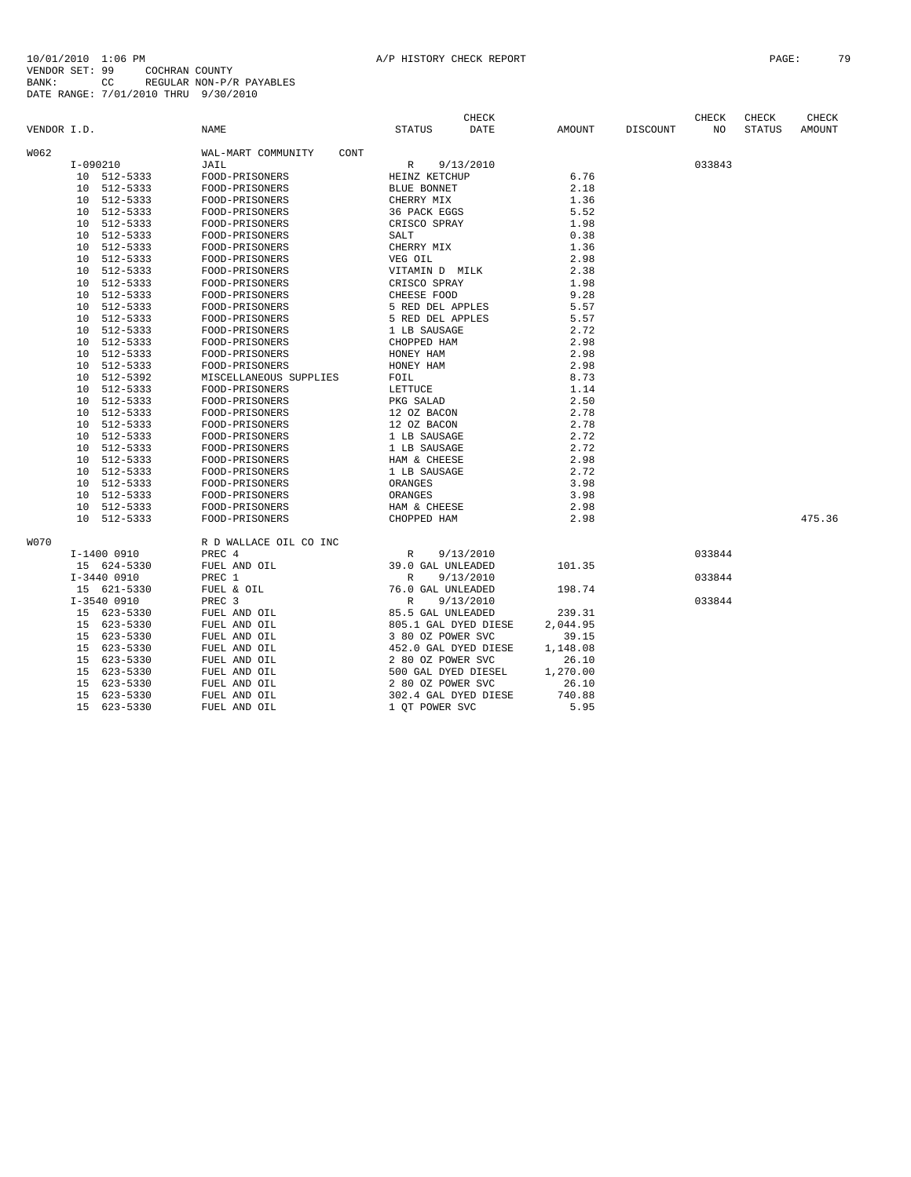| VENDOR I.D.     |               | <b>NAME</b>                | STATUS               | <b>CHECK</b><br><b>DATE</b> | AMOUNT   | DISCOUNT | CHECK<br>NO. | CHECK<br>STATUS | CHECK<br>AMOUNT |
|-----------------|---------------|----------------------------|----------------------|-----------------------------|----------|----------|--------------|-----------------|-----------------|
| W062            |               | WAL-MART COMMUNITY<br>CONT |                      |                             |          |          |              |                 |                 |
|                 | I-090210      | JAIL                       | R                    | 9/13/2010                   |          |          | 033843       |                 |                 |
|                 | 10 512-5333   | FOOD-PRISONERS             | HEINZ KETCHUP        |                             | 6.76     |          |              |                 |                 |
|                 | 10 512-5333   | FOOD-PRISONERS             | <b>BLUE BONNET</b>   |                             | 2.18     |          |              |                 |                 |
| 10 <sup>°</sup> | 512-5333      | FOOD-PRISONERS             | CHERRY MIX           |                             | 1.36     |          |              |                 |                 |
| 10              | 512-5333      | FOOD-PRISONERS             | 36 PACK EGGS         |                             | 5.52     |          |              |                 |                 |
|                 | 10 512-5333   | FOOD-PRISONERS             | CRISCO SPRAY         |                             | 1.98     |          |              |                 |                 |
| 10              | 512-5333      | FOOD-PRISONERS             | SALT                 |                             | 0.38     |          |              |                 |                 |
| 10              | 512-5333      | FOOD-PRISONERS             | CHERRY MIX           |                             | 1.36     |          |              |                 |                 |
| 10              | 512-5333      | FOOD-PRISONERS             | VEG OIL              |                             | 2.98     |          |              |                 |                 |
|                 | 10 512-5333   | FOOD-PRISONERS             | VITAMIN D MILK       |                             | 2.38     |          |              |                 |                 |
| 10              | 512-5333      | FOOD-PRISONERS             | CRISCO SPRAY         |                             | 1.98     |          |              |                 |                 |
| 10 <sup>°</sup> | 512-5333      | FOOD-PRISONERS             | CHEESE FOOD          |                             | 9.28     |          |              |                 |                 |
| 10 <sup>°</sup> | 512-5333      | FOOD-PRISONERS             | 5 RED DEL APPLES     |                             | 5.57     |          |              |                 |                 |
| 10 <sup>°</sup> | 512-5333      | FOOD-PRISONERS             | 5 RED DEL APPLES     |                             | 5.57     |          |              |                 |                 |
| 10 <sup>°</sup> | 512-5333      | FOOD-PRISONERS             | 1 LB SAUSAGE         |                             | 2.72     |          |              |                 |                 |
| 10 <sup>°</sup> | 512-5333      | FOOD-PRISONERS             | CHOPPED HAM          |                             | 2.98     |          |              |                 |                 |
| 10 <sup>°</sup> | 512-5333      | FOOD-PRISONERS             | HONEY HAM            |                             | 2.98     |          |              |                 |                 |
| 10              | 512-5333      | FOOD-PRISONERS             | HONEY HAM            |                             | 2.98     |          |              |                 |                 |
|                 | 10 512-5392   | MISCELLANEOUS SUPPLIES     | FOIL                 |                             | 8.73     |          |              |                 |                 |
| 10 <sup>°</sup> | 512-5333      | FOOD-PRISONERS             | LETTUCE              |                             | 1.14     |          |              |                 |                 |
|                 | 10 512-5333   | FOOD-PRISONERS             | PKG SALAD            |                             | 2.50     |          |              |                 |                 |
| 10              | 512-5333      | FOOD-PRISONERS             | 12 OZ BACON          |                             | 2.78     |          |              |                 |                 |
| 10              | 512-5333      | FOOD-PRISONERS             | 12 OZ BACON          |                             | 2.78     |          |              |                 |                 |
| 10 <sup>°</sup> | 512-5333      | FOOD-PRISONERS             | 1 LB SAUSAGE         |                             | 2.72     |          |              |                 |                 |
| 10 <sup>°</sup> | 512-5333      | FOOD-PRISONERS             | 1 LB SAUSAGE         |                             | 2.72     |          |              |                 |                 |
| 10 <sup>°</sup> | 512-5333      | FOOD-PRISONERS             | HAM & CHEESE         |                             | 2.98     |          |              |                 |                 |
| 10 <sup>°</sup> | 512-5333      | FOOD-PRISONERS             | 1 LB SAUSAGE         |                             | 2.72     |          |              |                 |                 |
|                 | 10 512-5333   | FOOD-PRISONERS             | ORANGES              |                             | 3.98     |          |              |                 |                 |
|                 | 10 512-5333   | FOOD-PRISONERS             | ORANGES              |                             | 3.98     |          |              |                 |                 |
|                 | 10 512-5333   | FOOD-PRISONERS             | HAM & CHEESE         |                             | 2.98     |          |              |                 |                 |
| 10 <sup>1</sup> | 512-5333      | FOOD-PRISONERS             | CHOPPED HAM          |                             | 2.98     |          |              |                 | 475.36          |
| <b>W070</b>     |               | R D WALLACE OIL CO INC     |                      |                             |          |          |              |                 |                 |
|                 | I-1400 0910   | PREC 4                     | R                    | 9/13/2010                   |          |          | 033844       |                 |                 |
|                 | 15 624-5330   | FUEL AND OIL               | 39.0 GAL UNLEADED    |                             | 101.35   |          |              |                 |                 |
|                 | $I-3440$ 0910 | PREC 1                     | R                    | 9/13/2010                   |          |          | 033844       |                 |                 |
|                 | 15 621-5330   | FUEL & OIL                 | 76.0 GAL UNLEADED    |                             | 198.74   |          |              |                 |                 |
|                 | $I-3540$ 0910 | PREC 3                     | $\mathbb R$          | 9/13/2010                   |          |          | 033844       |                 |                 |
|                 | 15 623-5330   | FUEL AND OIL               | 85.5 GAL UNLEADED    |                             | 239.31   |          |              |                 |                 |
| 15              | 623-5330      | FUEL AND OIL               | 805.1 GAL DYED DIESE |                             | 2,044.95 |          |              |                 |                 |
|                 | 15 623-5330   | FUEL AND OIL               | 3 80 OZ POWER SVC    |                             | 39.15    |          |              |                 |                 |
|                 | 15 623-5330   | FUEL AND OIL               | 452.0 GAL DYED DIESE |                             | 1,148.08 |          |              |                 |                 |
|                 | 15 623-5330   | FUEL AND OIL               | 2 80 OZ POWER SVC    |                             | 26.10    |          |              |                 |                 |
|                 | 15 623-5330   | FUEL AND OIL               | 500 GAL DYED DIESEL  |                             | 1,270.00 |          |              |                 |                 |
| 15              | 623-5330      | FUEL AND OIL               | 2 80 OZ POWER SVC    |                             | 26.10    |          |              |                 |                 |
| 15              | 623-5330      | FUEL AND OIL               | 302.4 GAL DYED DIESE |                             | 740.88   |          |              |                 |                 |
| 15              | 623-5330      | FUEL AND OIL               | 1 OT POWER SVC       |                             | 5.95     |          |              |                 |                 |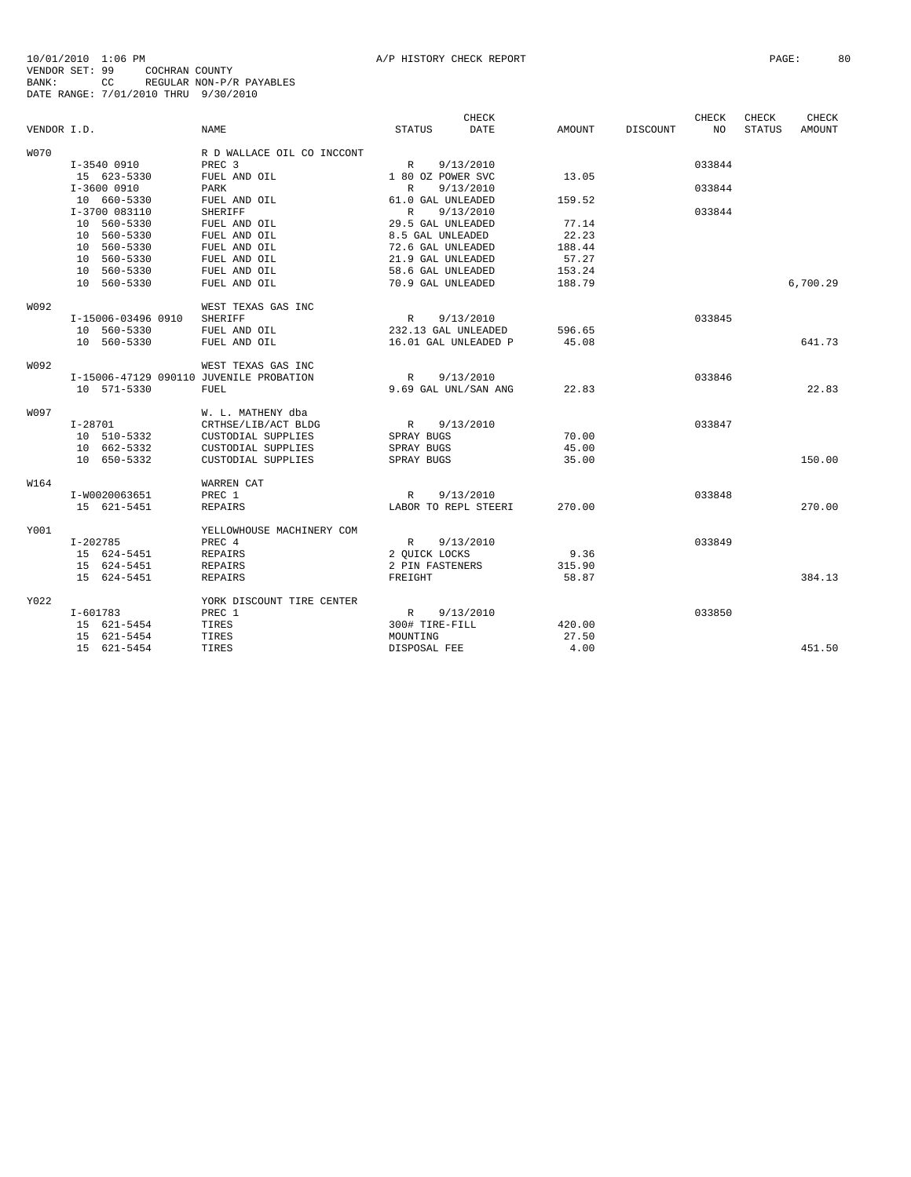|             |                                         |                            |                      | CHECK     |               |          | CHECK  | CHECK         | CHECK    |
|-------------|-----------------------------------------|----------------------------|----------------------|-----------|---------------|----------|--------|---------------|----------|
| VENDOR I.D. |                                         | <b>NAME</b>                | <b>STATUS</b>        | DATE      | <b>AMOUNT</b> | DISCOUNT | NO     | <b>STATUS</b> | AMOUNT   |
| <b>W070</b> |                                         | R D WALLACE OIL CO INCCONT |                      |           |               |          |        |               |          |
|             | I-3540 0910                             | PREC 3                     | R                    | 9/13/2010 |               |          | 033844 |               |          |
|             | 15 623-5330                             | FUEL AND OIL               | 1 80 OZ POWER SVC    |           | 13.05         |          |        |               |          |
|             | I-3600 0910                             | PARK                       | R                    | 9/13/2010 |               |          | 033844 |               |          |
|             | 10 660-5330                             | FUEL AND OIL               | 61.0 GAL UNLEADED    |           | 159.52        |          |        |               |          |
|             | I-3700 083110                           | <b>SHERIFF</b>             | $\mathbb{R}$         | 9/13/2010 |               |          | 033844 |               |          |
|             | 10 560-5330                             | FUEL AND OIL               | 29.5 GAL UNLEADED    |           | 77.14         |          |        |               |          |
|             | 10 560-5330                             | FUEL AND OIL               | 8.5 GAL UNLEADED     |           | 22.23         |          |        |               |          |
|             | 10 560-5330                             | FUEL AND OIL               | 72.6 GAL UNLEADED    |           | 188.44        |          |        |               |          |
|             | 10 560-5330                             | FUEL AND OIL               | 21.9 GAL UNLEADED    |           | 57.27         |          |        |               |          |
|             | 10 560-5330                             | FUEL AND OIL               | 58.6 GAL UNLEADED    |           | 153.24        |          |        |               |          |
|             | 10 560-5330                             | FUEL AND OIL               | 70.9 GAL UNLEADED    |           | 188.79        |          |        |               | 6,700.29 |
| W092        |                                         | WEST TEXAS GAS INC         |                      |           |               |          |        |               |          |
|             | I-15006-03496 0910                      | <b>SHERIFF</b>             | R                    | 9/13/2010 |               |          | 033845 |               |          |
|             | 10 560-5330                             | FUEL AND OIL               | 232.13 GAL UNLEADED  |           | 596.65        |          |        |               |          |
|             | 10 560-5330                             | FUEL AND OIL               | 16.01 GAL UNLEADED P |           | 45.08         |          |        |               | 641.73   |
| W092        |                                         | WEST TEXAS GAS INC         |                      |           |               |          |        |               |          |
|             | I-15006-47129 090110 JUVENILE PROBATION |                            | R                    | 9/13/2010 |               |          | 033846 |               |          |
|             | 10 571-5330                             | <b>FUEL</b>                | 9.69 GAL UNL/SAN ANG |           | 22.83         |          |        |               | 22.83    |
| <b>W097</b> |                                         | W. L. MATHENY dba          |                      |           |               |          |        |               |          |
|             | $I - 28701$                             | CRTHSE/LIB/ACT BLDG        | R                    | 9/13/2010 |               |          | 033847 |               |          |
|             | 10 510-5332                             | CUSTODIAL SUPPLIES         | SPRAY BUGS           |           | 70.00         |          |        |               |          |
|             | 10 662-5332                             | CUSTODIAL SUPPLIES         | SPRAY BUGS           |           | 45.00         |          |        |               |          |
|             | 10 650-5332                             | CUSTODIAL SUPPLIES         | SPRAY BUGS           |           | 35.00         |          |        |               | 150.00   |
| W164        |                                         | WARREN CAT                 |                      |           |               |          |        |               |          |
|             | I-W0020063651                           | PREC 1                     | R                    | 9/13/2010 |               |          | 033848 |               |          |
|             | 15 621-5451                             | <b>REPAIRS</b>             | LABOR TO REPL STEERI |           | 270.00        |          |        |               | 270.00   |
| Y001        |                                         | YELLOWHOUSE MACHINERY COM  |                      |           |               |          |        |               |          |
|             | $I - 202785$                            | PREC 4                     | $\mathbb{R}$         | 9/13/2010 |               |          | 033849 |               |          |
|             | 15 624-5451                             | <b>REPAIRS</b>             | 2 OUICK LOCKS        |           | 9.36          |          |        |               |          |
|             | 15 624-5451                             | <b>REPAIRS</b>             | 2 PIN FASTENERS      |           | 315.90        |          |        |               |          |
|             | 15 624-5451                             | <b>REPAIRS</b>             | FREIGHT              |           | 58.87         |          |        |               | 384.13   |
| Y022        |                                         | YORK DISCOUNT TIRE CENTER  |                      |           |               |          |        |               |          |
|             | $I - 601783$                            | PREC 1                     | $\mathbb{R}$         | 9/13/2010 |               |          | 033850 |               |          |
|             | 15 621-5454                             | TIRES                      | 300# TIRE-FILL       |           | 420.00        |          |        |               |          |
|             | 15 621-5454                             | TIRES                      | MOUNTING             |           | 27.50         |          |        |               |          |
|             | 15 621-5454                             | TIRES                      | DISPOSAL FEE         |           | 4.00          |          |        |               | 451.50   |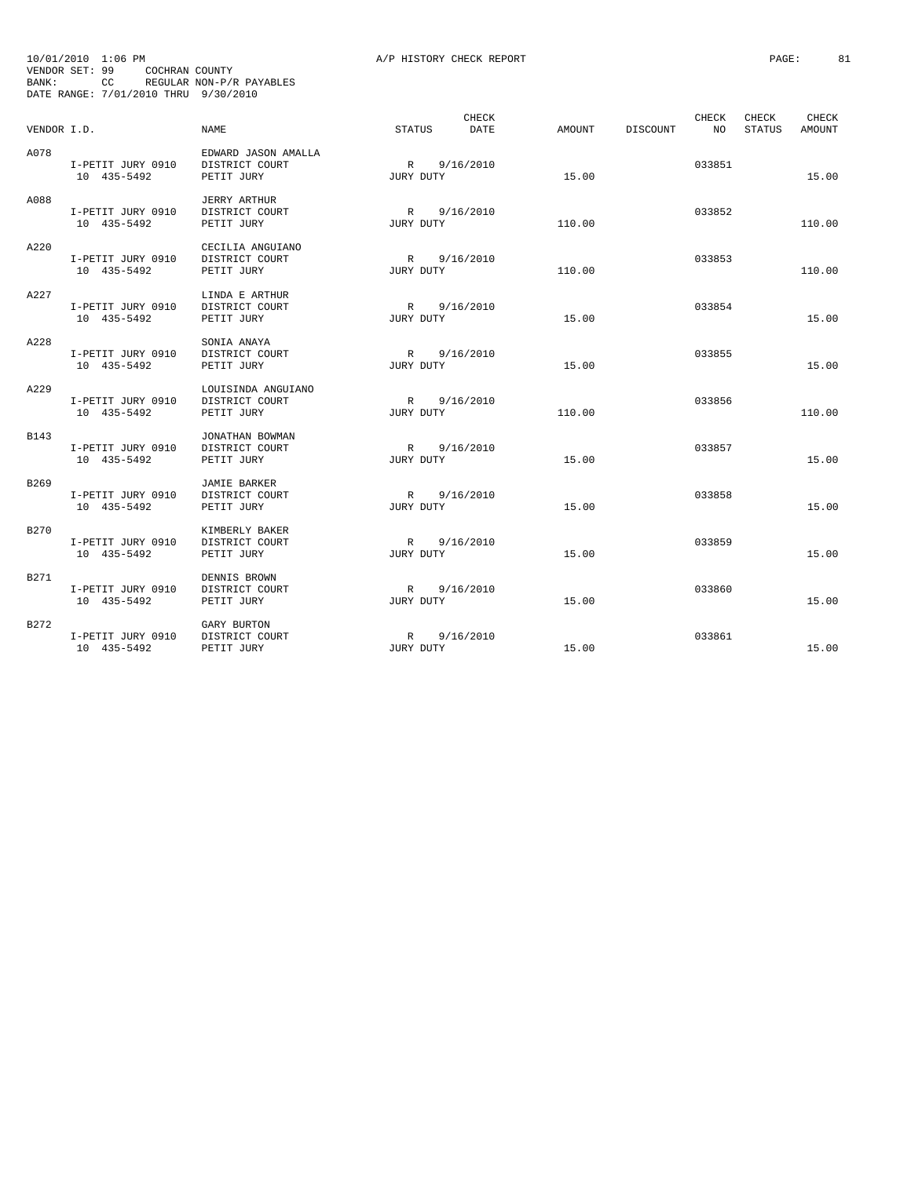| BANK:       | 10/01/2010 1:06 PM<br>VENDOR SET: 99<br>COCHRAN COUNTY<br>DATE RANGE: 7/01/2010 THRU 9/30/2010 | CC REGULAR NON-P/R PAYABLES                         | A/P HISTORY CHECK REPORT    |        |                         | PAGE:                                     | 81 |
|-------------|------------------------------------------------------------------------------------------------|-----------------------------------------------------|-----------------------------|--------|-------------------------|-------------------------------------------|----|
| VENDOR I.D. |                                                                                                | <b>NAME</b>                                         | CHECK<br>STATUS<br>DATE     | AMOUNT | CHECK<br>DISCOUNT<br>NO | <b>CHECK</b><br>CHECK<br>STATUS<br>AMOUNT |    |
| A078        | I-PETIT JURY 0910<br>10 435-5492                                                               | EDWARD JASON AMALLA<br>DISTRICT COURT<br>PETIT JURY | R<br>9/16/2010<br>JURY DUTY | 15.00  | 033851                  | 15.00                                     |    |
| A088        | I-PETIT JURY 0910<br>10 435-5492                                                               | <b>JERRY ARTHUR</b><br>DISTRICT COURT<br>PETIT JURY | R 9/16/2010<br>JURY DUTY    | 110.00 | 033852                  | 110.00                                    |    |
| A220        | I-PETIT JURY 0910<br>10 435-5492                                                               | CECILIA ANGUIANO<br>DISTRICT COURT<br>PETIT JURY    | R 9/16/2010<br>JURY DUTY    | 110.00 | 033853                  | 110.00                                    |    |
| A227        | I-PETIT JURY 0910<br>10 435-5492                                                               | LINDA E ARTHUR<br>DISTRICT COURT<br>PETIT JURY      | R 9/16/2010<br>JURY DUTY    | 15.00  | 033854                  | 15.00                                     |    |
| A228        | I-PETIT JURY 0910<br>10 435-5492                                                               | SONIA ANAYA<br>DISTRICT COURT<br>PETIT JURY         | R 9/16/2010<br>JURY DUTY    | 15.00  | 033855                  | 15.00                                     |    |
| A229        | I-PETIT JURY 0910<br>10 435-5492                                                               | LOUISINDA ANGUIANO<br>DISTRICT COURT<br>PETIT JURY  | R 9/16/2010<br>JURY DUTY    | 110.00 | 033856                  | 110.00                                    |    |
| B143        | I-PETIT JURY 0910<br>10 435-5492                                                               | JONATHAN BOWMAN<br>DISTRICT COURT<br>PETIT JURY     | R 9/16/2010<br>JURY DUTY    | 15.00  | 033857                  | 15.00                                     |    |
| B269        | I-PETIT JURY 0910<br>10 435-5492                                                               | <b>JAMIE BARKER</b><br>DISTRICT COURT<br>PETIT JURY | R 9/16/2010<br>JURY DUTY    | 15.00  | 033858                  | 15.00                                     |    |
| B270        | I-PETIT JURY 0910<br>10 435-5492                                                               | KIMBERLY BAKER<br>DISTRICT COURT<br>PETIT JURY      | R 9/16/2010<br>JURY DUTY    | 15.00  | 033859                  | 15.00                                     |    |
| B271        | I-PETIT JURY 0910<br>10 435-5492                                                               | DENNIS BROWN<br>DISTRICT COURT<br>PETIT JURY        | R 9/16/2010<br>JURY DUTY    | 15.00  | 033860                  | 15.00                                     |    |
| B272        | I-PETIT JURY 0910<br>10 435-5492                                                               | GARY BURTON<br>DISTRICT COURT<br>PETIT JURY         | R 9/16/2010<br>JURY DUTY    | 15.00  | 033861                  | 15.00                                     |    |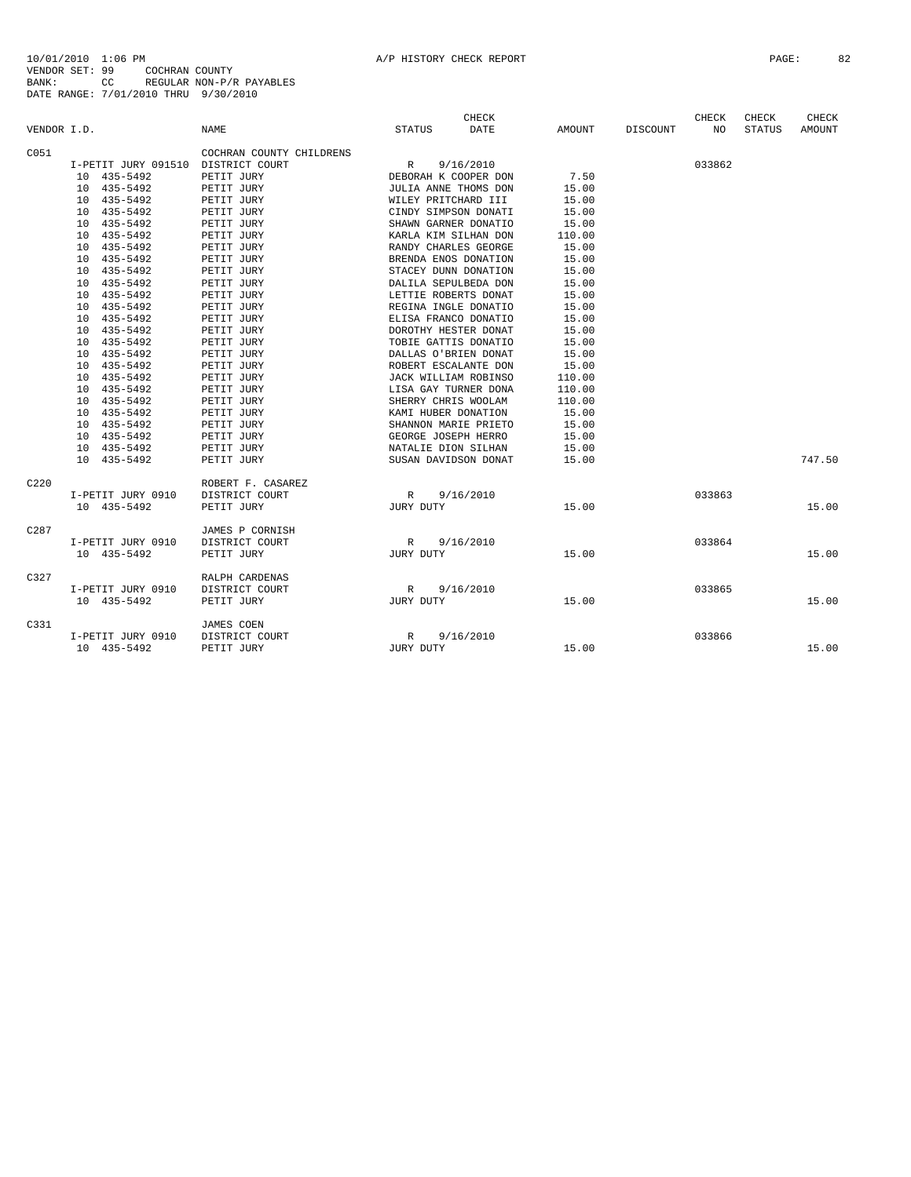| VENDOR I.D. |                                    | <b>NAME</b>                  | <b>STATUS</b>        | <b>CHECK</b><br><b>DATE</b> | AMOUNT | DISCOUNT | CHECK<br>NO | CHECK<br><b>STATUS</b> | CHECK<br>AMOUNT |
|-------------|------------------------------------|------------------------------|----------------------|-----------------------------|--------|----------|-------------|------------------------|-----------------|
| C051        |                                    | COCHRAN COUNTY CHILDRENS     |                      |                             |        |          |             |                        |                 |
|             | I-PETIT JURY 091510 DISTRICT COURT |                              | R                    | 9/16/2010                   |        |          | 033862      |                        |                 |
|             | 435-5492<br>10 <sup>1</sup>        | PETIT JURY                   | DEBORAH K COOPER DON |                             | 7.50   |          |             |                        |                 |
|             | 10 435-5492                        | PETIT JURY                   | JULIA ANNE THOMS DON |                             | 15.00  |          |             |                        |                 |
|             | 435-5492<br>10                     | PETIT JURY                   | WILEY PRITCHARD III  |                             | 15.00  |          |             |                        |                 |
|             | 435-5492<br>10                     | PETIT JURY                   | CINDY SIMPSON DONATI |                             | 15.00  |          |             |                        |                 |
|             | 10<br>435-5492                     | PETIT JURY                   | SHAWN GARNER DONATIO |                             | 15.00  |          |             |                        |                 |
|             | 10<br>435-5492                     | PETIT JURY                   | KARLA KIM SILHAN DON |                             | 110.00 |          |             |                        |                 |
|             | 435-5492<br>10                     | PETIT JURY                   | RANDY CHARLES GEORGE |                             | 15.00  |          |             |                        |                 |
|             | 435-5492<br>10                     | PETIT JURY                   | BRENDA ENOS DONATION |                             | 15.00  |          |             |                        |                 |
|             | 435-5492<br>10                     | PETIT JURY                   | STACEY DUNN DONATION |                             | 15.00  |          |             |                        |                 |
|             | 10<br>435-5492                     | PETIT JURY                   | DALILA SEPULBEDA DON |                             | 15.00  |          |             |                        |                 |
|             | 435-5492<br>10                     | PETIT JURY                   | LETTIE ROBERTS DONAT |                             | 15.00  |          |             |                        |                 |
|             | 435-5492<br>10                     | PETIT JURY                   | REGINA INGLE DONATIO |                             | 15.00  |          |             |                        |                 |
|             | 435-5492<br>10                     | PETIT JURY                   | ELISA FRANCO DONATIO |                             | 15.00  |          |             |                        |                 |
|             | 435-5492<br>10                     | PETIT JURY                   | DOROTHY HESTER DONAT |                             | 15.00  |          |             |                        |                 |
|             | 435-5492<br>10                     | PETIT JURY                   | TOBIE GATTIS DONATIO |                             | 15.00  |          |             |                        |                 |
|             | 435-5492<br>10                     | PETIT JURY                   | DALLAS O'BRIEN DONAT |                             | 15.00  |          |             |                        |                 |
|             | 435-5492<br>10                     | PETIT JURY                   | ROBERT ESCALANTE DON |                             | 15.00  |          |             |                        |                 |
|             | 435-5492<br>10                     | PETIT JURY                   | JACK WILLIAM ROBINSO |                             | 110.00 |          |             |                        |                 |
|             | 10<br>435-5492                     | PETIT JURY                   | LISA GAY TURNER DONA |                             | 110.00 |          |             |                        |                 |
|             | 435-5492<br>10                     | PETIT JURY                   | SHERRY CHRIS WOOLAM  |                             | 110.00 |          |             |                        |                 |
|             | 435-5492<br>10                     | PETIT JURY                   | KAMI HUBER DONATION  |                             | 15.00  |          |             |                        |                 |
|             | 435-5492<br>10                     | PETIT JURY                   | SHANNON MARIE PRIETO |                             | 15.00  |          |             |                        |                 |
|             | 435-5492<br>10                     | PETIT JURY                   | GEORGE JOSEPH HERRO  |                             | 15.00  |          |             |                        |                 |
|             | 10 435-5492                        | PETIT JURY                   | NATALIE DION SILHAN  |                             | 15.00  |          |             |                        |                 |
|             | 10 435-5492                        | PETIT JURY                   | SUSAN DAVIDSON DONAT |                             | 15.00  |          |             |                        | 747.50          |
| C220        |                                    | ROBERT F. CASAREZ            |                      |                             |        |          |             |                        |                 |
|             | I-PETIT JURY 0910                  | DISTRICT COURT               | R                    | 9/16/2010                   |        |          | 033863      |                        |                 |
|             | 10 435-5492                        | PETIT JURY                   | JURY DUTY            |                             | 15.00  |          |             |                        | 15.00           |
| C287        |                                    | JAMES P CORNISH              |                      |                             |        |          |             |                        |                 |
|             | I-PETIT JURY 0910                  | DISTRICT COURT               | R                    | 9/16/2010                   |        |          | 033864      |                        |                 |
|             | 10 435-5492                        | PETIT JURY                   | JURY DUTY            |                             | 15.00  |          |             |                        | 15.00           |
| C327        |                                    | RALPH CARDENAS               |                      |                             |        |          |             |                        |                 |
|             | I-PETIT JURY 0910<br>10 435-5492   | DISTRICT COURT               | R<br>JURY DUTY       | 9/16/2010                   | 15.00  |          | 033865      |                        | 15.00           |
|             |                                    | PETIT JURY                   |                      |                             |        |          |             |                        |                 |
| C331        |                                    | JAMES COEN                   |                      |                             |        |          |             |                        |                 |
|             | I-PETIT JURY 0910<br>10 435-5492   | DISTRICT COURT<br>PETIT JURY | R<br>JURY DUTY       | 9/16/2010                   | 15.00  |          | 033866      |                        | 15.00           |
|             |                                    |                              |                      |                             |        |          |             |                        |                 |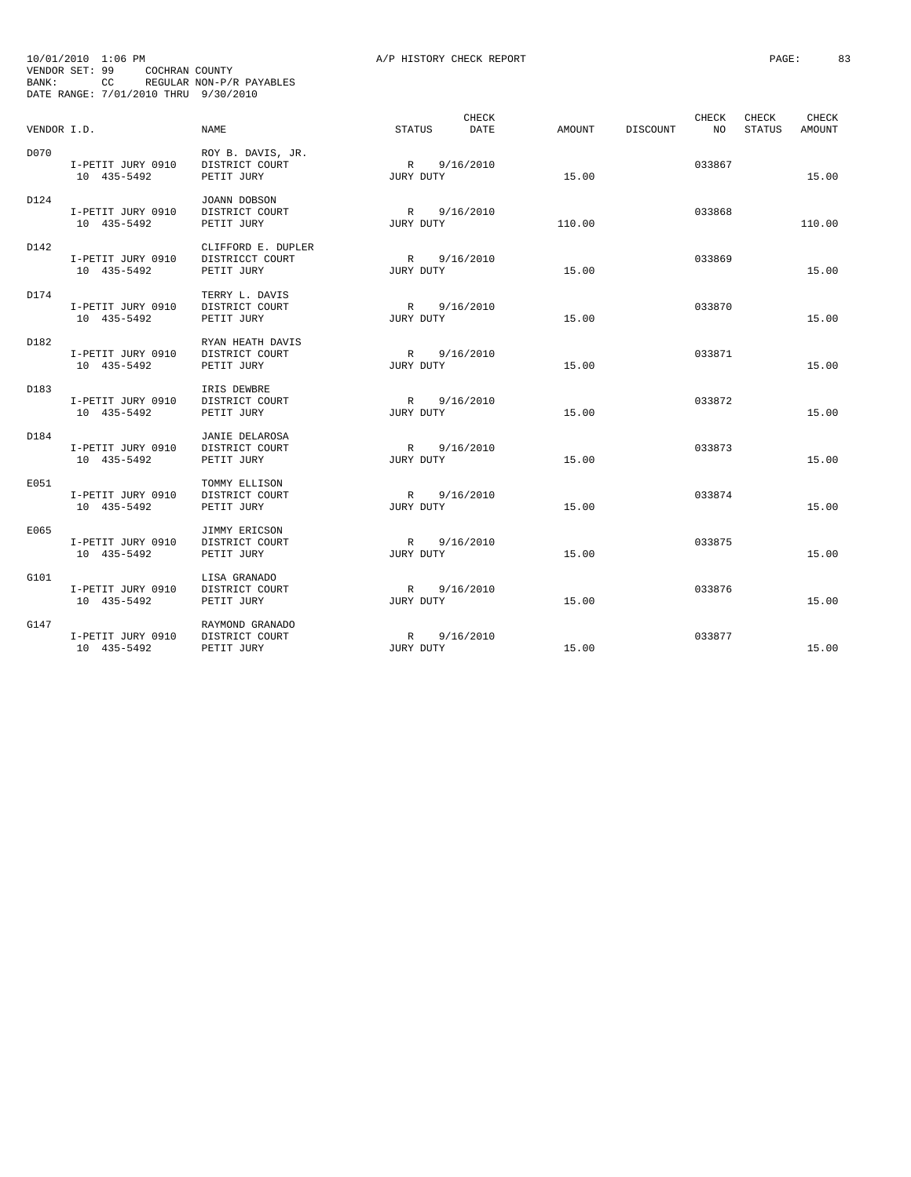| BANK:       | 10/01/2010 1:06 PM<br>VENDOR SET: 99<br>COCHRAN COUNTY<br>DATE RANGE: 7/01/2010 THRU 9/30/2010 | CC REGULAR NON-P/R PAYABLES                         | A/P HISTORY CHECK REPORT       |        |                          | PAGE:           | 83              |
|-------------|------------------------------------------------------------------------------------------------|-----------------------------------------------------|--------------------------------|--------|--------------------------|-----------------|-----------------|
| VENDOR I.D. |                                                                                                | <b>NAME</b>                                         | CHECK<br>STATUS<br><b>DATE</b> | AMOUNT | CHECK<br>DISCOUNT<br>NO. | CHECK<br>STATUS | CHECK<br>AMOUNT |
| D070        | I-PETIT JURY 0910<br>10 435-5492                                                               | ROY B. DAVIS, JR.<br>DISTRICT COURT<br>PETIT JURY   | R 9/16/2010<br>JURY DUTY       | 15.00  | 033867                   |                 | 15.00           |
| D124        | I-PETIT JURY 0910<br>10 435-5492                                                               | JOANN DOBSON<br>DISTRICT COURT<br>PETIT JURY        | R 9/16/2010<br>JURY DUTY       | 110.00 | 033868                   |                 | 110.00          |
| D142        | I-PETIT JURY 0910<br>10 435-5492                                                               | CLIFFORD E. DUPLER<br>DISTRICCT COURT<br>PETIT JURY | R 9/16/2010<br>JURY DUTY       | 15.00  | 033869                   |                 | 15.00           |
| D174        | I-PETIT JURY 0910<br>10 435-5492                                                               | TERRY L. DAVIS<br>DISTRICT COURT<br>PETIT JURY      | R 9/16/2010<br>JURY DUTY       | 15.00  | 033870                   |                 | 15.00           |
| D182        | I-PETIT JURY 0910<br>10 435-5492                                                               | RYAN HEATH DAVIS<br>DISTRICT COURT<br>PETIT JURY    | R 9/16/2010<br>JURY DUTY       | 15.00  | 033871                   |                 | 15.00           |
| D183        | I-PETIT JURY 0910<br>10 435-5492                                                               | IRIS DEWBRE<br>DISTRICT COURT<br>PETIT JURY         | R 9/16/2010<br>JURY DUTY       | 15.00  | 033872                   |                 | 15.00           |
| D184        | I-PETIT JURY 0910<br>10 435-5492                                                               | JANIE DELAROSA<br>DISTRICT COURT<br>PETIT JURY      | R 9/16/2010<br>JURY DUTY       | 15.00  | 033873                   |                 | 15.00           |
| E051        | I-PETIT JURY 0910<br>10 435-5492                                                               | TOMMY ELLISON<br>DISTRICT COURT<br>PETIT JURY       | R 9/16/2010<br>JURY DUTY       | 15.00  | 033874                   |                 | 15.00           |
| E065        | I-PETIT JURY 0910<br>10 435-5492                                                               | JIMMY ERICSON<br>DISTRICT COURT<br>PETIT JURY       | R 9/16/2010<br>JURY DUTY       | 15.00  | 033875                   |                 | 15.00           |
| G101        | I-PETIT JURY 0910<br>10 435-5492                                                               | LISA GRANADO<br>DISTRICT COURT<br>PETIT JURY        | R 9/16/2010<br>JURY DUTY       | 15.00  | 033876                   |                 | 15.00           |
| G147        | I-PETIT JURY 0910<br>10 435-5492                                                               | RAYMOND GRANADO<br>DISTRICT COURT<br>PETIT JURY     | R 9/16/2010<br>JURY DUTY       | 15.00  | 033877                   |                 | 15.00           |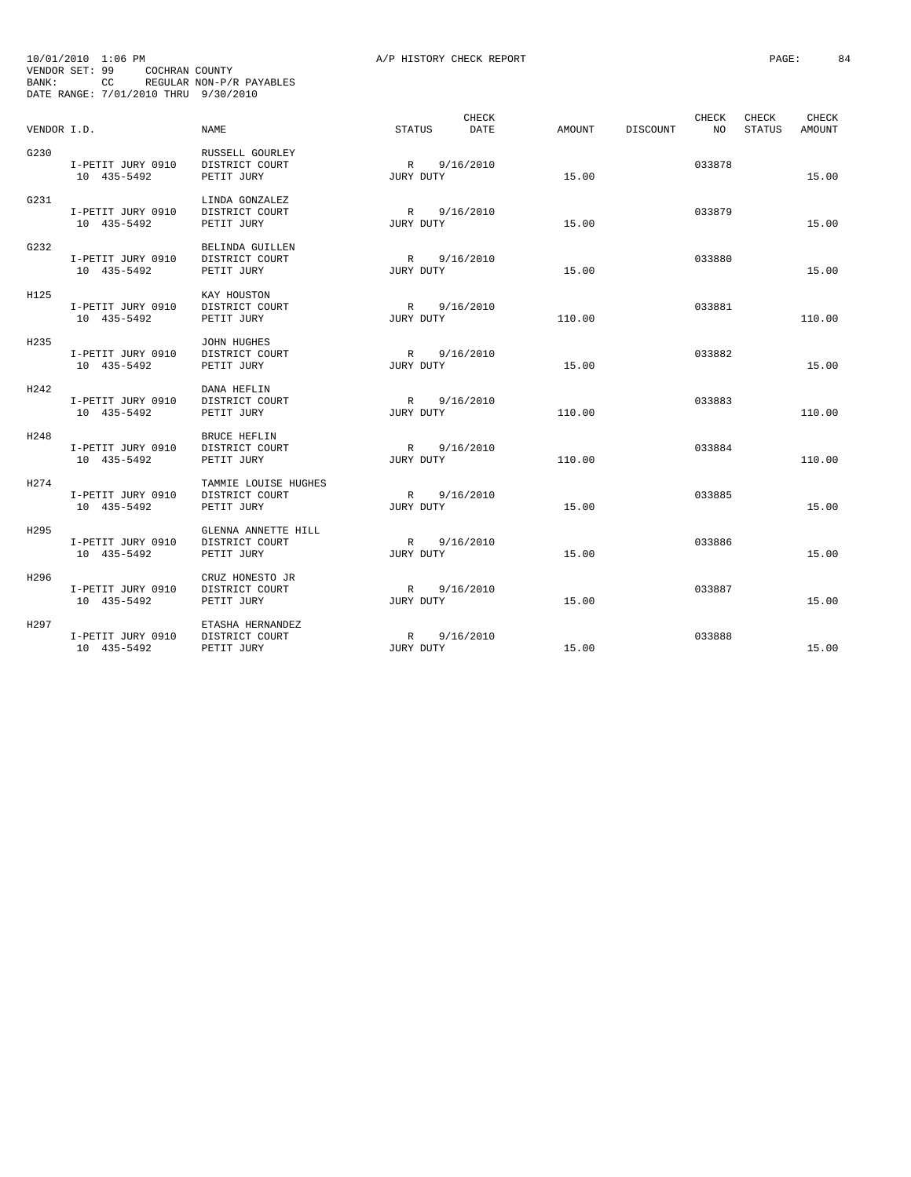| BANK:       | 10/01/2010 1:06 PM<br>VENDOR SET: 99<br>COCHRAN COUNTY<br>DATE RANGE: 7/01/2010 THRU 9/30/2010 | CC REGULAR NON-P/R PAYABLES                          | A/P HISTORY CHECK REPORT    |        |                                | PAGE:                              | 84 |
|-------------|------------------------------------------------------------------------------------------------|------------------------------------------------------|-----------------------------|--------|--------------------------------|------------------------------------|----|
| VENDOR I.D. |                                                                                                | NAME.                                                | CHECK<br>STATUS<br>DATE     |        | CHECK<br>AMOUNT DISCOUNT<br>NO | CHECK<br>CHECK<br>STATUS<br>AMOUNT |    |
| G230        | I-PETIT JURY 0910<br>10 435-5492                                                               | RUSSELL GOURLEY<br>DISTRICT COURT<br>PETIT JURY      | R 9/16/2010<br>JURY DUTY    | 15.00  | 033878                         | 15.00                              |    |
| G231        | I-PETIT JURY 0910<br>10 435-5492                                                               | LINDA GONZALEZ<br>DISTRICT COURT<br>PETIT JURY       | R 9/16/2010<br>JURY DUTY    | 15.00  | 033879                         | 15.00                              |    |
| G232        | I-PETIT JURY 0910<br>10 435-5492                                                               | BELINDA GUILLEN<br>DISTRICT COURT<br>PETIT JURY      | R 9/16/2010<br>JURY DUTY    | 15.00  | 033880                         | 15.00                              |    |
| H125        | I-PETIT JURY 0910<br>10 435-5492                                                               | KAY HOUSTON<br>DISTRICT COURT<br>PETIT JURY          | R 9/16/2010<br>JURY DUTY    | 110.00 | 033881                         | 110.00                             |    |
| H235        | I-PETIT JURY 0910<br>10 435-5492                                                               | JOHN HUGHES<br>DISTRICT COURT<br>PETIT JURY          | R 9/16/2010<br>JURY DUTY    | 15.00  | 033882                         | 15.00                              |    |
| H242        | I-PETIT JURY 0910<br>10 435-5492                                                               | DANA HEFLIN<br>DISTRICT COURT<br>PETIT JURY          | R 9/16/2010<br>JURY DUTY    | 110.00 | 033883                         | 110.00                             |    |
| H248        | I-PETIT JURY 0910<br>10 435-5492                                                               | <b>BRUCE HEFLIN</b><br>DISTRICT COURT<br>PETIT JURY  | R 9/16/2010<br>JURY DUTY    | 110.00 | 033884                         | 110.00                             |    |
| H274        | I-PETIT JURY 0910<br>10 435-5492                                                               | TAMMIE LOUISE HUGHES<br>DISTRICT COURT<br>PETIT JURY | 9/16/2010<br>R<br>JURY DUTY | 15.00  | 033885                         | 15.00                              |    |
| H295        | I-PETIT JURY 0910<br>10 435-5492                                                               | GLENNA ANNETTE HILL<br>DISTRICT COURT<br>PETIT JURY  | R 9/16/2010<br>JURY DUTY    | 15.00  | 033886                         | 15.00                              |    |
| H296        | I-PETIT JURY 0910<br>10 435-5492                                                               | CRUZ HONESTO JR<br>DISTRICT COURT<br>PETIT JURY      | 9/16/2010<br>R<br>JURY DUTY | 15.00  | 033887                         | 15.00                              |    |
| H297        | I-PETIT JURY 0910<br>10 435-5492                                                               | ETASHA HERNANDEZ<br>DISTRICT COURT<br>PETIT JURY     | R 9/16/2010<br>JURY DUTY    | 15.00  | 033888                         | 15.00                              |    |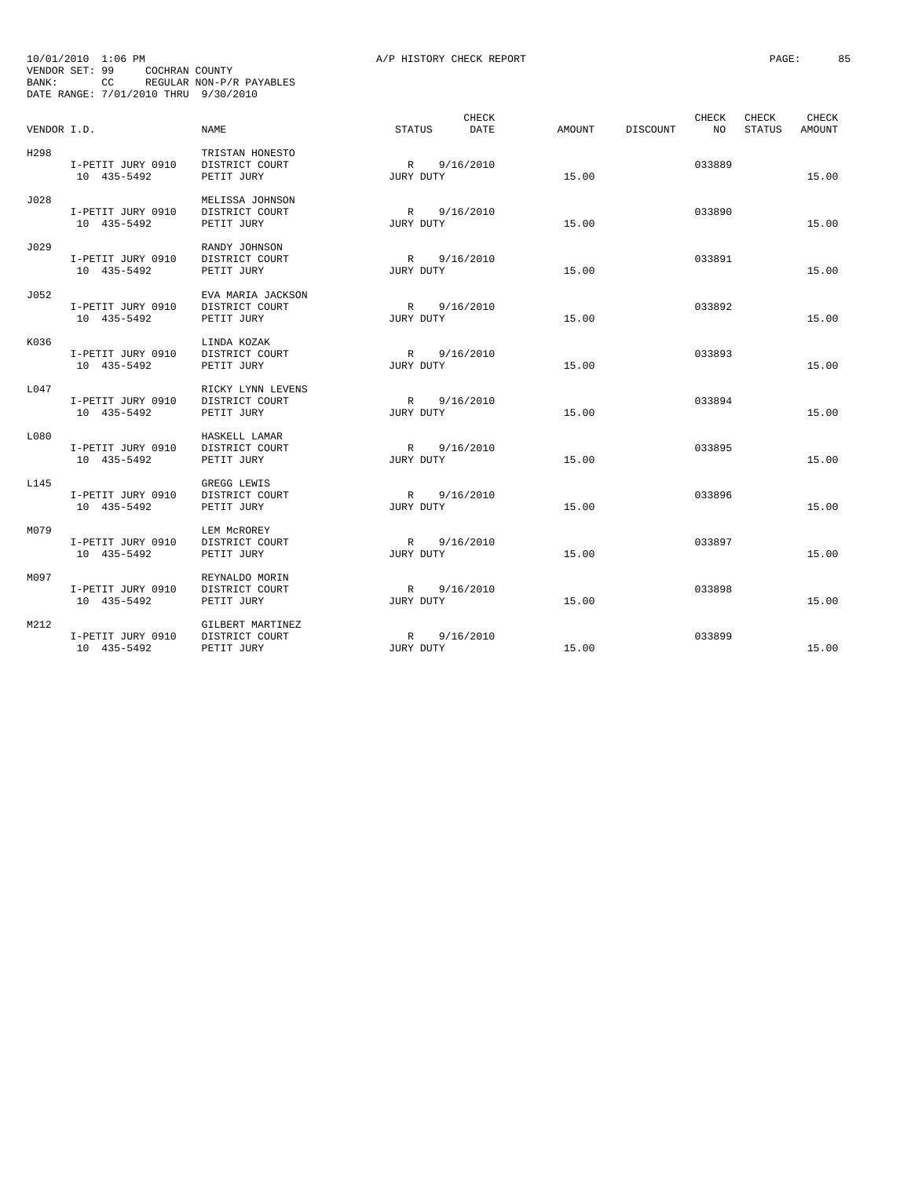|             | 10/01/2010 1:06 PM                                                       |                                                   | A/P HISTORY CHECK REPORT    |                 |             | PAGE:<br>85                        |
|-------------|--------------------------------------------------------------------------|---------------------------------------------------|-----------------------------|-----------------|-------------|------------------------------------|
| BANK:       | VENDOR SET: 99<br>COCHRAN COUNTY<br>DATE RANGE: 7/01/2010 THRU 9/30/2010 | CC REGULAR NON-P/R PAYABLES                       |                             |                 |             |                                    |
| VENDOR I.D. |                                                                          | NAME                                              | CHECK<br>STATUS<br>DATE     | AMOUNT DISCOUNT | CHECK<br>NO | CHECK<br>CHECK<br>STATUS<br>AMOUNT |
| H298        | I-PETIT JURY 0910<br>10 435-5492                                         | TRISTAN HONESTO<br>DISTRICT COURT<br>PETIT JURY   | R 9/16/2010<br>JURY DUTY    | 15.00           | 033889      | 15.00                              |
| J028        | I-PETIT JURY 0910<br>10 435-5492                                         | MELISSA JOHNSON<br>DISTRICT COURT<br>PETIT JURY   | R 9/16/2010<br>JURY DUTY    | 15.00           | 033890      | 15.00                              |
| J029        | I-PETIT JURY 0910<br>10 435-5492                                         | RANDY JOHNSON<br>DISTRICT COURT<br>PETIT JURY     | R 9/16/2010<br>JURY DUTY    | 15.00           | 033891      | 15.00                              |
| J052        | I-PETIT JURY 0910<br>10 435-5492                                         | EVA MARIA JACKSON<br>DISTRICT COURT<br>PETIT JURY | R 9/16/2010<br>JURY DUTY    | 15.00           | 033892      | 15.00                              |
| K036        | I-PETIT JURY 0910<br>10 435-5492                                         | LINDA KOZAK<br>DISTRICT COURT<br>PETIT JURY       | R 9/16/2010<br>JURY DUTY    | 15.00           | 033893      | 15.00                              |
| L047        | I-PETIT JURY 0910<br>10 435-5492                                         | RICKY LYNN LEVENS<br>DISTRICT COURT<br>PETIT JURY | R 9/16/2010<br>JURY DUTY    | 15.00           | 033894      | 15.00                              |
| L080        | I-PETIT JURY 0910<br>10 435-5492                                         | HASKELL LAMAR<br>DISTRICT COURT<br>PETIT JURY     | R 9/16/2010<br>JURY DUTY    | 15.00           | 033895      | 15.00                              |
| L145        | I-PETIT JURY 0910<br>10 435-5492                                         | GREGG LEWIS<br>DISTRICT COURT<br>PETIT JURY       | R 9/16/2010<br>JURY DUTY    | 15.00           | 033896      | 15.00                              |
| M079        | I-PETIT JURY 0910<br>10 435-5492                                         | LEM MCROREY<br>DISTRICT COURT<br>PETIT JURY       | R 9/16/2010<br>JURY DUTY    | 15.00           | 033897      | 15.00                              |
| M097        | I-PETIT JURY 0910<br>10 435-5492                                         | REYNALDO MORIN<br>DISTRICT COURT<br>PETIT JURY    | 9/16/2010<br>R<br>JURY DUTY | 15.00           | 033898      | 15.00                              |
| M212        | I-PETIT JURY 0910<br>10 435-5492                                         | GILBERT MARTINEZ<br>DISTRICT COURT<br>PETIT JURY  | R 9/16/2010<br>JURY DUTY    | 15.00           | 033899      | 15.00                              |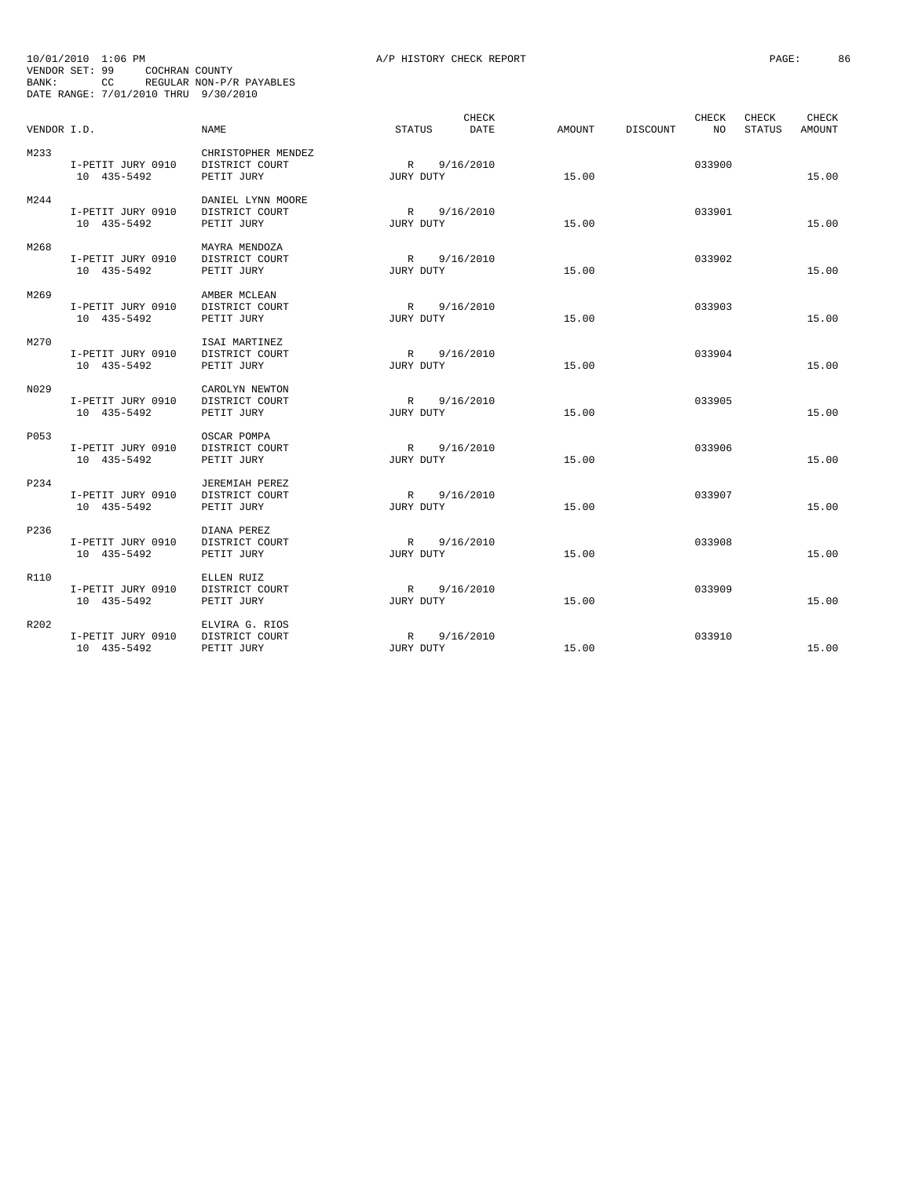|             | 10/01/2010 1:06 PM                                                       |                                                    | A/P HISTORY CHECK REPORT |        |                         | PAGE:<br>86                               |
|-------------|--------------------------------------------------------------------------|----------------------------------------------------|--------------------------|--------|-------------------------|-------------------------------------------|
| BANK:       | VENDOR SET: 99<br>COCHRAN COUNTY<br>DATE RANGE: 7/01/2010 THRU 9/30/2010 | CC REGULAR NON-P/R PAYABLES                        |                          |        |                         |                                           |
| VENDOR I.D. |                                                                          | <b>NAME</b>                                        | CHECK<br>STATUS<br>DATE  | AMOUNT | CHECK<br>DISCOUNT<br>NO | <b>CHECK</b><br>CHECK<br>STATUS<br>AMOUNT |
| M233        | I-PETIT JURY 0910<br>10 435-5492                                         | CHRISTOPHER MENDEZ<br>DISTRICT COURT<br>PETIT JURY | R 9/16/2010<br>JURY DUTY | 15.00  | 033900                  | 15.00                                     |
| M244        | I-PETIT JURY 0910<br>10 435-5492                                         | DANIEL LYNN MOORE<br>DISTRICT COURT<br>PETIT JURY  | R 9/16/2010<br>JURY DUTY | 15.00  | 033901                  | 15.00                                     |
| M268        | I-PETIT JURY 0910<br>10 435-5492                                         | MAYRA MENDOZA<br>DISTRICT COURT<br>PETIT JURY      | R 9/16/2010<br>JURY DUTY | 15.00  | 033902                  | 15.00                                     |
| M269        | I-PETIT JURY 0910<br>10 435-5492                                         | AMBER MCLEAN<br>DISTRICT COURT<br>PETIT JURY       | R 9/16/2010<br>JURY DUTY | 15.00  | 033903                  | 15.00                                     |
| M270        | I-PETIT JURY 0910<br>10 435-5492                                         | ISAI MARTINEZ<br>DISTRICT COURT<br>PETIT JURY      | R 9/16/2010<br>JURY DUTY | 15.00  | 033904                  | 15.00                                     |
| N029        | I-PETIT JURY 0910<br>10 435-5492                                         | CAROLYN NEWTON<br>DISTRICT COURT<br>PETIT JURY     | R 9/16/2010<br>JURY DUTY | 15.00  | 033905                  | 15.00                                     |
| P053        | I-PETIT JURY 0910<br>10 435-5492                                         | OSCAR POMPA<br>DISTRICT COURT<br>PETIT JURY        | R 9/16/2010<br>JURY DUTY | 15.00  | 033906                  | 15.00                                     |
| P234        | I-PETIT JURY 0910<br>10 435-5492                                         | JEREMIAH PEREZ<br>DISTRICT COURT<br>PETIT JURY     | R 9/16/2010<br>JURY DUTY | 15.00  | 033907                  | 15.00                                     |
| P236        | I-PETIT JURY 0910<br>10 435-5492                                         | DIANA PEREZ<br>DISTRICT COURT<br>PETIT JURY        | R 9/16/2010<br>JURY DUTY | 15.00  | 033908                  | 15.00                                     |
| R110        | I-PETIT JURY 0910<br>10 435-5492                                         | ELLEN RUIZ<br>DISTRICT COURT<br>PETIT JURY         | R 9/16/2010<br>JURY DUTY | 15.00  | 033909                  | 15.00                                     |
| R202        | I-PETIT JURY 0910<br>10 435-5492                                         | ELVIRA G. RIOS<br>DISTRICT COURT<br>PETIT JURY     | R 9/16/2010<br>JURY DUTY | 15.00  | 033910                  | 15.00                                     |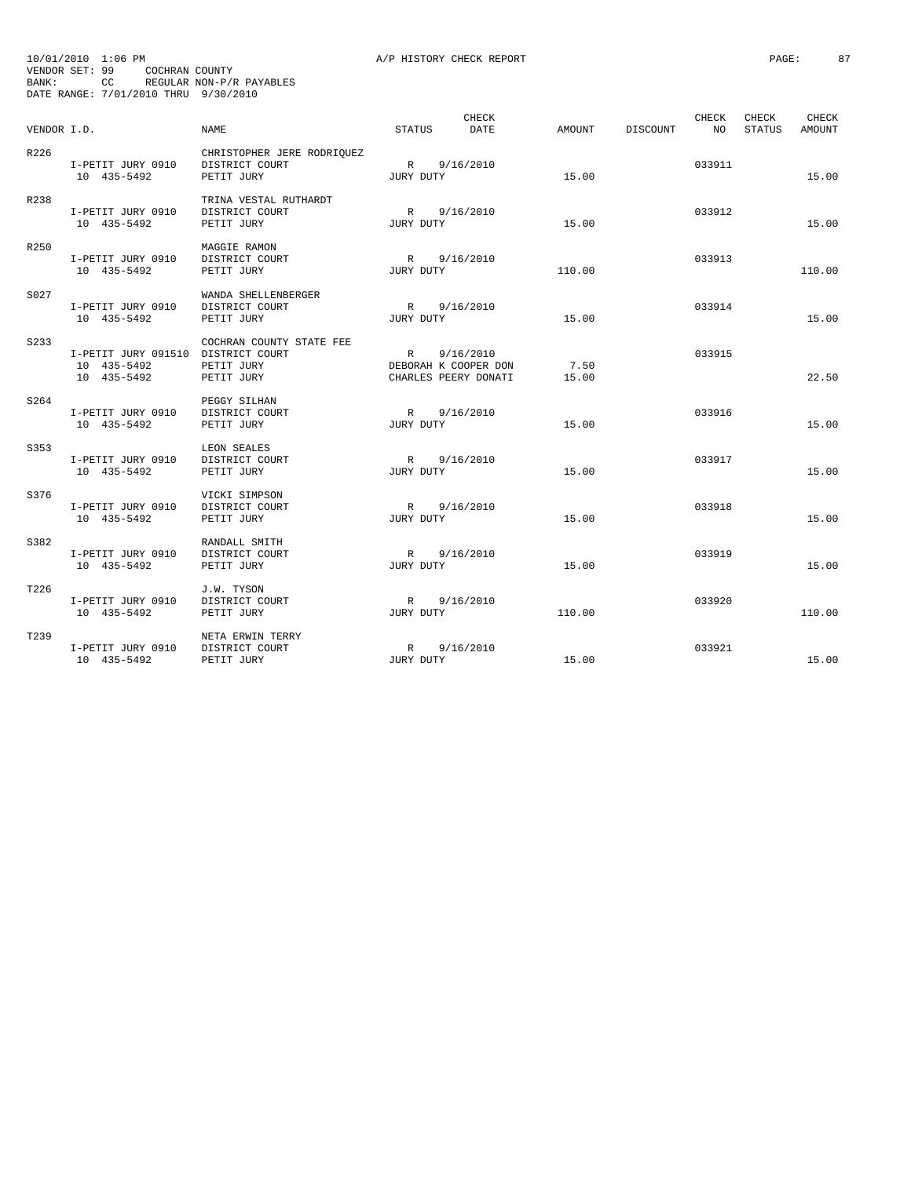| VENDOR I.D. |                                                                  | <b>NAME</b>                                                | <b>STATUS</b>             | CHECK<br><b>DATE</b>              | AMOUNT        | <b>DISCOUNT</b> | <b>CHECK</b><br>NO. | <b>CHECK</b><br><b>STATUS</b> | CHECK<br><b>AMOUNT</b> |
|-------------|------------------------------------------------------------------|------------------------------------------------------------|---------------------------|-----------------------------------|---------------|-----------------|---------------------|-------------------------------|------------------------|
| R226        | I-PETIT JURY 0910<br>10 435-5492                                 | CHRISTOPHER JERE RODRIQUEZ<br>DISTRICT COURT<br>PETIT JURY | R<br>JURY DUTY            | 9/16/2010                         | 15.00         |                 | 033911              |                               | 15.00                  |
| R238        | I-PETIT JURY 0910<br>10 435-5492                                 | TRINA VESTAL RUTHARDT<br>DISTRICT COURT<br>PETIT JURY      | R 9/16/2010<br>JURY DUTY  |                                   | 15.00         |                 | 033912              |                               | 15.00                  |
| R250        | I-PETIT JURY 0910<br>10 435-5492                                 | MAGGIE RAMON<br>DISTRICT COURT<br>PETIT JURY               | R 9/16/2010<br>JURY DUTY  |                                   | 110.00        |                 | 033913              |                               | 110.00                 |
| S027        | I-PETIT JURY 0910<br>10 435-5492                                 | WANDA SHELLENBERGER<br>DISTRICT COURT<br>PETIT JURY        | R<br>JURY DUTY            | 9/16/2010                         | 15.00         |                 | 033914              |                               | 15.00                  |
| S233        | I-PETIT JURY 091510 DISTRICT COURT<br>10 435-5492<br>10 435-5492 | COCHRAN COUNTY STATE FEE<br>PETIT JURY<br>PETIT JURY       | R<br>DEBORAH K COOPER DON | 9/16/2010<br>CHARLES PEERY DONATI | 7.50<br>15.00 |                 | 033915              |                               | 22.50                  |
| S264        | I-PETIT JURY 0910<br>10 435-5492                                 | PEGGY SILHAN<br>DISTRICT COURT<br>PETIT JURY               | R<br>JURY DUTY            | 9/16/2010                         | 15.00         |                 | 033916              |                               | 15.00                  |
| S353        | I-PETIT JURY 0910<br>10 435-5492                                 | LEON SEALES<br>DISTRICT COURT<br>PETIT JURY                | R 9/16/2010<br>JURY DUTY  |                                   | 15.00         |                 | 033917              |                               | 15.00                  |
| S376        | I-PETIT JURY 0910<br>10 435-5492                                 | VICKI SIMPSON<br>DISTRICT COURT<br>PETIT JURY              | R<br>JURY DUTY            | 9/16/2010                         | 15.00         |                 | 033918              |                               | 15.00                  |
| S382        | I-PETIT JURY 0910<br>10 435-5492                                 | RANDALL SMITH<br>DISTRICT COURT<br>PETIT JURY              | R<br>JURY DUTY            | 9/16/2010                         | 15.00         |                 | 033919              |                               | 15.00                  |
| T226        | I-PETIT JURY 0910<br>10 435-5492                                 | J.W. TYSON<br>DISTRICT COURT<br>PETIT JURY                 | R<br>JURY DUTY            | 9/16/2010                         | 110.00        |                 | 033920              |                               | 110.00                 |
| T239        | I-PETIT JURY 0910<br>10 435-5492                                 | NETA ERWIN TERRY<br>DISTRICT COURT<br>PETIT JURY           | R<br>JURY DUTY            | 9/16/2010                         | 15.00         |                 | 033921              |                               | 15.00                  |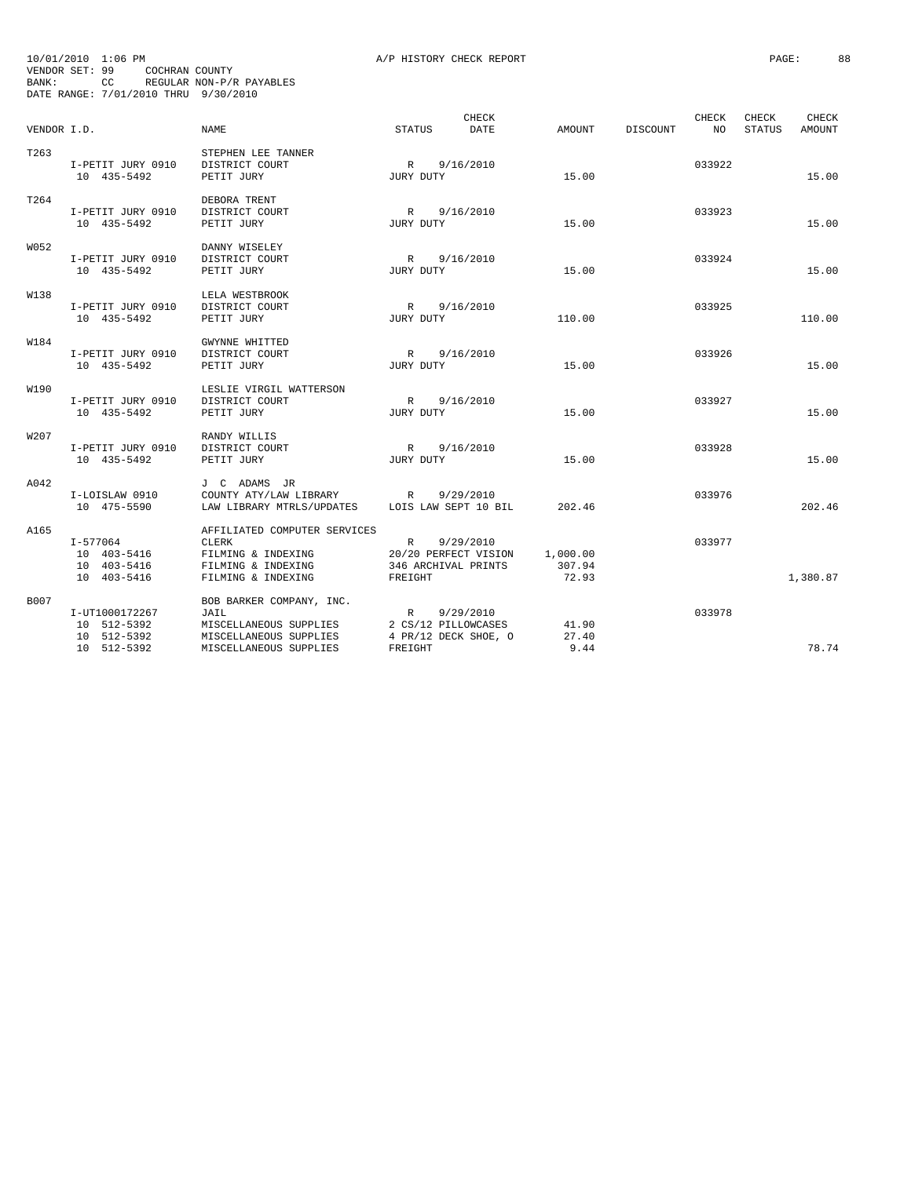| 10/01/2010 1:06 PM                   |     |                |                          |  |
|--------------------------------------|-----|----------------|--------------------------|--|
| VENDOR SET: 99                       |     | COCHRAN COUNTY |                          |  |
| BANK:                                | CC. |                | REGULAR NON-P/R PAYABLES |  |
| DATE RANGE: 7/01/2010 THRU 9/30/2010 |     |                |                          |  |

|             |                                                           |                                                                                                                |                                                                        |           | CHECK |                             |                 | <b>CHECK</b> | <b>CHECK</b>  | CHECK    |
|-------------|-----------------------------------------------------------|----------------------------------------------------------------------------------------------------------------|------------------------------------------------------------------------|-----------|-------|-----------------------------|-----------------|--------------|---------------|----------|
| VENDOR I.D. |                                                           | NAME                                                                                                           | <b>STATUS</b>                                                          |           | DATE  | AMOUNT                      | <b>DISCOUNT</b> | NO.          | <b>STATUS</b> | AMOUNT   |
| T263        | I-PETIT JURY 0910<br>10 435-5492                          | STEPHEN LEE TANNER<br>DISTRICT COURT<br>PETIT JURY                                                             | $\mathbb{R}$<br>JURY DUTY                                              | 9/16/2010 |       | 15.00                       |                 | 033922       |               | 15.00    |
| T264        | I-PETIT JURY 0910<br>10 435-5492                          | DEBORA TRENT<br>DISTRICT COURT<br>PETIT JURY                                                                   | R<br>JURY DUTY                                                         | 9/16/2010 |       | 15.00                       |                 | 033923       |               | 15.00    |
| W052        | I-PETIT JURY 0910<br>10 435-5492                          | DANNY WISELEY<br>DISTRICT COURT<br>PETIT JURY                                                                  | R<br>JURY DUTY                                                         | 9/16/2010 |       | 15.00                       |                 | 033924       |               | 15.00    |
| W138        | I-PETIT JURY 0910<br>10 435-5492                          | LELA WESTBROOK<br>DISTRICT COURT<br>PETIT JURY                                                                 | R<br>JURY DUTY                                                         | 9/16/2010 |       | 110.00                      |                 | 033925       |               | 110.00   |
| W184        | I-PETIT JURY 0910<br>10 435-5492                          | GWYNNE WHITTED<br>DISTRICT COURT<br>PETIT JURY                                                                 | R<br>JURY DUTY                                                         | 9/16/2010 |       | 15.00                       |                 | 033926       |               | 15.00    |
| W190        | I-PETIT JURY 0910<br>10 435-5492                          | LESLIE VIRGIL WATTERSON<br>DISTRICT COURT<br>PETIT JURY                                                        | R<br>JURY DUTY                                                         | 9/16/2010 |       | 15.00                       |                 | 033927       |               | 15.00    |
| W207        | I-PETIT JURY 0910<br>10 435-5492                          | RANDY WILLIS<br>DISTRICT COURT<br>PETIT JURY                                                                   | R<br>JURY DUTY                                                         | 9/16/2010 |       | 15.00                       |                 | 033928       |               | 15.00    |
| A042        | I-LOISLAW 0910<br>10 475-5590                             | J C ADAMS JR<br>COUNTY ATY/LAW LIBRARY<br>LAW LIBRARY MTRLS/UPDATES                                            | R<br>LOIS LAW SEPT 10 BIL                                              | 9/29/2010 |       | 202.46                      |                 | 033976       |               | 202.46   |
| A165        | $I - 577064$<br>10 403-5416<br>10 403-5416<br>10 403-5416 | AFFILIATED COMPUTER SERVICES<br><b>CLERK</b><br>FILMING & INDEXING<br>FILMING & INDEXING<br>FILMING & INDEXING | $\mathbb{R}$<br>20/20 PERFECT VISION<br>346 ARCHIVAL PRINTS<br>FREIGHT | 9/29/2010 |       | 1,000.00<br>307.94<br>72.93 |                 | 033977       |               | 1,380.87 |
| B007        | I-UT1000172267<br>10 512-5392<br>10 512-5392              | BOB BARKER COMPANY, INC.<br>JAIL<br>MISCELLANEOUS SUPPLIES<br>MISCELLANEOUS SUPPLIES                           | $\mathbb{R}$<br>2 CS/12 PILLOWCASES<br>4 PR/12 DECK SHOE, O            | 9/29/2010 |       | 41.90<br>27.40              |                 | 033978       |               |          |
|             | 10 512-5392                                               | MISCELLANEOUS SUPPLIES                                                                                         | FREIGHT                                                                |           |       | 9.44                        |                 |              |               | 78.74    |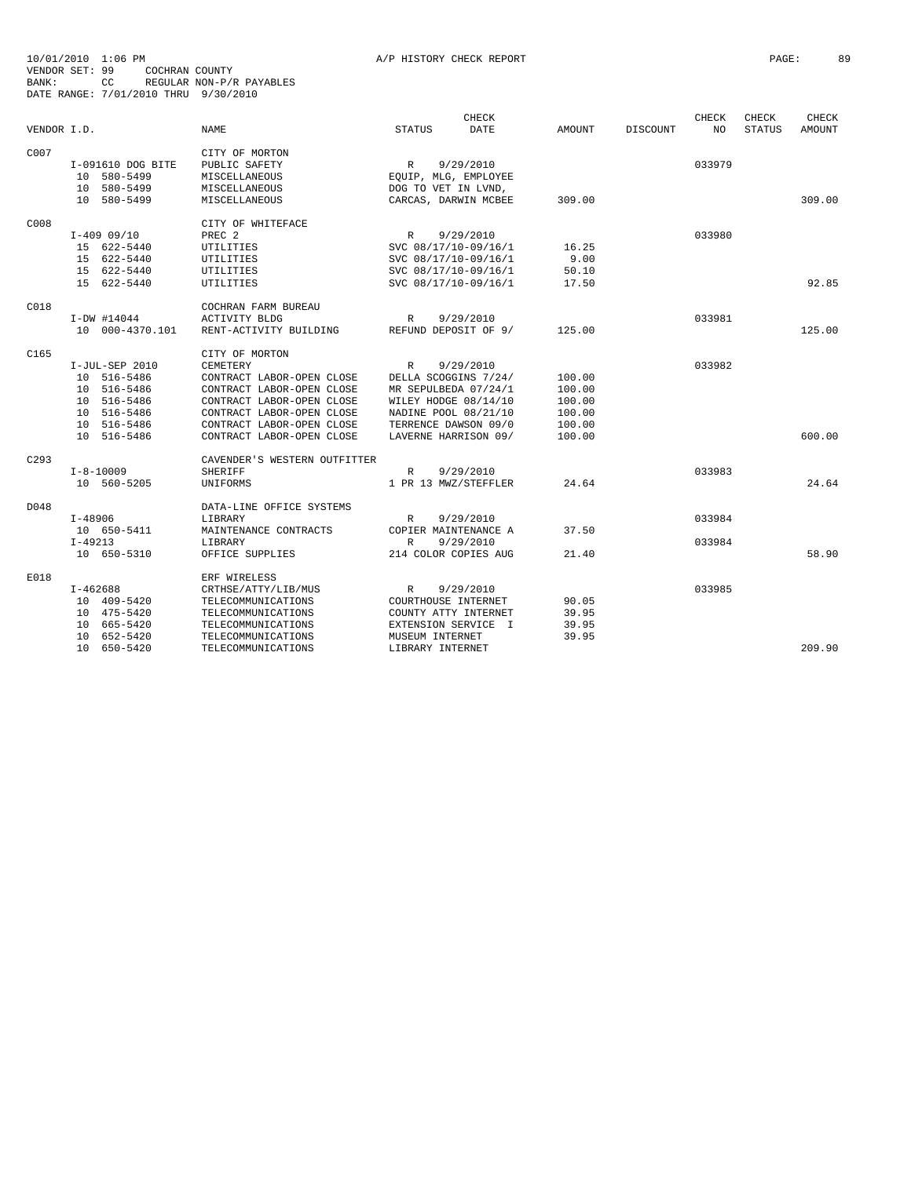|      | $I-409$ 09/10              | PREC <sub>2</sub>                        | $\mathbb{R}$<br>9/29/2010           |        | 033980 |        |
|------|----------------------------|------------------------------------------|-------------------------------------|--------|--------|--------|
|      | 15 622-5440                | UTILITIES                                | SVC 08/17/10-09/16/1                | 16.25  |        |        |
|      | 15 622-5440                | UTILITIES                                | SVC 08/17/10-09/16/1                | 9.00   |        |        |
|      | 15 622-5440                | UTILITIES                                | SVC 08/17/10-09/16/1                | 50.10  |        |        |
|      | 15 622-5440                | UTILITIES                                | SVC 08/17/10-09/16/1                | 17.50  |        | 92.85  |
| C018 |                            | COCHRAN FARM BUREAU                      |                                     |        |        |        |
|      | $I-DW$ #14044              | <b>ACTIVITY BLDG</b>                     | $\mathbb{R}$<br>9/29/2010           |        | 033981 |        |
|      | 10 000-4370.101            | RENT-ACTIVITY BUILDING                   | REFUND DEPOSIT OF 9/                | 125.00 |        | 125.00 |
| C165 |                            | CITY OF MORTON                           |                                     |        |        |        |
|      | I-JUL-SEP 2010             | CEMETERY                                 | 9/29/2010<br>$\mathbb{R}$           |        | 033982 |        |
|      | 10 516-5486                | CONTRACT LABOR-OPEN CLOSE                | DELLA SCOGGINS 7/24/                | 100.00 |        |        |
|      | 10 516-5486                | CONTRACT LABOR-OPEN CLOSE                | MR SEPULBEDA 07/24/1                | 100.00 |        |        |
|      | 10 516-5486                | CONTRACT LABOR-OPEN CLOSE                | WILEY HODGE 08/14/10                | 100.00 |        |        |
|      | 10 516-5486                | CONTRACT LABOR-OPEN CLOSE                | NADINE POOL 08/21/10                | 100.00 |        |        |
|      | 10 516-5486                | CONTRACT LABOR-OPEN CLOSE                | TERRENCE DAWSON 09/0                | 100.00 |        |        |
|      | 10 516-5486                | CONTRACT LABOR-OPEN CLOSE                | LAVERNE HARRISON 09/                | 100.00 |        | 600.00 |
| C293 |                            | CAVENDER'S WESTERN OUTFITTER             |                                     |        |        |        |
|      | $I - 8 - 10009$            | <b>SHERIFF</b>                           | 9/29/2010<br>R                      |        | 033983 |        |
|      | 10 560-5205                | UNIFORMS                                 | 1 PR 13 MWZ/STEFFLER                | 24.64  |        | 24.64  |
| D048 |                            | DATA-LINE OFFICE SYSTEMS                 |                                     |        |        |        |
|      | $I - 48906$                | LIBRARY                                  | 9/29/2010<br>R                      |        | 033984 |        |
|      | 10 650-5411                | MAINTENANCE CONTRACTS                    | COPIER MAINTENANCE A                | 37.50  |        |        |
|      | $T - 49213$                | <b>LIBRARY</b>                           | 9/29/2010<br>$\mathbb{R}$           |        | 033984 |        |
|      | 10 650-5310                | OFFICE SUPPLIES                          | 214 COLOR COPIES AUG                | 21.40  |        | 58.90  |
| E018 |                            | ERF WIRELESS                             |                                     |        |        |        |
|      | $I-462688$                 | CRTHSE/ATTY/LIB/MUS                      | R<br>9/29/2010                      |        | 033985 |        |
|      | 10 409-5420                | TELECOMMUNICATIONS                       | COURTHOUSE INTERNET                 | 90.05  |        |        |
|      | 10 475-5420                | TELECOMMUNICATIONS                       | COUNTY ATTY INTERNET                | 39.95  |        |        |
|      | 10 665-5420                | TELECOMMUNICATIONS                       | EXTENSION SERVICE I                 | 39.95  |        |        |
|      | 10 652-5420<br>10 650-5420 | TELECOMMUNICATIONS<br>TELECOMMUNICATIONS | MUSEUM INTERNET<br>LIBRARY INTERNET | 39.95  |        | 209.90 |
|      |                            |                                          |                                     |        |        |        |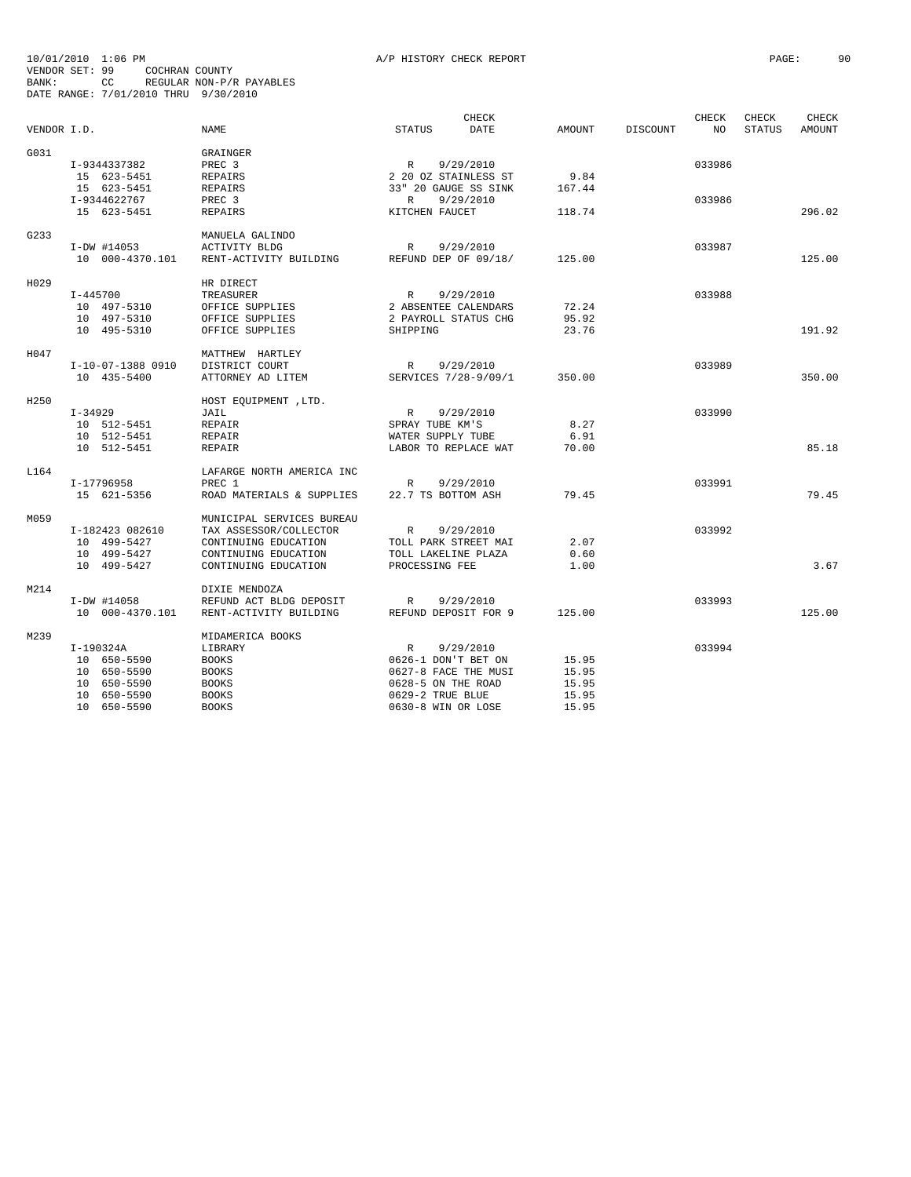| VENDOR I.D. |                                                                                        | <b>NAME</b>                                                                                                                 | <b>STATUS</b>                                                                                                               | CHECK<br>DATE          | <b>AMOUNT</b>                             | <b>DISCOUNT</b> | CHECK<br>NO      | CHECK<br><b>STATUS</b> | CHECK<br><b>AMOUNT</b> |
|-------------|----------------------------------------------------------------------------------------|-----------------------------------------------------------------------------------------------------------------------------|-----------------------------------------------------------------------------------------------------------------------------|------------------------|-------------------------------------------|-----------------|------------------|------------------------|------------------------|
| G031        | I-9344337382<br>15 623-5451<br>15 623-5451<br>I-9344622767                             | GRAINGER<br>PREC <sub>3</sub><br><b>REPAIRS</b><br><b>REPAIRS</b><br>PREC <sub>3</sub>                                      | $\mathbb{R}$<br>2 20 OZ STAINLESS ST<br>33" 20 GAUGE SS SINK<br>R                                                           | 9/29/2010<br>9/29/2010 | 9.84<br>167.44                            |                 | 033986<br>033986 |                        |                        |
|             | 15 623-5451                                                                            | <b>REPAIRS</b>                                                                                                              | KITCHEN FAUCET                                                                                                              |                        | 118.74                                    |                 |                  |                        | 296.02                 |
| G233        | I-DW #14053<br>10 000-4370.101                                                         | MANUELA GALINDO<br>ACTIVITY BLDG<br>RENT-ACTIVITY BUILDING                                                                  | R<br>REFUND DEP OF 09/18/                                                                                                   | 9/29/2010              | 125.00                                    |                 | 033987           |                        | 125.00                 |
| H029        | $I - 445700$<br>10 497-5310<br>10 497-5310<br>10 495-5310                              | HR DIRECT<br>TREASURER<br>OFFICE SUPPLIES<br>OFFICE SUPPLIES<br>OFFICE SUPPLIES                                             | R<br>2 ABSENTEE CALENDARS<br>2 PAYROLL STATUS CHG<br>SHIPPING                                                               | 9/29/2010              | 72.24<br>95.92<br>23.76                   |                 | 033988           |                        | 191.92                 |
| H047        | I-10-07-1388 0910<br>10 435-5400                                                       | MATTHEW HARTLEY<br>DISTRICT COURT<br>ATTORNEY AD LITEM                                                                      | $\mathbb{R}$<br>SERVICES 7/28-9/09/1                                                                                        | 9/29/2010              | 350.00                                    |                 | 033989           |                        | 350.00                 |
| H250        | $I-34929$<br>10 512-5451<br>10 512-5451<br>10 512-5451                                 | HOST EQUIPMENT , LTD.<br>JAIL<br>REPAIR<br>REPAIR<br><b>REPAIR</b>                                                          | $\mathbb{R}$<br>SPRAY TUBE KM'S<br>WATER SUPPLY TUBE<br>LABOR TO REPLACE WAT                                                | 9/29/2010              | 8.27<br>6.91<br>70.00                     |                 | 033990           |                        | 85.18                  |
| L164        | I-17796958<br>15 621-5356                                                              | LAFARGE NORTH AMERICA INC<br>PREC 1<br>ROAD MATERIALS & SUPPLIES                                                            | R<br>22.7 TS BOTTOM ASH                                                                                                     | 9/29/2010              | 79.45                                     |                 | 033991           |                        | 79.45                  |
| M059        | I-182423 082610<br>10 499-5427<br>10 499-5427<br>10 499-5427                           | MUNICIPAL SERVICES BUREAU<br>TAX ASSESSOR/COLLECTOR<br>CONTINUING EDUCATION<br>CONTINUING EDUCATION<br>CONTINUING EDUCATION | $\mathbb{R}$<br>TOLL PARK STREET MAI<br>TOLL LAKELINE PLAZA<br>PROCESSING FEE                                               | 9/29/2010              | 2.07<br>0.60<br>1.00                      |                 | 033992           |                        | 3.67                   |
| M214        | I-DW #14058<br>10 000-4370.101                                                         | DIXIE MENDOZA<br>REFUND ACT BLDG DEPOSIT<br>RENT-ACTIVITY BUILDING                                                          | R<br>REFUND DEPOSIT FOR 9                                                                                                   | 9/29/2010              | 125.00                                    |                 | 033993           |                        | 125.00                 |
| M239        | $I-190324A$<br>10 650-5590<br>10 650-5590<br>10 650-5590<br>10 650-5590<br>10 650-5590 | MIDAMERICA BOOKS<br>LIBRARY<br><b>BOOKS</b><br><b>BOOKS</b><br><b>BOOKS</b><br><b>BOOKS</b><br><b>BOOKS</b>                 | $\mathbb{R}$<br>0626-1 DON'T BET ON<br>0627-8 FACE THE MUSI<br>0628-5 ON THE ROAD<br>0629-2 TRUE BLUE<br>0630-8 WIN OR LOSE | 9/29/2010              | 15.95<br>15.95<br>15.95<br>15.95<br>15.95 |                 | 033994           |                        |                        |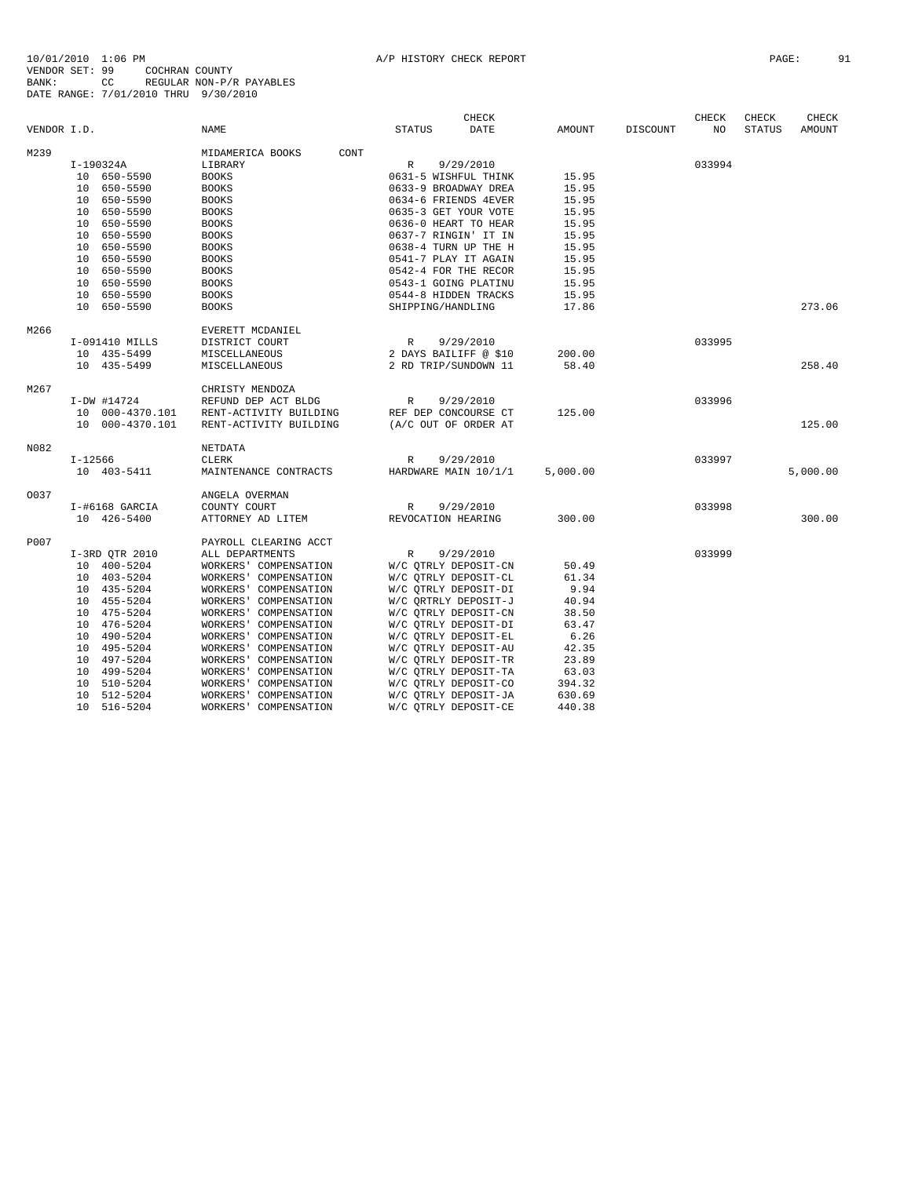|             |                                  |                                                |                                              | CHECK     |                  |          | CHECK  | CHECK         | CHECK         |
|-------------|----------------------------------|------------------------------------------------|----------------------------------------------|-----------|------------------|----------|--------|---------------|---------------|
| VENDOR I.D. |                                  | NAME                                           | <b>STATUS</b>                                | DATE      | AMOUNT           | DISCOUNT | NO     | <b>STATUS</b> | <b>AMOUNT</b> |
| M239        |                                  | MIDAMERICA BOOKS<br>CONT                       |                                              |           |                  |          |        |               |               |
|             | I-190324A                        | LIBRARY                                        | $\mathbb R$                                  | 9/29/2010 |                  |          | 033994 |               |               |
|             | 10 650-5590                      | <b>BOOKS</b>                                   | 0631-5 WISHFUL THINK                         |           | 15.95            |          |        |               |               |
|             | 10 650-5590                      | <b>BOOKS</b>                                   | 0633-9 BROADWAY DREA                         |           | 15.95            |          |        |               |               |
|             | 10 650-5590                      | <b>BOOKS</b>                                   | 0634-6 FRIENDS 4EVER                         |           | 15.95            |          |        |               |               |
|             | 10 650-5590                      | <b>BOOKS</b>                                   | 0635-3 GET YOUR VOTE                         |           | 15.95            |          |        |               |               |
|             | 10 650-5590                      | <b>BOOKS</b>                                   | 0636-0 HEART TO HEAR                         |           | 15.95            |          |        |               |               |
|             | 10 650-5590                      | <b>BOOKS</b>                                   | 0637-7 RINGIN' IT IN                         |           | 15.95            |          |        |               |               |
|             | 10 650-5590                      | <b>BOOKS</b>                                   | 0638-4 TURN UP THE H                         |           | 15.95            |          |        |               |               |
|             | 10<br>650-5590                   | <b>BOOKS</b>                                   | 0541-7 PLAY IT AGAIN                         |           | 15.95            |          |        |               |               |
|             | 10 650-5590                      | <b>BOOKS</b>                                   | 0542-4 FOR THE RECOR                         |           | 15.95            |          |        |               |               |
|             | 650-5590<br>10                   | <b>BOOKS</b>                                   | 0543-1 GOING PLATINU                         |           | 15.95            |          |        |               |               |
|             | 10 650-5590                      | <b>BOOKS</b>                                   | 0544-8 HIDDEN TRACKS                         |           | 15.95            |          |        |               |               |
|             | 10 650-5590                      | <b>BOOKS</b>                                   | SHIPPING/HANDLING                            |           | 17.86            |          |        |               | 273.06        |
| M266        |                                  | EVERETT MCDANIEL                               |                                              |           |                  |          |        |               |               |
|             | I-091410 MILLS                   | DISTRICT COURT                                 | R                                            | 9/29/2010 |                  |          | 033995 |               |               |
|             | 10 435-5499                      | MISCELLANEOUS                                  | 2 DAYS BAILIFF @ \$10                        |           | 200.00           |          |        |               |               |
|             | 10 435-5499                      | MISCELLANEOUS                                  | 2 RD TRIP/SUNDOWN 11                         |           | 58.40            |          |        |               | 258.40        |
| M267        |                                  | CHRISTY MENDOZA                                |                                              |           |                  |          |        |               |               |
|             | $I-DW$ #14724                    | REFUND DEP ACT BLDG                            | R                                            | 9/29/2010 |                  |          | 033996 |               |               |
|             | 10 000-4370.101                  | RENT-ACTIVITY BUILDING                         | REF DEP CONCOURSE CT                         |           | 125.00           |          |        |               |               |
|             | 10 000-4370.101                  | RENT-ACTIVITY BUILDING                         | (A/C OUT OF ORDER AT                         |           |                  |          |        |               | 125.00        |
| N082        |                                  | NETDATA                                        |                                              |           |                  |          |        |               |               |
|             | I-12566                          | <b>CLERK</b>                                   | R                                            | 9/29/2010 |                  |          | 033997 |               |               |
|             | 10 403-5411                      | MAINTENANCE CONTRACTS                          | HARDWARE MAIN 10/1/1                         |           | 5,000.00         |          |        |               | 5,000.00      |
| 0037        |                                  | ANGELA OVERMAN                                 |                                              |           |                  |          |        |               |               |
|             | I-#6168 GARCIA                   | COUNTY COURT                                   | R                                            | 9/29/2010 |                  |          | 033998 |               |               |
|             | 10 426-5400                      | ATTORNEY AD LITEM                              | REVOCATION HEARING                           |           | 300.00           |          |        |               | 300.00        |
| P007        |                                  | PAYROLL CLEARING ACCT                          |                                              |           |                  |          |        |               |               |
|             | I-3RD QTR 2010                   | ALL DEPARTMENTS                                | R                                            | 9/29/2010 |                  |          | 033999 |               |               |
|             | 10 400-5204                      | WORKERS' COMPENSATION                          | W/C QTRLY DEPOSIT-CN                         |           | 50.49            |          |        |               |               |
|             | 10 403-5204                      | WORKERS' COMPENSATION                          | W/C QTRLY DEPOSIT-CL                         |           | 61.34            |          |        |               |               |
|             | 10 435-5204                      | WORKERS' COMPENSATION                          | W/C OTRLY DEPOSIT-DI                         |           | 9.94             |          |        |               |               |
|             | 10 455-5204                      | WORKERS' COMPENSATION                          | W/C QRTRLY DEPOSIT-J                         |           | 40.94            |          |        |               |               |
|             | 10 475-5204                      | WORKERS' COMPENSATION                          | W/C OTRLY DEPOSIT-CN                         |           | 38.50            |          |        |               |               |
|             | 10 476-5204                      | WORKERS' COMPENSATION                          | W/C QTRLY DEPOSIT-DI                         |           | 63.47            |          |        |               |               |
|             | 10 490-5204                      | WORKERS' COMPENSATION                          | W/C QTRLY DEPOSIT-EL                         |           | 6.26             |          |        |               |               |
|             | 10 495-5204                      | WORKERS' COMPENSATION                          | W/C QTRLY DEPOSIT-AU                         |           | 42.35            |          |        |               |               |
|             | 10<br>497-5204                   | WORKERS' COMPENSATION                          | W/C QTRLY DEPOSIT-TR                         |           | 23.89            |          |        |               |               |
|             | 10<br>499-5204                   | WORKERS' COMPENSATION                          | W/C OTRLY DEPOSIT-TA                         |           | 63.03            |          |        |               |               |
|             | 510-5204<br>10<br>10<br>512-5204 | WORKERS' COMPENSATION<br>WORKERS' COMPENSATION | W/C QTRLY DEPOSIT-CO<br>W/C OTRLY DEPOSIT-JA |           | 394.32<br>630.69 |          |        |               |               |
|             | 10 516-5204                      | WORKERS' COMPENSATION                          | W/C QTRLY DEPOSIT-CE                         |           | 440.38           |          |        |               |               |
|             |                                  |                                                |                                              |           |                  |          |        |               |               |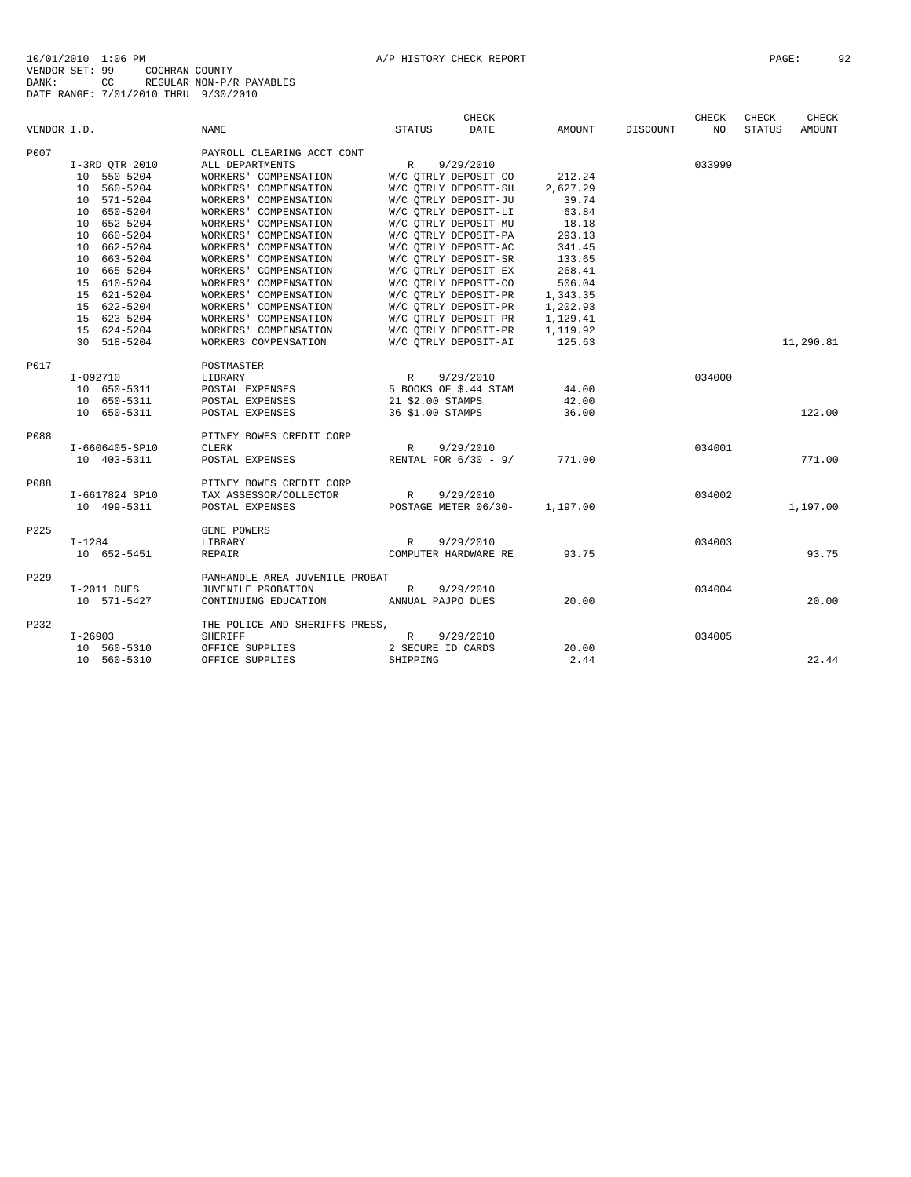|             |                |                                        | <b>CHECK</b>                                             |          |          | CHECK  | CHECK         | CHECK     |
|-------------|----------------|----------------------------------------|----------------------------------------------------------|----------|----------|--------|---------------|-----------|
| VENDOR I.D. |                | <b>NAME</b>                            | <b>DATE</b><br><b>STATUS</b>                             | AMOUNT   | DISCOUNT | NO.    | <b>STATUS</b> | AMOUNT    |
| P007        |                | PAYROLL CLEARING ACCT CONT             |                                                          |          |          |        |               |           |
|             | I-3RD QTR 2010 | ALL DEPARTMENTS                        | 9/29/2010<br>R                                           |          |          | 033999 |               |           |
|             | 10 550-5204    | WORKERS' COMPENSATION                  | W/C QTRLY DEPOSIT-CO 212.24                              |          |          |        |               |           |
|             | 10 560-5204    | WORKERS' COMPENSATION                  | W/C QTRLY DEPOSIT-SH                                     | 2,627.29 |          |        |               |           |
|             | 10 571-5204    | WORKERS' COMPENSATION                  | W/C QTRLY DEPOSIT-JU                                     | 39.74    |          |        |               |           |
|             | 10 650-5204    | WORKERS' COMPENSATION                  | W/C OTRLY DEPOSIT-LI                                     | 63.84    |          |        |               |           |
|             | 10 652-5204    | WORKERS' COMPENSATION                  | W/C QTRLY DEPOSIT-MU                                     | 18.18    |          |        |               |           |
|             | 10 660-5204    | WORKERS' COMPENSATION                  | W/C OTRLY DEPOSIT-PA                                     | 293.13   |          |        |               |           |
|             | 10 662-5204    | WORKERS' COMPENSATION                  | W/C OTRLY DEPOSIT-AC                                     | 341.45   |          |        |               |           |
|             | 10 663-5204    | WORKERS' COMPENSATION                  | W/C QTRLY DEPOSIT-SR                                     | 133.65   |          |        |               |           |
|             | 10 665-5204    | WORKERS' COMPENSATION                  | W/C OTRLY DEPOSIT-EX                                     | 268.41   |          |        |               |           |
|             | 15 610-5204    | WORKERS' COMPENSATION                  | W/C QTRLY DEPOSIT-CO                                     | 506.04   |          |        |               |           |
|             | 15 621-5204    | WORKERS' COMPENSATION                  | W/C OTRLY DEPOSIT-PR                                     | 1,343.35 |          |        |               |           |
|             | 15 622-5204    | WORKERS' COMPENSATION                  | W/C QTRLY DEPOSIT-PR 1,202.93                            |          |          |        |               |           |
|             | 15 623-5204    | WORKERS' COMPENSATION                  | W/C QTRLY DEPOSIT-PR 1,129.41                            |          |          |        |               |           |
|             | 15 624-5204    | WORKERS' COMPENSATION                  | W/C OTRLY DEPOSIT-PR                                     | 1,119.92 |          |        |               |           |
|             | 30 518-5204    | WORKERS COMPENSATION                   | W/C OTRLY DEPOSIT-AI                                     | 125.63   |          |        |               | 11,290.81 |
| P017        |                | POSTMASTER                             |                                                          |          |          |        |               |           |
|             | $I-092710$     | LIBRARY                                |                                                          |          |          | 034000 |               |           |
|             | 10 650-5311    | POSTAL EXPENSES                        |                                                          | 44.00    |          |        |               |           |
|             | 10 650-5311    | POSTAL EXPENSES                        | R 9/29/2010<br>5 BOOKS OF \$.44 STAM<br>21 \$2.00 STAMPS | 42.00    |          |        |               |           |
|             | 10 650-5311    | POSTAL EXPENSES                        | 36 \$1.00 STAMPS                                         | 36.00    |          |        |               | 122.00    |
| P088        |                | PITNEY BOWES CREDIT CORP               |                                                          |          |          |        |               |           |
|             | I-6606405-SP10 | <b>CLERK</b>                           | 9/29/2010<br>$\mathbb{R}$                                |          |          | 034001 |               |           |
|             | 10 403-5311    | POSTAL EXPENSES                        | RENTAL FOR $6/30 - 9/$                                   | 771.00   |          |        |               | 771.00    |
| P088        |                | PITNEY BOWES CREDIT CORP               |                                                          |          |          |        |               |           |
|             | I-6617824 SP10 | TAX ASSESSOR/COLLECTOR                 | 9/29/2010<br>R                                           |          |          | 034002 |               |           |
|             | 10 499-5311    | POSTAL EXPENSES                        | POSTAGE METER 06/30-                                     | 1,197.00 |          |        |               | 1,197.00  |
| P225        |                | GENE POWERS                            |                                                          |          |          |        |               |           |
|             | $I-1284$       | LIBRARY                                | 9/29/2010<br>R                                           |          |          | 034003 |               |           |
|             | 10 652-5451    | REPAIR                                 | COMPUTER HARDWARE RE                                     | 93.75    |          |        |               | 93.75     |
| P229        |                | PANHANDLE AREA JUVENILE PROBAT         |                                                          |          |          |        |               |           |
|             | I-2011 DUES    | JUVENILE PROBATION                     | 9/29/2010<br>R                                           |          |          | 034004 |               |           |
|             | 10 571-5427    | CONTINUING EDUCATION ANNUAL PAJPO DUES |                                                          | 20.00    |          |        |               | 20.00     |
| P232        |                | THE POLICE AND SHERIFFS PRESS,         |                                                          |          |          |        |               |           |
|             | $I - 26903$    | SHERIFF                                | 9/29/2010<br>R                                           |          |          | 034005 |               |           |
|             | 10 560-5310    | OFFICE SUPPLIES 2 SECURE ID CARDS      |                                                          | 20.00    |          |        |               |           |
|             | 10 560-5310    | OFFICE SUPPLIES                        | SHIPPING                                                 | 2.44     |          |        |               | 22.44     |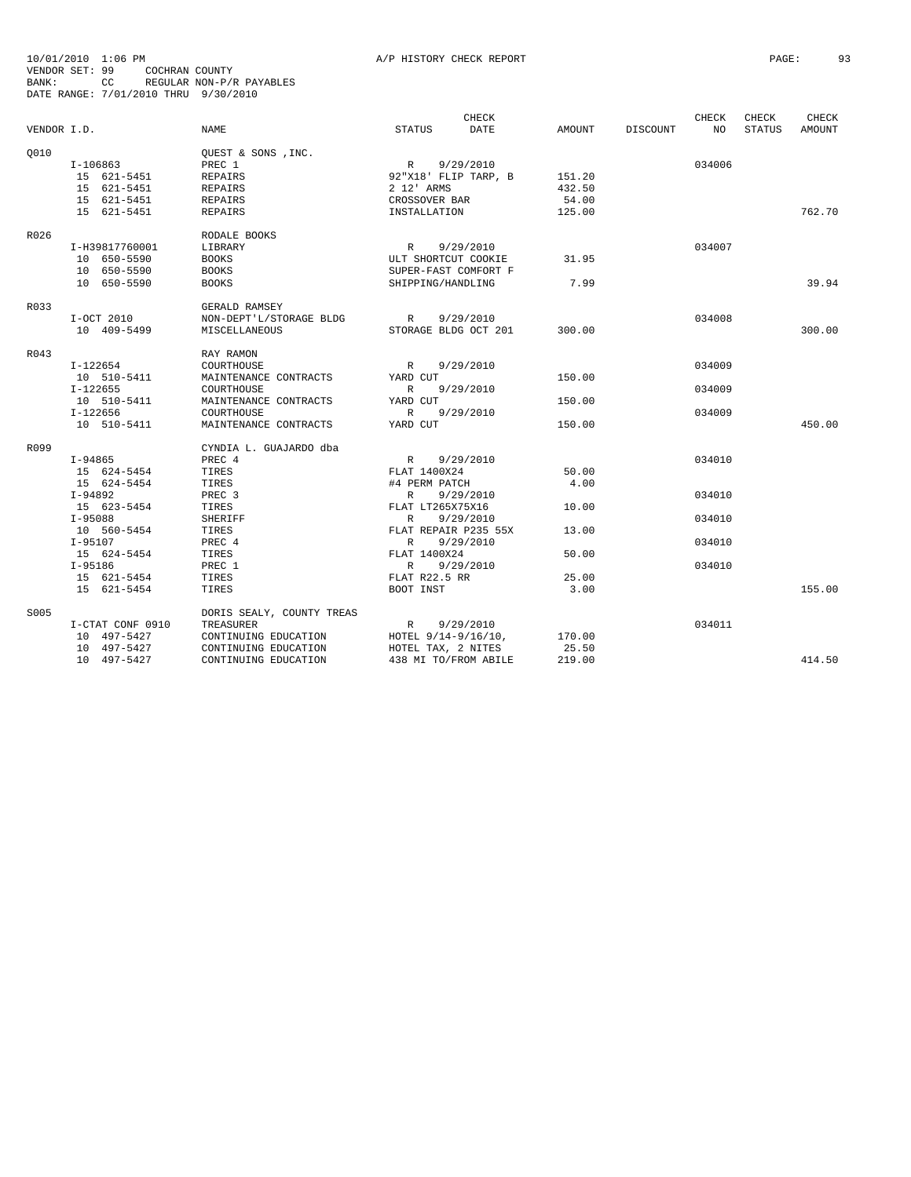|             |                  |                           | CHECK                     |               |          | CHECK  | CHECK         | <b>CHECK</b> |
|-------------|------------------|---------------------------|---------------------------|---------------|----------|--------|---------------|--------------|
| VENDOR I.D. |                  | <b>NAME</b>               | <b>STATUS</b><br>DATE     | <b>AMOUNT</b> | DISCOUNT | NO.    | <b>STATUS</b> | AMOUNT       |
| Q010        |                  | OUEST & SONS , INC.       |                           |               |          |        |               |              |
|             | I-106863         | PREC 1                    | R<br>9/29/2010            |               |          | 034006 |               |              |
|             | 15 621-5451      | <b>REPAIRS</b>            | 92"X18' FLIP TARP, B      | 151.20        |          |        |               |              |
|             | 15 621-5451      | REPAIRS                   | 2 12' ARMS                | 432.50        |          |        |               |              |
|             | 15 621-5451      | <b>REPAIRS</b>            | CROSSOVER BAR             | 54.00         |          |        |               |              |
|             | 15 621-5451      | <b>REPAIRS</b>            | INSTALLATION              | 125.00        |          |        |               | 762.70       |
| R026        |                  | RODALE BOOKS              |                           |               |          |        |               |              |
|             | I-H39817760001   | LIBRARY                   | $\mathbb{R}$<br>9/29/2010 |               |          | 034007 |               |              |
|             | 10 650-5590      | <b>BOOKS</b>              | ULT SHORTCUT COOKIE       | 31.95         |          |        |               |              |
|             | 10 650-5590      | <b>BOOKS</b>              | SUPER-FAST COMFORT F      |               |          |        |               |              |
|             | 10 650-5590      | <b>BOOKS</b>              | SHIPPING/HANDLING         | 7.99          |          |        |               | 39.94        |
| R033        |                  | GERALD RAMSEY             |                           |               |          |        |               |              |
|             | I-OCT 2010       | NON-DEPT'L/STORAGE BLDG   | $\mathbb{R}$<br>9/29/2010 |               |          | 034008 |               |              |
|             | 10 409-5499      | MISCELLANEOUS             | STORAGE BLDG OCT 201      | 300.00        |          |        |               | 300.00       |
| R043        |                  | RAY RAMON                 |                           |               |          |        |               |              |
|             | $I-122654$       | COURTHOUSE                | $\mathbb{R}$<br>9/29/2010 |               |          | 034009 |               |              |
|             | 10 510-5411      | MAINTENANCE CONTRACTS     | YARD CUT                  | 150.00        |          |        |               |              |
|             | I-122655         | COURTHOUSE                | R<br>9/29/2010            |               |          | 034009 |               |              |
|             | 10 510-5411      | MAINTENANCE CONTRACTS     | YARD CUT                  | 150.00        |          |        |               |              |
|             | $I-122656$       | COURTHOUSE                | $\mathbb{R}$<br>9/29/2010 |               |          | 034009 |               |              |
|             | 10 510-5411      | MAINTENANCE CONTRACTS     | YARD CUT                  | 150.00        |          |        |               | 450.00       |
| R099        |                  | CYNDIA L. GUAJARDO dba    |                           |               |          |        |               |              |
|             | I-94865          | PREC 4                    | R<br>9/29/2010            |               |          | 034010 |               |              |
|             | 15 624-5454      | TIRES                     | FLAT 1400X24              | 50.00         |          |        |               |              |
|             | 15 624-5454      | TIRES                     | #4 PERM PATCH             | 4.00          |          |        |               |              |
|             | I-94892          | PREC 3                    | 9/29/2010<br>R            |               |          | 034010 |               |              |
|             | 15 623-5454      | TIRES                     | FLAT LT265X75X16          | 10.00         |          |        |               |              |
|             | $I-95088$        | <b>SHERIFF</b>            | $\mathbb{R}$<br>9/29/2010 |               |          | 034010 |               |              |
|             | 10 560-5454      | TIRES                     | FLAT REPAIR P235 55X      | 13.00         |          |        |               |              |
|             | $I-95107$        | PREC 4                    | $\mathbb{R}$<br>9/29/2010 |               |          | 034010 |               |              |
|             | 15 624-5454      | TIRES                     | FLAT 1400X24              | 50.00         |          |        |               |              |
|             | $I-95186$        | PREC 1                    | 9/29/2010<br>R            |               |          | 034010 |               |              |
|             | 15 621-5454      | TIRES                     | FLAT R22.5 RR             | 25.00         |          |        |               |              |
|             | 15 621-5454      | TIRES                     | BOOT INST                 | 3.00          |          |        |               | 155.00       |
| S005        |                  | DORIS SEALY, COUNTY TREAS |                           |               |          |        |               |              |
|             | I-CTAT CONF 0910 | TREASURER                 | 9/29/2010<br>R            |               |          | 034011 |               |              |
|             | 10 497-5427      | CONTINUING EDUCATION      | HOTEL 9/14-9/16/10,       | 170.00        |          |        |               |              |
|             | 10 497-5427      | CONTINUING EDUCATION      | HOTEL TAX, 2 NITES        | 25.50         |          |        |               |              |
|             | 10 497-5427      | CONTINUING EDUCATION      | 438 MI TO/FROM ABILE      | 219.00        |          |        |               | 414.50       |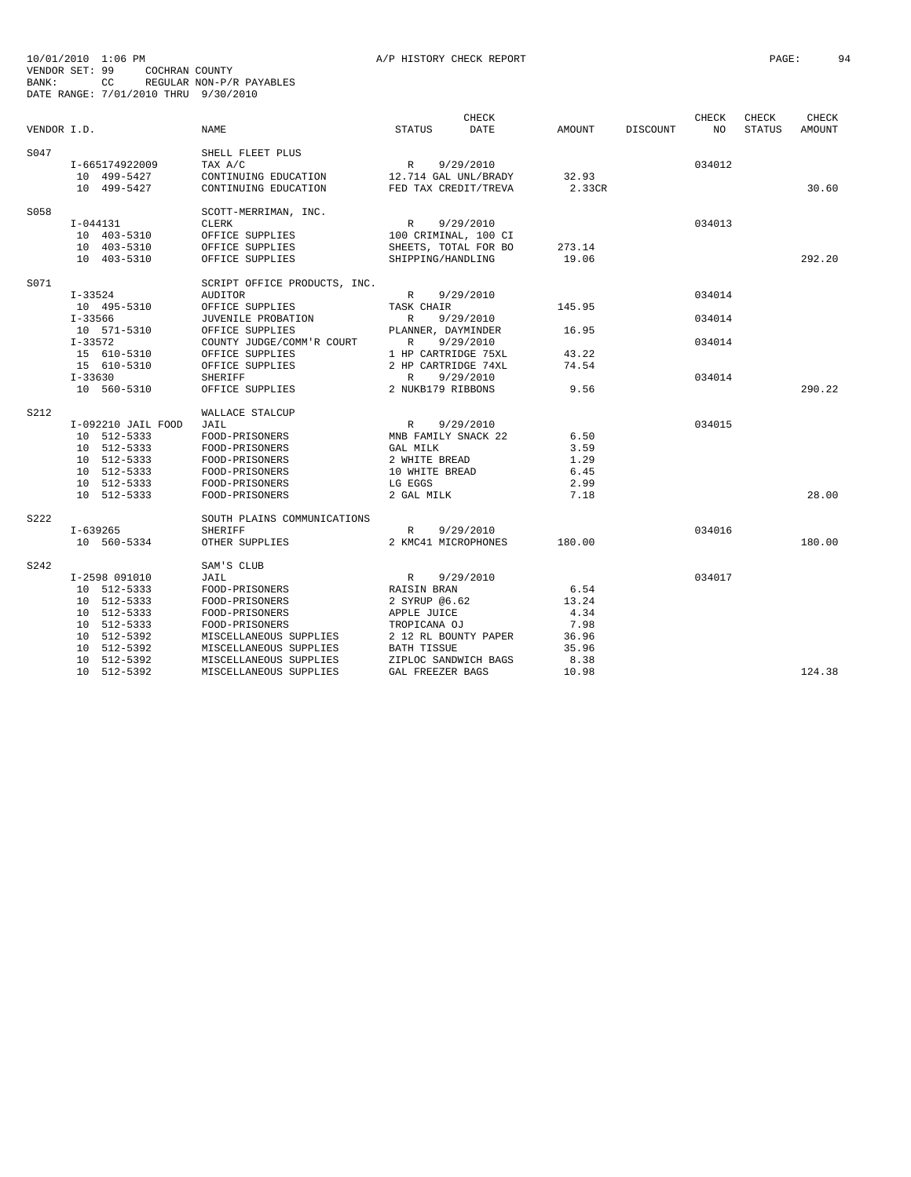|             |                    |                              |                           | <b>CHECK</b> |        |                 | <b>CHECK</b> | CHECK         | <b>CHECK</b> |
|-------------|--------------------|------------------------------|---------------------------|--------------|--------|-----------------|--------------|---------------|--------------|
| VENDOR I.D. |                    | <b>NAME</b>                  | <b>STATUS</b>             | DATE         | AMOUNT | <b>DISCOUNT</b> | NO           | <b>STATUS</b> | AMOUNT       |
| S047        |                    | SHELL FLEET PLUS             |                           |              |        |                 |              |               |              |
|             | I-665174922009     | TAX A/C                      | R<br>9/29/2010            |              |        |                 | 034012       |               |              |
|             | 10 499-5427        | CONTINUING EDUCATION         | 12.714 GAL UNL/BRADY      |              | 32.93  |                 |              |               |              |
|             | 10 499-5427        | CONTINUING EDUCATION         | FED TAX CREDIT/TREVA      |              | 2.33CR |                 |              |               | 30.60        |
| S058        |                    | SCOTT-MERRIMAN, INC.         |                           |              |        |                 |              |               |              |
|             | I-044131           | <b>CLERK</b>                 | 9/29/2010<br>R            |              |        |                 | 034013       |               |              |
|             | 10 403-5310        | OFFICE SUPPLIES              | 100 CRIMINAL, 100 CI      |              |        |                 |              |               |              |
|             | 10 403-5310        | OFFICE SUPPLIES              | SHEETS, TOTAL FOR BO      |              | 273.14 |                 |              |               |              |
|             | 10 403-5310        | OFFICE SUPPLIES              | SHIPPING/HANDLING         |              | 19.06  |                 |              |               | 292.20       |
| S071        |                    | SCRIPT OFFICE PRODUCTS, INC. |                           |              |        |                 |              |               |              |
|             | $I-33524$          | <b>AUDITOR</b>               | 9/29/2010<br>R            |              |        |                 | 034014       |               |              |
|             | 10 495-5310        | OFFICE SUPPLIES              | TASK CHAIR                |              | 145.95 |                 |              |               |              |
|             | $I - 33566$        | JUVENILE PROBATION           | R                         | 9/29/2010    |        |                 | 034014       |               |              |
|             | 10 571-5310        | OFFICE SUPPLIES              | PLANNER, DAYMINDER        |              | 16.95  |                 |              |               |              |
|             | $I - 33572$        | COUNTY JUDGE/COMM'R COURT    | 9/29/2010<br>R            |              |        |                 | 034014       |               |              |
|             | 15 610-5310        | OFFICE SUPPLIES              | 1 HP CARTRIDGE 75XL       |              | 43.22  |                 |              |               |              |
|             | 15 610-5310        | OFFICE SUPPLIES              | 2 HP CARTRIDGE 74XL       |              | 74.54  |                 |              |               |              |
|             | $I - 33630$        | <b>SHERIFF</b>               | 9/29/2010<br>R            |              |        |                 | 034014       |               |              |
|             | 10 560-5310        | OFFICE SUPPLIES              | 2 NUKB179 RIBBONS         |              | 9.56   |                 |              |               | 290.22       |
| S212        |                    | WALLACE STALCUP              |                           |              |        |                 |              |               |              |
|             | I-092210 JAIL FOOD | JAIL                         | 9/29/2010<br>$\mathbb{R}$ |              |        |                 | 034015       |               |              |
|             | 10 512-5333        | FOOD-PRISONERS               | MNB FAMILY SNACK 22       |              | 6.50   |                 |              |               |              |
|             | 10 512-5333        | FOOD-PRISONERS               | GAL MILK                  |              | 3.59   |                 |              |               |              |
|             | 10 512-5333        | FOOD-PRISONERS               | 2 WHITE BREAD             |              | 1.29   |                 |              |               |              |
|             | 10 512-5333        | FOOD-PRISONERS               | 10 WHITE BREAD            |              | 6.45   |                 |              |               |              |
|             | 10 512-5333        | FOOD-PRISONERS               | LG EGGS                   |              | 2.99   |                 |              |               |              |
|             | 10 512-5333        | FOOD-PRISONERS               | 2 GAL MILK                |              | 7.18   |                 |              |               | 28.00        |
| S222        |                    | SOUTH PLAINS COMMUNICATIONS  |                           |              |        |                 |              |               |              |
|             | I-639265           | SHERIFF                      | 9/29/2010<br>$\mathbb{R}$ |              |        |                 | 034016       |               |              |
|             | 10 560-5334        | OTHER SUPPLIES               | 2 KMC41 MICROPHONES       |              | 180.00 |                 |              |               | 180.00       |
| S242        |                    | SAM'S CLUB                   |                           |              |        |                 |              |               |              |
|             | I-2598 091010      | JAIL                         | 9/29/2010<br>R            |              |        |                 | 034017       |               |              |
|             | 10 512-5333        | FOOD-PRISONERS               | RAISIN BRAN               |              | 6.54   |                 |              |               |              |
|             | 10 512-5333        | FOOD-PRISONERS               | 2 SYRUP @6.62             |              | 13.24  |                 |              |               |              |
|             | 10 512-5333        | FOOD-PRISONERS               | APPLE JUICE               |              | 4.34   |                 |              |               |              |
|             | 10 512-5333        | FOOD-PRISONERS               | TROPICANA OJ              |              | 7.98   |                 |              |               |              |
|             | 10 512-5392        | MISCELLANEOUS SUPPLIES       | 2 12 RL BOUNTY PAPER      |              | 36.96  |                 |              |               |              |
|             | 10 512-5392        | MISCELLANEOUS SUPPLIES       | <b>BATH TISSUE</b>        |              | 35.96  |                 |              |               |              |
|             | 10 512-5392        | MISCELLANEOUS SUPPLIES       | ZIPLOC SANDWICH BAGS      |              | 8.38   |                 |              |               |              |
|             | 10 512-5392        | MISCELLANEOUS SUPPLIES       | GAL FREEZER BAGS          |              | 10.98  |                 |              |               | 124.38       |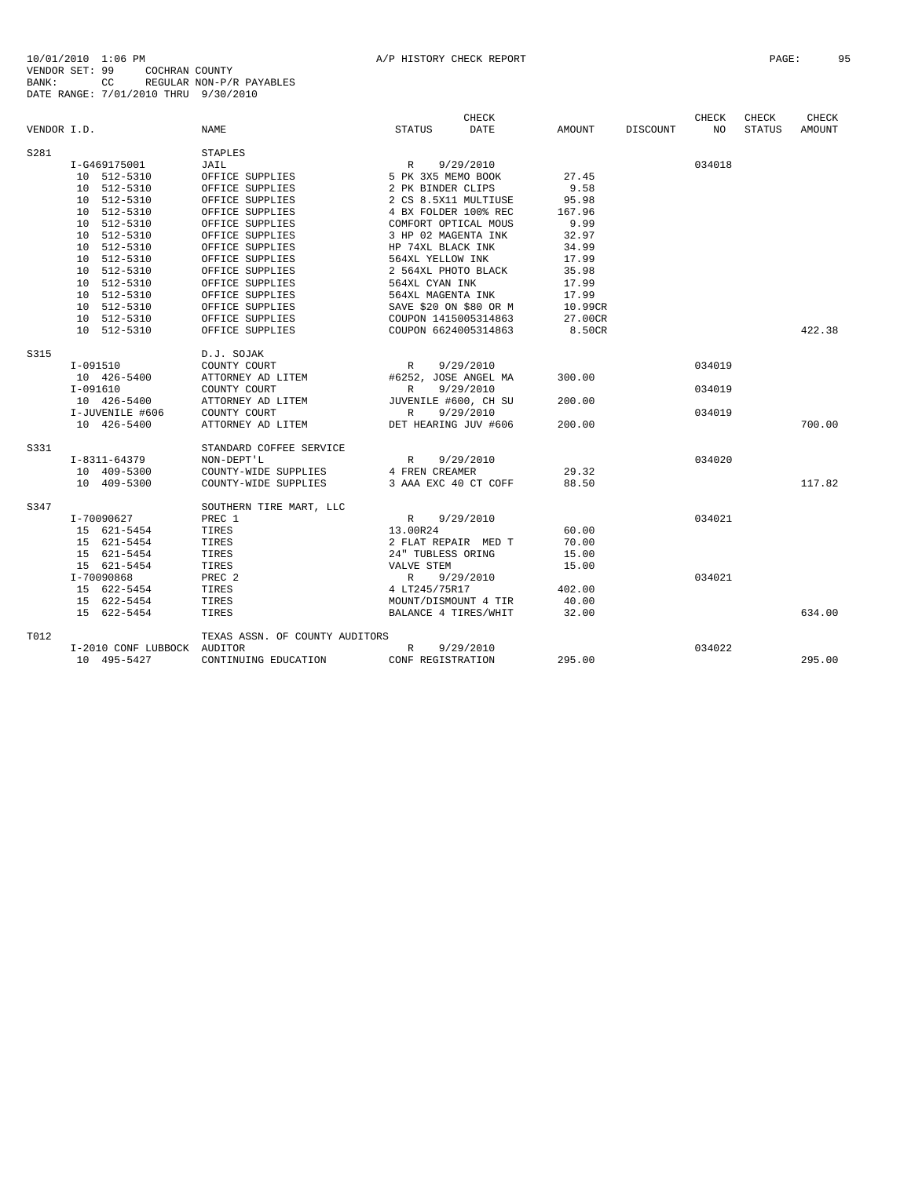|             |                             |                                |                        | <b>CHECK</b> |         |                 | CHECK  | CHECK         | CHECK         |
|-------------|-----------------------------|--------------------------------|------------------------|--------------|---------|-----------------|--------|---------------|---------------|
| VENDOR I.D. |                             | <b>NAME</b>                    | <b>STATUS</b>          | <b>DATE</b>  | AMOUNT  | <b>DISCOUNT</b> | NO.    | <b>STATUS</b> | <b>AMOUNT</b> |
| S281        |                             | <b>STAPLES</b>                 |                        |              |         |                 |        |               |               |
|             | I-G469175001                | JAIL                           | R                      | 9/29/2010    |         |                 | 034018 |               |               |
|             | 10 512-5310                 | OFFICE SUPPLIES                | 5 PK 3X5 MEMO BOOK     |              | 27.45   |                 |        |               |               |
|             | 10 512-5310                 | OFFICE SUPPLIES                | 2 PK BINDER CLIPS      |              | 9.58    |                 |        |               |               |
|             | 10 512-5310                 | OFFICE SUPPLIES                | 2 CS 8.5X11 MULTIUSE   |              | 95.98   |                 |        |               |               |
|             | 10 512-5310                 | OFFICE SUPPLIES                | 4 BX FOLDER 100% REC   |              | 167.96  |                 |        |               |               |
|             | 10 512-5310                 | OFFICE SUPPLIES                | COMFORT OPTICAL MOUS   |              | 9.99    |                 |        |               |               |
|             | 10 512-5310                 | OFFICE SUPPLIES                | 3 HP 02 MAGENTA INK    |              | 32.97   |                 |        |               |               |
|             | 10 512-5310                 | OFFICE SUPPLIES                | HP 74XL BLACK INK      |              | 34.99   |                 |        |               |               |
|             | 10 512-5310                 | OFFICE SUPPLIES                | 564XL YELLOW INK       |              | 17.99   |                 |        |               |               |
|             | 10 512-5310                 | OFFICE SUPPLIES                | 2 564XL PHOTO BLACK    |              | 35.98   |                 |        |               |               |
|             | 10 512-5310                 | OFFICE SUPPLIES                | 564XL CYAN INK         |              | 17.99   |                 |        |               |               |
|             | 10 512-5310                 | OFFICE SUPPLIES                | 564XL MAGENTA INK      |              | 17.99   |                 |        |               |               |
|             | 10 512-5310                 | OFFICE SUPPLIES                | SAVE \$20 ON \$80 OR M |              | 10.99CR |                 |        |               |               |
|             | 10 512-5310                 | OFFICE SUPPLIES                | COUPON 1415005314863   |              | 27.00CR |                 |        |               |               |
|             | 10 512-5310                 | OFFICE SUPPLIES                | COUPON 6624005314863   |              | 8.50CR  |                 |        |               | 422.38        |
| S315        |                             | D.J. SOJAK                     |                        |              |         |                 |        |               |               |
|             | I-091510                    | COUNTY COURT                   | R                      | 9/29/2010    |         |                 | 034019 |               |               |
|             | 10 426-5400                 | ATTORNEY AD LITEM              | #6252, JOSE ANGEL MA   |              | 300.00  |                 |        |               |               |
|             | $I-091610$                  | COUNTY COURT                   | R                      | 9/29/2010    |         |                 | 034019 |               |               |
|             | 10 426-5400                 | ATTORNEY AD LITEM              | JUVENILE #600, CH SU   |              | 200.00  |                 |        |               |               |
|             | I-JUVENILE #606             | COUNTY COURT                   | $\mathbb{R}$           | 9/29/2010    |         |                 | 034019 |               |               |
|             | 10 426-5400                 | ATTORNEY AD LITEM              | DET HEARING JUV #606   |              | 200.00  |                 |        |               | 700.00        |
| S331        |                             | STANDARD COFFEE SERVICE        |                        |              |         |                 |        |               |               |
|             | I-8311-64379                | NON-DEPT'L                     | R                      | 9/29/2010    |         |                 | 034020 |               |               |
|             | 10 409-5300                 | COUNTY-WIDE SUPPLIES           | 4 FREN CREAMER         |              | 29.32   |                 |        |               |               |
|             | 10 409-5300                 | COUNTY-WIDE SUPPLIES           | 3 AAA EXC 40 CT COFF   |              | 88.50   |                 |        |               | 117.82        |
| S347        |                             | SOUTHERN TIRE MART, LLC        |                        |              |         |                 |        |               |               |
|             | I-70090627                  | PREC 1                         | $\mathbb{R}$           | 9/29/2010    |         |                 | 034021 |               |               |
|             | 15 621-5454                 | TIRES                          | 13.00R24               |              | 60.00   |                 |        |               |               |
|             | 15 621-5454                 | TIRES                          | 2 FLAT REPAIR MED T    |              | 70.00   |                 |        |               |               |
|             | 15 621-5454                 | TIRES                          | 24" TUBLESS ORING      |              | 15.00   |                 |        |               |               |
|             | 15 621-5454                 | TIRES                          | VALVE STEM             |              | 15.00   |                 |        |               |               |
|             | I-70090868                  | PREC <sub>2</sub>              | $\mathbb{R}$           | 9/29/2010    |         |                 | 034021 |               |               |
|             | 15 622-5454                 | TIRES                          | 4 LT245/75R17          |              | 402.00  |                 |        |               |               |
|             | 15 622-5454                 | TIRES                          | MOUNT/DISMOUNT 4 TIR   |              | 40.00   |                 |        |               |               |
|             | 15 622-5454                 | TIRES                          | BALANCE 4 TIRES/WHIT   |              | 32.00   |                 |        |               | 634.00        |
| T012        |                             | TEXAS ASSN. OF COUNTY AUDITORS |                        |              |         |                 |        |               |               |
|             | I-2010 CONF LUBBOCK AUDITOR |                                | R                      | 9/29/2010    |         |                 | 034022 |               |               |
|             | 10 495-5427                 | CONTINUING EDUCATION           | CONF REGISTRATION      |              | 295.00  |                 |        |               | 295.00        |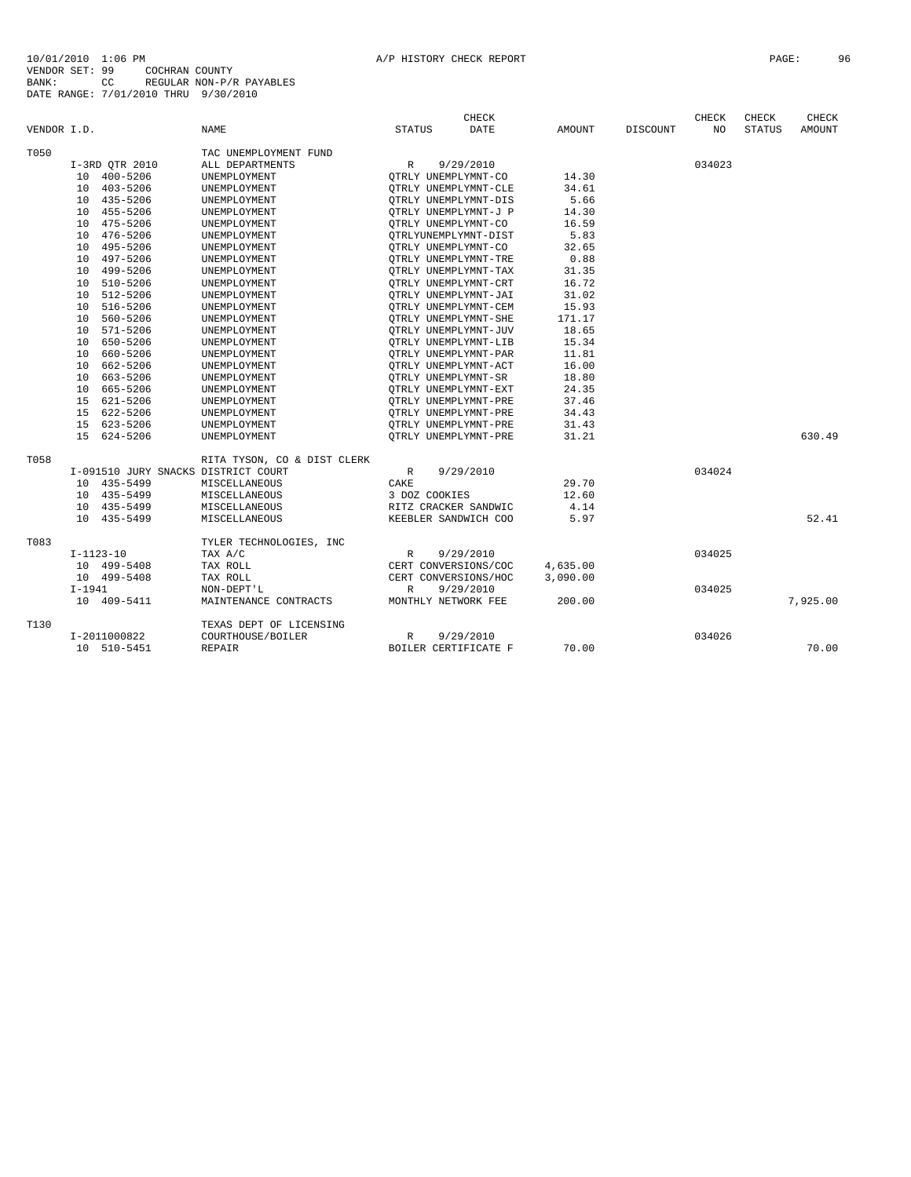|             |          |                                     |                             |               | <b>CHECK</b>         |               |          | <b>CHECK</b>   | CHECK         | CHECK    |
|-------------|----------|-------------------------------------|-----------------------------|---------------|----------------------|---------------|----------|----------------|---------------|----------|
| VENDOR I.D. |          |                                     | <b>NAME</b>                 | <b>STATUS</b> | <b>DATE</b>          | <b>AMOUNT</b> | DISCOUNT | N <sub>O</sub> | <b>STATUS</b> | AMOUNT   |
| T050        |          |                                     | TAC UNEMPLOYMENT FUND       |               |                      |               |          |                |               |          |
|             |          | I-3RD QTR 2010                      | ALL DEPARTMENTS             | R             | 9/29/2010            |               |          | 034023         |               |          |
|             |          | 10 400-5206                         | UNEMPLOYMENT                |               | OTRLY UNEMPLYMNT-CO  | 14.30         |          |                |               |          |
|             |          | 10 403-5206                         | UNEMPLOYMENT                |               | OTRLY UNEMPLYMNT-CLE | 34.61         |          |                |               |          |
|             |          | 10 435-5206                         | UNEMPLOYMENT                |               | OTRLY UNEMPLYMNT-DIS | 5.66          |          |                |               |          |
|             | 10       | 455-5206                            | UNEMPLOYMENT                |               | OTRLY UNEMPLYMNT-J P | 14.30         |          |                |               |          |
|             | 10       | 475-5206                            | UNEMPLOYMENT                |               | OTRLY UNEMPLYMNT-CO  | 16.59         |          |                |               |          |
|             |          | 10 476-5206                         | UNEMPLOYMENT                |               | OTRLYUNEMPLYMNT-DIST | 5.83          |          |                |               |          |
|             | 10       | 495-5206                            | UNEMPLOYMENT                |               | OTRLY UNEMPLYMNT-CO  | 32.65         |          |                |               |          |
|             | 10       | 497-5206                            | UNEMPLOYMENT                |               | OTRLY UNEMPLYMNT-TRE | 0.88          |          |                |               |          |
|             | 10       | 499-5206                            | UNEMPLOYMENT                |               | OTRLY UNEMPLYMNT-TAX | 31.35         |          |                |               |          |
|             | 10       | 510-5206                            | UNEMPLOYMENT                |               | OTRLY UNEMPLYMNT-CRT | 16.72         |          |                |               |          |
|             | 10       | 512-5206                            | UNEMPLOYMENT                |               | OTRLY UNEMPLYMNT-JAI | 31.02         |          |                |               |          |
|             | 10       | 516-5206                            | UNEMPLOYMENT                |               | OTRLY UNEMPLYMNT-CEM | 15.93         |          |                |               |          |
|             | 10       | 560-5206                            | UNEMPLOYMENT                |               | OTRLY UNEMPLYMNT-SHE | 171.17        |          |                |               |          |
|             | 10       | 571-5206                            | UNEMPLOYMENT                |               | OTRLY UNEMPLYMNT-JUV | 18.65         |          |                |               |          |
|             | 10       | 650-5206                            | UNEMPLOYMENT                |               | OTRLY UNEMPLYMNT-LIB | 15.34         |          |                |               |          |
|             | 10       | 660-5206                            | UNEMPLOYMENT                |               | OTRLY UNEMPLYMNT-PAR | 11.81         |          |                |               |          |
|             |          | 10 662-5206                         | UNEMPLOYMENT                |               | OTRLY UNEMPLYMNT-ACT | 16.00         |          |                |               |          |
|             | 10       | 663-5206                            | UNEMPLOYMENT                |               | OTRLY UNEMPLYMNT-SR  | 18.80         |          |                |               |          |
|             | 10       | 665-5206                            | UNEMPLOYMENT                |               | OTRLY UNEMPLYMNT-EXT | 24.35         |          |                |               |          |
|             |          | 15 621-5206                         | UNEMPLOYMENT                |               | OTRLY UNEMPLYMNT-PRE | 37.46         |          |                |               |          |
|             |          | 15 622-5206                         | UNEMPLOYMENT                |               | QTRLY UNEMPLYMNT-PRE | 34.43         |          |                |               |          |
|             |          | 15 623-5206                         | UNEMPLOYMENT                |               | OTRLY UNEMPLYMNT-PRE | 31.43         |          |                |               |          |
|             |          | 15 624-5206                         | UNEMPLOYMENT                |               | OTRLY UNEMPLYMNT-PRE | 31.21         |          |                |               | 630.49   |
| T058        |          |                                     | RITA TYSON, CO & DIST CLERK |               |                      |               |          |                |               |          |
|             |          | I-091510 JURY SNACKS DISTRICT COURT |                             | $\mathbb{R}$  | 9/29/2010            |               |          | 034024         |               |          |
|             |          | 10 435-5499                         | MISCELLANEOUS               | CAKE          |                      | 29.70         |          |                |               |          |
|             |          | 10 435-5499                         | MISCELLANEOUS               | 3 DOZ COOKIES |                      | 12.60         |          |                |               |          |
|             |          | 10 435-5499                         | MISCELLANEOUS               |               | RITZ CRACKER SANDWIC | 4.14          |          |                |               |          |
|             |          | 10 435-5499                         | MISCELLANEOUS               |               | KEEBLER SANDWICH COO | 5.97          |          |                |               | 52.41    |
| T083        |          |                                     | TYLER TECHNOLOGIES, INC     |               |                      |               |          |                |               |          |
|             |          | $I - 1123 - 10$                     | TAX A/C                     | $\mathbb{R}$  | 9/29/2010            |               |          | 034025         |               |          |
|             |          | 10 499-5408                         | TAX ROLL                    |               | CERT CONVERSIONS/COC | 4,635.00      |          |                |               |          |
|             |          | 10 499-5408                         | TAX ROLL                    |               | CERT CONVERSIONS/HOC | 3,090.00      |          |                |               |          |
|             | $I-1941$ |                                     | NON-DEPT'L                  | $\mathbb R$   | 9/29/2010            |               |          | 034025         |               |          |
|             |          | 10 409-5411                         | MAINTENANCE CONTRACTS       |               | MONTHLY NETWORK FEE  | 200.00        |          |                |               | 7,925.00 |
| T130        |          |                                     | TEXAS DEPT OF LICENSING     |               |                      |               |          |                |               |          |
|             |          | I-2011000822                        | COURTHOUSE/BOILER           | $\mathbb{R}$  | 9/29/2010            |               |          | 034026         |               |          |
|             |          | 10 510-5451                         | REPAIR                      |               | BOILER CERTIFICATE F | 70.00         |          |                |               | 70.00    |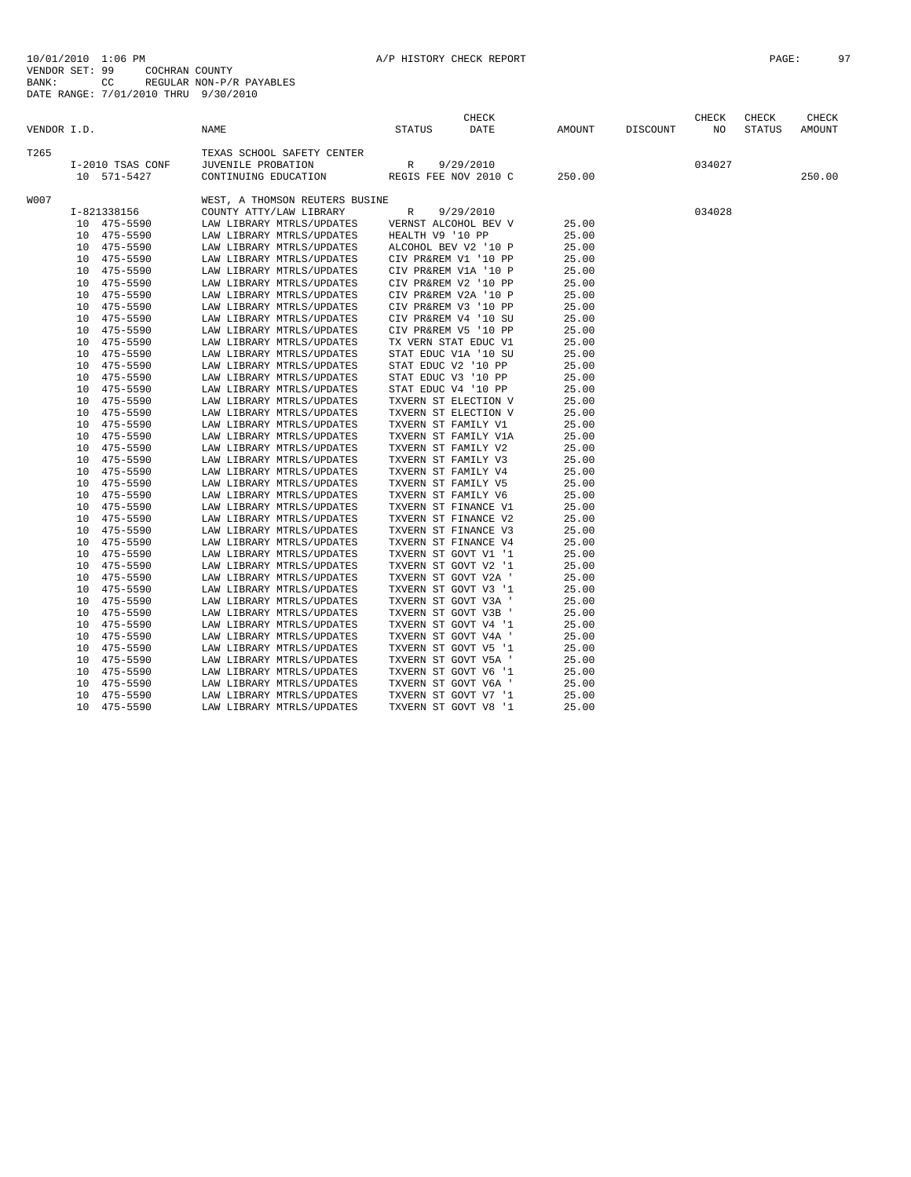| VENDOR I.D. |    |                         | NAME               |                                                        | <b>STATUS</b>                                | CHECK<br><b>DATE</b> | AMOUNT         | DISCOUNT | CHECK<br>NO | CHECK<br><b>STATUS</b> | CHECK<br>AMOUNT |
|-------------|----|-------------------------|--------------------|--------------------------------------------------------|----------------------------------------------|----------------------|----------------|----------|-------------|------------------------|-----------------|
|             |    |                         |                    |                                                        |                                              |                      |                |          |             |                        |                 |
| T265        |    |                         |                    | TEXAS SCHOOL SAFETY CENTER                             |                                              |                      |                |          |             |                        |                 |
|             |    | I-2010 TSAS CONF        | JUVENILE PROBATION |                                                        | R                                            | 9/29/2010            |                |          | 034027      |                        |                 |
|             |    | 10 571-5427             |                    | CONTINUING EDUCATION                                   | REGIS FEE NOV 2010 C                         |                      | 250.00         |          |             |                        | 250.00          |
| W007        |    |                         |                    | WEST, A THOMSON REUTERS BUSINE                         |                                              |                      |                |          |             |                        |                 |
|             |    | I-821338156             |                    | COUNTY ATTY/LAW LIBRARY                                | R                                            | 9/29/2010            |                |          | 034028      |                        |                 |
|             |    | 10 475-5590             |                    | LAW LIBRARY MTRLS/UPDATES                              | VERNST ALCOHOL BEV V                         |                      | 25.00          |          |             |                        |                 |
|             |    | 10 475-5590             |                    | LAW LIBRARY MTRLS/UPDATES                              | HEALTH V9 '10 PP                             |                      | 25.00          |          |             |                        |                 |
|             |    | 10 475-5590             |                    | LAW LIBRARY MTRLS/UPDATES                              | ALCOHOL BEV V2 '10 P                         |                      | 25.00          |          |             |                        |                 |
|             |    | 10 475-5590             |                    | LAW LIBRARY MTRLS/UPDATES                              | CIV PR&REM V1 '10 PP                         |                      | 25.00          |          |             |                        |                 |
|             |    | 10 475-5590             |                    | LAW LIBRARY MTRLS/UPDATES                              | CIV PR&REM V1A '10 P                         |                      | 25.00          |          |             |                        |                 |
|             |    | 10 475-5590             |                    | LAW LIBRARY MTRLS/UPDATES                              | CIV PR&REM V2 '10 PP                         |                      | 25.00          |          |             |                        |                 |
|             |    | 10 475-5590             |                    | LAW LIBRARY MTRLS/UPDATES                              | CIV PR&REM V2A '10 P                         |                      | 25.00          |          |             |                        |                 |
|             |    | 10 475-5590             |                    | LAW LIBRARY MTRLS/UPDATES                              | CIV PR&REM V3 '10 PP                         |                      | 25.00          |          |             |                        |                 |
|             |    | 10 475-5590             |                    | LAW LIBRARY MTRLS/UPDATES                              | CIV PR&REM V4 '10 SU                         |                      | 25.00          |          |             |                        |                 |
|             |    | 10 475-5590             |                    | LAW LIBRARY MTRLS/UPDATES                              | CIV PR&REM V5 '10 PP                         |                      | 25.00          |          |             |                        |                 |
|             | 10 | 475-5590                |                    | LAW LIBRARY MTRLS/UPDATES                              | TX VERN STAT EDUC V1                         |                      | 25.00          |          |             |                        |                 |
|             | 10 | 475-5590                |                    | LAW LIBRARY MTRLS/UPDATES                              | STAT EDUC V1A '10 SU                         |                      | 25.00          |          |             |                        |                 |
|             | 10 | 475-5590                |                    | LAW LIBRARY MTRLS/UPDATES                              | STAT EDUC V2 '10 PP                          |                      | 25.00          |          |             |                        |                 |
|             | 10 | 475-5590                |                    | LAW LIBRARY MTRLS/UPDATES                              | STAT EDUC V3 '10 PP                          |                      | 25.00          |          |             |                        |                 |
|             | 10 | 475-5590                |                    | LAW LIBRARY MTRLS/UPDATES                              | STAT EDUC V4 '10 PP                          |                      | 25.00          |          |             |                        |                 |
|             |    | 10 475-5590             |                    | LAW LIBRARY MTRLS/UPDATES                              | TXVERN ST ELECTION V                         |                      | 25.00          |          |             |                        |                 |
|             | 10 | 475-5590                |                    | LAW LIBRARY MTRLS/UPDATES                              | TXVERN ST ELECTION V                         |                      | 25.00          |          |             |                        |                 |
|             | 10 | 475-5590                |                    | LAW LIBRARY MTRLS/UPDATES                              | TXVERN ST FAMILY V1                          |                      | 25.00          |          |             |                        |                 |
|             | 10 | 475-5590                |                    | LAW LIBRARY MTRLS/UPDATES                              | TXVERN ST FAMILY V1A                         |                      | 25.00          |          |             |                        |                 |
|             | 10 | 475-5590                |                    | LAW LIBRARY MTRLS/UPDATES                              | TXVERN ST FAMILY V2                          |                      | 25.00          |          |             |                        |                 |
|             | 10 | 475-5590                |                    | LAW LIBRARY MTRLS/UPDATES                              | TXVERN ST FAMILY V3                          |                      | 25.00          |          |             |                        |                 |
|             |    | 10 475-5590             |                    | LAW LIBRARY MTRLS/UPDATES                              | TXVERN ST FAMILY V4                          |                      | 25.00          |          |             |                        |                 |
|             |    | 10 475-5590             |                    | LAW LIBRARY MTRLS/UPDATES                              | TXVERN ST FAMILY V5                          |                      | 25.00          |          |             |                        |                 |
|             |    | 10 475-5590             |                    | LAW LIBRARY MTRLS/UPDATES                              | TXVERN ST FAMILY V6                          |                      | 25.00          |          |             |                        |                 |
|             | 10 | 475-5590                |                    | LAW LIBRARY MTRLS/UPDATES                              | TXVERN ST FINANCE V1                         |                      | 25.00          |          |             |                        |                 |
|             |    | 10 475-5590             |                    | LAW LIBRARY MTRLS/UPDATES                              | TXVERN ST FINANCE V2                         |                      | 25.00          |          |             |                        |                 |
|             |    | 10 475-5590             |                    | LAW LIBRARY MTRLS/UPDATES                              | TXVERN ST FINANCE V3                         |                      | 25.00          |          |             |                        |                 |
|             |    | 10 475-5590             |                    | LAW LIBRARY MTRLS/UPDATES                              | TXVERN ST FINANCE V4                         |                      | 25.00          |          |             |                        |                 |
|             |    | 10 475-5590             |                    | LAW LIBRARY MTRLS/UPDATES                              | TXVERN ST GOVT V1 '1                         |                      | 25.00          |          |             |                        |                 |
|             | 10 | 475-5590                |                    | LAW LIBRARY MTRLS/UPDATES                              | TXVERN ST GOVT V2 '1                         |                      | 25.00          |          |             |                        |                 |
|             | 10 | 475-5590                |                    | LAW LIBRARY MTRLS/UPDATES                              | TXVERN ST GOVT V2A '                         |                      | 25.00          |          |             |                        |                 |
|             | 10 | 475-5590                |                    | LAW LIBRARY MTRLS/UPDATES                              | TXVERN ST GOVT V3 '1                         |                      | 25.00          |          |             |                        |                 |
|             | 10 | 475-5590                |                    | LAW LIBRARY MTRLS/UPDATES                              | TXVERN ST GOVT V3A '                         |                      | 25.00          |          |             |                        |                 |
|             | 10 | 475-5590                |                    |                                                        | TXVERN ST GOVT V3B '                         |                      | 25.00          |          |             |                        |                 |
|             |    | 10 475-5590             |                    | LAW LIBRARY MTRLS/UPDATES<br>LAW LIBRARY MTRLS/UPDATES | TXVERN ST GOVT V4 '1                         |                      | 25.00          |          |             |                        |                 |
|             | 10 |                         |                    |                                                        |                                              |                      |                |          |             |                        |                 |
|             |    | 475-5590                |                    | LAW LIBRARY MTRLS/UPDATES                              | TXVERN ST GOVT V4A '                         |                      | 25.00          |          |             |                        |                 |
|             | 10 | 10 475-5590<br>475-5590 |                    | LAW LIBRARY MTRLS/UPDATES<br>LAW LIBRARY MTRLS/UPDATES | TXVERN ST GOVT V5 '1<br>TXVERN ST GOVT V5A ' |                      | 25.00<br>25.00 |          |             |                        |                 |
|             |    |                         |                    |                                                        |                                              |                      |                |          |             |                        |                 |
|             | 10 | 475-5590                |                    | LAW LIBRARY MTRLS/UPDATES                              | TXVERN ST GOVT V6 '1                         |                      | 25.00          |          |             |                        |                 |
|             | 10 | 475-5590                |                    | LAW LIBRARY MTRLS/UPDATES                              | TXVERN ST GOVT V6A '                         |                      | 25.00          |          |             |                        |                 |
|             | 10 | 475-5590                |                    | LAW LIBRARY MTRLS/UPDATES                              | TXVERN ST GOVT V7 '1                         |                      | 25.00          |          |             |                        |                 |
|             |    | 10 475-5590             |                    | LAW LIBRARY MTRLS/UPDATES                              | TXVERN ST GOVT V8 '1                         |                      | 25.00          |          |             |                        |                 |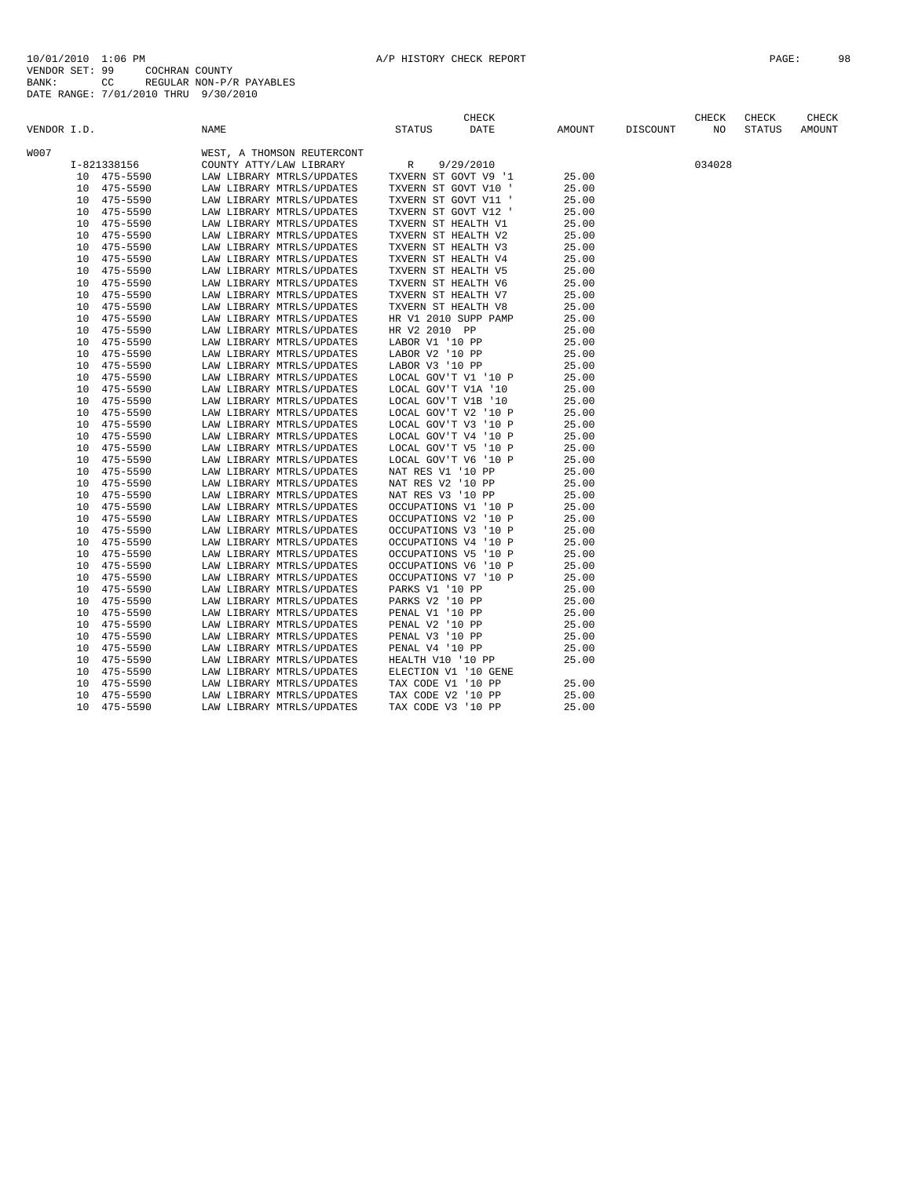|             |    |              |      |                            |                 | CHECK                |        |          | CHECK  | CHECK         | CHECK  |
|-------------|----|--------------|------|----------------------------|-----------------|----------------------|--------|----------|--------|---------------|--------|
| VENDOR I.D. |    |              | NAME |                            | <b>STATUS</b>   | <b>DATE</b>          | AMOUNT | DISCOUNT | NO     | <b>STATUS</b> | AMOUNT |
| W007        |    |              |      | WEST, A THOMSON REUTERCONT |                 |                      |        |          |        |               |        |
|             |    | I-821338156  |      | COUNTY ATTY/LAW LIBRARY    | R               | 9/29/2010            |        |          | 034028 |               |        |
|             |    | 10 475-5590  |      | LAW LIBRARY MTRLS/UPDATES  |                 | TXVERN ST GOVT V9 '1 | 25.00  |          |        |               |        |
|             |    | 10 475-5590  |      | LAW LIBRARY MTRLS/UPDATES  |                 | TXVERN ST GOVT V10 ' | 25.00  |          |        |               |        |
|             |    | 10 475-5590  |      | LAW LIBRARY MTRLS/UPDATES  |                 | TXVERN ST GOVT V11 ' | 25.00  |          |        |               |        |
|             | 10 | 475-5590     |      | LAW LIBRARY MTRLS/UPDATES  |                 | TXVERN ST GOVT V12 ' | 25.00  |          |        |               |        |
|             | 10 | 475-5590     |      | LAW LIBRARY MTRLS/UPDATES  |                 | TXVERN ST HEALTH V1  | 25.00  |          |        |               |        |
|             | 10 | 475-5590     |      | LAW LIBRARY MTRLS/UPDATES  |                 | TXVERN ST HEALTH V2  | 25.00  |          |        |               |        |
|             | 10 | 475-5590     |      | LAW LIBRARY MTRLS/UPDATES  |                 | TXVERN ST HEALTH V3  | 25.00  |          |        |               |        |
|             | 10 | 475-5590     |      | LAW LIBRARY MTRLS/UPDATES  |                 | TXVERN ST HEALTH V4  | 25.00  |          |        |               |        |
|             | 10 | 475-5590     |      | LAW LIBRARY MTRLS/UPDATES  |                 | TXVERN ST HEALTH V5  | 25.00  |          |        |               |        |
|             | 10 | 475-5590     |      | LAW LIBRARY MTRLS/UPDATES  |                 | TXVERN ST HEALTH V6  | 25.00  |          |        |               |        |
|             | 10 | 475-5590     |      | LAW LIBRARY MTRLS/UPDATES  |                 | TXVERN ST HEALTH V7  | 25.00  |          |        |               |        |
|             | 10 | 475-5590     |      | LAW LIBRARY MTRLS/UPDATES  |                 | TXVERN ST HEALTH V8  | 25.00  |          |        |               |        |
|             | 10 | 475-5590     |      | LAW LIBRARY MTRLS/UPDATES  |                 | HR V1 2010 SUPP PAMP | 25.00  |          |        |               |        |
|             | 10 | 475-5590     |      | LAW LIBRARY MTRLS/UPDATES  | HR V2 2010 PP   |                      | 25.00  |          |        |               |        |
|             | 10 | $475 - 5590$ |      | LAW LIBRARY MTRLS/UPDATES  | LABOR V1 '10 PP |                      | 25.00  |          |        |               |        |
|             | 10 | 475-5590     |      | LAW LIBRARY MTRLS/UPDATES  | LABOR V2 '10 PP |                      | 25.00  |          |        |               |        |
|             | 10 | 475-5590     |      | LAW LIBRARY MTRLS/UPDATES  | LABOR V3 '10 PP |                      | 25.00  |          |        |               |        |
|             | 10 | 475-5590     |      | LAW LIBRARY MTRLS/UPDATES  |                 | LOCAL GOV'T V1 '10 P | 25.00  |          |        |               |        |
|             | 10 | 475-5590     |      | LAW LIBRARY MTRLS/UPDATES  |                 | LOCAL GOV'T V1A '10  | 25.00  |          |        |               |        |
|             | 10 | 475-5590     |      | LAW LIBRARY MTRLS/UPDATES  |                 | LOCAL GOV'T V1B '10  | 25.00  |          |        |               |        |
|             | 10 | 475-5590     |      | LAW LIBRARY MTRLS/UPDATES  |                 | LOCAL GOV'T V2 '10 P | 25.00  |          |        |               |        |
|             | 10 | 475-5590     |      | LAW LIBRARY MTRLS/UPDATES  |                 | LOCAL GOV'T V3 '10 P | 25.00  |          |        |               |        |
|             | 10 | 475-5590     |      | LAW LIBRARY MTRLS/UPDATES  |                 | LOCAL GOV'T V4 '10 P | 25.00  |          |        |               |        |
|             | 10 | 475-5590     |      | LAW LIBRARY MTRLS/UPDATES  |                 | LOCAL GOV'T V5 '10 P | 25.00  |          |        |               |        |
|             | 10 | 475-5590     |      | LAW LIBRARY MTRLS/UPDATES  |                 | LOCAL GOV'T V6 '10 P | 25.00  |          |        |               |        |
|             | 10 | 475-5590     |      | LAW LIBRARY MTRLS/UPDATES  |                 | NAT RES V1 '10 PP    | 25.00  |          |        |               |        |
|             | 10 | 475-5590     |      | LAW LIBRARY MTRLS/UPDATES  |                 | NAT RES V2 '10 PP    | 25.00  |          |        |               |        |
|             | 10 | 475-5590     |      | LAW LIBRARY MTRLS/UPDATES  |                 | NAT RES V3 '10 PP    | 25.00  |          |        |               |        |
|             | 10 | 475-5590     |      | LAW LIBRARY MTRLS/UPDATES  |                 | OCCUPATIONS V1 '10 P | 25.00  |          |        |               |        |
|             | 10 | 475-5590     |      | LAW LIBRARY MTRLS/UPDATES  |                 | OCCUPATIONS V2 '10 P | 25.00  |          |        |               |        |
|             |    | 10 475-5590  |      | LAW LIBRARY MTRLS/UPDATES  |                 | OCCUPATIONS V3 '10 P | 25.00  |          |        |               |        |
|             | 10 | 475-5590     |      | LAW LIBRARY MTRLS/UPDATES  |                 | OCCUPATIONS V4 '10 P | 25.00  |          |        |               |        |
|             | 10 | 475-5590     |      | LAW LIBRARY MTRLS/UPDATES  |                 | OCCUPATIONS V5 '10 P | 25.00  |          |        |               |        |
|             | 10 | 475-5590     |      | LAW LIBRARY MTRLS/UPDATES  |                 | OCCUPATIONS V6 '10 P | 25.00  |          |        |               |        |
|             | 10 | 475-5590     |      | LAW LIBRARY MTRLS/UPDATES  |                 | OCCUPATIONS V7 '10 P | 25.00  |          |        |               |        |
|             | 10 | 475-5590     |      | LAW LIBRARY MTRLS/UPDATES  | PARKS V1 '10 PP |                      | 25.00  |          |        |               |        |
|             | 10 | 475-5590     |      | LAW LIBRARY MTRLS/UPDATES  | PARKS V2 '10 PP |                      | 25.00  |          |        |               |        |
|             | 10 | 475-5590     |      | LAW LIBRARY MTRLS/UPDATES  | PENAL V1 '10 PP |                      | 25.00  |          |        |               |        |
|             | 10 | 475-5590     |      | LAW LIBRARY MTRLS/UPDATES  | PENAL V2 '10 PP |                      | 25.00  |          |        |               |        |
|             | 10 | 475-5590     |      | LAW LIBRARY MTRLS/UPDATES  | PENAL V3 '10 PP |                      | 25.00  |          |        |               |        |
|             | 10 | 475-5590     |      | LAW LIBRARY MTRLS/UPDATES  | PENAL V4 '10 PP |                      | 25.00  |          |        |               |        |
|             | 10 | 475-5590     |      | LAW LIBRARY MTRLS/UPDATES  |                 | HEALTH V10 '10 PP    | 25.00  |          |        |               |        |
|             | 10 | 475-5590     |      | LAW LIBRARY MTRLS/UPDATES  |                 | ELECTION V1 '10 GENE |        |          |        |               |        |
|             | 10 | 475-5590     |      | LAW LIBRARY MTRLS/UPDATES  |                 | TAX CODE V1 '10 PP   | 25.00  |          |        |               |        |
|             | 10 | 475-5590     |      | LAW LIBRARY MTRLS/UPDATES  |                 | TAX CODE V2 '10 PP   | 25.00  |          |        |               |        |
|             | 10 | 475-5590     |      | LAW LIBRARY MTRLS/UPDATES  |                 | TAX CODE V3 '10 PP   | 25.00  |          |        |               |        |
|             |    |              |      |                            |                 |                      |        |          |        |               |        |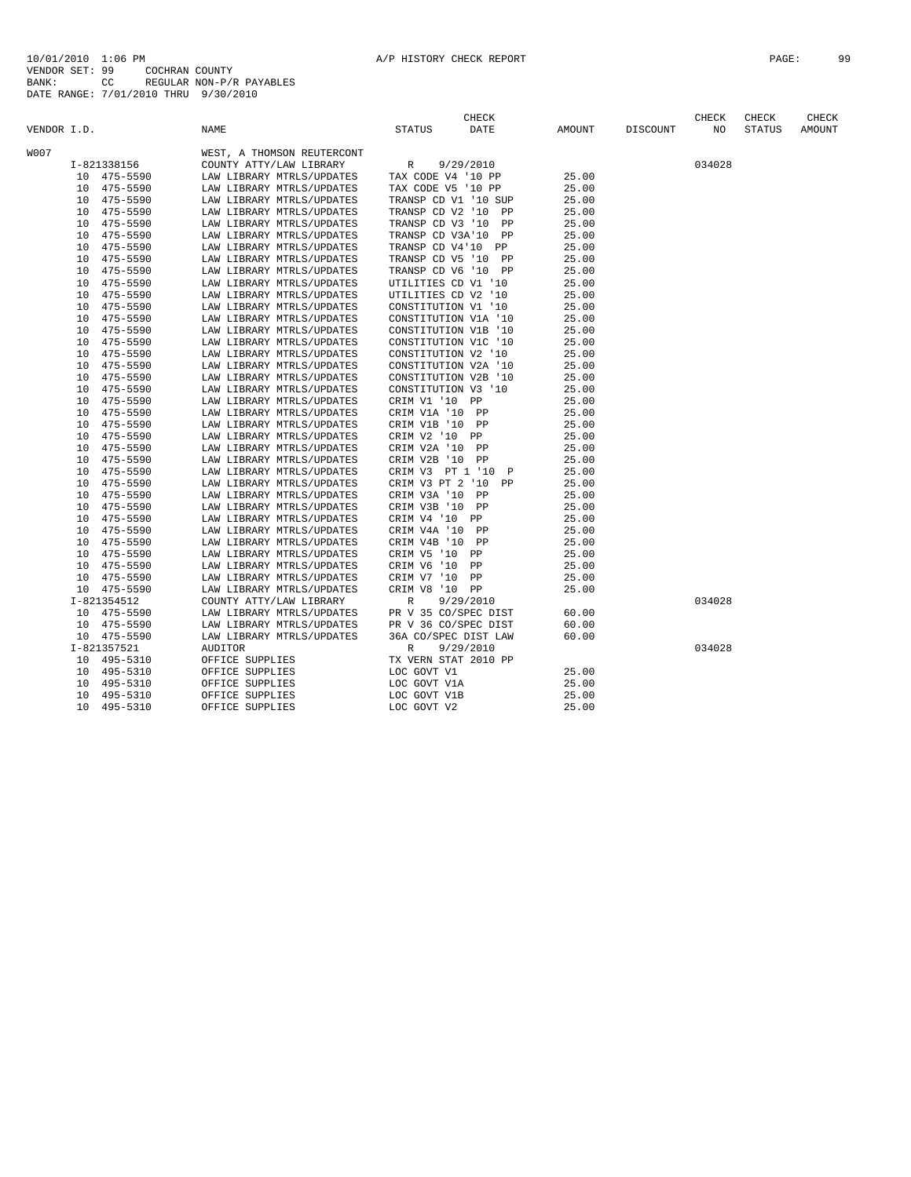10/01/2010 1:06 PM<br>VENDOR SET: 99 COCHRAN COUNTY<br>BANK: 99 COCHRAN COUNTY<br>BATE RANGE: 7/01/2010 THRU 9/30/2010<br>DATE RANGE: 7/01/2010 THRU 9/30/2010

| VENDOR I.D.    | <b>NAME</b>                | <b>CHECK</b><br>DATE<br>STATUS   | AMOUNT | DISCOUNT | CHECK<br>NO | CHECK<br><b>STATUS</b> | CHECK<br>AMOUNT |
|----------------|----------------------------|----------------------------------|--------|----------|-------------|------------------------|-----------------|
|                |                            |                                  |        |          |             |                        |                 |
| <b>W007</b>    | WEST, A THOMSON REUTERCONT |                                  |        |          |             |                        |                 |
| I-821338156    | COUNTY ATTY/LAW LIBRARY    | 9/29/2010<br>R                   |        |          | 034028      |                        |                 |
| 10 475-5590    | LAW LIBRARY MTRLS/UPDATES  | TAX CODE V4 '10 PP               | 25.00  |          |             |                        |                 |
| 10 475-5590    | LAW LIBRARY MTRLS/UPDATES  | TAX CODE V5 '10 PP               | 25.00  |          |             |                        |                 |
| 475-5590<br>10 | LAW LIBRARY MTRLS/UPDATES  | TRANSP CD V1 '10 SUP             | 25.00  |          |             |                        |                 |
| 475-5590<br>10 | LAW LIBRARY MTRLS/UPDATES  | TRANSP CD V2 '10<br>PP           | 25.00  |          |             |                        |                 |
| 475-5590<br>10 | LAW LIBRARY MTRLS/UPDATES  | TRANSP CD V3 '10<br>PP           | 25.00  |          |             |                        |                 |
| 475-5590<br>10 | LAW LIBRARY MTRLS/UPDATES  | TRANSP CD V3A'10<br>PP           | 25.00  |          |             |                        |                 |
| 475-5590<br>10 | LAW LIBRARY MTRLS/UPDATES  | TRANSP CD V4'10 PP               | 25.00  |          |             |                        |                 |
| 475-5590<br>10 | LAW LIBRARY MTRLS/UPDATES  | TRANSP CD V5 '10<br><b>PP</b>    | 25.00  |          |             |                        |                 |
| 475-5590<br>10 | LAW LIBRARY MTRLS/UPDATES  | TRANSP CD V6 '10<br><b>PP</b>    | 25.00  |          |             |                        |                 |
| 475-5590<br>10 | LAW LIBRARY MTRLS/UPDATES  | UTILITIES CD V1 '10              | 25.00  |          |             |                        |                 |
| 475-5590<br>10 | LAW LIBRARY MTRLS/UPDATES  | UTILITIES CD V2 '10              | 25.00  |          |             |                        |                 |
| 475-5590<br>10 | LAW LIBRARY MTRLS/UPDATES  | CONSTITUTION V1 '10              | 25.00  |          |             |                        |                 |
| 475-5590<br>10 | LAW LIBRARY MTRLS/UPDATES  | CONSTITUTION V1A '10             | 25.00  |          |             |                        |                 |
| 475-5590<br>10 | LAW LIBRARY MTRLS/UPDATES  | CONSTITUTION V1B '10             | 25.00  |          |             |                        |                 |
| 475-5590<br>10 | LAW LIBRARY MTRLS/UPDATES  | CONSTITUTION V1C '10             | 25.00  |          |             |                        |                 |
| 475-5590<br>10 | LAW LIBRARY MTRLS/UPDATES  | CONSTITUTION V2 '10              | 25.00  |          |             |                        |                 |
| 475-5590<br>10 | LAW LIBRARY MTRLS/UPDATES  | CONSTITUTION V2A '10             | 25.00  |          |             |                        |                 |
| 475-5590<br>10 | LAW LIBRARY MTRLS/UPDATES  | CONSTITUTION V2B '10             | 25.00  |          |             |                        |                 |
| 475-5590<br>10 | LAW LIBRARY MTRLS/UPDATES  | CONSTITUTION V3 '10              | 25.00  |          |             |                        |                 |
| 10<br>475-5590 | LAW LIBRARY MTRLS/UPDATES  | CRIM V1 '10 PP                   | 25.00  |          |             |                        |                 |
| 475-5590<br>10 | LAW LIBRARY MTRLS/UPDATES  | CRIM V1A '10 PP                  | 25.00  |          |             |                        |                 |
| 475-5590<br>10 | LAW LIBRARY MTRLS/UPDATES  | CRIM V1B '10 PP                  | 25.00  |          |             |                        |                 |
| 475-5590<br>10 | LAW LIBRARY MTRLS/UPDATES  | CRIM V2 '10 PP                   | 25.00  |          |             |                        |                 |
| 475-5590<br>10 | LAW LIBRARY MTRLS/UPDATES  | CRIM V2A '10 PP                  | 25.00  |          |             |                        |                 |
| 475-5590<br>10 | LAW LIBRARY MTRLS/UPDATES  | CRIM V2B '10 PP                  | 25.00  |          |             |                        |                 |
| 475-5590<br>10 | LAW LIBRARY MTRLS/UPDATES  | CRIM V3 PT 1 '10<br>$\mathbb{P}$ | 25.00  |          |             |                        |                 |
| 475-5590<br>10 | LAW LIBRARY MTRLS/UPDATES  | CRIM V3 PT 2 '10<br>PP           | 25.00  |          |             |                        |                 |
| 475-5590<br>10 | LAW LIBRARY MTRLS/UPDATES  | CRIM V3A '10<br>PP               | 25.00  |          |             |                        |                 |
| 475-5590<br>10 | LAW LIBRARY MTRLS/UPDATES  | CRIM V3B '10 PP                  | 25.00  |          |             |                        |                 |
| 475-5590<br>10 | LAW LIBRARY MTRLS/UPDATES  | CRIM V4 '10 PP                   | 25.00  |          |             |                        |                 |
| 475-5590<br>10 | LAW LIBRARY MTRLS/UPDATES  | CRIM V4A '10 PP                  | 25.00  |          |             |                        |                 |
| 10<br>475-5590 | LAW LIBRARY MTRLS/UPDATES  | CRIM V4B '10<br>PP               | 25.00  |          |             |                        |                 |
| 475-5590<br>10 | LAW LIBRARY MTRLS/UPDATES  | CRIM V5 '10<br>PP                | 25.00  |          |             |                        |                 |
| 10<br>475-5590 | LAW LIBRARY MTRLS/UPDATES  | CRIM V6 '10<br>PP                | 25.00  |          |             |                        |                 |
| 475-5590<br>10 | LAW LIBRARY MTRLS/UPDATES  | CRIM V7 '10<br>PP                | 25.00  |          |             |                        |                 |
| 10 475-5590    | LAW LIBRARY MTRLS/UPDATES  | CRIM V8 '10 PP                   | 25.00  |          |             |                        |                 |
| I-821354512    | COUNTY ATTY/LAW LIBRARY    | 9/29/2010<br>R                   |        |          | 034028      |                        |                 |
| 10 475-5590    | LAW LIBRARY MTRLS/UPDATES  | PR V 35 CO/SPEC DIST             | 60.00  |          |             |                        |                 |
| 10 475-5590    | LAW LIBRARY MTRLS/UPDATES  | PR V 36 CO/SPEC DIST             | 60.00  |          |             |                        |                 |
| 10 475-5590    | LAW LIBRARY MTRLS/UPDATES  | 36A CO/SPEC DIST LAW             | 60.00  |          |             |                        |                 |
| I-821357521    | <b>AUDITOR</b>             | $\mathbb R$<br>9/29/2010         |        |          | 034028      |                        |                 |
| 495-5310<br>10 | OFFICE SUPPLIES            | TX VERN STAT 2010 PP             |        |          |             |                        |                 |
| 495-5310<br>10 | OFFICE SUPPLIES            | LOC GOVT V1                      | 25.00  |          |             |                        |                 |
| 10<br>495-5310 | OFFICE SUPPLIES            | LOC GOVT V1A                     | 25.00  |          |             |                        |                 |
| 495-5310<br>10 | OFFICE SUPPLIES            | LOC GOVT V1B                     | 25.00  |          |             |                        |                 |
| 495-5310<br>10 | OFFICE SUPPLIES            | LOC GOVT V2                      | 25.00  |          |             |                        |                 |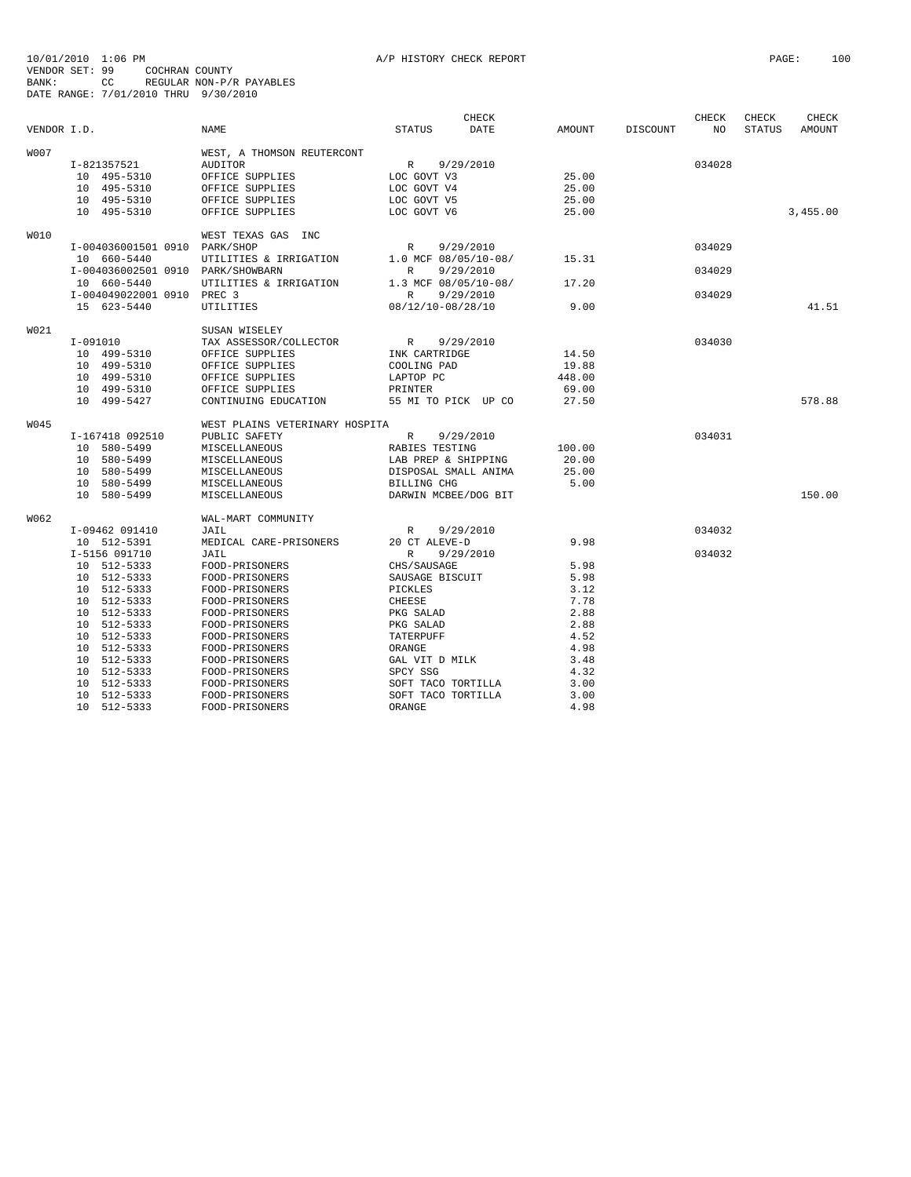|             |                                   |                                |                      | CHECK     |        |                 | CHECK  | CHECK         | CHECK    |
|-------------|-----------------------------------|--------------------------------|----------------------|-----------|--------|-----------------|--------|---------------|----------|
| VENDOR I.D. |                                   | NAME                           | <b>STATUS</b>        | DATE      | AMOUNT | <b>DISCOUNT</b> | NO     | <b>STATUS</b> | AMOUNT   |
| <b>W007</b> |                                   | WEST, A THOMSON REUTERCONT     |                      |           |        |                 |        |               |          |
|             | I-821357521                       | AUDITOR                        | $\mathbb{R}$         | 9/29/2010 |        |                 | 034028 |               |          |
|             | 10 495-5310                       | OFFICE SUPPLIES                | LOC GOVT V3          |           | 25.00  |                 |        |               |          |
|             | 10 495-5310                       | OFFICE SUPPLIES                | LOC GOVT V4          |           | 25.00  |                 |        |               |          |
|             | 10 495-5310                       | OFFICE SUPPLIES                | LOC GOVT V5          |           | 25.00  |                 |        |               |          |
|             | 10 495-5310                       | OFFICE SUPPLIES                | LOC GOVT V6          |           | 25.00  |                 |        |               | 3,455.00 |
| W010        |                                   | WEST TEXAS GAS INC             |                      |           |        |                 |        |               |          |
|             | I-004036001501 0910 PARK/SHOP     |                                | R                    | 9/29/2010 |        |                 | 034029 |               |          |
|             | 10 660-5440                       | UTILITIES & IRRIGATION         | 1.0 MCF 08/05/10-08/ |           | 15.31  |                 |        |               |          |
|             | I-004036002501 0910 PARK/SHOWBARN |                                | R                    | 9/29/2010 |        |                 | 034029 |               |          |
|             | 10 660-5440                       | UTILITIES & IRRIGATION         | 1.3 MCF 08/05/10-08/ |           | 17.20  |                 |        |               |          |
|             | I-004049022001 0910 PREC 3        |                                | R                    | 9/29/2010 |        |                 | 034029 |               |          |
|             | 15 623-5440                       | UTILITIES                      | 08/12/10-08/28/10    |           | 9.00   |                 |        |               | 41.51    |
| W021        |                                   | SUSAN WISELEY                  |                      |           |        |                 |        |               |          |
|             | I-091010                          | TAX ASSESSOR/COLLECTOR         | R                    | 9/29/2010 |        |                 | 034030 |               |          |
|             | 10 499-5310                       | OFFICE SUPPLIES                | INK CARTRIDGE        |           | 14.50  |                 |        |               |          |
|             | 10 499-5310                       | OFFICE SUPPLIES                | COOLING PAD          |           | 19.88  |                 |        |               |          |
|             | 10 499-5310                       | OFFICE SUPPLIES                | LAPTOP PC            |           | 448.00 |                 |        |               |          |
|             | 10 499-5310                       | OFFICE SUPPLIES                | PRINTER              |           | 69.00  |                 |        |               |          |
|             | 10 499-5427                       | CONTINUING EDUCATION           | 55 MI TO PICK UP CO  |           | 27.50  |                 |        |               | 578.88   |
| W045        |                                   |                                |                      |           |        |                 |        |               |          |
|             | I-167418 092510                   | WEST PLAINS VETERINARY HOSPITA |                      | 9/29/2010 |        |                 | 034031 |               |          |
|             | 10 580-5499                       | PUBLIC SAFETY<br>MISCELLANEOUS | R<br>RABIES TESTING  |           | 100.00 |                 |        |               |          |
|             | 10 580-5499                       | MISCELLANEOUS                  | LAB PREP & SHIPPING  |           | 20.00  |                 |        |               |          |
|             | 10 580-5499                       | MISCELLANEOUS                  | DISPOSAL SMALL ANIMA |           | 25.00  |                 |        |               |          |
|             | 10 580-5499                       | MISCELLANEOUS                  | BILLING CHG          |           | 5.00   |                 |        |               |          |
|             | 10 580-5499                       | MISCELLANEOUS                  | DARWIN MCBEE/DOG BIT |           |        |                 |        |               | 150.00   |
|             |                                   |                                |                      |           |        |                 |        |               |          |
| W062        |                                   | WAL-MART COMMUNITY             |                      |           |        |                 |        |               |          |
|             | I-09462 091410                    | JAIL                           | R                    | 9/29/2010 |        |                 | 034032 |               |          |
|             | 10 512-5391                       | MEDICAL CARE-PRISONERS         | 20 CT ALEVE-D        |           | 9.98   |                 |        |               |          |
|             | I-5156 091710                     | JAIL                           | $\mathbb{R}$         | 9/29/2010 |        |                 | 034032 |               |          |
|             | 10 512-5333                       | FOOD-PRISONERS                 | CHS/SAUSAGE          |           | 5.98   |                 |        |               |          |
|             | 10 512-5333                       | FOOD-PRISONERS                 | SAUSAGE BISCUIT      |           | 5.98   |                 |        |               |          |
|             | 10 512-5333                       | FOOD-PRISONERS                 | PICKLES              |           | 3.12   |                 |        |               |          |
|             | 10 512-5333                       | FOOD-PRISONERS                 | CHEESE               |           | 7.78   |                 |        |               |          |
|             | 10 512-5333                       | FOOD-PRISONERS                 | PKG SALAD            |           | 2.88   |                 |        |               |          |
|             | 10 512-5333                       | FOOD-PRISONERS                 | PKG SALAD            |           | 2.88   |                 |        |               |          |
|             | 10 512-5333                       | FOOD-PRISONERS                 | TATERPUFF            |           | 4.52   |                 |        |               |          |
|             | 10 512-5333                       | FOOD-PRISONERS                 | ORANGE               |           | 4.98   |                 |        |               |          |
|             | 10 512-5333                       | FOOD-PRISONERS                 | GAL VIT D MILK       |           | 3.48   |                 |        |               |          |
|             | 10 512-5333                       | FOOD-PRISONERS                 | SPCY SSG             |           | 4.32   |                 |        |               |          |
|             | 10 512-5333                       | FOOD-PRISONERS                 | SOFT TACO TORTILLA   |           | 3.00   |                 |        |               |          |
|             | 10 512-5333                       | FOOD-PRISONERS                 | SOFT TACO TORTILLA   |           | 3.00   |                 |        |               |          |
|             | 10 512-5333                       | FOOD-PRISONERS                 | ORANGE               |           | 4.98   |                 |        |               |          |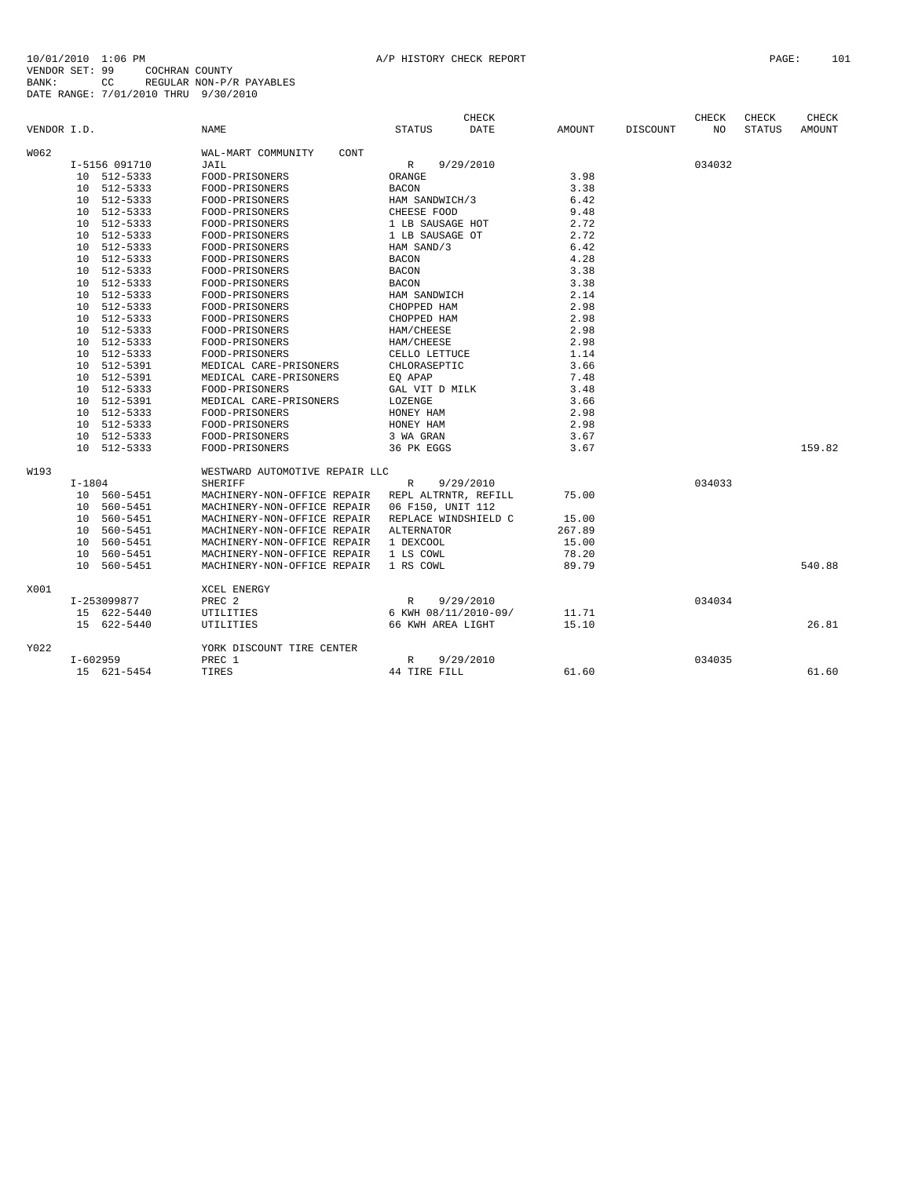|             |          |               |                                |                      | CHECK                |        |          | CHECK  | CHECK         | CHECK  |
|-------------|----------|---------------|--------------------------------|----------------------|----------------------|--------|----------|--------|---------------|--------|
| VENDOR I.D. |          |               | <b>NAME</b>                    | <b>STATUS</b>        | DATE                 | AMOUNT | DISCOUNT | NO.    | <b>STATUS</b> | AMOUNT |
| W062        |          |               | WAL-MART COMMUNITY<br>CONT     |                      |                      |        |          |        |               |        |
|             |          | I-5156 091710 | JAIL                           | $\mathbb R$          | 9/29/2010            |        |          | 034032 |               |        |
|             |          | 10 512-5333   | FOOD-PRISONERS                 | ORANGE               |                      | 3.98   |          |        |               |        |
|             |          | 10 512-5333   | FOOD-PRISONERS                 | <b>BACON</b>         |                      | 3.38   |          |        |               |        |
|             |          | 10 512-5333   | FOOD-PRISONERS                 | HAM SANDWICH/3       |                      | 6.42   |          |        |               |        |
|             |          | 10 512-5333   | FOOD-PRISONERS                 | CHEESE FOOD          |                      | 9.48   |          |        |               |        |
|             |          | 10 512-5333   | FOOD-PRISONERS                 | 1 LB SAUSAGE HOT     |                      | 2.72   |          |        |               |        |
|             |          | 10 512-5333   | FOOD-PRISONERS                 | 1 LB SAUSAGE OT      |                      | 2.72   |          |        |               |        |
|             |          | 10 512-5333   | FOOD-PRISONERS                 | HAM SAND/3           |                      | 6.42   |          |        |               |        |
|             |          | 10 512-5333   | FOOD-PRISONERS                 | <b>BACON</b>         |                      | 4.28   |          |        |               |        |
|             |          | 10 512-5333   | FOOD-PRISONERS                 | <b>BACON</b>         |                      | 3.38   |          |        |               |        |
|             |          | 10 512-5333   | FOOD-PRISONERS                 | <b>BACON</b>         |                      | 3.38   |          |        |               |        |
|             |          | 10 512-5333   | FOOD-PRISONERS                 | HAM SANDWICH         |                      | 2.14   |          |        |               |        |
|             | 10       | 512-5333      | FOOD-PRISONERS                 | CHOPPED HAM          |                      | 2.98   |          |        |               |        |
|             |          | 10 512-5333   | FOOD-PRISONERS                 | CHOPPED HAM          |                      | 2.98   |          |        |               |        |
|             |          | 10 512-5333   | FOOD-PRISONERS                 | HAM/CHEESE           |                      | 2.98   |          |        |               |        |
|             | 10       | 512-5333      | FOOD-PRISONERS                 | HAM/CHEESE           |                      | 2.98   |          |        |               |        |
|             |          | 10 512-5333   | FOOD-PRISONERS                 | CELLO LETTUCE        |                      | 1.14   |          |        |               |        |
|             | 10       | 512-5391      | MEDICAL CARE-PRISONERS         | CHLORASEPTIC         |                      | 3.66   |          |        |               |        |
|             |          | 10 512-5391   | MEDICAL CARE-PRISONERS         | EO APAP              |                      | 7.48   |          |        |               |        |
|             |          | 10 512-5333   | FOOD-PRISONERS                 | GAL VIT D MILK       |                      | 3.48   |          |        |               |        |
|             |          | 10 512-5391   | MEDICAL CARE-PRISONERS         | LOZENGE              |                      | 3.66   |          |        |               |        |
|             |          | 10 512-5333   | FOOD-PRISONERS                 | HONEY HAM            |                      | 2.98   |          |        |               |        |
|             |          | 10 512-5333   | FOOD-PRISONERS                 | HONEY HAM            |                      | 2.98   |          |        |               |        |
|             |          | 10 512-5333   | FOOD-PRISONERS                 | 3 WA GRAN            |                      | 3.67   |          |        |               |        |
|             |          | 10 512-5333   | FOOD-PRISONERS                 | 36 PK EGGS           |                      | 3.67   |          |        |               | 159.82 |
| W193        |          |               | WESTWARD AUTOMOTIVE REPAIR LLC |                      |                      |        |          |        |               |        |
|             | $I-1804$ |               | <b>SHERIFF</b>                 | $\mathbb{R}$         | 9/29/2010            |        |          | 034033 |               |        |
|             |          | 10 560-5451   | MACHINERY-NON-OFFICE REPAIR    | REPL ALTRNTR, REFILL |                      | 75.00  |          |        |               |        |
|             |          | 10 560-5451   | MACHINERY-NON-OFFICE REPAIR    | 06 F150, UNIT 112    |                      |        |          |        |               |        |
|             |          | 10 560-5451   | MACHINERY-NON-OFFICE REPAIR    | REPLACE WINDSHIELD C |                      | 15.00  |          |        |               |        |
|             |          | 10 560-5451   | MACHINERY-NON-OFFICE REPAIR    | ALTERNATOR           |                      | 267.89 |          |        |               |        |
|             |          | 10 560-5451   | MACHINERY-NON-OFFICE REPAIR    | 1 DEXCOOL            |                      | 15.00  |          |        |               |        |
|             |          | 10 560-5451   | MACHINERY-NON-OFFICE REPAIR    | 1 LS COWL            |                      | 78.20  |          |        |               |        |
|             |          | 10 560-5451   | MACHINERY-NON-OFFICE REPAIR    | 1 RS COWL            |                      | 89.79  |          |        |               | 540.88 |
| X001        |          |               | XCEL ENERGY                    |                      |                      |        |          |        |               |        |
|             |          | I-253099877   | PREC <sub>2</sub>              | $\mathbb{R}$         | 9/29/2010            |        |          | 034034 |               |        |
|             |          | 15 622-5440   | UTILITIES                      |                      | 6 KWH 08/11/2010-09/ | 11.71  |          |        |               |        |
|             |          | 15 622-5440   | UTILITIES                      | 66 KWH AREA LIGHT    |                      | 15.10  |          |        |               | 26.81  |
| Y022        |          |               | YORK DISCOUNT TIRE CENTER      |                      |                      |        |          |        |               |        |
|             |          | $I-602959$    | PREC 1                         | R                    | 9/29/2010            |        |          | 034035 |               |        |
|             |          | 15 621-5454   | TIRES                          | 44 TIRE FILL         |                      | 61.60  |          |        |               | 61.60  |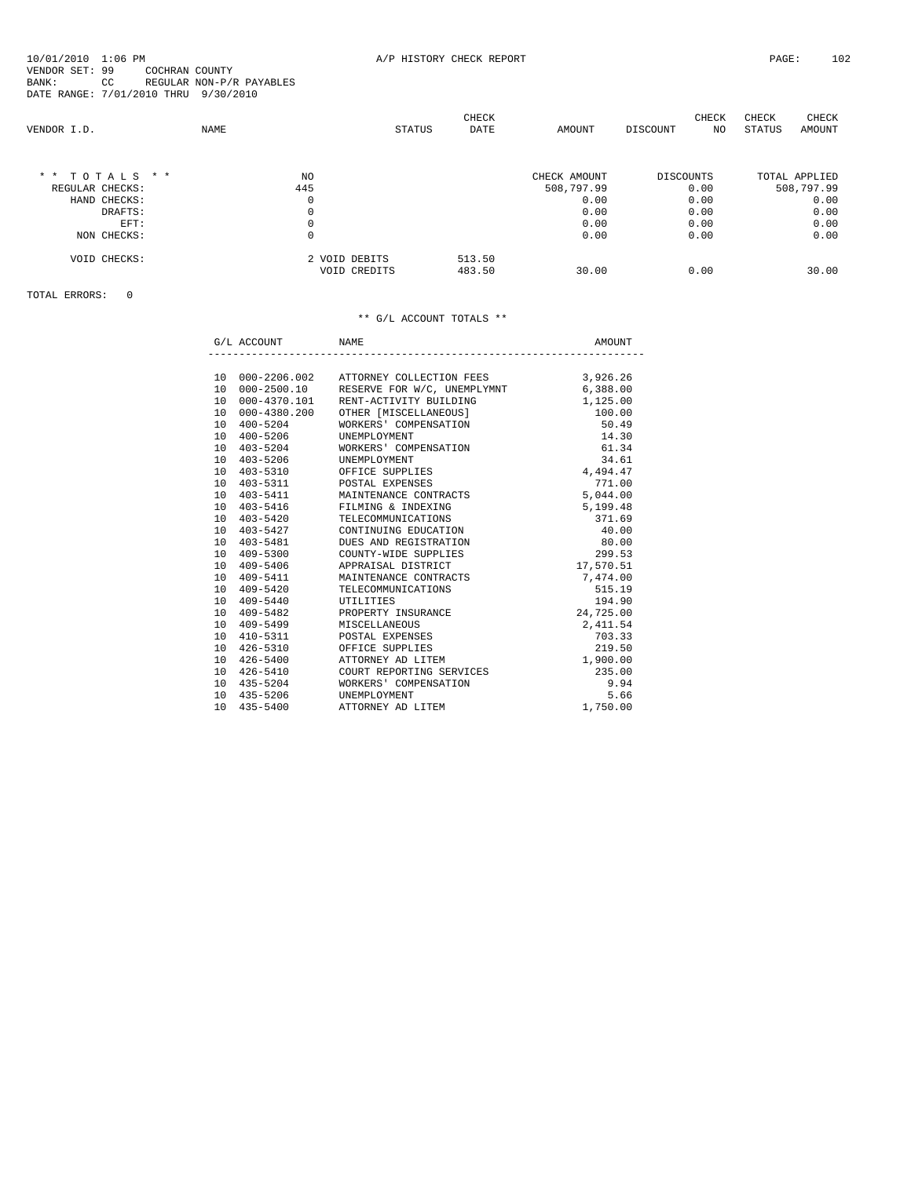CHECK CHECK CHECK CHECK

| VENDOR I.D.     | <b>NAME</b> |                               | <b>STATUS</b> | <b>DATE</b>      | AMOUNT       | DISCOUNT         | NO. | STATUS | AMOUNT        |
|-----------------|-------------|-------------------------------|---------------|------------------|--------------|------------------|-----|--------|---------------|
| * * TOTALS * *  |             | NO                            |               |                  | CHECK AMOUNT | <b>DISCOUNTS</b> |     |        | TOTAL APPLIED |
| REGULAR CHECKS: |             | 445                           |               |                  | 508,797.99   | 0.00             |     |        | 508,797.99    |
| HAND CHECKS:    |             | 0                             |               |                  | 0.00         | 0.00             |     |        | 0.00          |
| DRAFTS:         |             |                               |               |                  | 0.00         | 0.00             |     |        | 0.00          |
| EFT:            |             |                               |               |                  | 0.00         | 0.00             |     |        | 0.00          |
| NON CHECKS:     |             | 0                             |               |                  | 0.00         | 0.00             |     |        | 0.00          |
| VOID CHECKS:    |             | 2 VOID DEBITS<br>VOID CREDITS |               | 513.50<br>483.50 | 30.00        | 0.00             |     |        | 30.00         |

TOTAL ERRORS: 0

|                 | G/L ACCOUNT  | NAME.                                      | AMOUNT    |
|-----------------|--------------|--------------------------------------------|-----------|
|                 |              |                                            |           |
|                 |              | 10 000-2206.002 ATTORNEY COLLECTION FEES   | 3,926.26  |
|                 |              | 10 000-2500.10 RESERVE FOR W/C, UNEMPLYMNT | 6,388.00  |
| 10              | 000-4370.101 | RENT-ACTIVITY BUILDING                     | 1,125.00  |
| 1 O             | 000-4380.200 | OTHER [MISCELLANEOUS]                      | 100.00    |
| 10              | $400 - 5204$ | WORKERS' COMPENSATION                      | 50.49     |
| 10 <sup>1</sup> | $400 - 5206$ | UNEMPLOYMENT                               | 14.30     |
|                 |              | 10 403-5204 WORKERS' COMPENSATION          | 61.34     |
|                 | 10 403-5206  | UNEMPLOYMENT                               | 34.61     |
| 10 <sup>1</sup> |              | 403-5310 OFFICE SUPPLIES                   | 4,494.47  |
| 10              |              | 403-5311 POSTAL EXPENSES                   | 771.00    |
|                 | 10 403-5411  | MAINTENANCE CONTRACTS                      | 5,044.00  |
|                 |              | 10 403-5416 FILMING & INDEXING             | 5,199.48  |
|                 | 10 403-5420  | TELECOMMUNICATIONS                         | 371.69    |
| 10              |              | 403-5427 CONTINUING EDUCATION              | 40.00     |
| 10              | $403 - 5481$ | DUES AND REGISTRATION                      | 80.00     |
| 10 <sup>1</sup> | 409-5300     | COUNTY-WIDE SUPPLIES                       | 299.53    |
| 10              | $409 - 5406$ | APPRAISAL DISTRICT                         | 17,570.51 |
| 10              | $409 - 5411$ | MAINTENANCE CONTRACTS                      | 7,474.00  |
|                 | 10 409-5420  | TELECOMMUNICATIONS                         | 515.19    |
| 10              | 409-5440     | UTILITIES                                  | 194.90    |
| 10 <sup>1</sup> | 409-5482     | PROPERTY INSURANCE                         | 24,725.00 |
|                 | 10 409-5499  | MISCELLANEOUS                              | 2,411.54  |
| 10              | $410 - 5311$ | POSTAL EXPENSES                            | 703.33    |
| 10              | 426-5310     | OFFICE SUPPLIES                            | 219.50    |
| 1 O             | $426 - 5400$ | ATTORNEY AD LITEM                          | 1,900.00  |
| 1 O             | $426 - 5410$ | COURT REPORTING SERVICES                   | 235.00    |
| 10              | $435 - 5204$ | WORKERS' COMPENSATION                      | 9.94      |
|                 | 10 435-5206  | UNEMPLOYMENT                               | 5.66      |
| 10              | $435 - 5400$ | ATTORNEY AD LITEM                          | 1,750.00  |
|                 |              |                                            |           |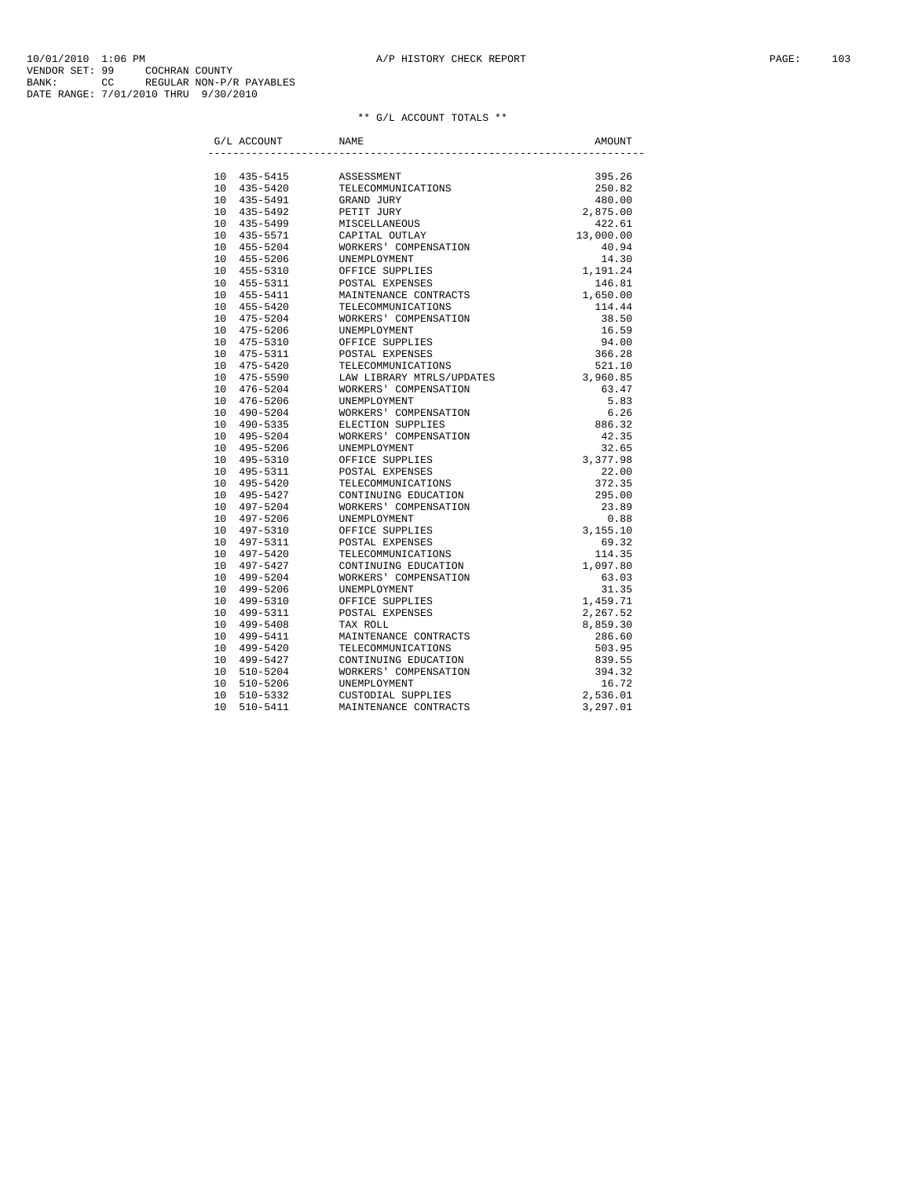|    | G/L ACCOUNT  | NAME                            | AMOUNT                             |
|----|--------------|---------------------------------|------------------------------------|
|    |              |                                 |                                    |
|    | 10 435-5415  | ASSESSMENT                      | 395.26                             |
|    | 10 435-5420  | TELECOMMUNICATIONS              | 250.82                             |
|    | 10 435-5491  | GRAND JURY                      | 480.00                             |
|    | 10 435-5492  | PETIT JURY                      | 2,875.00                           |
|    | 10 435-5499  | MISCELLANEOUS<br>CAPITAL OUTLAY | 422.61                             |
|    | 10 435-5571  |                                 | 13,000.00                          |
|    | 10 455-5204  | WORKERS' COMPENSATION           | 40.94                              |
|    | 10 455-5206  | UNEMPLOYMENT                    | 14.30                              |
|    | 10 455-5310  | OFFICE SUPPLIES                 | 1,191.24                           |
|    | 10 455-5311  | POSTAL EXPENSES                 | 146.81                             |
|    | 10 455-5411  | MAINTENANCE CONTRACTS           | 1,650.00                           |
|    | 10 455-5420  | TELECOMMUNICATIONS              | 114.44                             |
|    | 10 475-5204  | WORKERS' COMPENSATION           | 38.50                              |
|    | 10 475-5206  | UNEMPLOYMENT                    | 16.59                              |
|    | 10 475-5310  | OFFICE SUPPLIES                 | 94.00                              |
|    | 10 475-5311  | POSTAL EXPENSES                 | 366.28                             |
|    | 10 475-5420  | TELECOMMUNICATIONS              | 521.10                             |
|    | 10 475-5590  | LAW LIBRARY MTRLS/UPDATES       | 3,960.85                           |
|    | 10 476-5204  | WORKERS' COMPENSATION           | 63.47                              |
|    | 10 476-5206  | UNEMPLOYMENT                    | 5.83                               |
|    | 10 490-5204  | WORKERS' COMPENSATION           | 6.26                               |
|    | 10 490-5335  | ELECTION SUPPLIES               |                                    |
|    | 10 495-5204  | WORKERS' COMPENSATION           | $6.26$<br>886.32<br>42.35<br>32.65 |
|    | 10 495-5206  | UNEMPLOYMENT                    | 32.65                              |
|    | 10 495-5310  | OFFICE SUPPLIES                 | ده. ۶۷<br>3,377.98                 |
|    | 10 495-5311  | POSTAL EXPENSES                 | 22.00                              |
|    | 10 495-5420  | TELECOMMUNICATIONS              | 372.35                             |
|    | 10 495-5427  | CONTINUING EDUCATION            | 295.00                             |
|    | 10 497-5204  | WORKERS' COMPENSATION           | 23.89                              |
|    | 10 497-5206  | UNEMPLOYMENT                    | 0.88                               |
|    | 10 497-5310  | OFFICE SUPPLIES                 | 3,155.10                           |
|    | 10 497-5311  | POSTAL EXPENSES                 | 69.32                              |
|    | 10 497-5420  | TELECOMMUNICATIONS              | 114.35                             |
|    | 10 497-5427  | CONTINUING EDUCATION            | 1,097.80                           |
|    | 10 499-5204  | WORKERS' COMPENSATION           | 63.03                              |
|    | 10 499-5206  | UNEMPLOYMENT                    | 31.35                              |
|    | 10 499-5310  | OFFICE SUPPLIES                 | 1,459.71                           |
|    | 10 499-5311  | POSTAL EXPENSES                 | 2,267.52                           |
|    | 10 499-5408  | TAX ROLL                        |                                    |
|    | 10 499-5411  | MAINTENANCE CONTRACTS           | 8,859.30<br>286.60                 |
|    | 10 499-5420  | TELECOMMUNICATIONS              | 503.95                             |
|    | 10 499-5427  | CONTINUING EDUCATION            | 839.55                             |
| 10 | 510-5204     | WORKERS' COMPENSATION           | 394.32                             |
| 10 | 510-5206     | UNEMPLOYMENT                    | 16.72                              |
| 10 | 510-5332     | CUSTODIAL SUPPLIES              | 2,536.01                           |
| 10 | $510 - 5411$ | MAINTENANCE CONTRACTS           | 3,297.01                           |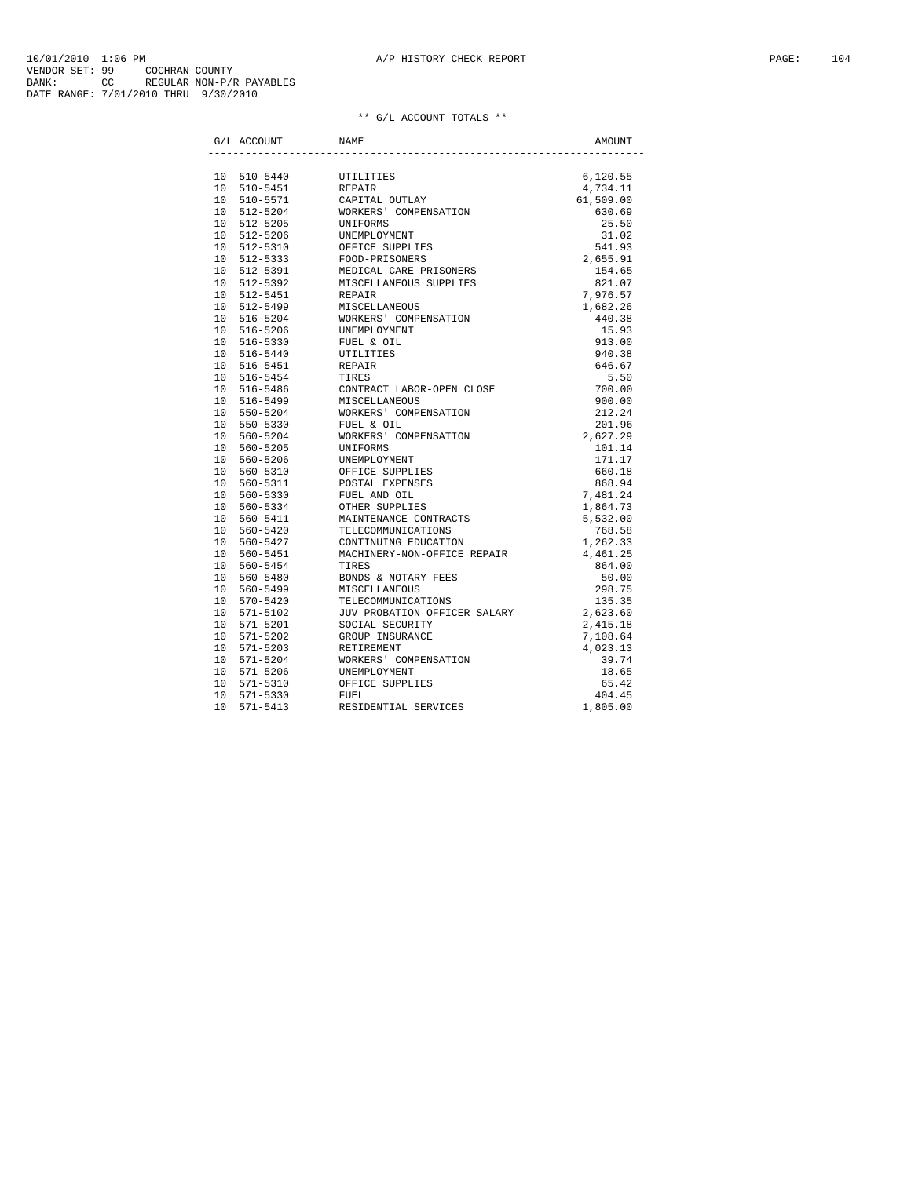|                 | G/L ACCOUNT                           | NAME                                                                                                                                                                                                                                          | AMOUNT               |
|-----------------|---------------------------------------|-----------------------------------------------------------------------------------------------------------------------------------------------------------------------------------------------------------------------------------------------|----------------------|
|                 |                                       |                                                                                                                                                                                                                                               |                      |
|                 |                                       | 10 510-5440 UTILITIES<br>10 510-5451 REPAIR<br>10 510-5571 CAPITAL OUTLAY<br>10 512-5204 WORKERS' COMPENSATION<br>10 512-5205 UNEWPLOYMENT<br>10 512-5310 OFFICE SUPPLIES<br>10 512-5331 FOOD-PRISONERS<br>10 512-5333 FOOD-PRISONERS<br>10 5 | 6,120.55             |
|                 |                                       |                                                                                                                                                                                                                                               | 4,734.11             |
|                 |                                       |                                                                                                                                                                                                                                               | 61,509.00            |
|                 |                                       |                                                                                                                                                                                                                                               | 630.69               |
|                 |                                       |                                                                                                                                                                                                                                               | 25.50                |
|                 |                                       |                                                                                                                                                                                                                                               | 31.02                |
|                 |                                       |                                                                                                                                                                                                                                               |                      |
|                 |                                       |                                                                                                                                                                                                                                               | $541.93$<br>2,655.91 |
|                 |                                       |                                                                                                                                                                                                                                               | 154.65               |
|                 | 10 512-5392                           | MISCELLANEOUS SUPPLIES<br>REPAIR                                                                                                                                                                                                              | 821.07               |
|                 | 10 512-5451                           |                                                                                                                                                                                                                                               | 7,976.57             |
|                 | 10 512-5499                           |                                                                                                                                                                                                                                               | 1,682.26             |
|                 | 10 516-5204                           | NEFILEN<br>MISCELLANEOUS<br>WORKERS' COMPENSATION                                                                                                                                                                                             | 440.38               |
|                 | 10 516-5206                           | UNEMPLOYMENT<br>FUEL & OIL                                                                                                                                                                                                                    | 15.93                |
|                 | 10 516-5330                           |                                                                                                                                                                                                                                               | 913.00               |
|                 | 10 516-5440                           | UTILITIES<br>REPAIR                                                                                                                                                                                                                           | 940.38               |
|                 | 10 516-5451                           |                                                                                                                                                                                                                                               | 646.67               |
|                 |                                       |                                                                                                                                                                                                                                               |                      |
|                 |                                       |                                                                                                                                                                                                                                               | $5.50$<br>700.00     |
|                 |                                       |                                                                                                                                                                                                                                               | 900.00               |
|                 |                                       |                                                                                                                                                                                                                                               | 212.24               |
|                 |                                       |                                                                                                                                                                                                                                               | 201.96               |
|                 |                                       |                                                                                                                                                                                                                                               | 2,627.29             |
|                 |                                       |                                                                                                                                                                                                                                               | 101.14               |
|                 |                                       |                                                                                                                                                                                                                                               | 171.17               |
|                 |                                       |                                                                                                                                                                                                                                               | 660.18               |
|                 |                                       |                                                                                                                                                                                                                                               | 868.94               |
|                 |                                       |                                                                                                                                                                                                                                               | 7,481.24             |
|                 |                                       |                                                                                                                                                                                                                                               |                      |
|                 |                                       |                                                                                                                                                                                                                                               | 1,864.73<br>5,532.00 |
|                 |                                       |                                                                                                                                                                                                                                               | 768.58               |
|                 |                                       | 10 560-5334 CHER SUPPLIES<br>10 560-5334 CHER SUPPLIES<br>10 560-5411 MAINTENANCE CONTRACTS<br>10 560-5427 CONTINUING EDUCATION                                                                                                               | 1,262.33             |
|                 | 10 560-5451                           |                                                                                                                                                                                                                                               | 4,461.25             |
|                 | 10 560-5454                           | NACHINERY-NON-OFFICE REPAIR<br>TIRES                                                                                                                                                                                                          | 864.00               |
|                 |                                       |                                                                                                                                                                                                                                               | 50.00                |
|                 | 10 560-5499<br>10 570-5420<br>11 5102 | 10 560-5480 BONDS & NOTARY FEES<br>10 560-5499 MISCELLANEOUS                                                                                                                                                                                  | 298.75               |
|                 |                                       | TELECOMMUNICATIONS                                                                                                                                                                                                                            |                      |
|                 |                                       | JUV PROBATION OFFICER SALARY                                                                                                                                                                                                                  | 135.35<br>2,623.60   |
|                 |                                       | SOCIAL SECURITY                                                                                                                                                                                                                               | 2,415.18             |
|                 | 10 571-5201<br>10 571-5202            |                                                                                                                                                                                                                                               | 7,108.64             |
|                 |                                       | GROUP INSURANCE<br>PETIREMENT<br>10 571-5203 RETIREMENT                                                                                                                                                                                       | 4,023.13             |
|                 | 10 571-5204                           | WORKERS' COMPENSATION                                                                                                                                                                                                                         | 39.74                |
|                 |                                       | 10 571-5206 UNEMPLOYMENT                                                                                                                                                                                                                      | 18.65                |
|                 |                                       |                                                                                                                                                                                                                                               |                      |
|                 | 10 571-5310                           | OFFICE SUPPLIES                                                                                                                                                                                                                               | 65.42                |
|                 | 10 571-5330                           | FUEL<br>RESIDENTIAL SERVICES                                                                                                                                                                                                                  | 404.45               |
| 10 <sup>°</sup> | 571-5413                              |                                                                                                                                                                                                                                               | 1,805.00             |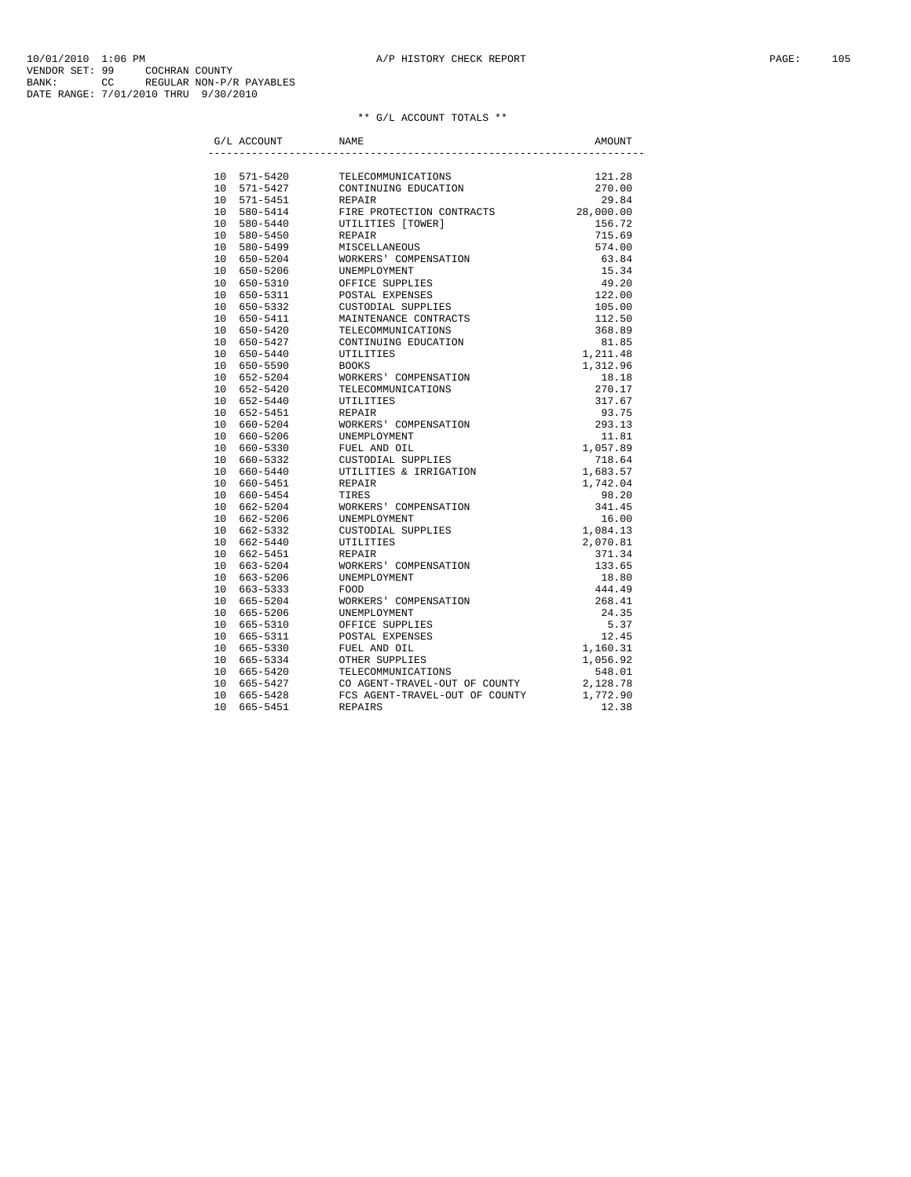|  | G/L ACCOUNT | NAME                                       | AMOUNT               |
|--|-------------|--------------------------------------------|----------------------|
|  |             |                                            |                      |
|  | 10 571-5420 | TELECOMMUNICATIONS<br>CONTINUING EDUCATION | 121.28               |
|  | 10 571-5427 |                                            | 270.00               |
|  | 10 571-5451 | REPAIR                                     | 29.84                |
|  | 10 580-5414 | FIRE PROTECTION CONTRACTS                  | 28,000.00            |
|  | 10 580-5440 | UTILITIES [TOWER]                          | 156.72               |
|  | 10 580-5450 | REPAIR                                     | 715.69               |
|  | 10 580-5499 | MISCELLANEOUS                              | 574.00               |
|  | 10 650-5204 | WORKERS' COMPENSATION                      | 63.84                |
|  | 10 650-5206 | UNEMPLOYMENT                               | 15.34                |
|  | 10 650-5310 | OFFICE SUPPLIES                            | 49.20                |
|  | 10 650-5311 | POSTAL EXPENSES                            | 122.00               |
|  | 10 650-5332 | CUSTODIAL SUPPLIES                         | 105.00               |
|  | 10 650-5411 | MAINTENANCE CONTRACTS                      | 112.50               |
|  | 10 650-5420 | TELECOMMUNICATIONS                         | 368.89               |
|  | 10 650-5427 | CONTINUING EDUCATION                       | 81.85                |
|  | 10 650-5440 | UTILITIES                                  | 1,211.48             |
|  | 10 650-5590 | <b>BOOKS</b>                               | 1,312.96             |
|  | 10 652-5204 | WORKERS' COMPENSATION                      | 18.18                |
|  | 10 652-5420 | TELECOMMUNICATIONS                         | 270.17               |
|  | 10 652-5440 | UTILITIES                                  | 317.67               |
|  | 10 652-5451 | REPAIR                                     | 93.75                |
|  | 10 660-5204 | WORKERS' COMPENSATION                      | $93.75$<br>293.13    |
|  | 10 660-5206 | WORKERS - .<br>UNEMPLOYMENT                | 11.81                |
|  | 10 660-5330 | FUEL AND OIL                               | 18.11<br>1,057.89    |
|  | 10 660-5332 | CUSTODIAL SUPPLIES                         | 718.64               |
|  | 10 660-5440 | UTILITIES & IRRIGATION                     | 1,683.57             |
|  | 10 660-5451 | REPAIR                                     | 1,742.04             |
|  | 10 660-5454 | TIRES                                      | 98.20                |
|  | 10 662-5204 | WORKERS' COMPENSATION                      | 341.45               |
|  | 10 662-5206 | UNEMPLOYMENT                               | 16.00                |
|  | 10 662-5332 | CUSTODIAL SUPPLIES                         | 1,084.13             |
|  | 10 662-5440 | UTILITIES                                  | 2,070.81             |
|  | 10 662-5451 | REPAIR                                     | 371.34               |
|  | 10 663-5204 | WORKERS' COMPENSATION                      | 133.65               |
|  | 10 663-5206 | UNEMPLOYMENT                               | 18.80                |
|  | 10 663-5333 | FOOD                                       | 444.49               |
|  | 10 665-5204 | WORKERS' COMPENSATION                      | 268.41               |
|  | 10 665-5206 | UNEMPLOYMENT                               | 24.35                |
|  | 10 665-5310 | OFFICE SUPPLIES                            | 5.37                 |
|  | 10 665-5311 | POSTAL EXPENSES                            | 12.45                |
|  | 10 665-5330 |                                            |                      |
|  | 10 665-5334 | FUEL AND OIL<br>OTHER SUPPLIES             | 1,160.31<br>1,056.92 |
|  | 10 665-5420 | TELECOMMUNICATIONS                         | 548.01               |
|  | 10 665-5427 | CO AGENT-TRAVEL-OUT OF COUNTY              | 2,128.78             |
|  | 10 665-5428 | FCS AGENT-TRAVEL-OUT OF COUNTY             | 1,772.90             |
|  | 10 665-5451 | <b>REPAIRS</b>                             | 12.38                |
|  |             |                                            |                      |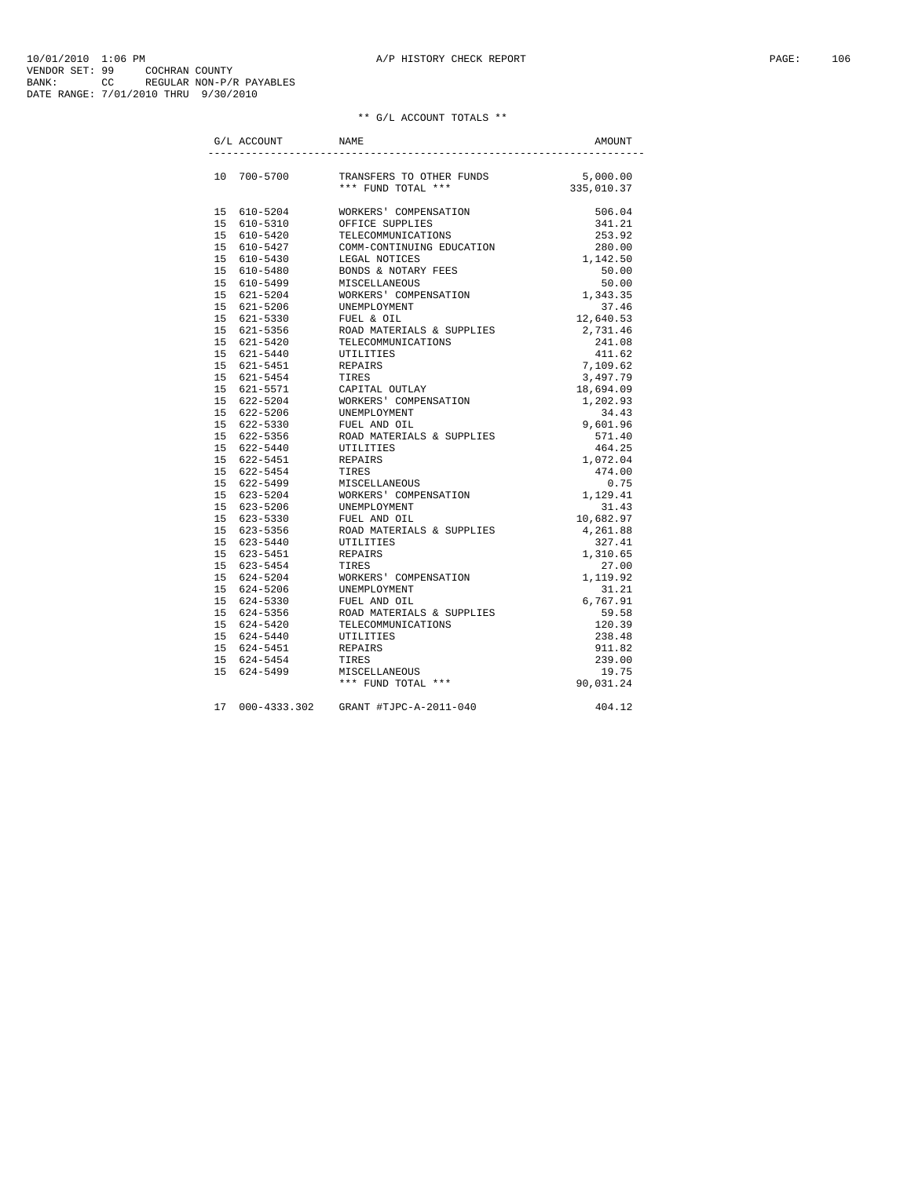10/01/2010 1:06 PM<br>VENDOR SET: 99 COCHRAN COUNTY<br>BANK: 99 COCHRAN COUNTY<br>BANK: 7/01/2010 THRU 9/30/2010<br>DATE RANGE: 7/01/2010 THRU 9/30/2010

| G/L ACCOUNT | NAME                                                                                                                                                                                                                                     | AMOUNT |
|-------------|------------------------------------------------------------------------------------------------------------------------------------------------------------------------------------------------------------------------------------------|--------|
|             |                                                                                                                                                                                                                                          |        |
|             | $\begin{tabular}{lllllll} 10 & 700-5700 & \hspace{0.1cm} \texttt{TRANSFERS TO OTHER FUNDS} & \hspace{0.1cm} 5,000.00 \\ & & \hspace{0.1cm} ** & \hspace{0.1cm} \texttt{FUND TOTAL} & * * * & \hspace{0.1cm} 335,010.37 \\ \end{tabular}$ |        |
|             |                                                                                                                                                                                                                                          |        |
|             |                                                                                                                                                                                                                                          |        |
|             |                                                                                                                                                                                                                                          |        |
|             |                                                                                                                                                                                                                                          |        |
|             |                                                                                                                                                                                                                                          |        |
|             |                                                                                                                                                                                                                                          |        |
|             |                                                                                                                                                                                                                                          |        |
|             |                                                                                                                                                                                                                                          |        |
|             |                                                                                                                                                                                                                                          |        |
|             |                                                                                                                                                                                                                                          |        |
|             |                                                                                                                                                                                                                                          |        |
|             |                                                                                                                                                                                                                                          |        |
|             |                                                                                                                                                                                                                                          |        |
|             |                                                                                                                                                                                                                                          |        |
|             |                                                                                                                                                                                                                                          |        |
|             |                                                                                                                                                                                                                                          |        |
|             |                                                                                                                                                                                                                                          |        |
|             |                                                                                                                                                                                                                                          |        |
|             |                                                                                                                                                                                                                                          |        |
|             |                                                                                                                                                                                                                                          |        |
|             |                                                                                                                                                                                                                                          |        |
|             |                                                                                                                                                                                                                                          |        |
|             |                                                                                                                                                                                                                                          |        |
|             |                                                                                                                                                                                                                                          |        |
|             |                                                                                                                                                                                                                                          |        |
|             |                                                                                                                                                                                                                                          |        |
|             |                                                                                                                                                                                                                                          |        |
|             |                                                                                                                                                                                                                                          |        |
|             |                                                                                                                                                                                                                                          |        |
|             |                                                                                                                                                                                                                                          |        |
|             |                                                                                                                                                                                                                                          |        |
|             |                                                                                                                                                                                                                                          |        |
|             |                                                                                                                                                                                                                                          |        |
|             |                                                                                                                                                                                                                                          |        |
|             |                                                                                                                                                                                                                                          |        |
|             |                                                                                                                                                                                                                                          |        |
|             |                                                                                                                                                                                                                                          |        |
|             |                                                                                                                                                                                                                                          |        |
|             |                                                                                                                                                                                                                                          |        |
|             |                                                                                                                                                                                                                                          |        |
|             |                                                                                                                                                                                                                                          |        |
|             |                                                                                                                                                                                                                                          |        |
|             | 10 700-5700 TRANSFERS TO OTHER FUNDS 15.001.001<br>16 610-5310 WORKERS COMPERIENT 56 50.01.37<br>15 610-5310 WORKERS COMPERIENT 25<br>15 610-5420 TELECOMMITICATIONS 201.03<br>15 610-5427 TELECOMMITICS 2010.02<br>15 610-5440 MORE IN  |        |
|             | 17 000-4333.302 GRANT #TJPC-A-2011-040                                                                                                                                                                                                   | 404.12 |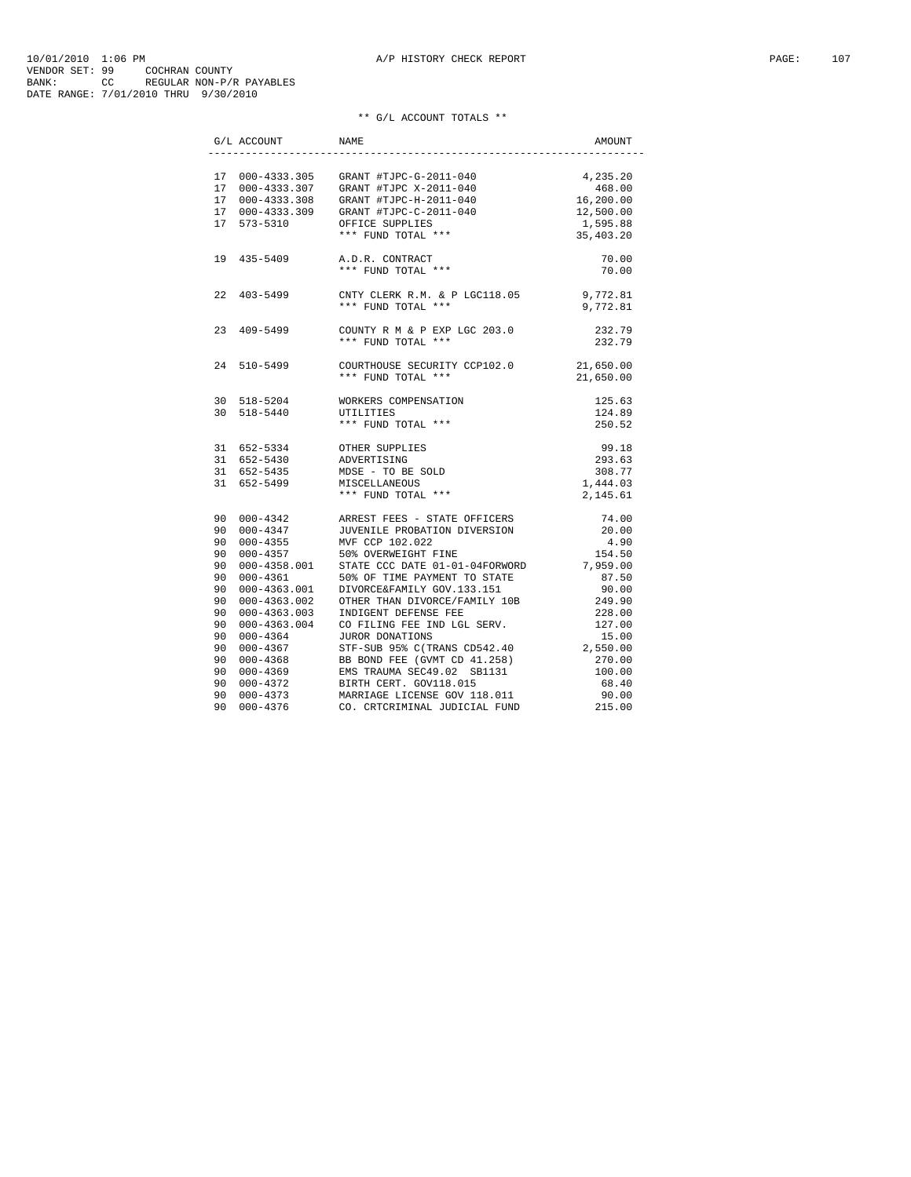| $\operatorname{G}/\operatorname{L}$ ACCOUNT $\qquad \qquad$ NAME |                                                                                                                                                                                                                                                                                        | AMOUNT |
|------------------------------------------------------------------|----------------------------------------------------------------------------------------------------------------------------------------------------------------------------------------------------------------------------------------------------------------------------------------|--------|
|                                                                  |                                                                                                                                                                                                                                                                                        |        |
|                                                                  |                                                                                                                                                                                                                                                                                        |        |
|                                                                  |                                                                                                                                                                                                                                                                                        |        |
|                                                                  |                                                                                                                                                                                                                                                                                        |        |
|                                                                  |                                                                                                                                                                                                                                                                                        |        |
|                                                                  |                                                                                                                                                                                                                                                                                        |        |
|                                                                  | $\begin{tabular}{lllllllllllllllllll} 17&000-4333.305&GRANT\ \#TJPC-G-2011-040&4,235.20\\ 17&000-4333.307&GRANT\ \#TJPC X-2011-040&468.00\\ 17&000-4333.308&GRANT\ \#TJPC-H-2011-040&16,200.00\\ 17&000-4333.309&GRANT\ \#TJPC-C-2011-040&12,500.00\\ 17&573-5310&OFFICE SUPPLIES&1,5$ |        |
|                                                                  | $\begin{tabular}{lllllll} 19 & 435-5409 & \text{A.D.R. } \text{CONTRACT} \cr & & \ast\ast\ast & \text{FUND } \text{TOTAL } \ast\ast\ast \end{tabular} \hspace{1cm} \begin{tabular}{lllllllllll} 70.00 & \text{A.D.R. } \text{CONTRACT} \cr \end{tabular}$                              |        |
|                                                                  |                                                                                                                                                                                                                                                                                        |        |
|                                                                  | 22 403-5499 CNTY CLERK R.M. & P LGC118.05 9,772.81                                                                                                                                                                                                                                     |        |
|                                                                  | *** FUND TOTAL *** 9,772.81                                                                                                                                                                                                                                                            |        |
|                                                                  | $\begin{array}{lllllll} \text{23} & \text{409--5499} & \text{COUNTY R M & \& P EXP LGC 203.0 & & & & \\ & & & & & & \\ \text{\tiny\text{***} FUND TOTAL} & \text{\tiny\text{***}} & & & & \\ \text{\tiny\text{232.79}} & \text{ } & & & & \\ \end{array}$                              |        |
|                                                                  |                                                                                                                                                                                                                                                                                        |        |
| 24 510-5499                                                      | COURTHOUSE SECURITY CCP102.0 21,650.00<br>*** FUND TOTAL *** 21,650.00                                                                                                                                                                                                                 |        |
|                                                                  |                                                                                                                                                                                                                                                                                        |        |
|                                                                  |                                                                                                                                                                                                                                                                                        |        |
|                                                                  |                                                                                                                                                                                                                                                                                        |        |
|                                                                  | $\begin{tabular}{lllllllllll} 30 & 518-5204 & \text{WORKERS COMPENSATION} & & & & 125.63 \\ 30 & 518-5440 & \text{UTILITIES} & & & 124.89 \\ & & & & & & & \\ * & * & \text{FUND TOTAL} & * & * & & & \\ & & & & & & & 250.52 \\ \end{tabular}$                                        |        |
|                                                                  |                                                                                                                                                                                                                                                                                        |        |
|                                                                  |                                                                                                                                                                                                                                                                                        |        |
|                                                                  |                                                                                                                                                                                                                                                                                        |        |
|                                                                  |                                                                                                                                                                                                                                                                                        |        |
|                                                                  |                                                                                                                                                                                                                                                                                        |        |
|                                                                  |                                                                                                                                                                                                                                                                                        |        |
|                                                                  |                                                                                                                                                                                                                                                                                        |        |
|                                                                  |                                                                                                                                                                                                                                                                                        |        |
|                                                                  |                                                                                                                                                                                                                                                                                        |        |
|                                                                  |                                                                                                                                                                                                                                                                                        |        |
|                                                                  |                                                                                                                                                                                                                                                                                        |        |
|                                                                  |                                                                                                                                                                                                                                                                                        |        |
|                                                                  |                                                                                                                                                                                                                                                                                        |        |
|                                                                  |                                                                                                                                                                                                                                                                                        |        |
|                                                                  |                                                                                                                                                                                                                                                                                        |        |
|                                                                  |                                                                                                                                                                                                                                                                                        |        |
|                                                                  |                                                                                                                                                                                                                                                                                        |        |
|                                                                  |                                                                                                                                                                                                                                                                                        |        |
|                                                                  |                                                                                                                                                                                                                                                                                        |        |
|                                                                  |                                                                                                                                                                                                                                                                                        |        |
|                                                                  |                                                                                                                                                                                                                                                                                        |        |
|                                                                  |                                                                                                                                                                                                                                                                                        |        |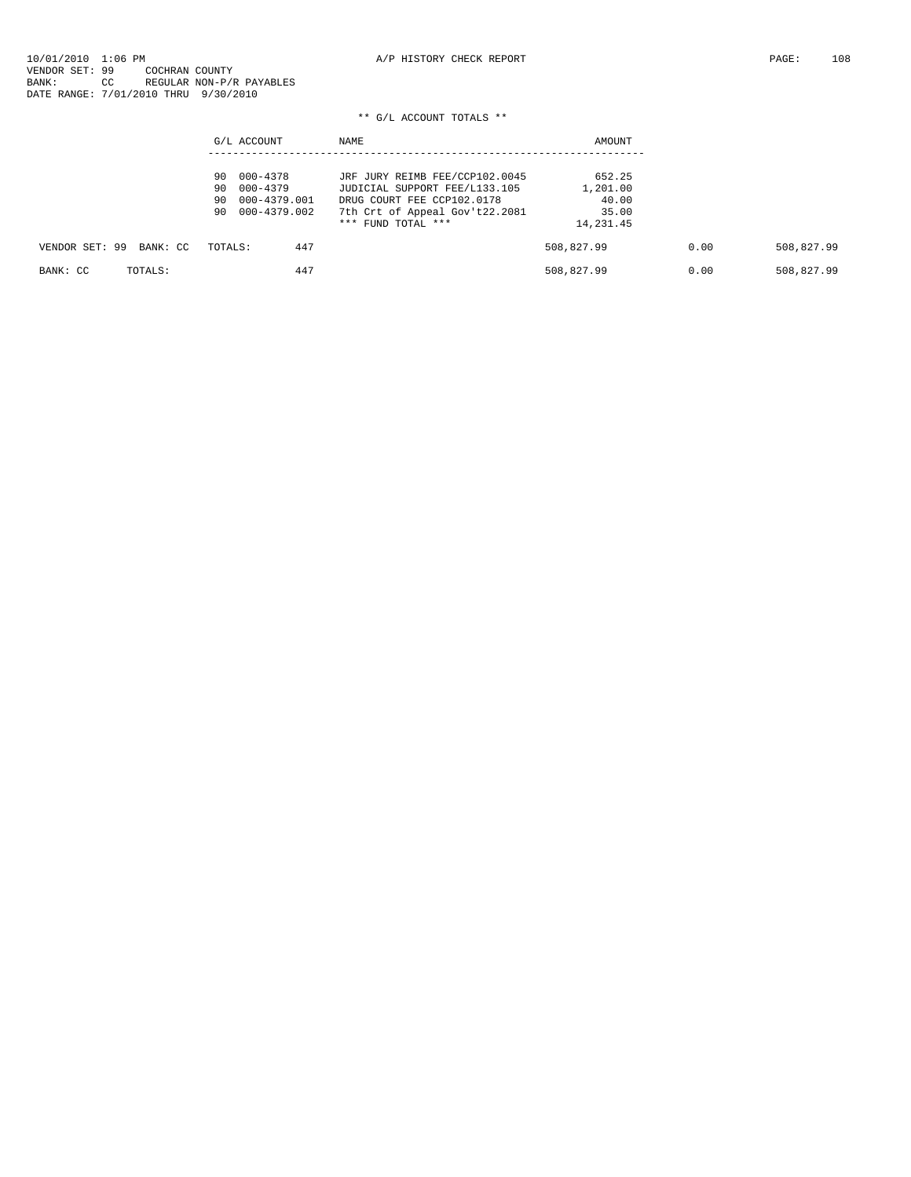|                            | G/L ACCOUNT         | NAME                           | AMOUNT     |      |            |
|----------------------------|---------------------|--------------------------------|------------|------|------------|
|                            | 000-4378<br>90      | JRF JURY REIMB FEE/CCP102.0045 | 652.25     |      |            |
|                            | 000-4379<br>90      | JUDICIAL SUPPORT FEE/L133.105  | 1,201.00   |      |            |
|                            | 000-4379.001<br>90. | DRUG COURT FEE CCP102.0178     | 40.00      |      |            |
|                            |                     |                                |            |      |            |
|                            | 90 000-4379.002     | 7th Crt of Appeal Gov't22.2081 | 35.00      |      |            |
|                            |                     | $***$ FUND TOTAL $***$         | 14,231.45  |      |            |
| VENDOR SET: 99<br>BANK: CC | 447<br>TOTALS:      |                                | 508,827.99 | 0.00 | 508,827.99 |
| TOTALS:<br>BANK: CC        | 447                 |                                | 508,827.99 | 0.00 | 508,827.99 |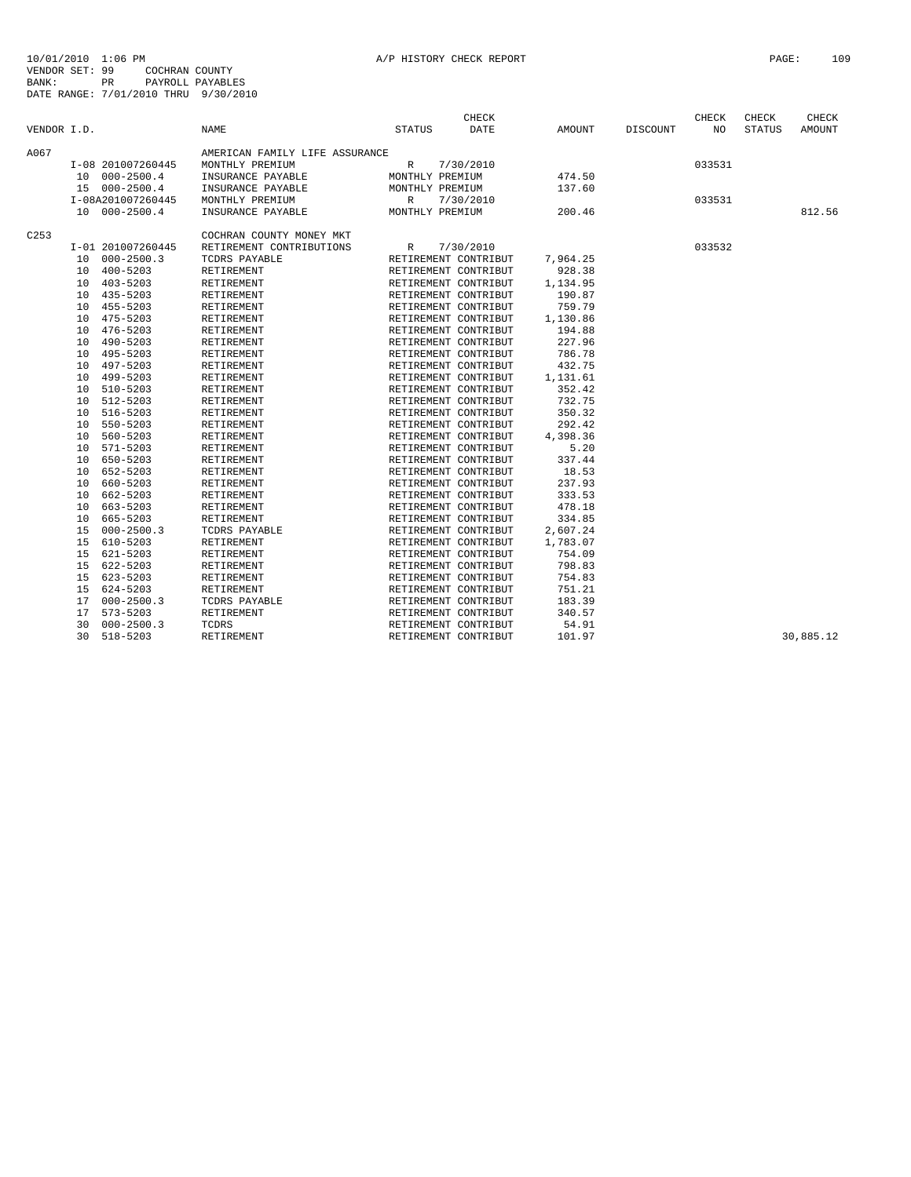|             |                 |                   |                                |                 | CHECK                |          |          | CHECK  | CHECK         | CHECK     |
|-------------|-----------------|-------------------|--------------------------------|-----------------|----------------------|----------|----------|--------|---------------|-----------|
| VENDOR I.D. |                 |                   | <b>NAME</b>                    | STATUS          | DATE                 | AMOUNT   | DISCOUNT | NO.    | <b>STATUS</b> | AMOUNT    |
| A067        |                 |                   | AMERICAN FAMILY LIFE ASSURANCE |                 |                      |          |          |        |               |           |
|             |                 | I-08 201007260445 | MONTHLY PREMIUM                | R               | 7/30/2010            |          |          | 033531 |               |           |
|             |                 | 10 000-2500.4     | INSURANCE PAYABLE              | MONTHLY PREMIUM |                      | 474.50   |          |        |               |           |
|             |                 | 15 000-2500.4     | INSURANCE PAYABLE              | MONTHLY PREMIUM |                      | 137.60   |          |        |               |           |
|             |                 | I-08A201007260445 | MONTHLY PREMIUM                | R               | 7/30/2010            |          |          | 033531 |               |           |
|             |                 | 10 000-2500.4     | INSURANCE PAYABLE              | MONTHLY PREMIUM |                      | 200.46   |          |        |               | 812.56    |
| C253        |                 |                   | COCHRAN COUNTY MONEY MKT       |                 |                      |          |          |        |               |           |
|             |                 | I-01 201007260445 | RETIREMENT CONTRIBUTIONS       | R               | 7/30/2010            |          |          | 033532 |               |           |
|             |                 | 10 000-2500.3     | TCDRS PAYABLE                  |                 | RETIREMENT CONTRIBUT | 7,964.25 |          |        |               |           |
|             |                 | 10 400-5203       | RETIREMENT                     |                 | RETIREMENT CONTRIBUT | 928.38   |          |        |               |           |
|             |                 | 10 403-5203       | RETIREMENT                     |                 | RETIREMENT CONTRIBUT | 1,134.95 |          |        |               |           |
|             |                 | 10 435-5203       | RETIREMENT                     |                 | RETIREMENT CONTRIBUT | 190.87   |          |        |               |           |
|             |                 | 10 455-5203       | RETIREMENT                     |                 | RETIREMENT CONTRIBUT | 759.79   |          |        |               |           |
|             |                 | 10 475-5203       | RETIREMENT                     |                 | RETIREMENT CONTRIBUT | 1,130.86 |          |        |               |           |
|             |                 | 10 476-5203       | RETIREMENT                     |                 | RETIREMENT CONTRIBUT | 194.88   |          |        |               |           |
|             |                 | 10 490-5203       | RETIREMENT                     |                 | RETIREMENT CONTRIBUT | 227.96   |          |        |               |           |
|             |                 | 10 495-5203       | RETIREMENT                     |                 | RETIREMENT CONTRIBUT | 786.78   |          |        |               |           |
|             | 10              | 497-5203          | RETIREMENT                     |                 | RETIREMENT CONTRIBUT | 432.75   |          |        |               |           |
|             |                 | 10 499-5203       | RETIREMENT                     |                 | RETIREMENT CONTRIBUT | 1,131.61 |          |        |               |           |
|             |                 | 10 510-5203       | RETIREMENT                     |                 | RETIREMENT CONTRIBUT | 352.42   |          |        |               |           |
|             |                 | 10 512-5203       | RETIREMENT                     |                 | RETIREMENT CONTRIBUT | 732.75   |          |        |               |           |
|             |                 | 10 516-5203       | RETIREMENT                     |                 | RETIREMENT CONTRIBUT | 350.32   |          |        |               |           |
|             |                 | 10 550-5203       | RETIREMENT                     |                 | RETIREMENT CONTRIBUT | 292.42   |          |        |               |           |
|             | 10 <sup>1</sup> | 560-5203          | RETIREMENT                     |                 | RETIREMENT CONTRIBUT | 4,398.36 |          |        |               |           |
|             |                 | 10 571-5203       | RETIREMENT                     |                 | RETIREMENT CONTRIBUT | 5.20     |          |        |               |           |
|             |                 | 10 650-5203       | RETIREMENT                     |                 | RETIREMENT CONTRIBUT | 337.44   |          |        |               |           |
|             |                 | 10 652-5203       | RETIREMENT                     |                 | RETIREMENT CONTRIBUT | 18.53    |          |        |               |           |
|             |                 | 10 660-5203       | RETIREMENT                     |                 | RETIREMENT CONTRIBUT | 237.93   |          |        |               |           |
|             |                 | 10 662-5203       | RETIREMENT                     |                 | RETIREMENT CONTRIBUT | 333.53   |          |        |               |           |
|             |                 | 10 663-5203       | RETIREMENT                     |                 | RETIREMENT CONTRIBUT | 478.18   |          |        |               |           |
|             |                 | 10 665-5203       | RETIREMENT                     |                 | RETIREMENT CONTRIBUT | 334.85   |          |        |               |           |
|             |                 | 15 000-2500.3     | TCDRS PAYABLE                  |                 | RETIREMENT CONTRIBUT | 2,607.24 |          |        |               |           |
|             | 15              | 610-5203          | RETIREMENT                     |                 | RETIREMENT CONTRIBUT | 1,783.07 |          |        |               |           |
|             |                 | 15 621-5203       | RETIREMENT                     |                 | RETIREMENT CONTRIBUT | 754.09   |          |        |               |           |
|             | 15              | 622-5203          | RETIREMENT                     |                 | RETIREMENT CONTRIBUT | 798.83   |          |        |               |           |
|             | 15              | 623-5203          | RETIREMENT                     |                 | RETIREMENT CONTRIBUT | 754.83   |          |        |               |           |
|             |                 | 15 624-5203       | RETIREMENT                     |                 | RETIREMENT CONTRIBUT | 751.21   |          |        |               |           |
|             |                 | 17 000-2500.3     | TCDRS PAYABLE                  |                 | RETIREMENT CONTRIBUT | 183.39   |          |        |               |           |
|             | 17              | $573 - 5203$      | RETIREMENT                     |                 | RETIREMENT CONTRIBUT | 340.57   |          |        |               |           |
|             | 30              | $000 - 2500.3$    | TCDRS                          |                 | RETIREMENT CONTRIBUT | 54.91    |          |        |               |           |
|             | 30              | 518-5203          | RETIREMENT                     |                 | RETIREMENT CONTRIBUT | 101.97   |          |        |               | 30,885.12 |
|             |                 |                   |                                |                 |                      |          |          |        |               |           |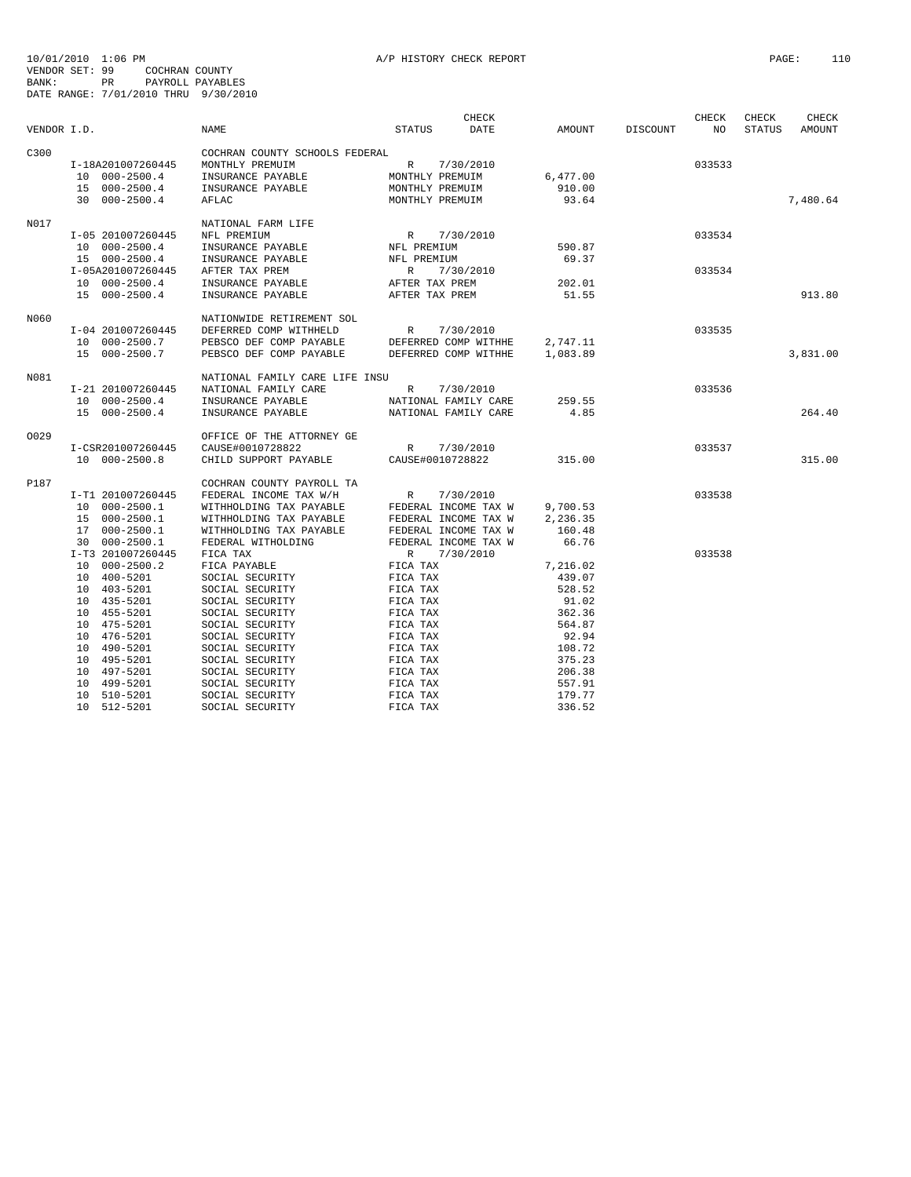10/01/2010 1:06 PM<br>VENDOR SET: 99 COCHRAN COUNTY<br>BANK: 99 COCHRAN COUNTY<br>BATE RANGE: 7/01/2010 THRU 9/30/2010<br>DATE RANGE: 7/01/2010 THRU 9/30/2010

|             |                   |                                | CHECK                        |          |          | CHECK  | CHECK         | CHECK    |
|-------------|-------------------|--------------------------------|------------------------------|----------|----------|--------|---------------|----------|
| VENDOR I.D. |                   | <b>NAME</b>                    | <b>STATUS</b><br><b>DATE</b> | AMOUNT   | DISCOUNT | NO     | <b>STATUS</b> | AMOUNT   |
| C300        |                   | COCHRAN COUNTY SCHOOLS FEDERAL |                              |          |          |        |               |          |
|             | I-18A201007260445 | MONTHLY PREMUIM                | R<br>7/30/2010               |          |          | 033533 |               |          |
|             | 10 000-2500.4     | INSURANCE PAYABLE              | MONTHLY PREMUIM              | 6,477.00 |          |        |               |          |
|             | 15 000-2500.4     | INSURANCE PAYABLE              | MONTHLY PREMUIM              | 910.00   |          |        |               |          |
|             | 30 000-2500.4     | AFLAC                          | MONTHLY PREMUIM              | 93.64    |          |        |               | 7,480.64 |
|             |                   |                                |                              |          |          |        |               |          |
| N017        |                   | NATIONAL FARM LIFE             |                              |          |          |        |               |          |
|             | I-05 201007260445 | NFL PREMIUM                    | R<br>7/30/2010               |          |          | 033534 |               |          |
|             | 10 000-2500.4     | INSURANCE PAYABLE              | NFL PREMIUM                  | 590.87   |          |        |               |          |
|             | 15 000-2500.4     | INSURANCE PAYABLE              | NFL PREMIUM                  | 69.37    |          |        |               |          |
|             | I-05A201007260445 | AFTER TAX PREM                 | $\mathbb{R}$<br>7/30/2010    |          |          | 033534 |               |          |
|             | 10 000-2500.4     | INSURANCE PAYABLE              | AFTER TAX PREM               | 202.01   |          |        |               |          |
|             | 15 000-2500.4     | INSURANCE PAYABLE              | AFTER TAX PREM               | 51.55    |          |        |               | 913.80   |
| N060        |                   | NATIONWIDE RETIREMENT SOL      |                              |          |          |        |               |          |
|             | I-04 201007260445 | DEFERRED COMP WITHHELD         | 7/30/2010<br>R               |          |          | 033535 |               |          |
|             | 10 000-2500.7     | PEBSCO DEF COMP PAYABLE        | DEFERRED COMP WITHHE         | 2,747.11 |          |        |               |          |
|             | 15 000-2500.7     | PEBSCO DEF COMP PAYABLE        | DEFERRED COMP WITHHE         | 1,083.89 |          |        |               | 3,831.00 |
|             |                   |                                |                              |          |          |        |               |          |
| N081        |                   | NATIONAL FAMILY CARE LIFE INSU |                              |          |          |        |               |          |
|             | I-21 201007260445 | NATIONAL FAMILY CARE           | $\mathbb{R}$<br>7/30/2010    |          |          | 033536 |               |          |
|             | 10 000-2500.4     | INSURANCE PAYABLE              | NATIONAL FAMILY CARE         | 259.55   |          |        |               |          |
|             | 15 000-2500.4     | INSURANCE PAYABLE              | NATIONAL FAMILY CARE         | 4.85     |          |        |               | 264.40   |
| 0029        |                   | OFFICE OF THE ATTORNEY GE      |                              |          |          |        |               |          |
|             | I-CSR201007260445 | CAUSE#0010728822               | R<br>7/30/2010               |          |          | 033537 |               |          |
|             | 10 000-2500.8     | CHILD SUPPORT PAYABLE          | CAUSE#0010728822             | 315.00   |          |        |               | 315.00   |
| P187        |                   | COCHRAN COUNTY PAYROLL TA      |                              |          |          |        |               |          |
|             | I-T1 201007260445 | FEDERAL INCOME TAX W/H         | R<br>7/30/2010               |          |          | 033538 |               |          |
|             | 10 000-2500.1     | WITHHOLDING TAX PAYABLE        | FEDERAL INCOME TAX W         | 9,700.53 |          |        |               |          |
|             | 15 000-2500.1     | WITHHOLDING TAX PAYABLE        | FEDERAL INCOME TAX W         | 2,236.35 |          |        |               |          |
|             | 17 000-2500.1     | WITHHOLDING TAX PAYABLE        | FEDERAL INCOME TAX W         | 160.48   |          |        |               |          |
|             | 30 000-2500.1     | FEDERAL WITHOLDING             | FEDERAL INCOME TAX W         | 66.76    |          |        |               |          |
|             | I-T3 201007260445 | FICA TAX                       | R 7/30/2010                  |          |          | 033538 |               |          |
|             | 10 000-2500.2     | FICA PAYABLE                   | FICA TAX                     | 7,216.02 |          |        |               |          |
|             | 10 400-5201       | SOCIAL SECURITY                | FICA TAX                     | 439.07   |          |        |               |          |
|             | 10 403-5201       | SOCIAL SECURITY                | FICA TAX                     | 528.52   |          |        |               |          |
|             | 10 435-5201       | SOCIAL SECURITY                | FICA TAX                     | 91.02    |          |        |               |          |
|             |                   |                                |                              |          |          |        |               |          |
|             | 10 455-5201       | SOCIAL SECURITY                | FICA TAX                     | 362.36   |          |        |               |          |
|             | 10 475-5201       | SOCIAL SECURITY                | FICA TAX                     | 564.87   |          |        |               |          |
|             | 10 476-5201       | SOCIAL SECURITY                | FICA TAX                     | 92.94    |          |        |               |          |
|             | 10 490-5201       | SOCIAL SECURITY                | FICA TAX                     | 108.72   |          |        |               |          |
|             | 10 495-5201       | SOCIAL SECURITY                | FICA TAX                     | 375.23   |          |        |               |          |
|             | 10 497-5201       | SOCIAL SECURITY                | FICA TAX                     | 206.38   |          |        |               |          |
|             | 10 499-5201       | SOCIAL SECURITY                | FICA TAX                     | 557.91   |          |        |               |          |
|             | 10 510-5201       | SOCIAL SECURITY                | FICA TAX                     | 179.77   |          |        |               |          |
|             | 10 512-5201       | SOCIAL SECURITY                | FICA TAX                     | 336.52   |          |        |               |          |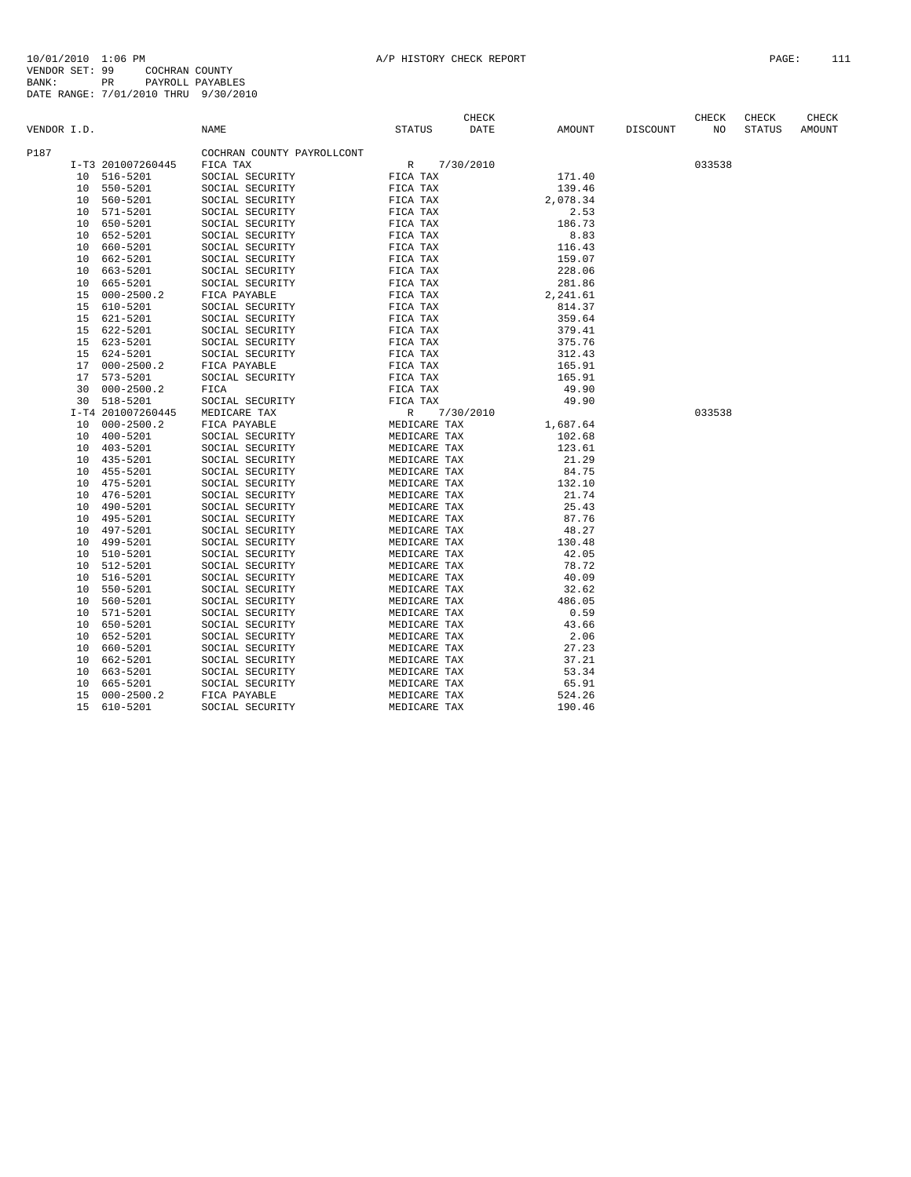| VENDOR I.D.          | <b>NAME</b>                            | STATUS       | <b>CHECK</b><br>DATE | AMOUNT   | DISCOUNT | CHECK<br>NO | CHECK<br><b>STATUS</b> | CHECK<br>AMOUNT |
|----------------------|----------------------------------------|--------------|----------------------|----------|----------|-------------|------------------------|-----------------|
| P187                 |                                        |              |                      |          |          |             |                        |                 |
| I-T3 201007260445    | COCHRAN COUNTY PAYROLLCONT<br>FICA TAX | R            | 7/30/2010            |          |          | 033538      |                        |                 |
| 516-5201<br>10       | SOCIAL SECURITY                        | FICA TAX     |                      | 171.40   |          |             |                        |                 |
| 550-5201<br>10       | SOCIAL SECURITY                        | FICA TAX     |                      | 139.46   |          |             |                        |                 |
| 560-5201<br>10       | SOCIAL SECURITY                        | FICA TAX     |                      | 2,078.34 |          |             |                        |                 |
| 571-5201<br>10       | SOCIAL SECURITY                        | FICA TAX     |                      | 2.53     |          |             |                        |                 |
| 650-5201<br>10       | SOCIAL SECURITY                        | FICA TAX     |                      | 186.73   |          |             |                        |                 |
| 652-5201<br>10       | SOCIAL SECURITY                        | FICA TAX     |                      | 8.83     |          |             |                        |                 |
| 660-5201<br>10       | SOCIAL SECURITY                        | FICA TAX     |                      | 116.43   |          |             |                        |                 |
| 662-5201<br>10       | SOCIAL SECURITY                        | FICA TAX     |                      | 159.07   |          |             |                        |                 |
| 663-5201<br>10       | SOCIAL SECURITY                        | FICA TAX     |                      | 228.06   |          |             |                        |                 |
| 665-5201<br>10       | SOCIAL SECURITY                        | FICA TAX     |                      | 281.86   |          |             |                        |                 |
| $000 - 2500.2$<br>15 | FICA PAYABLE                           | FICA TAX     |                      | 2,241.61 |          |             |                        |                 |
| 610-5201<br>15       | SOCIAL SECURITY                        | FICA TAX     |                      | 814.37   |          |             |                        |                 |
| 621-5201<br>15       | SOCIAL SECURITY                        | FICA TAX     |                      | 359.64   |          |             |                        |                 |
| 622-5201<br>15       | SOCIAL SECURITY                        | FICA TAX     |                      | 379.41   |          |             |                        |                 |
| 623-5201<br>15       | SOCIAL SECURITY                        | FICA TAX     |                      | 375.76   |          |             |                        |                 |
| 624-5201<br>15       | SOCIAL SECURITY                        | FICA TAX     |                      | 312.43   |          |             |                        |                 |
| $000 - 2500.2$<br>17 | FICA PAYABLE                           | FICA TAX     |                      | 165.91   |          |             |                        |                 |
| $573 - 5201$<br>17   | SOCIAL SECURITY                        | FICA TAX     |                      | 165.91   |          |             |                        |                 |
| $000 - 2500.2$<br>30 | FICA                                   | FICA TAX     |                      | 49.90    |          |             |                        |                 |
| 518-5201<br>30       | SOCIAL SECURITY                        | FICA TAX     |                      | 49.90    |          |             |                        |                 |
| I-T4 201007260445    | MEDICARE TAX                           | R            | 7/30/2010            |          |          | 033538      |                        |                 |
| 10<br>$000 - 2500.2$ | FICA PAYABLE                           | MEDICARE TAX |                      | 1,687.64 |          |             |                        |                 |
| $400 - 5201$<br>10   | SOCIAL SECURITY                        | MEDICARE TAX |                      | 102.68   |          |             |                        |                 |
| $403 - 5201$<br>10   | SOCIAL SECURITY                        | MEDICARE TAX |                      | 123.61   |          |             |                        |                 |
| 435-5201<br>10       | SOCIAL SECURITY                        | MEDICARE TAX |                      | 21.29    |          |             |                        |                 |
| 455-5201<br>10       | SOCIAL SECURITY                        | MEDICARE TAX |                      | 84.75    |          |             |                        |                 |
| 475-5201<br>10       | SOCIAL SECURITY                        | MEDICARE TAX |                      | 132.10   |          |             |                        |                 |
| 476-5201<br>10       | SOCIAL SECURITY                        | MEDICARE TAX |                      | 21.74    |          |             |                        |                 |
| 490-5201<br>10       | SOCIAL SECURITY                        | MEDICARE TAX |                      | 25.43    |          |             |                        |                 |
| 495-5201<br>10       | SOCIAL SECURITY                        | MEDICARE TAX |                      | 87.76    |          |             |                        |                 |
| 497-5201<br>10       | SOCIAL SECURITY                        | MEDICARE TAX |                      | 48.27    |          |             |                        |                 |
| 499-5201<br>10       | SOCIAL SECURITY                        | MEDICARE TAX |                      | 130.48   |          |             |                        |                 |
| 510-5201<br>10       | SOCIAL SECURITY                        | MEDICARE TAX |                      | 42.05    |          |             |                        |                 |
| 512-5201<br>10       | SOCIAL SECURITY                        | MEDICARE TAX |                      | 78.72    |          |             |                        |                 |
| $516 - 5201$<br>10   | SOCIAL SECURITY                        | MEDICARE TAX |                      | 40.09    |          |             |                        |                 |
| 550-5201<br>10       | SOCIAL SECURITY                        | MEDICARE TAX |                      | 32.62    |          |             |                        |                 |
| 560-5201<br>10       | SOCIAL SECURITY                        | MEDICARE TAX |                      | 486.05   |          |             |                        |                 |
| 571-5201<br>10       | SOCIAL SECURITY                        | MEDICARE TAX |                      | 0.59     |          |             |                        |                 |
| 650-5201<br>10       | SOCIAL SECURITY                        | MEDICARE TAX |                      | 43.66    |          |             |                        |                 |
| 652-5201<br>10       | SOCIAL SECURITY                        | MEDICARE TAX |                      | 2.06     |          |             |                        |                 |
| 660-5201<br>10       | SOCIAL SECURITY                        | MEDICARE TAX |                      | 27.23    |          |             |                        |                 |
| 662-5201<br>10       | SOCIAL SECURITY                        | MEDICARE TAX |                      | 37.21    |          |             |                        |                 |
| 663-5201<br>10       | SOCIAL SECURITY                        | MEDICARE TAX |                      | 53.34    |          |             |                        |                 |
| 665-5201<br>10       | SOCIAL SECURITY                        | MEDICARE TAX |                      | 65.91    |          |             |                        |                 |
| 15<br>$000 - 2500.2$ | FICA PAYABLE                           | MEDICARE TAX |                      | 524.26   |          |             |                        |                 |
| 15<br>610-5201       | SOCIAL SECURITY                        | MEDICARE TAX |                      | 190.46   |          |             |                        |                 |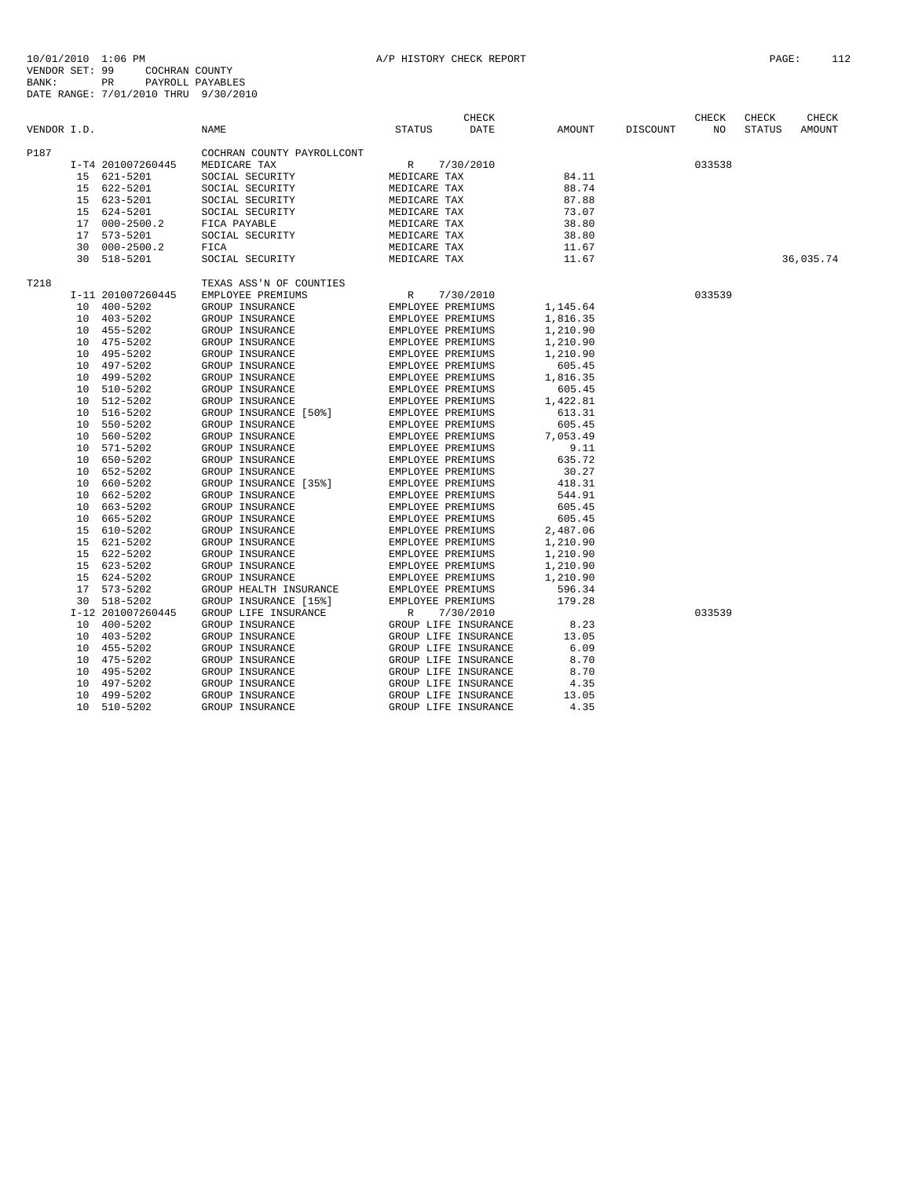| VENDOR I.D. |                 |                   | <b>NAME</b>                | STATUS            | CHECK<br>DATE        | AMOUNT   | DISCOUNT | ${\tt CHECK}$<br>NO | CHECK<br><b>STATUS</b> | CHECK<br>AMOUNT |
|-------------|-----------------|-------------------|----------------------------|-------------------|----------------------|----------|----------|---------------------|------------------------|-----------------|
| P187        |                 |                   | COCHRAN COUNTY PAYROLLCONT |                   |                      |          |          |                     |                        |                 |
|             |                 | I-T4 201007260445 | MEDICARE TAX               | R                 | 7/30/2010            |          |          | 033538              |                        |                 |
|             | 15              | 621-5201          | SOCIAL SECURITY            | MEDICARE TAX      |                      | 84.11    |          |                     |                        |                 |
|             | 15              | 622-5201          | SOCIAL SECURITY            | MEDICARE TAX      |                      | 88.74    |          |                     |                        |                 |
|             | 15              | 623-5201          | SOCIAL SECURITY            | MEDICARE TAX      |                      | 87.88    |          |                     |                        |                 |
|             | 15              | 624-5201          | SOCIAL SECURITY            | MEDICARE TAX      |                      | 73.07    |          |                     |                        |                 |
|             | 17              | $000 - 2500.2$    | FICA PAYABLE               | MEDICARE TAX      |                      | 38.80    |          |                     |                        |                 |
|             | 17              | 573-5201          | SOCIAL SECURITY            | MEDICARE TAX      |                      | 38.80    |          |                     |                        |                 |
|             | 30              | $000 - 2500.2$    | FICA                       | MEDICARE TAX      |                      | 11.67    |          |                     |                        |                 |
|             | 30              | 518-5201          | SOCIAL SECURITY            | MEDICARE TAX      |                      | 11.67    |          |                     |                        | 36,035.74       |
| T218        |                 |                   | TEXAS ASS'N OF COUNTIES    |                   |                      |          |          |                     |                        |                 |
|             |                 | I-11 201007260445 | EMPLOYEE PREMIUMS          | R                 | 7/30/2010            |          |          | 033539              |                        |                 |
|             | 10              | $400 - 5202$      | GROUP INSURANCE            | EMPLOYEE PREMIUMS |                      | 1,145.64 |          |                     |                        |                 |
|             | 10              | $403 - 5202$      | GROUP INSURANCE            | EMPLOYEE PREMIUMS |                      | 1,816.35 |          |                     |                        |                 |
|             | 10              | 455-5202          | GROUP INSURANCE            | EMPLOYEE PREMIUMS |                      | 1,210.90 |          |                     |                        |                 |
|             | 10              | 475-5202          | GROUP INSURANCE            | EMPLOYEE PREMIUMS |                      | 1,210.90 |          |                     |                        |                 |
|             | 10              | 495-5202          | GROUP INSURANCE            | EMPLOYEE PREMIUMS |                      | 1,210.90 |          |                     |                        |                 |
|             | 10              | 497-5202          | GROUP INSURANCE            | EMPLOYEE PREMIUMS |                      | 605.45   |          |                     |                        |                 |
|             | 10              | 499-5202          | GROUP INSURANCE            | EMPLOYEE PREMIUMS |                      | 1,816.35 |          |                     |                        |                 |
|             | 10              | 510-5202          | GROUP INSURANCE            | EMPLOYEE PREMIUMS |                      | 605.45   |          |                     |                        |                 |
|             | 10              | 512-5202          | GROUP INSURANCE            | EMPLOYEE PREMIUMS |                      | 1,422.81 |          |                     |                        |                 |
|             | 10              | 516-5202          | GROUP INSURANCE [50%]      | EMPLOYEE PREMIUMS |                      | 613.31   |          |                     |                        |                 |
|             | 10              | 550-5202          | GROUP INSURANCE            | EMPLOYEE PREMIUMS |                      | 605.45   |          |                     |                        |                 |
|             | 10              | 560-5202          | GROUP INSURANCE            | EMPLOYEE PREMIUMS |                      | 7,053.49 |          |                     |                        |                 |
|             | 10              | 571-5202          | GROUP INSURANCE            | EMPLOYEE PREMIUMS |                      | 9.11     |          |                     |                        |                 |
|             | 10              | 650-5202          | GROUP INSURANCE            | EMPLOYEE PREMIUMS |                      | 635.72   |          |                     |                        |                 |
|             | 10              | 652-5202          | GROUP INSURANCE            | EMPLOYEE PREMIUMS |                      | 30.27    |          |                     |                        |                 |
|             | 10              | 660-5202          | GROUP INSURANCE [35%]      | EMPLOYEE PREMIUMS |                      | 418.31   |          |                     |                        |                 |
|             | 10              | 662-5202          | GROUP INSURANCE            | EMPLOYEE PREMIUMS |                      | 544.91   |          |                     |                        |                 |
|             | 10              | 663-5202          | GROUP INSURANCE            | EMPLOYEE PREMIUMS |                      | 605.45   |          |                     |                        |                 |
|             | 10              | 665-5202          | GROUP INSURANCE            | EMPLOYEE PREMIUMS |                      | 605.45   |          |                     |                        |                 |
|             | 15              | 610-5202          | GROUP INSURANCE            | EMPLOYEE PREMIUMS |                      | 2,487.06 |          |                     |                        |                 |
|             | 15              | 621-5202          | GROUP INSURANCE            | EMPLOYEE PREMIUMS |                      | 1,210.90 |          |                     |                        |                 |
|             | 15              | 622-5202          | GROUP INSURANCE            | EMPLOYEE PREMIUMS |                      | 1,210.90 |          |                     |                        |                 |
|             | 15              | 623-5202          | GROUP INSURANCE            | EMPLOYEE PREMIUMS |                      | 1,210.90 |          |                     |                        |                 |
|             | 15              | 624-5202          | GROUP INSURANCE            | EMPLOYEE PREMIUMS |                      | 1,210.90 |          |                     |                        |                 |
|             | 17              | 573-5202          | GROUP HEALTH INSURANCE     | EMPLOYEE PREMIUMS |                      | 596.34   |          |                     |                        |                 |
|             | 30              | 518-5202          | GROUP INSURANCE [15%]      | EMPLOYEE PREMIUMS |                      | 179.28   |          |                     |                        |                 |
|             |                 | I-12 201007260445 | GROUP LIFE INSURANCE       | R                 | 7/30/2010            |          |          | 033539              |                        |                 |
|             | 10 <sup>°</sup> | $400 - 5202$      | GROUP INSURANCE            |                   | GROUP LIFE INSURANCE | 8.23     |          |                     |                        |                 |
|             | 10              | $403 - 5202$      | GROUP INSURANCE            |                   | GROUP LIFE INSURANCE | 13.05    |          |                     |                        |                 |
|             | 10              | 455-5202          | GROUP INSURANCE            |                   | GROUP LIFE INSURANCE | 6.09     |          |                     |                        |                 |
|             | 10              | 475-5202          | GROUP INSURANCE            |                   | GROUP LIFE INSURANCE | 8.70     |          |                     |                        |                 |
|             | 10              | 495-5202          | GROUP INSURANCE            |                   | GROUP LIFE INSURANCE | 8.70     |          |                     |                        |                 |
|             | 10              | 497-5202          | GROUP INSURANCE            |                   | GROUP LIFE INSURANCE | 4.35     |          |                     |                        |                 |
|             | 10              | 499-5202          | GROUP INSURANCE            |                   | GROUP LIFE INSURANCE | 13.05    |          |                     |                        |                 |
|             | 10              | $510 - 5202$      | GROUP INSURANCE            |                   | GROUP LIFE INSURANCE | 4.35     |          |                     |                        |                 |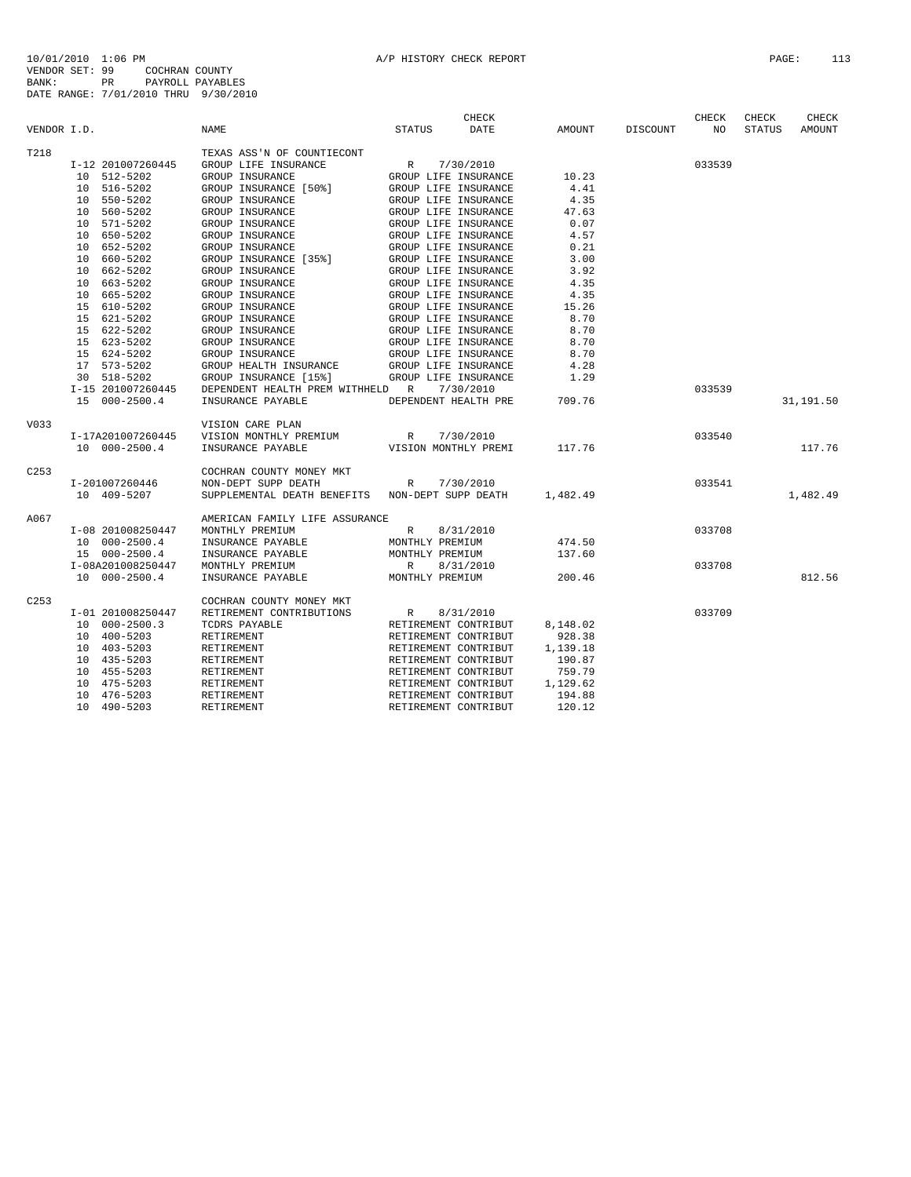| VENDOR I.D. |                   | <b>NAME</b>                                     | <b>CHECK</b><br><b>DATE</b><br>STATUS | AMOUNT   | DISCOUNT | <b>CHECK</b><br>NO | <b>CHECK</b><br>STATUS | CHECK<br>AMOUNT |
|-------------|-------------------|-------------------------------------------------|---------------------------------------|----------|----------|--------------------|------------------------|-----------------|
| T218        |                   | TEXAS ASS'N OF COUNTIECONT                      |                                       |          |          |                    |                        |                 |
|             | I-12 201007260445 | GROUP LIFE INSURANCE                            | R<br>7/30/2010                        |          |          | 033539             |                        |                 |
|             | 10 512-5202       | GROUP INSURANCE                                 | GROUP LIFE INSURANCE                  | 10.23    |          |                    |                        |                 |
|             | 10 516-5202       | GROUP INSURANCE [50%]                           | GROUP LIFE INSURANCE                  | 4.41     |          |                    |                        |                 |
|             | 10 550-5202       | GROUP INSURANCE                                 | GROUP LIFE INSURANCE                  | 4.35     |          |                    |                        |                 |
|             | 10 560-5202       | GROUP INSURANCE                                 | GROUP LIFE INSURANCE                  | 47.63    |          |                    |                        |                 |
|             | 10 571-5202       | GROUP INSURANCE                                 | GROUP LIFE INSURANCE                  | 0.07     |          |                    |                        |                 |
|             | 10 650-5202       | GROUP INSURANCE                                 | GROUP LIFE INSURANCE                  | 4.57     |          |                    |                        |                 |
|             | 10 652-5202       | GROUP INSURANCE                                 | GROUP LIFE INSURANCE                  | 0.21     |          |                    |                        |                 |
|             | 10 660-5202       | GROUP INSURANCE [35%]                           | GROUP LIFE INSURANCE                  | 3.00     |          |                    |                        |                 |
|             | 10 662-5202       | GROUP INSURANCE                                 | GROUP LIFE INSURANCE                  | 3.92     |          |                    |                        |                 |
|             | 10 663-5202       | GROUP INSURANCE                                 | GROUP LIFE INSURANCE                  | 4.35     |          |                    |                        |                 |
|             | 10 665-5202       | GROUP INSURANCE                                 | GROUP LIFE INSURANCE                  | 4.35     |          |                    |                        |                 |
|             | 15 610-5202       | GROUP INSURANCE                                 | GROUP LIFE INSURANCE                  | 15.26    |          |                    |                        |                 |
|             | 15 621-5202       | GROUP INSURANCE                                 | GROUP LIFE INSURANCE                  | 8.70     |          |                    |                        |                 |
|             | 15 622-5202       | GROUP INSURANCE                                 | GROUP LIFE INSURANCE                  | 8.70     |          |                    |                        |                 |
|             | 15 623-5202       | GROUP INSURANCE                                 | GROUP LIFE INSURANCE                  | 8.70     |          |                    |                        |                 |
|             | 15 624-5202       | GROUP INSURANCE                                 | GROUP LIFE INSURANCE                  | 8.70     |          |                    |                        |                 |
|             | 17 573-5202       | GROUP HEALTH INSURANCE                          | GROUP LIFE INSURANCE                  | 4.28     |          |                    |                        |                 |
|             | 30 518-5202       | GROUP INSURANCE [15%]                           | GROUP LIFE INSURANCE                  | 1.29     |          |                    |                        |                 |
|             | I-15 201007260445 | DEPENDENT HEALTH PREM WITHHELD R                | 7/30/2010                             |          |          | 033539             |                        |                 |
|             | 15 000-2500.4     | INSURANCE PAYABLE                               | DEPENDENT HEALTH PRE                  | 709.76   |          |                    |                        | 31,191.50       |
| V033        |                   | VISION CARE PLAN                                |                                       |          |          |                    |                        |                 |
|             | I-17A201007260445 | VISION MONTHLY PREMIUM                          | 7/30/2010<br>R                        |          |          | 033540             |                        |                 |
|             | 10 000-2500.4     | INSURANCE PAYABLE                               | VISION MONTHLY PREMI                  | 117.76   |          |                    |                        | 117.76          |
| C253        |                   | COCHRAN COUNTY MONEY MKT                        |                                       |          |          |                    |                        |                 |
|             | I-201007260446    | NON-DEPT SUPP DEATH                             | 7/30/2010<br>R.                       |          |          | 033541             |                        |                 |
|             | 10 409-5207       | SUPPLEMENTAL DEATH BENEFITS NON-DEPT SUPP DEATH |                                       | 1,482.49 |          |                    |                        | 1,482.49        |
| A067        |                   | AMERICAN FAMILY LIFE ASSURANCE                  |                                       |          |          |                    |                        |                 |
|             | I-08 201008250447 | MONTHLY PREMIUM                                 | 8/31/2010<br>R                        |          |          | 033708             |                        |                 |
|             | 10 000-2500.4     | INSURANCE PAYABLE                               | MONTHLY PREMIUM                       | 474.50   |          |                    |                        |                 |
|             | 15 000-2500.4     | INSURANCE PAYABLE                               | MONTHLY PREMIUM                       | 137.60   |          |                    |                        |                 |
|             | I-08A201008250447 | MONTHLY PREMIUM                                 | $R_{\parallel}$<br>8/31/2010          |          |          | 033708             |                        |                 |
|             | 10 000-2500.4     | INSURANCE PAYABLE                               | MONTHLY PREMIUM                       | 200.46   |          |                    |                        | 812.56          |
| C253        |                   | COCHRAN COUNTY MONEY MKT                        |                                       |          |          |                    |                        |                 |
|             | I-01 201008250447 | RETIREMENT CONTRIBUTIONS                        | 8/31/2010<br>R                        |          |          | 033709             |                        |                 |
|             | 10 000-2500.3     | TCDRS PAYABLE                                   | RETIREMENT CONTRIBUT                  | 8,148.02 |          |                    |                        |                 |
|             | 10 400-5203       | RETIREMENT                                      | RETIREMENT CONTRIBUT                  | 928.38   |          |                    |                        |                 |
|             | 10 403-5203       | RETIREMENT                                      | RETIREMENT CONTRIBUT                  | 1,139.18 |          |                    |                        |                 |
|             | 10 435-5203       | RETIREMENT                                      | RETIREMENT CONTRIBUT                  | 190.87   |          |                    |                        |                 |
|             | 10 455-5203       | RETIREMENT                                      | RETIREMENT CONTRIBUT                  | 759.79   |          |                    |                        |                 |
|             | 10 475-5203       | RETIREMENT                                      | RETIREMENT CONTRIBUT                  | 1,129.62 |          |                    |                        |                 |
|             | 10<br>476-5203    | RETIREMENT                                      | RETIREMENT CONTRIBUT                  | 194.88   |          |                    |                        |                 |
|             | 10 490-5203       | RETIREMENT                                      | RETIREMENT CONTRIBUT                  | 120.12   |          |                    |                        |                 |
|             |                   |                                                 |                                       |          |          |                    |                        |                 |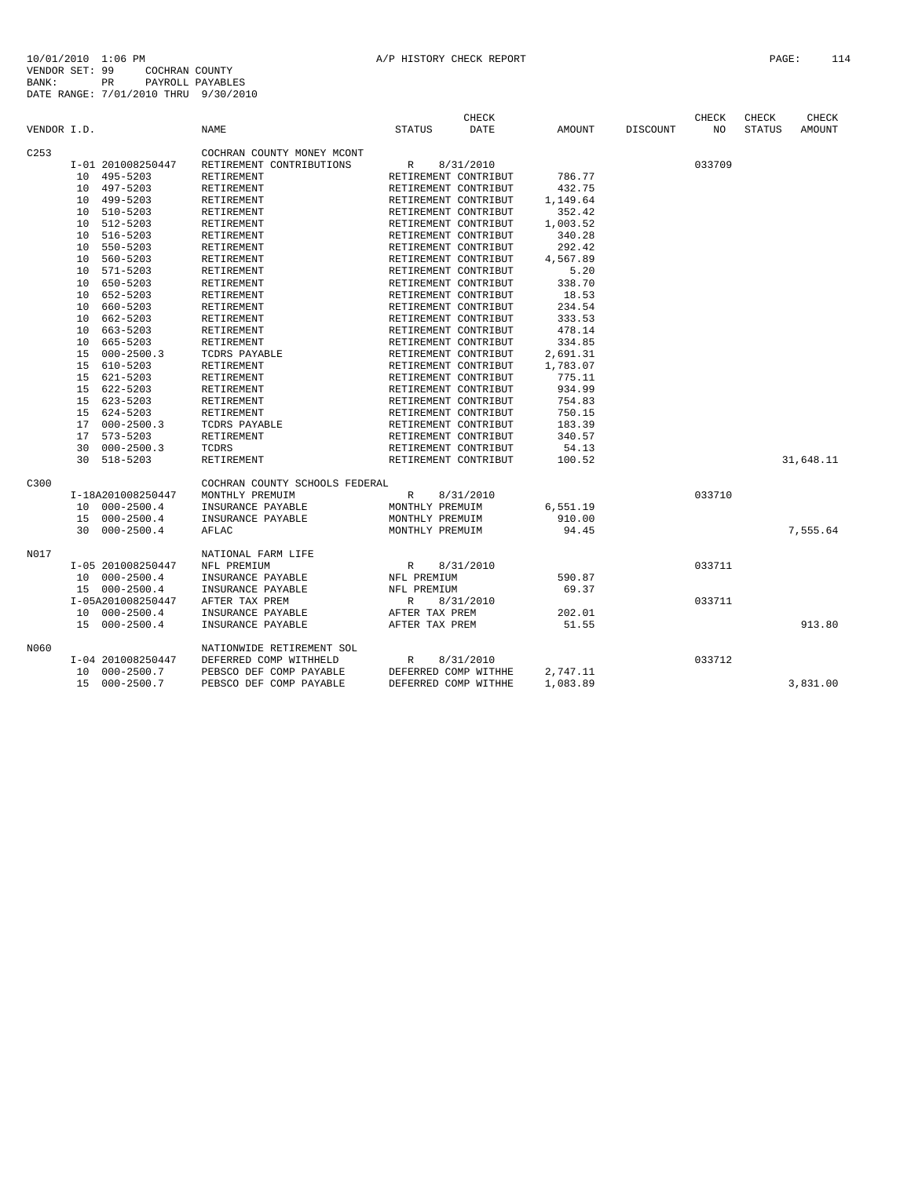| VENDOR I.D.      |    |                   | <b>NAME</b>                    | <b>STATUS</b>        | <b>CHECK</b><br><b>DATE</b> | <b>AMOUNT</b> | <b>DISCOUNT</b> | <b>CHECK</b><br>NO | CHECK<br><b>STATUS</b> | CHECK<br>AMOUNT |
|------------------|----|-------------------|--------------------------------|----------------------|-----------------------------|---------------|-----------------|--------------------|------------------------|-----------------|
| C <sub>253</sub> |    |                   | COCHRAN COUNTY MONEY MCONT     |                      |                             |               |                 |                    |                        |                 |
|                  |    | I-01 201008250447 | RETIREMENT CONTRIBUTIONS       | R                    | 8/31/2010                   |               |                 | 033709             |                        |                 |
|                  |    | 10 495-5203       | RETIREMENT                     | RETIREMENT CONTRIBUT |                             | 786.77        |                 |                    |                        |                 |
|                  |    | 10 497-5203       | RETIREMENT                     | RETIREMENT CONTRIBUT |                             | 432.75        |                 |                    |                        |                 |
|                  |    | 10 499-5203       | RETIREMENT                     | RETIREMENT CONTRIBUT |                             | 1,149.64      |                 |                    |                        |                 |
|                  |    | 10 510-5203       | RETIREMENT                     | RETIREMENT CONTRIBUT |                             | 352.42        |                 |                    |                        |                 |
|                  |    | 10 512-5203       | RETIREMENT                     | RETIREMENT CONTRIBUT |                             | 1,003.52      |                 |                    |                        |                 |
|                  |    | 10 516-5203       | RETIREMENT                     | RETIREMENT CONTRIBUT |                             | 340.28        |                 |                    |                        |                 |
|                  |    | 10 550-5203       | RETIREMENT                     | RETIREMENT CONTRIBUT |                             | 292.42        |                 |                    |                        |                 |
|                  |    | 10 560-5203       | RETIREMENT                     | RETIREMENT CONTRIBUT |                             | 4,567.89      |                 |                    |                        |                 |
|                  |    | 10 571-5203       | RETIREMENT                     | RETIREMENT CONTRIBUT |                             | 5.20          |                 |                    |                        |                 |
|                  |    | 10 650-5203       | RETIREMENT                     | RETIREMENT CONTRIBUT |                             | 338.70        |                 |                    |                        |                 |
|                  |    | 10 652-5203       | RETIREMENT                     | RETIREMENT CONTRIBUT |                             | 18.53         |                 |                    |                        |                 |
|                  |    | 10 660-5203       | RETIREMENT                     | RETIREMENT CONTRIBUT |                             | 234.54        |                 |                    |                        |                 |
|                  |    | 10 662-5203       | RETIREMENT                     | RETIREMENT CONTRIBUT |                             | 333.53        |                 |                    |                        |                 |
|                  | 10 | 663-5203          | RETIREMENT                     | RETIREMENT CONTRIBUT |                             | 478.14        |                 |                    |                        |                 |
|                  | 10 | 665-5203          | RETIREMENT                     | RETIREMENT CONTRIBUT |                             | 334.85        |                 |                    |                        |                 |
|                  | 15 | $000 - 2500.3$    | TCDRS PAYABLE                  | RETIREMENT CONTRIBUT |                             | 2,691.31      |                 |                    |                        |                 |
|                  |    | 15 610-5203       | RETIREMENT                     | RETIREMENT CONTRIBUT |                             | 1,783.07      |                 |                    |                        |                 |
|                  |    | 15 621-5203       | RETIREMENT                     | RETIREMENT CONTRIBUT |                             | 775.11        |                 |                    |                        |                 |
|                  |    | 15 622-5203       | RETIREMENT                     | RETIREMENT CONTRIBUT |                             | 934.99        |                 |                    |                        |                 |
|                  |    | 15 623-5203       | RETIREMENT                     | RETIREMENT CONTRIBUT |                             | 754.83        |                 |                    |                        |                 |
|                  |    | 15 624-5203       | RETIREMENT                     | RETIREMENT CONTRIBUT |                             | 750.15        |                 |                    |                        |                 |
|                  | 17 | $000 - 2500.3$    | TCDRS PAYABLE                  | RETIREMENT CONTRIBUT |                             | 183.39        |                 |                    |                        |                 |
|                  |    | 17 573-5203       | RETIREMENT                     | RETIREMENT CONTRIBUT |                             | 340.57        |                 |                    |                        |                 |
|                  |    | 30 000-2500.3     | TCDRS                          | RETIREMENT CONTRIBUT |                             | 54.13         |                 |                    |                        |                 |
|                  |    | 30 518-5203       | <b>RETIREMENT</b>              | RETIREMENT CONTRIBUT |                             | 100.52        |                 |                    |                        | 31,648.11       |
| C300             |    |                   | COCHRAN COUNTY SCHOOLS FEDERAL |                      |                             |               |                 |                    |                        |                 |
|                  |    | I-18A201008250447 | MONTHLY PREMUIM                | R                    | 8/31/2010                   |               |                 | 033710             |                        |                 |
|                  |    | 10 000-2500.4     | INSURANCE PAYABLE              | MONTHLY PREMUIM      |                             | 6,551.19      |                 |                    |                        |                 |
|                  |    | 15 000-2500.4     | INSURANCE PAYABLE              | MONTHLY PREMUIM      |                             | 910.00        |                 |                    |                        |                 |
|                  |    | 30 000-2500.4     | AFLAC                          | MONTHLY PREMUIM      |                             | 94.45         |                 |                    |                        | 7,555.64        |
| N017             |    |                   | NATIONAL FARM LIFE             |                      |                             |               |                 |                    |                        |                 |
|                  |    | I-05 201008250447 | NFL PREMIUM                    | $R_{\perp}$          | 8/31/2010                   |               |                 | 033711             |                        |                 |
|                  |    | 10 000-2500.4     | INSURANCE PAYABLE              | NFL PREMIUM          |                             | 590.87        |                 |                    |                        |                 |
|                  |    | 15 000-2500.4     | INSURANCE PAYABLE              | NFL PREMIUM          |                             | 69.37         |                 |                    |                        |                 |
|                  |    | I-05A201008250447 | AFTER TAX PREM                 | $\mathbb R$          | 8/31/2010                   |               |                 | 033711             |                        |                 |
|                  |    | 10 000-2500.4     | INSURANCE PAYABLE              | AFTER TAX PREM       |                             | 202.01        |                 |                    |                        |                 |
|                  |    | 15 000-2500.4     | INSURANCE PAYABLE              | AFTER TAX PREM       |                             | 51.55         |                 |                    |                        | 913.80          |
| N060             |    |                   | NATIONWIDE RETIREMENT SOL      |                      |                             |               |                 |                    |                        |                 |
|                  |    | I-04 201008250447 | DEFERRED COMP WITHHELD         | R                    | 8/31/2010                   |               |                 | 033712             |                        |                 |
|                  |    | 10 000-2500.7     | PEBSCO DEF COMP PAYABLE        | DEFERRED COMP WITHHE |                             | 2,747.11      |                 |                    |                        |                 |
|                  |    | 15 000-2500.7     | PEBSCO DEF COMP PAYABLE        | DEFERRED COMP WITHHE |                             | 1,083.89      |                 |                    |                        | 3,831.00        |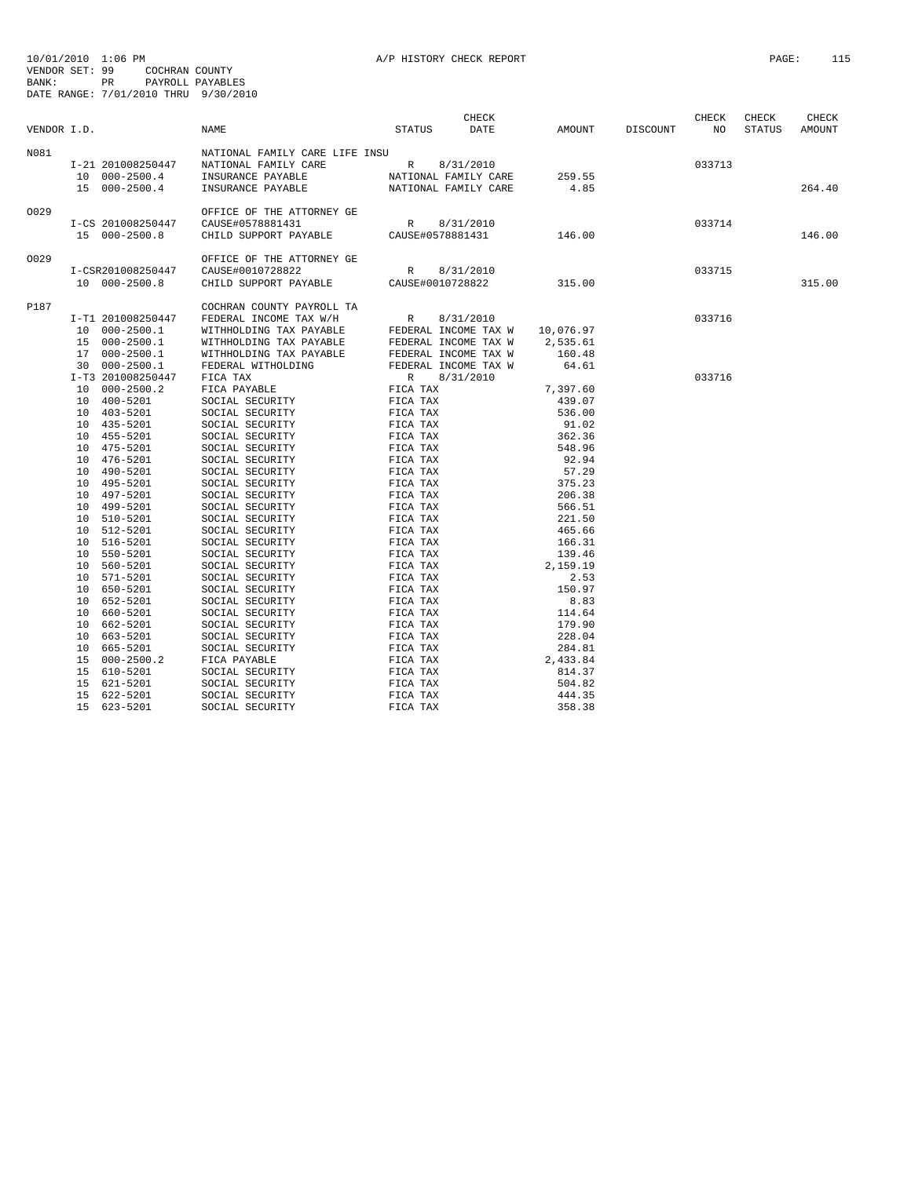| VENDOR I.D. |                                                     | NAME                                                                                                                       | STATUS      | CHECK<br>DATE                              | AMOUNT   | DISCOUNT | CHECK<br>NO <sub>1</sub> | CHECK<br>STATUS | CHECK<br>AMOUNT |
|-------------|-----------------------------------------------------|----------------------------------------------------------------------------------------------------------------------------|-------------|--------------------------------------------|----------|----------|--------------------------|-----------------|-----------------|
| N081        | I-21 201008250447<br>10 000-2500.4<br>15 000-2500.4 | NATIONAL FAMILY CARE LIFE INSU<br>NATIONAL FAMILY CARE<br>INSURANCE PAYABLE<br>INSURANCE PAYABLE NATIONAL FAMILY CARE 4.85 |             | R 8/31/2010<br>NATIONAL FAMILY CARE 259.55 |          |          | 033713                   |                 | 264.40          |
| 0029        | I-CS 201008250447<br>15 000-2500.8                  | OFFICE OF THE ATTORNEY GE<br>CAUSE#0578881431<br>CHILD SUPPORT PAYABLE CAUSE#0578881431                                    | $\mathbb R$ | 8/31/2010                                  | 146.00   |          | 033714                   |                 | 146.00          |
| 0029        |                                                     | OFFICE OF THE ATTORNEY GE                                                                                                  |             |                                            |          |          |                          |                 |                 |
|             | I-CSR201008250447<br>10 000-2500.8                  | CAUSE#0010728822<br>CHILD SUPPORT PAYABLE CAUSE#0010728822                                                                 | R           | 8/31/2010                                  | 315.00   |          | 033715                   |                 | 315.00          |
| P187        |                                                     | COCHRAN COUNTY PAYROLL TA                                                                                                  |             |                                            |          |          |                          |                 |                 |
|             | I-T1 201008250447                                   | FEDERAL INCOME TAX W/H R                                                                                                   |             | 8/31/2010                                  |          |          | 033716                   |                 |                 |
|             | 10 000-2500.1                                       | WITHHOLDING TAX PAYABLE FEDERAL INCOME TAX W 10,076.97                                                                     |             |                                            |          |          |                          |                 |                 |
|             | 15 000-2500.1                                       | $\verb WITHHOLDING TAX PAYABLE \hspace*{0.5cm} FEDERAL INCOME TAX W$                                                       |             |                                            | 2,535.61 |          |                          |                 |                 |
|             | 17 000-2500.1                                       | WITHHOLDING TAX PAYABLE                                                                                                    |             | FEDERAL INCOME TAX W                       | 160.48   |          |                          |                 |                 |
|             | 30 000-2500.1                                       | FEDERAL WITHOLDING                                                                                                         |             | FEDERAL INCOME TAX W                       | 64.61    |          |                          |                 |                 |
|             | I-T3 201008250447                                   | FICA TAX                                                                                                                   |             | R 8/31/2010                                |          |          | 033716                   |                 |                 |
|             | 10 000-2500.2                                       | FICA PAYABLE                                                                                                               | FICA TAX    |                                            | 7,397.60 |          |                          |                 |                 |
|             | 10 400-5201                                         | SOCIAL SECURITY                                                                                                            | FICA TAX    |                                            | 439.07   |          |                          |                 |                 |
|             | 10 403-5201                                         | SOCIAL SECURITY                                                                                                            | FICA TAX    |                                            | 536.00   |          |                          |                 |                 |
|             | 10 435-5201                                         | SOCIAL SECURITY                                                                                                            | FICA TAX    |                                            | 91.02    |          |                          |                 |                 |
|             | 10 455-5201                                         | SOCIAL SECURITY                                                                                                            | FICA TAX    |                                            | 362.36   |          |                          |                 |                 |
|             | 10 475-5201                                         | SOCIAL SECURITY                                                                                                            | FICA TAX    |                                            | 548.96   |          |                          |                 |                 |
|             | 10 476-5201                                         | SOCIAL SECURITY                                                                                                            | FICA TAX    |                                            | 92.94    |          |                          |                 |                 |
|             | 10 490-5201                                         | SOCIAL SECURITY                                                                                                            | FICA TAX    |                                            | 57.29    |          |                          |                 |                 |
|             | 10 495-5201                                         | SOCIAL SECURITY                                                                                                            | FICA TAX    |                                            | 375.23   |          |                          |                 |                 |
|             | 10 497-5201                                         | SOCIAL SECURITY                                                                                                            | FICA TAX    |                                            | 206.38   |          |                          |                 |                 |
|             | 10 499-5201                                         | SOCIAL SECURITY                                                                                                            | FICA TAX    |                                            | 566.51   |          |                          |                 |                 |
|             | 10 510-5201                                         | SOCIAL SECURITY                                                                                                            | FICA TAX    |                                            | 221.50   |          |                          |                 |                 |
|             | 10 512-5201                                         | SOCIAL SECURITY                                                                                                            | FICA TAX    |                                            | 465.66   |          |                          |                 |                 |
|             | 10 516-5201                                         | SOCIAL SECURITY                                                                                                            | FICA TAX    |                                            | 166.31   |          |                          |                 |                 |
|             | 10 550-5201                                         | SOCIAL SECURITY                                                                                                            | FICA TAX    |                                            | 139.46   |          |                          |                 |                 |
|             | 10 560-5201                                         | SOCIAL SECURITY                                                                                                            | FICA TAX    |                                            | 2,159.19 |          |                          |                 |                 |
|             | 10 571-5201                                         | SOCIAL SECURITY                                                                                                            | FICA TAX    |                                            | 2.53     |          |                          |                 |                 |
|             | 10 650-5201                                         | SOCIAL SECURITY                                                                                                            | FICA TAX    |                                            | 150.97   |          |                          |                 |                 |
|             | 10 652-5201                                         | SOCIAL SECURITY                                                                                                            | FICA TAX    |                                            | 8.83     |          |                          |                 |                 |
|             | 10 660-5201                                         | SOCIAL SECURITY                                                                                                            | FICA TAX    |                                            | 114.64   |          |                          |                 |                 |
|             | 10 662-5201                                         | SOCIAL SECURITY                                                                                                            | FICA TAX    |                                            | 179.90   |          |                          |                 |                 |
|             | 10 663-5201                                         | SOCIAL SECURITY                                                                                                            | FICA TAX    |                                            | 228.04   |          |                          |                 |                 |
|             | 10 665-5201                                         | SOCIAL SECURITY                                                                                                            | FICA TAX    |                                            | 284.81   |          |                          |                 |                 |
|             | 15 000-2500.2                                       | FICA PAYABLE                                                                                                               | FICA TAX    |                                            | 2,433.84 |          |                          |                 |                 |
|             | 15 610-5201                                         | SOCIAL SECURITY                                                                                                            | FICA TAX    |                                            | 814.37   |          |                          |                 |                 |
|             | 15 621-5201                                         | SOCIAL SECURITY                                                                                                            | FICA TAX    |                                            | 504.82   |          |                          |                 |                 |
|             | 15 622-5201                                         | SOCIAL SECURITY                                                                                                            | FICA TAX    |                                            | 444.35   |          |                          |                 |                 |
|             | 15 623-5201                                         | SOCIAL SECURITY                                                                                                            | FICA TAX    |                                            | 358.38   |          |                          |                 |                 |
|             |                                                     |                                                                                                                            |             |                                            |          |          |                          |                 |                 |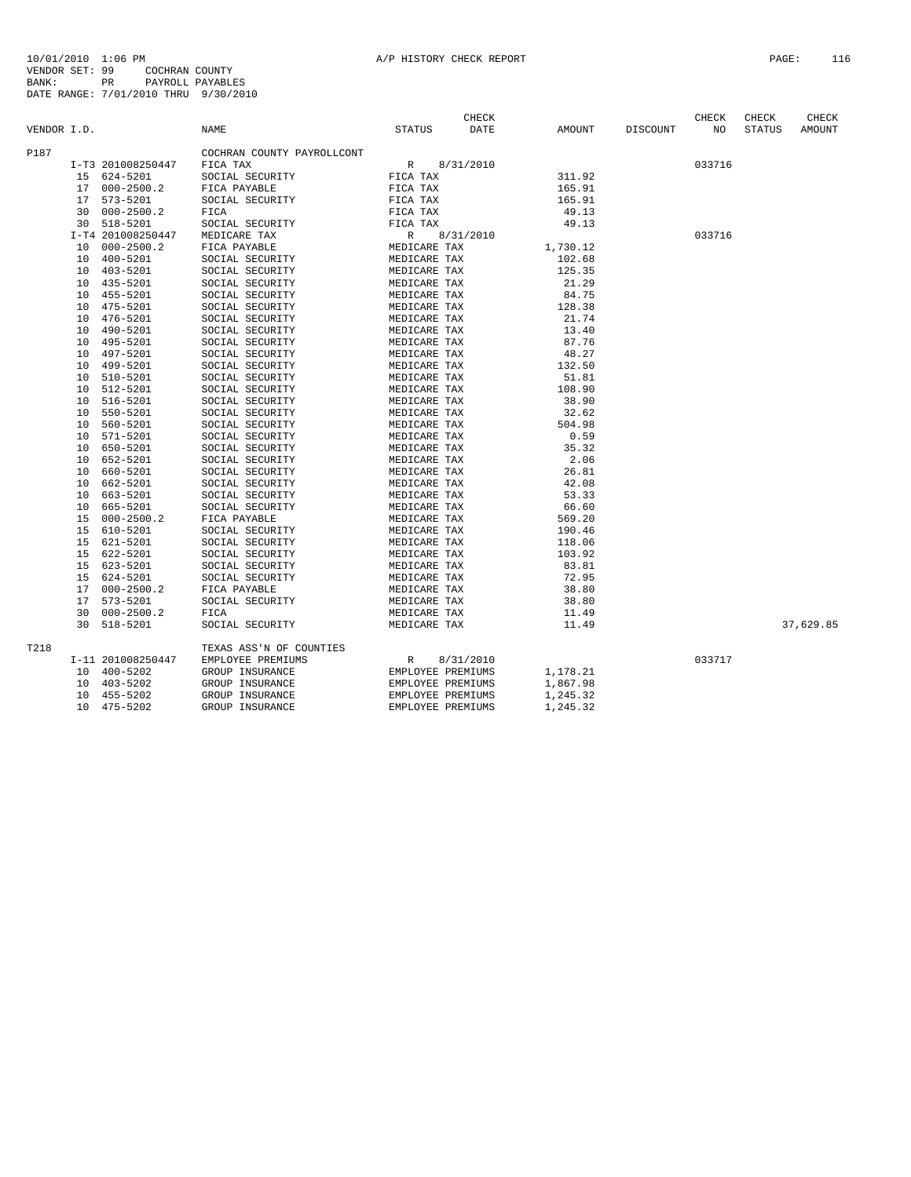|             |    |                   |                            |                   | CHECK       |          |                 | CHECK  | CHECK         | CHECK     |
|-------------|----|-------------------|----------------------------|-------------------|-------------|----------|-----------------|--------|---------------|-----------|
| VENDOR I.D. |    |                   | NAME                       | <b>STATUS</b>     | <b>DATE</b> | AMOUNT   | <b>DISCOUNT</b> | NO     | <b>STATUS</b> | AMOUNT    |
| P187        |    |                   | COCHRAN COUNTY PAYROLLCONT |                   |             |          |                 |        |               |           |
|             |    | I-T3 201008250447 | FICA TAX                   | R                 | 8/31/2010   |          |                 | 033716 |               |           |
|             |    | 15 624-5201       | SOCIAL SECURITY            | FICA TAX          |             | 311.92   |                 |        |               |           |
|             |    | 17 000-2500.2     | FICA PAYABLE               | FICA TAX          |             | 165.91   |                 |        |               |           |
|             |    | 17 573-5201       | SOCIAL SECURITY            | FICA TAX          |             | 165.91   |                 |        |               |           |
|             | 30 | $000 - 2500.2$    | FICA                       | FICA TAX          |             | 49.13    |                 |        |               |           |
|             | 30 | 518-5201          | SOCIAL SECURITY            | FICA TAX          |             | 49.13    |                 |        |               |           |
|             |    | I-T4 201008250447 | MEDICARE TAX               | $\mathbb{R}$      | 8/31/2010   |          |                 | 033716 |               |           |
|             | 10 | $000 - 2500.2$    | FICA PAYABLE               | MEDICARE TAX      |             | 1,730.12 |                 |        |               |           |
|             |    | 10 400-5201       | SOCIAL SECURITY            | MEDICARE TAX      |             | 102.68   |                 |        |               |           |
|             |    | 10 403-5201       | SOCIAL SECURITY            | MEDICARE TAX      |             | 125.35   |                 |        |               |           |
|             |    | 10 435-5201       | SOCIAL SECURITY            | MEDICARE TAX      |             | 21.29    |                 |        |               |           |
|             |    | 455-5201          | SOCIAL SECURITY            | MEDICARE TAX      |             | 84.75    |                 |        |               |           |
|             | 10 |                   |                            |                   |             |          |                 |        |               |           |
|             | 10 | 475-5201          | SOCIAL SECURITY            | MEDICARE TAX      |             | 128.38   |                 |        |               |           |
|             | 10 | 476-5201          | SOCIAL SECURITY            | MEDICARE TAX      |             | 21.74    |                 |        |               |           |
|             | 10 | 490-5201          | SOCIAL SECURITY            | MEDICARE TAX      |             | 13.40    |                 |        |               |           |
|             | 10 | 495-5201          | SOCIAL SECURITY            | MEDICARE TAX      |             | 87.76    |                 |        |               |           |
|             | 10 | 497-5201          | SOCIAL SECURITY            | MEDICARE TAX      |             | 48.27    |                 |        |               |           |
|             | 10 | 499-5201          | SOCIAL SECURITY            | MEDICARE TAX      |             | 132.50   |                 |        |               |           |
|             | 10 | 510-5201          | SOCIAL SECURITY            | MEDICARE TAX      |             | 51.81    |                 |        |               |           |
|             | 10 | 512-5201          | SOCIAL SECURITY            | MEDICARE TAX      |             | 108.90   |                 |        |               |           |
|             | 10 | 516-5201          | SOCIAL SECURITY            | MEDICARE TAX      |             | 38.90    |                 |        |               |           |
|             | 10 | 550-5201          | SOCIAL SECURITY            | MEDICARE TAX      |             | 32.62    |                 |        |               |           |
|             | 10 | 560-5201          | SOCIAL SECURITY            | MEDICARE TAX      |             | 504.98   |                 |        |               |           |
|             | 10 | 571-5201          | SOCIAL SECURITY            | MEDICARE TAX      |             | 0.59     |                 |        |               |           |
|             | 10 | 650-5201          | SOCIAL SECURITY            | MEDICARE TAX      |             | 35.32    |                 |        |               |           |
|             | 10 | 652-5201          | SOCIAL SECURITY            | MEDICARE TAX      |             | 2.06     |                 |        |               |           |
|             |    | 10 660-5201       | SOCIAL SECURITY            | MEDICARE TAX      |             | 26.81    |                 |        |               |           |
|             | 10 | 662-5201          | SOCIAL SECURITY            | MEDICARE TAX      |             | 42.08    |                 |        |               |           |
|             | 10 | 663-5201          | SOCIAL SECURITY            | MEDICARE TAX      |             | 53.33    |                 |        |               |           |
|             | 10 | 665-5201          | SOCIAL SECURITY            | MEDICARE TAX      |             | 66.60    |                 |        |               |           |
|             | 15 | $000 - 2500.2$    | FICA PAYABLE               | MEDICARE TAX      |             | 569.20   |                 |        |               |           |
|             | 15 | 610-5201          | SOCIAL SECURITY            | MEDICARE TAX      |             | 190.46   |                 |        |               |           |
|             | 15 | 621-5201          | SOCIAL SECURITY            | MEDICARE TAX      |             | 118.06   |                 |        |               |           |
|             |    | 15 622-5201       | SOCIAL SECURITY            | MEDICARE TAX      |             | 103.92   |                 |        |               |           |
|             | 15 | 623-5201          | SOCIAL SECURITY            | MEDICARE TAX      |             | 83.81    |                 |        |               |           |
|             | 15 | 624-5201          | SOCIAL SECURITY            | MEDICARE TAX      |             | 72.95    |                 |        |               |           |
|             | 17 | $000 - 2500.2$    | FICA PAYABLE               | MEDICARE TAX      |             | 38.80    |                 |        |               |           |
|             | 17 | 573-5201          | SOCIAL SECURITY            | MEDICARE TAX      |             | 38.80    |                 |        |               |           |
|             | 30 | $000 - 2500.2$    | FICA                       | MEDICARE TAX      |             | 11.49    |                 |        |               |           |
|             |    | 30 518-5201       | SOCIAL SECURITY            | MEDICARE TAX      |             | 11.49    |                 |        |               | 37,629.85 |
| T218        |    |                   | TEXAS ASS'N OF COUNTIES    |                   |             |          |                 |        |               |           |
|             |    | I-11 201008250447 | EMPLOYEE PREMIUMS          | $\mathbb{R}$      | 8/31/2010   |          |                 | 033717 |               |           |
|             |    | 10 400-5202       | GROUP INSURANCE            | EMPLOYEE PREMIUMS |             | 1,178.21 |                 |        |               |           |
|             |    | 10 403-5202       | GROUP INSURANCE            | EMPLOYEE PREMIUMS |             | 1,867.98 |                 |        |               |           |
|             | 10 | 455-5202          | GROUP INSURANCE            | EMPLOYEE PREMIUMS |             | 1,245.32 |                 |        |               |           |
|             |    | 10 475-5202       | GROUP INSURANCE            | EMPLOYEE PREMIUMS |             | 1,245.32 |                 |        |               |           |
|             |    |                   |                            |                   |             |          |                 |        |               |           |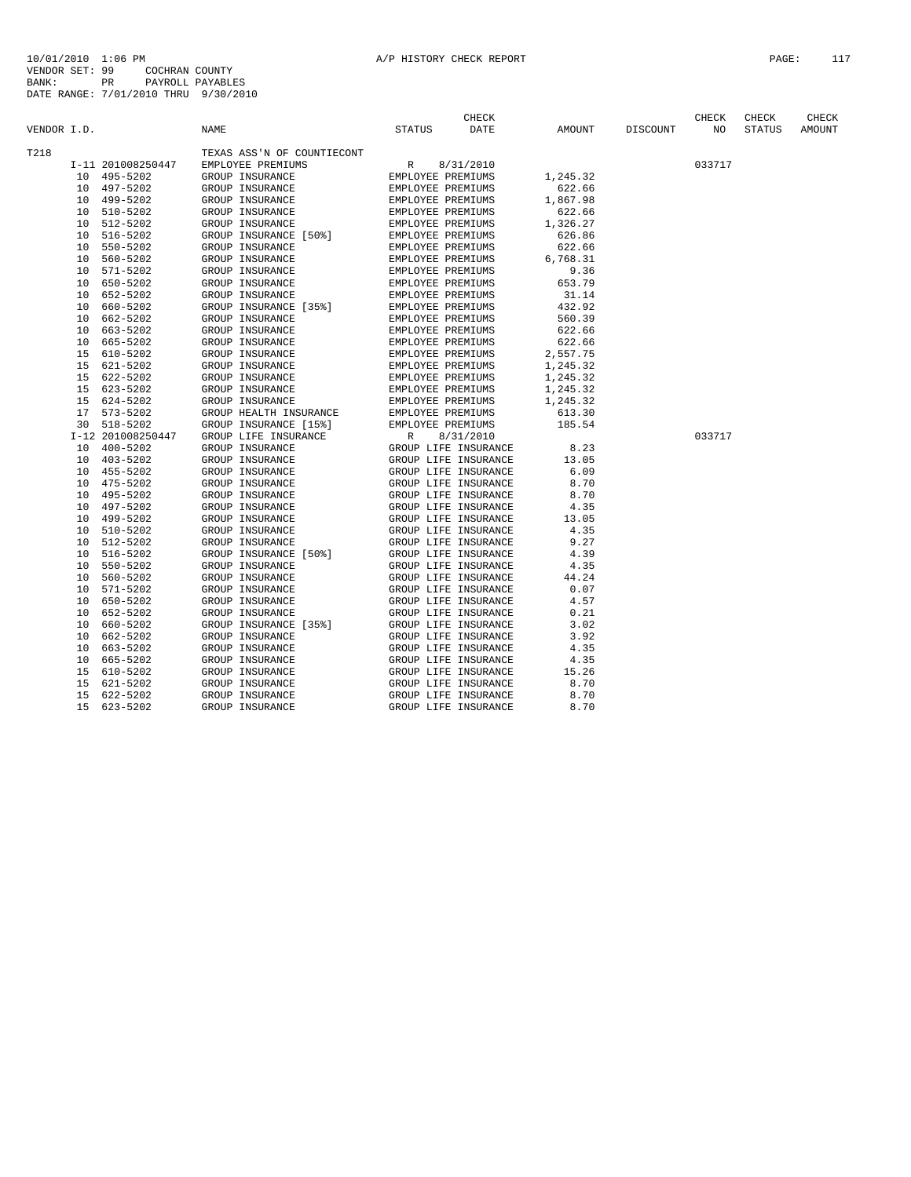|             |    |                   |                            |                   | CHECK                |          |                 | CHECK  | CHECK         | CHECK  |
|-------------|----|-------------------|----------------------------|-------------------|----------------------|----------|-----------------|--------|---------------|--------|
| VENDOR I.D. |    |                   | <b>NAME</b>                | <b>STATUS</b>     | DATE                 | AMOUNT   | <b>DISCOUNT</b> | NO     | <b>STATUS</b> | AMOUNT |
| T218        |    |                   | TEXAS ASS'N OF COUNTIECONT |                   |                      |          |                 |        |               |        |
|             |    | I-11 201008250447 | EMPLOYEE PREMIUMS          | R                 | 8/31/2010            |          |                 | 033717 |               |        |
|             |    | 10 495-5202       | GROUP INSURANCE            | EMPLOYEE PREMIUMS |                      | 1,245.32 |                 |        |               |        |
|             |    | 10 497-5202       | GROUP INSURANCE            | EMPLOYEE PREMIUMS |                      | 622.66   |                 |        |               |        |
|             | 10 | 499-5202          | GROUP INSURANCE            | EMPLOYEE PREMIUMS |                      | 1,867.98 |                 |        |               |        |
|             | 10 | 510-5202          | GROUP INSURANCE            | EMPLOYEE PREMIUMS |                      | 622.66   |                 |        |               |        |
|             | 10 | 512-5202          | GROUP INSURANCE            | EMPLOYEE PREMIUMS |                      | 1,326.27 |                 |        |               |        |
|             | 10 | 516-5202          | GROUP INSURANCE [50%]      | EMPLOYEE PREMIUMS |                      | 626.86   |                 |        |               |        |
|             | 10 | 550-5202          | GROUP INSURANCE            | EMPLOYEE PREMIUMS |                      | 622.66   |                 |        |               |        |
|             | 10 | 560-5202          | GROUP INSURANCE            | EMPLOYEE PREMIUMS |                      | 6,768.31 |                 |        |               |        |
|             | 10 | 571-5202          | GROUP INSURANCE            | EMPLOYEE PREMIUMS |                      | 9.36     |                 |        |               |        |
|             | 10 | 650-5202          | GROUP INSURANCE            | EMPLOYEE PREMIUMS |                      | 653.79   |                 |        |               |        |
|             | 10 | 652-5202          | GROUP INSURANCE            | EMPLOYEE PREMIUMS |                      | 31.14    |                 |        |               |        |
|             | 10 | 660-5202          | GROUP INSURANCE [35%]      | EMPLOYEE PREMIUMS |                      | 432.92   |                 |        |               |        |
|             | 10 | 662-5202          | GROUP INSURANCE            | EMPLOYEE PREMIUMS |                      | 560.39   |                 |        |               |        |
|             | 10 | 663-5202          | GROUP INSURANCE            | EMPLOYEE PREMIUMS |                      | 622.66   |                 |        |               |        |
|             | 10 | 665-5202          | GROUP INSURANCE            | EMPLOYEE PREMIUMS |                      | 622.66   |                 |        |               |        |
|             | 15 | 610-5202          | GROUP INSURANCE            | EMPLOYEE PREMIUMS |                      | 2,557.75 |                 |        |               |        |
|             |    | 15 621-5202       | GROUP INSURANCE            | EMPLOYEE PREMIUMS |                      | 1,245.32 |                 |        |               |        |
|             |    | 15 622-5202       | GROUP INSURANCE            | EMPLOYEE PREMIUMS |                      | 1,245.32 |                 |        |               |        |
|             | 15 | 623-5202          | GROUP INSURANCE            | EMPLOYEE PREMIUMS |                      | 1,245.32 |                 |        |               |        |
|             | 15 | 624-5202          | GROUP INSURANCE            | EMPLOYEE PREMIUMS |                      | 1,245.32 |                 |        |               |        |
|             | 17 | 573-5202          | GROUP HEALTH INSURANCE     | EMPLOYEE PREMIUMS |                      | 613.30   |                 |        |               |        |
|             | 30 | 518-5202          | GROUP INSURANCE [15%]      | EMPLOYEE PREMIUMS |                      | 185.54   |                 |        |               |        |
|             |    | I-12 201008250447 | GROUP LIFE INSURANCE       | $\mathbb{R}$      | 8/31/2010            |          |                 | 033717 |               |        |
|             | 10 | 400-5202          | GROUP INSURANCE            |                   | GROUP LIFE INSURANCE | 8.23     |                 |        |               |        |
|             | 10 | 403-5202          | GROUP INSURANCE            |                   | GROUP LIFE INSURANCE | 13.05    |                 |        |               |        |
|             | 10 | 455-5202          | GROUP INSURANCE            |                   | GROUP LIFE INSURANCE | 6.09     |                 |        |               |        |
|             | 10 | 475-5202          | GROUP INSURANCE            |                   | GROUP LIFE INSURANCE | 8.70     |                 |        |               |        |
|             | 10 | 495-5202          | GROUP INSURANCE            |                   | GROUP LIFE INSURANCE | 8.70     |                 |        |               |        |
|             | 10 | 497-5202          | GROUP INSURANCE            |                   | GROUP LIFE INSURANCE | 4.35     |                 |        |               |        |
|             | 10 | 499-5202          | GROUP INSURANCE            |                   | GROUP LIFE INSURANCE | 13.05    |                 |        |               |        |
|             | 10 | 510-5202          | GROUP INSURANCE            |                   | GROUP LIFE INSURANCE | 4.35     |                 |        |               |        |
|             | 10 | 512-5202          | GROUP INSURANCE            |                   | GROUP LIFE INSURANCE | 9.27     |                 |        |               |        |
|             | 10 | 516-5202          | GROUP INSURANCE [50%]      |                   | GROUP LIFE INSURANCE | 4.39     |                 |        |               |        |
|             | 10 | 550-5202          | GROUP INSURANCE            |                   | GROUP LIFE INSURANCE | 4.35     |                 |        |               |        |
|             | 10 | 560-5202          | GROUP INSURANCE            |                   | GROUP LIFE INSURANCE | 44.24    |                 |        |               |        |
|             | 10 | 571-5202          | GROUP INSURANCE            |                   | GROUP LIFE INSURANCE | 0.07     |                 |        |               |        |
|             | 10 | 650-5202          | GROUP INSURANCE            |                   | GROUP LIFE INSURANCE | 4.57     |                 |        |               |        |
|             | 10 | 652-5202          | GROUP INSURANCE            |                   | GROUP LIFE INSURANCE | 0.21     |                 |        |               |        |
|             | 10 | 660-5202          | GROUP INSURANCE [35%]      |                   | GROUP LIFE INSURANCE | 3.02     |                 |        |               |        |
|             | 10 | 662-5202          | GROUP INSURANCE            |                   | GROUP LIFE INSURANCE | 3.92     |                 |        |               |        |
|             | 10 | 663-5202          | GROUP INSURANCE            |                   | GROUP LIFE INSURANCE | 4.35     |                 |        |               |        |
|             | 10 | 665-5202          | GROUP INSURANCE            |                   | GROUP LIFE INSURANCE | 4.35     |                 |        |               |        |
|             | 15 | 610-5202          | GROUP INSURANCE            |                   | GROUP LIFE INSURANCE | 15.26    |                 |        |               |        |
|             | 15 | 621-5202          | GROUP INSURANCE            |                   | GROUP LIFE INSURANCE | 8.70     |                 |        |               |        |
|             | 15 | 622-5202          | GROUP INSURANCE            |                   | GROUP LIFE INSURANCE | 8.70     |                 |        |               |        |
|             | 15 | 623-5202          | GROUP INSURANCE            |                   | GROUP LIFE INSURANCE | 8.70     |                 |        |               |        |
|             |    |                   |                            |                   |                      |          |                 |        |               |        |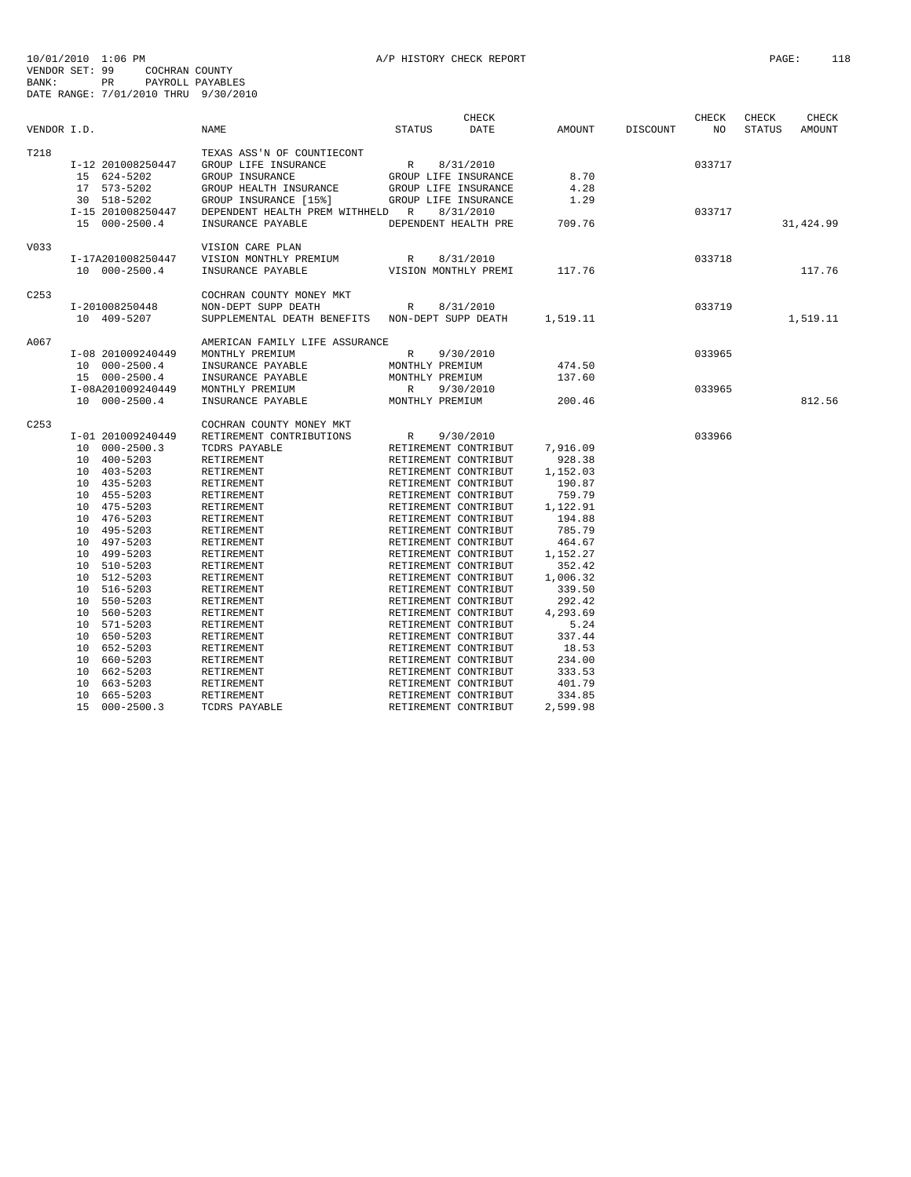|                  |                   |                                                 | CHECK                     |          |          | CHECK  | CHECK         | CHECK      |
|------------------|-------------------|-------------------------------------------------|---------------------------|----------|----------|--------|---------------|------------|
| VENDOR I.D.      |                   | <b>NAME</b>                                     | <b>STATUS</b><br>DATE     | AMOUNT   | DISCOUNT | NO     | <b>STATUS</b> | AMOUNT     |
| T218             |                   | TEXAS ASS'N OF COUNTIECONT                      |                           |          |          |        |               |            |
|                  | I-12 201008250447 | GROUP LIFE INSURANCE                            | R<br>8/31/2010            |          |          | 033717 |               |            |
|                  | 15 624-5202       | GROUP INSURANCE                                 | GROUP LIFE INSURANCE      | 8.70     |          |        |               |            |
|                  | 17 573-5202       | GROUP HEALTH INSURANCE                          | GROUP LIFE INSURANCE      | 4.28     |          |        |               |            |
|                  | 30 518-5202       | GROUP INSURANCE [15%]                           | GROUP LIFE INSURANCE      | 1.29     |          |        |               |            |
|                  | I-15 201008250447 | DEPENDENT HEALTH PREM WITHHELD R                | 8/31/2010                 |          |          | 033717 |               |            |
|                  | 15 000-2500.4     | INSURANCE PAYABLE                               | DEPENDENT HEALTH PRE      | 709.76   |          |        |               | 31, 424.99 |
| V033             |                   | VISION CARE PLAN                                |                           |          |          |        |               |            |
|                  | I-17A201008250447 | VISION MONTHLY PREMIUM                          | R<br>8/31/2010            |          |          | 033718 |               |            |
|                  | 10 000-2500.4     | INSURANCE PAYABLE                               | VISION MONTHLY PREMI      | 117.76   |          |        |               | 117.76     |
| C <sub>253</sub> |                   | COCHRAN COUNTY MONEY MKT                        |                           |          |          |        |               |            |
|                  | I-201008250448    | NON-DEPT SUPP DEATH                             | 8/31/2010<br>R            |          |          | 033719 |               |            |
|                  | 10 409-5207       | SUPPLEMENTAL DEATH BENEFITS NON-DEPT SUPP DEATH |                           | 1,519.11 |          |        |               | 1,519.11   |
|                  |                   |                                                 |                           |          |          |        |               |            |
| A067             |                   | AMERICAN FAMILY LIFE ASSURANCE                  |                           |          |          |        |               |            |
|                  | I-08 201009240449 | MONTHLY PREMIUM                                 | R<br>9/30/2010            |          |          | 033965 |               |            |
|                  | 10 000-2500.4     | INSURANCE PAYABLE                               | MONTHLY PREMIUM           | 474.50   |          |        |               |            |
|                  | 15 000-2500.4     | INSURANCE PAYABLE                               | MONTHLY PREMIUM           | 137.60   |          |        |               |            |
|                  | I-08A201009240449 | MONTHLY PREMIUM                                 | 9/30/2010<br>$\mathbb{R}$ |          |          | 033965 |               | 812.56     |
|                  | 10 000-2500.4     | INSURANCE PAYABLE                               | MONTHLY PREMIUM           | 200.46   |          |        |               |            |
| C <sub>253</sub> |                   | COCHRAN COUNTY MONEY MKT                        |                           |          |          |        |               |            |
|                  | I-01 201009240449 | RETIREMENT CONTRIBUTIONS                        | 9/30/2010<br>R            |          |          | 033966 |               |            |
|                  | 10 000-2500.3     | TCDRS PAYABLE                                   | RETIREMENT CONTRIBUT      | 7,916.09 |          |        |               |            |
|                  | 10 400-5203       | RETIREMENT                                      | RETIREMENT CONTRIBUT      | 928.38   |          |        |               |            |
|                  | 10 403-5203       | RETIREMENT                                      | RETIREMENT CONTRIBUT      | 1,152.03 |          |        |               |            |
|                  | 10 435-5203       | RETIREMENT                                      | RETIREMENT CONTRIBUT      | 190.87   |          |        |               |            |
|                  | 10 455-5203       | RETIREMENT                                      | RETIREMENT CONTRIBUT      | 759.79   |          |        |               |            |
|                  | 10 475-5203       | RETIREMENT                                      | RETIREMENT CONTRIBUT      | 1,122.91 |          |        |               |            |
|                  | 10 476-5203       | RETIREMENT                                      | RETIREMENT CONTRIBUT      | 194.88   |          |        |               |            |
|                  | 10 495-5203       | RETIREMENT                                      | RETIREMENT CONTRIBUT      | 785.79   |          |        |               |            |
|                  | 10 497-5203       | RETIREMENT                                      | RETIREMENT CONTRIBUT      | 464.67   |          |        |               |            |
|                  | 10 499-5203       | RETIREMENT                                      | RETIREMENT CONTRIBUT      | 1,152.27 |          |        |               |            |
|                  | 10 510-5203       | RETIREMENT                                      | RETIREMENT CONTRIBUT      | 352.42   |          |        |               |            |
|                  | 10 512-5203       | RETIREMENT                                      | RETIREMENT CONTRIBUT      | 1,006.32 |          |        |               |            |
|                  | 10 516-5203       | RETIREMENT                                      | RETIREMENT CONTRIBUT      | 339.50   |          |        |               |            |
|                  | 10 550-5203       | RETIREMENT                                      | RETIREMENT CONTRIBUT      | 292.42   |          |        |               |            |
|                  | 10 560-5203       | RETIREMENT                                      | RETIREMENT CONTRIBUT      | 4,293.69 |          |        |               |            |
|                  | 10 571-5203       | RETIREMENT                                      | RETIREMENT CONTRIBUT      | 5.24     |          |        |               |            |
|                  | 10 650-5203       | RETIREMENT                                      | RETIREMENT CONTRIBUT      | 337.44   |          |        |               |            |
|                  | 10 652-5203       | RETIREMENT                                      | RETIREMENT CONTRIBUT      | 18.53    |          |        |               |            |
|                  | 10 660-5203       | RETIREMENT                                      | RETIREMENT CONTRIBUT      | 234.00   |          |        |               |            |
|                  | 10 662-5203       | RETIREMENT                                      | RETIREMENT CONTRIBUT      | 333.53   |          |        |               |            |
|                  | 10 663-5203       | RETIREMENT                                      | RETIREMENT CONTRIBUT      | 401.79   |          |        |               |            |
|                  | 10<br>665-5203    | RETIREMENT                                      | RETIREMENT CONTRIBUT      | 334.85   |          |        |               |            |
|                  | 15 000-2500.3     | TCDRS PAYABLE                                   | RETIREMENT CONTRIBUT      | 2,599.98 |          |        |               |            |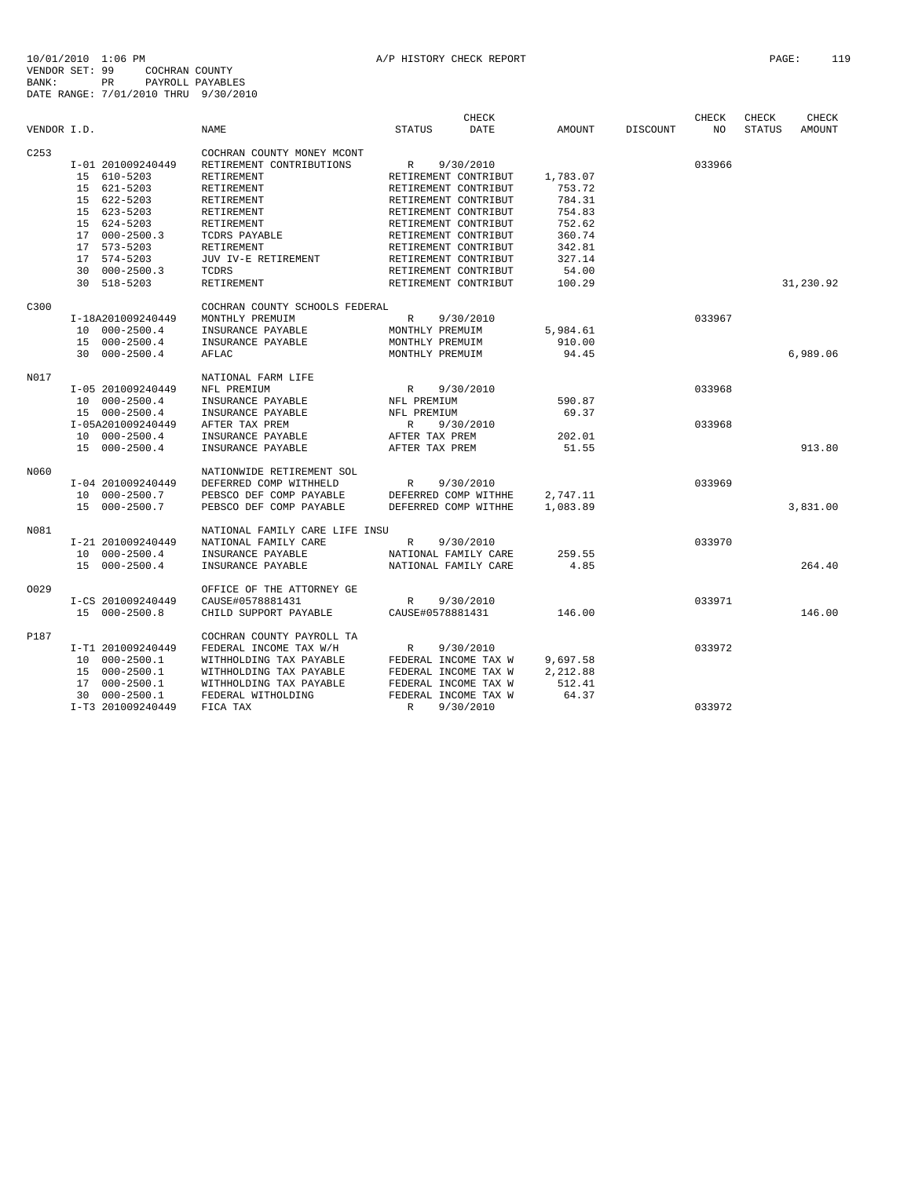|                  |                   |                                | CHECK                     |          |                 | CHECK  | CHECK         | CHECK         |
|------------------|-------------------|--------------------------------|---------------------------|----------|-----------------|--------|---------------|---------------|
| VENDOR I.D.      |                   | <b>NAME</b>                    | <b>STATUS</b><br>DATE     | AMOUNT   | <b>DISCOUNT</b> | NO     | <b>STATUS</b> | <b>AMOUNT</b> |
| C <sub>253</sub> |                   | COCHRAN COUNTY MONEY MCONT     |                           |          |                 |        |               |               |
|                  | I-01 201009240449 | RETIREMENT CONTRIBUTIONS       | R<br>9/30/2010            |          |                 | 033966 |               |               |
|                  | 15 610-5203       | RETIREMENT                     | RETIREMENT CONTRIBUT      | 1,783.07 |                 |        |               |               |
|                  | 15 621-5203       | RETIREMENT                     | RETIREMENT CONTRIBUT      | 753.72   |                 |        |               |               |
|                  | 15 622-5203       | RETIREMENT                     | RETIREMENT CONTRIBUT      | 784.31   |                 |        |               |               |
|                  | 15 623-5203       | RETIREMENT                     | RETIREMENT CONTRIBUT      | 754.83   |                 |        |               |               |
|                  |                   | RETIREMENT                     |                           | 752.62   |                 |        |               |               |
|                  | 15 624-5203       |                                | RETIREMENT CONTRIBUT      |          |                 |        |               |               |
|                  | 17 000-2500.3     | TCDRS PAYABLE                  | RETIREMENT CONTRIBUT      | 360.74   |                 |        |               |               |
|                  | 17 573-5203       | RETIREMENT                     | RETIREMENT CONTRIBUT      | 342.81   |                 |        |               |               |
|                  | 17 574-5203       | JUV IV-E RETIREMENT            | RETIREMENT CONTRIBUT      | 327.14   |                 |        |               |               |
|                  | $30000-2500.3$    | TCDRS                          | RETIREMENT CONTRIBUT      | 54.00    |                 |        |               |               |
|                  | 30 518-5203       | RETIREMENT                     | RETIREMENT CONTRIBUT      | 100.29   |                 |        |               | 31,230.92     |
| C300             |                   | COCHRAN COUNTY SCHOOLS FEDERAL |                           |          |                 |        |               |               |
|                  | I-18A201009240449 | MONTHLY PREMUIM                | $\mathbb{R}$<br>9/30/2010 |          |                 | 033967 |               |               |
|                  | 10 000-2500.4     | INSURANCE PAYABLE              | MONTHLY PREMUIM           | 5,984.61 |                 |        |               |               |
|                  | 15 000-2500.4     | INSURANCE PAYABLE              | MONTHLY PREMUIM           | 910.00   |                 |        |               |               |
|                  | 30 000-2500.4     | AFLAC                          | MONTHLY PREMUIM           | 94.45    |                 |        |               | 6,989.06      |
|                  |                   |                                |                           |          |                 |        |               |               |
| N017             |                   | NATIONAL FARM LIFE             |                           |          |                 |        |               |               |
|                  | I-05 201009240449 | NFL PREMIUM                    | 9/30/2010<br>R            |          |                 | 033968 |               |               |
|                  | 10 000-2500.4     | INSURANCE PAYABLE              | NFL PREMIUM               | 590.87   |                 |        |               |               |
|                  | 15 000-2500.4     | INSURANCE PAYABLE              | NFL PREMIUM               | 69.37    |                 |        |               |               |
|                  | I-05A201009240449 | AFTER TAX PREM                 | R<br>9/30/2010            |          |                 | 033968 |               |               |
|                  | 10 000-2500.4     | INSURANCE PAYABLE              | AFTER TAX PREM            | 202.01   |                 |        |               |               |
|                  | 15 000-2500.4     | INSURANCE PAYABLE              | AFTER TAX PREM            | 51.55    |                 |        |               | 913.80        |
| N060             |                   | NATIONWIDE RETIREMENT SOL      |                           |          |                 |        |               |               |
|                  | I-04 201009240449 | DEFERRED COMP WITHHELD         | 9/30/2010<br>$\mathbb R$  |          |                 | 033969 |               |               |
|                  | 10 000-2500.7     | PEBSCO DEF COMP PAYABLE        | DEFERRED COMP WITHHE      | 2,747.11 |                 |        |               |               |
|                  | 15 000-2500.7     | PEBSCO DEF COMP PAYABLE        | DEFERRED COMP WITHHE      | 1,083.89 |                 |        |               | 3,831.00      |
|                  |                   |                                |                           |          |                 |        |               |               |
| N081             |                   | NATIONAL FAMILY CARE LIFE INSU |                           |          |                 |        |               |               |
|                  | I-21 201009240449 | NATIONAL FAMILY CARE           | 9/30/2010<br>$\mathbb R$  |          |                 | 033970 |               |               |
|                  | 10 000-2500.4     | INSURANCE PAYABLE              | NATIONAL FAMILY CARE      | 259.55   |                 |        |               |               |
|                  | 15 000-2500.4     | INSURANCE PAYABLE              | NATIONAL FAMILY CARE      | 4.85     |                 |        |               | 264.40        |
| 0029             |                   | OFFICE OF THE ATTORNEY GE      |                           |          |                 |        |               |               |
|                  | I-CS 201009240449 | CAUSE#0578881431               | R<br>9/30/2010            |          |                 | 033971 |               |               |
|                  | 15 000-2500.8     | CHILD SUPPORT PAYABLE          | CAUSE#0578881431          | 146.00   |                 |        |               | 146.00        |
|                  |                   |                                |                           |          |                 |        |               |               |
| P187             |                   | COCHRAN COUNTY PAYROLL TA      |                           |          |                 |        |               |               |
|                  | I-T1 201009240449 | FEDERAL INCOME TAX W/H         | 9/30/2010<br>R            |          |                 | 033972 |               |               |
|                  | 10 000-2500.1     | WITHHOLDING TAX PAYABLE        | FEDERAL INCOME TAX W      | 9,697.58 |                 |        |               |               |
|                  | 15 000-2500.1     | WITHHOLDING TAX PAYABLE        | FEDERAL INCOME TAX W      | 2,212.88 |                 |        |               |               |
|                  | 17 000-2500.1     | WITHHOLDING TAX PAYABLE        | FEDERAL INCOME TAX W      | 512.41   |                 |        |               |               |
|                  | 30 000-2500.1     | FEDERAL WITHOLDING             | FEDERAL INCOME TAX W      | 64.37    |                 |        |               |               |
|                  | I-T3 201009240449 | FICA TAX                       | R<br>9/30/2010            |          |                 | 033972 |               |               |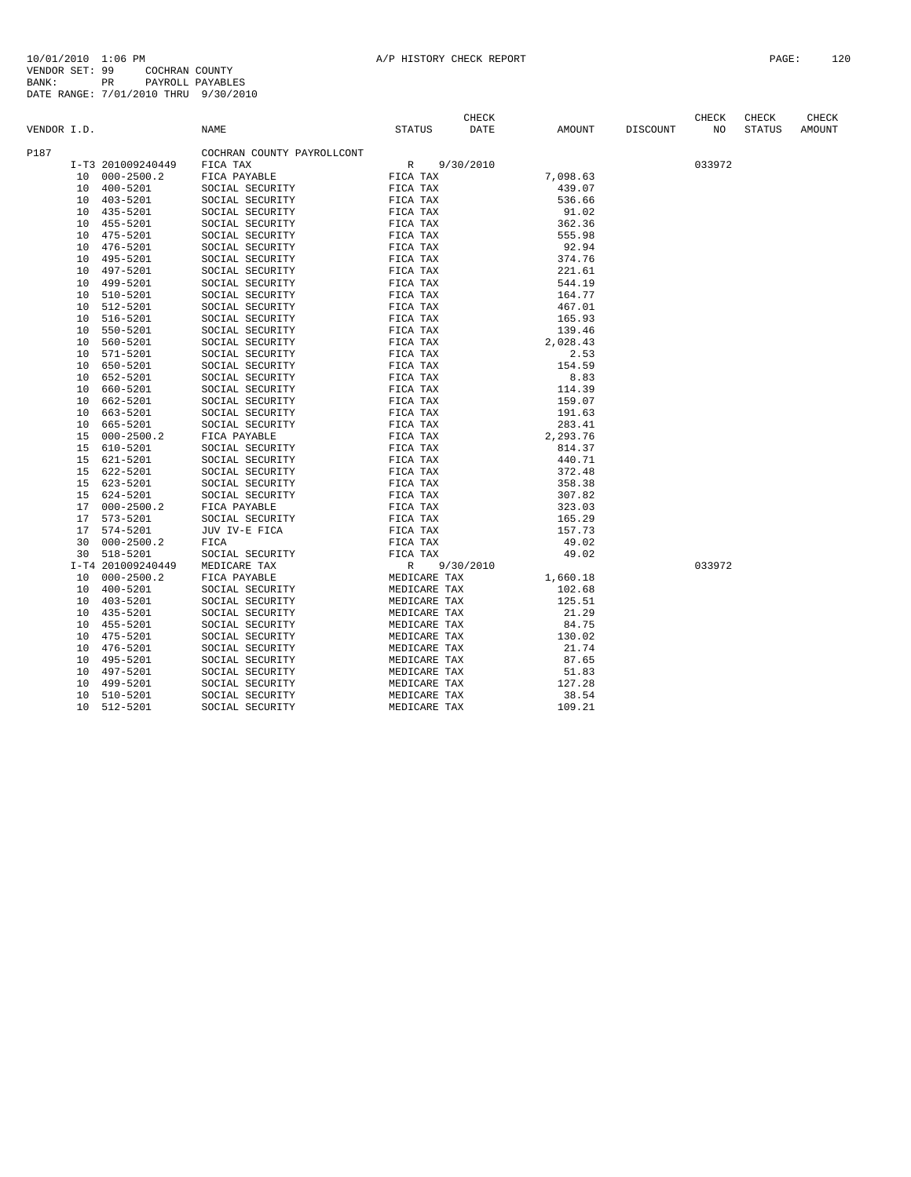|             |    |                      |                            |                              | CHECK       |          |          | CHECK  | CHECK         | CHECK  |
|-------------|----|----------------------|----------------------------|------------------------------|-------------|----------|----------|--------|---------------|--------|
| VENDOR I.D. |    |                      | NAME                       | <b>STATUS</b>                | <b>DATE</b> | AMOUNT   | DISCOUNT | NO     | <b>STATUS</b> | AMOUNT |
| P187        |    |                      | COCHRAN COUNTY PAYROLLCONT |                              |             |          |          |        |               |        |
|             |    | I-T3 201009240449    | FICA TAX                   | $\mathbb{R}$                 | 9/30/2010   |          |          | 033972 |               |        |
|             | 10 | $000 - 2500.2$       | FICA PAYABLE               | FICA TAX                     |             | 7,098.63 |          |        |               |        |
|             | 10 | 400-5201             | SOCIAL SECURITY            | FICA TAX                     |             | 439.07   |          |        |               |        |
|             |    | 10 403-5201          | SOCIAL SECURITY            | FICA TAX                     |             | 536.66   |          |        |               |        |
|             | 10 | 435-5201             | SOCIAL SECURITY            | FICA TAX                     |             | 91.02    |          |        |               |        |
|             | 10 | 455-5201             | SOCIAL SECURITY            | FICA TAX                     |             | 362.36   |          |        |               |        |
|             | 10 | 475-5201             | SOCIAL SECURITY            | FICA TAX                     |             | 555.98   |          |        |               |        |
|             | 10 | 476-5201             | SOCIAL SECURITY            | FICA TAX                     |             | 92.94    |          |        |               |        |
|             | 10 | 495-5201             | SOCIAL SECURITY            | FICA TAX                     |             | 374.76   |          |        |               |        |
|             | 10 | 497-5201             | SOCIAL SECURITY            | FICA TAX                     |             | 221.61   |          |        |               |        |
|             | 10 | 499-5201             | SOCIAL SECURITY            | FICA TAX                     |             | 544.19   |          |        |               |        |
|             | 10 | 510-5201             | SOCIAL SECURITY            | FICA TAX                     |             | 164.77   |          |        |               |        |
|             | 10 | 512-5201             | SOCIAL SECURITY            | FICA TAX                     |             | 467.01   |          |        |               |        |
|             | 10 | 516-5201             | SOCIAL SECURITY            | FICA TAX                     |             | 165.93   |          |        |               |        |
|             | 10 | 550-5201             | SOCIAL SECURITY            | FICA TAX                     |             | 139.46   |          |        |               |        |
|             | 10 | 560-5201             | SOCIAL SECURITY            | FICA TAX                     |             | 2,028.43 |          |        |               |        |
|             | 10 | 571-5201             | SOCIAL SECURITY            | FICA TAX                     |             | 2.53     |          |        |               |        |
|             | 10 | 650-5201             | SOCIAL SECURITY            | FICA TAX                     |             | 154.59   |          |        |               |        |
|             | 10 | 652-5201             | SOCIAL SECURITY            | FICA TAX                     |             | 8.83     |          |        |               |        |
|             | 10 | 660-5201             | SOCIAL SECURITY            | FICA TAX                     |             | 114.39   |          |        |               |        |
|             | 10 | 662-5201             | SOCIAL SECURITY            | FICA TAX                     |             | 159.07   |          |        |               |        |
|             | 10 | 663-5201             | SOCIAL SECURITY            | FICA TAX                     |             | 191.63   |          |        |               |        |
|             | 10 | 665-5201             | SOCIAL SECURITY            | FICA TAX                     |             | 283.41   |          |        |               |        |
|             | 15 | $000 - 2500.2$       | FICA PAYABLE               | FICA TAX                     |             | 2,293.76 |          |        |               |        |
|             | 15 | 610-5201             | SOCIAL SECURITY            | FICA TAX                     |             | 814.37   |          |        |               |        |
|             | 15 | 621-5201             | SOCIAL SECURITY            | FICA TAX                     |             | 440.71   |          |        |               |        |
|             | 15 | 622-5201             | SOCIAL SECURITY            | FICA TAX                     |             | 372.48   |          |        |               |        |
|             | 15 | 623-5201             | SOCIAL SECURITY            | FICA TAX                     |             | 358.38   |          |        |               |        |
|             | 15 | 624-5201             | SOCIAL SECURITY            | FICA TAX                     |             | 307.82   |          |        |               |        |
|             | 17 | $000 - 2500.2$       | FICA PAYABLE               | FICA TAX                     |             | 323.03   |          |        |               |        |
|             | 17 | 573-5201             | SOCIAL SECURITY            | FICA TAX                     |             | 165.29   |          |        |               |        |
|             | 17 | 574-5201             | JUV IV-E FICA              | FICA TAX                     |             | 157.73   |          |        |               |        |
|             | 30 | $000 - 2500.2$       | FICA                       | FICA TAX                     |             | 49.02    |          |        |               |        |
|             | 30 | 518-5201             | SOCIAL SECURITY            | FICA TAX                     |             | 49.02    |          |        |               |        |
|             |    | I-T4 201009240449    | MEDICARE TAX               | R                            | 9/30/2010   |          |          | 033972 |               |        |
|             | 10 | $000 - 2500.2$       | FICA PAYABLE               | MEDICARE TAX                 |             | 1,660.18 |          |        |               |        |
|             | 10 | $400 - 5201$         | SOCIAL SECURITY            | MEDICARE TAX                 |             | 102.68   |          |        |               |        |
|             | 10 | 403-5201             | SOCIAL SECURITY            | MEDICARE TAX                 |             | 125.51   |          |        |               |        |
|             | 10 | 435-5201             | SOCIAL SECURITY            | MEDICARE TAX                 |             | 21.29    |          |        |               |        |
|             | 10 | 455-5201             | SOCIAL SECURITY            | MEDICARE TAX                 |             | 84.75    |          |        |               |        |
|             | 10 | 475-5201             | SOCIAL SECURITY            | MEDICARE TAX                 |             | 130.02   |          |        |               |        |
|             | 10 | 476-5201             | SOCIAL SECURITY            | MEDICARE TAX                 |             | 21.74    |          |        |               |        |
|             | 10 | 495-5201             | SOCIAL SECURITY            | MEDICARE TAX                 |             | 87.65    |          |        |               |        |
|             | 10 | 497-5201             | SOCIAL SECURITY            | MEDICARE TAX                 |             | 51.83    |          |        |               |        |
|             | 10 |                      | SOCIAL SECURITY            |                              |             | 127.28   |          |        |               |        |
|             | 10 | 499-5201<br>510-5201 | SOCIAL SECURITY            | MEDICARE TAX<br>MEDICARE TAX |             | 38.54    |          |        |               |        |
|             | 10 | 512-5201             | SOCIAL SECURITY            | MEDICARE TAX                 |             | 109.21   |          |        |               |        |
|             |    |                      |                            |                              |             |          |          |        |               |        |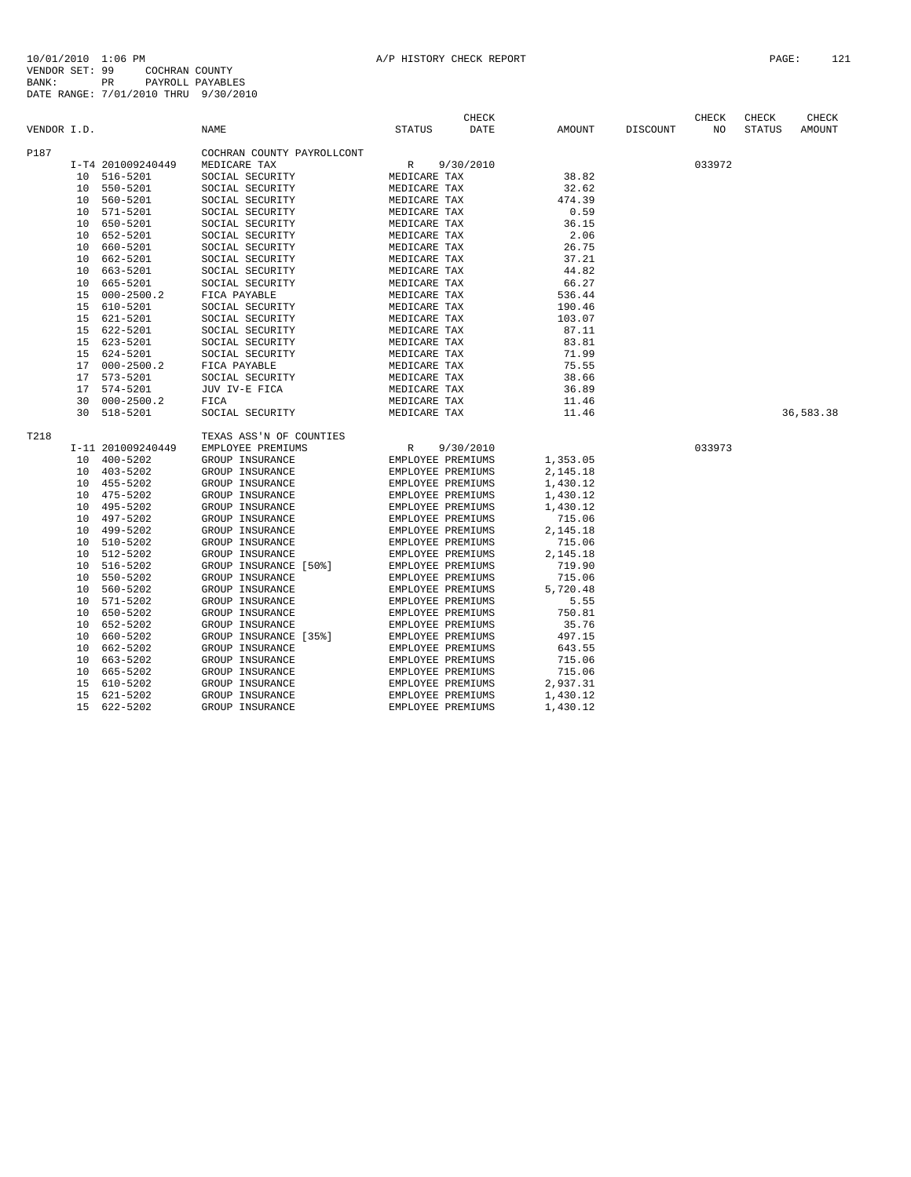|             |    |                   |                            |                   | <b>CHECK</b> |          |                 | <b>CHECK</b> | CHECK         | CHECK     |
|-------------|----|-------------------|----------------------------|-------------------|--------------|----------|-----------------|--------------|---------------|-----------|
| VENDOR I.D. |    |                   | <b>NAME</b>                | <b>STATUS</b>     | DATE         | AMOUNT   | <b>DISCOUNT</b> | NO           | <b>STATUS</b> | AMOUNT    |
| P187        |    |                   | COCHRAN COUNTY PAYROLLCONT |                   |              |          |                 |              |               |           |
|             |    | I-T4 201009240449 | MEDICARE TAX               | $\mathbb{R}$      | 9/30/2010    |          |                 | 033972       |               |           |
|             | 10 | 516-5201          | SOCIAL SECURITY            | MEDICARE TAX      |              | 38.82    |                 |              |               |           |
|             | 10 | 550-5201          | SOCIAL SECURITY            | MEDICARE TAX      |              | 32.62    |                 |              |               |           |
|             | 10 | 560-5201          | SOCIAL SECURITY            | MEDICARE TAX      |              | 474.39   |                 |              |               |           |
|             | 10 | 571-5201          | SOCIAL SECURITY            | MEDICARE TAX      |              | 0.59     |                 |              |               |           |
|             | 10 | 650-5201          | SOCIAL SECURITY            | MEDICARE TAX      |              | 36.15    |                 |              |               |           |
|             | 10 | 652-5201          | SOCIAL SECURITY            | MEDICARE TAX      |              | 2.06     |                 |              |               |           |
|             | 10 | 660-5201          | SOCIAL SECURITY            | MEDICARE TAX      |              | 26.75    |                 |              |               |           |
|             | 10 | 662-5201          | SOCIAL SECURITY            | MEDICARE TAX      |              | 37.21    |                 |              |               |           |
|             | 10 | 663-5201          | SOCIAL SECURITY            | MEDICARE TAX      |              | 44.82    |                 |              |               |           |
|             | 10 | 665-5201          | SOCIAL SECURITY            | MEDICARE TAX      |              | 66.27    |                 |              |               |           |
|             | 15 | $000 - 2500.2$    | FICA PAYABLE               | MEDICARE TAX      |              | 536.44   |                 |              |               |           |
|             | 15 | 610-5201          | SOCIAL SECURITY            | MEDICARE TAX      |              | 190.46   |                 |              |               |           |
|             | 15 | 621-5201          | SOCIAL SECURITY            | MEDICARE TAX      |              | 103.07   |                 |              |               |           |
|             | 15 | 622-5201          | SOCIAL SECURITY            | MEDICARE TAX      |              | 87.11    |                 |              |               |           |
|             | 15 | 623-5201          | SOCIAL SECURITY            | MEDICARE TAX      |              | 83.81    |                 |              |               |           |
|             | 15 | 624-5201          | SOCIAL SECURITY            | MEDICARE TAX      |              | 71.99    |                 |              |               |           |
|             | 17 | $000 - 2500.2$    | FICA PAYABLE               | MEDICARE TAX      |              | 75.55    |                 |              |               |           |
|             | 17 | $573 - 5201$      | SOCIAL SECURITY            | MEDICARE TAX      |              | 38.66    |                 |              |               |           |
|             | 17 | 574-5201          | JUV IV-E FICA              | MEDICARE TAX      |              | 36.89    |                 |              |               |           |
|             | 30 | $000 - 2500.2$    | FICA                       | MEDICARE TAX      |              | 11.46    |                 |              |               |           |
|             | 30 | 518-5201          | SOCIAL SECURITY            | MEDICARE TAX      |              | 11.46    |                 |              |               | 36,583.38 |
|             |    |                   |                            |                   |              |          |                 |              |               |           |
| T218        |    |                   | TEXAS ASS'N OF COUNTIES    |                   |              |          |                 |              |               |           |
|             |    | I-11 201009240449 | EMPLOYEE PREMIUMS          | R                 | 9/30/2010    |          |                 | 033973       |               |           |
|             | 10 | $400 - 5202$      | GROUP INSURANCE            | EMPLOYEE PREMIUMS |              | 1,353.05 |                 |              |               |           |
|             | 10 | 403-5202          | GROUP INSURANCE            | EMPLOYEE PREMIUMS |              | 2,145.18 |                 |              |               |           |
|             | 10 | 455-5202          | GROUP INSURANCE            | EMPLOYEE PREMIUMS |              | 1,430.12 |                 |              |               |           |
|             | 10 | 475-5202          | GROUP INSURANCE            | EMPLOYEE PREMIUMS |              | 1,430.12 |                 |              |               |           |
|             | 10 | 495-5202          | GROUP INSURANCE            | EMPLOYEE PREMIUMS |              | 1,430.12 |                 |              |               |           |
|             | 10 | 497-5202          | GROUP INSURANCE            | EMPLOYEE PREMIUMS |              | 715.06   |                 |              |               |           |
|             | 10 | 499-5202          | GROUP INSURANCE            | EMPLOYEE PREMIUMS |              | 2,145.18 |                 |              |               |           |
|             | 10 | 510-5202          | GROUP INSURANCE            | EMPLOYEE PREMIUMS |              | 715.06   |                 |              |               |           |
|             | 10 | 512-5202          | GROUP INSURANCE            | EMPLOYEE PREMIUMS |              | 2,145.18 |                 |              |               |           |
|             | 10 | 516-5202          | GROUP INSURANCE [50%]      | EMPLOYEE PREMIUMS |              | 719.90   |                 |              |               |           |
|             | 10 | 550-5202          | GROUP INSURANCE            | EMPLOYEE PREMIUMS |              | 715.06   |                 |              |               |           |
|             | 10 | 560-5202          | GROUP INSURANCE            | EMPLOYEE PREMIUMS |              | 5,720.48 |                 |              |               |           |
|             | 10 | 571-5202          | GROUP INSURANCE            | EMPLOYEE PREMIUMS |              | 5.55     |                 |              |               |           |
|             | 10 | 650-5202          | GROUP INSURANCE            | EMPLOYEE PREMIUMS |              | 750.81   |                 |              |               |           |
|             | 10 | 652-5202          | GROUP INSURANCE            | EMPLOYEE PREMIUMS |              | 35.76    |                 |              |               |           |
|             | 10 | 660-5202          | GROUP INSURANCE [35%]      | EMPLOYEE PREMIUMS |              | 497.15   |                 |              |               |           |
|             | 10 | 662-5202          | GROUP INSURANCE            | EMPLOYEE PREMIUMS |              | 643.55   |                 |              |               |           |
|             | 10 | 663-5202          | GROUP INSURANCE            | EMPLOYEE PREMIUMS |              | 715.06   |                 |              |               |           |
|             | 10 | 665-5202          | GROUP INSURANCE            | EMPLOYEE PREMIUMS |              | 715.06   |                 |              |               |           |
|             | 15 | 610-5202          | GROUP INSURANCE            | EMPLOYEE PREMIUMS |              | 2,937.31 |                 |              |               |           |
|             | 15 | 621-5202          | GROUP INSURANCE            | EMPLOYEE PREMIUMS |              | 1,430.12 |                 |              |               |           |
|             | 15 | 622-5202          | GROUP INSURANCE            | EMPLOYEE PREMIUMS |              | 1,430.12 |                 |              |               |           |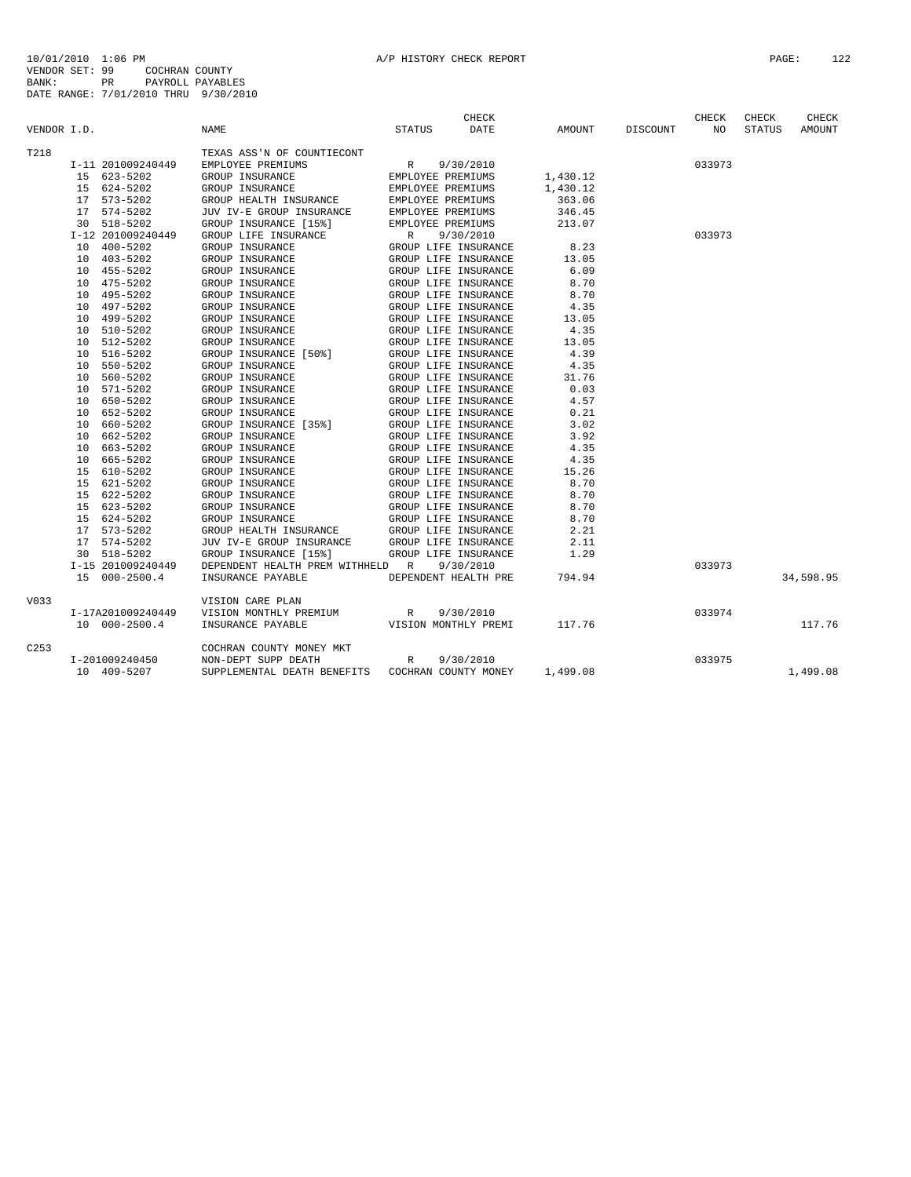|                  |                             |                                  | <b>CHECK</b>              |          |          | CHECK  | CHECK         | CHECK     |
|------------------|-----------------------------|----------------------------------|---------------------------|----------|----------|--------|---------------|-----------|
| VENDOR I.D.      |                             | NAME                             | STATUS<br>DATE            | AMOUNT   | DISCOUNT | NO     | <b>STATUS</b> | AMOUNT    |
| T218             |                             | TEXAS ASS'N OF COUNTIECONT       |                           |          |          |        |               |           |
|                  | I-11 201009240449           | EMPLOYEE PREMIUMS                | 9/30/2010<br>R            |          |          | 033973 |               |           |
|                  | 15 623-5202                 | GROUP INSURANCE                  | EMPLOYEE PREMIUMS         | 1,430.12 |          |        |               |           |
|                  | 15 624-5202                 | GROUP INSURANCE                  | EMPLOYEE PREMIUMS         | 1,430.12 |          |        |               |           |
|                  | 17 573-5202                 | GROUP HEALTH INSURANCE           | EMPLOYEE PREMIUMS         | 363.06   |          |        |               |           |
|                  | 17 574-5202                 | JUV IV-E GROUP INSURANCE         | EMPLOYEE PREMIUMS         | 346.45   |          |        |               |           |
|                  | 30 518-5202                 | GROUP INSURANCE [15%]            | EMPLOYEE PREMIUMS         | 213.07   |          |        |               |           |
|                  | I-12 201009240449           | GROUP LIFE INSURANCE             | $\mathbb{R}$<br>9/30/2010 |          |          | 033973 |               |           |
|                  | 400-5202<br>10              | GROUP INSURANCE                  | GROUP LIFE INSURANCE      | 8.23     |          |        |               |           |
|                  | 403-5202<br>10              | GROUP INSURANCE                  | GROUP LIFE INSURANCE      | 13.05    |          |        |               |           |
|                  | 455-5202<br>10              | GROUP INSURANCE                  | GROUP LIFE INSURANCE      | 6.09     |          |        |               |           |
|                  | 10 475-5202                 | GROUP INSURANCE                  | GROUP LIFE INSURANCE      | 8.70     |          |        |               |           |
|                  | 495-5202<br>10              | GROUP INSURANCE                  | GROUP LIFE INSURANCE      | 8.70     |          |        |               |           |
|                  | 10 497-5202                 | GROUP INSURANCE                  | GROUP LIFE INSURANCE      | 4.35     |          |        |               |           |
|                  | 499-5202<br>10 <sup>1</sup> | GROUP INSURANCE                  | GROUP LIFE INSURANCE      | 13.05    |          |        |               |           |
|                  | 510-5202<br>10              | GROUP INSURANCE                  | GROUP LIFE INSURANCE      | 4.35     |          |        |               |           |
|                  | 512-5202<br>10              | GROUP INSURANCE                  | GROUP LIFE INSURANCE      | 13.05    |          |        |               |           |
|                  | 516-5202<br>10              | GROUP INSURANCE [50%]            | GROUP LIFE INSURANCE      | 4.39     |          |        |               |           |
|                  | 550-5202<br>1 O             | GROUP INSURANCE                  | GROUP LIFE INSURANCE      | 4.35     |          |        |               |           |
|                  | 560-5202<br>10              | GROUP INSURANCE                  | GROUP LIFE INSURANCE      | 31.76    |          |        |               |           |
|                  | 571-5202<br>10              | GROUP INSURANCE                  | GROUP LIFE INSURANCE      | 0.03     |          |        |               |           |
|                  | 650-5202<br>10              | GROUP INSURANCE                  | GROUP LIFE INSURANCE      | 4.57     |          |        |               |           |
|                  | 652-5202<br>10              | GROUP INSURANCE                  | GROUP LIFE INSURANCE      | 0.21     |          |        |               |           |
|                  | 660-5202<br>10              | GROUP INSURANCE [35%]            | GROUP LIFE INSURANCE      | 3.02     |          |        |               |           |
|                  | 662-5202<br>10              | GROUP INSURANCE                  | GROUP LIFE INSURANCE      | 3.92     |          |        |               |           |
|                  | 663-5202<br>10              | GROUP INSURANCE                  | GROUP LIFE INSURANCE      | 4.35     |          |        |               |           |
|                  | 665-5202<br>10              | GROUP INSURANCE                  | GROUP LIFE INSURANCE      | 4.35     |          |        |               |           |
|                  | 610-5202<br>1.5             | GROUP INSURANCE                  | GROUP LIFE INSURANCE      | 15.26    |          |        |               |           |
|                  | 15 621-5202                 | GROUP INSURANCE                  | GROUP LIFE INSURANCE      | 8.70     |          |        |               |           |
|                  | 15 622-5202                 | GROUP INSURANCE                  | GROUP LIFE INSURANCE      | 8.70     |          |        |               |           |
|                  | 623-5202<br>15              | GROUP INSURANCE                  | GROUP LIFE INSURANCE      | 8.70     |          |        |               |           |
|                  | 15 624-5202                 | GROUP INSURANCE                  | GROUP LIFE INSURANCE      | 8.70     |          |        |               |           |
|                  | 17 573-5202                 | GROUP HEALTH INSURANCE           | GROUP LIFE INSURANCE      | 2.21     |          |        |               |           |
|                  | 17 574-5202                 | JUV IV-E GROUP INSURANCE         | GROUP LIFE INSURANCE      | 2.11     |          |        |               |           |
|                  | 30 518-5202                 | GROUP INSURANCE [15%]            | GROUP LIFE INSURANCE      | 1.29     |          |        |               |           |
|                  | I-15 201009240449           | DEPENDENT HEALTH PREM WITHHELD R | 9/30/2010                 |          |          | 033973 |               |           |
|                  | 15 000-2500.4               | INSURANCE PAYABLE                | DEPENDENT HEALTH PRE      | 794.94   |          |        |               | 34,598.95 |
| V033             |                             | VISION CARE PLAN                 |                           |          |          |        |               |           |
|                  | I-17A201009240449           | VISION MONTHLY PREMIUM           | 9/30/2010<br>R            |          |          | 033974 |               |           |
|                  | 10 000-2500.4               | INSURANCE PAYABLE                | VISION MONTHLY PREMI      | 117.76   |          |        |               | 117.76    |
| C <sub>253</sub> |                             | COCHRAN COUNTY MONEY MKT         |                           |          |          |        |               |           |
|                  | I-201009240450              | NON-DEPT SUPP DEATH              | R<br>9/30/2010            |          |          | 033975 |               |           |
|                  | 10 409-5207                 | SUPPLEMENTAL DEATH BENEFITS      | COCHRAN COUNTY MONEY      | 1,499.08 |          |        |               | 1,499.08  |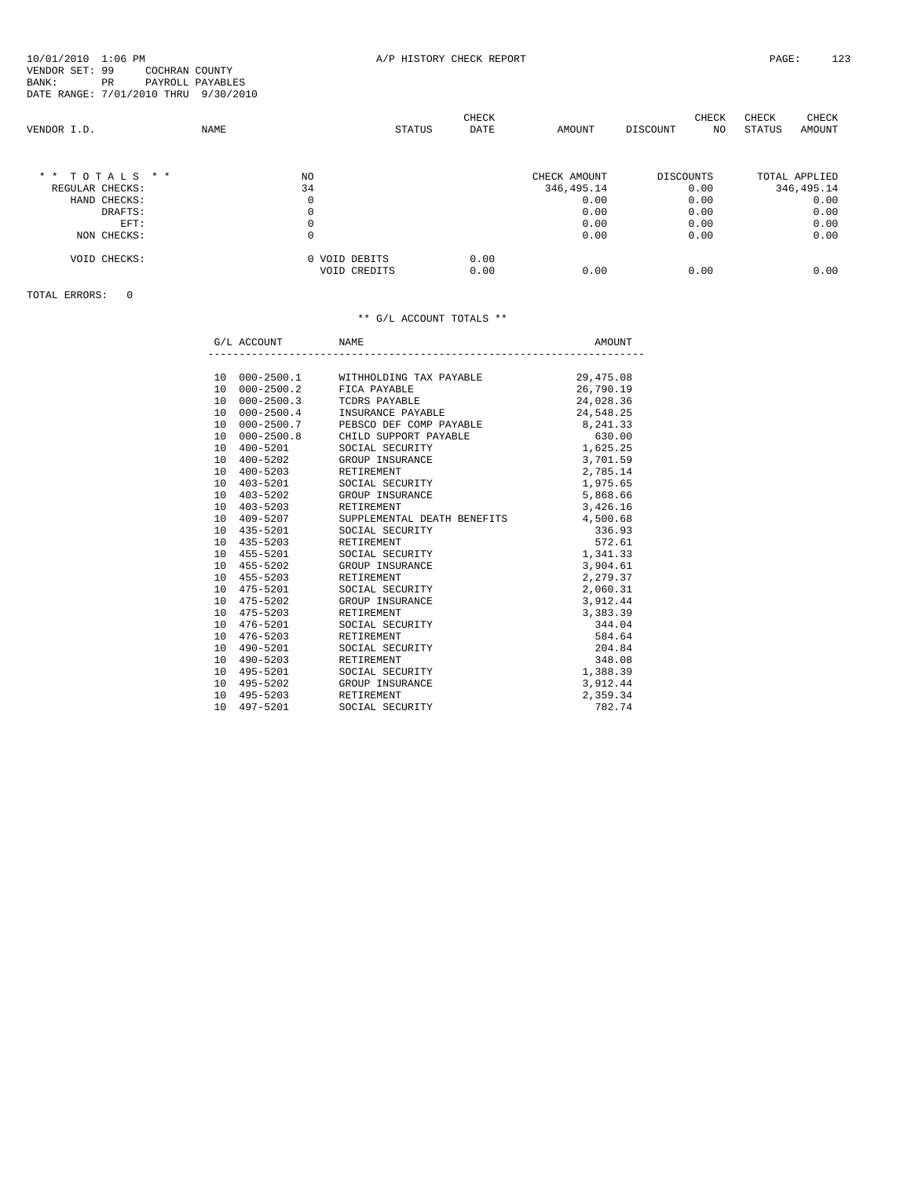|                  |      |               |               | CHECK |              |                  | CHECK | CHECK  | CHECK         |
|------------------|------|---------------|---------------|-------|--------------|------------------|-------|--------|---------------|
| VENDOR I.D.      | NAME |               | <b>STATUS</b> | DATE  | AMOUNT       | DISCOUNT         | NO    | STATUS | AMOUNT        |
|                  |      |               |               |       |              |                  |       |        |               |
| $*$ * TOTALS * * |      | NO.           |               |       | CHECK AMOUNT | <b>DISCOUNTS</b> |       |        | TOTAL APPLIED |
| REGULAR CHECKS:  |      | 34            |               |       | 346, 495.14  |                  | 0.00  |        | 346, 495.14   |
| HAND CHECKS:     |      | 0             |               |       | 0.00         |                  | 0.00  |        | 0.00          |
| DRAFTS:          |      | 0             |               |       | 0.00         |                  | 0.00  |        | 0.00          |
| EFT:             |      | 0             |               |       | 0.00         |                  | 0.00  |        | 0.00          |
| NON CHECKS:      |      | 0             |               |       | 0.00         |                  | 0.00  |        | 0.00          |
| VOID CHECKS:     |      | 0 VOID DEBITS |               | 0.00  |              |                  |       |        |               |
|                  |      | VOID CREDITS  |               | 0.00  | 0.00         |                  | 0.00  |        | 0.00          |
|                  |      |               |               |       |              |                  |       |        |               |

## TOTAL ERRORS: 0

## \*\* G/L ACCOUNT TOTALS \*\*

|                       | G/L ACCOUNT NAME       |                                                                           | AMOUNT    |
|-----------------------|------------------------|---------------------------------------------------------------------------|-----------|
|                       |                        |                                                                           |           |
|                       |                        | 10 000-2500.1 WITHHOLDING TAX PAYABLE 29,475.08                           |           |
|                       |                        | 10 000-2500.2 FICA PAYABLE                                                | 26,790.19 |
| 10 <sup>1</sup><br>10 |                        | 000-2500.3 TCDRS PAYABLE<br>000-2500.4 INSURANCE PAYABLE                  | 24,028.36 |
|                       |                        |                                                                           | 24,548.25 |
| 10                    |                        | 000-2500.7 PEBSCO DEF COMP PAYABLE                                        | 8, 241.33 |
|                       |                        | 10 000-2500.8 CHILD SUPPORT PAYABLE 630.00<br>10 400-5201 SOCIAL SECURITY | 1,625.25  |
|                       |                        |                                                                           |           |
|                       |                        | 10 400-5202 GROUP INSURANCE                                               | 3,701.59  |
|                       | 10 400-5203            | RETIREMENT                                                                | 2,785.14  |
|                       | 10 403-5201            | SOCIAL SECURITY                                                           | 1,975.65  |
|                       |                        | 10 403-5202 GROUP INSURANCE                                               | 5,868.66  |
|                       | 10 403-5203 RETIREMENT |                                                                           | 3,426.16  |
|                       |                        | 10 409-5207 SUPPLEMENTAL DEATH BENEFITS 4,500.68                          |           |
|                       |                        | 10 435-5201 SOCIAL SECURITY                                               | 336.93    |
|                       | 10 435-5203            | RETIREMENT                                                                | 572.61    |
|                       |                        | 10 455-5201 SOCIAL SECURITY                                               | 1,341.33  |
|                       |                        | 10 455-5202 GROUP INSURANCE                                               | 3,904.61  |
|                       | 10 455-5203            | <b>RETIREMENT</b>                                                         | 2,279.37  |
|                       |                        | 10 475-5201 SOCIAL SECURITY                                               | 2,060.31  |
|                       |                        | 10 475-5202 GROUP INSURANCE                                               | 3,912.44  |
|                       | 10 475-5203 RETIREMENT |                                                                           | 3,383.39  |
|                       |                        | 10 476-5201 SOCIAL SECURITY                                               | 344.04    |
|                       | 10 476-5203            | RETIREMENT                                                                | 584.64    |
|                       | 10 490-5201            | SOCIAL SECURITY                                                           | 204.84    |
| 10 <sup>1</sup>       | $490 - 5203$           | RETIREMENT                                                                | 348.08    |
| 10 <sup>1</sup>       | $495 - 5201$           | SOCIAL SECURITY                                                           | 1,388.39  |
|                       | 10 495-5202            | GROUP INSURANCE                                                           | 3,912.44  |
|                       | 10 495-5203            | RETIREMENT                                                                | 2,359.34  |
|                       | 10 497-5201            | SOCIAL SECURITY                                                           | 782.74    |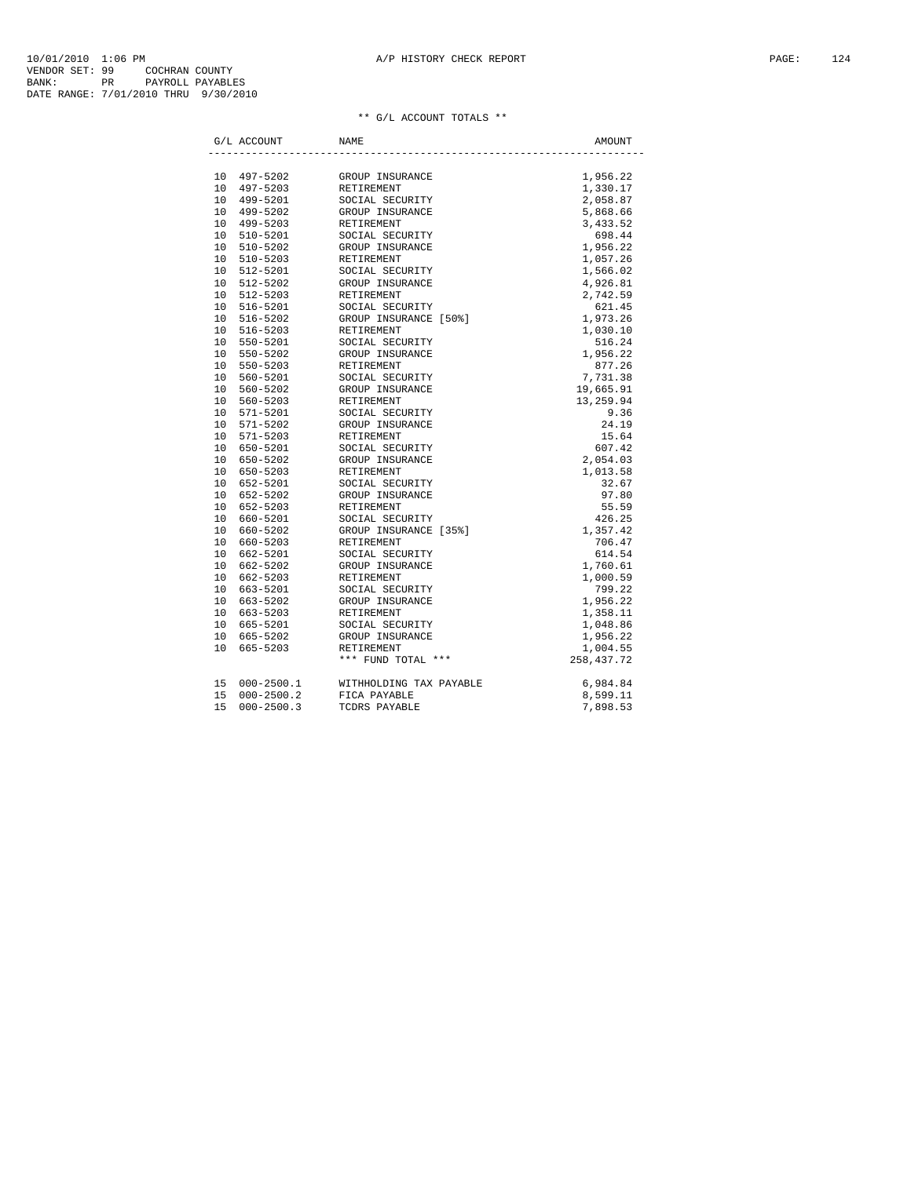| ** G/L ACCOUNT TOTALS ** |  |
|--------------------------|--|
|--------------------------|--|

|    | G/L ACCOUNT    | NAME                    | AMOUNT       |
|----|----------------|-------------------------|--------------|
|    |                |                         |              |
|    | 10 497-5202    | GROUP INSURANCE         | 1,956.22     |
|    | 10 497-5203    | RETIREMENT              | 1,330.17     |
|    | 10 499-5201    | SOCIAL SECURITY         | 2,058.87     |
|    | 10 499-5202    | GROUP INSURANCE         | 5,868.66     |
|    | 10 499-5203    | RETIREMENT              | 3,433.52     |
|    | 10 510-5201    | SOCIAL SECURITY         | 698.44       |
|    | 10 510-5202    | GROUP INSURANCE         | 1,956.22     |
|    | 10 510-5203    | RETIREMENT              | 1,057.26     |
|    | 10 512-5201    | SOCIAL SECURITY         | 1,566.02     |
|    | 10 512-5202    | GROUP INSURANCE         | 4,926.81     |
|    | 10 512-5203    | RETIREMENT              | 2,742.59     |
|    | 10 516-5201    | SOCIAL SECURITY         | 621.45       |
|    | 10 516-5202    | GROUP INSURANCE [50%]   | 1,973.26     |
|    | 10 516-5203    | <b>RETIREMENT</b>       | 1,030.10     |
|    | 10 550-5201    | SOCIAL SECURITY         | 516.24       |
|    | 10 550-5202    | GROUP INSURANCE         | 1,956.22     |
|    | 10 550-5203    | <b>RETIREMENT</b>       | 877.26       |
|    | 10 560-5201    | SOCIAL SECURITY         | 7,731.38     |
|    | 10 560-5202    | GROUP INSURANCE         | 19,665.91    |
|    | 10 560-5203    | RETIREMENT              | 13,259.94    |
|    | 10 571-5201    | SOCIAL SECURITY         | 9.36         |
|    | 10 571-5202    | GROUP INSURANCE         | 24.19        |
|    | 10 571-5203    | <b>RETIREMENT</b>       | 15.64        |
|    | 10 650-5201    | SOCIAL SECURITY         | 607.42       |
|    | 10 650-5202    | GROUP INSURANCE         | 2,054.03     |
|    | 10 650-5203    | RETIREMENT              | 1,013.58     |
|    | 10 652-5201    | SOCIAL SECURITY         | 32.67        |
|    | 10 652-5202    | GROUP INSURANCE         | 97.80        |
|    | 10 652-5203    | RETIREMENT              | 55.59        |
|    | 10 660-5201    | SOCIAL SECURITY         | 426.25       |
|    | 10 660-5202    | GROUP INSURANCE [35%]   | 1,357.42     |
|    | 10 660-5203    | <b>RETIREMENT</b>       | 706.47       |
|    | 10 662-5201    | SOCIAL SECURITY         | 614.54       |
|    | 10 662-5202    | GROUP INSURANCE         | 1,760.61     |
|    | 10 662-5203    | <b>RETIREMENT</b>       | 1,000.59     |
|    | 10 663-5201    | SOCIAL SECURITY         | 799.22       |
|    | 10 663-5202    | GROUP INSURANCE         | 1,956.22     |
|    | 10 663-5203    | RETIREMENT              | 1,358.11     |
|    | 10 665-5201    | SOCIAL SECURITY         | 1,048.86     |
|    | 10 665-5202    | GROUP INSURANCE         | 1,956.22     |
|    | 10 665-5203    | <b>RETIREMENT</b>       | 1,004.55     |
|    |                | *** FUND TOTAL ***      | 258, 437. 72 |
|    | 15 000-2500.1  | WITHHOLDING TAX PAYABLE | 6,984.84     |
| 15 | $000 - 2500.2$ | FICA PAYABLE            | 8,599.11     |
| 15 | $000 - 2500.3$ | TCDRS PAYABLE           | 7,898.53     |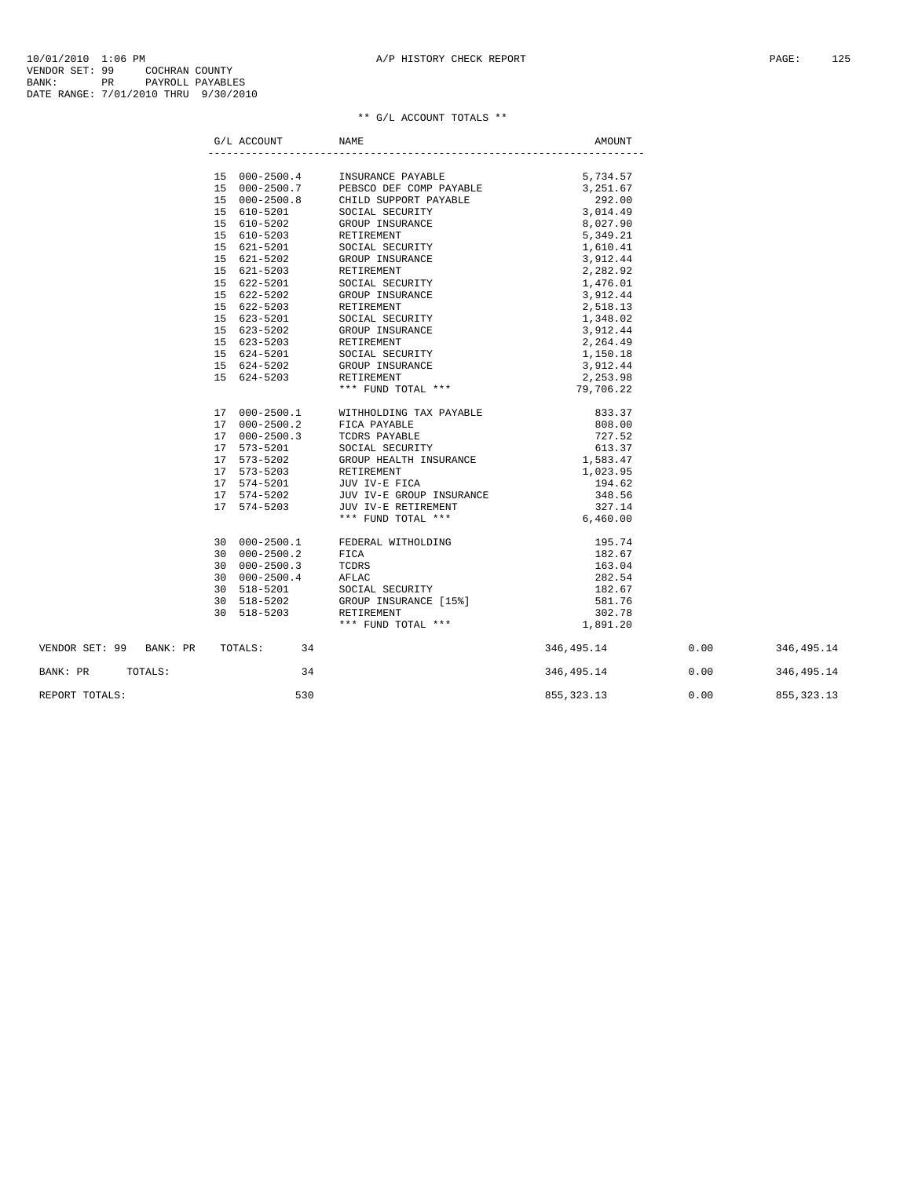|                                    | G/L ACCOUNT | NAME                                                                                                                                                                                                                                                                                                                                           | AMOUNT                       |  |
|------------------------------------|-------------|------------------------------------------------------------------------------------------------------------------------------------------------------------------------------------------------------------------------------------------------------------------------------------------------------------------------------------------------|------------------------------|--|
|                                    |             |                                                                                                                                                                                                                                                                                                                                                |                              |  |
|                                    |             |                                                                                                                                                                                                                                                                                                                                                |                              |  |
|                                    |             |                                                                                                                                                                                                                                                                                                                                                |                              |  |
|                                    |             |                                                                                                                                                                                                                                                                                                                                                |                              |  |
|                                    |             |                                                                                                                                                                                                                                                                                                                                                |                              |  |
|                                    |             |                                                                                                                                                                                                                                                                                                                                                |                              |  |
|                                    |             |                                                                                                                                                                                                                                                                                                                                                |                              |  |
|                                    |             |                                                                                                                                                                                                                                                                                                                                                |                              |  |
|                                    |             |                                                                                                                                                                                                                                                                                                                                                |                              |  |
|                                    |             |                                                                                                                                                                                                                                                                                                                                                |                              |  |
|                                    |             |                                                                                                                                                                                                                                                                                                                                                |                              |  |
|                                    |             |                                                                                                                                                                                                                                                                                                                                                |                              |  |
|                                    |             |                                                                                                                                                                                                                                                                                                                                                |                              |  |
|                                    |             |                                                                                                                                                                                                                                                                                                                                                |                              |  |
|                                    |             |                                                                                                                                                                                                                                                                                                                                                |                              |  |
|                                    |             |                                                                                                                                                                                                                                                                                                                                                |                              |  |
|                                    |             |                                                                                                                                                                                                                                                                                                                                                |                              |  |
|                                    |             |                                                                                                                                                                                                                                                                                                                                                |                              |  |
|                                    |             |                                                                                                                                                                                                                                                                                                                                                |                              |  |
|                                    |             | $\begin{tabular}{lllllllllllllllllllll} 17&000-2500.1 &\text{WITHHOLDING TAX PAYABLE} & 833.37\\ 17&000-2500.2 & \text{FICA PAYABLE} & 808.00\\ 17&000-2500.3 & \text{TCDRS PAYABLE} & 727.52\\ 17&573-5201 & \text{SOCIAL SECURITY} & 613.37\\ 17&573-5202 & \text{GRODUP HISURANCE} & 1,033.95\\ 17&574-5203 & \text{XETIREMENT} & 1,033.95$ |                              |  |
|                                    |             |                                                                                                                                                                                                                                                                                                                                                |                              |  |
|                                    |             |                                                                                                                                                                                                                                                                                                                                                |                              |  |
|                                    |             |                                                                                                                                                                                                                                                                                                                                                |                              |  |
|                                    |             |                                                                                                                                                                                                                                                                                                                                                |                              |  |
|                                    |             |                                                                                                                                                                                                                                                                                                                                                |                              |  |
|                                    |             |                                                                                                                                                                                                                                                                                                                                                |                              |  |
|                                    |             |                                                                                                                                                                                                                                                                                                                                                |                              |  |
|                                    |             |                                                                                                                                                                                                                                                                                                                                                |                              |  |
|                                    |             |                                                                                                                                                                                                                                                                                                                                                |                              |  |
|                                    |             |                                                                                                                                                                                                                                                                                                                                                |                              |  |
|                                    |             |                                                                                                                                                                                                                                                                                                                                                |                              |  |
|                                    |             |                                                                                                                                                                                                                                                                                                                                                |                              |  |
|                                    |             |                                                                                                                                                                                                                                                                                                                                                |                              |  |
|                                    |             |                                                                                                                                                                                                                                                                                                                                                |                              |  |
|                                    |             |                                                                                                                                                                                                                                                                                                                                                |                              |  |
|                                    |             |                                                                                                                                                                                                                                                                                                                                                |                              |  |
| VENDOR SET: 99 BANK: PR TOTALS: 34 |             |                                                                                                                                                                                                                                                                                                                                                | 346,495.14 0.00 346,495.14   |  |
| BANK: PR TOTALS:                   | 34          |                                                                                                                                                                                                                                                                                                                                                | 346,495.14 0.00 346,495.14   |  |
| REPORT TOTALS:                     | 530         |                                                                                                                                                                                                                                                                                                                                                | 855, 323.13 0.00 855, 323.13 |  |
|                                    |             |                                                                                                                                                                                                                                                                                                                                                |                              |  |